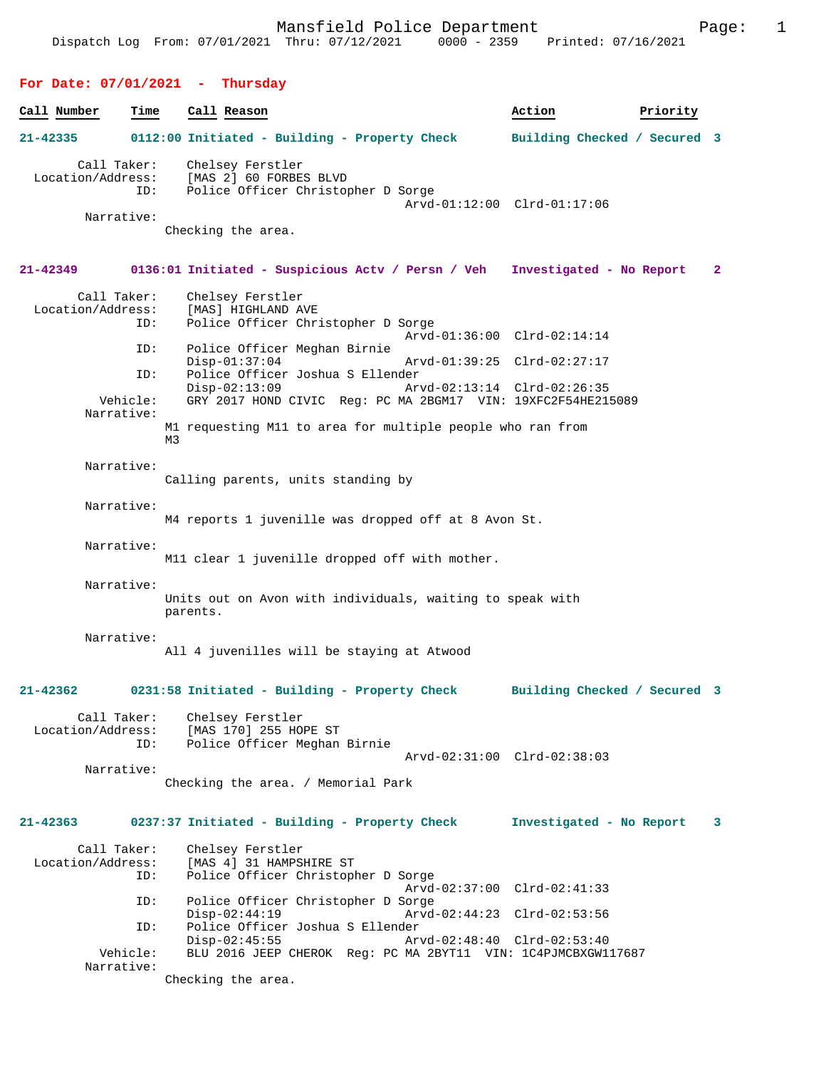## **For Date: 07/01/2021 - Thursday**

| Call Number       | Time               | Call Reason                                                                       | Action                       | Priority |              |
|-------------------|--------------------|-----------------------------------------------------------------------------------|------------------------------|----------|--------------|
| 21-42335          |                    | 0112:00 Initiated - Building - Property Check                                     | Building Checked / Secured 3 |          |              |
| Location/Address: | Call Taker:<br>ID: | Chelsey Ferstler<br>[MAS 2] 60 FORBES BLVD<br>Police Officer Christopher D Sorge  | Arvd-01:12:00 Clrd-01:17:06  |          |              |
|                   | Narrative:         | Checking the area.                                                                |                              |          |              |
| 21-42349          |                    | 0136:01 Initiated - Suspicious Actv / Persn / Veh Investigated - No Report        |                              |          | $\mathbf{2}$ |
| Location/Address: | Call Taker:<br>ID: | Chelsey Ferstler<br>[MAS] HIGHLAND AVE<br>Police Officer Christopher D Sorge      | Arvd-01:36:00 Clrd-02:14:14  |          |              |
|                   | ID:                | Police Officer Meghan Birnie                                                      |                              |          |              |
|                   | ID:                | $Disp-01:37:04$<br>Police Officer Joshua S Ellender                               | Arvd-01:39:25 Clrd-02:27:17  |          |              |
|                   | Vehicle:           | $Disp-02:13:09$<br>GRY 2017 HOND CIVIC Req: PC MA 2BGM17 VIN: 19XFC2F54HE215089   | Arvd-02:13:14 Clrd-02:26:35  |          |              |
|                   | Narrative:         | M1 requesting M11 to area for multiple people who ran from<br>M3                  |                              |          |              |
|                   | Narrative:         | Calling parents, units standing by                                                |                              |          |              |
|                   | Narrative:         | M4 reports 1 juvenille was dropped off at 8 Avon St.                              |                              |          |              |
|                   | Narrative:         | M11 clear 1 juvenille dropped off with mother.                                    |                              |          |              |
|                   | Narrative:         | Units out on Avon with individuals, waiting to speak with<br>parents.             |                              |          |              |
|                   | Narrative:         | All 4 juvenilles will be staying at Atwood                                        |                              |          |              |
| $21 - 42362$      |                    | 0231:58 Initiated - Building - Property Check                                     | Building Checked / Secured 3 |          |              |
| Location/Address: | Call Taker:<br>ID: | Chelsey Ferstler<br>[MAS 170] 255 HOPE ST<br>Police Officer Meghan Birnie         |                              |          |              |
|                   | Narrative:         | Checking the area. / Memorial Park                                                | Arvd-02:31:00 Clrd-02:38:03  |          |              |
|                   |                    |                                                                                   |                              |          |              |
| $21 - 42363$      |                    | 0237:37 Initiated - Building - Property Check                                     | Investigated - No Report     |          | 3            |
| Location/Address: | Call Taker:<br>ID: | Chelsey Ferstler<br>[MAS 4] 31 HAMPSHIRE ST<br>Police Officer Christopher D Sorge |                              |          |              |
|                   | ID:                | Police Officer Christopher D Sorge                                                | Arvd-02:37:00 Clrd-02:41:33  |          |              |
|                   | ID:                | $Disp-02:44:19$<br>Police Officer Joshua S Ellender                               | Arvd-02:44:23 Clrd-02:53:56  |          |              |
|                   | Vehicle:           | $Disp-02:45:55$<br>BLU 2016 JEEP CHEROK Req: PC MA 2BYT11 VIN: 1C4PJMCBXGW117687  | Arvd-02:48:40 Clrd-02:53:40  |          |              |
|                   | Narrative:         | Checking the area.                                                                |                              |          |              |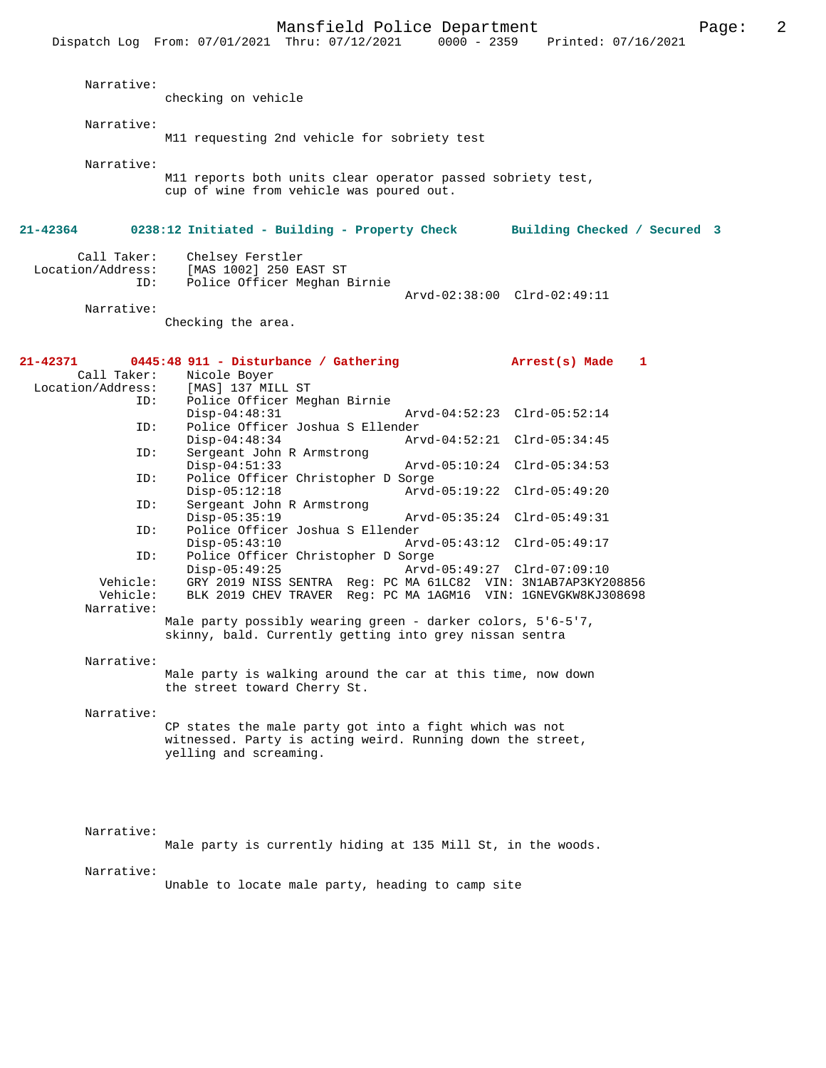Mansfield Police Department<br>Thru:  $07/12/2021$  0000 - 2359 Printed:  $07/16/2021$ Dispatch Log From: 07/01/2021 Thru: 07/12/2021 Narrative: checking on vehicle Narrative: M11 requesting 2nd vehicle for sobriety test Narrative: M11 reports both units clear operator passed sobriety test, cup of wine from vehicle was poured out. **21-42364 0238:12 Initiated - Building - Property Check Building Checked / Secured 3** Call Taker: Chelsey Ferstler<br>Location/Address: [MAS 1002] 250 E [MAS 1002] 250 EAST ST ID: Police Officer Meghan Birnie Arvd-02:38:00 Clrd-02:49:11 Narrative: Checking the area. **21-42371 0445:48 911 - Disturbance / Gathering Arrest(s) Made 1**  Call Taker: Nicole Boyer Location/Address: [MAS] 137 MILL ST ID: Police Officer Meghan Birnie Disp-04:48:31 Arvd-04:52:23 Clrd-05:52:14<br>ID: Police Officer Joshua S Ellender Police Officer Joshua S Ellender Disp-04:48:34 Arvd-04:52:21 Clrd-05:34:45 ID: Sergeant John R Armstrong Disp-04:51:33 Arvd-05:10:24 Clrd-05:34:53 ID: Police Officer Christopher D Sorge Disp-05:12:18 Arvd-05:19:22 Clrd-05:49:20<br>ID: Sergeant John R Armstrong Sergeant John R Armstrong<br>Disp-05:35:19 Disp-05:35:19 Arvd-05:35:24 Clrd-05:49:31<br>ID: Police Officer Joshua S Ellender Police Officer Joshua S Ellender Disp-05:43:10 Arvd-05:43:12 Clrd-05:49:17<br>TD: Police Officer Christopher D Sorge Police Officer Christopher D Sorge<br>Disp-05:49:25 Arvd Disp-05:49:25 Arvd-05:49:27 Clrd-07:09:10 Vehicle: GRY 2019 NISS SENTRA Reg: PC MA 61LC82 VIN: 3N1AB7AP3KY208856 BLK 2019 CHEV TRAVER Reg: PC MA 1AGM16 VIN: 1GNEVGKW8KJ308698 Narrative: Male party possibly wearing green - darker colors, 5'6-5'7, skinny, bald. Currently getting into grey nissan sentra Narrative: Male party is walking around the car at this time, now down the street toward Cherry St. Narrative: CP states the male party got into a fight which was not witnessed. Party is acting weird. Running down the street, yelling and screaming. Narrative: Male party is currently hiding at 135 Mill St, in the woods. Narrative:

Unable to locate male party, heading to camp site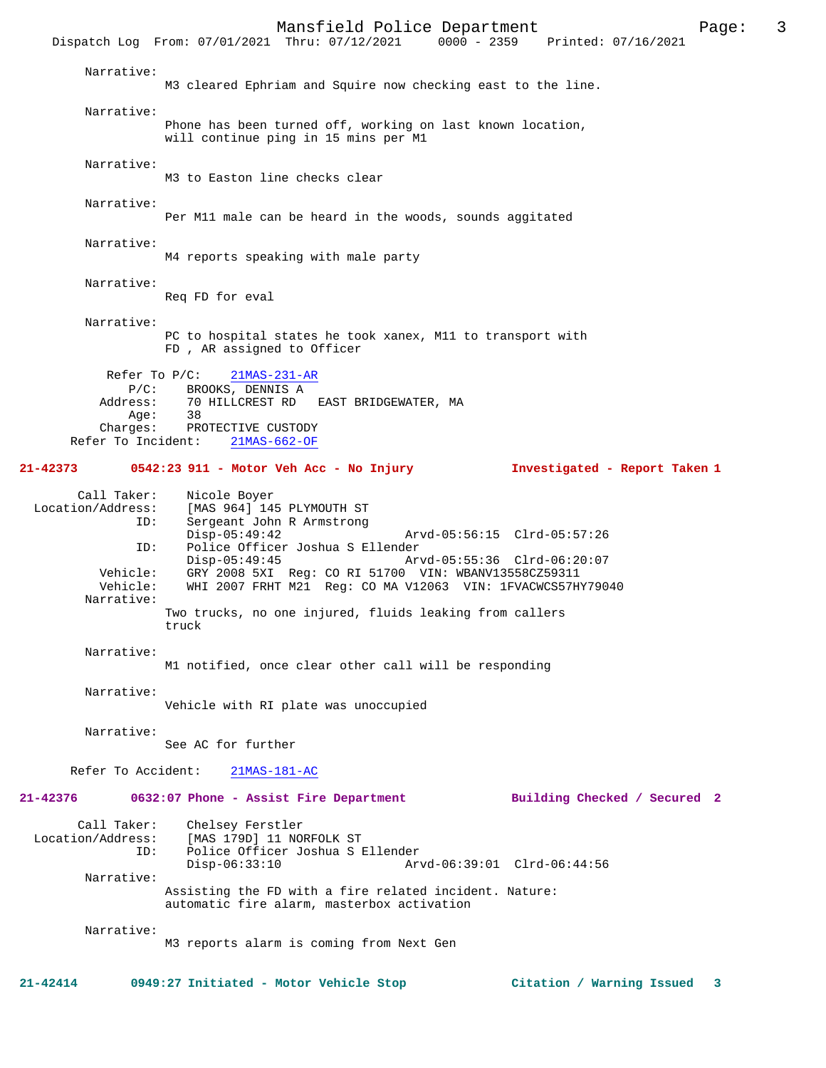Mansfield Police Department<br>Thru:  $07/12/2021$  0000 - 2359 Printed:  $07/16/2021$ Dispatch Log From: 07/01/2021 Thru: 07/12/2021 Narrative: M3 cleared Ephriam and Squire now checking east to the line. Narrative: Phone has been turned off, working on last known location, will continue ping in 15 mins per M1 Narrative: M3 to Easton line checks clear Narrative: Per M11 male can be heard in the woods, sounds aggitated Narrative: M4 reports speaking with male party Narrative: Req FD for eval Narrative: PC to hospital states he took xanex, M11 to transport with FD , AR assigned to Officer Refer To P/C:  $21MAS-231-AR$  P/C: BROOKS, DENNIS A Address: 70 HILLCREST RD EAST BRIDGEWATER, MA Age: 38<br>Charges: PRO PROTECTIVE CUSTODY<br>nt: 21MAS-662-OF Refer To Incident: **21-42373 0542:23 911 - Motor Veh Acc - No Injury Investigated - Report Taken 1** Call Taker: Nicole Boyer<br>Location/Address: [MAS 964] 149 [MAS 964] 145 PLYMOUTH ST ID: Sergeant John R Armstrong Disp-05:49:42 Arvd-05:56:15 Clrd-05:57:26<br>TD: Police Officer Joshua S Ellender ID: Police Officer Joshua S Ellender Disp-05:49:45 Arvd-05:55:36 Clrd-06:20:07<br>Vehicle: GRY 2008 5XI Req: CO RI 51700 VIN: WBANV13558CZ59311 Vehicle: GRY 2008 5XI Reg: CO RI 51700 VIN: WBANV13558CZ59311<br>Vehicle: WHI 2007 FRHT M21 Reg: CO MA V12063 VIN: 1FVACWCS57H WHI 2007 FRHT M21 Reg: CO MA V12063 VIN: 1FVACWCS57HY79040 Narrative: Two trucks, no one injured, fluids leaking from callers truck Narrative: M1 notified, once clear other call will be responding Narrative: Vehicle with RI plate was unoccupied Narrative: See AC for further Refer To Accident: 21MAS-181-AC **21-42376 0632:07 Phone - Assist Fire Department Building Checked / Secured 2** Call Taker: Chelsey Ferstler Location/Address: [MAS 179D] 11 NORFOLK ST Police Officer Joshua S Ellender Disp-06:33:10 Arvd-06:39:01 Clrd-06:44:56 Narrative: Assisting the FD with a fire related incident. Nature: automatic fire alarm, masterbox activation Narrative: M3 reports alarm is coming from Next Gen

**21-42414 0949:27 Initiated - Motor Vehicle Stop Citation / Warning Issued 3**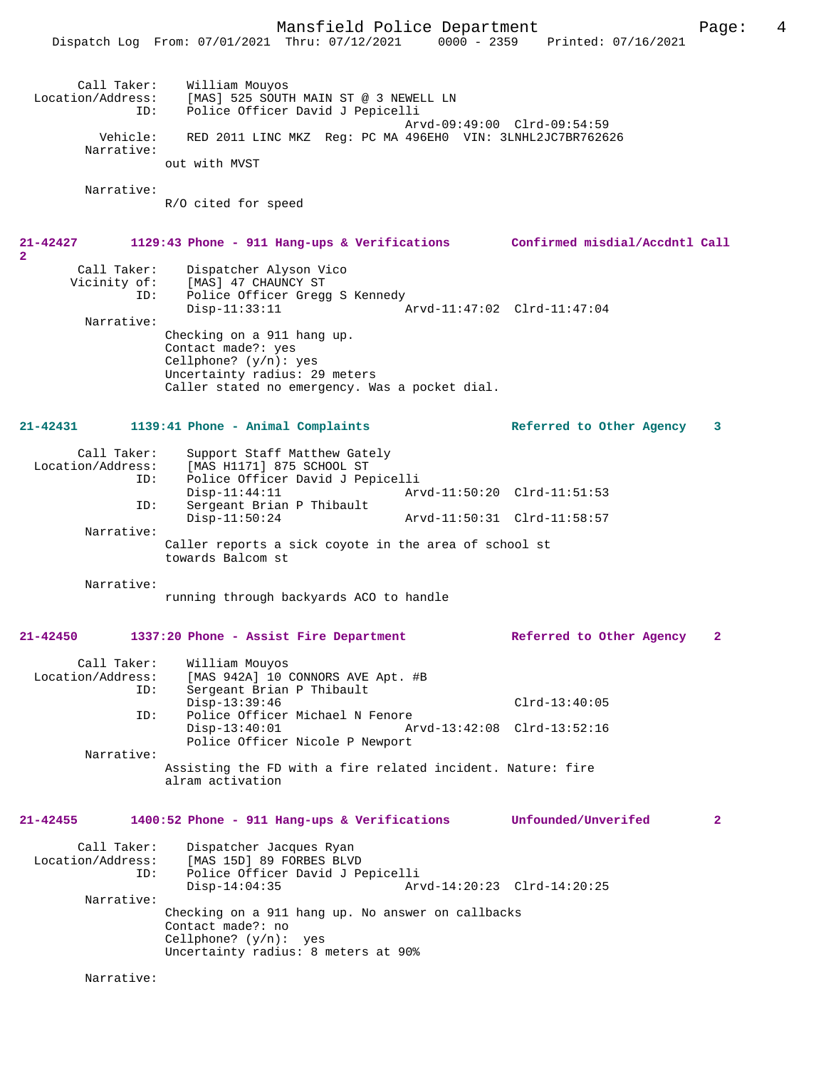Mansfield Police Department Page: 4 Dispatch Log From: 07/01/2021 Thru: 07/12/2021 Call Taker: William Mouyos<br>Location/Address: [MAS] 525 SOUTI [MAS] 525 SOUTH MAIN ST @ 3 NEWELL LN ID: Police Officer David J Pepicelli Arvd-09:49:00 Clrd-09:54:59 Vehicle: RED 2011 LINC MKZ Reg: PC MA 496EH0 VIN: 3LNHL2JC7BR762626 Narrative: out with MVST Narrative: R/O cited for speed **21-42427 1129:43 Phone - 911 Hang-ups & Verifications Confirmed misdial/Accdntl Call** Call Taker: Dispatcher Alyson Vico Vicinity of: [MAS] 47 CHAUNCY ST ID: Police Officer Gregg S Kennedy Disp-11:33:11 Arvd-11:47:02 Clrd-11:47:04 Narrative: Checking on a 911 hang up. Contact made?: yes Cellphone? (y/n): yes Uncertainty radius: 29 meters Caller stated no emergency. Was a pocket dial. **21-42431 1139:41 Phone - Animal Complaints Referred to Other Agency 3** Call Taker: Support Staff Matthew Gately<br>Location/Address: [MAS H1171] 875 SCHOOL ST ess: [MAS H1171] 875 SCHOOL ST<br>ID: Police Officer David J Per ID: Police Officer David J Pepicelli Disp-11:44:11 Arvd-11:50:20 Clrd-11:51:53 ID: Sergeant Brian P Thibault Disp-11:50:24 Arvd-11:50:31 Clrd-11:58:57 Narrative: Caller reports a sick coyote in the area of school st towards Balcom st Narrative: running through backyards ACO to handle **21-42450 1337:20 Phone - Assist Fire Department Referred to Other Agency 2** Call Taker: William Mouyos<br>Location/Address: [MAS 942A] 10 ( ess: [MAS 942A] 10 CONNORS AVE Apt. #B<br>ID: Sergeant Brian P Thibault Sergeant Brian P Thibault Disp-13:39:46 Clrd-13:40:05 ID: Police Officer Michael N Fenore Disp-13:40:01 Arvd-13:42:08 Clrd-13:52:16 Police Officer Nicole P Newport Narrative: Assisting the FD with a fire related incident. Nature: fire alram activation **21-42455 1400:52 Phone - 911 Hang-ups & Verifications Unfounded/Unverifed 2** Call Taker: Dispatcher Jacques Ryan<br>Location/Address: [MAS 15D] 89 FORBES BLVI [MAS 15D] 89 FORBES BLVD ID: Police Officer David J Pepicelli Disp-14:04:35 Arvd-14:20:23 Clrd-14:20:25 Narrative: Checking on a 911 hang up. No answer on callbacks Contact made?: no Cellphone? (y/n): yes Uncertainty radius: 8 meters at 90%

Narrative:

**2**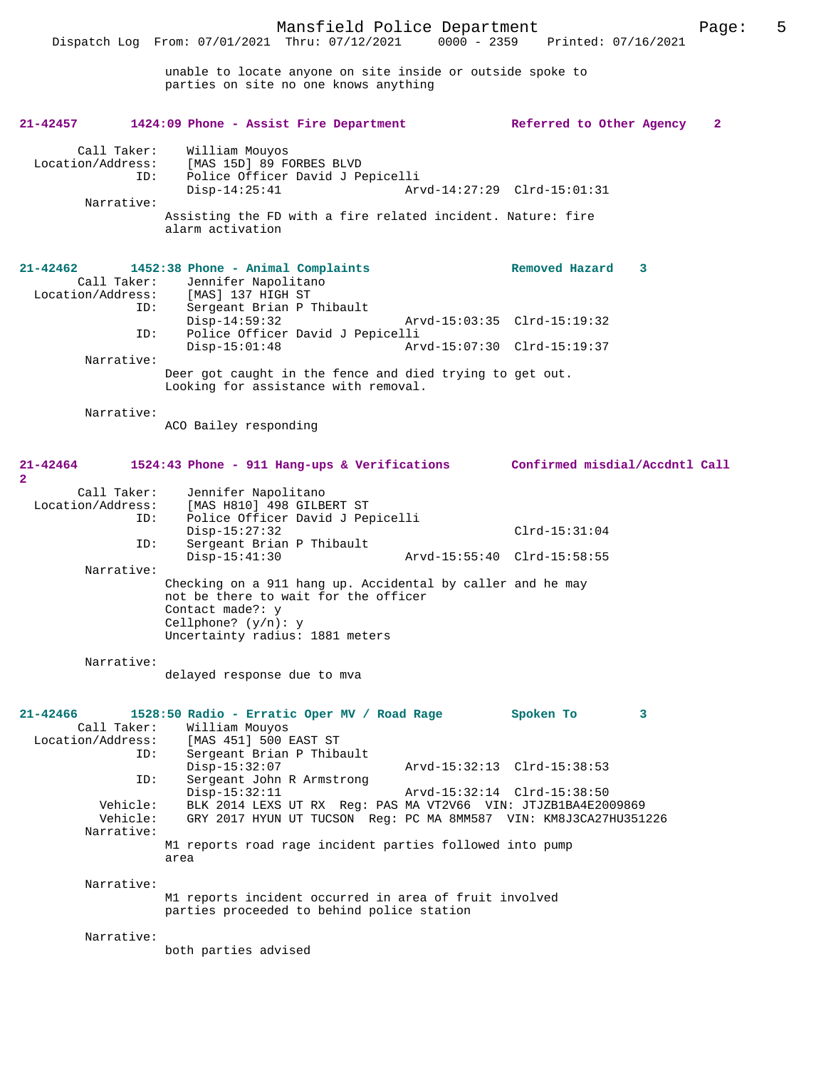unable to locate anyone on site inside or outside spoke to parties on site no one knows anything

| $21 - 42457$                                          | 1424:09 Phone - Assist Fire Department                                                                                                                                               | Referred to Other Agency       |   | $\mathbf{2}$ |
|-------------------------------------------------------|--------------------------------------------------------------------------------------------------------------------------------------------------------------------------------------|--------------------------------|---|--------------|
| Call Taker:<br>Location/Address:<br>ID:<br>Narrative: | William Mouyos<br>[MAS 15D] 89 FORBES BLVD<br>Police Officer David J Pepicelli<br>$Disp-14:25:41$<br>Assisting the FD with a fire related incident. Nature: fire<br>alarm activation | Arvd-14:27:29 Clrd-15:01:31    |   |              |
| $21 - 42462$<br>Call Taker:                           | 1452:38 Phone - Animal Complaints<br>Jennifer Napolitano<br>Location/Address: [MAS] 137 HIGH ST                                                                                      | Removed Hazard                 | 3 |              |
| ID:<br>ID:                                            | Sergeant Brian P Thibault<br>$Disp-14:59:32$<br>Police Officer David J Pepicelli                                                                                                     | Arvd-15:03:35 Clrd-15:19:32    |   |              |
| Narrative:                                            | $Disp-15:01:48$                                                                                                                                                                      | Arvd-15:07:30 Clrd-15:19:37    |   |              |
|                                                       | Deer got caught in the fence and died trying to get out.<br>Looking for assistance with removal.                                                                                     |                                |   |              |
| Narrative:                                            | ACO Bailey responding                                                                                                                                                                |                                |   |              |
| 21-42464<br>$\mathbf{2}$                              | 1524:43 Phone - 911 Hang-ups & Verifications                                                                                                                                         | Confirmed misdial/Accdntl Call |   |              |
| Call Taker:<br>Location/Address:<br>ID:<br>ID:        | Jennifer Napolitano<br>[MAS H810] 498 GILBERT ST<br>Police Officer David J Pepicelli<br>$Disp-15:27:32$<br>Sergeant Brian P Thibault                                                 | $Clrd-15:31:04$                |   |              |
| Narrative:                                            | $Disp-15:41:30$                                                                                                                                                                      | Arvd-15:55:40 Clrd-15:58:55    |   |              |
|                                                       | Checking on a 911 hang up. Accidental by caller and he may<br>not be there to wait for the officer<br>Contact made?: y<br>Cellphone? $(y/n): y$<br>Uncertainty radius: 1881 meters   |                                |   |              |
| Narrative:                                            | delayed response due to mva                                                                                                                                                          |                                |   |              |
| 21-42466<br>Call Taker:<br>Location/Address:<br>ID:   | 1528:50 Radio - Erratic Oper MV / Road Rage<br>William Mouyos<br>[MAS 451] 500 EAST ST<br>Sergeant Brian P Thibault                                                                  | Spoken To                      | 3 |              |
| ID:                                                   | $Disp-15:32:07$<br>Sergeant John R Armstrong                                                                                                                                         | Arvd-15:32:13 Clrd-15:38:53    |   |              |
| Vehicle:<br>Vehicle:<br>Narrative:                    | $Disp-15:32:11$<br>BLK 2014 LEXS UT RX Req: PAS MA VT2V66 VIN: JTJZB1BA4E2009869<br>GRY 2017 HYUN UT TUCSON Req: PC MA 8MM587 VIN: KM8J3CA27HU351226                                 | Arvd-15:32:14 Clrd-15:38:50    |   |              |
|                                                       | M1 reports road rage incident parties followed into pump<br>area                                                                                                                     |                                |   |              |
| Narrative:                                            | M1 reports incident occurred in area of fruit involved<br>parties proceeded to behind police station                                                                                 |                                |   |              |
| Narrative:                                            |                                                                                                                                                                                      |                                |   |              |

both parties advised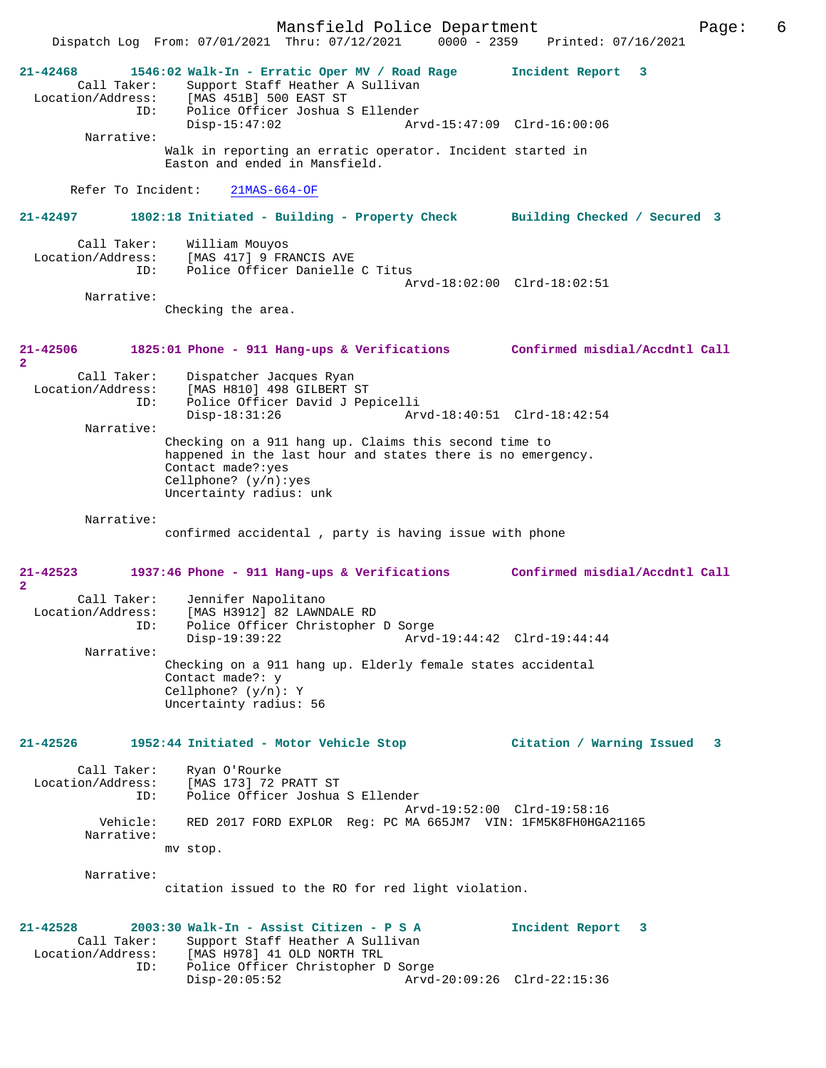Mansfield Police Department Page: 6 Dispatch Log From:  $07/01/2021$  Thru:  $07/12/2021$  0000 - 2359 **21-42468 1546:02 Walk-In - Erratic Oper MV / Road Rage Incident Report 3**  Call Taker: Support Staff Heather A Sullivan Location/Address: [MAS 451B] 500 EAST ST ID: Police Officer Joshua S Ellender Disp-15:47:02 Arvd-15:47:09 Clrd-16:00:06 Narrative: Walk in reporting an erratic operator. Incident started in Easton and ended in Mansfield. Refer To Incident: 21MAS-664-OF **21-42497 1802:18 Initiated - Building - Property Check Building Checked / Secured 3** Call Taker: William Mouyos<br>Location/Address: [MAS 417] 9 FR. ess: [MAS 417] 9 FRANCIS AVE<br>ID: Police Officer Danielle Police Officer Danielle C Titus Arvd-18:02:00 Clrd-18:02:51 Narrative: Checking the area. **21-42506 1825:01 Phone - 911 Hang-ups & Verifications Confirmed misdial/Accdntl Call 2**  Call Taker: Dispatcher Jacques Ryan<br>Location/Address: [MAS H810] 498 GILBERT [MAS H810] 498 GILBERT ST ID: Police Officer David J Pepicelli Disp-18:31:26 Arvd-18:40:51 Clrd-18:42:54 Narrative: Checking on a 911 hang up. Claims this second time to happened in the last hour and states there is no emergency. Contact made?:yes Cellphone? (y/n):yes Uncertainty radius: unk Narrative: confirmed accidental , party is having issue with phone **21-42523 1937:46 Phone - 911 Hang-ups & Verifications Confirmed misdial/Accdntl Call 2**  Call Taker: Jennifer Napolitano Location/Address: [MAS H3912] 82 LAWNDALE RD ID: Police Officer Christopher D Sorge Disp-19:39:22 Arvd-19:44:42 Clrd-19:44:44 Narrative: Checking on a 911 hang up. Elderly female states accidental Contact made?: y Cellphone? (y/n): Y Uncertainty radius: 56 **21-42526 1952:44 Initiated - Motor Vehicle Stop Citation / Warning Issued 3** Call Taker: Ryan O'Rourke<br>Location/Address: [MAS 173] 72 [MAS 173] 72 PRATT ST ID: Police Officer Joshua S Ellender Arvd-19:52:00 Clrd-19:58:16<br>Vehicle: RED 2017 FORD EXPLOR Reg: PC MA 665JM7 VIN: 1FM5K8FH0HGA RED 2017 FORD EXPLOR Reg: PC MA 665JM7 VIN: 1FM5K8FH0HGA21165 Narrative: mv stop. Narrative: citation issued to the RO for red light violation. **21-42528 2003:30 Walk-In - Assist Citizen - P S A Incident Report 3**  Call Taker: Support Staff Heather A Sullivan<br>Location/Address: [MAS H978] 41 OLD NORTH TRL [MAS H978] 41 OLD NORTH TRL ID: Police Officer Christopher D Sorge Disp-20:05:52 Arvd-20:09:26 Clrd-22:15:36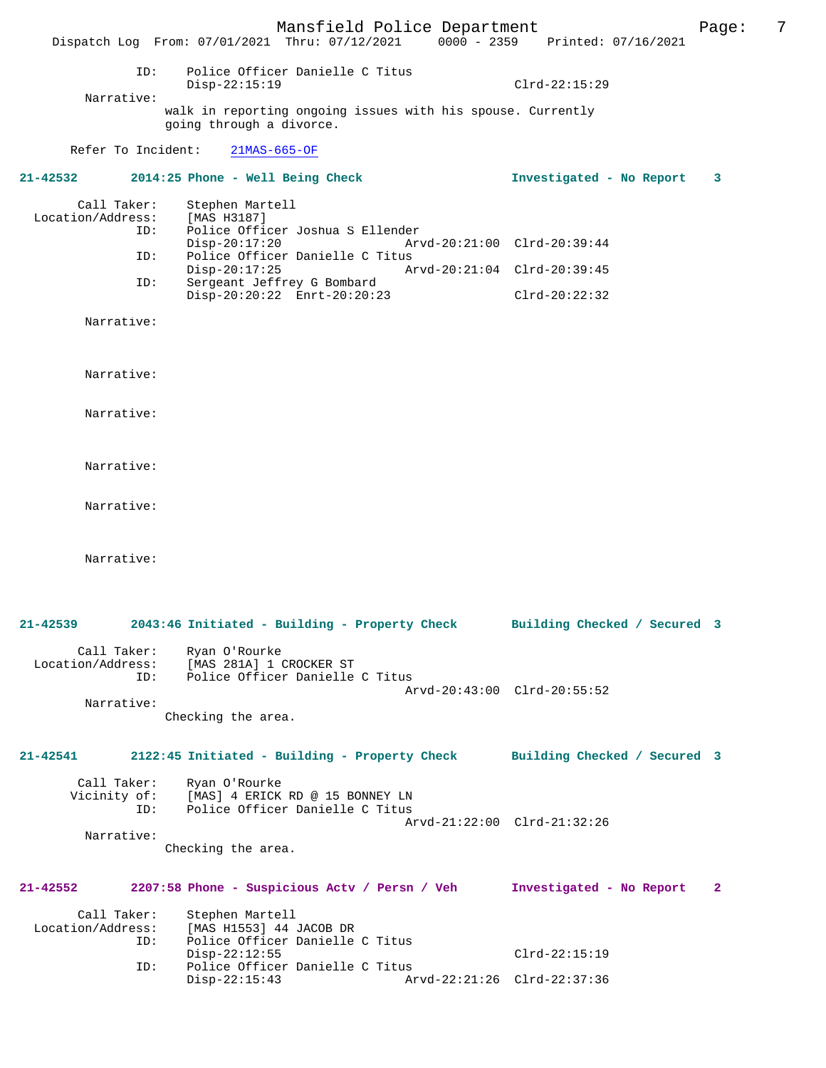Mansfield Police Department Fage: 7 Dispatch Log From: 07/01/2021 Thru: 07/12/2021 0000 - 2359 Printed: 07/16/2021 ID: Police Officer Danielle C Titus Disp-22:15:19 Clrd-22:15:29 Narrative: walk in reporting ongoing issues with his spouse. Currently going through a divorce. Refer To Incident: 21MAS-665-OF **21-42532 2014:25 Phone - Well Being Check Investigated - No Report 3** Call Taker: Stephen Martell Location/Address: [MAS H3187] ID: Police Officer Joshua S Ellender Disp-20:17:20 Arvd-20:21:00 Clrd-20:39:44 ID: Police Officer Danielle C Titus Disp-20:17:25 Arvd-20:21:04 Clrd-20:39:45<br>ID: Sergeant Jeffrey G Bombard Sergeant Jeffrey G Bombard Disp-20:20:22 Enrt-20:20:23 Clrd-20:22:32 Narrative: Narrative: Narrative: Narrative: Narrative: Narrative: **21-42539 2043:46 Initiated - Building - Property Check Building Checked / Secured 3** Call Taker: Ryan O'Rourke Location/Address: [MAS 281A] 1 CROCKER ST Police Officer Danielle C Titus Arvd-20:43:00 Clrd-20:55:52 Narrative: Checking the area. **21-42541 2122:45 Initiated - Building - Property Check Building Checked / Secured 3** Call Taker: Ryan O'Rourke<br>Vicinity of: [MAS] 4 ERICK [MAS] 4 ERICK RD @ 15 BONNEY LN ID: Police Officer Danielle C Titus Arvd-21:22:00 Clrd-21:32:26 Narrative: Checking the area. **21-42552 2207:58 Phone - Suspicious Actv / Persn / Veh Investigated - No Report 2** Call Taker: Stephen Martell<br>Location/Address: [MAS H1553] 44 ess: [MAS H1553] 44 JACOB DR<br>ID: Police Officer Danielle Police Officer Danielle C Titus<br>Disp-22:12:55 Disp-22:12:55 Clrd-22:15:19 ID: Police Officer Danielle C Titus Disp-22:15:43 Arvd-22:21:26 Clrd-22:37:36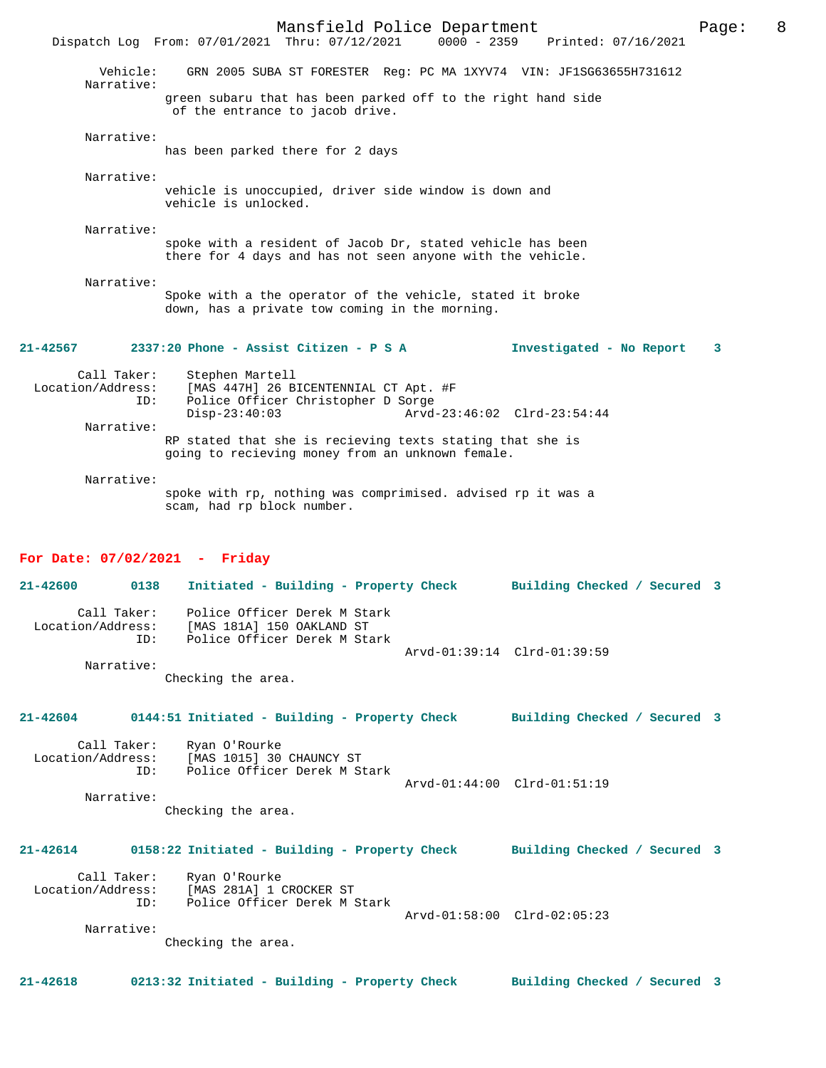Mansfield Police Department Page: 8 Dispatch Log From: 07/01/2021 Thru: 07/12/2021 Vehicle: GRN 2005 SUBA ST FORESTER Reg: PC MA 1XYV74 VIN: JF1SG63655H731612 Narrative: green subaru that has been parked off to the right hand side of the entrance to jacob drive. Narrative: has been parked there for 2 days Narrative: vehicle is unoccupied, driver side window is down and vehicle is unlocked. Narrative: spoke with a resident of Jacob Dr, stated vehicle has been there for 4 days and has not seen anyone with the vehicle. Narrative: Spoke with a the operator of the vehicle, stated it broke down, has a private tow coming in the morning. **21-42567 2337:20 Phone - Assist Citizen - P S A Investigated - No Report 3** Call Taker: Stephen Martell Location/Address: [MAS 447H] 26 BICENTENNIAL CT Apt. #F ID: Police Officer Christopher D Sorge Disp-23:40:03 Arvd-23:46:02 Clrd-23:54:44 Narrative: RP stated that she is recieving texts stating that she is going to recieving money from an unknown female.

 Narrative: spoke with rp, nothing was comprimised. advised rp it was a scam, had rp block number.

## **For Date: 07/02/2021 - Friday**

**21-42600 0138 Initiated - Building - Property Check Building Checked / Secured 3** Call Taker: Police Officer Derek M Stark Location/Address: [MAS 181A] 150 OAKLAND ST ID: Police Officer Derek M Stark Arvd-01:39:14 Clrd-01:39:59 Narrative:

Checking the area.

**21-42604 0144:51 Initiated - Building - Property Check Building Checked / Secured 3**

Call Taker: Ryan O'Rourke<br>Location/Address: [MAS 1015] 30 [MAS 1015] 30 CHAUNCY ST ID: Police Officer Derek M Stark Arvd-01:44:00 Clrd-01:51:19 Narrative:

Checking the area.

## **21-42614 0158:22 Initiated - Building - Property Check Building Checked / Secured 3**

Call Taker: Ryan O'Rourke<br>Location/Address: [MAS 281A] 1 ( Location/Address: [MAS 281A] 1 CROCKER ST ID: Police Officer Derek M Stark ID: Police Officer Derek M Stark<br>Arvd-01:58:00 Clrd-02:05:23 Narrative:

Checking the area.

**21-42618 0213:32 Initiated - Building - Property Check Building Checked / Secured 3**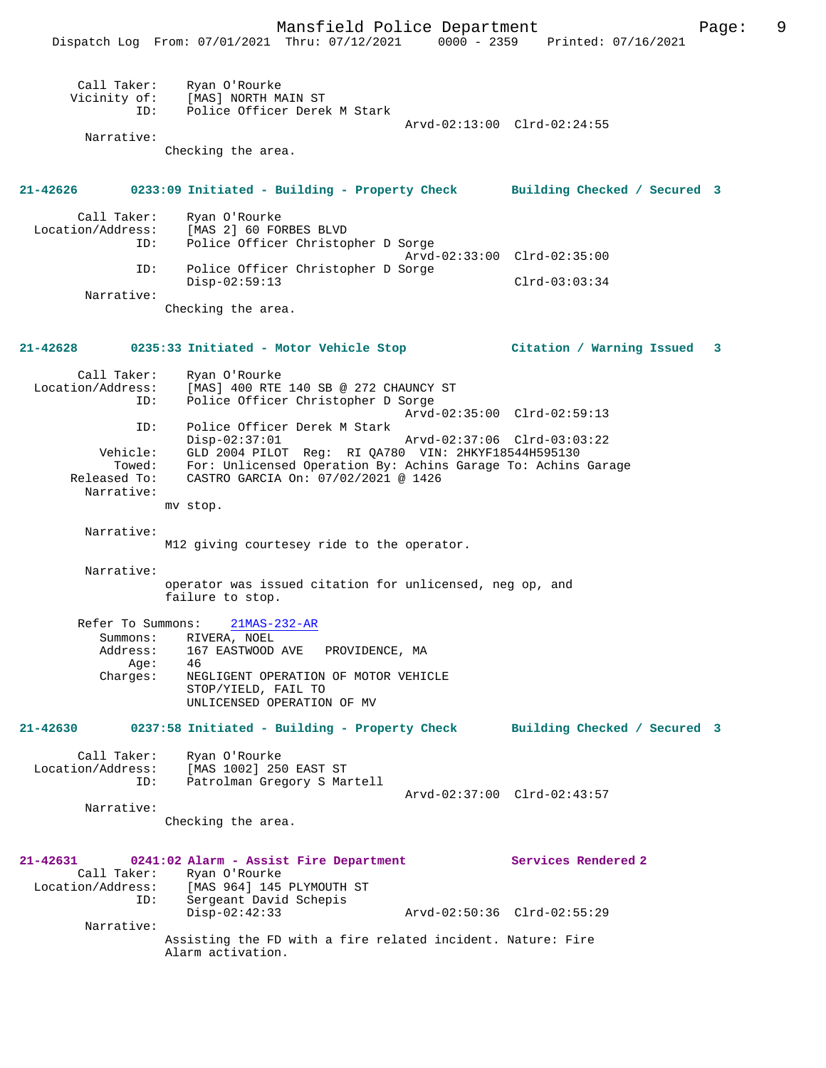Mansfield Police Department Fage: 9

|                                                               | FRIDELLE I ULLECT DEPUI CHICHE<br>Dispatch Log From: 07/01/2021 Thru: 07/12/2021 0000 - 2359 Printed: 07/16/2021                                                         | $-99$                                          |
|---------------------------------------------------------------|--------------------------------------------------------------------------------------------------------------------------------------------------------------------------|------------------------------------------------|
| Call Taker:<br>ID:                                            | Ryan O'Rourke<br>Vicinity of: [MAS] NORTH MAIN ST<br>Police Officer Derek M Stark                                                                                        |                                                |
| Narrative:                                                    | Checking the area.                                                                                                                                                       | Arvd-02:13:00 Clrd-02:24:55                    |
|                                                               | 21-42626 0233:09 Initiated - Building - Property Check Building Checked / Secured 3                                                                                      |                                                |
| Call Taker:<br>ID:                                            | Ryan O'Rourke<br>Location/Address: [MAS 2] 60 FORBES BLVD<br>Police Officer Christopher D Sorge                                                                          |                                                |
| ID:                                                           | Police Officer Christopher D Sorge<br>$Disp-02:59:13$                                                                                                                    | Arvd-02:33:00 Clrd-02:35:00<br>$Clrd-03:03:34$ |
| Narrative:                                                    | Checking the area.                                                                                                                                                       |                                                |
| 21-42628                                                      | 0235:33 Initiated - Motor Vehicle Stop                                                                                                                                   | Citation / Warning Issued<br>3                 |
| Call Taker:<br>Location/Address:<br>ID:                       | Ryan O'Rourke<br>[MAS] 400 RTE 140 SB @ 272 CHAUNCY ST<br>Police Officer Christopher D Sorge                                                                             | Arvd-02:35:00 Clrd-02:59:13                    |
| ID:                                                           | Police Officer Derek M Stark<br>$Disp-02:37:01$                                                                                                                          | Arvd-02:37:06 Clrd-03:03:22                    |
| Vehicle:<br>Towed:<br>Released To:<br>Narrative:              | GLD 2004 PILOT Reg: RI QA780 VIN: 2HKYF18544H595130<br>For: Unlicensed Operation By: Achins Garage To: Achins Garage<br>CASTRO GARCIA On: 07/02/2021 @ 1426<br>mv stop.  |                                                |
| Narrative:                                                    |                                                                                                                                                                          |                                                |
| Narrative:                                                    | M12 giving courtesey ride to the operator.                                                                                                                               |                                                |
|                                                               | operator was issued citation for unlicensed, neg op, and<br>failure to stop.                                                                                             |                                                |
| Refer To Summons:<br>Summons:<br>Address:<br>Age:<br>Charges: | $21MAS - 232 - AR$<br>RIVERA, NOEL<br>167 EASTWOOD AVE PROVIDENCE, MA<br>46<br>NEGLIGENT OPERATION OF MOTOR VEHICLE<br>STOP/YIELD, FAIL TO<br>UNLICENSED OPERATION OF MV |                                                |
| 21-42630                                                      | 0237:58 Initiated - Building - Property Check Building Checked / Secured 3                                                                                               |                                                |
| Call Taker:<br>Location/Address:<br>ID:                       | Ryan O'Rourke<br>[MAS 1002] 250 EAST ST<br>Patrolman Gregory S Martell                                                                                                   | Arvd-02:37:00 Clrd-02:43:57                    |
| Narrative:                                                    | Checking the area.                                                                                                                                                       |                                                |
| 21-42631<br>Call Taker:<br>Location/Address:<br>ID:           | 0241:02 Alarm - Assist Fire Department<br>Ryan O'Rourke<br>[MAS 964] 145 PLYMOUTH ST<br>Sergeant David Schepis                                                           | Services Rendered 2                            |
| Narrative:                                                    | $Disp-02:42:33$<br>Assisting the FD with a fire related incident. Nature: Fire<br>Alarm activation.                                                                      | Arvd-02:50:36 Clrd-02:55:29                    |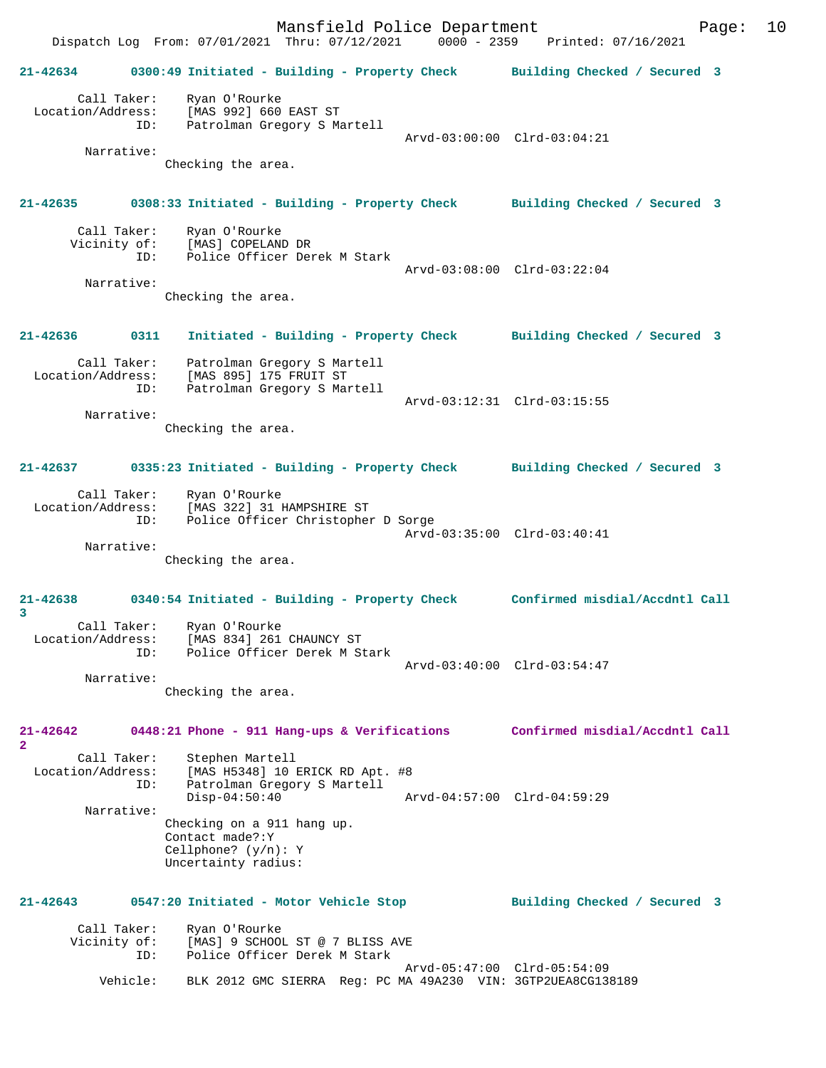Mansfield Police Department Fage: 10 Dispatch Log From: 07/01/2021 Thru: 07/12/2021 0000 - 2359 Printed: 07/16/2021 **21-42634 0300:49 Initiated - Building - Property Check Building Checked / Secured 3** Call Taker: Ryan O'Rourke Location/Address: [MAS 992] 660 EAST ST ID: Patrolman Gregory S Martell Arvd-03:00:00 Clrd-03:04:21 Narrative: Checking the area. **21-42635 0308:33 Initiated - Building - Property Check Building Checked / Secured 3** Call Taker: Ryan O'Rourke<br>Vicinity of: [MAS] COPELAN of: [MAS] COPELAND DR<br>ID: Police Officer Dem Police Officer Derek M Stark Arvd-03:08:00 Clrd-03:22:04 Narrative: Checking the area. **21-42636 0311 Initiated - Building - Property Check Building Checked / Secured 3** Call Taker: Patrolman Gregory S Martell Location/Address: [MAS 895] 175 FRUIT ST ID: Patrolman Gregory S Martell Arvd-03:12:31 Clrd-03:15:55 Narrative: Checking the area. **21-42637 0335:23 Initiated - Building - Property Check Building Checked / Secured 3** Call Taker: Ryan O'Rourke Location/Address: [MAS 322] 31 HAMPSHIRE ST ID: Police Officer Christopher D Sorge Arvd-03:35:00 Clrd-03:40:41 Narrative: Checking the area. **21-42638 0340:54 Initiated - Building - Property Check Confirmed misdial/Accdntl Call 3**  Call Taker: Ryan O'Rourke Location/Address: [MAS 834] 261 CHAUNCY ST ID: Police Officer Derek M Stark Arvd-03:40:00 Clrd-03:54:47 Narrative: Checking the area. **21-42642 0448:21 Phone - 911 Hang-ups & Verifications Confirmed misdial/Accdntl Call 2**  Call Taker: Stephen Martell Location/Address: [MAS H5348] 10 ERICK RD Apt. #8 ID: Patrolman Gregory S Martell Disp-04:50:40 Arvd-04:57:00 Clrd-04:59:29 Narrative: Checking on a 911 hang up. Contact made?:Y Cellphone? (y/n): Y Uncertainty radius: **21-42643 0547:20 Initiated - Motor Vehicle Stop Building Checked / Secured 3** Call Taker: Ryan O'Rourke Vicinity of: [MAS] 9 SCHOOL ST @ 7 BLISS AVE<br>ID: Police Officer Derek M Stark Police Officer Derek M Stark Arvd-05:47:00 Clrd-05:54:09 Vehicle: BLK 2012 GMC SIERRA Reg: PC MA 49A230 VIN: 3GTP2UEA8CG138189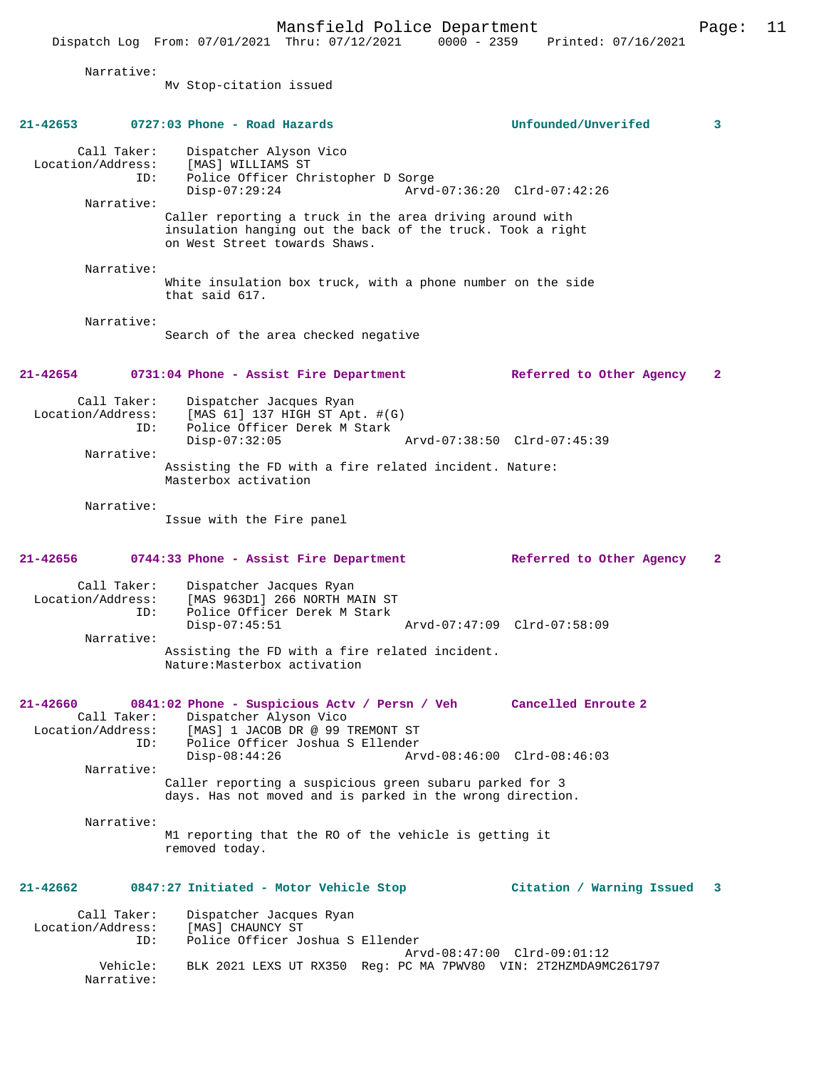Dispatch Log From: 07/01/2021 Thru: 07/12/2021 0000 - 2359 Printed: 07/16/2021 Narrative: Mv Stop-citation issued **21-42653 0727:03 Phone - Road Hazards Unfounded/Unverifed 3** Call Taker: Dispatcher Alyson Vico Location/Address: [MAS] WILLIAMS ST ID: Police Officer Christopher D Sorge Disp-07:29:24 Arvd-07:36:20 Clrd-07:42:26 Narrative: Caller reporting a truck in the area driving around with insulation hanging out the back of the truck. Took a right on West Street towards Shaws. Narrative: White insulation box truck, with a phone number on the side that said 617. Narrative: Search of the area checked negative **21-42654 0731:04 Phone - Assist Fire Department Referred to Other Agency 2** Call Taker: Dispatcher Jacques Ryan<br>Location/Address: [MAS 61] 137 HIGH ST Ap ess: [MAS 61] 137 HIGH ST Apt. #(G)<br>ID: Police Officer Derek M Stark Police Officer Derek M Stark Disp-07:32:05 Arvd-07:38:50 Clrd-07:45:39 Narrative: Assisting the FD with a fire related incident. Nature: Masterbox activation Narrative: Issue with the Fire panel **21-42656 0744:33 Phone - Assist Fire Department Referred to Other Agency 2** Call Taker: Dispatcher Jacques Ryan<br>Location/Address: [MAS 963D1] 266 NORTH M. Location/Address: [MAS 963D1] 266 NORTH MAIN ST ID: Police Officer Derek M Stark Disp-07:45:51 Arvd-07:47:09 Clrd-07:58:09 Narrative: Assisting the FD with a fire related incident. Nature:Masterbox activation **21-42660 0841:02 Phone - Suspicious Actv / Persn / Veh Cancelled Enroute 2**  Call Taker: Dispatcher Alyson Vico<br>Location/Address: [MAS] 1 JACOB DR @ 99 [MAS] 1 JACOB DR @ 99 TREMONT ST ID: Police Officer Joshua S Ellender Disp-08:44:26 Arvd-08:46:00 Clrd-08:46:03 Narrative: Caller reporting a suspicious green subaru parked for 3 days. Has not moved and is parked in the wrong direction. Narrative: M1 reporting that the RO of the vehicle is getting it removed today. **21-42662 0847:27 Initiated - Motor Vehicle Stop Citation / Warning Issued 3**

Mansfield Police Department Page: 11

Call Taker: Dispatcher Jacques Ryan<br>.on/Address: [MAS] CHAUNCY ST Location/Address:<br>ID: Police Officer Joshua S Ellender Arvd-08:47:00 Clrd-09:01:12 Vehicle: BLK 2021 LEXS UT RX350 Reg: PC MA 7PWV80 VIN: 2T2HZMDA9MC261797 Narrative: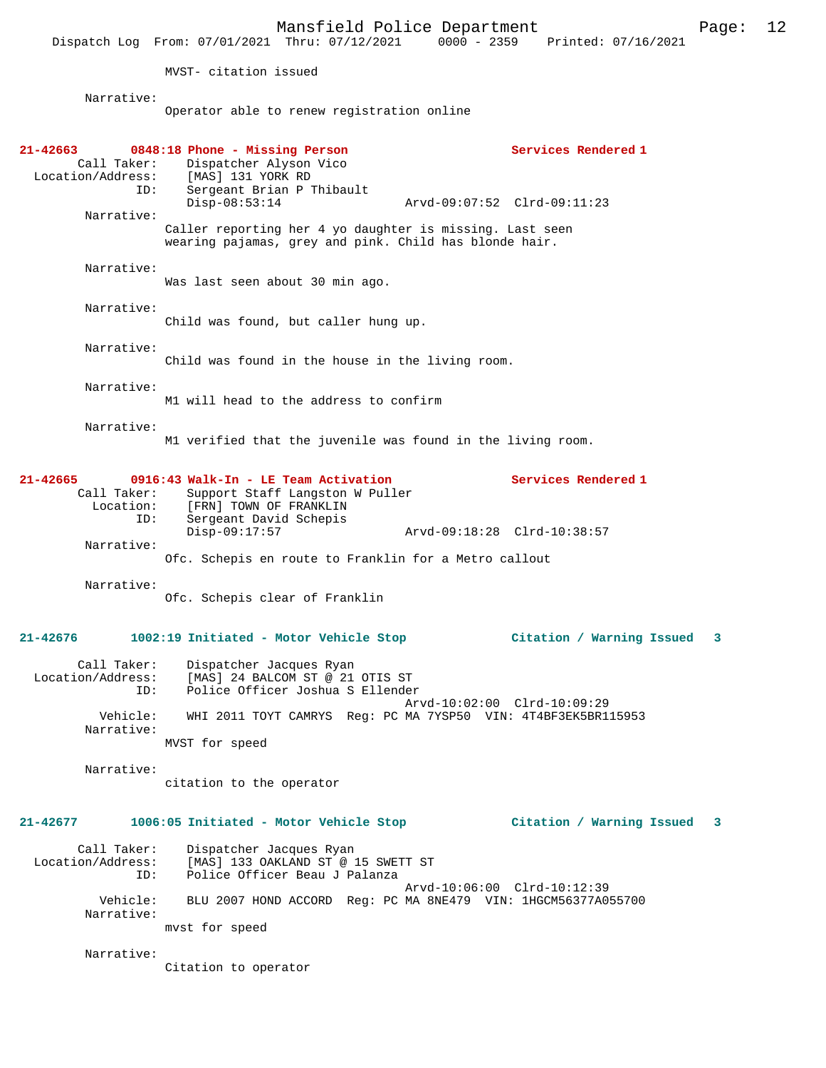MVST- citation issued

Narrative:

Operator able to renew registration online

| 21-42663                                    | 0848:18 Phone - Missing Person                                                                    | Services Rendered 1              |
|---------------------------------------------|---------------------------------------------------------------------------------------------------|----------------------------------|
| Call Taker:                                 | Dispatcher Alyson Vico<br>Location/Address: [MAS] 131 YORK RD                                     |                                  |
| ID:                                         | Sergeant Brian P Thibault<br>$Disp-08:53:14$                                                      | Arvd-09:07:52 Clrd-09:11:23      |
| Narrative:                                  | Caller reporting her 4 yo daughter is missing. Last seen                                          |                                  |
|                                             | wearing pajamas, grey and pink. Child has blonde hair.                                            |                                  |
| Narrative:                                  | Was last seen about 30 min ago.                                                                   |                                  |
| Narrative:                                  | Child was found, but caller hung up.                                                              |                                  |
| Narrative:                                  | Child was found in the house in the living room.                                                  |                                  |
| Narrative:                                  | M1 will head to the address to confirm                                                            |                                  |
| Narrative:                                  | M1 verified that the juvenile was found in the living room.                                       |                                  |
| 21-42665<br>Call Taker:<br>Location:<br>ID: | 0916:43 Walk-In - LE Team Activation<br>Support Staff Langston W Puller<br>[FRN] TOWN OF FRANKLIN | Services Rendered 1              |
| Narrative:                                  | Sergeant David Schepis<br>$Disp-09:17:57$                                                         | Arvd-09:18:28 Clrd-10:38:57      |
|                                             | Ofc. Schepis en route to Franklin for a Metro callout                                             |                                  |
| Narrative:                                  | Ofc. Schepis clear of Franklin                                                                    |                                  |
| 21-42676                                    | 1002:19 Initiated - Motor Vehicle Stop                                                            | Citation / Warning Issued<br>3   |
| Call Taker:<br>Location/Address:<br>ID:     | Dispatcher Jacques Ryan<br>[MAS] 24 BALCOM ST @ 21 OTIS ST<br>Police Officer Joshua S Ellender    |                                  |
| Vehicle:<br>Narrative:                      | WHI 2011 TOYT CAMRYS Req: PC MA 7YSP50 VIN: 4T4BF3EK5BR115953                                     | Arvd-10:02:00 Clrd-10:09:29      |
|                                             | MVST for speed                                                                                    |                                  |
| Narrative:                                  | citation to the operator                                                                          |                                  |
| 21-42677                                    | 1006:05 Initiated - Motor Vehicle Stop                                                            | Citation / Warning Issued<br>- 3 |
| Call Taker:<br>Location/Address:<br>ID:     | Dispatcher Jacques Ryan<br>[MAS] 133 OAKLAND ST @ 15 SWETT ST<br>Police Officer Beau J Palanza    |                                  |
| Vehicle:<br>Narrative:                      | BLU 2007 HOND ACCORD Req: PC MA 8NE479 VIN: 1HGCM56377A055700<br>mvst for speed                   | Arvd-10:06:00 Clrd-10:12:39      |
| Narrative:                                  | Citation to operator                                                                              |                                  |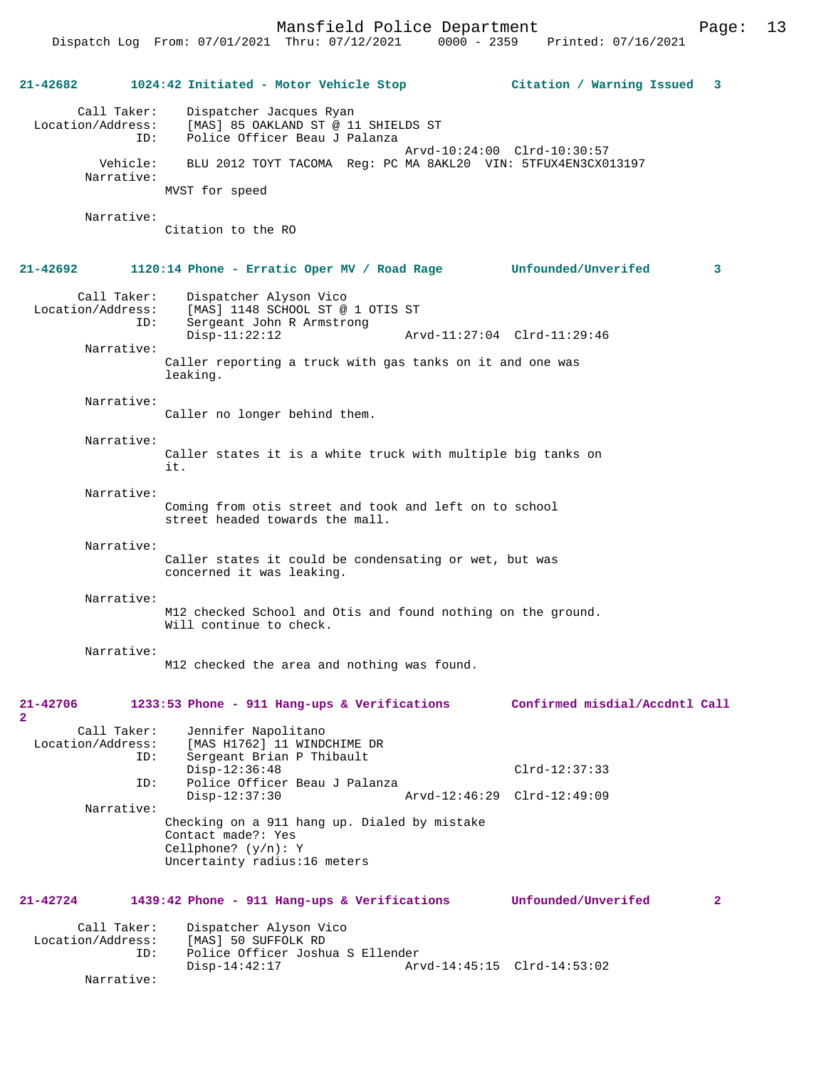# **21-42682 1024:42 Initiated - Motor Vehicle Stop Citation / Warning Issued 3** Call Taker: Dispatcher Jacques Ryan<br>Location/Address: [MAS] 85 OAKLAND ST @ 11 [MAS] 85 OAKLAND ST @ 11 SHIELDS ST ID: Police Officer Beau J Palanza Arvd-10:24:00 Clrd-10:30:57<br>Vehicle: BLU 2012 TOYT TACOMA Reg: PC MA 8AKL20 VIN: 5TFUX4EN3CX0 Vehicle: BLU 2012 TOYT TACOMA Reg: PC MA 8AKL20 VIN: 5TFUX4EN3CX013197 Narrative: MVST for speed Narrative: Citation to the RO **21-42692 1120:14 Phone - Erratic Oper MV / Road Rage Unfounded/Unverifed 3** Call Taker: Dispatcher Alyson Vico<br>Location/Address: [MAS] 1148 SCHOOL ST @ Location/Address: [MAS] 1148 SCHOOL ST @ 1 OTIS ST ID: Sergeant John R Armstrong Disp-11:22:12 Arvd-11:27:04 Clrd-11:29:46 Narrative: Caller reporting a truck with gas tanks on it and one was leaking. Narrative: Caller no longer behind them. Narrative: Caller states it is a white truck with multiple big tanks on it. Narrative: Coming from otis street and took and left on to school street headed towards the mall. Narrative: Caller states it could be condensating or wet, but was concerned it was leaking. Narrative: M12 checked School and Otis and found nothing on the ground. Will continue to check. Narrative: M12 checked the area and nothing was found. **21-42706 1233:53 Phone - 911 Hang-ups & Verifications Confirmed misdial/Accdntl Call 2**  Call Taker: Jennifer Napolitano Location/Address: [MAS H1762] 11 WINDCHIME DR ID: Sergeant Brian P Thibault Disp-12:36:48 Clrd-12:37:33<br>ID: Police Officer Beau J Palanza Police Officer Beau J Palanza Disp-12:37:30 Arvd-12:46:29 Clrd-12:49:09 Narrative: Checking on a 911 hang up. Dialed by mistake Contact made?: Yes Cellphone? (y/n): Y Uncertainty radius:16 meters **21-42724 1439:42 Phone - 911 Hang-ups & Verifications Unfounded/Unverifed 2** Call Taker: Dispatcher Alyson Vico<br>Location/Address: [MAS] 50 SUFFOLK RD ess: [MAS] 50 SUFFOLK RD<br>ID: Police Officer Josh Police Officer Joshua S Ellender Disp-14:42:17 Arvd-14:45:15 Clrd-14:53:02

Narrative: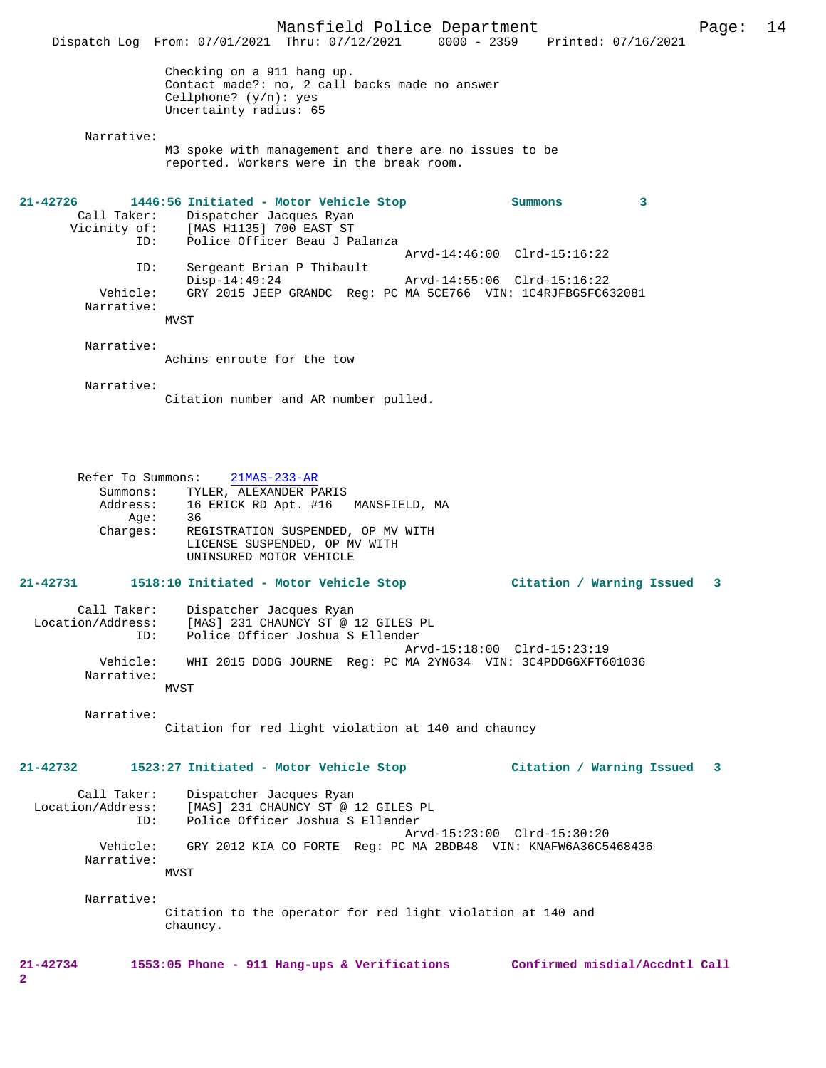|                                                               | Dispatch Log From: 07/01/2021 Thru: 07/12/2021 0000 - 2359 Printed: 07/16/2021                                                                                                         | Mansfield Police Department |                                                            |   | Page: | 14 |
|---------------------------------------------------------------|----------------------------------------------------------------------------------------------------------------------------------------------------------------------------------------|-----------------------------|------------------------------------------------------------|---|-------|----|
|                                                               | Checking on a 911 hang up.<br>Contact made?: no, 2 call backs made no answer<br>Cellphone? $(y/n)$ : yes<br>Uncertainty radius: 65                                                     |                             |                                                            |   |       |    |
| Narrative:                                                    |                                                                                                                                                                                        |                             |                                                            |   |       |    |
|                                                               | M3 spoke with management and there are no issues to be<br>reported. Workers were in the break room.                                                                                    |                             |                                                            |   |       |    |
| 21-42726<br>ID:                                               | 1446:56 Initiated - Motor Vehicle Stop<br>Call Taker: Dispatcher Jacques Ryan<br>Vicinity of: [MAS H1135] 700 EAST ST<br>Police Officer Beau J Palanza                                 |                             | Summons                                                    | 3 |       |    |
| ID:                                                           | Sergeant Brian P Thibault<br>$Disp-14:49:24$                                                                                                                                           |                             | Arvd-14:46:00 Clrd-15:16:22<br>Arvd-14:55:06 Clrd-15:16:22 |   |       |    |
| Vehicle:<br>Narrative:                                        | GRY 2015 JEEP GRANDC Req: PC MA 5CE766 VIN: 1C4RJFBG5FC632081                                                                                                                          |                             |                                                            |   |       |    |
|                                                               | MVST                                                                                                                                                                                   |                             |                                                            |   |       |    |
| Narrative:                                                    | Achins enroute for the tow                                                                                                                                                             |                             |                                                            |   |       |    |
| Narrative:                                                    | Citation number and AR number pulled.                                                                                                                                                  |                             |                                                            |   |       |    |
| Refer To Summons:<br>Summons:<br>Address:<br>Age:<br>Charges: | $21MAS-233-AR$<br>TYLER, ALEXANDER PARIS<br>16 ERICK RD Apt. #16 MANSFIELD, MA<br>36<br>REGISTRATION SUSPENDED, OP MV WITH<br>LICENSE SUSPENDED, OP MV WITH<br>UNINSURED MOTOR VEHICLE |                             |                                                            |   |       |    |
| 21-42731                                                      | 1518:10 Initiated - Motor Vehicle Stop                                                                                                                                                 |                             | Citation / Warning Issued 3                                |   |       |    |
| Call Taker:<br>Location/Address:<br>ID:                       | Dispatcher Jacques Ryan<br>[MAS] 231 CHAUNCY ST @ 12 GILES PL<br>Police Officer Joshua S Ellender                                                                                      |                             | Arvd-15:18:00 Clrd-15:23:19                                |   |       |    |
| Vehicle:<br>Narrative:                                        | WHI 2015 DODG JOURNE Req: PC MA 2YN634 VIN: 3C4PDDGGXFT601036<br>MVST                                                                                                                  |                             |                                                            |   |       |    |
| Narrative:                                                    | Citation for red light violation at 140 and chauncy                                                                                                                                    |                             |                                                            |   |       |    |
| 21-42732                                                      | 1523:27 Initiated - Motor Vehicle Stop                                                                                                                                                 |                             | Citation / Warning Issued 3                                |   |       |    |
| Call Taker:<br>Location/Address:<br>ID:                       | Dispatcher Jacques Ryan<br>[MAS] 231 CHAUNCY ST @ 12 GILES PL<br>Police Officer Joshua S Ellender                                                                                      |                             | Arvd-15:23:00 Clrd-15:30:20                                |   |       |    |
| Vehicle:<br>Narrative:                                        | GRY 2012 KIA CO FORTE Req: PC MA 2BDB48 VIN: KNAFW6A36C5468436<br>MVST                                                                                                                 |                             |                                                            |   |       |    |
| Narrative:                                                    | Citation to the operator for red light violation at 140 and<br>chauncy.                                                                                                                |                             |                                                            |   |       |    |
| 21-42734<br>2                                                 | 1553:05 Phone - 911 Hang-ups & Verifications Confirmed misdial/Accdntl Call                                                                                                            |                             |                                                            |   |       |    |
|                                                               |                                                                                                                                                                                        |                             |                                                            |   |       |    |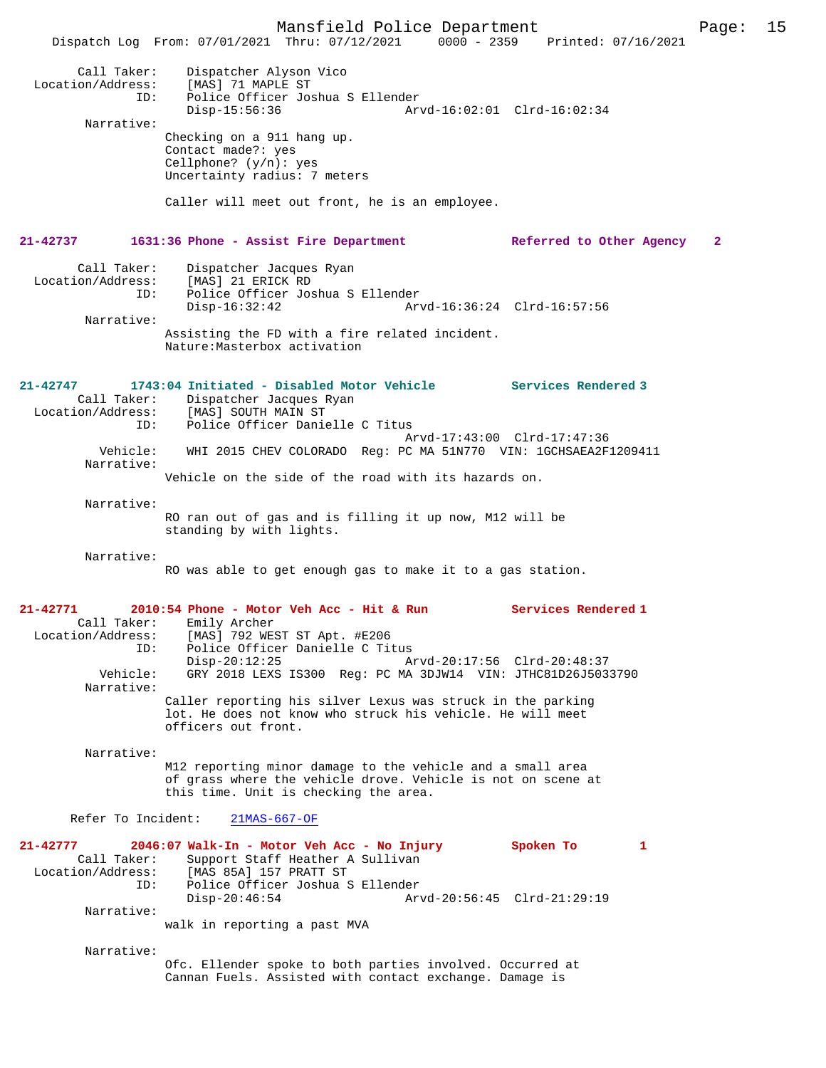Mansfield Police Department Page: 15 Dispatch Log From:  $07/01/2021$  Thru:  $07/12/2021$  0000 - 2359 Call Taker: Dispatcher Alyson Vico Location/Address: [MAS] 71 MAPLE ST ID: Police Officer Joshua S Ellender<br>Disp-15:56:36 Ar Disp-15:56:36 Arvd-16:02:01 Clrd-16:02:34 Narrative: Checking on a 911 hang up. Contact made?: yes Cellphone? (y/n): yes Uncertainty radius: 7 meters Caller will meet out front, he is an employee. **21-42737 1631:36 Phone - Assist Fire Department Referred to Other Agency 2** Call Taker: Dispatcher Jacques Ryan Location/Address: [MAS] 21 ERICK RD<br>ID: Police Officer Jos ID: Police Officer Joshua S Ellender Arvd-16:36:24 Clrd-16:57:56 Narrative: Assisting the FD with a fire related incident. Nature:Masterbox activation **21-42747 1743:04 Initiated - Disabled Motor Vehicle Services Rendered 3**  Call Taker: Dispatcher Jacques Ryan Location/Address: [MAS] SOUTH MAIN ST<br>ID: Police Officer Danie Police Officer Danielle C Titus Arvd-17:43:00 Clrd-17:47:36 Vehicle: WHI 2015 CHEV COLORADO Reg: PC MA 51N770 VIN: 1GCHSAEA2F1209411 Narrative: Vehicle on the side of the road with its hazards on. Narrative: RO ran out of gas and is filling it up now, M12 will be standing by with lights. Narrative: RO was able to get enough gas to make it to a gas station. **21-42771 2010:54 Phone - Motor Veh Acc - Hit & Run Services Rendered 1**  Call Taker: Emily Archer Location/Address: [MAS] 792 WEST ST Apt. #E206 ID: Police Officer Danielle C Titus Disp-20:12:25 Arvd-20:17:56 Clrd-20:48:37 Vehicle: GRY 2018 LEXS IS300 Reg: PC MA 3DJW14 VIN: JTHC81D26J5033790 Narrative: Caller reporting his silver Lexus was struck in the parking lot. He does not know who struck his vehicle. He will meet officers out front. Narrative: M12 reporting minor damage to the vehicle and a small area of grass where the vehicle drove. Vehicle is not on scene at this time. Unit is checking the area. Refer To Incident: 21MAS-667-OF **21-42777 2046:07 Walk-In - Motor Veh Acc - No Injury Spoken To 1**  Call Taker: Support Staff Heather A Sullivan Location/Address: [MAS 85A] 157 PRATT ST ID: Police Officer Joshua S Ellender Disp-20:46:54 Arvd-20:56:45 Clrd-21:29:19 Narrative: walk in reporting a past MVA Narrative: Ofc. Ellender spoke to both parties involved. Occurred at Cannan Fuels. Assisted with contact exchange. Damage is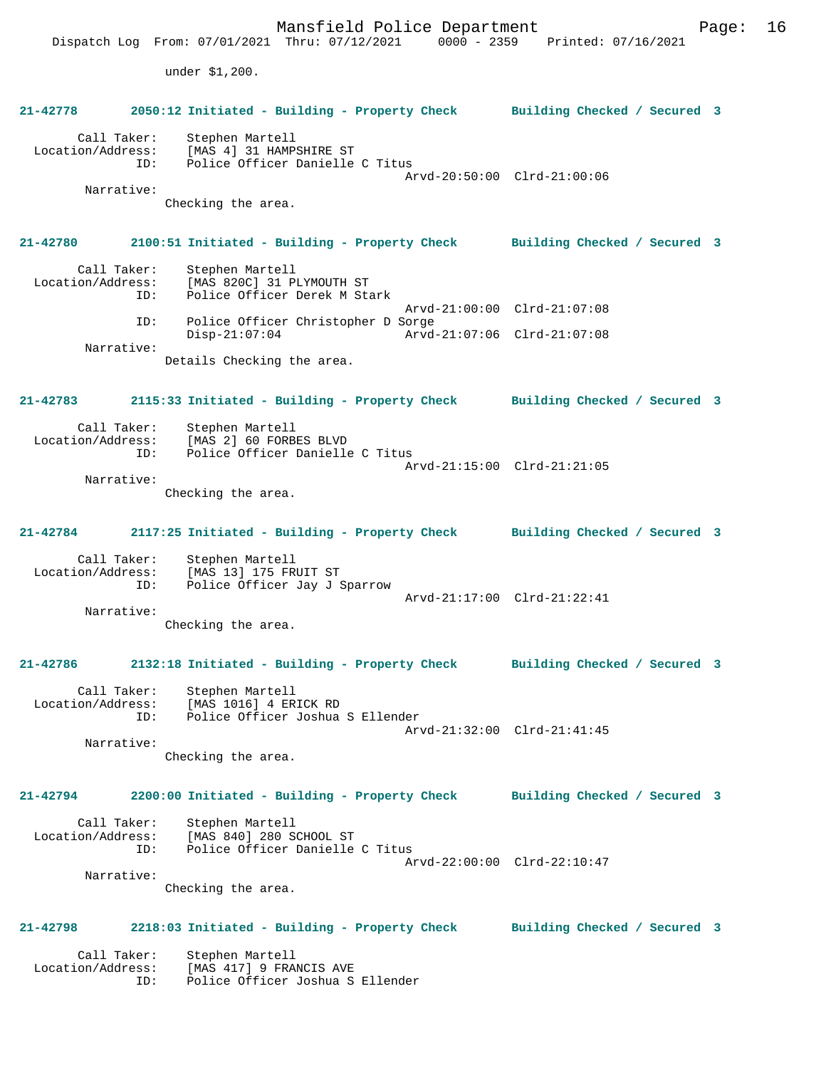Mansfield Police Department Form Page: 16 Dispatch Log From: 07/01/2021 Thru: 07/12/2021 0000 - 2359 Printed: 07/16/2021 under \$1,200. **21-42778 2050:12 Initiated - Building - Property Check Building Checked / Secured 3** Call Taker: Stephen Martell Location/Address: [MAS 4] 31 HAMPSHIRE ST<br>TD: Police Officer Danielle Police Officer Danielle C Titus Arvd-20:50:00 Clrd-21:00:06 Narrative: Checking the area. **21-42780 2100:51 Initiated - Building - Property Check Building Checked / Secured 3** Call Taker: Stephen Martell Location/Address: [MAS 820C] 31 PLYMOUTH ST Police Officer Derek M Stark Arvd-21:00:00 Clrd-21:07:08 ID: Police Officer Christopher D Sorge Disp-21:07:04 Arvd-21:07:06 Clrd-21:07:08 Narrative: Details Checking the area. **21-42783 2115:33 Initiated - Building - Property Check Building Checked / Secured 3** Call Taker: Stephen Martell Location/Address: [MAS 2] 60 FORBES BLVD<br>ID: Police Officer Daniell Police Officer Danielle C Titus Arvd-21:15:00 Clrd-21:21:05 Narrative: Checking the area. **21-42784 2117:25 Initiated - Building - Property Check Building Checked / Secured 3** Call Taker: Stephen Martell Location/Address: [MAS 13] 175 FRUIT ST<br>1 ID: Police Officer Jav J Police Officer Jay J Sparrow Arvd-21:17:00 Clrd-21:22:41 Narrative: Checking the area. **21-42786 2132:18 Initiated - Building - Property Check Building Checked / Secured 3** Call Taker: Stephen Martell Location/Address: [MAS 1016] 4 ERICK RD ID: Police Officer Joshua S Ellender Arvd-21:32:00 Clrd-21:41:45 Narrative: Checking the area. **21-42794 2200:00 Initiated - Building - Property Check Building Checked / Secured 3** Call Taker: Stephen Martell Location/Address: [MAS 840] 280 SCHOOL ST ID: Police Officer Danielle C Titus Arvd-22:00:00 Clrd-22:10:47 Narrative: Checking the area. **21-42798 2218:03 Initiated - Building - Property Check Building Checked / Secured 3** Call Taker: Stephen Martell<br>Location/Address: [MAS 417] 9 FRAI ess: [MAS 417] 9 FRANCIS AVE<br>ID: Police Officer Joshua S Police Officer Joshua S Ellender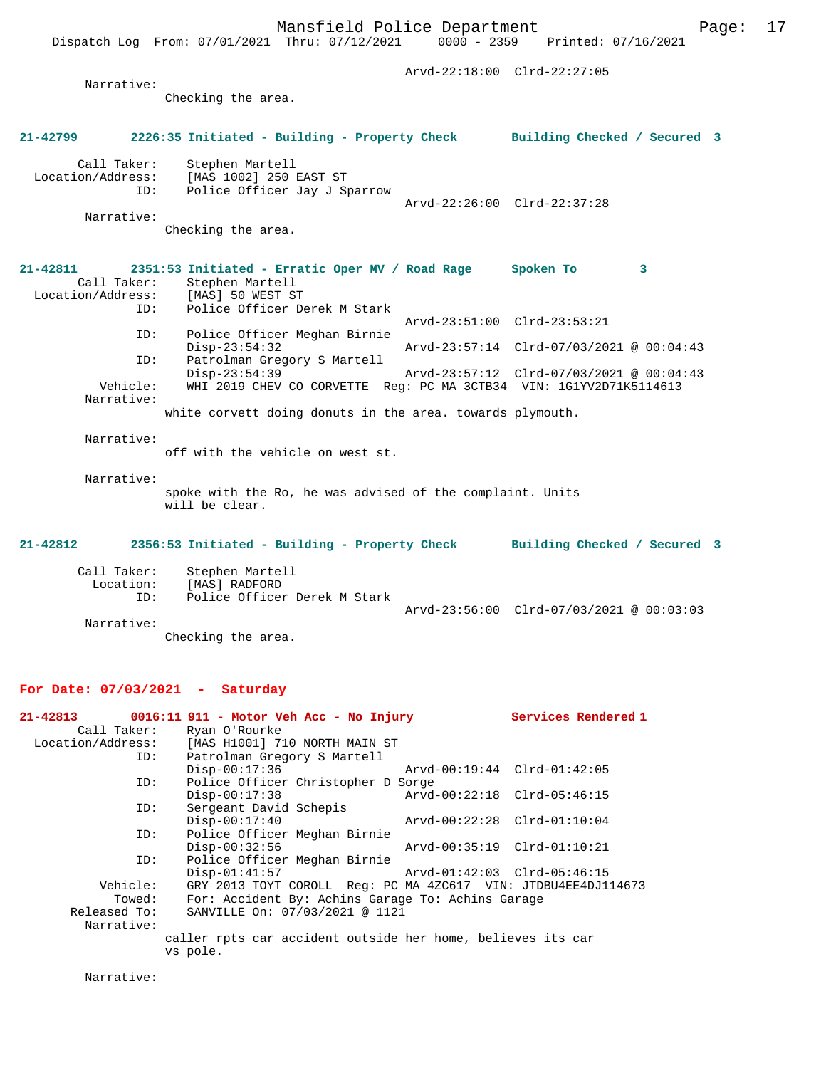Arvd-22:18:00 Clrd-22:27:05 Narrative: Checking the area. **21-42799 2226:35 Initiated - Building - Property Check Building Checked / Secured 3** Call Taker: Stephen Martell<br>Location/Address: [MAS 1002] 250 1 ess: [MAS 1002] 250 EAST ST<br>ID: Police Officer Tav T S Instruct of Policer Jay J Sparrow Arvd-22:26:00 Clrd-22:37:28 Narrative: Checking the area. **21-42811 2351:53 Initiated - Erratic Oper MV / Road Rage Spoken To 3**  Call Taker: Stephen Martell<br>ion/Address: [MAS] 50 WEST ST Location/Address: ID: Police Officer Derek M Stark Arvd-23:51:00 Clrd-23:53:21 ID: Police Officer Meghan Birnie Disp-23:54:32 Arvd-23:57:14 Clrd-07/03/2021 @ 00:04:43<br>ID: Patrolman Gregory S Martell Patrolman Gregory S Martell<br>Disp-23:54:39 Disp-23:54:39 Arvd-23:57:12 Clrd-07/03/2021 @ 00:04:43<br>Vehicle: WHI 2019 CHEV CO CORVETTE Req: PC MA 3CTB34 VIN: 1G1YV2D71K5114613 WHI 2019 CHEV CO CORVETTE Reg: PC MA 3CTB34 VIN: 1G1YV2D71K5114613 Narrative: white corvett doing donuts in the area. towards plymouth. Narrative: off with the vehicle on west st. Narrative: spoke with the Ro, he was advised of the complaint. Units will be clear. **21-42812 2356:53 Initiated - Building - Property Check Building Checked / Secured 3** Call Taker: Stephen Martell<br>Location: [MAS] RADFORD Lon: [MAS] RADFORD<br>ID: Police Officer Police Officer Derek M Stark Arvd-23:56:00 Clrd-07/03/2021 @ 00:03:03 Narrative: Checking the area.

## **For Date: 07/03/2021 - Saturday**

|              | $21-42813$ 0016:11 911 - Motor Veh Acc - No Injury            |                             | Services Rendered 1 |
|--------------|---------------------------------------------------------------|-----------------------------|---------------------|
| Call Taker:  | Ryan O'Rourke                                                 |                             |                     |
|              | Location/Address: [MAS H1001] 710 NORTH MAIN ST               |                             |                     |
| ID:          | Patrolman Gregory S Martell                                   |                             |                     |
|              | $Disp-00:17:36$                                               | Arvd-00:19:44 Clrd-01:42:05 |                     |
| ID:          | Police Officer Christopher D Sorge                            |                             |                     |
|              | $Disp-00:17:38$                                               | Arvd-00:22:18 Clrd-05:46:15 |                     |
| ID:          | Sergeant David Schepis                                        |                             |                     |
|              | $Disp-00:17:40$                                               | Arvd-00:22:28 Clrd-01:10:04 |                     |
| ID:          | Police Officer Meghan Birnie                                  |                             |                     |
|              | $Disp-00:32:56$                                               | Arvd-00:35:19 Clrd-01:10:21 |                     |
| ID:          | Police Officer Meghan Birnie                                  |                             |                     |
|              | $Disp-01:41:57$                                               | Arvd-01:42:03 Clrd-05:46:15 |                     |
| Vehicle:     | GRY 2013 TOYT COROLL Req: PC MA 4ZC617 VIN: JTDBU4EE4DJ114673 |                             |                     |
| Towed:       | For: Accident By: Achins Garage To: Achins Garage             |                             |                     |
| Released To: | SANVILLE On: 07/03/2021 @ 1121                                |                             |                     |
| Narrative:   |                                                               |                             |                     |
|              | caller rpts car accident outside her home, believes its car   |                             |                     |
|              | vs pole.                                                      |                             |                     |

Narrative: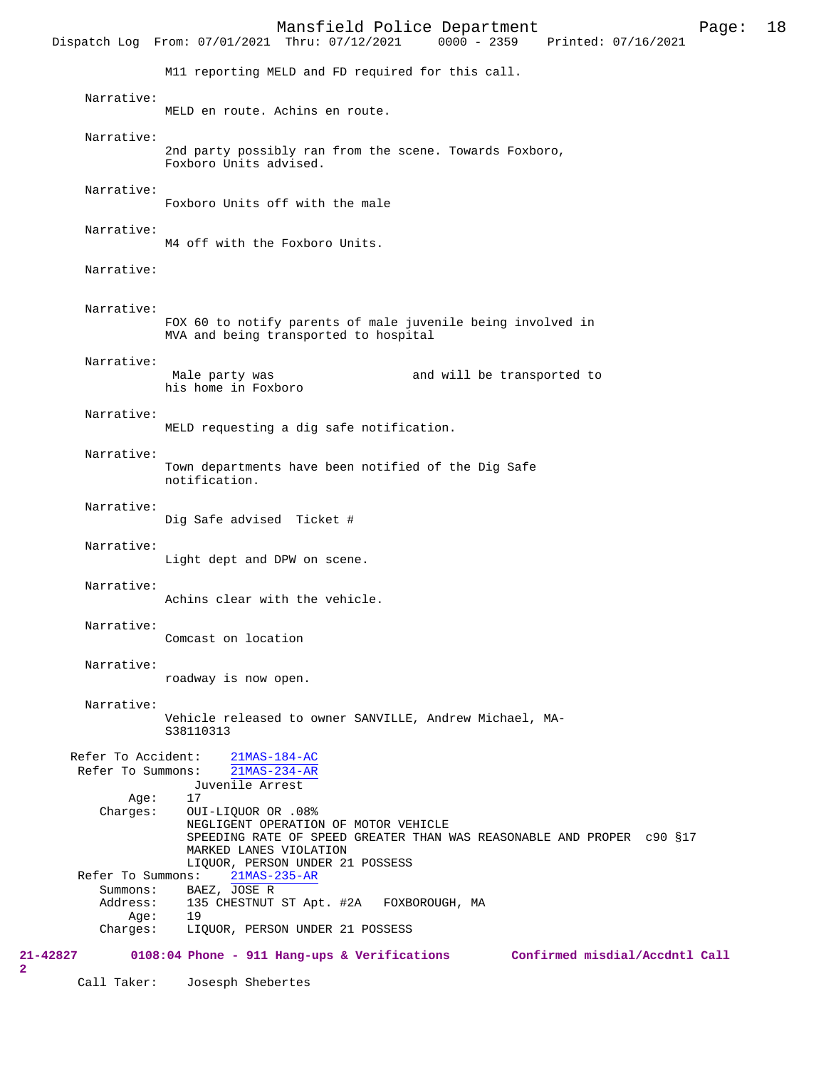Mansfield Police Department Page: 18 Dispatch Log From: 07/01/2021 Thru: 07/12/2021 M11 reporting MELD and FD required for this call. Narrative: MELD en route. Achins en route. Narrative: 2nd party possibly ran from the scene. Towards Foxboro, Foxboro Units advised. Narrative: Foxboro Units off with the male Narrative: M4 off with the Foxboro Units. Narrative: Narrative: FOX 60 to notify parents of male juvenile being involved in MVA and being transported to hospital Narrative: Male party was **and will be transported to** his home in Foxboro Narrative: MELD requesting a dig safe notification. Narrative: Town departments have been notified of the Dig Safe notification. Narrative: Dig Safe advised Ticket # Narrative: Light dept and DPW on scene. Narrative: Achins clear with the vehicle. Narrative: Comcast on location Narrative: roadway is now open. Narrative: Vehicle released to owner SANVILLE, Andrew Michael, MA-S38110313 Refer To Accident:  $\frac{21\text{MAS}-184-\text{AC}}{21\text{MAS}-234-\text{AR}}$ Refer To Summons: Juvenile Arrest  $\Delta$ ge: Charges: OUI-LIQUOR OR .08% NEGLIGENT OPERATION OF MOTOR VEHICLE SPEEDING RATE OF SPEED GREATER THAN WAS REASONABLE AND PROPER c90 §17 MARKED LANES VIOLATION LIQUOR, PERSON UNDER 21 POSSESS<br>ns: 21MAS-235-AR Refer To Summons: Summons: BAEZ, JOSE R<br>Address: 135 CHESTNUT 135 CHESTNUT ST Apt. #2A FOXBOROUGH, MA Age: 19<br>Charges: LI LIQUOR, PERSON UNDER 21 POSSESS **21-42827 0108:04 Phone - 911 Hang-ups & Verifications Confirmed misdial/Accdntl Call** Call Taker: Josesph Shebertes

**2**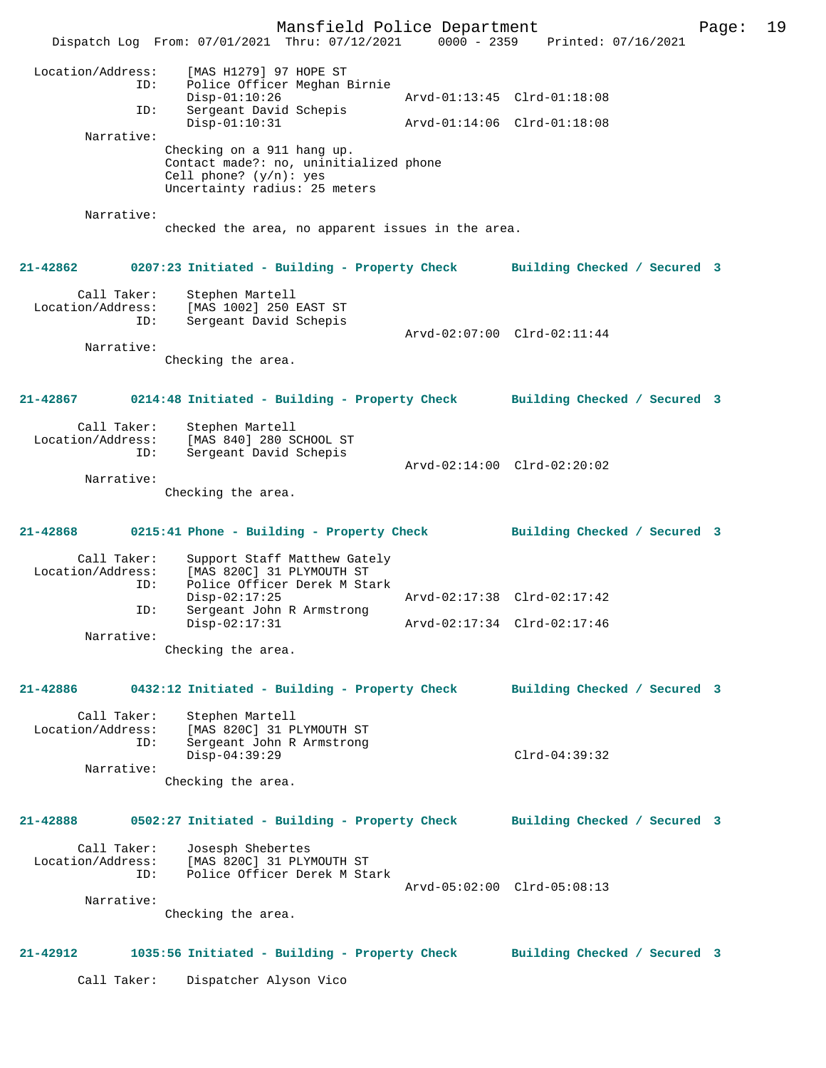Mansfield Police Department Page: 19 Dispatch Log From: 07/01/2021 Thru: 07/12/2021 0000 - 2359 Printed: 07/16/2021 Location/Address: [MAS H1279] 97 HOPE ST ID: Police Officer Meghan Birnie Disp-01:10:26 Arvd-01:13:45 Clrd-01:18:08<br>ID: Sergeant David Schepis Sergeant David Schepis<br>Disp-01:10:31 Disp-01:10:31 Arvd-01:14:06 Clrd-01:18:08 Narrative: Checking on a 911 hang up. Contact made?: no, uninitialized phone Cell phone? (y/n): yes Uncertainty radius: 25 meters Narrative: checked the area, no apparent issues in the area. **21-42862 0207:23 Initiated - Building - Property Check Building Checked / Secured 3** Call Taker: Stephen Martell Location/Address: [MAS 1002] 250 EAST ST Sergeant David Schepis Arvd-02:07:00 Clrd-02:11:44 Narrative: Checking the area. **21-42867 0214:48 Initiated - Building - Property Check Building Checked / Secured 3** Call Taker: Stephen Martell Location/Address: [MAS 840] 280 SCHOOL ST ID: Sergeant David Schepis Arvd-02:14:00 Clrd-02:20:02 Narrative: Checking the area. **21-42868 0215:41 Phone - Building - Property Check Building Checked / Secured 3** Call Taker: Support Staff Matthew Gately<br>Location/Address: [MAS 820C] 31 PLYMOUTH ST ess: [MAS 820C] 31 PLYMOUTH ST<br>ID: Police Officer Derek M Sta Police Officer Derek M Stark<br>Disp-02:17:25 Arvd-02:17:38 Clrd-02:17:42 Disp-02:17:25 Arvd-02:17:38 Clrd-02:17:42 ID: Sergeant John R Armstrong Disp-02:17:31 Arvd-02:17:34 Clrd-02:17:46 Narrative: Checking the area. **21-42886 0432:12 Initiated - Building - Property Check Building Checked / Secured 3** Call Taker: Stephen Martell<br>Location/Address: [MAS 820C] 31 P [MAS 820C] 31 PLYMOUTH ST ID: Sergeant John R Armstrong Disp-04:39:29 Clrd-04:39:32 Narrative: Checking the area. **21-42888 0502:27 Initiated - Building - Property Check Building Checked / Secured 3** Call Taker: Josesph Shebertes Location/Address: [MAS 820C] 31 PLYMOUTH ST<br>ID: Police Officer Derek M Str Police Officer Derek M Stark Arvd-05:02:00 Clrd-05:08:13 Narrative: Checking the area. **21-42912 1035:56 Initiated - Building - Property Check Building Checked / Secured 3** Call Taker: Dispatcher Alyson Vico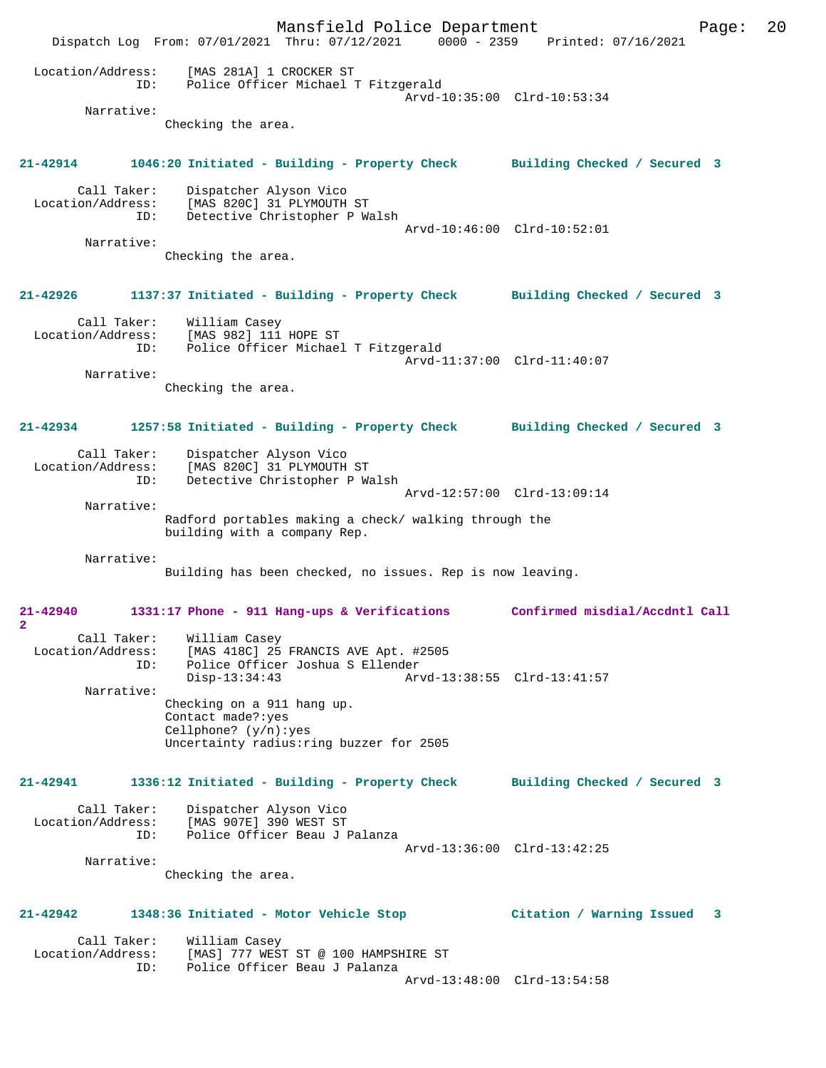Mansfield Police Department Page: 20 Dispatch Log From: 07/01/2021 Thru: 07/12/2021 0000 - 2359 Printed: 07/16/2021 Location/Address: [MAS 281A] 1 CROCKER ST ID: Police Officer Michael T Fitzgerald Arvd-10:35:00 Clrd-10:53:34 Narrative: Checking the area. **21-42914 1046:20 Initiated - Building - Property Check Building Checked / Secured 3** Call Taker: Dispatcher Alyson Vico Location/Address: [MAS 820C] 31 PLYMOUTH ST ID: Detective Christopher P Walsh Arvd-10:46:00 Clrd-10:52:01 Narrative: Checking the area. **21-42926 1137:37 Initiated - Building - Property Check Building Checked / Secured 3** Call Taker: William Casey Location/Address: [MAS 982] 111 HOPE ST ID: Police Officer Michael T Fitzgerald Arvd-11:37:00 Clrd-11:40:07 Narrative: Checking the area. **21-42934 1257:58 Initiated - Building - Property Check Building Checked / Secured 3** Call Taker: Dispatcher Alyson Vico Location/Address: [MAS 820C] 31 PLYMOUTH ST ID: Detective Christopher P Walsh Arvd-12:57:00 Clrd-13:09:14 Narrative: Radford portables making a check/ walking through the building with a company Rep. Narrative: Building has been checked, no issues. Rep is now leaving. **21-42940 1331:17 Phone - 911 Hang-ups & Verifications Confirmed misdial/Accdntl Call 2**  Call Taker: William Casey Location/Address: [MAS 418C] 25 FRANCIS AVE Apt. #2505 ID: Police Officer Joshua S Ellender Disp-13:34:43 Arvd-13:38:55 Clrd-13:41:57 Narrative: Checking on a 911 hang up. Contact made?:yes Cellphone? (y/n):yes Uncertainty radius:ring buzzer for 2505 **21-42941 1336:12 Initiated - Building - Property Check Building Checked / Secured 3** Call Taker: Dispatcher Alyson Vico Location/Address: [MAS 907E] 390 WEST ST ID: Police Officer Beau J Palanza Arvd-13:36:00 Clrd-13:42:25 Narrative: Checking the area. **21-42942 1348:36 Initiated - Motor Vehicle Stop Citation / Warning Issued 3** Call Taker: William Casey<br>Location/Address: [MAS] 777 WES: Location/Address: [MAS] 777 WEST ST @ 100 HAMPSHIRE ST ID: Police Officer Beau J Palanza Arvd-13:48:00 Clrd-13:54:58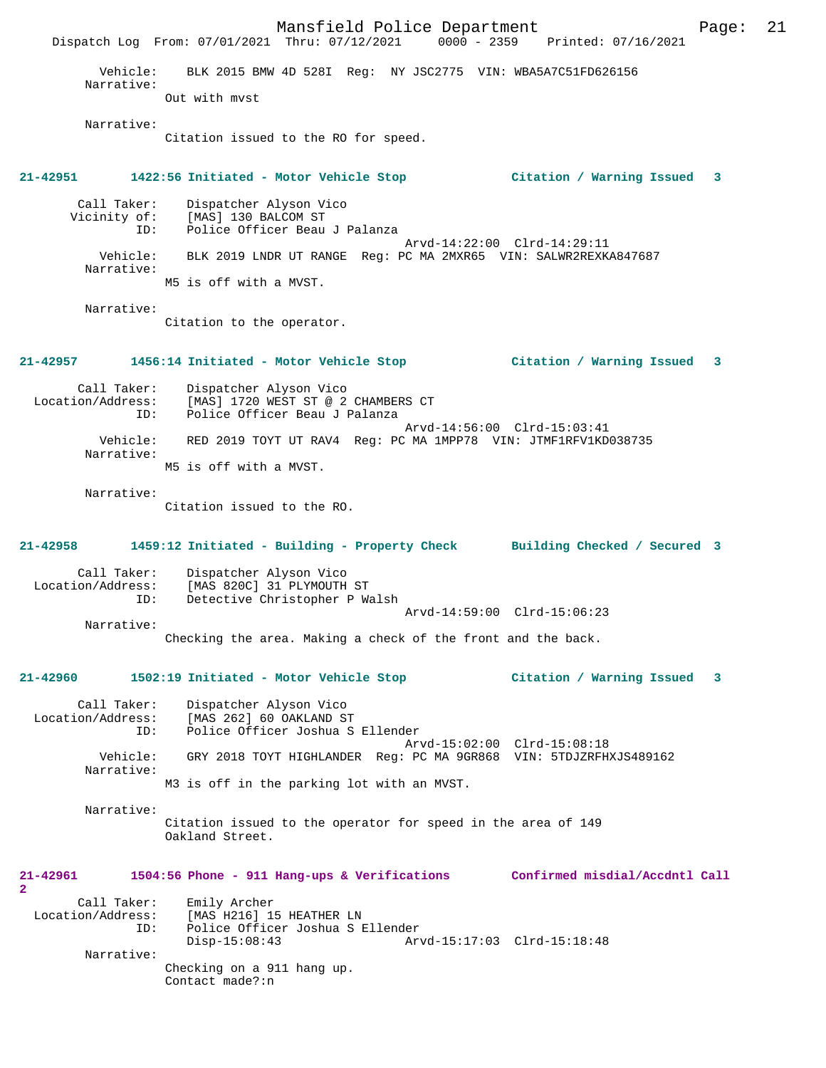Mansfield Police Department Page: 21 Dispatch Log From: 07/01/2021 Thru: 07/12/2021 Vehicle: BLK 2015 BMW 4D 528I Reg: NY JSC2775 VIN: WBA5A7C51FD626156 Narrative: Out with mvst Narrative: Citation issued to the RO for speed. **21-42951 1422:56 Initiated - Motor Vehicle Stop Citation / Warning Issued 3** Call Taker: Dispatcher Alyson Vico Vicinity of: [MAS] 130 BALCOM ST ID: Police Officer Beau J Palanza Arvd-14:22:00 Clrd-14:29:11 Vehicle: BLK 2019 LNDR UT RANGE Reg: PC MA 2MXR65 VIN: SALWR2REXKA847687 Narrative: M5 is off with a MVST. Narrative: Citation to the operator. **21-42957 1456:14 Initiated - Motor Vehicle Stop Citation / Warning Issued 3** Call Taker: Dispatcher Alyson Vico Location/Address: [MAS] 1720 WEST ST @ 2 CHAMBERS CT ID: Police Officer Beau J Palanza Arvd-14:56:00 Clrd-15:03:41 Vehicle: RED 2019 TOYT UT RAV4 Reg: PC MA 1MPP78 VIN: JTMF1RFV1KD038735 Narrative: M5 is off with a MVST. Narrative: Citation issued to the RO. **21-42958 1459:12 Initiated - Building - Property Check Building Checked / Secured 3** Call Taker: Dispatcher Alyson Vico Location/Address: [MAS 820C] 31 PLYMOUTH ST<br>ID: Detective Christopher P Wa Detective Christopher P Walsh Arvd-14:59:00 Clrd-15:06:23 Narrative: Checking the area. Making a check of the front and the back. **21-42960 1502:19 Initiated - Motor Vehicle Stop Citation / Warning Issued 3** Call Taker: Dispatcher Alyson Vico Location/Address: [MAS 262] 60 OAKLAND ST ID: Police Officer Joshua S Ellender Arvd-15:02:00 Clrd-15:08:18 Vehicle: GRY 2018 TOYT HIGHLANDER Reg: PC MA 9GR868 VIN: 5TDJZRFHXJS489162 Narrative: M3 is off in the parking lot with an MVST. Narrative: Citation issued to the operator for speed in the area of 149 Oakland Street. **21-42961 1504:56 Phone - 911 Hang-ups & Verifications Confirmed misdial/Accdntl Call 2**  Call Taker: Emily Archer Location/Address: [MAS H216] 15 HEATHER LN ID: Police Officer Joshua S Ellender Disp-15:08:43 Arvd-15:17:03 Clrd-15:18:48 Narrative: Checking on a 911 hang up. Contact made?:n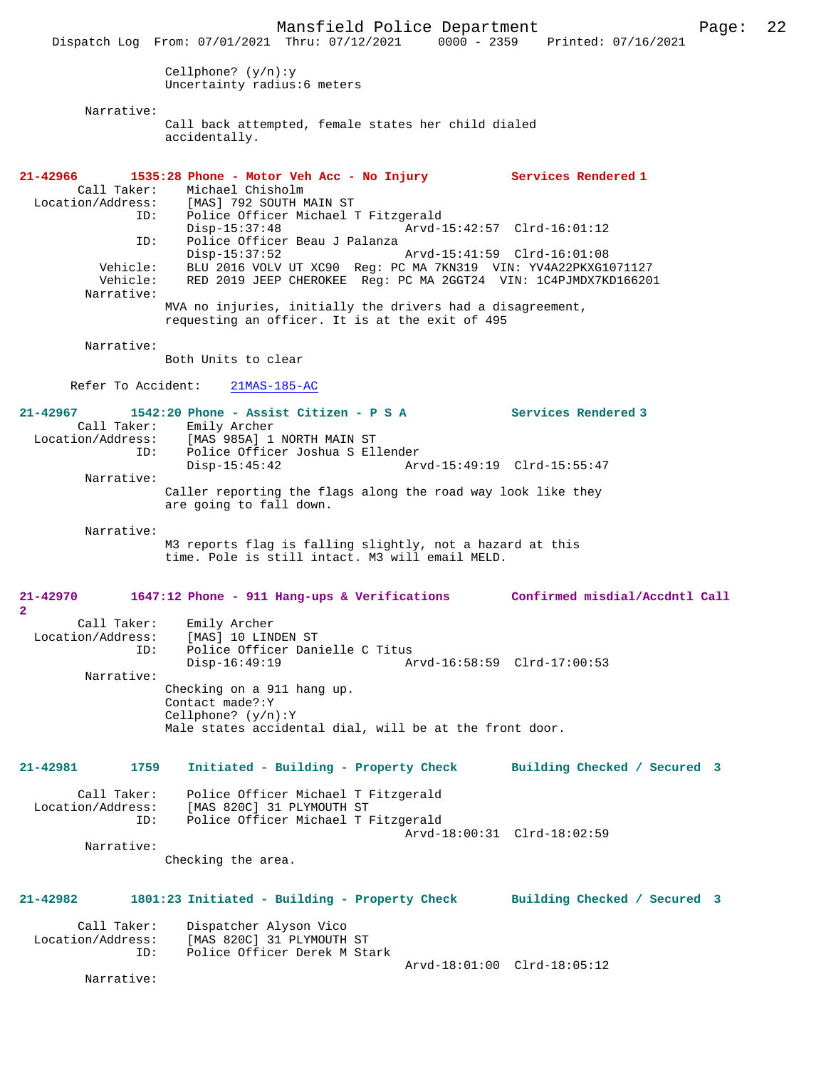Mansfield Police Department Page: 22 Dispatch Log From: 07/01/2021 Thru: 07/12/2021 Cellphone? (y/n):y Uncertainty radius:6 meters Narrative: Call back attempted, female states her child dialed accidentally. **21-42966 1535:28 Phone - Motor Veh Acc - No Injury Services Rendered 1**  Call Taker: Michael Chisholm<br>Location/Address: [MAS] 792 SOUTH N ess: [MAS] 792 SOUTH MAIN ST<br>ID: Police Officer Michael' Police Officer Michael T Fitzgerald<br>Disp-15:37:48 Arvd-1 Disp-15:37:48 Arvd-15:42:57 Clrd-16:01:12<br>ID: Police Officer Beau J Palanza Police Officer Beau J Palanza Disp-15:37:52 Arvd-15:41:59 Clrd-16:01:08 Vehicle: BLU 2016 VOLV UT XC90 Reg: PC MA 7KN319 VIN: YV4A22PKXG1071127 Vehicle: RED 2019 JEEP CHEROKEE Reg: PC MA 2GGT24 VIN: 1C4PJMDX7KD166201 Narrative: MVA no injuries, initially the drivers had a disagreement, requesting an officer. It is at the exit of 495 Narrative: Both Units to clear Refer To Accident: 21MAS-185-AC **21-42967 1542:20 Phone - Assist Citizen - P S A Services Rendered 3**  Call Taker: Emily Archer<br>Location/Address: [MAS 985A] 1 ess: [MAS<sup>]</sup>985A] 1 NORTH MAIN ST<br>ID: Police Officer Joshua S El ID: Police Officer Joshua S Ellender Disp-15:45:42 Arvd-15:49:19 Clrd-15:55:47 Narrative: Caller reporting the flags along the road way look like they are going to fall down. Narrative: M3 reports flag is falling slightly, not a hazard at this time. Pole is still intact. M3 will email MELD. **21-42970 1647:12 Phone - 911 Hang-ups & Verifications Confirmed misdial/Accdntl Call 2**  Call Taker: Emily Archer Location/Address: [MAS] 10 LINDEN ST ID: Police Officer Danielle C Titus Disp-16:49:19 Arvd-16:58:59 Clrd-17:00:53 Narrative: Checking on a 911 hang up. Contact made?:Y Cellphone? (y/n):Y Male states accidental dial, will be at the front door. **21-42981 1759 Initiated - Building - Property Check Building Checked / Secured 3** Call Taker: Police Officer Michael T Fitzgerald Location/Address: [MAS 820C] 31 PLYMOUTH ST Police Officer Michael T Fitzgerald Arvd-18:00:31 Clrd-18:02:59 Narrative: Checking the area. **21-42982 1801:23 Initiated - Building - Property Check Building Checked / Secured 3** Call Taker: Dispatcher Alyson Vico<br>Location/Address: [MAS 820C] 31 PLYMOUTH [MAS 820C] 31 PLYMOUTH ST ID: Police Officer Derek M Stark Arvd-18:01:00 Clrd-18:05:12 Narrative: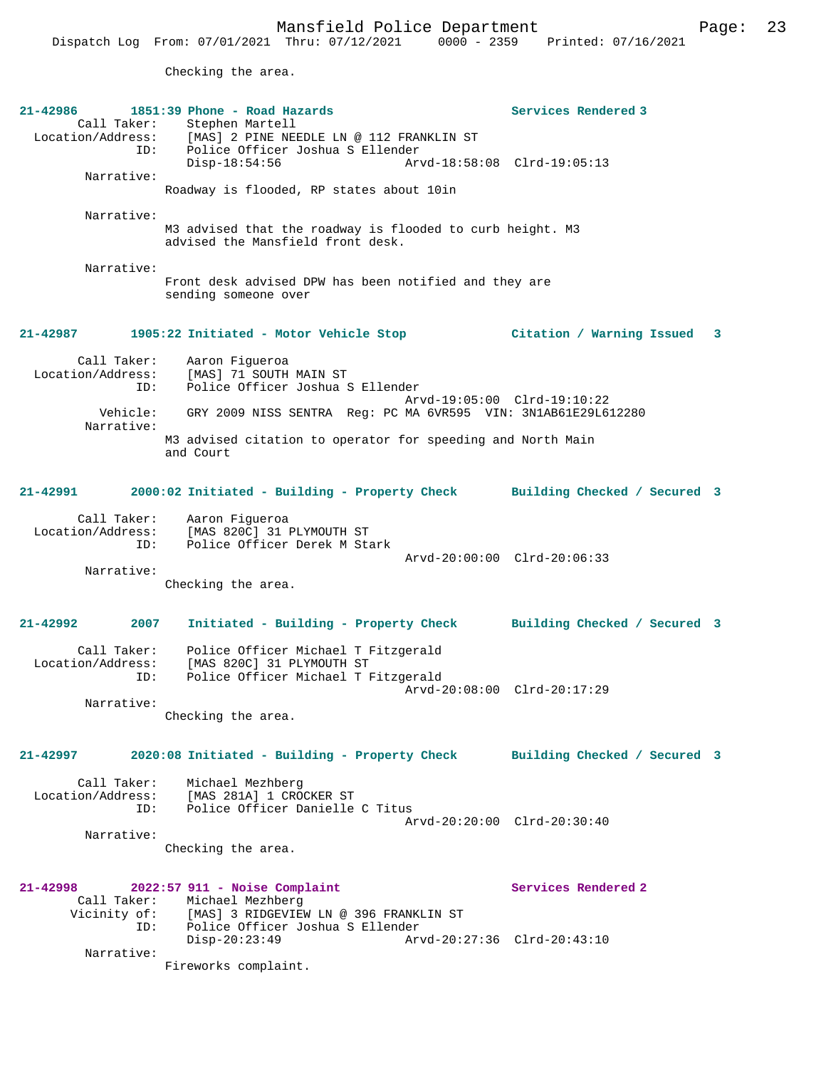Checking the area.

| Call Taker: Stephen Martell                                                                                   |  |
|---------------------------------------------------------------------------------------------------------------|--|
| Location/Address: [MAS] 2 PINE NEEDLE LN @ 112 FRANKLIN ST                                                    |  |
| Police Officer Joshua S Ellender<br>ID:                                                                       |  |
| $Disp-18:54:56$<br>Arvd-18:58:08 Clrd-19:05:13<br>Narrative:                                                  |  |
| Roadway is flooded, RP states about 10in                                                                      |  |
| Narrative:                                                                                                    |  |
| M3 advised that the roadway is flooded to curb height. M3<br>advised the Mansfield front desk.                |  |
| Narrative:                                                                                                    |  |
| Front desk advised DPW has been notified and they are<br>sending someone over                                 |  |
| 1905:22 Initiated - Motor Vehicle Stop (Citation / Warning Issued 3<br>21-42987                               |  |
| Call Taker:<br>Aaron Figueroa                                                                                 |  |
| Location/Address: [MAS] 71 SOUTH MAIN ST<br>Police Officer Joshua S Ellender<br>ID:                           |  |
| Arvd-19:05:00 Clrd-19:10:22                                                                                   |  |
| Vehicle: GRY 2009 NISS SENTRA Req: PC MA 6VR595 VIN: 3N1AB61E29L612280<br>Narrative:                          |  |
| M3 advised citation to operator for speeding and North Main<br>and Court                                      |  |
|                                                                                                               |  |
| 21-42991<br>2000:02 Initiated - Building - Property Check Building Checked / Secured 3                        |  |
|                                                                                                               |  |
| Call Taker: Aaron Figueroa<br>Location/Address: [MAS 820C] 31 PLYMOUTH ST<br>ID: Police Officer Derek M Stark |  |
|                                                                                                               |  |
| Arvd-20:00:00 Clrd-20:06:33<br>Narrative:                                                                     |  |
| Checking the area.                                                                                            |  |
|                                                                                                               |  |
| $21 - 42992$<br>2007<br>Initiated - Building - Property Check Building Checked / Secured 3                    |  |
| Call Taker:<br>Police Officer Michael T Fitzgerald                                                            |  |
| Location/Address: [MAS 820C] 31 PLYMOUTH ST<br>Police Officer Michael T Fitzgerald<br>ID:                     |  |
| Arvd-20:08:00 Clrd-20:17:29                                                                                   |  |
| Narrative:<br>Checking the area.                                                                              |  |
|                                                                                                               |  |
| 2020:08 Initiated - Building - Property Check<br>21-42997<br>Building Checked / Secured 3                     |  |
| Call Taker:<br>Michael Mezhberg                                                                               |  |
| [MAS 281A] 1 CROCKER ST<br>Location/Address:<br>Police Officer Danielle C Titus<br>ID:                        |  |
| $Arvd - 20:20:00$ $Clrd - 20:30:40$                                                                           |  |
| Narrative:<br>Checking the area.                                                                              |  |
|                                                                                                               |  |
| Services Rendered 2<br>$21 - 42998$<br>2022:57 911 - Noise Complaint                                          |  |
| Call Taker: Michael Mezhberg                                                                                  |  |
| Vicinity of: [MAS] 3 RIDGEVIEW LN @ 396 FRANKLIN ST<br>Police Officer Joshua S Ellender<br>ID:                |  |
| $Disp-20:23:49$<br>Arvd-20:27:36 Clrd-20:43:10                                                                |  |
| Narrative:<br>Fireworks complaint.                                                                            |  |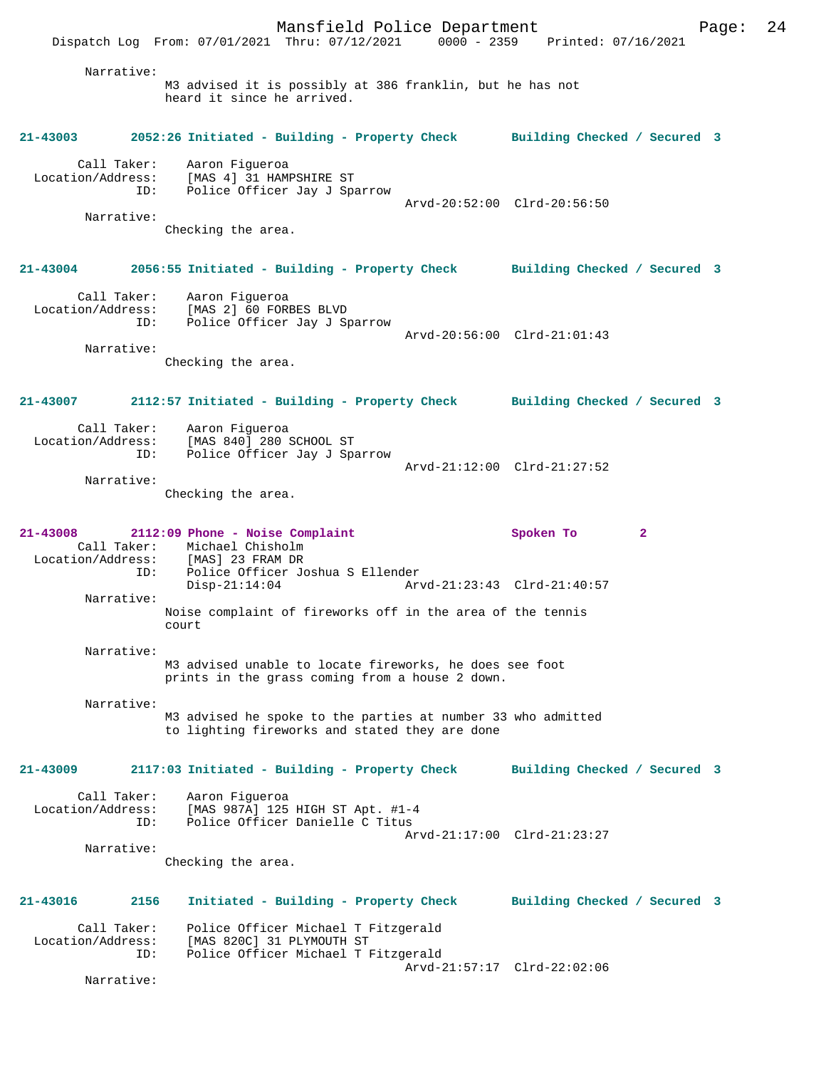Narrative: M3 advised it is possibly at 386 franklin, but he has not heard it since he arrived.

## **21-43003 2052:26 Initiated - Building - Property Check Building Checked / Secured 3**

 Call Taker: Aaron Figueroa Location/Address: [MAS 4] 31 HAMPSHIRE ST ID: Police Officer Jay J Sparrow Arvd-20:52:00 Clrd-20:56:50 Narrative: Checking the area.

**21-43004 2056:55 Initiated - Building - Property Check Building Checked / Secured 3**

 Call Taker: Aaron Figueroa Location/Address: [MAS 2] 60 FORBES BLVD ID: Police Officer Jay J Sparrow Arvd-20:56:00 Clrd-21:01:43 Narrative:

Checking the area.

# **21-43007 2112:57 Initiated - Building - Property Check Building Checked / Secured 3**

| Call Taker:       | Aaron Fiqueroa               |                             |
|-------------------|------------------------------|-----------------------------|
| Location/Address: | [MAS 840] 280 SCHOOL ST      |                             |
| ID:               | Police Officer Jay J Sparrow |                             |
|                   |                              | Arvd-21:12:00 Clrd-21:27:52 |
| Narrative:        |                              |                             |

Checking the area.

## **21-43008 2112:09 Phone - Noise Complaint Spoken To 2**  Call Taker: Michael Chisholm Location/Address: ID: Police Officer Joshua S Ellender

 Disp-21:14:04 Arvd-21:23:43 Clrd-21:40:57 Narrative:

Noise complaint of fireworks off in the area of the tennis court

 Narrative: M3 advised unable to locate fireworks, he does see foot prints in the grass coming from a house 2 down.

 Narrative: M3 advised he spoke to the parties at number 33 who admitted to lighting fireworks and stated they are done

## **21-43009 2117:03 Initiated - Building - Property Check Building Checked / Secured 3**

| Call Taker:<br>Location/Address:<br>TD: | Aaron Fiqueroa<br>[MAS 987A] 125 HIGH ST Apt. #1-4<br>Police Officer Danielle C Titus |  |
|-----------------------------------------|---------------------------------------------------------------------------------------|--|
| Narrative:                              | Arvd-21:17:00 Clrd-21:23:27                                                           |  |

Checking the area.

# **21-43016 2156 Initiated - Building - Property Check Building Checked / Secured 3** Call Taker: Police Officer Michael T Fitzgerald Location/Address: [MAS 820C] 31 PLYMOUTH ST<br>ID: Police Officer Michael T I Police Officer Michael T Fitzgerald Arvd-21:57:17 Clrd-22:02:06

Narrative: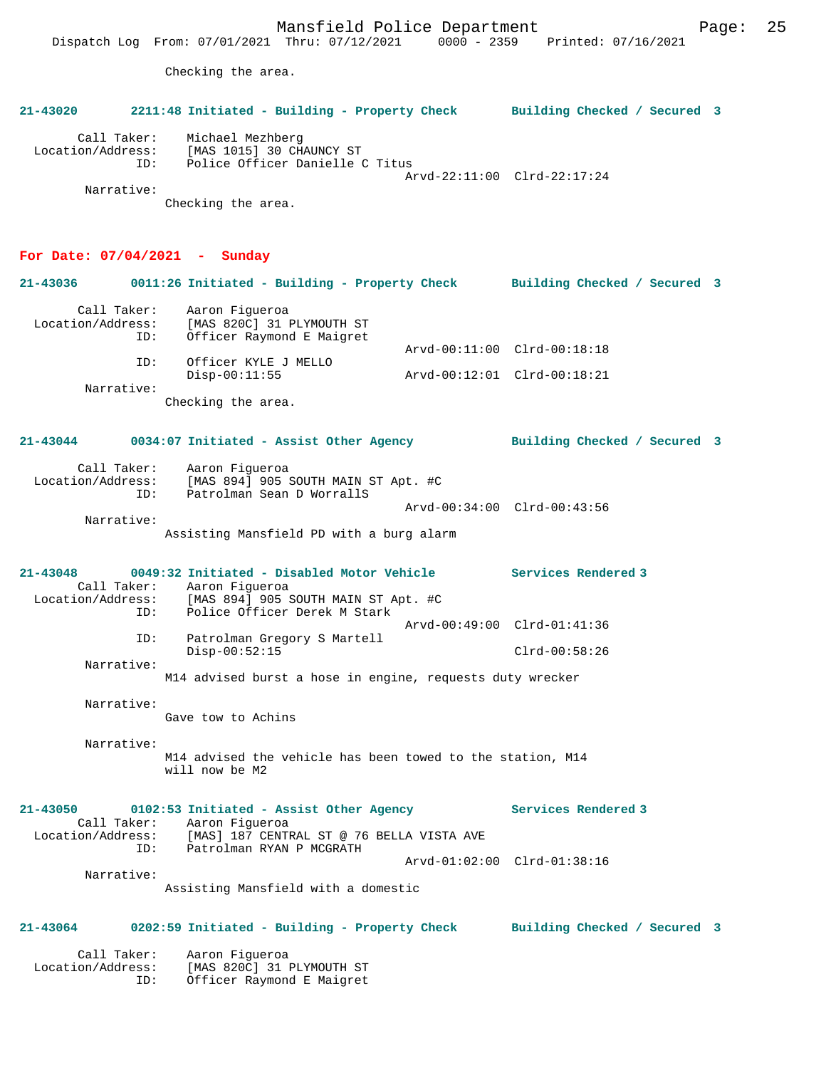Checking the area.

# **21-43020 2211:48 Initiated - Building - Property Check Building Checked / Secured 3** Call Taker: Michael Mezhberg Location/Address: [MAS 1015] 30 CHAUNCY ST ID: Police Officer Danielle C Titus Arvd-22:11:00 Clrd-22:17:24 Narrative: Checking the area. **For Date: 07/04/2021 - Sunday 21-43036 0011:26 Initiated - Building - Property Check Building Checked / Secured 3** Call Taker: Aaron Figueroa Location/Address: [MAS 820C] 31 PLYMOUTH ST ID: Officer Raymond E Maigret Arvd-00:11:00 Clrd-00:18:18 ID: Officer KYLE J MELLO Disp-00:11:55 Arvd-00:12:01 Clrd-00:18:21 Narrative: Checking the area. **21-43044 0034:07 Initiated - Assist Other Agency Building Checked / Secured 3** Call Taker: Aaron Figueroa Location/Address: [MAS 894] 905 SOUTH MAIN ST Apt. #C ID: Patrolman Sean D WorrallS Arvd-00:34:00 Clrd-00:43:56 Narrative: Assisting Mansfield PD with a burg alarm **21-43048 0049:32 Initiated - Disabled Motor Vehicle Services Rendered 3**  Call Taker: Aaron Figueroa<br>Location/Address: [MAS 894] 905 [MAS 894] 905 SOUTH MAIN ST Apt. #C ID: Police Officer Derek M Stark Arvd-00:49:00 Clrd-01:41:36<br>TD: Patrolman Gregory S Martell Patrolman Gregory S Martell Disp-00:52:15 Clrd-00:58:26 Narrative: M14 advised burst a hose in engine, requests duty wrecker Narrative: Gave tow to Achins Narrative: M14 advised the vehicle has been towed to the station, M14 will now be M2 **21-43050 0102:53 Initiated - Assist Other Agency Services Rendered 3**  Call Taker: Aaron Figueroa<br>Location/Address: [MAS] 187 CENTE [MAS] 187 CENTRAL ST @ 76 BELLA VISTA AVE ID: Patrolman RYAN P MCGRATH Arvd-01:02:00 Clrd-01:38:16 Narrative: Assisting Mansfield with a domestic **21-43064 0202:59 Initiated - Building - Property Check Building Checked / Secured 3** Call Taker: Aaron Figueroa Location/Address: [MAS 820C] 31 PLYMOUTH ST ID: Officer Raymond E Maigret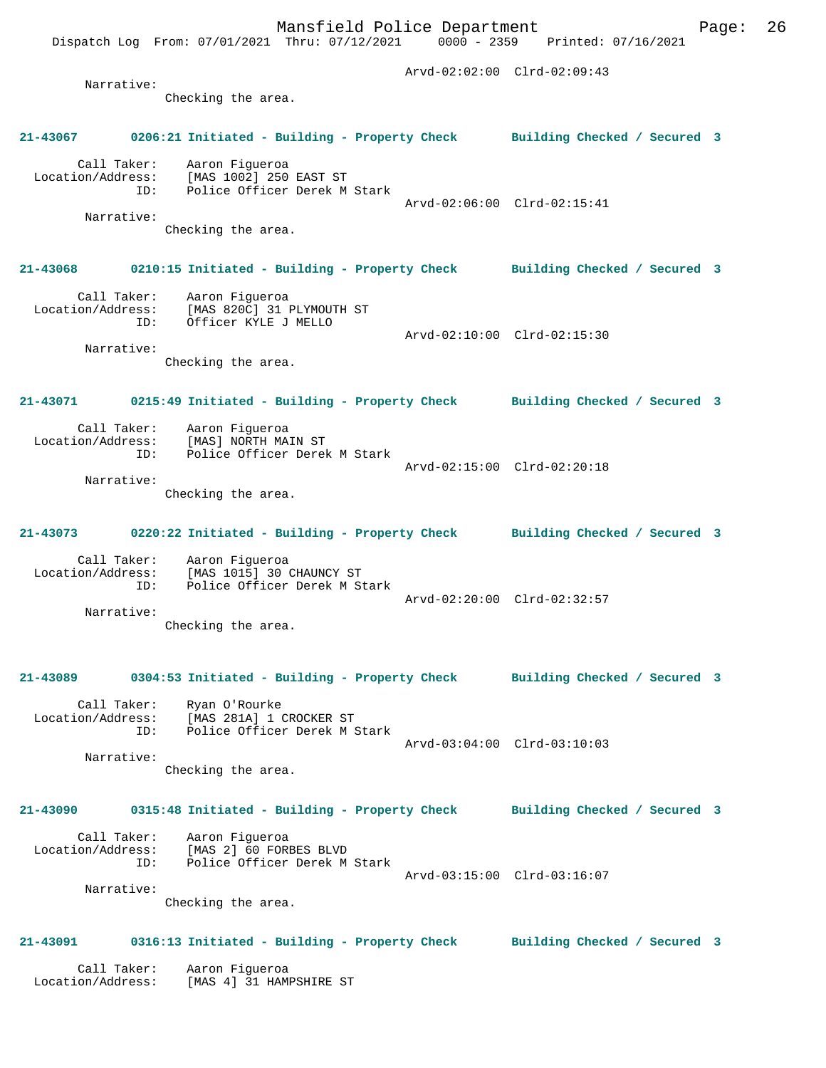Checking the area.

## **21-43067 0206:21 Initiated - Building - Property Check Building Checked / Secured 3**

 Call Taker: Aaron Figueroa Location/Address: [MAS 1002] 250 EAST ST ID: Police Officer Derek M Stark Arvd-02:06:00 Clrd-02:15:41 Narrative:

Checking the area.

## **21-43068 0210:15 Initiated - Building - Property Check Building Checked / Secured 3**

 Call Taker: Aaron Figueroa Location/Address: [MAS 820C] 31 PLYMOUTH ST ID: Officer KYLE J MELLO Arvd-02:10:00 Clrd-02:15:30

 Narrative: Checking the area.

#### **21-43071 0215:49 Initiated - Building - Property Check Building Checked / Secured 3**

Call Taker: Aaron Figueroa<br>Location/Address: [MAS] NORTH MA: [MAS] NORTH MAIN ST ID: Police Officer Derek M Stark Arvd-02:15:00 Clrd-02:20:18 Narrative:

Checking the area.

#### **21-43073 0220:22 Initiated - Building - Property Check Building Checked / Secured 3**

 Call Taker: Aaron Figueroa Location/Address: [MAS 1015] 30 CHAUNCY ST ID: Police Officer Derek M Stark Arvd-02:20:00 Clrd-02:32:57 Narrative:

Checking the area.

#### **21-43089 0304:53 Initiated - Building - Property Check Building Checked / Secured 3**

 Call Taker: Ryan O'Rourke Location/Address: [MAS 281A] 1 CROCKER ST ID: Police Officer Derek M Stark Arvd-03:04:00 Clrd-03:10:03

 Narrative: Checking the area.

## **21-43090 0315:48 Initiated - Building - Property Check Building Checked / Secured 3**

 Call Taker: Aaron Figueroa Location/Address: [MAS 2] 60 FORBES BLVD Police Officer Derek M Stark Arvd-03:15:00 Clrd-03:16:07 Narrative:

Checking the area.

## **21-43091 0316:13 Initiated - Building - Property Check Building Checked / Secured 3**

 Call Taker: Aaron Figueroa Location/Address: [MAS 4] 31 HAMPSHIRE ST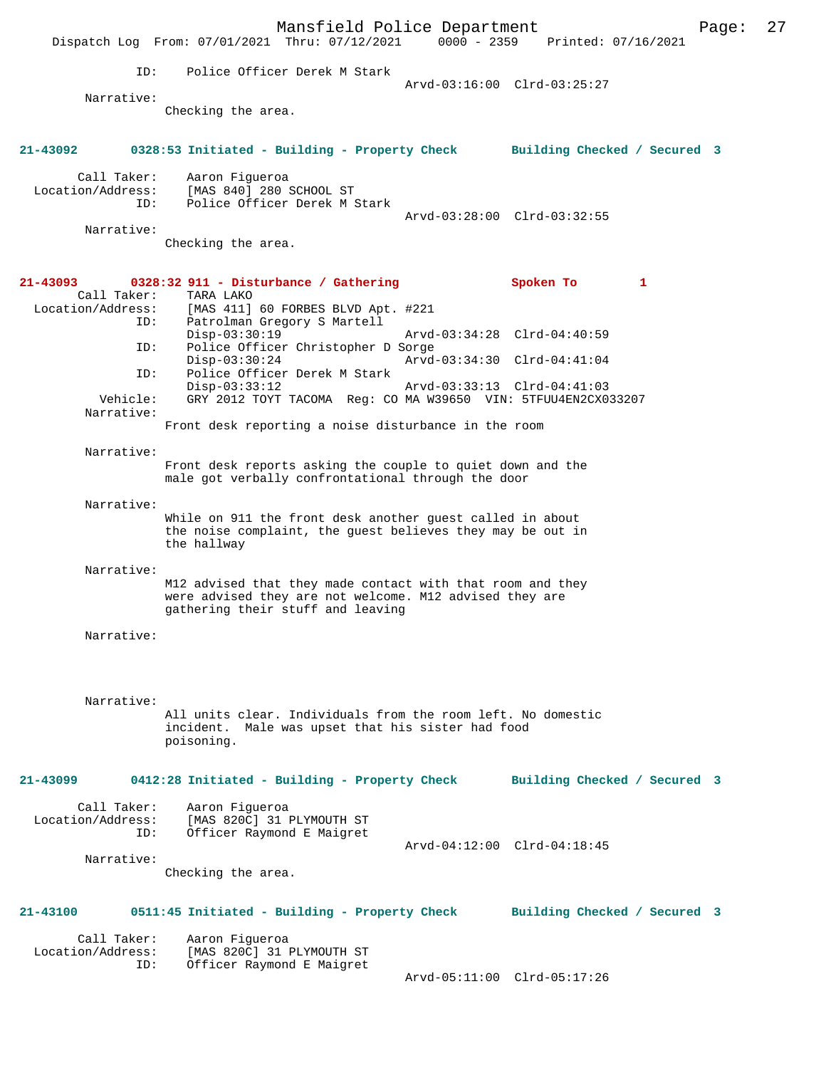|                                  |          | Dispatch Log From: 07/01/2021 Thru: 07/12/2021                                                                                                             | Mansfield Police Department | 0000 - 2359 Printed: 07/16/2021 |                | Page: | 27 |
|----------------------------------|----------|------------------------------------------------------------------------------------------------------------------------------------------------------------|-----------------------------|---------------------------------|----------------|-------|----|
|                                  | ID:      | Police Officer Derek M Stark                                                                                                                               |                             | Arvd-03:16:00 Clrd-03:25:27     |                |       |    |
| Narrative:                       |          |                                                                                                                                                            |                             |                                 |                |       |    |
|                                  |          | Checking the area.                                                                                                                                         |                             |                                 |                |       |    |
| 21-43092                         |          | 0328:53 Initiated - Building - Property Check                                                                                                              |                             | Building Checked / Secured 3    |                |       |    |
| Call Taker:<br>Location/Address: | ID:      | Aaron Figueroa<br>[MAS 840] 280 SCHOOL ST<br>Police Officer Derek M Stark                                                                                  |                             |                                 |                |       |    |
| Narrative:                       |          |                                                                                                                                                            |                             | Arvd-03:28:00 Clrd-03:32:55     |                |       |    |
|                                  |          | Checking the area.                                                                                                                                         |                             |                                 |                |       |    |
| 21-43093<br>Call Taker:          |          | $0328:32$ 911 - Disturbance / Gathering<br>TARA LAKO                                                                                                       |                             | Spoken To                       | $\blacksquare$ |       |    |
| Location/Address:                | ID:      | [MAS 411] 60 FORBES BLVD Apt. #221<br>Patrolman Gregory S Martell                                                                                          |                             |                                 |                |       |    |
|                                  | ID:      | $Disp-03:30:19$<br>Police Officer Christopher D Sorge                                                                                                      |                             | Arvd-03:34:28 Clrd-04:40:59     |                |       |    |
|                                  | ID:      | $Disp-03:30:24$<br>Police Officer Derek M Stark                                                                                                            |                             | Arvd-03:34:30 Clrd-04:41:04     |                |       |    |
|                                  | Vehicle: | $Disp-03:33:12$<br>GRY 2012 TOYT TACOMA Reg: CO MA W39650 VIN: 5TFUU4EN2CX033207                                                                           |                             | Arvd-03:33:13 Clrd-04:41:03     |                |       |    |
| Narrative:                       |          | Front desk reporting a noise disturbance in the room                                                                                                       |                             |                                 |                |       |    |
| Narrative:                       |          | Front desk reports asking the couple to quiet down and the<br>male got verbally confrontational through the door                                           |                             |                                 |                |       |    |
| Narrative:                       |          | While on 911 the front desk another quest called in about<br>the noise complaint, the guest believes they may be out in<br>the hallway                     |                             |                                 |                |       |    |
| Narrative:                       |          | M12 advised that they made contact with that room and they<br>were advised they are not welcome. M12 advised they are<br>gathering their stuff and leaving |                             |                                 |                |       |    |
| Narrative:                       |          |                                                                                                                                                            |                             |                                 |                |       |    |
|                                  |          |                                                                                                                                                            |                             |                                 |                |       |    |
| Narrative:                       |          | All units clear. Individuals from the room left. No domestic<br>incident. Male was upset that his sister had food<br>poisoning.                            |                             |                                 |                |       |    |
| 21-43099                         |          | 0412:28 Initiated - Building - Property Check                                                                                                              |                             | Building Checked / Secured 3    |                |       |    |
| Call Taker:<br>Location/Address: | ID:      | Aaron Figueroa<br>[MAS 820C] 31 PLYMOUTH ST<br>Officer Raymond E Maigret                                                                                   |                             |                                 |                |       |    |
| Narrative:                       |          |                                                                                                                                                            |                             | Arvd-04:12:00 Clrd-04:18:45     |                |       |    |
|                                  |          | Checking the area.                                                                                                                                         |                             |                                 |                |       |    |
| 21-43100                         |          | 0511:45 Initiated - Building - Property Check                                                                                                              |                             | Building Checked / Secured 3    |                |       |    |
| Call Taker:<br>Location/Address: | ID:      | Aaron Figueroa<br>[MAS 820C] 31 PLYMOUTH ST<br>Officer Raymond E Maigret                                                                                   |                             |                                 |                |       |    |
|                                  |          |                                                                                                                                                            |                             | Arvd-05:11:00 Clrd-05:17:26     |                |       |    |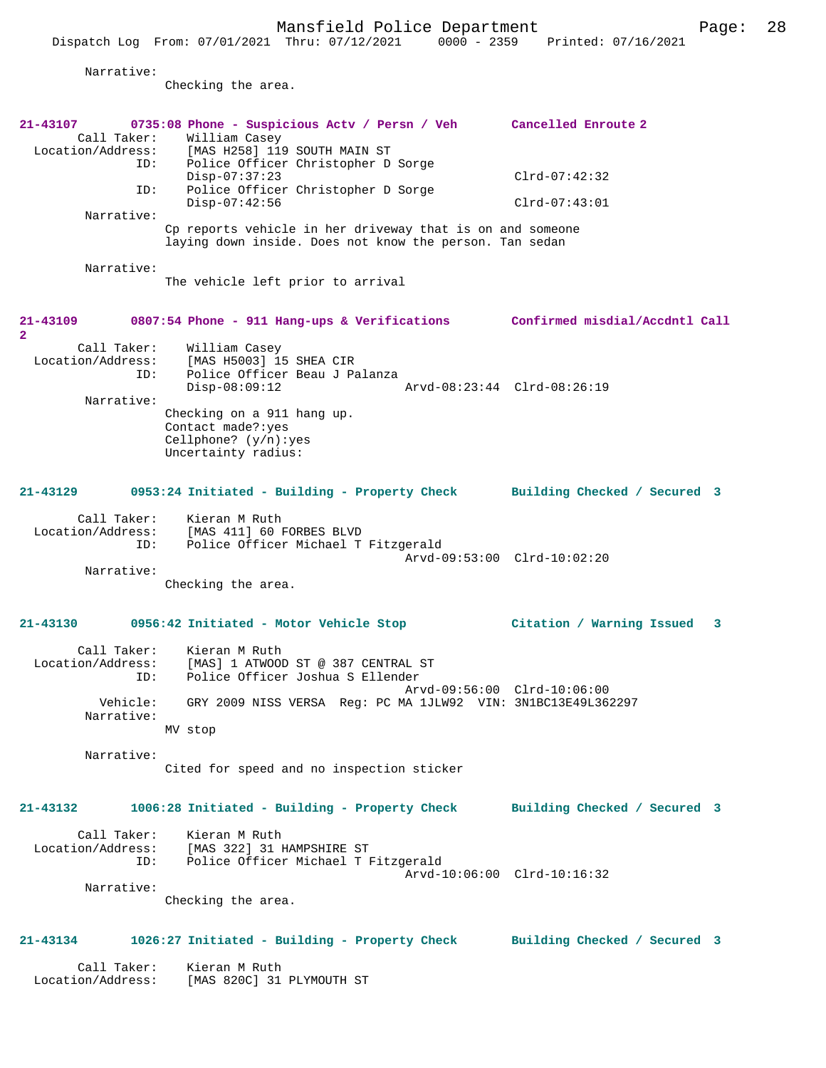|                                                                | Dispatch Log From: 07/01/2021 Thru: 07/12/2021<br>$0000 - 2359$                                                                                                                                   | Printed: 07/16/2021                    |
|----------------------------------------------------------------|---------------------------------------------------------------------------------------------------------------------------------------------------------------------------------------------------|----------------------------------------|
| Narrative:                                                     |                                                                                                                                                                                                   |                                        |
|                                                                | Checking the area.                                                                                                                                                                                |                                        |
| $21 - 43107$<br>Call Taker:<br>Location/Address:<br>ID:<br>ID: | 0735:08 Phone - Suspicious Actv / Persn / Veh<br>William Casey<br>[MAS H258] 119 SOUTH MAIN ST<br>Police Officer Christopher D Sorge<br>$Disp-07:37:23$<br>Police Officer Christopher D Sorge     | Cancelled Enroute 2<br>$Clrd-07:42:32$ |
| Narrative:                                                     | $Disp-07:42:56$                                                                                                                                                                                   | $Clrd-07:43:01$                        |
|                                                                | Cp reports vehicle in her driveway that is on and someone<br>laying down inside. Does not know the person. Tan sedan                                                                              |                                        |
| Narrative:                                                     | The vehicle left prior to arrival                                                                                                                                                                 |                                        |
| 21-43109<br>$\overline{2}$                                     | 0807:54 Phone - 911 Hang-ups & Verifications Confirmed misdial/Accdntl Call                                                                                                                       |                                        |
| Call Taker:<br>Location/Address:<br>ID:<br>Narrative:          | William Casey<br>[MAS H5003] 15 SHEA CIR<br>Police Officer Beau J Palanza<br>$Disp-08:09:12$<br>Checking on a 911 hang up.<br>Contact made?: yes<br>Cellphone? $(y/n):yes$<br>Uncertainty radius: | Arvd-08:23:44 Clrd-08:26:19            |
| 21-43129                                                       | 0953:24 Initiated - Building - Property Check                                                                                                                                                     | Building Checked / Secured 3           |
| Call Taker:<br>Location/Address:<br>ID:                        | Kieran M Ruth<br>[MAS 411] 60 FORBES BLVD<br>Police Officer Michael T Fitzgerald                                                                                                                  | Arvd-09:53:00 Clrd-10:02:20            |
| Narrative:                                                     | Checking the area.                                                                                                                                                                                |                                        |
| $21 - 43130$                                                   | 0956:42 Initiated - Motor Vehicle Stop                                                                                                                                                            | Citation / Warning Issued<br>3         |
| Call Taker:<br>Location/Address:<br>ID:                        | Kieran M Ruth<br>[MAS] 1 ATWOOD ST @ 387 CENTRAL ST<br>Police Officer Joshua S Ellender                                                                                                           | Arvd-09:56:00 Clrd-10:06:00            |
| Vehicle:<br>Narrative:                                         | GRY 2009 NISS VERSA Reg: PC MA 1JLW92 VIN: 3N1BC13E49L362297<br>MV stop                                                                                                                           |                                        |
| Narrative:                                                     | Cited for speed and no inspection sticker                                                                                                                                                         |                                        |
| 21-43132                                                       | 1006:28 Initiated - Building - Property Check                                                                                                                                                     | Building Checked / Secured 3           |
| Call Taker:<br>Location/Address:<br>ID:                        | Kieran M Ruth<br>[MAS 322] 31 HAMPSHIRE ST<br>Police Officer Michael T Fitzgerald                                                                                                                 | Arvd-10:06:00 Clrd-10:16:32            |
| Narrative:                                                     | Checking the area.                                                                                                                                                                                |                                        |
| 21-43134                                                       | 1026:27 Initiated - Building - Property Check                                                                                                                                                     | Building Checked / Secured 3           |
| Call Taker:<br>Location/Address:                               | Kieran M Ruth<br>[MAS 820C] 31 PLYMOUTH ST                                                                                                                                                        |                                        |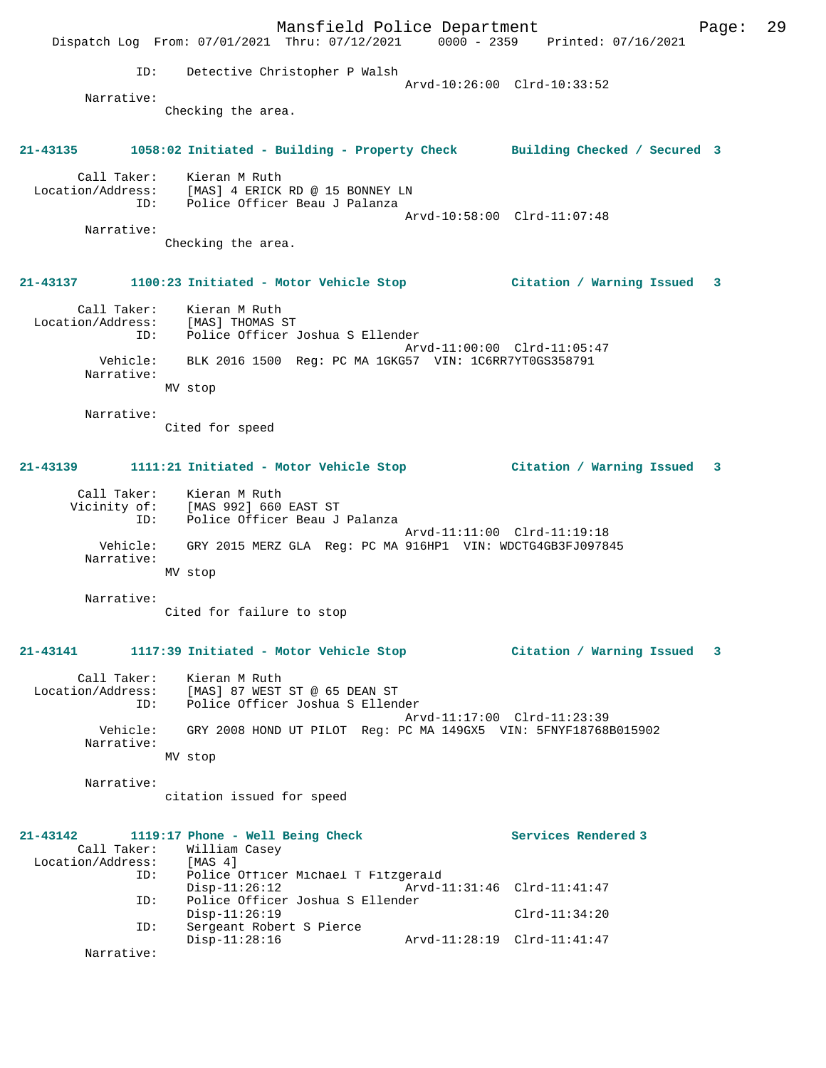Mansfield Police Department Page: 29 Dispatch Log From: 07/01/2021 Thru: 07/12/2021 0000 - 2359 Printed: 07/16/2021 ID: Detective Christopher P Walsh Arvd-10:26:00 Clrd-10:33:52 Narrative: Checking the area. **21-43135 1058:02 Initiated - Building - Property Check Building Checked / Secured 3** Call Taker: Kieran M Ruth Location/Address: [MAS] 4 ERICK RD @ 15 BONNEY LN ID: Police Officer Beau J Palanza Arvd-10:58:00 Clrd-11:07:48 Narrative: Checking the area. **21-43137 1100:23 Initiated - Motor Vehicle Stop Citation / Warning Issued 3** Call Taker: Kieran M Ruth Location/Address: [MAS] THOMAS ST ID: Police Officer Joshua S Ellender Arvd-11:00:00 Clrd-11:05:47 Vehicle: BLK 2016 1500 Reg: PC MA 1GKG57 VIN: 1C6RR7YT0GS358791 Narrative: MV stop Narrative: Cited for speed **21-43139 1111:21 Initiated - Motor Vehicle Stop Citation / Warning Issued 3** Call Taker: Kieran M Ruth Vicinity of: [MAS 992] 660 EAST ST ID: Police Officer Beau J Palanza Arvd-11:11:00 Clrd-11:19:18 Vehicle: GRY 2015 MERZ GLA Reg: PC MA 916HP1 VIN: WDCTG4GB3FJ097845 Narrative: MV stop Narrative: Cited for failure to stop **21-43141 1117:39 Initiated - Motor Vehicle Stop Citation / Warning Issued 3** Call Taker: Kieran M Ruth Location/Address: [MAS] 87 WEST ST @ 65 DEAN ST ID: Police Officer Joshua S Ellender Arvd-11:17:00 Clrd-11:23:39 Vehicle: GRY 2008 HOND UT PILOT Reg: PC MA 149GX5 VIN: 5FNYF18768B015902 Narrative: MV stop Narrative: citation issued for speed **21-43142 1119:17 Phone - Well Being Check Services Rendered 3**  Call Taker: William Casey<br>ion/Address: [MAS 4] Location/Address:<br>ID: Police Officer Michael T Fitzgerald Disp-11:26:12 Arvd-11:31:46 Clrd-11:41:47 ID: Police Officer Joshua S Ellender Disp-11:26:19 Clrd-11:34:20 ID: Sergeant Robert S Pierce Disp-11:28:16 Arvd-11:28:19 Clrd-11:41:47 Narrative: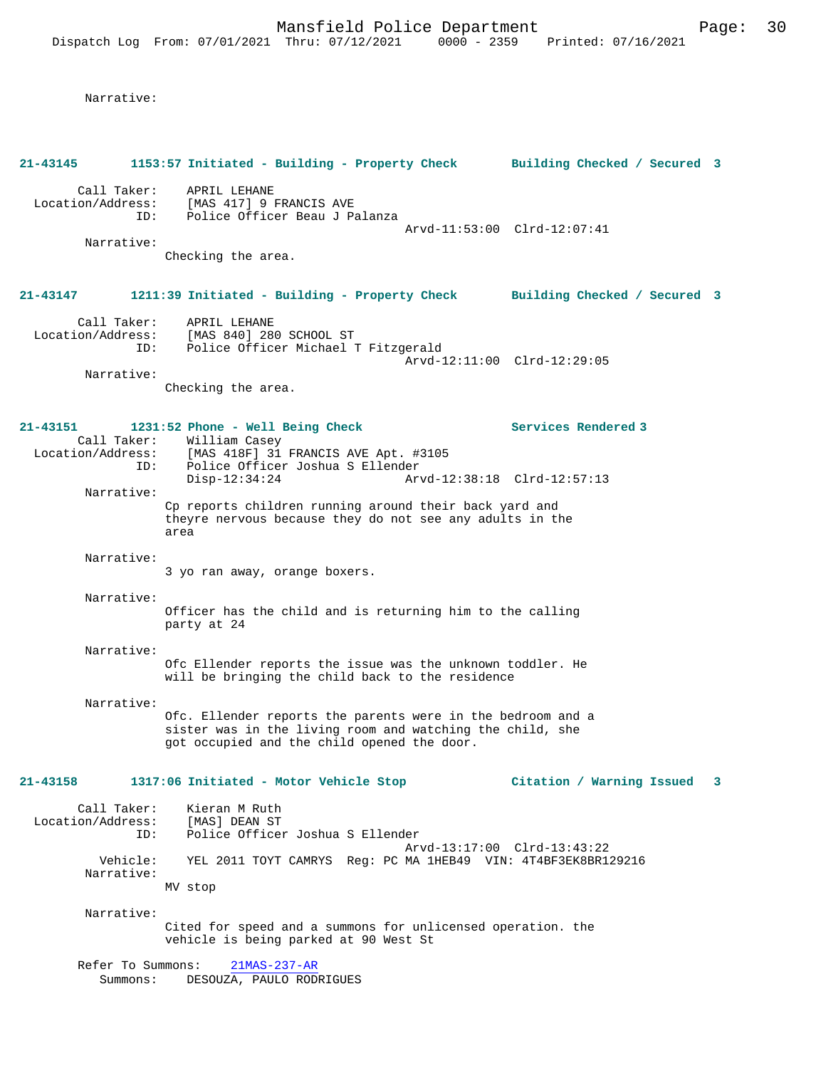Narrative:

**21-43145 1153:57 Initiated - Building - Property Check Building Checked / Secured 3** Call Taker: APRIL LEHANE Location/Address: [MAS 417] 9 FRANCIS AVE ID: Police Officer Beau J Palanza Arvd-11:53:00 Clrd-12:07:41 Narrative: Checking the area. **21-43147 1211:39 Initiated - Building - Property Check Building Checked / Secured 3** Call Taker: APRIL LEHANE Location/Address: [MAS 840] 280 SCHOOL ST ID: Police Officer Michael T Fitzgerald Arvd-12:11:00 Clrd-12:29:05 Narrative: Checking the area. **21-43151 1231:52 Phone - Well Being Check Services Rendered 3**  Call Taker: William Casey<br>Location/Address: [MAS 418F] 31 [MAS 418F] 31 FRANCIS AVE Apt. #3105 ID: Police Officer Joshua S Ellender<br>Disp-12:34:24 Arv Disp-12:34:24 Arvd-12:38:18 Clrd-12:57:13 Narrative: Cp reports children running around their back yard and theyre nervous because they do not see any adults in the area Narrative: 3 yo ran away, orange boxers. Narrative: Officer has the child and is returning him to the calling party at 24 Narrative: Ofc Ellender reports the issue was the unknown toddler. He will be bringing the child back to the residence Narrative: Ofc. Ellender reports the parents were in the bedroom and a sister was in the living room and watching the child, she got occupied and the child opened the door. **21-43158 1317:06 Initiated - Motor Vehicle Stop Citation / Warning Issued 3** Call Taker: Kieran M Ruth Location/Address: [MAS] DEAN ST<br>TD: Police Office Police Officer Joshua S Ellender Arvd-13:17:00 Clrd-13:43:22 Vehicle: YEL 2011 TOYT CAMRYS Reg: PC MA 1HEB49 VIN: 4T4BF3EK8BR129216 Narrative: MV stop Narrative: Cited for speed and a summons for unlicensed operation. the vehicle is being parked at 90 West St Refer To Summons: 21MAS-237-AR Summons: DESOUZA, PAULO RODRIGUES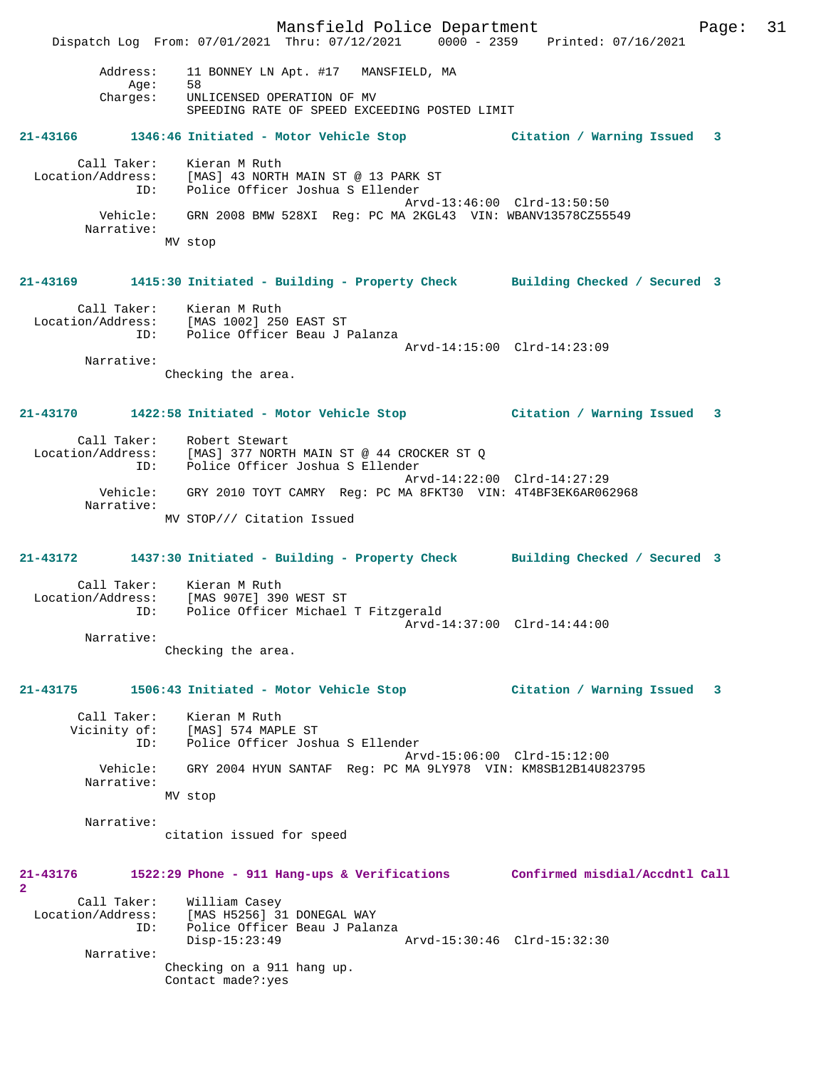Mansfield Police Department Page: 31 Dispatch Log From: 07/01/2021 Thru: 07/12/2021 0000 - 2359 Printed: 07/16/2021 Address: 11 BONNEY LN Apt. #17 MANSFIELD, MA Age: 58 Charges: UNLICENSED OPERATION OF MV SPEEDING RATE OF SPEED EXCEEDING POSTED LIMIT **21-43166 1346:46 Initiated - Motor Vehicle Stop Citation / Warning Issued 3** Call Taker: Kieran M Ruth Location/Address: [MAS] 43 NORTH MAIN ST @ 13 PARK ST ID: Police Officer Joshua S Ellender Arvd-13:46:00 Clrd-13:50:50 Vehicle: GRN 2008 BMW 528XI Reg: PC MA 2KGL43 VIN: WBANV13578CZ55549 Narrative: MV stop **21-43169 1415:30 Initiated - Building - Property Check Building Checked / Secured 3** Call Taker: Kieran M Ruth Location/Address: [MAS 1002] 250 EAST ST ID: Police Officer Beau J Palanza Arvd-14:15:00 Clrd-14:23:09 Narrative: Checking the area. **21-43170 1422:58 Initiated - Motor Vehicle Stop Citation / Warning Issued 3** Call Taker: Robert Stewart Location/Address: [MAS] 377 NORTH MAIN ST @ 44 CROCKER ST Q ID: Police Officer Joshua S Ellender Arvd-14:22:00 Clrd-14:27:29 Vehicle: GRY 2010 TOYT CAMRY Reg: PC MA 8FKT30 VIN: 4T4BF3EK6AR062968 Narrative: MV STOP/// Citation Issued **21-43172 1437:30 Initiated - Building - Property Check Building Checked / Secured 3** Call Taker: Kieran M Ruth Location/Address: [MAS 907E] 390 WEST ST ID: Police Officer Michael T Fitzgerald Arvd-14:37:00 Clrd-14:44:00 Narrative: Checking the area. **21-43175 1506:43 Initiated - Motor Vehicle Stop Citation / Warning Issued 3** Call Taker: Kieran M Ruth Vicinity of: [MAS] 574 MAPLE ST ID: Police Officer Joshua S Ellender Arvd-15:06:00 Clrd-15:12:00<br>Vehicle: GRY 2004 HVIM SANTAE Reg: PC MA 9LV978 VIN: KM8SB12B14U83 GRY 2004 HYUN SANTAF Reg: PC MA 9LY978 VIN: KM8SB12B14U823795 Narrative: MV stop Narrative: citation issued for speed **21-43176 1522:29 Phone - 911 Hang-ups & Verifications Confirmed misdial/Accdntl Call 2**  Call Taker: William Casey Location/Address: [MAS H5256] 31 DONEGAL WAY ID: Police Officer Beau J Palanza Disp-15:23:49 Arvd-15:30:46 Clrd-15:32:30 Narrative: Checking on a 911 hang up. Contact made?:yes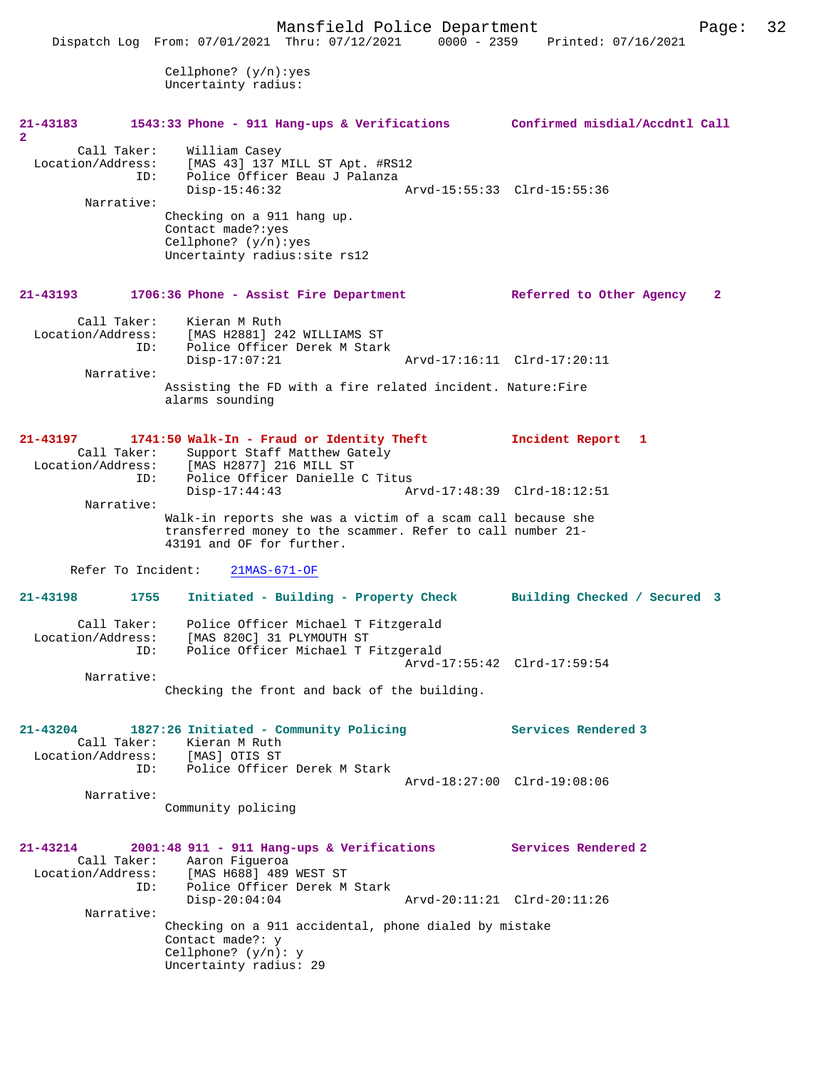Cellphone? (y/n):yes Uncertainty radius:

| 21-43183<br>$\overline{2}$                                                      | 1543:33 Phone - 911 Hang-ups & Verifications Confirmed misdial/Accdntl Call                                                                                                                                         |                                                    |
|---------------------------------------------------------------------------------|---------------------------------------------------------------------------------------------------------------------------------------------------------------------------------------------------------------------|----------------------------------------------------|
| Call Taker:<br>Location/Address:<br>ID:<br>Narrative:                           | William Casey<br>[MAS 43] 137 MILL ST Apt. #RS12<br>Police Officer Beau J Palanza<br>$Disp-15:46:32$<br>Checking on a 911 hang up.<br>Contact made?: yes<br>Cellphone? $(y/n):yes$<br>Uncertainty radius: site rs12 | Arvd-15:55:33 Clrd-15:55:36                        |
| 21-43193                                                                        | 1706:36 Phone - Assist Fire Department                                                                                                                                                                              | Referred to Other Agency<br>$\mathbf{2}$           |
| ID:<br>Narrative:                                                               | Call Taker: Kieran M Ruth<br>Location/Address: [MAS H2881] 242 WILLIAMS ST<br>Police Officer Derek M Stark<br>$Disp-17:07:21$<br>Assisting the FD with a fire related incident. Nature: Fire<br>alarms sounding     | Arvd-17:16:11 Clrd-17:20:11                        |
| Call Taker:<br>ID:                                                              | 21-43197 1741:50 Walk-In - Fraud or Identity Theft<br>Support Staff Matthew Gately<br>Location/Address: [MAS H2877] 216 MILL ST<br>Police Officer Danielle C Titus                                                  | Incident Report 1                                  |
| Narrative:                                                                      | Disp-17:44:43                                                                                                                                                                                                       | Arvd-17:48:39 Clrd-18:12:51                        |
| Refer To Incident:                                                              | Walk-in reports she was a victim of a scam call because she<br>transferred money to the scammer. Refer to call number 21-<br>43191 and OF for further.<br>$21MAS-671-OF$                                            |                                                    |
| 21-43198<br>1755                                                                | Initiated - Building - Property Check Building Checked / Secured 3                                                                                                                                                  |                                                    |
| ID:<br>Narrative:                                                               | Call Taker: Police Officer Michael T Fitzgerald<br>Location/Address: [MAS 820C] 31 PLYMOUTH ST<br>Police Officer Michael T Fitzgerald<br>Checking the front and back of the building.                               | Arvd-17:55:42 Clrd-17:59:54                        |
| 21-43204<br>Call Taker:<br>Location/Address: [MAS] OTIS ST<br>ID:<br>Narrative: | 1827:26 Initiated - Community Policing<br>Kieran M Ruth<br>Police Officer Derek M Stark                                                                                                                             | Services Rendered 3<br>Arvd-18:27:00 Clrd-19:08:06 |
|                                                                                 | Community policing                                                                                                                                                                                                  |                                                    |
| $21 - 43214$<br>Call Taker:<br>Location/Address:<br>ID:                         | $2001:48$ 911 - 911 Hang-ups & Verifications<br>Aaron Figueroa<br>[MAS H688] 489 WEST ST<br>Police Officer Derek M Stark<br>$Disp-20:04:04$                                                                         | Services Rendered 2<br>Arvd-20:11:21 Clrd-20:11:26 |
| Narrative:                                                                      | Checking on a 911 accidental, phone dialed by mistake<br>Contact made?: y<br>Cellphone? $(y/n): y$<br>Uncertainty radius: 29                                                                                        |                                                    |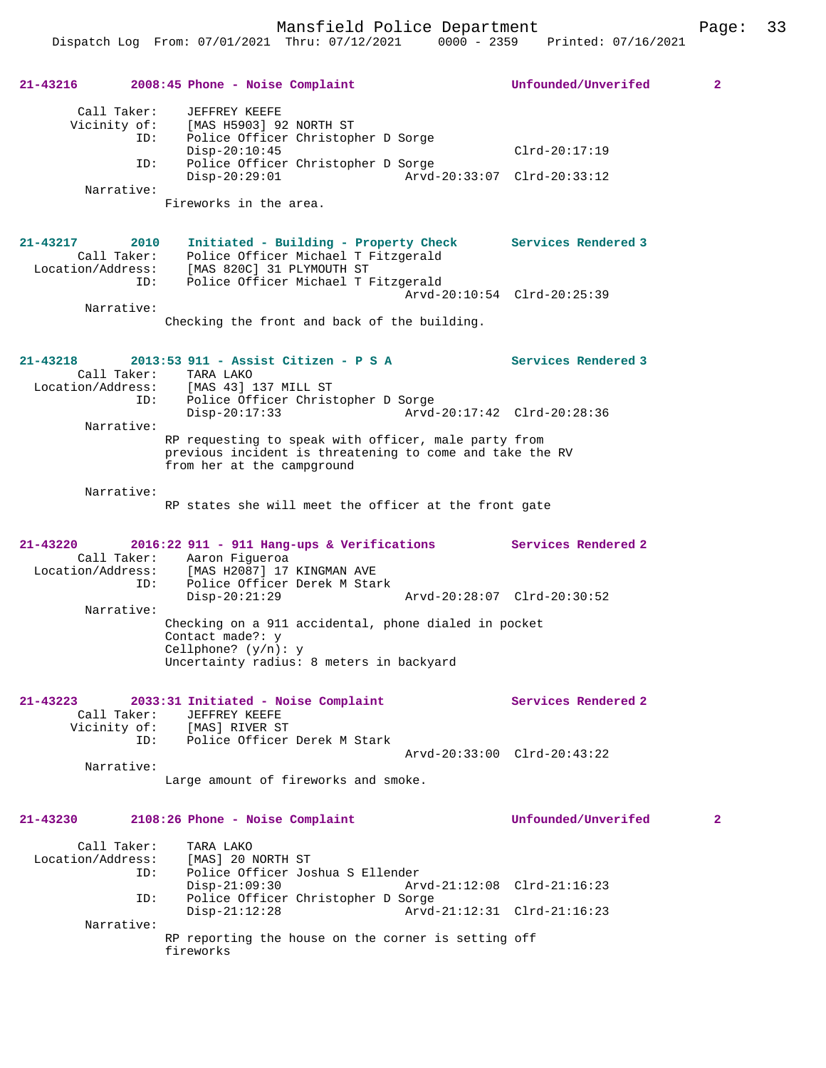Dispatch Log From: 07/01/2021 Thru: 07/12/2021 0000 - 2359 Printed: 07/16/2021 **21-43216 2008:45 Phone - Noise Complaint Unfounded/Unverifed 2** Call Taker: JEFFREY KEEFE Vicinity of: [MAS H5903] 92 NORTH ST ID: Police Officer Christopher D Sorge Disp-20:10:45 Clrd-20:17:19 ID: Police Officer Christopher D Sorge Disp-20:29:01 Arvd-20:33:07 Clrd-20:33:12 Narrative: Fireworks in the area. **21-43217 2010 Initiated - Building - Property Check Services Rendered 3**  Call Taker: Police Officer Michael T Fitzgerald Location/Address: [MAS 820C] 31 PLYMOUTH ST ID: Police Officer Michael T Fitzgerald Arvd-20:10:54 Clrd-20:25:39 Narrative: Checking the front and back of the building. **21-43218 2013:53 911 - Assist Citizen - P S A Services Rendered 3**  Call Taker: TARA LAKO<br>Location/Address: [MAS 43] Location/Address: [MAS 43] 137 MILL ST ID: Police Officer Christopher D Sorge Disp-20:17:33 Arvd-20:17:42 Clrd-20:28:36 Narrative: RP requesting to speak with officer, male party from previous incident is threatening to come and take the RV from her at the campground Narrative: RP states she will meet the officer at the front gate **21-43220 2016:22 911 - 911 Hang-ups & Verifications Services Rendered 2**  Call Taker: Aaron Figueroa<br>Location/Address: [MAS H2087] 17 Location/Address: [MAS H2087] 17 KINGMAN AVE ID: Police Officer Derek M Stark Disp-20:21:29 Arvd-20:28:07 Clrd-20:30:52 Narrative: Checking on a 911 accidental, phone dialed in pocket Contact made?: y Cellphone? (y/n): y Uncertainty radius: 8 meters in backyard **21-43223 2033:31 Initiated - Noise Complaint Services Rendered 2**  Call Taker: JEFFREY KEEFE Vicinity of: [MAS] RIVER ST ID: Police Officer Derek M Stark Arvd-20:33:00 Clrd-20:43:22 Narrative: Large amount of fireworks and smoke. **21-43230 2108:26 Phone - Noise Complaint Unfounded/Unverifed 2** Call Taker: TARA LAKO Location/Address: [MAS] 20 NORTH ST ID: Police Officer Joshua S Ellender Arvd-21:12:08 Clrd-21:16:23 ID: Police Officer Christopher D Sorge Disp-21:12:28 Arvd-21:12:31 Clrd-21:16:23 Narrative: RP reporting the house on the corner is setting off fireworks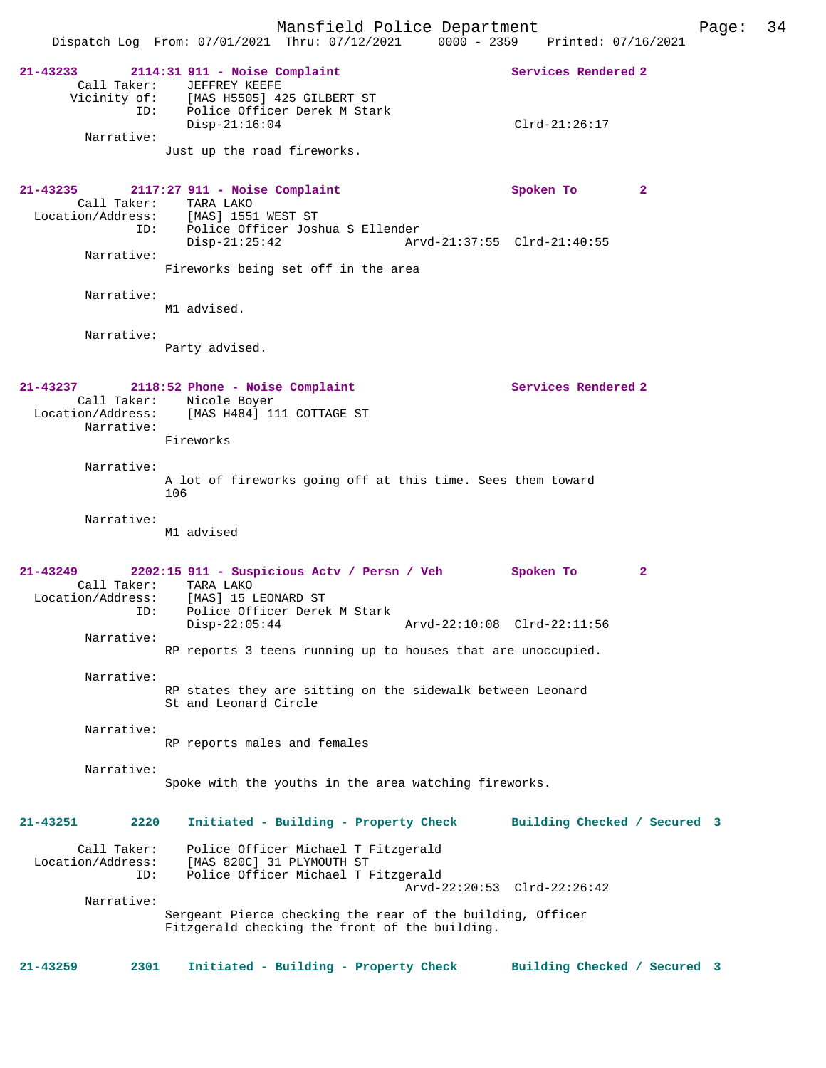| $21 - 43233$                            | 2114:31 911 - Noise Complaint<br>Call Taker: JEFFREY KEEFE<br>Vicinity of: [MAS H5505] 425 GILBERT ST<br>ID: Police Officer Derek M Stark | Services Rendered 2          |  |
|-----------------------------------------|-------------------------------------------------------------------------------------------------------------------------------------------|------------------------------|--|
| Narrative:                              | $Disp-21:16:04$                                                                                                                           | $Clrd-21:26:17$              |  |
|                                         | Just up the road fireworks.                                                                                                               |                              |  |
| $21 - 43235$                            | $2117:27$ 911 - Noise Complaint<br>Call Taker: TARA LAKO<br>Location/Address: [MAS] 1551 WEST ST                                          | Spoken To<br>2               |  |
| Narrative:                              | ID: Police Officer Joshua S Ellender<br>$Disp-21:25:42$<br>Arvd-21:37:55 Clrd-21:40:55                                                    |                              |  |
|                                         | Fireworks being set off in the area                                                                                                       |                              |  |
| Narrative:                              | M1 advised.                                                                                                                               |                              |  |
| Narrative:                              | Party advised.                                                                                                                            |                              |  |
| $21 - 43237$                            | 2118:52 Phone - Noise Complaint<br>Call Taker: Nicole Boyer                                                                               | Services Rendered 2          |  |
| Narrative:                              | Location/Address: [MAS H484] 111 COTTAGE ST<br>Fireworks                                                                                  |                              |  |
| Narrative:                              |                                                                                                                                           |                              |  |
|                                         | A lot of fireworks going off at this time. Sees them toward<br>106                                                                        |                              |  |
| Narrative:                              | M1 advised                                                                                                                                |                              |  |
| $21 - 43249$                            | 2202:15 911 - Suspicious Actv / Persn / Veh Spoken To<br>Call Taker: TARA LAKO                                                            | $\mathbf{2}$                 |  |
| ID:                                     | Location/Address: [MAS] 15 LEONARD ST<br>Police Officer Derek M Stark                                                                     |                              |  |
| Narrative:                              | $Disp-22:05:44$<br>Arvd-22:10:08 Clrd-22:11:56<br>RP reports 3 teens running up to houses that are unoccupied.                            |                              |  |
| Narrative:                              | RP states they are sitting on the sidewalk between Leonard                                                                                |                              |  |
| Narrative:                              | St and Leonard Circle                                                                                                                     |                              |  |
|                                         | RP reports males and females                                                                                                              |                              |  |
| Narrative:                              | Spoke with the youths in the area watching fireworks.                                                                                     |                              |  |
| 21-43251<br>2220                        | Initiated - Building - Property Check                                                                                                     | Building Checked / Secured 3 |  |
| Call Taker:<br>Location/Address:<br>ID: | Police Officer Michael T Fitzgerald<br>[MAS 820C] 31 PLYMOUTH ST<br>Police Officer Michael T Fitzgerald                                   |                              |  |
| Narrative:                              | Arvd-22:20:53 Clrd-22:26:42                                                                                                               |                              |  |
|                                         | Sergeant Pierce checking the rear of the building, Officer<br>Fitzgerald checking the front of the building.                              |                              |  |
| $21 - 43259$<br>2301                    | Initiated - Building - Property Check                                                                                                     | Building Checked / Secured 3 |  |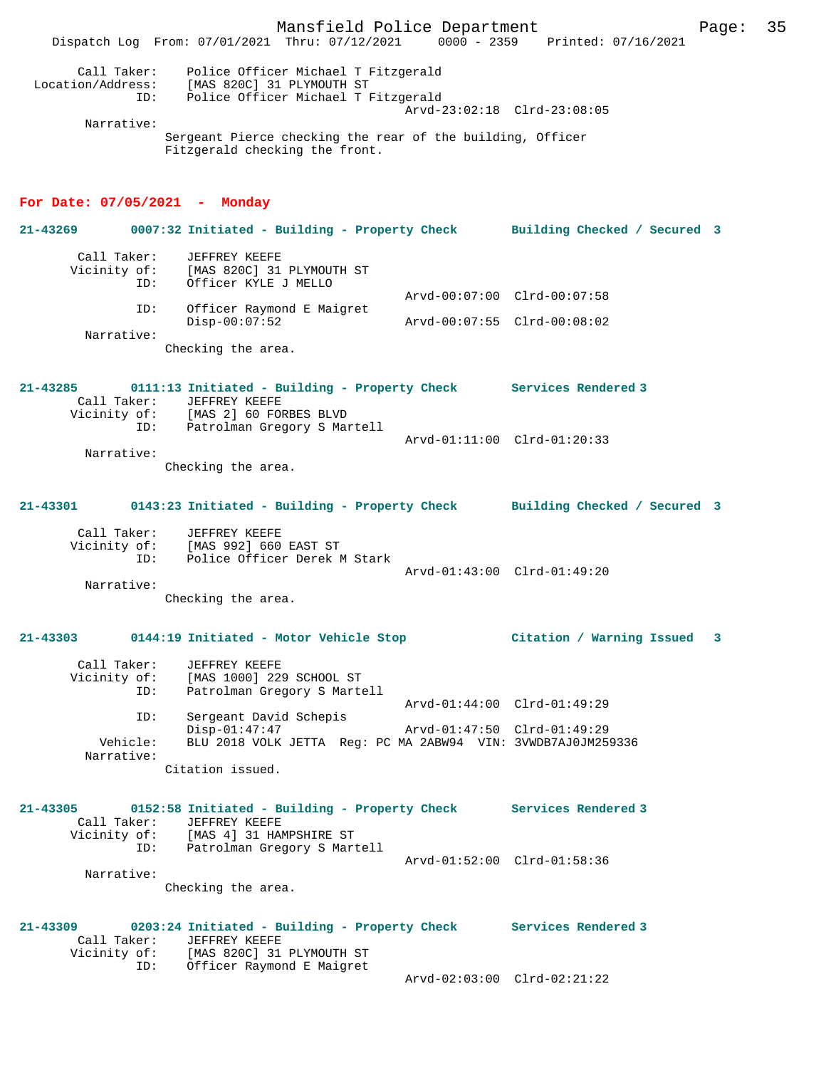Mansfield Police Department Page: 35 Dispatch Log From: 07/01/2021 Thru: 07/12/2021 0000 - 2359 Printed: 07/16/2021 Call Taker: Police Officer Michael T Fitzgerald Location/Address: [MAS 820C] 31 PLYMOUTH ST ID: Police Officer Michael T Fitzgerald Arvd-23:02:18 Clrd-23:08:05 Narrative: Sergeant Pierce checking the rear of the building, Officer Fitzgerald checking the front. **For Date: 07/05/2021 - Monday 21-43269 0007:32 Initiated - Building - Property Check Building Checked / Secured 3** Call Taker: JEFFREY KEEFE<br>Vicinity of: [MAS 820C] 31 [MAS 820C] 31 PLYMOUTH ST ID: Officer KYLE J MELLO Arvd-00:07:00 Clrd-00:07:58<br>ID: Officer Raymond E Maigret Officer Raymond E Maigret<br>Disp-00:07:52 Disp-00:07:52 Arvd-00:07:55 Clrd-00:08:02 Narrative: Checking the area. **21-43285 0111:13 Initiated - Building - Property Check Services Rendered 3**  Call Taker: JEFFREY KEEFE<br>Vicinity of: [MAS 2] 60 FOI Vicinity of: [MAS 2] 60 FORBES BLVD ID: Patrolman Gregory S Martell Arvd-01:11:00 Clrd-01:20:33 Narrative: Checking the area. **21-43301 0143:23 Initiated - Building - Property Check Building Checked / Secured 3** Call Taker: JEFFREY KEEFE Vicinity of: [MAS 992] 660 EAST ST ID: Police Officer Derek M Stark Arvd-01:43:00 Clrd-01:49:20 Narrative: Checking the area. **21-43303 0144:19 Initiated - Motor Vehicle Stop Citation / Warning Issued 3** Call Taker: JEFFREY KEEFE<br>Vicinity of: [MAS 1000] 229 of: [MAS 1000] 229 SCHOOL ST<br>ID: Patrolman Gregory S Marte Patrolman Gregory S Martell Arvd-01:44:00 Clrd-01:49:29 ID: Sergeant David Schepis Disp-01:47:47 Arvd-01:47:50 Clrd-01:49:29<br>Vehicle: BLU 2018 VOLK JETTA Reg: PC MA 2ARW94 VIN: 3VWDB7AJ0JM25 Vehicle: BLU 2018 VOLK JETTA Reg: PC MA 2ABW94 VIN: 3VWDB7AJ0JM259336 Narrative: Citation issued. **21-43305 0152:58 Initiated - Building - Property Check Services Rendered 3**  Call Taker: JEFFREY KEEFE<br>Vicinity of: [MAS 4] 31 HAM Vicinity of: [MAS 4] 31 HAMPSHIRE ST ID: Patrolman Gregory S Martell Arvd-01:52:00 Clrd-01:58:36 Narrative: Checking the area.

**21-43309 0203:24 Initiated - Building - Property Check Services Rendered 3**  Call Taker: JEFFREY KEEFE Vicinity of: [MAS 820C] 31 PLYMOUTH ST ID: Officer Raymond E Maigret Arvd-02:03:00 Clrd-02:21:22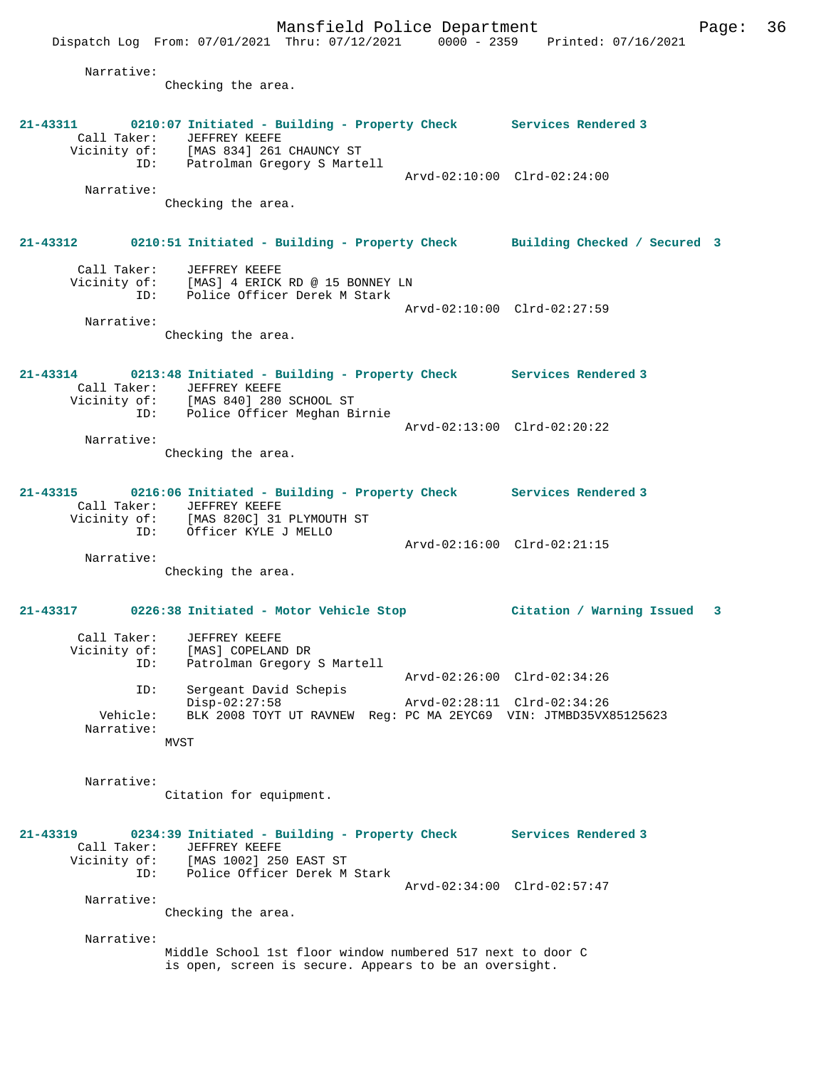Mansfield Police Department Page: 36 Dispatch Log From: 07/01/2021 Thru: 07/12/2021 0000 - 2359 Printed: 07/16/2021 Narrative: Checking the area. **21-43311 0210:07 Initiated - Building - Property Check Services Rendered 3**  Call Taker: JEFFREY KEEFE Vicinity of: [MAS 834] 261 CHAUNCY ST ID: Patrolman Gregory S Martell Arvd-02:10:00 Clrd-02:24:00 Narrative: Checking the area. **21-43312 0210:51 Initiated - Building - Property Check Building Checked / Secured 3** Call Taker: JEFFREY KEEFE Vicinity of: [MAS] 4 ERICK RD @ 15 BONNEY LN ID: Police Officer Derek M Stark Arvd-02:10:00 Clrd-02:27:59 Narrative: Checking the area. **21-43314 0213:48 Initiated - Building - Property Check Services Rendered 3**  Call Taker: JEFFREY KEEFE Vicinity of: [MAS 840] 280 SCHOOL ST ID: Police Officer Meghan Birnie Arvd-02:13:00 Clrd-02:20:22 Narrative: Checking the area. **21-43315 0216:06 Initiated - Building - Property Check Services Rendered 3**  Call Taker: JEFFREY KEEFE Vicinity of: [MAS 820C] 31 PLYMOUTH ST ID: Officer KYLE J MELLO Arvd-02:16:00 Clrd-02:21:15 Narrative: Checking the area. **21-43317 0226:38 Initiated - Motor Vehicle Stop Citation / Warning Issued 3** Call Taker: JEFFREY KEEFE Vicinity of: [MAS] COPELAND DR ID: Patrolman Gregory S Martell Arvd-02:26:00 Clrd-02:34:26 ID: Sergeant David Schepis Disp-02:27:58 Arvd-02:28:11 Clrd-02:34:26 Vehicle: BLK 2008 TOYT UT RAVNEW Reg: PC MA 2EYC69 VIN: JTMBD35VX85125623 Narrative: **MVST**  Narrative: Citation for equipment. **21-43319 0234:39 Initiated - Building - Property Check Services Rendered 3**  Call Taker: JEFFREY KEEFE Vicinity of: [MAS 1002] 250 EAST ST ID: Police Officer Derek M Stark Arvd-02:34:00 Clrd-02:57:47 Narrative: Checking the area. Narrative: Middle School 1st floor window numbered 517 next to door C is open, screen is secure. Appears to be an oversight.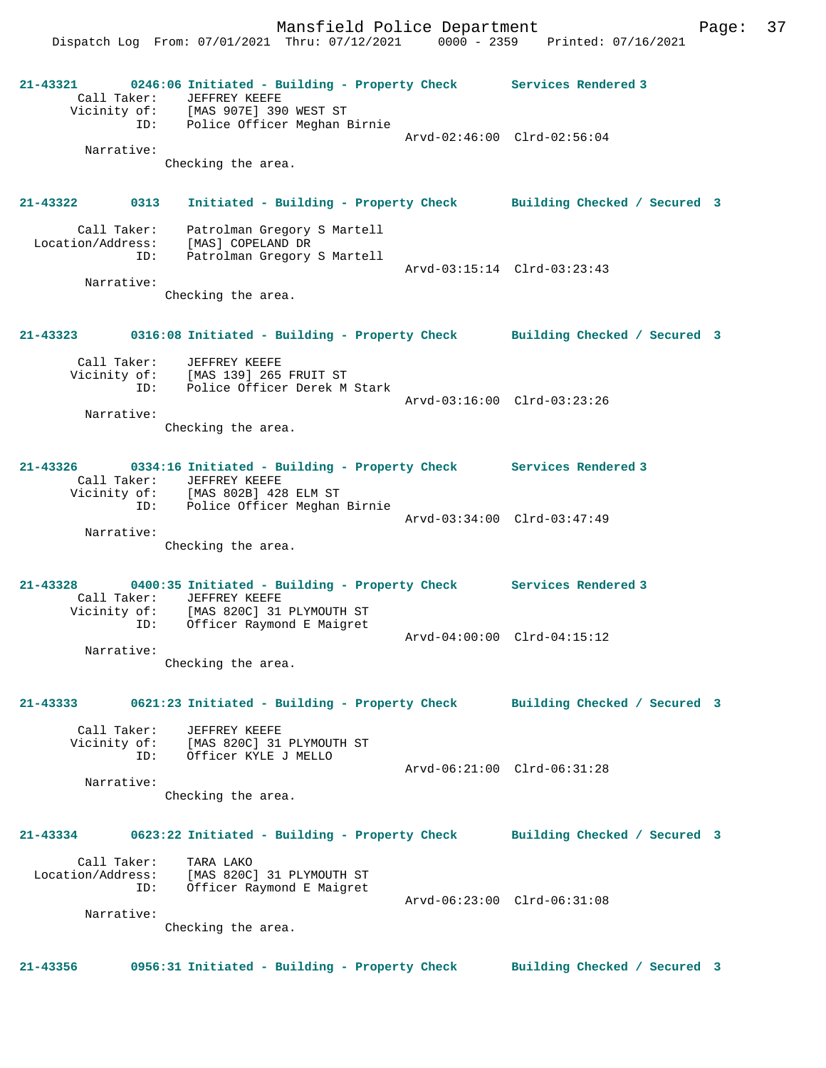Dispatch Log From: 07/01/2021 Thru: 07/12/2021 0000 - 2359 Printed: 07/16/2021 **21-43321 0246:06 Initiated - Building - Property Check Services Rendered 3**  Call Taker: JEFFREY KEEFE Vicinity of: [MAS 907E] 390 WEST ST ID: Police Officer Meghan Birnie Arvd-02:46:00 Clrd-02:56:04 Narrative: Checking the area. **21-43322 0313 Initiated - Building - Property Check Building Checked / Secured 3** Call Taker: Patrolman Gregory S Martell Location/Address: [MAS] COPELAND DR ID: Patrolman Gregory S Martell Arvd-03:15:14 Clrd-03:23:43 Narrative: Checking the area. **21-43323 0316:08 Initiated - Building - Property Check Building Checked / Secured 3** Call Taker: JEFFREY KEEFE Vicinity of: [MAS 139] 265 FRUIT ST ID: Police Officer Derek M Stark Arvd-03:16:00 Clrd-03:23:26 Narrative: Checking the area. **21-43326 0334:16 Initiated - Building - Property Check Services Rendered 3**  Call Taker: JEFFREY KEEFE Vicinity of: [MAS 802B] 428 ELM ST ID: Police Officer Meghan Birnie Arvd-03:34:00 Clrd-03:47:49 Narrative: Checking the area. **21-43328 0400:35 Initiated - Building - Property Check Services Rendered 3**  Call Taker: JEFFREY KEEFE Vicinity of: [MAS 820C] 31 PLYMOUTH ST ID: Officer Raymond E Maigret Arvd-04:00:00 Clrd-04:15:12 Narrative: Checking the area. **21-43333 0621:23 Initiated - Building - Property Check Building Checked / Secured 3** Call Taker: JEFFREY KEEFE Vicinity of: [MAS 820C] 31 PLYMOUTH ST ID: Officer KYLE J MELLO Arvd-06:21:00 Clrd-06:31:28 Narrative: Checking the area. **21-43334 0623:22 Initiated - Building - Property Check Building Checked / Secured 3** Call Taker: TARA LAKO Location/Address: [MAS 820C] 31 PLYMOUTH ST ID: Officer Raymond E Maigret Arvd-06:23:00 Clrd-06:31:08 Narrative: Checking the area. **21-43356 0956:31 Initiated - Building - Property Check Building Checked / Secured 3**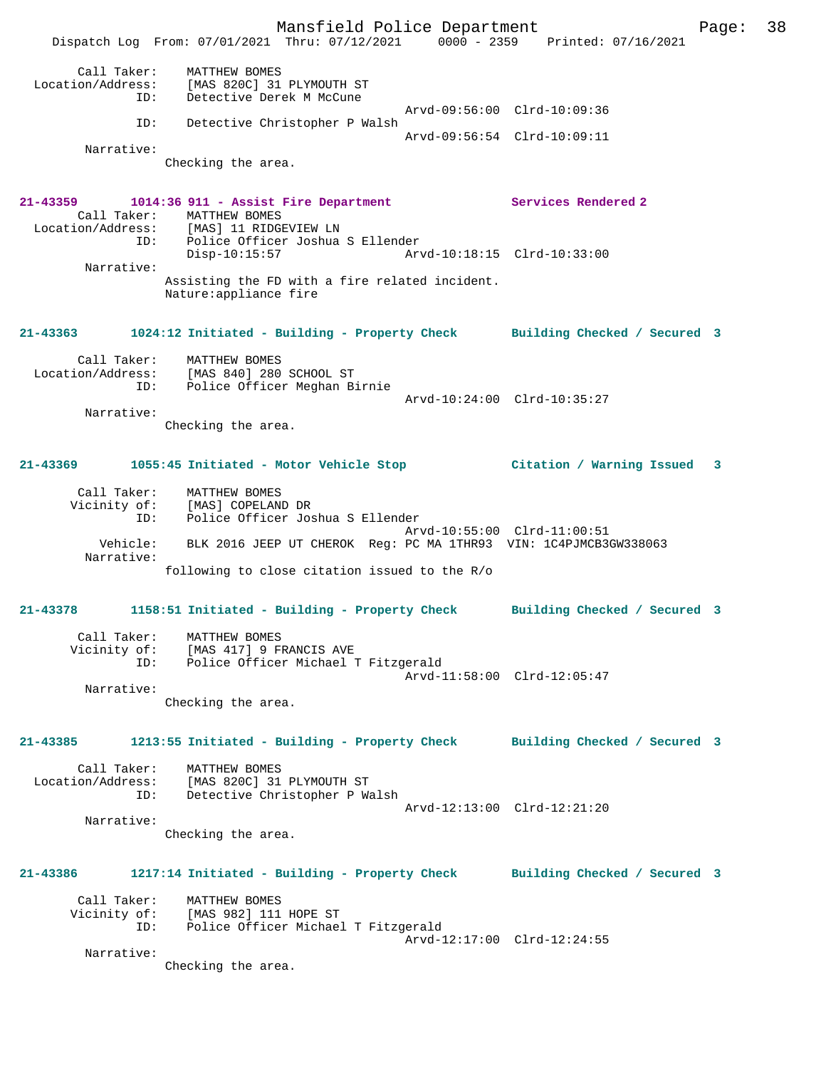Mansfield Police Department Page: 38 Dispatch Log From: 07/01/2021 Thru: 07/12/2021 0000 - 2359 Printed: 07/16/2021 Call Taker: MATTHEW BOMES Location/Address: [MAS 820C] 31 PLYMOUTH ST ID: Detective Derek M McCune Arvd-09:56:00 Clrd-10:09:36 ID: Detective Christopher P Walsh Arvd-09:56:54 Clrd-10:09:11 Narrative: Checking the area. **21-43359 1014:36 911 - Assist Fire Department Services Rendered 2**  Call Taker: MATTHEW BOMES<br>Location/Address: [MAS] 11 RIDGE Location/Address: [MAS] 11 RIDGEVIEW LN ID: Police Officer Joshua S Ellender Disp-10:15:57 Arvd-10:18:15 Clrd-10:33:00 Narrative: Assisting the FD with a fire related incident. Nature:appliance fire **21-43363 1024:12 Initiated - Building - Property Check Building Checked / Secured 3** Call Taker: MATTHEW BOMES Location/Address: [MAS 840] 280 SCHOOL ST ID: Police Officer Meghan Birnie Arvd-10:24:00 Clrd-10:35:27 Narrative: Checking the area. **21-43369 1055:45 Initiated - Motor Vehicle Stop Citation / Warning Issued 3** Call Taker: MATTHEW BOMES Vicinity of: [MAS] COPELAND DR ID: Police Officer Joshua S Ellender Arvd-10:55:00 Clrd-11:00:51 Vehicle: BLK 2016 JEEP UT CHEROK Reg: PC MA 1THR93 VIN: 1C4PJMCB3GW338063 Narrative: following to close citation issued to the R/o **21-43378 1158:51 Initiated - Building - Property Check Building Checked / Secured 3** Call Taker: MATTHEW BOMES Vicinity of: [MAS 417] 9 FRANCIS AVE ID: Police Officer Michael T Fitzgerald Arvd-11:58:00 Clrd-12:05:47 Narrative: Checking the area. **21-43385 1213:55 Initiated - Building - Property Check Building Checked / Secured 3** Call Taker: MATTHEW BOMES Location/Address: [MAS 820C] 31 PLYMOUTH ST ID: Detective Christopher P Walsh Arvd-12:13:00 Clrd-12:21:20 Narrative: Checking the area. **21-43386 1217:14 Initiated - Building - Property Check Building Checked / Secured 3** Call Taker: MATTHEW BOMES Vicinity of: [MAS 982] 111 HOPE ST<br>ID: Police Officer Michael Police Officer Michael T Fitzgerald Arvd-12:17:00 Clrd-12:24:55 Narrative: Checking the area.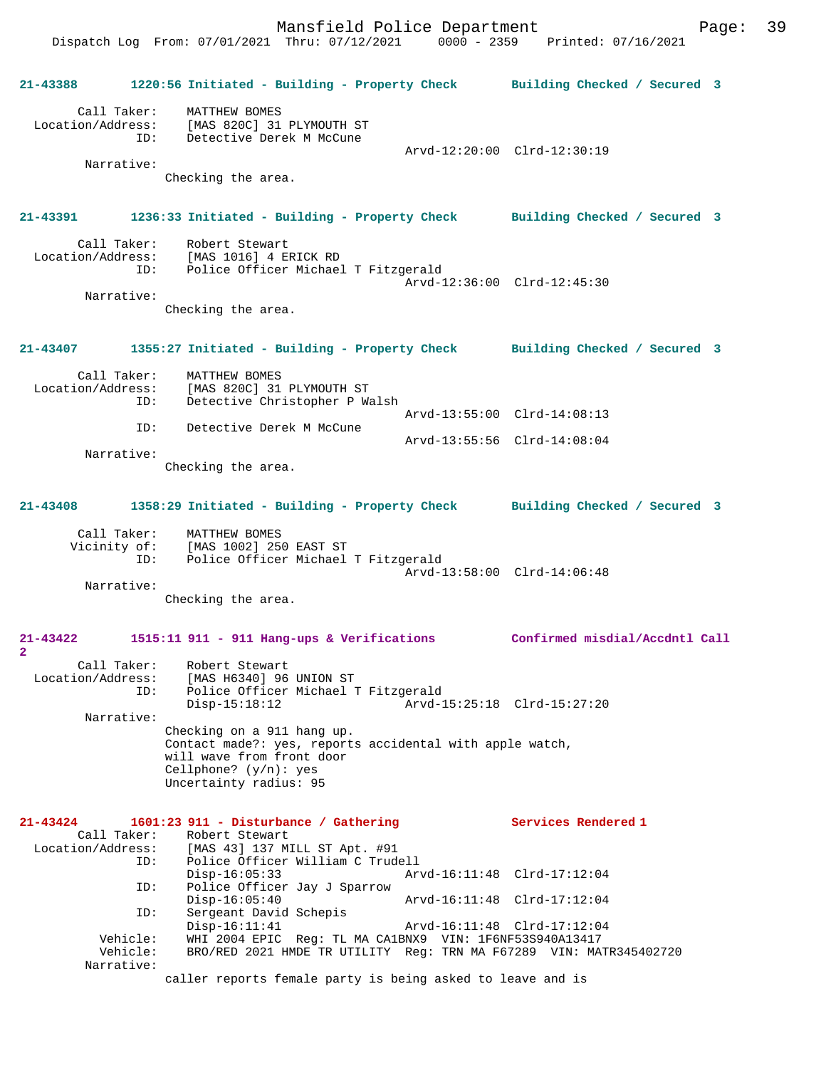**21-43388 1220:56 Initiated - Building - Property Check Building Checked / Secured 3** Call Taker: MATTHEW BOMES Location/Address: [MAS 820C] 31 PLYMOUTH ST ID: Detective Derek M McCune Arvd-12:20:00 Clrd-12:30:19 Narrative: Checking the area. **21-43391 1236:33 Initiated - Building - Property Check Building Checked / Secured 3** Call Taker: Robert Stewart Location/Address: [MAS 1016] 4 ERICK RD ID: Police Officer Michael T Fitzgerald Arvd-12:36:00 Clrd-12:45:30 Narrative: Checking the area. **21-43407 1355:27 Initiated - Building - Property Check Building Checked / Secured 3** Call Taker: MATTHEW BOMES Location/Address: [MAS 820C] 31 PLYMOUTH ST ID: Detective Christopher P Walsh Arvd-13:55:00 Clrd-14:08:13<br>TD: Detective Derek M McCune Detective Derek M McCune Arvd-13:55:56 Clrd-14:08:04 Narrative: Checking the area. **21-43408 1358:29 Initiated - Building - Property Check Building Checked / Secured 3** Call Taker: MATTHEW BOMES Vicinity of: [MAS 1002] 250 EAST ST ID: Police Officer Michael T Fitzgerald Arvd-13:58:00 Clrd-14:06:48 Narrative: Checking the area. **21-43422 1515:11 911 - 911 Hang-ups & Verifications Confirmed misdial/Accdntl Call 2**  Call Taker: Robert Stewart Location/Address: [MAS H6340] 96 UNION ST<br>ID: Police Officer Michael T ID: Police Officer Michael T Fitzgerald Disp-15:18:12 Arvd-15:25:18 Clrd-15:27:20 Narrative: Checking on a 911 hang up. Contact made?: yes, reports accidental with apple watch, will wave from front door Cellphone? (y/n): yes Uncertainty radius: 95 **21-43424 1601:23 911 - Disturbance / Gathering Services Rendered 1**  Call Taker: Robert Stewart<br>Location/Address: [MAS 43] 137 M: [MAS 43] 137 MILL ST Apt. #91 ID: Police Officer William C Trudell Disp-16:05:33 Arvd-16:11:48 Clrd-17:12:04 ID: Police Officer Jay J Sparrow Disp-16:05:40 Arvd-16:11:48 Clrd-17:12:04 ID: Sergeant David Schepis<br>Disp-16:11:41<br>Class Surre 2002 Disp-16:11:41 Arvd-16:11:48 Clrd-17:12:04<br>Vehicle: WHI 2004 EPIC Req: TL MA CA1BNX9 VIN: 1F6NF53S940A13417 Vehicle: WHI 2004 EPIC Reg: TL MA CA1BNX9 VIN: 1F6NF53S940A13417<br>Vehicle: BRO/RED 2021 HMDE TR UTILITY Reg: TRN MA F67289 VIN: MAT BRO/RED 2021 HMDE TR UTILITY Reg: TRN MA F67289 VIN: MATR345402720 Narrative: caller reports female party is being asked to leave and is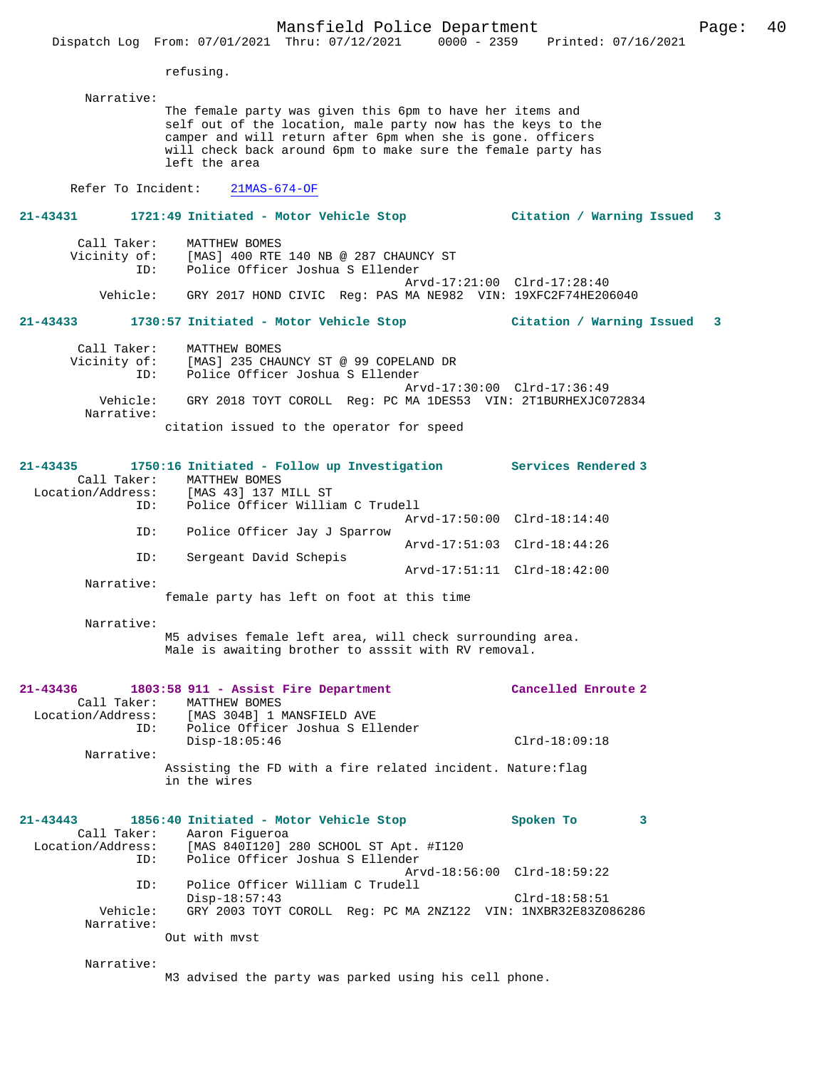refusing.

Narrative:

The female party was given this 6pm to have her items and self out of the location, male party now has the keys to the camper and will return after 6pm when she is gone. officers will check back around 6pm to make sure the female party has left the area

Refer To Incident: 21MAS-674-OF

# **21-43431 1721:49 Initiated - Motor Vehicle Stop Citation / Warning Issued 3**

| Call Taker:     | MATTHEW BOMES                                                                                                                   |
|-----------------|---------------------------------------------------------------------------------------------------------------------------------|
| Vicinity of:    | [MAS] 400 RTE 140 NB @ 287 CHAUNCY ST                                                                                           |
| TD:<br>Vehicle: | Police Officer Joshua S Ellender<br>Arvd-17:21:00 Clrd-17:28:40<br>GRY 2017 HOND CIVIC Req: PAS MA NE982 VIN: 19XFC2F74HE206040 |

#### **21-43433 1730:57 Initiated - Motor Vehicle Stop Citation / Warning Issued 3**

| Call Taker:<br>Vicinity of: | MATTHEW BOMES<br>[MAS] 235 CHAUNCY ST @ 99 COPELAND DR        |
|-----------------------------|---------------------------------------------------------------|
| ID:                         | Police Officer Joshua S Ellender                              |
|                             | Arvd-17:30:00 Clrd-17:36:49                                   |
| Vehicle:<br>Narrative:      | GRY 2018 TOYT COROLL Req: PC MA 1DES53 VIN: 2T1BURHEXJC072834 |
|                             | citation issued to the operator for speed                     |

| $21 - 43435$      |             | 1750:16 Initiated - Follow up Investigation                                                                                                                                                                                    | Services Rendered 3         |  |
|-------------------|-------------|--------------------------------------------------------------------------------------------------------------------------------------------------------------------------------------------------------------------------------|-----------------------------|--|
|                   | Call Taker: | MATTHEW BOMES                                                                                                                                                                                                                  |                             |  |
| Location/Address: |             | [MAS 43] 137 MILL ST                                                                                                                                                                                                           |                             |  |
|                   | ID:         | Police Officer William C Trudell                                                                                                                                                                                               |                             |  |
|                   |             |                                                                                                                                                                                                                                | Arvd-17:50:00 Clrd-18:14:40 |  |
|                   | ID:         | Police Officer Jay J Sparrow                                                                                                                                                                                                   |                             |  |
|                   |             |                                                                                                                                                                                                                                | Arvd-17:51:03 Clrd-18:44:26 |  |
|                   | ID:         | Sergeant David Schepis                                                                                                                                                                                                         |                             |  |
|                   |             |                                                                                                                                                                                                                                | Arvd-17:51:11 Clrd-18:42:00 |  |
|                   | Narrative:  |                                                                                                                                                                                                                                |                             |  |
|                   |             | Constantinoples to a the Constant Constantinople of the Constantinople of the Constantinople of the Constantinople of the Constantinople of the Constantinople of the Constantinople of the Constantinople of the Constantinop |                             |  |

female party has left on foot at this time

Narrative:

M5 advises female left area, will check surrounding area. Male is awaiting brother to asssit with RV removal.

|                        | 21-43436 1803:58 911 - Assist Fire Department<br>Call Taker: MATTHEW BOMES<br>Location/Address: [MAS 304B] 1 MANSFIELD AVE<br>ID: Police Officer Joshua S Ellender | Cancelled Enroute 2         |
|------------------------|--------------------------------------------------------------------------------------------------------------------------------------------------------------------|-----------------------------|
|                        | $Disp-18:05:46$                                                                                                                                                    | $Clrd-18:09:18$             |
| Narrative:             |                                                                                                                                                                    |                             |
|                        | Assisting the FD with a fire related incident. Nature: flag<br>in the wires                                                                                        |                             |
|                        | 21-43443 1856:40 Initiated - Motor Vehicle Stop                                                                                                                    | Spoken To<br>3              |
|                        | Call Taker: Aaron Figueroa                                                                                                                                         |                             |
|                        | Location/Address: [MAS 840I120] 280 SCHOOL ST Apt. #I120<br>ID: Police Officer Joshua S Ellender                                                                   |                             |
|                        |                                                                                                                                                                    | Arvd-18:56:00 Clrd-18:59:22 |
| ID:                    | Police Officer William C Trudell                                                                                                                                   |                             |
|                        | $Disp-18:57:43$                                                                                                                                                    | $Clrd-18:58:51$             |
| Vehicle:<br>Narrative: | GRY 2003 TOYT COROLL Req: PC MA 2NZ122 VIN: 1NXBR32E83Z086286                                                                                                      |                             |
|                        | Out with myst                                                                                                                                                      |                             |

Narrative:

M3 advised the party was parked using his cell phone.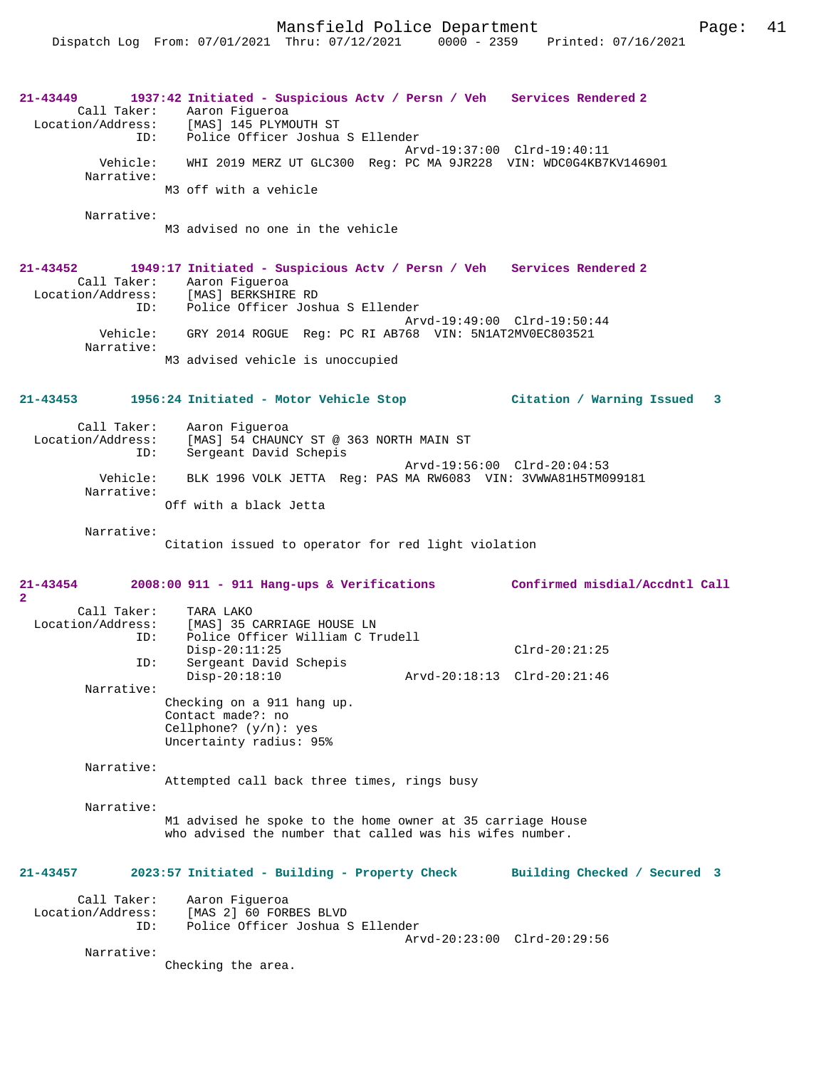## **21-43449 1937:42 Initiated - Suspicious Actv / Persn / Veh Services Rendered 2**  Call Taker: Aaron Figueroa<br>Location/Address: [MAS] 145 PLYM Location/Address: [MAS] 145 PLYMOUTH ST ID: Police Officer Joshua S Ellender Arvd-19:37:00 Clrd-19:40:11 Vehicle: WHI 2019 MERZ UT GLC300 Reg: PC MA 9JR228 VIN: WDC0G4KB7KV146901 Narrative: M3 off with a vehicle Narrative: M3 advised no one in the vehicle **21-43452 1949:17 Initiated - Suspicious Actv / Persn / Veh Services Rendered 2**

Call Taker: Aaron Figueroa<br>Location/Address: [MAS] BERKSHIRE [MAS] BERKSHIRE RD ID: Police Officer Joshua S Ellender Arvd-19:49:00 Clrd-19:50:44 Vehicle: GRY 2014 ROGUE Reg: PC RI AB768 VIN: 5N1AT2MV0EC803521 Narrative: M3 advised vehicle is unoccupied

**21-43453 1956:24 Initiated - Motor Vehicle Stop Citation / Warning Issued 3**

 Call Taker: Aaron Figueroa Location/Address: [MAS] 54 CHAUNCY ST @ 363 NORTH MAIN ST ID: Sergeant David Schepis Arvd-19:56:00 Clrd-20:04:53 Vehicle: BLK 1996 VOLK JETTA Reg: PAS MA RW6083 VIN: 3VWWA81H5TM099181 Narrative: Off with a black Jetta

Narrative:

Citation issued to operator for red light violation

**21-43454 2008:00 911 - 911 Hang-ups & Verifications Confirmed misdial/Accdntl Call 2**  Call Taker: TARA LAKO<br>Location/Address: [MAS] 35 ( ess: [MAS] 35 CARRIAGE HOUSE LN<br>TD: Police Officer William C Tr Police Officer William C Trudell Disp-20:11:25 Clrd-20:21:25 ID: Sergeant David Schepis Disp-20:18:10 Arvd-20:18:13 Clrd-20:21:46 Narrative: Checking on a 911 hang up. Contact made?: no Cellphone? (y/n): yes Uncertainty radius: 95% Narrative: Attempted call back three times, rings busy Narrative: M1 advised he spoke to the home owner at 35 carriage House who advised the number that called was his wifes number. **21-43457 2023:57 Initiated - Building - Property Check Building Checked / Secured 3** Call Taker: Aaron Figueroa<br>Location/Address: [MAS 2] 60 FOR ess: [MAS 2] 60 FORBES BLVD<br>ID: Police Officer Joshua ; Police Officer Joshua S Ellender

Arvd-20:23:00 Clrd-20:29:56

Narrative:

Checking the area.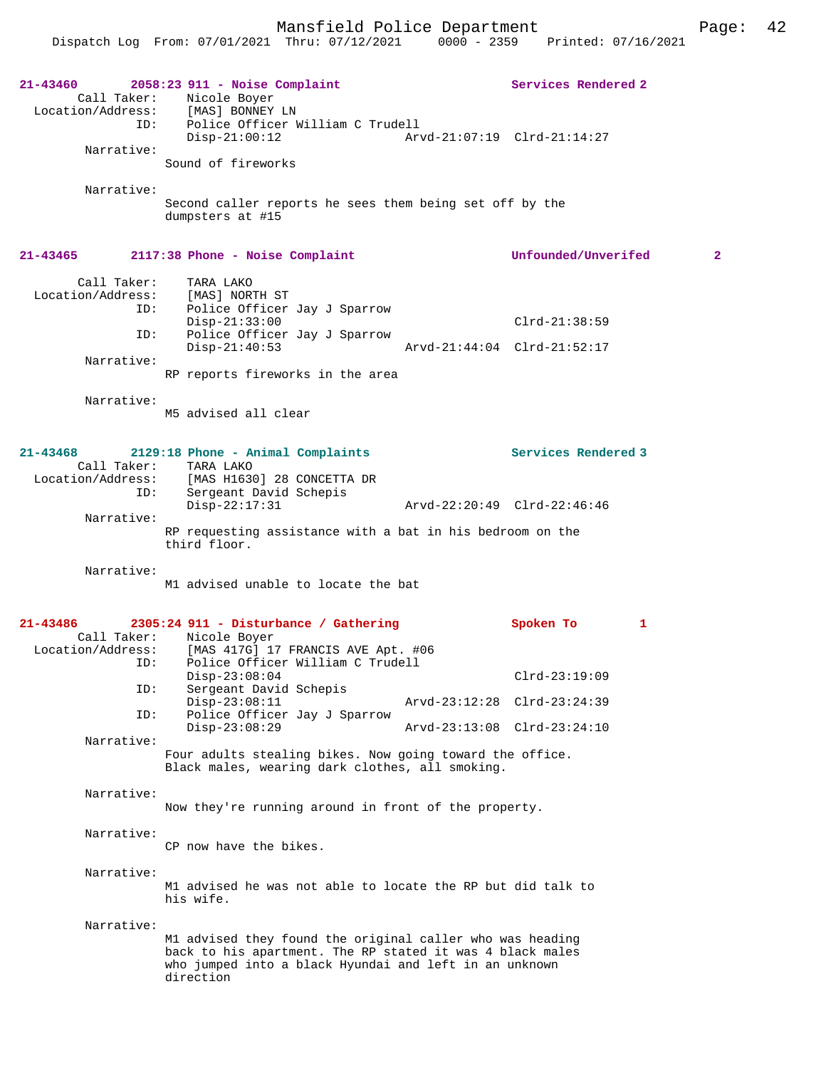| 21-43460<br>Call Taker:<br>ID:   | $2058:23$ 911 - Noise Complaint<br>Nicole Boyer<br>Location/Address: [MAS] BONNEY LN<br>Police Officer William C Trudell                                                                      | Services Rendered 2         |              |
|----------------------------------|-----------------------------------------------------------------------------------------------------------------------------------------------------------------------------------------------|-----------------------------|--------------|
| Narrative:                       | $Disp-21:00:12$                                                                                                                                                                               | Arvd-21:07:19 Clrd-21:14:27 |              |
| Narrative:                       | Sound of fireworks                                                                                                                                                                            |                             |              |
|                                  | Second caller reports he sees them being set off by the<br>dumpsters at #15                                                                                                                   |                             |              |
| $21 - 43465$                     | 2117:38 Phone - Noise Complaint                                                                                                                                                               | Unfounded/Unverifed         | $\mathbf{2}$ |
| Call Taker:<br>Location/Address: | TARA LAKO<br>[MAS] NORTH ST                                                                                                                                                                   |                             |              |
| ID:                              | Police Officer Jay J Sparrow                                                                                                                                                                  |                             |              |
| ID:                              | $Disp-21:33:00$<br>Police Officer Jay J Sparrow                                                                                                                                               | $Clrd-21:38:59$             |              |
| Narrative:                       | $Disp-21:40:53$                                                                                                                                                                               | Arvd-21:44:04 Clrd-21:52:17 |              |
|                                  | RP reports fireworks in the area                                                                                                                                                              |                             |              |
| Narrative:                       |                                                                                                                                                                                               |                             |              |
|                                  | M5 advised all clear                                                                                                                                                                          |                             |              |
| 21-43468                         | 2129:18 Phone - Animal Complaints                                                                                                                                                             | Services Rendered 3         |              |
|                                  | Call Taker: TARA LAKO<br>Location/Address: [MAS H1630] 28 CONCETTA DR                                                                                                                         |                             |              |
|                                  | ID:<br>Sergeant David Schepis                                                                                                                                                                 |                             |              |
| Narrative:                       | $Disp-22:17:31$                                                                                                                                                                               | Arvd-22:20:49 Clrd-22:46:46 |              |
|                                  | RP requesting assistance with a bat in his bedroom on the<br>third floor.                                                                                                                     |                             |              |
| Narrative:                       |                                                                                                                                                                                               |                             |              |
|                                  | M1 advised unable to locate the bat                                                                                                                                                           |                             |              |
| 21-43486                         | 2305:24 911 - Disturbance / Gathering                                                                                                                                                         | Spoken To                   | 1            |
| Call Taker:<br>Location/Address: | Nicole Boyer<br>[MAS 417G] 17 FRANCIS AVE Apt. #06                                                                                                                                            |                             |              |
| ID:                              | Police Officer William C Trudell                                                                                                                                                              |                             |              |
| ID:                              | $Disp-23:08:04$<br>Sergeant David Schepis                                                                                                                                                     | $Clrd-23:19:09$             |              |
| ID:                              | $Disp-23:08:11$<br>Police Officer Jay J Sparrow                                                                                                                                               | Arvd-23:12:28 Clrd-23:24:39 |              |
|                                  | $Disp-23:08:29$                                                                                                                                                                               | Arvd-23:13:08 Clrd-23:24:10 |              |
| Narrative:                       | Four adults stealing bikes. Now going toward the office.                                                                                                                                      |                             |              |
|                                  | Black males, wearing dark clothes, all smoking.                                                                                                                                               |                             |              |
| Narrative:                       | Now they're running around in front of the property.                                                                                                                                          |                             |              |
| Narrative:                       |                                                                                                                                                                                               |                             |              |
|                                  | CP now have the bikes.                                                                                                                                                                        |                             |              |
| Narrative:                       |                                                                                                                                                                                               |                             |              |
|                                  | M1 advised he was not able to locate the RP but did talk to<br>his wife.                                                                                                                      |                             |              |
| Narrative:                       |                                                                                                                                                                                               |                             |              |
|                                  | M1 advised they found the original caller who was heading<br>back to his apartment. The RP stated it was 4 black males<br>who jumped into a black Hyundai and left in an unknown<br>direction |                             |              |
|                                  |                                                                                                                                                                                               |                             |              |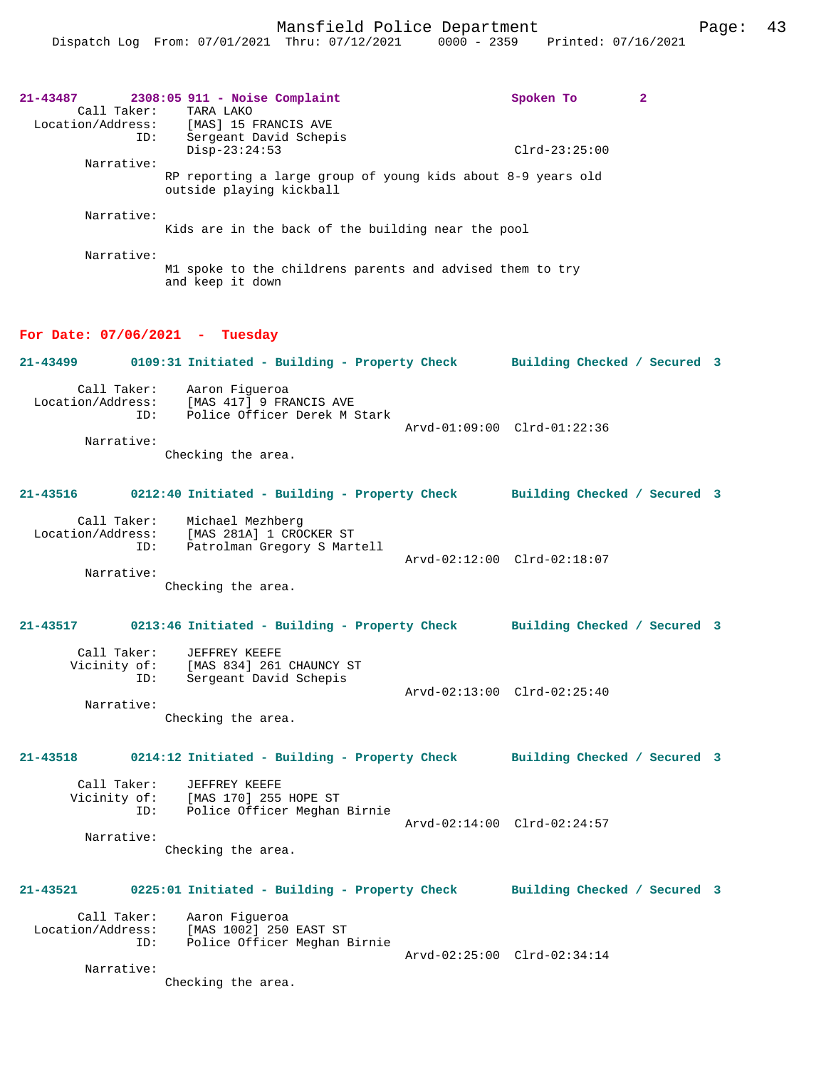| 21-43487<br>Call Taker:            | $2308:05$ 911 - Noise Complaint<br>TARA LAKO<br>Location/Address: [MAS] 15 FRANCIS AVE<br>ID: Sergeant David Schepis | Spoken To                   | $\mathbf{2}$ |
|------------------------------------|----------------------------------------------------------------------------------------------------------------------|-----------------------------|--------------|
| Narrative:                         | $Clrd-23:25:00$                                                                                                      |                             |              |
|                                    | RP reporting a large group of young kids about 8-9 years old<br>outside playing kickball                             |                             |              |
| Narrative:                         | Kids are in the back of the building near the pool                                                                   |                             |              |
| Narrative:                         | M1 spoke to the childrens parents and advised them to try<br>and keep it down                                        |                             |              |
| For Date: $07/06/2021$ - Tuesday   |                                                                                                                      |                             |              |
| 21-43499                           | 0109:31 Initiated - Building - Property Check Building Checked / Secured 3                                           |                             |              |
|                                    | Call Taker: Aaron Figueroa<br>Location/Address: [MAS 417] y radium<br>ID: Police Officer Derek M Stark               |                             |              |
| Narrative:                         | Checking the area.                                                                                                   | Arvd-01:09:00 Clrd-01:22:36 |              |
| 21-43516                           | 0212:40 Initiated - Building - Property Check Building Checked / Secured 3                                           |                             |              |
| Call Taker:<br>ID:                 | Michael Mezhberg<br>Location/Address: [MAS 281A] 1 CROCKER ST<br>Patrolman Gregory S Martell                         |                             |              |
| Narrative:                         | Checking the area.                                                                                                   | Arvd-02:12:00 Clrd-02:18:07 |              |
| 21-43517                           | 0213:46 Initiated - Building - Property Check Building Checked / Secured 3                                           |                             |              |
| Call Taker:<br>Vicinity of:<br>ID: | JEFFREY KEEFE<br>[MAS 834] 261 CHAUNCY ST<br>Sergeant David Schepis                                                  |                             |              |
| Narrative:                         | Checking the area.                                                                                                   | Arvd-02:13:00 Clrd-02:25:40 |              |
| $21 - 43518$                       | 0214:12 Initiated - Building - Property Check Building Checked / Secured 3                                           |                             |              |
| Call Taker:<br>Vicinity of:        | JEFFREY KEEFE<br>[MAS 170] 255 HOPE ST<br>ID: Police Officer Meghan Birnie                                           | Arvd-02:14:00 Clrd-02:24:57 |              |
| Narrative:                         | Checking the area.                                                                                                   |                             |              |
| 21-43521                           | 0225:01 Initiated - Building - Property Check Building Checked / Secured 3                                           |                             |              |
| Call Taker:<br>ID:                 | Aaron Fiqueroa<br>Location/Address: [MAS 1002] 250 EAST ST<br>Police Officer Meghan Birnie                           | Arvd-02:25:00 Clrd-02:34:14 |              |
| Narrative:                         | Checking the area.                                                                                                   |                             |              |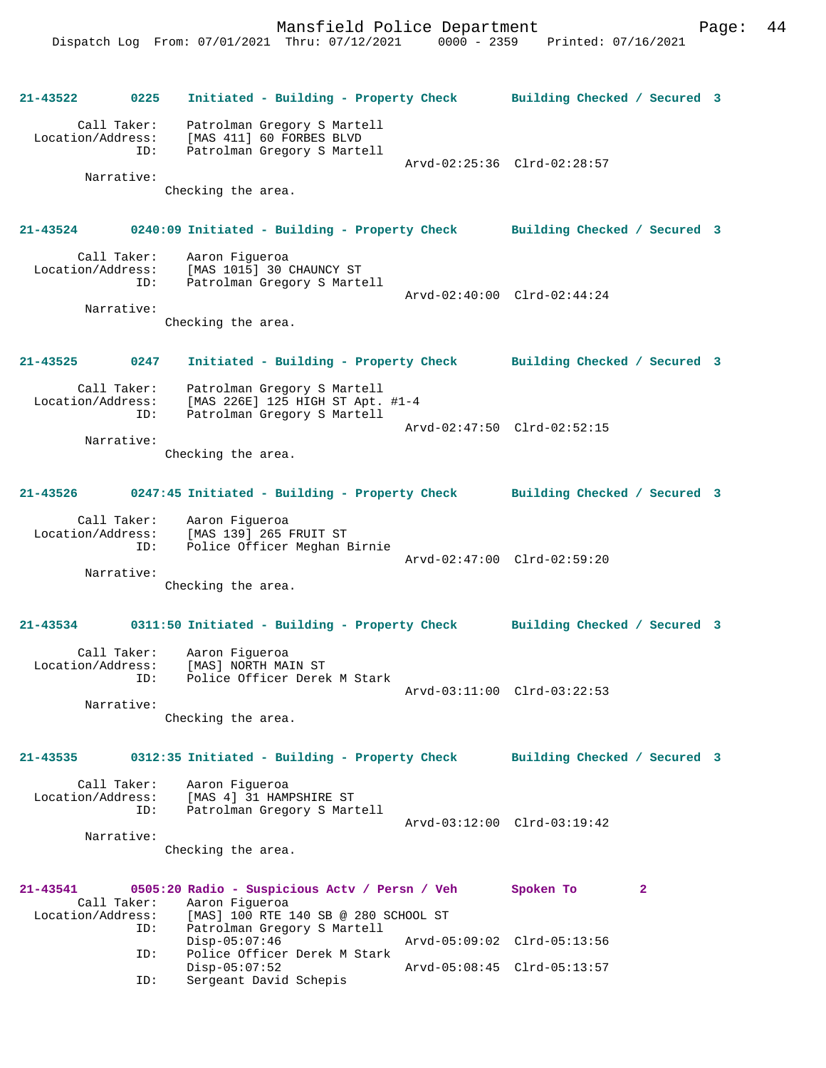**21-43522 0225 Initiated - Building - Property Check Building Checked / Secured 3** Call Taker: Patrolman Gregory S Martell Location/Address: [MAS 411] 60 FORBES BLVD Patrolman Gregory S Martell Arvd-02:25:36 Clrd-02:28:57 Narrative: Checking the area. **21-43524 0240:09 Initiated - Building - Property Check Building Checked / Secured 3** Call Taker: Aaron Figueroa<br>Location/Address: [MAS 1015] 30 0 [MAS 1015] 30 CHAUNCY ST ID: Patrolman Gregory S Martell Arvd-02:40:00 Clrd-02:44:24 Narrative: Checking the area. **21-43525 0247 Initiated - Building - Property Check Building Checked / Secured 3** Call Taker: Patrolman Gregory S Martell Location/Address: [MAS 226E] 125 HIGH ST Apt. #1-4 ID: Patrolman Gregory S Martell Arvd-02:47:50 Clrd-02:52:15 Narrative: Checking the area. **21-43526 0247:45 Initiated - Building - Property Check Building Checked / Secured 3** Call Taker: Aaron Figueroa Location/Address: [MAS 139] 265 FRUIT ST ID: Police Officer Meghan Birnie Arvd-02:47:00 Clrd-02:59:20 Narrative: Checking the area. **21-43534 0311:50 Initiated - Building - Property Check Building Checked / Secured 3** Call Taker: Aaron Figueroa Location/Address: [MAS] NORTH MAIN ST ID: Police Officer Derek M Stark Arvd-03:11:00 Clrd-03:22:53 Narrative: Checking the area. **21-43535 0312:35 Initiated - Building - Property Check Building Checked / Secured 3** Call Taker: Aaron Figueroa Location/Address: [MAS 4] 31 HAMPSHIRE ST ID: Patrolman Gregory S Martell Arvd-03:12:00 Clrd-03:19:42 Narrative: Checking the area. **21-43541 0505:20 Radio - Suspicious Actv / Persn / Veh Spoken To 2**  Call Taker: Aaron Figueroa<br>Location/Address: [MAS] 100 RTE [MAS] 100 RTE 140 SB @ 280 SCHOOL ST ID: Patrolman Gregory S Martell Disp-05:07:46 Arvd-05:09:02 Clrd-05:13:56 ID: Police Officer Derek M Stark Disp-05:07:52 <br>
Disp-05:07:52 <br>
Disperseant David Schepis Sergeant David Schepis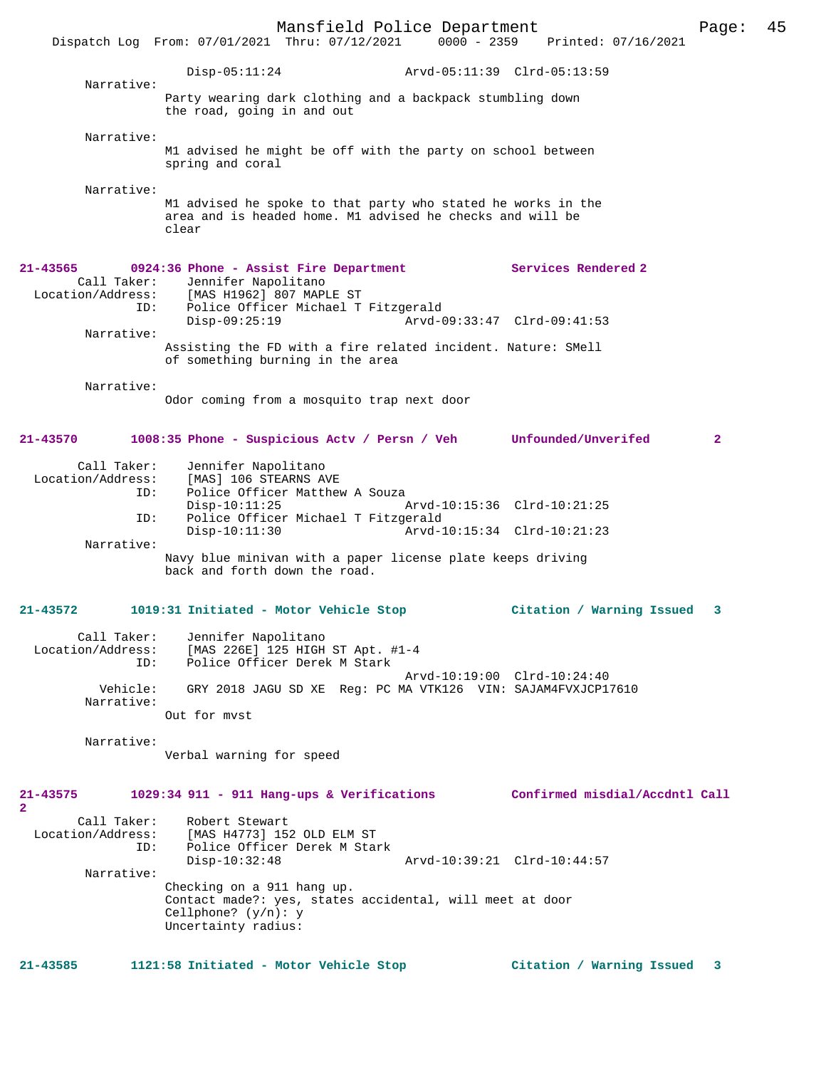Mansfield Police Department Page: 45 Dispatch Log From: 07/01/2021 Thru: 07/12/2021 Disp-05:11:24 Arvd-05:11:39 Clrd-05:13:59 Narrative: Party wearing dark clothing and a backpack stumbling down the road, going in and out Narrative: M1 advised he might be off with the party on school between spring and coral Narrative: M1 advised he spoke to that party who stated he works in the area and is headed home. M1 advised he checks and will be clear **21-43565 0924:36 Phone - Assist Fire Department Services Rendered 2**  Call Taker: Jennifer Napolitano Location/Address: [MAS H1962] 807 MAPLE ST Police Officer Michael T Fitzgerald<br>Disp-09:25:19 Arvd-0 Disp-09:25:19 Arvd-09:33:47 Clrd-09:41:53 Narrative: Assisting the FD with a fire related incident. Nature: SMell of something burning in the area Narrative: Odor coming from a mosquito trap next door **21-43570 1008:35 Phone - Suspicious Actv / Persn / Veh Unfounded/Unverifed 2** Call Taker: Jennifer Napolitano Location/Address: [MAS] 106 STEARNS AVE Police Officer Matthew A Souza<br>Disp-10:11:25 P Disp-10:11:25 Arvd-10:15:36 Clrd-10:21:25<br>TD: Police Officer Michael T Fitzgerald ID: Police Officer Michael T Fitzgerald Disp-10:11:30 Arvd-10:15:34 Clrd-10:21:23 Narrative: Navy blue minivan with a paper license plate keeps driving back and forth down the road. **21-43572 1019:31 Initiated - Motor Vehicle Stop Citation / Warning Issued 3** Call Taker: Jennifer Napolitano Location/Address: [MAS 226E] 125 HIGH ST Apt. #1-4 ID: Police Officer Derek M Stark Arvd-10:19:00 Clrd-10:24:40 Vehicle: GRY 2018 JAGU SD XE Reg: PC MA VTK126 VIN: SAJAM4FVXJCP17610 Narrative: Out for mvst Narrative: Verbal warning for speed **21-43575 1029:34 911 - 911 Hang-ups & Verifications Confirmed misdial/Accdntl Call 2**  Call Taker: Robert Stewart<br>Location/Address: [MAS H4773] 152 ess: [MAS H4773] 152 OLD ELM ST<br>ID: Police Officer Derek M Stai Police Officer Derek M Stark<br>Disp-10:32:48 Disp-10:32:48 Arvd-10:39:21 Clrd-10:44:57 Narrative: Checking on a 911 hang up. Contact made?: yes, states accidental, will meet at door Cellphone? (y/n): y Uncertainty radius: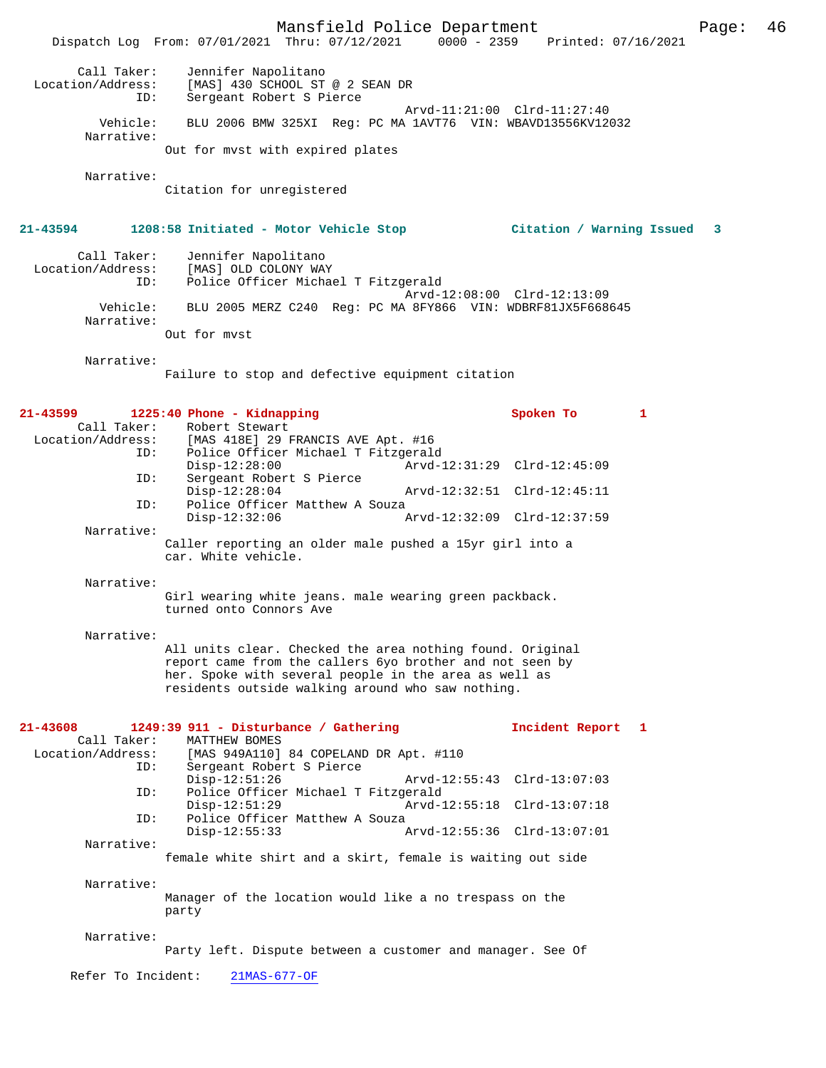|                                                     | Mansfield Police Department<br>Dispatch Log From: 07/01/2021 Thru: 07/12/2021 0000 - 2359 Printed: 07/16/2021                                                                                                                       |                             | Page: | 46 |
|-----------------------------------------------------|-------------------------------------------------------------------------------------------------------------------------------------------------------------------------------------------------------------------------------------|-----------------------------|-------|----|
| Call Taker:<br>Location/Address:<br>ID:             | Jennifer Napolitano<br>[MAS] 430 SCHOOL ST @ 2 SEAN DR<br>Sergeant Robert S Pierce                                                                                                                                                  |                             |       |    |
| Vehicle:<br>Narrative:                              | BLU 2006 BMW 325XI Reg: PC MA 1AVT76 VIN: WBAVD13556KV12032                                                                                                                                                                         | Arvd-11:21:00 Clrd-11:27:40 |       |    |
|                                                     | Out for myst with expired plates                                                                                                                                                                                                    |                             |       |    |
| Narrative:                                          | Citation for unregistered                                                                                                                                                                                                           |                             |       |    |
| 21-43594                                            | 1208:58 Initiated - Motor Vehicle Stop                                                                                                                                                                                              | Citation / Warning Issued   | 3     |    |
| Call Taker:<br>ID:                                  | Jennifer Napolitano<br>Location/Address: [MAS] OLD COLONY WAY<br>Police Officer Michael T Fitzgerald                                                                                                                                | Arvd-12:08:00 Clrd-12:13:09 |       |    |
| Vehicle:<br>Narrative:                              | BLU 2005 MERZ C240 Req: PC MA 8FY866 VIN: WDBRF81JX5F668645                                                                                                                                                                         |                             |       |    |
|                                                     | Out for myst                                                                                                                                                                                                                        |                             |       |    |
| Narrative:                                          | Failure to stop and defective equipment citation                                                                                                                                                                                    |                             |       |    |
| 21-43599                                            | 1225:40 Phone - Kidnapping                                                                                                                                                                                                          | Spoken To<br>1              |       |    |
| Call Taker:<br>ID:<br>ID:                           | Robert Stewart<br>Location/Address: [MAS 418E] 29 FRANCIS AVE Apt. #16<br>Police Officer Michael T Fitzgerald<br>$Disp-12:28:00$<br>Sergeant Robert S Pierce                                                                        | Arvd-12:31:29 Clrd-12:45:09 |       |    |
| ID:                                                 | $Disp-12:28:04$<br>Police Officer Matthew A Souza                                                                                                                                                                                   | Arvd-12:32:51 Clrd-12:45:11 |       |    |
| Narrative:                                          | $Disp-12:32:06$                                                                                                                                                                                                                     | Arvd-12:32:09 Clrd-12:37:59 |       |    |
|                                                     | Caller reporting an older male pushed a 15yr girl into a<br>car. White vehicle.                                                                                                                                                     |                             |       |    |
| Narrative:                                          | Girl wearing white jeans. male wearing green packback.<br>turned onto Connors Ave                                                                                                                                                   |                             |       |    |
| Narrative:                                          | All units clear. Checked the area nothing found. Original<br>report came from the callers 6yo brother and not seen by<br>her. Spoke with several people in the area as well as<br>residents outside walking around who saw nothing. |                             |       |    |
| 21-43608<br>Call Taker:<br>Location/Address:<br>ID: | 1249:39 911 - Disturbance / Gathering<br>MATTHEW BOMES<br>[MAS 949A110] 84 COPELAND DR Apt. #110<br>Sergeant Robert S Pierce                                                                                                        | Incident Report 1           |       |    |
| ID:                                                 | $Disp-12:51:26$<br>Police Officer Michael T Fitzgerald                                                                                                                                                                              | Arvd-12:55:43 Clrd-13:07:03 |       |    |
| ID:                                                 | $Disp-12:51:29$<br>Police Officer Matthew A Souza                                                                                                                                                                                   | Arvd-12:55:18 Clrd-13:07:18 |       |    |
| Narrative:                                          | $Disp-12:55:33$                                                                                                                                                                                                                     | Arvd-12:55:36 Clrd-13:07:01 |       |    |
|                                                     | female white shirt and a skirt, female is waiting out side                                                                                                                                                                          |                             |       |    |
| Narrative:                                          | Manager of the location would like a no trespass on the<br>party                                                                                                                                                                    |                             |       |    |
| Narrative:                                          | Party left. Dispute between a customer and manager. See Of                                                                                                                                                                          |                             |       |    |
| Refer To Incident:                                  | $21MAS-677-OF$                                                                                                                                                                                                                      |                             |       |    |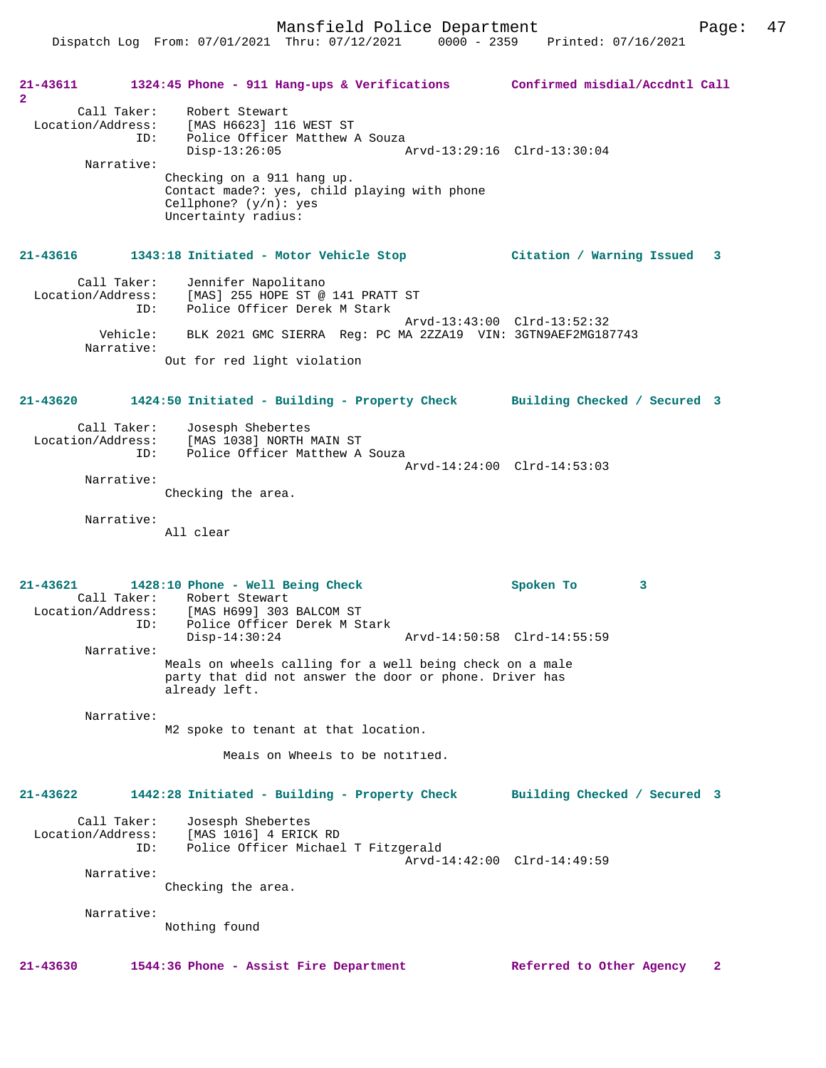**21-43611 1324:45 Phone - 911 Hang-ups & Verifications Confirmed misdial/Accdntl Call 2**  Call Taker: Robert Stewart Location/Address: [MAS H6623] 116 WEST ST ID: Police Officer Matthew A Souza<br>Disp-13:26:05 Disp-13:26:05 Arvd-13:29:16 Clrd-13:30:04 Narrative: Checking on a 911 hang up. Contact made?: yes, child playing with phone Cellphone?  $(y/n)$ : yes Uncertainty radius: **21-43616 1343:18 Initiated - Motor Vehicle Stop Citation / Warning Issued 3** Call Taker: Jennifer Napolitano Location/Address: [MAS] 255 HOPE ST @ 141 PRATT ST Police Officer Derek M Stark Arvd-13:43:00 Clrd-13:52:32<br>Vehicle: BLK 2021 GMC SIERRA Reg: PC MA 2ZZA19 VIN: 3GTN9AEF2MG18 BLK 2021 GMC SIERRA Reg: PC MA 2ZZA19 VIN: 3GTN9AEF2MG187743 Narrative: Out for red light violation **21-43620 1424:50 Initiated - Building - Property Check Building Checked / Secured 3** Call Taker: Josesph Shebertes Location/Address: [MAS 1038] NORTH MAIN ST<br>TD: Police Officer Matthew A Police Officer Matthew A Souza Arvd-14:24:00 Clrd-14:53:03 Narrative: Checking the area. Narrative: All clear **21-43621 1428:10 Phone - Well Being Check Spoken To 3**  Call Taker: Robert Stewart Location/Address: [MAS H699] 303 BALCOM ST ID: Police Officer Derek M Stark Disp-14:30:24 Arvd-14:50:58 Clrd-14:55:59 Narrative: Meals on wheels calling for a well being check on a male party that did not answer the door or phone. Driver has already left. Narrative: M2 spoke to tenant at that location. Meals on Wheels to be notified. **21-43622 1442:28 Initiated - Building - Property Check Building Checked / Secured 3** Call Taker: Josesph Shebertes Location/Address: [MAS 1016] 4 ERICK RD Police Officer Michael T Fitzgerald Arvd-14:42:00 Clrd-14:49:59 Narrative: Checking the area. Narrative: Nothing found **21-43630 1544:36 Phone - Assist Fire Department Referred to Other Agency 2**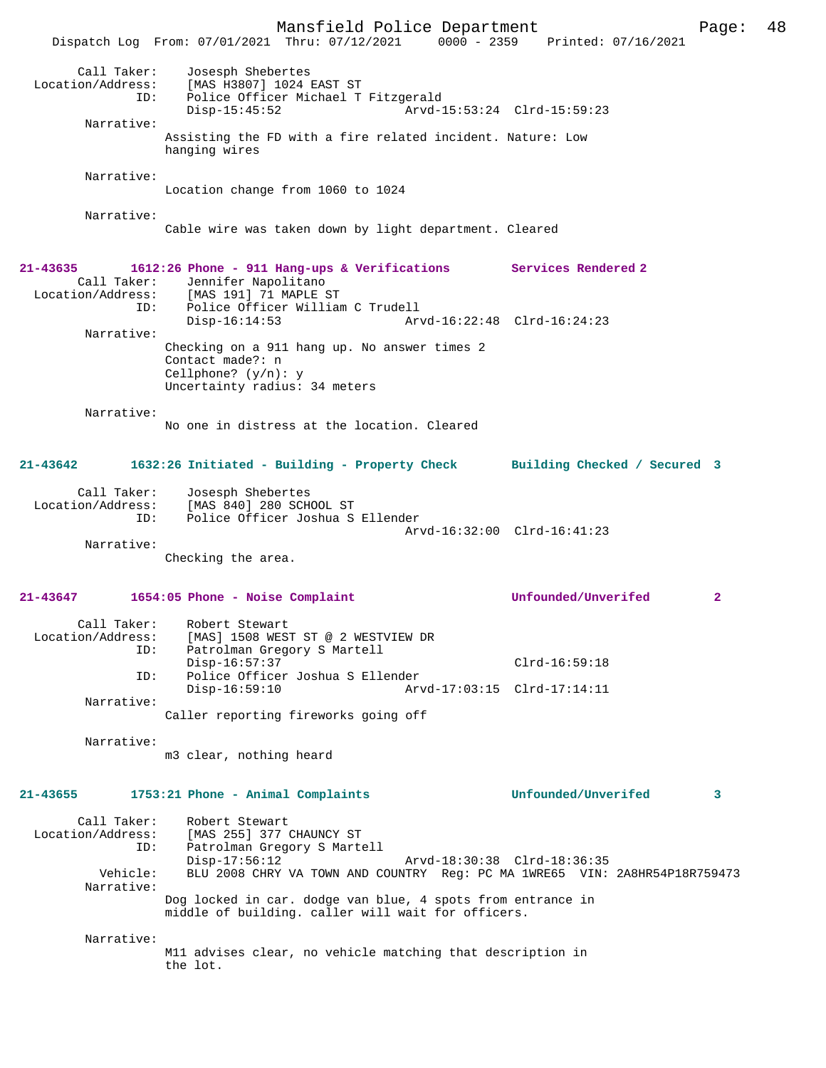Mansfield Police Department Page: 48 Dispatch Log From: 07/01/2021 Thru: 07/12/2021 0000 - 2359 Printed: 07/16/2021 Call Taker: Josesph Shebertes<br>Location/Address: [MAS H3807] 1024 H [MAS H3807] 1024 EAST ST ID: Police Officer Michael T Fitzgerald<br>Disp-15:45:52 Arvd-2 Arvd-15:53:24 Clrd-15:59:23 Narrative: Assisting the FD with a fire related incident. Nature: Low hanging wires Narrative: Location change from 1060 to 1024 Narrative: Cable wire was taken down by light department. Cleared **21-43635 1612:26 Phone - 911 Hang-ups & Verifications Services Rendered 2**  Call Taker: Jennifer Napolitano Location/Address: [MAS 191] 71 MAPLE ST ID: Police Officer William C Trudell Disp-16:14:53 Arvd-16:22:48 Clrd-16:24:23 Narrative: Checking on a 911 hang up. No answer times 2 Contact made?: n Cellphone? (y/n): y Uncertainty radius: 34 meters Narrative: No one in distress at the location. Cleared **21-43642 1632:26 Initiated - Building - Property Check Building Checked / Secured 3** Call Taker: Josesph Shebertes Location/Address: [MAS 840] 280 SCHOOL ST ID: Police Officer Joshua S Ellender Arvd-16:32:00 Clrd-16:41:23 Narrative: Checking the area. **21-43647 1654:05 Phone - Noise Complaint Unfounded/Unverifed 2** Call Taker: Robert Stewart Location/Address: [MAS] 1508 WEST ST @ 2 WESTVIEW DR Patrolman Gregory S Martell Disp-16:57:37 Clrd-16:59:18 ID: Police Officer Joshua S Ellender Disp-16:59:10 Arvd-17:03:15 Clrd-17:14:11 Narrative: Caller reporting fireworks going off Narrative: m3 clear, nothing heard **21-43655 1753:21 Phone - Animal Complaints Unfounded/Unverifed 3** Call Taker: Robert Stewart<br>Location/Address: [MAS 255] 377 ess: [MAS 255] 377 CHAUNCY ST<br>ID: Patrolman Gregory S Marte Patrolman Gregory S Martell<br>Disp-17:56:12 Arvd-18:30:38 Clrd-18:36:35 Vehicle: BLU 2008 CHRY VA TOWN AND COUNTRY Reg: PC MA 1WRE65 VIN: 2A8HR54P18R759473 Narrative: Dog locked in car. dodge van blue, 4 spots from entrance in middle of building. caller will wait for officers. Narrative: M11 advises clear, no vehicle matching that description in the lot.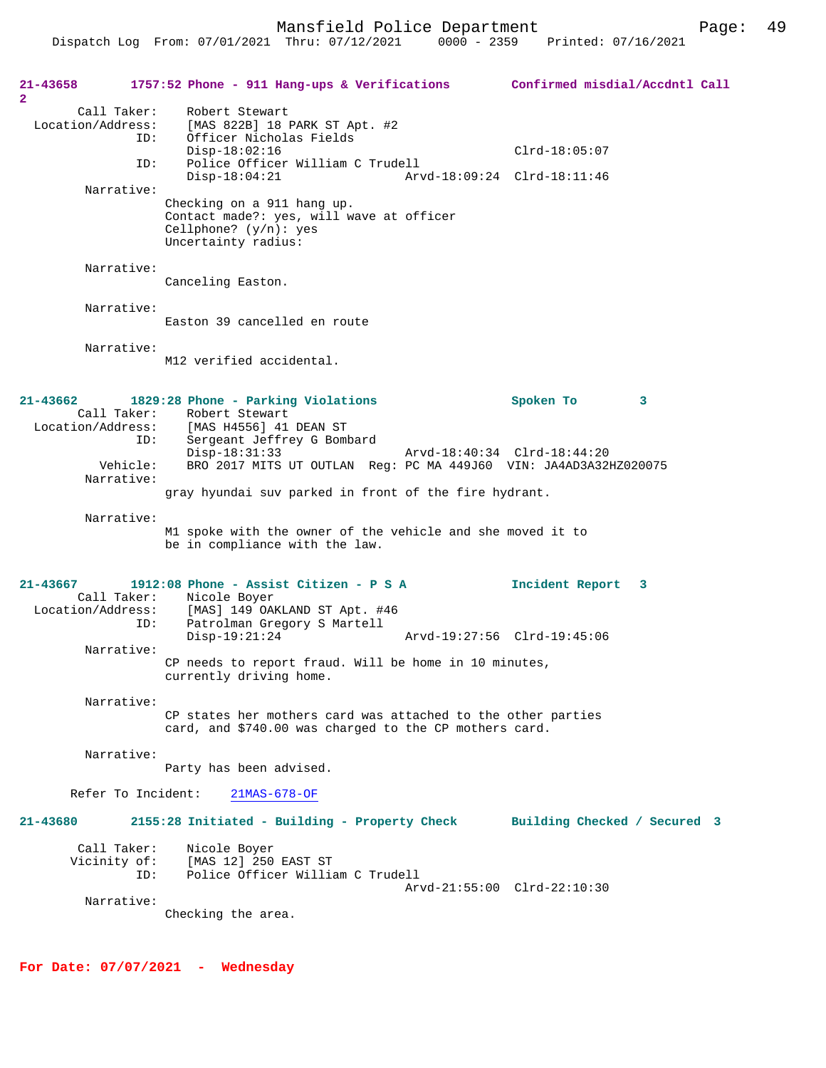**21-43658 1757:52 Phone - 911 Hang-ups & Verifications Confirmed misdial/Accdntl Call 2**  Call Taker: Robert Stewart Location/Address: [MAS 822B] 18 PARK ST Apt. #2 ID: Officer Nicholas Fields Disp-18:02:16 Clrd-18:05:07<br>ID: Police Officer William C Trudell Police Officer William C Trudell<br>Disp-18:04:21 Arv Disp-18:04:21 Arvd-18:09:24 Clrd-18:11:46 Narrative: Checking on a 911 hang up. Contact made?: yes, will wave at officer Cellphone? (y/n): yes Uncertainty radius: Narrative: Canceling Easton. Narrative: Easton 39 cancelled en route Narrative: M12 verified accidental. **21-43662 1829:28 Phone - Parking Violations Spoken To 3**  Call Taker: Robert Stewart<br>Location/Address: [MAS H4556] 41 Location/Address: [MAS H4556] 41 DEAN ST ID: Sergeant Jeffrey G Bombard Disp-18:31:33 Arvd-18:40:34 Clrd-18:44:20 Vehicle: BRO 2017 MITS UT OUTLAN Reg: PC MA 449J60 VIN: JA4AD3A32HZ020075 Narrative: gray hyundai suv parked in front of the fire hydrant. Narrative: M1 spoke with the owner of the vehicle and she moved it to be in compliance with the law. **21-43667 1912:08 Phone - Assist Citizen - P S A Incident Report 3**  Call Taker: Nicole Boyer Location/Address: [MAS] 149 OAKLAND ST Apt. #46 Patrolman Gregory S Martell<br>Disp-19:21:24 Disp-19:21:24 Arvd-19:27:56 Clrd-19:45:06 Narrative: CP needs to report fraud. Will be home in 10 minutes, currently driving home. Narrative: CP states her mothers card was attached to the other parties card, and \$740.00 was charged to the CP mothers card. Narrative: Party has been advised. Refer To Incident: 21MAS-678-OF **21-43680 2155:28 Initiated - Building - Property Check Building Checked / Secured 3** Call Taker: Nicole Boyer<br>Vicinity of: [MAS 12] 250 Vicinity of: [MAS 12] 250 EAST ST ID: Police Officer William C Trudell Arvd-21:55:00 Clrd-22:10:30 Narrative: Checking the area.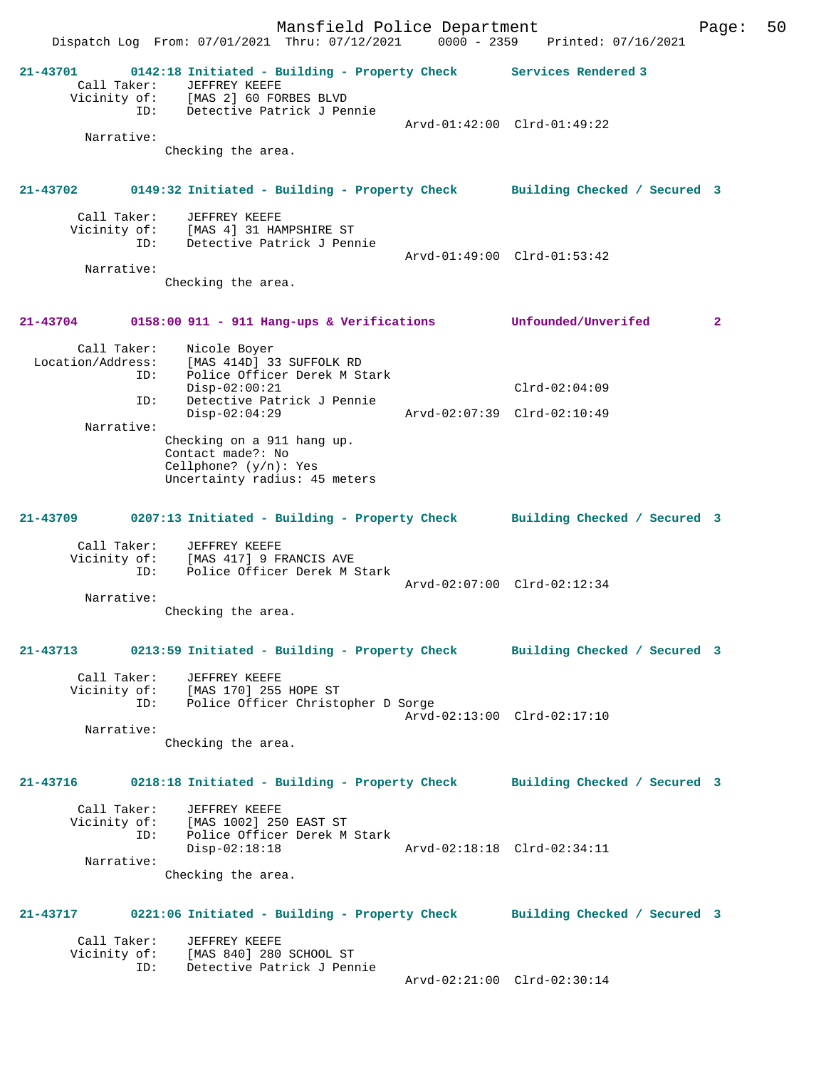Mansfield Police Department Page: 50 Dispatch Log From: 07/01/2021 Thru: 07/12/2021 0000 - 2359 Printed: 07/16/2021 **21-43701 0142:18 Initiated - Building - Property Check Services Rendered 3**  Call Taker: JEFFREY KEEFE Vicinity of: [MAS 2] 60 FORBES BLVD ID: Detective Patrick J Pennie Arvd-01:42:00 Clrd-01:49:22 Narrative: Checking the area. **21-43702 0149:32 Initiated - Building - Property Check Building Checked / Secured 3** Call Taker: JEFFREY KEEFE Vicinity of: [MAS 4] 31 HAMPSHIRE ST<br>ID: Detective Patrick J Penr Detective Patrick J Pennie Arvd-01:49:00 Clrd-01:53:42 Narrative: Checking the area. **21-43704 0158:00 911 - 911 Hang-ups & Verifications Unfounded/Unverifed 2** Call Taker: Nicole Boyer Location/Address: [MAS 414D] 33 SUFFOLK RD ess: راسمه ۱۳۸۵ دد السابق و IMAS<br>ID: Police Officer Derek M Stark Disp-02:00:21 Clrd-02:04:09 ID: Detective Patrick J Pennie Disp-02:04:29 Arvd-02:07:39 Clrd-02:10:49 Narrative: Checking on a 911 hang up. Contact made?: No Cellphone? (y/n): Yes Uncertainty radius: 45 meters **21-43709 0207:13 Initiated - Building - Property Check Building Checked / Secured 3** Call Taker: JEFFREY KEEFE<br>Vicinity of: [MAS 417] 9 FI of: [MAS 417] 9 FRANCIS AVE<br>TD: Police Officer Derek M S Police Officer Derek M Stark Arvd-02:07:00 Clrd-02:12:34 Narrative: Checking the area. **21-43713 0213:59 Initiated - Building - Property Check Building Checked / Secured 3** Call Taker: JEFFREY KEEFE Vicinity of: [MAS 170] 255 HOPE ST ID: Police Officer Christopher D Sorge Arvd-02:13:00 Clrd-02:17:10 Narrative: Checking the area. **21-43716 0218:18 Initiated - Building - Property Check Building Checked / Secured 3** Call Taker: JEFFREY KEEFE Vicinity of: [MAS 1002] 250 EAST ST ID: Police Officer Derek M Stark Arvd-02:18:18 Clrd-02:34:11 Narrative: Checking the area. **21-43717 0221:06 Initiated - Building - Property Check Building Checked / Secured 3** Call Taker: JEFFREY KEEFE<br>Vicinity of: [MAS 840] 280 Vicinity of: [MAS 840] 280 SCHOOL ST ID: Detective Patrick J Pennie Arvd-02:21:00 Clrd-02:30:14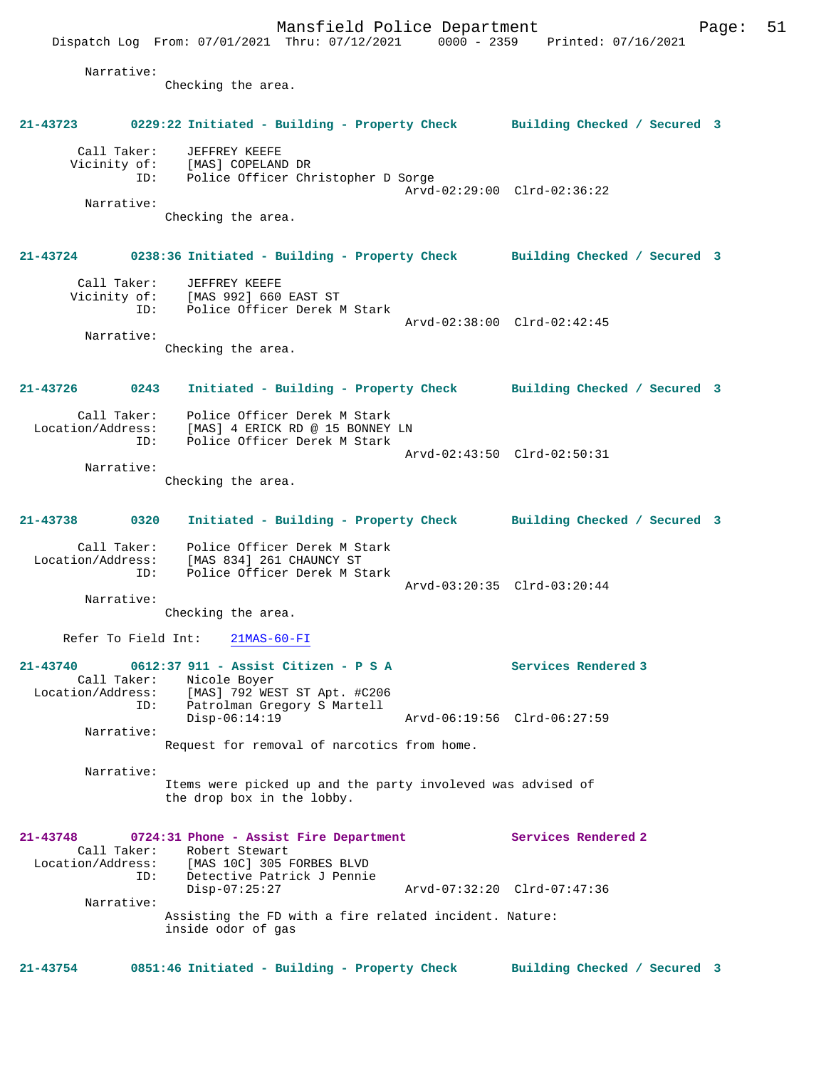Dispatch Log From: 07/01/2021 Thru: 07/12/2021 0000 - 2359 Printed: 07/16/2021 Narrative: Checking the area. **21-43723 0229:22 Initiated - Building - Property Check Building Checked / Secured 3** Call Taker: JEFFREY KEEFE Vicinity of: [MAS] COPELAND DR ID: Police Officer Christopher D Sorge Arvd-02:29:00 Clrd-02:36:22 Narrative: Checking the area. **21-43724 0238:36 Initiated - Building - Property Check Building Checked / Secured 3** Call Taker: JEFFREY KEEFE Vicinity of: [MAS 992] 660 EAST ST ID: Police Officer Derek M Stark Arvd-02:38:00 Clrd-02:42:45 Narrative: Checking the area. **21-43726 0243 Initiated - Building - Property Check Building Checked / Secured 3** Call Taker: Police Officer Derek M Stark Location/Address: [MAS] 4 ERICK RD @ 15 BONNEY LN ID: Police Officer Derek M Stark Arvd-02:43:50 Clrd-02:50:31 Narrative: Checking the area. **21-43738 0320 Initiated - Building - Property Check Building Checked / Secured 3** Call Taker: Police Officer Derek M Stark Location/Address: [MAS 834] 261 CHAUNCY ST ID: Police Officer Derek M Stark Arvd-03:20:35 Clrd-03:20:44 Narrative: Checking the area. Refer To Field Int: 21MAS-60-FI **21-43740 0612:37 911 - Assist Citizen - P S A Services Rendered 3**  Call Taker: Nicole Boyer Location/Address: [MAS] 792 WEST ST Apt. #C206 Patrolman Gregory S Martell<br>Disp-06:14:19 Disp-06:14:19 Arvd-06:19:56 Clrd-06:27:59 Narrative: Request for removal of narcotics from home. Narrative: Items were picked up and the party involeved was advised of the drop box in the lobby. **21-43748 0724:31 Phone - Assist Fire Department Services Rendered 2**  Call Taker: Robert Stewart Location/Address: [MAS 10C] 305 FORBES BLVD Detective Patrick J Pennie<br>Disp-07:25:27 Disp-07:25:27 Arvd-07:32:20 Clrd-07:47:36 Narrative: Assisting the FD with a fire related incident. Nature: inside odor of gas **21-43754 0851:46 Initiated - Building - Property Check Building Checked / Secured 3**

Mansfield Police Department Fage: 51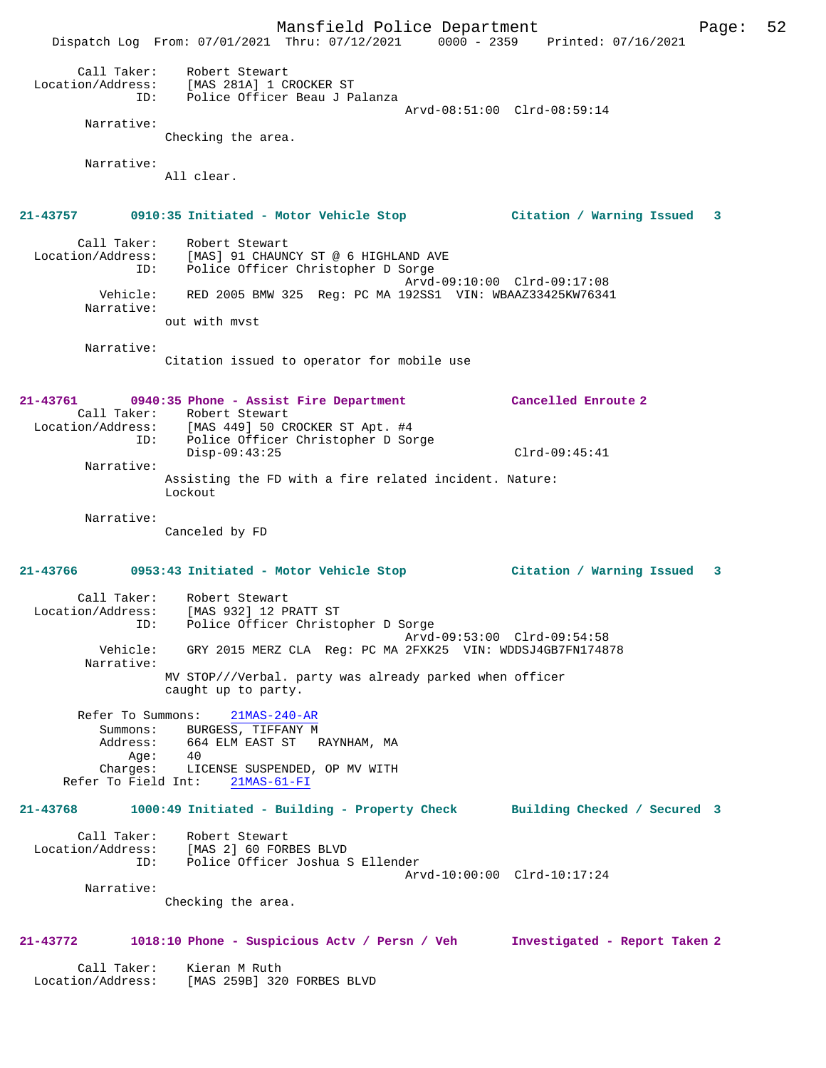Mansfield Police Department Form Page: 52 Dispatch Log From: 07/01/2021 Thru: 07/12/2021 0000 - 2359 Printed: 07/16/2021 Call Taker: Robert Stewart Location/Address: [MAS 281A] 1 CROCKER ST ID: Police Officer Beau J Palanza Arvd-08:51:00 Clrd-08:59:14 Narrative: Checking the area. Narrative: All clear. **21-43757 0910:35 Initiated - Motor Vehicle Stop Citation / Warning Issued 3** Call Taker: Robert Stewart Location/Address: [MAS] 91 CHAUNCY ST @ 6 HIGHLAND AVE ID: Police Officer Christopher D Sorge Arvd-09:10:00 Clrd-09:17:08 Vehicle: RED 2005 BMW 325 Reg: PC MA 192SS1 VIN: WBAAZ33425KW76341 Narrative: out with mvst Narrative: Citation issued to operator for mobile use **21-43761 0940:35 Phone - Assist Fire Department Cancelled Enroute 2**  Call Taker: Robert Stewart Location/Address: [MAS 449] 50 CROCKER ST Apt. #4 ID: Police Officer Christopher D Sorge Disp-09:43:25 Clrd-09:45:41 Narrative: Assisting the FD with a fire related incident. Nature: Lockout Narrative: Canceled by FD **21-43766 0953:43 Initiated - Motor Vehicle Stop Citation / Warning Issued 3** Call Taker: Robert Stewart Location/Address: [MAS 932] 12 PRATT ST ID: Police Officer Christopher D Sorge Arvd-09:53:00 Clrd-09:54:58 Vehicle: GRY 2015 MERZ CLA Reg: PC MA 2FXK25 VIN: WDDSJ4GB7FN174878 Narrative: MV STOP///Verbal. party was already parked when officer caught up to party. Refer To Summons: 21MAS-240-AR Summons: BURGESS, TIFFANY M Address: 664 ELM EAST ST RAYNHAM, MA<br>Age: 40 Addres:<br>Age:<br>Charges: LICENSE SUSPENDED, OP MV WITH Refer To Field Int: 21MAS-61-FI **21-43768 1000:49 Initiated - Building - Property Check Building Checked / Secured 3** Call Taker: Robert Stewart Location/Address: [MAS 2] 60 FORBES BLVD Police Officer Joshua S Ellender Arvd-10:00:00 Clrd-10:17:24 Narrative: Checking the area. **21-43772 1018:10 Phone - Suspicious Actv / Persn / Veh Investigated - Report Taken 2** Call Taker: Kieran M Ruth Location/Address: [MAS 259B] 320 FORBES BLVD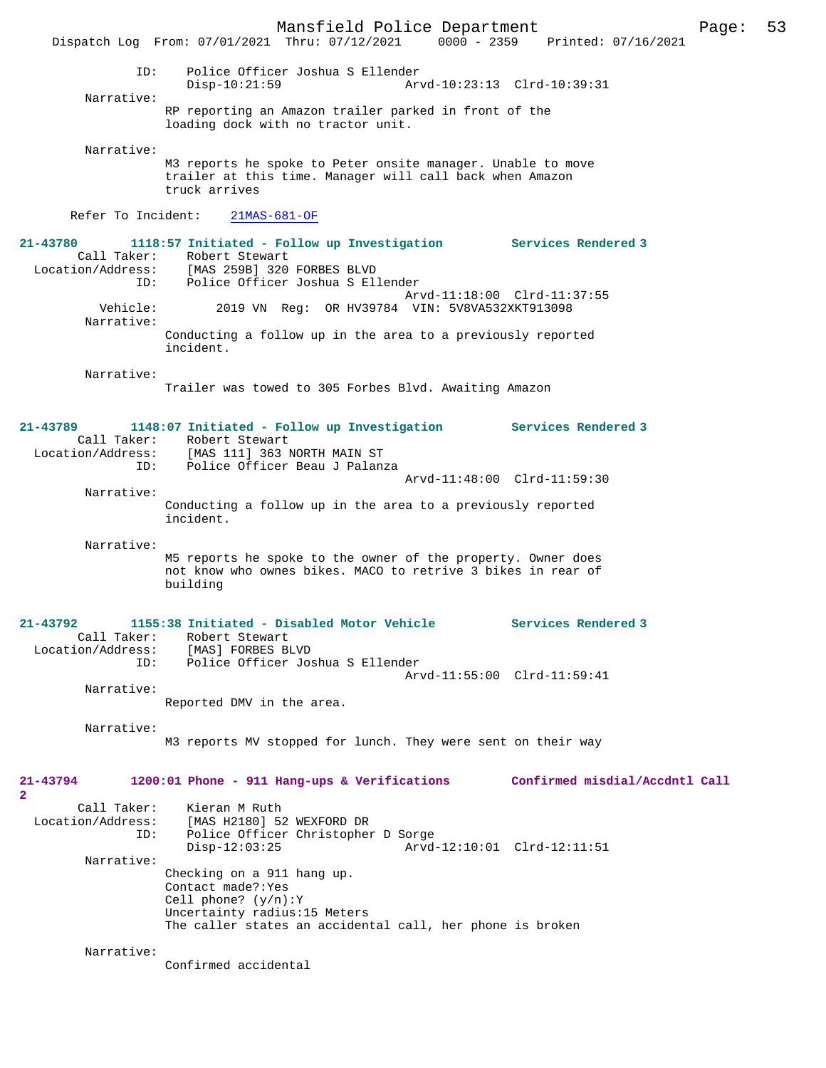Mansfield Police Department Page: 53 Dispatch Log From:  $07/01/2021$  Thru:  $07/12/2021$  0000 - 2359 ID: Police Officer Joshua S Ellender Disp-10:21:59 Arvd-10:23:13 Clrd-10:39:31 Narrative: RP reporting an Amazon trailer parked in front of the loading dock with no tractor unit. Narrative: M3 reports he spoke to Peter onsite manager. Unable to move trailer at this time. Manager will call back when Amazon truck arrives Refer To Incident: 21MAS-681-OF **21-43780 1118:57 Initiated - Follow up Investigation Services Rendered 3**  Call Taker: Robert Stewart Location/Address: [MAS 259B] 320 FORBES BLVD ID: Police Officer Joshua S Ellender Arvd-11:18:00 Clrd-11:37:55<br>Vehicle: 2019 VN Reg: OR HV39784 VIN: 5V8VA532XKT913098 2019 VN Reg: OR HV39784 VIN: 5V8VA532XKT913098 Narrative: Conducting a follow up in the area to a previously reported incident. Narrative: Trailer was towed to 305 Forbes Blvd. Awaiting Amazon **21-43789 1148:07 Initiated - Follow up Investigation Services Rendered 3**  Call Taker: Robert Stewart Location/Address: [MAS 111] 363 NORTH MAIN ST ID: Police Officer Beau J Palanza Arvd-11:48:00 Clrd-11:59:30 Narrative: Conducting a follow up in the area to a previously reported incident. Narrative: M5 reports he spoke to the owner of the property. Owner does not know who ownes bikes. MACO to retrive 3 bikes in rear of building **21-43792 1155:38 Initiated - Disabled Motor Vehicle Services Rendered 3**  Call Taker: Robert Stewart<br>Location/Address: [MAS] FORBES BI ess: [MAS] FORBES BLVD<br>ID: Police Officer Jos Police Officer Joshua S Ellender Arvd-11:55:00 Clrd-11:59:41 Narrative: Reported DMV in the area. Narrative: M3 reports MV stopped for lunch. They were sent on their way **21-43794 1200:01 Phone - 911 Hang-ups & Verifications Confirmed misdial/Accdntl Call 2**  Call Taker: Kieran M Ruth Location/Address: [MAS H2180] 52 WEXFORD DR Police Officer Christopher D Sorge Disp-12:03:25 Arvd-12:10:01 Clrd-12:11:51 Narrative: Checking on a 911 hang up. Contact made?:Yes Cell phone? (y/n):Y Uncertainty radius:15 Meters The caller states an accidental call, her phone is broken Narrative: Confirmed accidental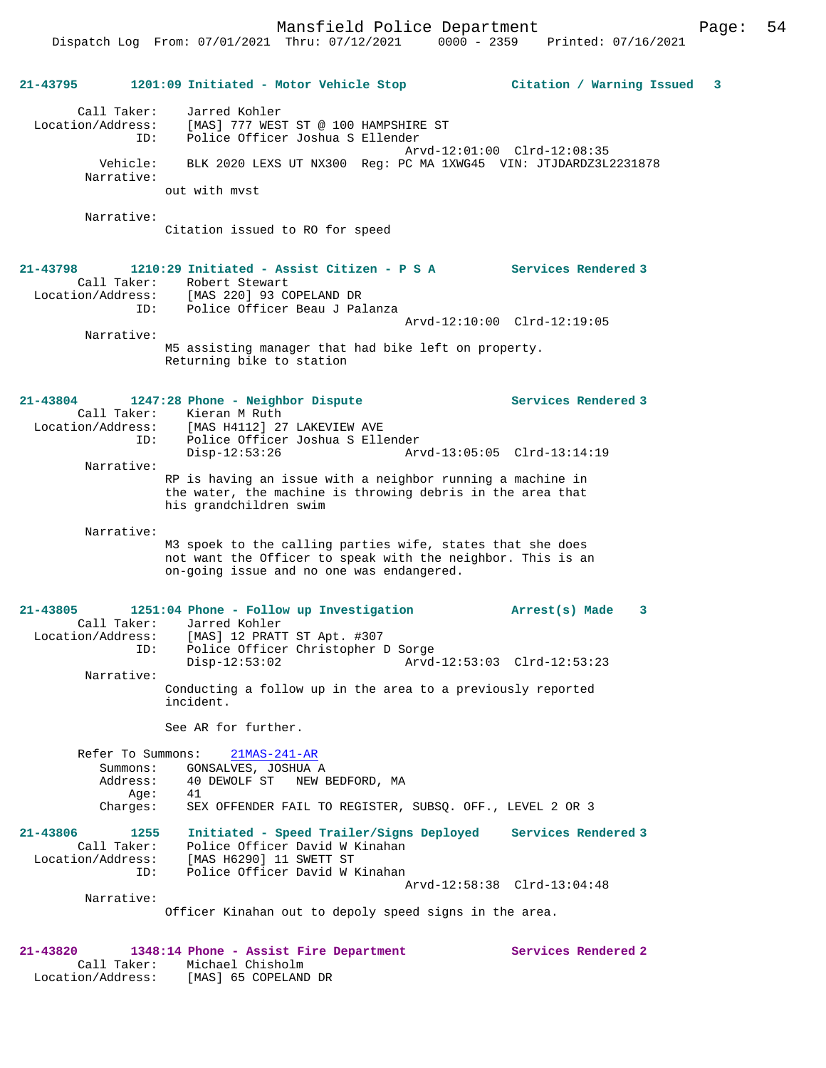Mansfield Police Department Page: 54

### **21-43795 1201:09 Initiated - Motor Vehicle Stop Citation / Warning Issued 3** Call Taker: Jarred Kohler Location/Address: [MAS] 777 WEST ST @ 100 HAMPSHIRE ST ID: Police Officer Joshua S Ellender Arvd-12:01:00 Clrd-12:08:35 Vehicle: BLK 2020 LEXS UT NX300 Reg: PC MA 1XWG45 VIN: JTJDARDZ3L2231878 Narrative: out with mvst Narrative: Citation issued to RO for speed **21-43798 1210:29 Initiated - Assist Citizen - P S A Services Rendered 3**  Call Taker: Robert Stewart Location/Address: [MAS 220] 93 COPELAND DR ID: Police Officer Beau J Palanza Arvd-12:10:00 Clrd-12:19:05 Narrative: M5 assisting manager that had bike left on property. Returning bike to station **21-43804 1247:28 Phone - Neighbor Dispute Services Rendered 3**  Call Taker: Kieran M Ruth<br>Location/Address: [MAS H4112] 27 [MAS H4112] 27 LAKEVIEW AVE ID: Police Officer Joshua S Ellender<br>Disp-12:53:26 Arv Disp-12:53:26 Arvd-13:05:05 Clrd-13:14:19 Narrative: RP is having an issue with a neighbor running a machine in the water, the machine is throwing debris in the area that his grandchildren swim Narrative: M3 spoek to the calling parties wife, states that she does not want the Officer to speak with the neighbor. This is an on-going issue and no one was endangered. **21-43805 1251:04 Phone - Follow up Investigation Arrest(s) Made 3**  Call Taker: Jarred Kohler<br>Location/Address: [MAS] 12 PRAT [MAS] 12 PRATT ST Apt. #307 ID: Police Officer Christopher D Sorge Disp-12:53:02 Arvd-12:53:03 Clrd-12:53:23 Narrative: Conducting a follow up in the area to a previously reported incident. See AR for further. Refer To Summons: 21MAS-241-AR Summons: GONSALVES, JOSHUA A<br>Address: 40 DEWOLF ST NEW 1 40 DEWOLF ST NEW BEDFORD, MA<br>41  $Age:$  Charges: SEX OFFENDER FAIL TO REGISTER, SUBSQ. OFF., LEVEL 2 OR 3 **21-43806 1255 Initiated - Speed Trailer/Signs Deployed Services Rendered 3**  Call Taker: Police Officer David W Kinahan Location/Address: [MAS H6290] 11 SWETT ST ID: Police Officer David W Kinahan Arvd-12:58:38 Clrd-13:04:48 Narrative: Officer Kinahan out to depoly speed signs in the area. **21-43820 1348:14 Phone - Assist Fire Department Services Rendered 2**

Call Taker: Michael Chisholm<br>Location/Address: [MAS] 65 COPELANI

[MAS] 65 COPELAND DR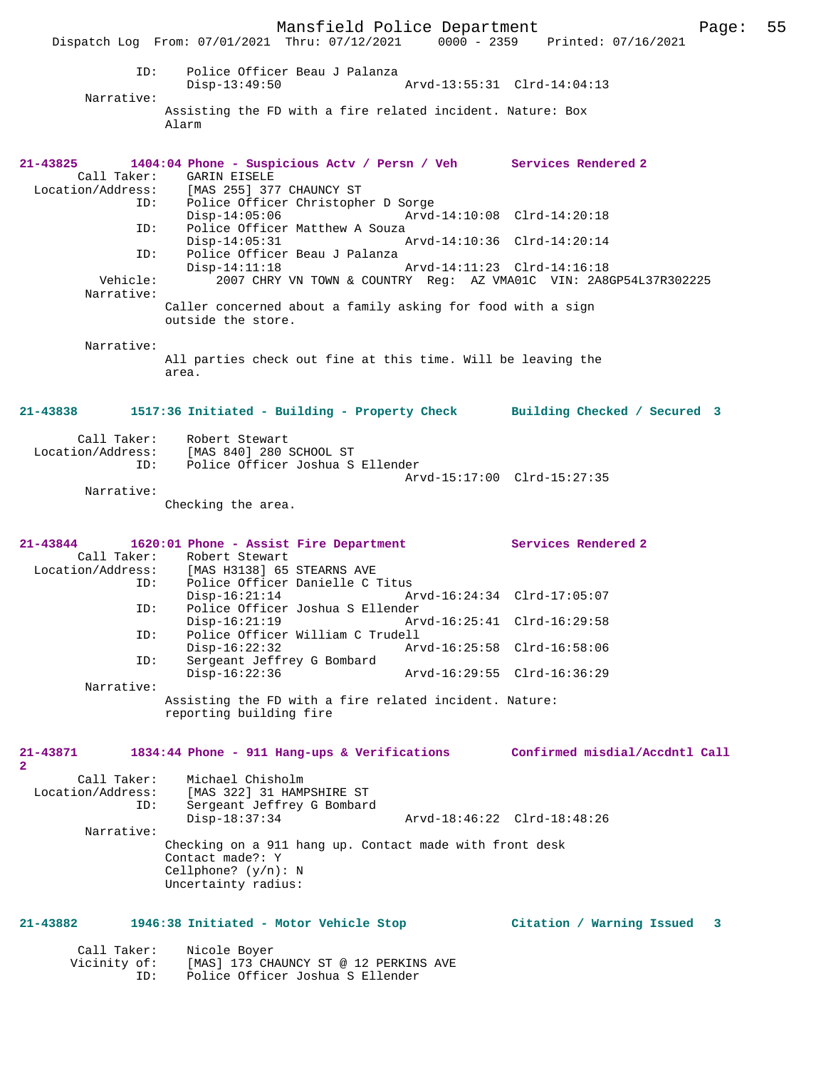Mansfield Police Department Page: 55 Dispatch Log From: 07/01/2021 Thru: 07/12/2021 ID: Police Officer Beau J Palanza Disp-13:49:50 Arvd-13:55:31 Clrd-14:04:13 Narrative: Assisting the FD with a fire related incident. Nature: Box Alarm **21-43825 1404:04 Phone - Suspicious Actv / Persn / Veh Services Rendered 2**  GARIN EISELE Location/Address: [MAS 255] 377 CHAUNCY ST ID: Police Officer Christopher D Sorge Disp-14:05:06 Arvd-14:10:08 Clrd-14:20:18<br>ID: Police Officer Matthew A Souza Police Officer Matthew A Souza<br> $Disp-14:05:31$ Arvd-14:10:36 Clrd-14:20:14 ID: Police Officer Beau J Palanza Disp-14:11:18 Arvd-14:11:23 Clrd-14:16:18<br>Vehicle: 2007 CHRY VN TOWN & COUNTRY Req: AZ VMA01C VIN: 2A8 2007 CHRY VN TOWN & COUNTRY Reg: AZ VMA01C VIN: 2A8GP54L37R302225 Narrative: Caller concerned about a family asking for food with a sign outside the store. Narrative: All parties check out fine at this time. Will be leaving the area. **21-43838 1517:36 Initiated - Building - Property Check Building Checked / Secured 3** Call Taker: Robert Stewart Location/Address: [MAS 840] 280 SCHOOL ST ID: Police Officer Joshua S Ellender Arvd-15:17:00 Clrd-15:27:35 Narrative: Checking the area. **21-43844 1620:01 Phone - Assist Fire Department Services Rendered 2**  Call Taker: Robert Stewart<br>Location/Address: [MAS H3138] 65 [MAS H3138] 65 STEARNS AVE ID: Police Officer Danielle C Titus Disp-16:21:14 Arvd-16:24:34 Clrd-17:05:07<br>Police Officer Joshua S Ellender ID: Police Officer Joshua S Ellender Arvd-16:25:41 Clrd-16:29:58 ID: Police Officer William C Trudell Disp-16:22:32 Arvd-16:25:58 Clrd-16:58:06 ID: Sergeant Jeffrey G Bombard Disp-16:22:36 Arvd-16:29:55 Clrd-16:36:29 Narrative: Assisting the FD with a fire related incident. Nature: reporting building fire **21-43871 1834:44 Phone - 911 Hang-ups & Verifications Confirmed misdial/Accdntl Call 2**  Call Taker: Michael Chisholm Location/Address: [MAS 322] 31 HAMPSHIRE ST Sergeant Jeffrey G Bombard<br>Disp-18:37:34 Disp-18:37:34 Arvd-18:46:22 Clrd-18:48:26 Narrative: Checking on a 911 hang up. Contact made with front desk Contact made?: Y Cellphone? (y/n): N Uncertainty radius: **21-43882 1946:38 Initiated - Motor Vehicle Stop Citation / Warning Issued 3** Call Taker: Nicole Boyer Vicinity of: [MAS] 173 CHAUNCY ST @ 12 PERKINS AVE<br>ID: Police Officer Joshua S Ellender

Police Officer Joshua S Ellender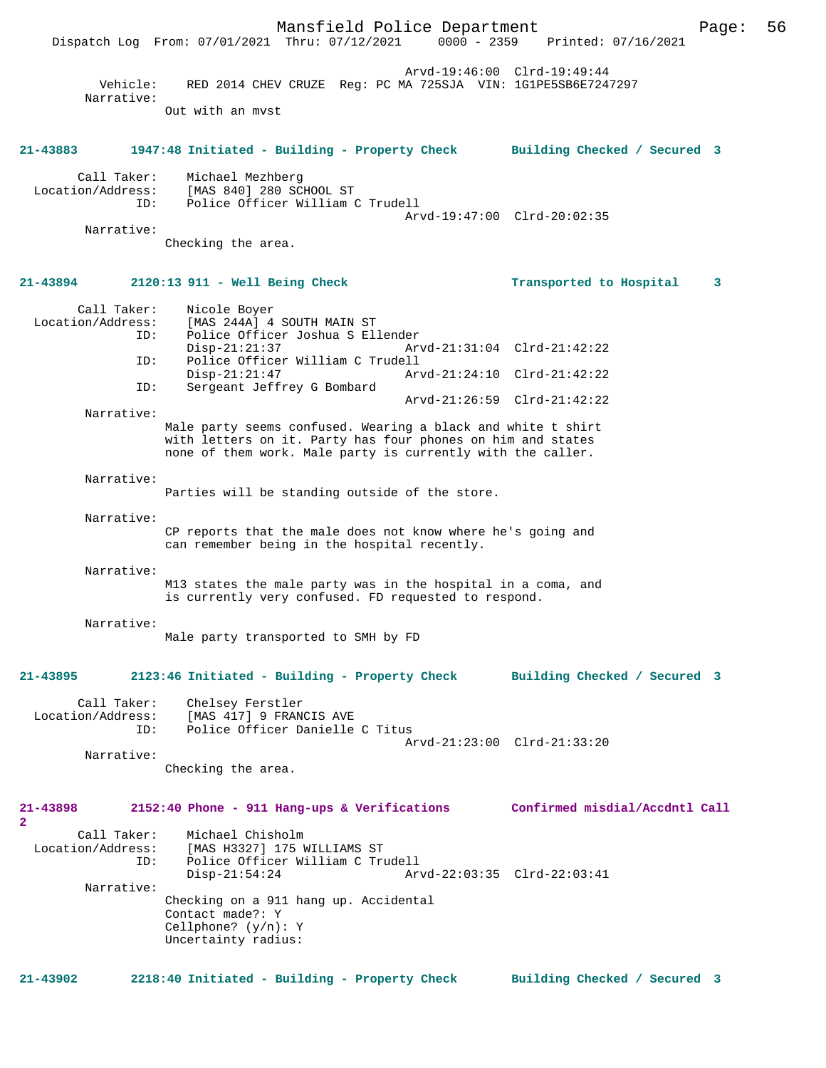|                                     |                        | Mansfield Police Department<br>Dispatch Log From: 07/01/2021 Thru: 07/12/2021                                                                                                              | $0000 - 2359$               | Printed: 07/16/2021            | Page: | 56 |
|-------------------------------------|------------------------|--------------------------------------------------------------------------------------------------------------------------------------------------------------------------------------------|-----------------------------|--------------------------------|-------|----|
|                                     | Vehicle:<br>Narrative: | RED 2014 CHEV CRUZE Req: PC MA 725SJA VIN: 1G1PE5SB6E7247297                                                                                                                               | Arvd-19:46:00 Clrd-19:49:44 |                                |       |    |
|                                     |                        | Out with an myst                                                                                                                                                                           |                             |                                |       |    |
| $21 - 43883$                        |                        | 1947:48 Initiated - Building - Property Check                                                                                                                                              |                             | Building Checked / Secured 3   |       |    |
| Location/Address:                   | Call Taker:<br>ID:     | Michael Mezhberg<br>[MAS 840] 280 SCHOOL ST<br>Police Officer William C Trudell                                                                                                            |                             |                                |       |    |
|                                     | Narrative:             |                                                                                                                                                                                            | Arvd-19:47:00 Clrd-20:02:35 |                                |       |    |
|                                     |                        | Checking the area.                                                                                                                                                                         |                             |                                |       |    |
| 21-43894                            |                        | $2120:13$ 911 - Well Being Check                                                                                                                                                           |                             | Transported to Hospital        | 3     |    |
| Location/Address:                   | Call Taker:<br>ID:     | Nicole Boyer<br>[MAS 244A] 4 SOUTH MAIN ST<br>Police Officer Joshua S Ellender                                                                                                             |                             |                                |       |    |
|                                     | ID:                    | $Disp-21:21:37$<br>Police Officer William C Trudell                                                                                                                                        | Arvd-21:31:04 Clrd-21:42:22 |                                |       |    |
|                                     | ID:                    | $Disp-21:21:47$<br>Sergeant Jeffrey G Bombard                                                                                                                                              | Arvd-21:24:10 Clrd-21:42:22 |                                |       |    |
|                                     | Narrative:             |                                                                                                                                                                                            | Arvd-21:26:59 Clrd-21:42:22 |                                |       |    |
|                                     |                        | Male party seems confused. Wearing a black and white t shirt<br>with letters on it. Party has four phones on him and states<br>none of them work. Male party is currently with the caller. |                             |                                |       |    |
|                                     | Narrative:             | Parties will be standing outside of the store.                                                                                                                                             |                             |                                |       |    |
|                                     | Narrative:             | CP reports that the male does not know where he's going and<br>can remember being in the hospital recently.                                                                                |                             |                                |       |    |
|                                     | Narrative:             | M13 states the male party was in the hospital in a coma, and<br>is currently very confused. FD requested to respond.                                                                       |                             |                                |       |    |
|                                     | Narrative:             | Male party transported to SMH by FD                                                                                                                                                        |                             |                                |       |    |
| $21 - 43895$                        |                        | 2123:46 Initiated - Building - Property Check                                                                                                                                              |                             | Building Checked / Secured 3   |       |    |
| Location/Address:                   | Call Taker:<br>ID:     | Chelsey Ferstler<br>[MAS 417] 9 FRANCIS AVE<br>Police Officer Danielle C Titus                                                                                                             |                             |                                |       |    |
|                                     | Narrative:             | Checking the area.                                                                                                                                                                         | Arvd-21:23:00 Clrd-21:33:20 |                                |       |    |
| 21-43898<br>$\overline{\mathbf{2}}$ |                        | 2152:40 Phone - 911 Hang-ups & Verifications                                                                                                                                               |                             | Confirmed misdial/Accdntl Call |       |    |
| Location/Address:                   | Call Taker:<br>ID:     | Michael Chisholm<br>[MAS H3327] 175 WILLIAMS ST<br>Police Officer William C Trudell<br>$Disp-21:54:24$                                                                                     | Arvd-22:03:35 Clrd-22:03:41 |                                |       |    |
|                                     | Narrative:             | Checking on a 911 hang up. Accidental<br>Contact made?: Y<br>Cellphone? $(y/n): Y$<br>Uncertainty radius:                                                                                  |                             |                                |       |    |
| $21 - 43902$                        |                        | 2218:40 Initiated - Building - Property Check                                                                                                                                              |                             | Building Checked / Secured 3   |       |    |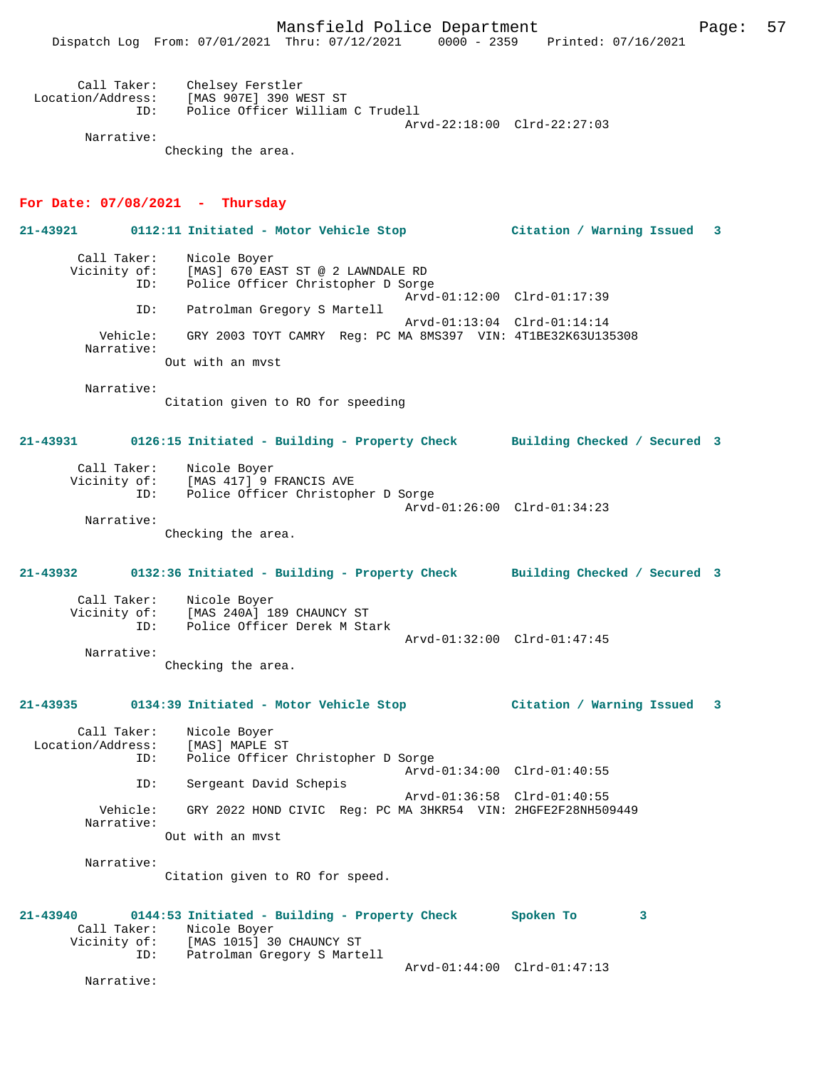| Call Taker:       | Chelsey Ferstler                 |
|-------------------|----------------------------------|
| Location/Address: | [MAS 907E] 390 WEST ST           |
| TD:               | Police Officer William C Trudell |
|                   | Arvd-22:18:00 Clrd-22:27:03      |
| Narrative:        |                                  |

Checking the area.

#### **For Date: 07/08/2021 - Thursday**

**21-43921 0112:11 Initiated - Motor Vehicle Stop Citation / Warning Issued 3** Call Taker: Nicole Boyer<br>Vicinity of: [MAS] 670 EAS of: [MAS] 670 EAST ST @ 2 LAWNDALE RD<br>ID: Police Officer Christopher D Sorge Police Officer Christopher D Sorge Arvd-01:12:00 Clrd-01:17:39<br>TD: Patrolman Gregory S Martell Patrolman Gregory S Martell Arvd-01:13:04 Clrd-01:14:14 Vehicle: GRY 2003 TOYT CAMRY Reg: PC MA 8MS397 VIN: 4T1BE32K63U135308 Narrative: Out with an mvst Narrative: Citation given to RO for speeding **21-43931 0126:15 Initiated - Building - Property Check Building Checked / Secured 3** Call Taker: Nicole Boyer Vicinity of: [MAS 417] 9 FRANCIS AVE ID: Police Officer Christopher D Sorge Arvd-01:26:00 Clrd-01:34:23 Narrative: Checking the area. **21-43932 0132:36 Initiated - Building - Property Check Building Checked / Secured 3** Call Taker: Nicole Boyer<br>Vicinity of: [MAS 240A] 18 of: [MAS 240A] 189 CHAUNCY ST<br>ID: Police Officer Derek M Sta Police Officer Derek M Stark Arvd-01:32:00 Clrd-01:47:45 Narrative: Checking the area. **21-43935 0134:39 Initiated - Motor Vehicle Stop Citation / Warning Issued 3** Call Taker: Nicole Boyer<br>ion/Address: [MAS] MAPLE ST Location/Address: ID: Police Officer Christopher D Sorge Arvd-01:34:00 Clrd-01:40:55<br>ID: Sergeant David Schepis Sergeant David Schepis Arvd-01:36:58 Clrd-01:40:55 Vehicle: GRY 2022 HOND CIVIC Reg: PC MA 3HKR54 VIN: 2HGFE2F28NH509449 Narrative: Out with an mvst Narrative: Citation given to RO for speed. **21-43940 0144:53 Initiated - Building - Property Check Spoken To 3**  Call Taker: Nicole Boyer<br>Vicinity of: [MAS 1015] 30 of: [MAS 1015] 30 CHAUNCY ST<br>ID: Patrolman Gregory S Mart Patrolman Gregory S Martell Arvd-01:44:00 Clrd-01:47:13 Narrative: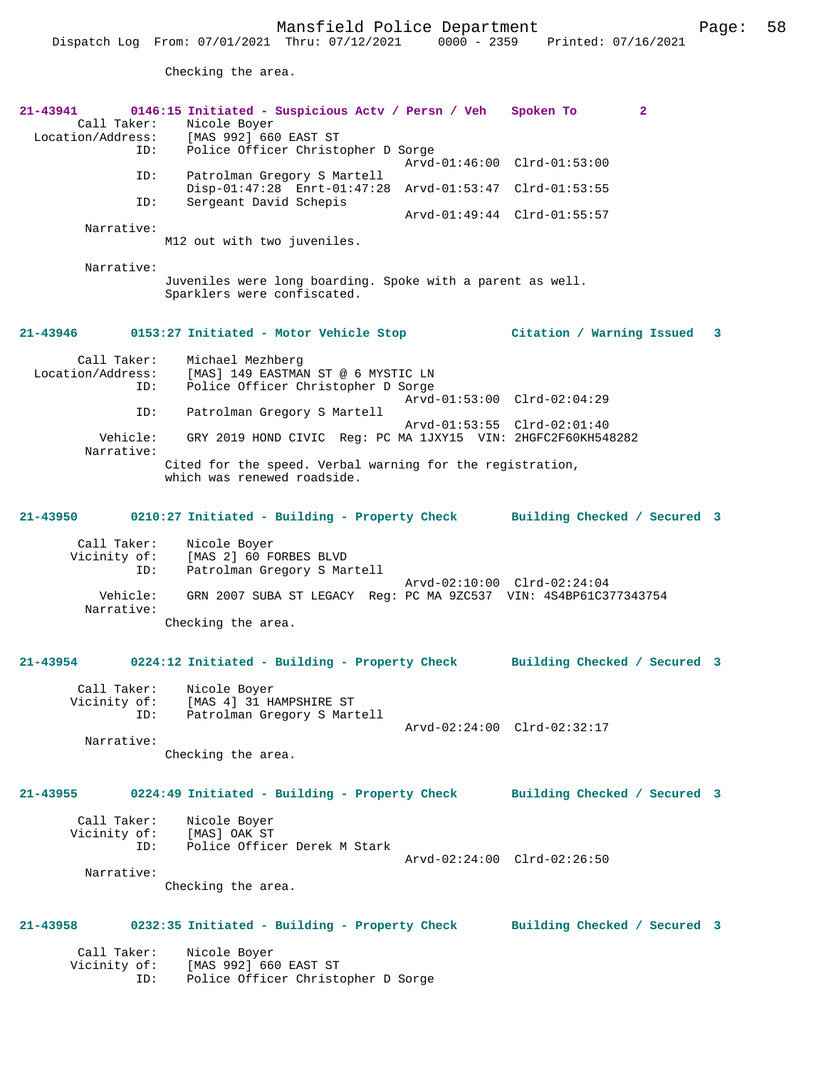Checking the area.

| 21-43941<br>Call Taker:                 | 0146:15 Initiated - Suspicious Actv / Persn / Veh Spoken To<br>Nicole Boyer<br>Location/Address: [MAS 992] 660 EAST ST |                              | $\overline{a}$ |   |
|-----------------------------------------|------------------------------------------------------------------------------------------------------------------------|------------------------------|----------------|---|
| ID:                                     | Police Officer Christopher D Sorge                                                                                     | Arvd-01:46:00 Clrd-01:53:00  |                |   |
| ID:<br>ID:                              | Patrolman Gregory S Martell<br>Disp-01:47:28 Enrt-01:47:28 Arvd-01:53:47 Clrd-01:53:55<br>Sergeant David Schepis       |                              |                |   |
|                                         |                                                                                                                        | Arvd-01:49:44 Clrd-01:55:57  |                |   |
| Narrative:                              | M12 out with two juveniles.                                                                                            |                              |                |   |
| Narrative:                              | Juveniles were long boarding. Spoke with a parent as well.<br>Sparklers were confiscated.                              |                              |                |   |
| 21-43946                                | 0153:27 Initiated - Motor Vehicle Stop                                                                                 | Citation / Warning Issued    |                | 3 |
| Call Taker:<br>Location/Address:<br>ID: | Michael Mezhberg<br>[MAS] 149 EASTMAN ST @ 6 MYSTIC LN<br>Police Officer Christopher D Sorge                           | Arvd-01:53:00 Clrd-02:04:29  |                |   |
| ID:                                     | Patrolman Gregory S Martell                                                                                            | Arvd-01:53:55 Clrd-02:01:40  |                |   |
| Vehicle:<br>Narrative:                  | GRY 2019 HOND CIVIC Reg: PC MA 1JXY15 VIN: 2HGFC2F60KH548282                                                           |                              |                |   |
|                                         | Cited for the speed. Verbal warning for the registration,<br>which was renewed roadside.                               |                              |                |   |
| 21-43950                                | 0210:27 Initiated - Building - Property Check Building Checked / Secured 3                                             |                              |                |   |
| Call Taker:<br>Vicinity of:<br>ID:      | Nicole Boyer<br>[MAS 2] 60 FORBES BLVD<br>Patrolman Gregory S Martell                                                  |                              |                |   |
| Vehicle:<br>Narrative:                  | GRN 2007 SUBA ST LEGACY Reg: PC MA 9ZC537 VIN: 4S4BP61C377343754                                                       | Arvd-02:10:00 Clrd-02:24:04  |                |   |
|                                         | Checking the area.                                                                                                     |                              |                |   |
| 21-43954                                | 0224:12 Initiated - Building - Property Check Building Checked / Secured 3                                             |                              |                |   |
| Call Taker:<br>ID:                      | Nicole Boyer<br>Vicinity of: [MAS 4] 31 HAMPSHIRE ST<br>Patrolman Gregory S Martell                                    |                              |                |   |
| Narrative:                              | Checking the area.                                                                                                     | Arvd-02:24:00 Clrd-02:32:17  |                |   |
| 21-43955                                | 0224:49 Initiated - Building - Property Check                                                                          | Building Checked / Secured 3 |                |   |
| Call Taker:<br>Vicinity of:<br>ID:      | Nicole Boyer<br>[MAS] OAK ST<br>Police Officer Derek M Stark                                                           |                              |                |   |
| Narrative:                              |                                                                                                                        | Arvd-02:24:00 Clrd-02:26:50  |                |   |
|                                         | Checking the area.                                                                                                     |                              |                |   |
| 21-43958                                | 0232:35 Initiated - Building - Property Check                                                                          | Building Checked / Secured 3 |                |   |
| Call Taker:<br>Vicinity of:<br>ID:      | Nicole Boyer<br>[MAS 992] 660 EAST ST<br>Police Officer Christopher D Sorge                                            |                              |                |   |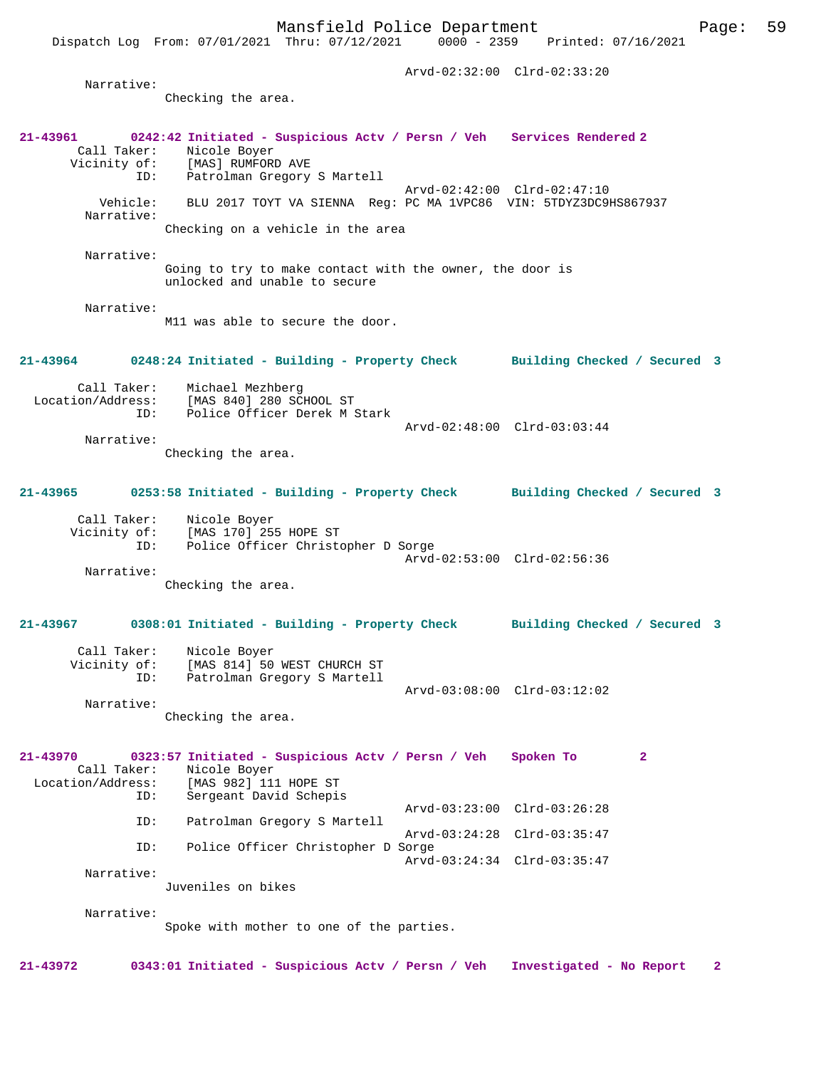Arvd-02:32:00 Clrd-02:33:20 Narrative: Checking the area. **21-43961 0242:42 Initiated - Suspicious Actv / Persn / Veh Services Rendered 2**  Call Taker: Nicole Boyer Vicinity of: [MAS] RUMFORD AVE ID: Patrolman Gregory S Martell Arvd-02:42:00 Clrd-02:47:10 Vehicle: BLU 2017 TOYT VA SIENNA Reg: PC MA 1VPC86 VIN: 5TDYZ3DC9HS867937 Narrative: Checking on a vehicle in the area Narrative: Going to try to make contact with the owner, the door is unlocked and unable to secure Narrative: M11 was able to secure the door. **21-43964 0248:24 Initiated - Building - Property Check Building Checked / Secured 3** Call Taker: Michael Mezhberg Location/Address: [MAS 840] 280 SCHOOL ST<br>ID: Police Officer Derek M 9 Police Officer Derek M Stark Arvd-02:48:00 Clrd-03:03:44 Narrative: Checking the area. **21-43965 0253:58 Initiated - Building - Property Check Building Checked / Secured 3** Call Taker: Nicole Boyer Vicinity of: [MAS 170] 255 HOPE ST ID: Police Officer Christopher D Sorge Arvd-02:53:00 Clrd-02:56:36 Narrative: Checking the area. **21-43967 0308:01 Initiated - Building - Property Check Building Checked / Secured 3** Call Taker: Nicole Boyer Vicinity of: [MAS 814] 50 WEST CHURCH ST ID: Patrolman Gregory S Martell Arvd-03:08:00 Clrd-03:12:02 Narrative: Checking the area. **21-43970 0323:57 Initiated - Suspicious Actv / Persn / Veh Spoken To 2**  Call Taker: Nicole Boyer<br>Location/Address: [MAS 982] 111 [MAS 982] 111 HOPE ST ID: Sergeant David Schepis Arvd-03:23:00 Clrd-03:26:28<br>TD: Patrolman Gregory S Martell Patrolman Gregory S Martell Arvd-03:24:28 Clrd-03:35:47 ID: Police Officer Christopher D Sorge Arvd-03:24:34 Clrd-03:35:47 Narrative: Juveniles on bikes Narrative: Spoke with mother to one of the parties. **21-43972 0343:01 Initiated - Suspicious Actv / Persn / Veh Investigated - No Report 2**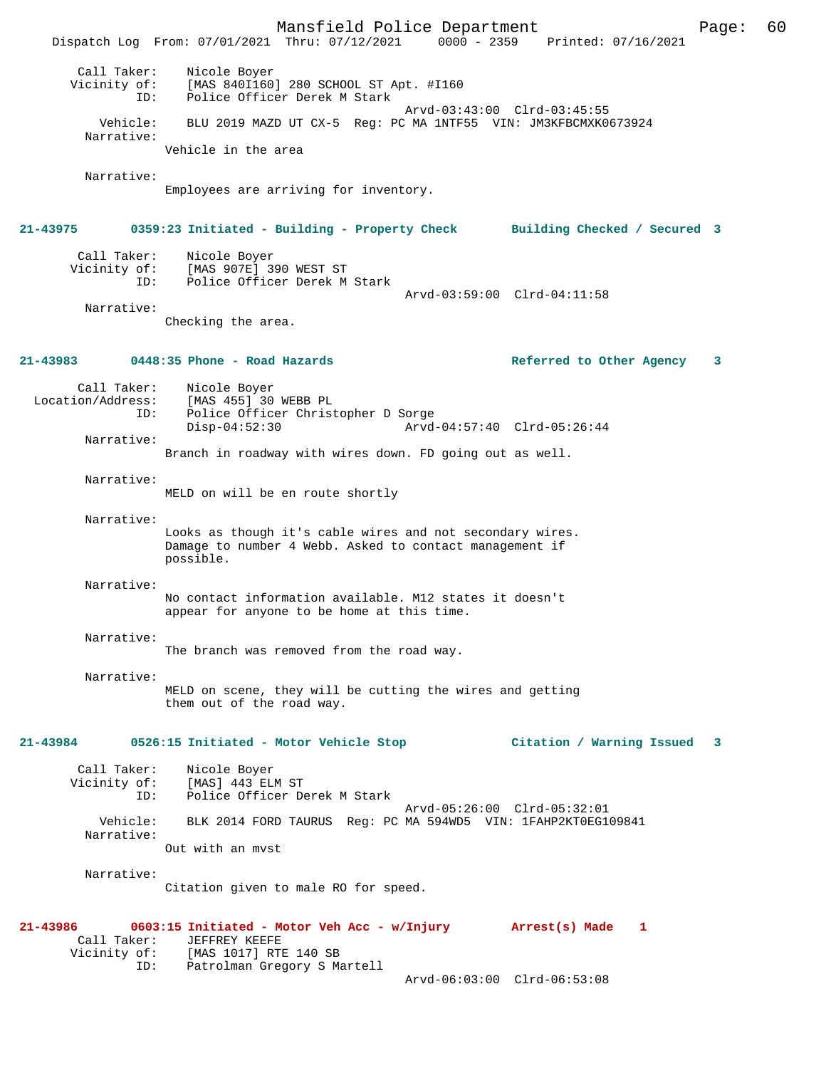Mansfield Police Department Page: 60 Dispatch Log From: 07/01/2021 Thru: 07/12/2021 Call Taker: Nicole Boyer Vicinity of: [MAS 840I160] 280 SCHOOL ST Apt. #I160 ID: Police Officer Derek M Stark Arvd-03:43:00 Clrd-03:45:55 Vehicle: BLU 2019 MAZD UT CX-5 Reg: PC MA 1NTF55 VIN: JM3KFBCMXK0673924 Narrative: Vehicle in the area Narrative: Employees are arriving for inventory. **21-43975 0359:23 Initiated - Building - Property Check Building Checked / Secured 3** Call Taker: Nicole Boyer Vicinity of: [MAS 907E] 390 WEST ST ID: Police Officer Derek M Stark Arvd-03:59:00 Clrd-04:11:58 Narrative: Checking the area. **21-43983 0448:35 Phone - Road Hazards Referred to Other Agency 3** Call Taker: Nicole Boyer Location/Address: [MAS 455] 30 WEBB PL Police Officer Christopher D Sorge<br>Disp-04:52:30 Arvd Disp-04:52:30 Arvd-04:57:40 Clrd-05:26:44 Narrative: Branch in roadway with wires down. FD going out as well. Narrative: MELD on will be en route shortly Narrative: Looks as though it's cable wires and not secondary wires. Damage to number 4 Webb. Asked to contact management if possible. Narrative: No contact information available. M12 states it doesn't appear for anyone to be home at this time. Narrative: The branch was removed from the road way. Narrative: MELD on scene, they will be cutting the wires and getting them out of the road way. **21-43984 0526:15 Initiated - Motor Vehicle Stop Citation / Warning Issued 3** Call Taker: Nicole Boyer<br>Vicinity of: [MAS] 443 ELI [MAS] 443 ELM ST ID: Police Officer Derek M Stark Arvd-05:26:00 Clrd-05:32:01 Vehicle: BLK 2014 FORD TAURUS Reg: PC MA 594WD5 VIN: 1FAHP2KT0EG109841 Narrative: Out with an mvst Narrative: Citation given to male RO for speed. **21-43986 0603:15 Initiated - Motor Veh Acc - w/Injury Arrest(s) Made 1**  Call Taker: JEFFREY KEEFE<br>Vicinity of: [MAS 1017] RTH of: [MAS 1017] RTE 140 SB<br>ID: Patrolman Gregory S M. Patrolman Gregory S Martell Arvd-06:03:00 Clrd-06:53:08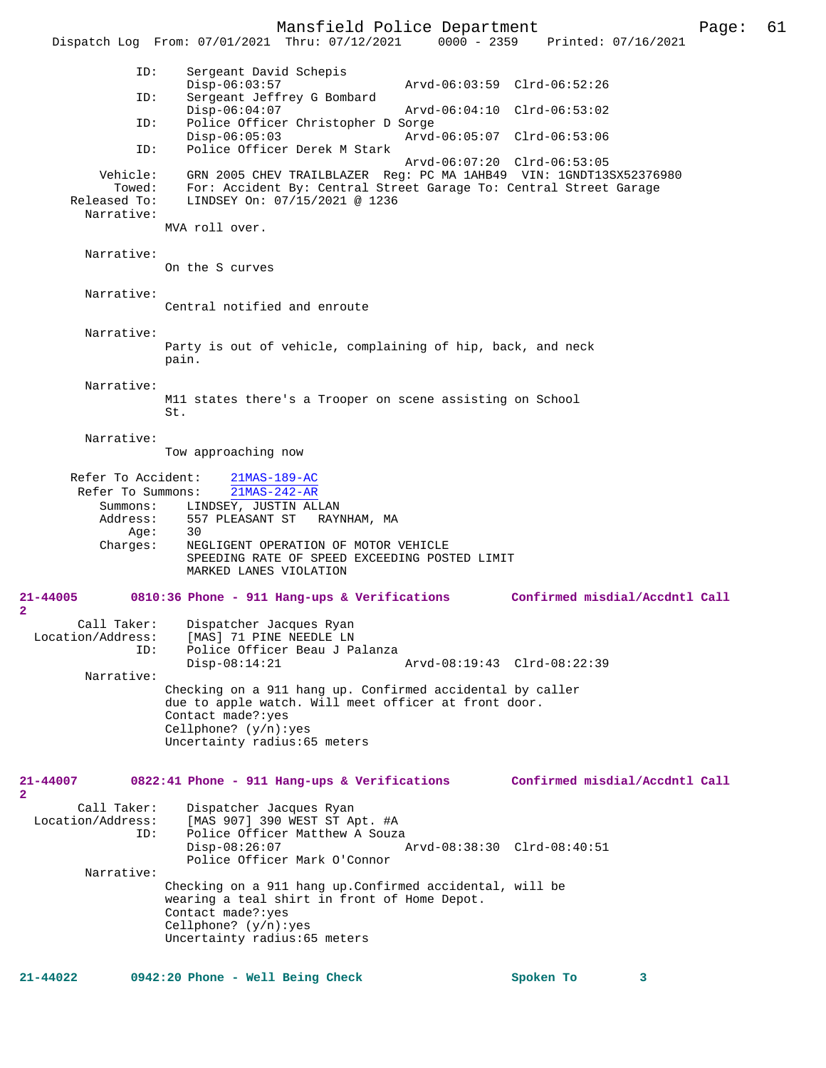Mansfield Police Department Page: 61 Dispatch Log From: 07/01/2021 Thru: 07/12/2021 ID: Sergeant David Schepis Disp-06:03:57 Arvd-06:03:59 Clrd-06:52:26<br>TD: Sergeant Jeffrey G Bombard Sergeant Jeffrey G Bombard<br>Disp-06:04:07 Disp-06:04:07 Arvd-06:04:10 Clrd-06:53:02<br>TD: Police Officer Christopher D Sorge Police Officer Christopher D Sorge<br>Disp-06:05:03 Arvd Disp-06:05:03 Arvd-06:05:07 Clrd-06:53:06 ID: Police Officer Derek M Stark Arvd-06:07:20 Clrd-06:53:05 Vehicle: GRN 2005 CHEV TRAILBLAZER Reg: PC MA 1AHB49 VIN: 1GNDT13SX52376980 Towed: For: Accident By: Central Street Garage To: Central Street Garage Released To: LINDSEY On: 07/15/2021 @ 1236 Narrative: MVA roll over. Narrative: On the S curves Narrative: Central notified and enroute Narrative: Party is out of vehicle, complaining of hip, back, and neck pain. Narrative: M11 states there's a Trooper on scene assisting on School St. Narrative: Tow approaching now Refer To Accident:  $\frac{21\text{MAS}-189-\text{AC}}{21\text{MAS}-242-\text{AR}}$ Refer To Summons: Summons: LINDSEY, JUSTIN ALLAN<br>Address: 557 PLEASANT ST RAY 557 PLEASANT ST RAYNHAM, MA<br>30  $Age:$  Charges: NEGLIGENT OPERATION OF MOTOR VEHICLE SPEEDING RATE OF SPEED EXCEEDING POSTED LIMIT MARKED LANES VIOLATION **21-44005 0810:36 Phone - 911 Hang-ups & Verifications Confirmed misdial/Accdntl Call 2**  Call Taker: Dispatcher Jacques Ryan<br>Location/Address: [MAS] 71 PINE NEEDLE LN ess: [MAS] 71 PINE NEEDLE LN<br>ID: Police Officer Beau J P Police Officer Beau J Palanza<br>Disp-08:14:21 Arvd-08:19:43 Clrd-08:22:39 Narrative: Checking on a 911 hang up. Confirmed accidental by caller due to apple watch. Will meet officer at front door. Contact made?:yes Cellphone? (y/n):yes Uncertainty radius:65 meters **21-44007 0822:41 Phone - 911 Hang-ups & Verifications Confirmed misdial/Accdntl Call 2**  Call Taker: Dispatcher Jacques Ryan<br>Location/Address: [MAS 907] 390 WEST ST Ap SS: [MAS 907] 390 WEST ST Apt. #A<br>ID: Police Officer Matthew A Souz Police Officer Matthew A Souza<br>Disp-08:26:07 Disp-08:26:07 Arvd-08:38:30 Clrd-08:40:51 Police Officer Mark O'Connor Narrative: Checking on a 911 hang up.Confirmed accidental, will be wearing a teal shirt in front of Home Depot. Contact made?:yes Cellphone? (y/n):yes Uncertainty radius:65 meters **21-44022 0942:20 Phone - Well Being Check Spoken To 3**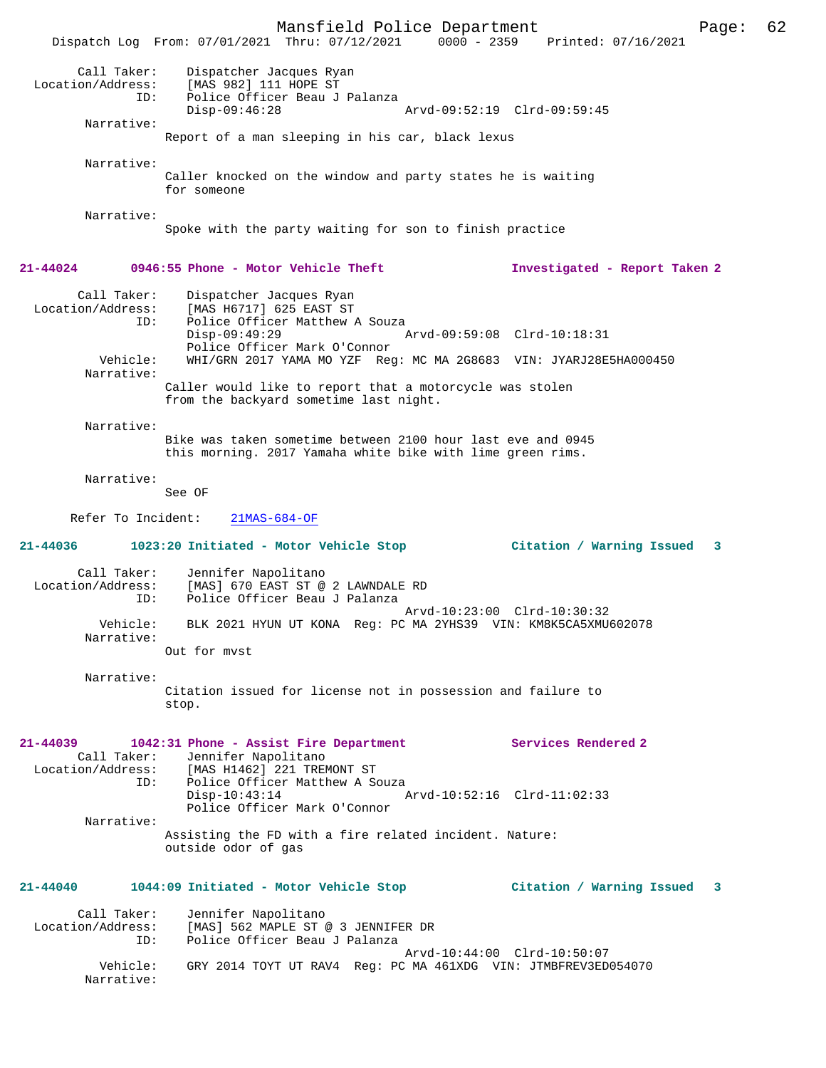Mansfield Police Department Page: 62 Dispatch Log From: 07/01/2021 Thru: 07/12/2021 0000 - 2359 Printed: 07/16/2021 Call Taker: Dispatcher Jacques Ryan<br>ion/Address: [MAS 992] 111 HODE ST Location/Address: [MAS 982] 111 HOPE ST ID: Police Officer Beau J Palanza<br>Disp-09:46:28 Disp-09:46:28 Arvd-09:52:19 Clrd-09:59:45 Narrative: Report of a man sleeping in his car, black lexus Narrative: Caller knocked on the window and party states he is waiting for someone Narrative: Spoke with the party waiting for son to finish practice **21-44024 0946:55 Phone - Motor Vehicle Theft Investigated - Report Taken 2** Call Taker: Dispatcher Jacques Ryan Location/Address: [MAS H6717] 625 EAST ST<br>TD: Police Officer Matthew Z Police Officer Matthew A Souza<br>Disp-09:49:29 Disp-09:49:29 Arvd-09:59:08 Clrd-10:18:31 Police Officer Mark O'Connor<br>Vehicle: WHI/GRN 2017 YAMA MO YZF Rec Vehicle: WHI/GRN 2017 YAMA MO YZF Reg: MC MA 2G8683 VIN: JYARJ28E5HA000450 Narrative: Caller would like to report that a motorcycle was stolen from the backyard sometime last night. Narrative: Bike was taken sometime between 2100 hour last eve and 0945 this morning. 2017 Yamaha white bike with lime green rims. Narrative: See OF Refer To Incident: 21MAS-684-OF **21-44036 1023:20 Initiated - Motor Vehicle Stop Citation / Warning Issued 3** Call Taker: Jennifer Napolitano Location/Address: [MAS] 670 EAST ST @ 2 LAWNDALE RD Police Officer Beau J Palanza Arvd-10:23:00 Clrd-10:30:32 Vehicle: BLK 2021 HYUN UT KONA Reg: PC MA 2YHS39 VIN: KM8K5CA5XMU602078 Narrative: Out for mvst Narrative: Citation issued for license not in possession and failure to stop. **21-44039 1042:31 Phone - Assist Fire Department Services Rendered 2**  Call Taker: Jennifer Napolitano<br>Location/Address: [MAS H1462] 221 TREN [MAS H1462] 221 TREMONT ST ID: Police Officer Matthew A Souza<br>Disp-10:43:14 P Disp-10:43:14 Arvd-10:52:16 Clrd-11:02:33 Police Officer Mark O'Connor Narrative: Assisting the FD with a fire related incident. Nature: outside odor of gas **21-44040 1044:09 Initiated - Motor Vehicle Stop Citation / Warning Issued 3** Call Taker: Jennifer Napolitano Location/Address: [MAS] 562 MAPLE ST @ 3 JENNIFER DR Police Officer Beau J Palanza Arvd-10:44:00 Clrd-10:50:07<br>Vehicle: GRY 2014 TOYT UT RAV4 Reg: PC MA 461XDG VIN: JTMRFREV3ED GRY 2014 TOYT UT RAV4 Reg: PC MA 461XDG VIN: JTMBFREV3ED054070 Narrative: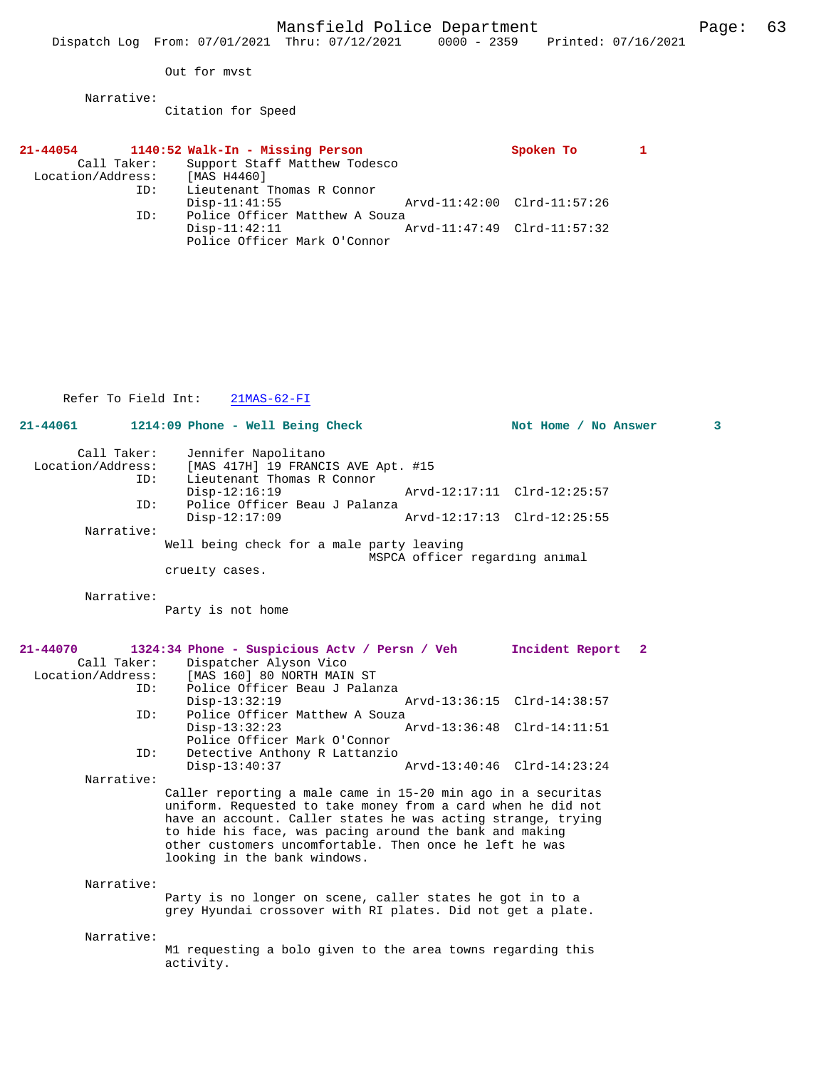Out for mvst

Narrative:

Citation for Speed

| $21 - 44054$      |             |                 | 1140:52 Walk-In - Missing Person |                                |                             | Spoken To |  |
|-------------------|-------------|-----------------|----------------------------------|--------------------------------|-----------------------------|-----------|--|
|                   | Call Taker: |                 |                                  | Support Staff Matthew Todesco  |                             |           |  |
| Location/Address: |             | [MAS H4460]     |                                  |                                |                             |           |  |
|                   | ID:         |                 | Lieutenant Thomas R Connor       |                                |                             |           |  |
|                   |             | $Disp-11:41:55$ |                                  |                                | Arvd-11:42:00 Clrd-11:57:26 |           |  |
|                   | ID:         |                 |                                  | Police Officer Matthew A Souza |                             |           |  |
|                   |             | $Disp-11:42:11$ |                                  |                                | Arvd-11:47:49 Clrd-11:57:32 |           |  |
|                   |             |                 |                                  | Police Officer Mark O'Connor   |                             |           |  |

Refer To Field Int: 21MAS-62-FI

| 21-44061                                                                        | 1214:09 Phone - Well Being Check                                                                                                                                                                                                                                                                                                                                                                                                                                                                                                                                                                                                                         |                                | Not Home / No Answer                                                                                         | 3            |
|---------------------------------------------------------------------------------|----------------------------------------------------------------------------------------------------------------------------------------------------------------------------------------------------------------------------------------------------------------------------------------------------------------------------------------------------------------------------------------------------------------------------------------------------------------------------------------------------------------------------------------------------------------------------------------------------------------------------------------------------------|--------------------------------|--------------------------------------------------------------------------------------------------------------|--------------|
| Call Taker:<br>Location/Address:<br>ID:                                         | Jennifer Napolitano<br>[MAS 417H] 19 FRANCIS AVE Apt. #15<br>Lieutenant Thomas R Connor<br>$Disp-12:16:19$                                                                                                                                                                                                                                                                                                                                                                                                                                                                                                                                               |                                | Arvd-12:17:11 Clrd-12:25:57                                                                                  |              |
| ID:                                                                             | Police Officer Beau J Palanza<br>$Disp-12:17:09$                                                                                                                                                                                                                                                                                                                                                                                                                                                                                                                                                                                                         |                                | Arvd-12:17:13 Clrd-12:25:55                                                                                  |              |
| Narrative:                                                                      | Well being check for a male party leaving<br>cruelty cases.                                                                                                                                                                                                                                                                                                                                                                                                                                                                                                                                                                                              | MSPCA officer regarding animal |                                                                                                              |              |
| Narrative:                                                                      | Party is not home                                                                                                                                                                                                                                                                                                                                                                                                                                                                                                                                                                                                                                        |                                |                                                                                                              |              |
| 21-44070<br>Call Taker:<br>Location/Address:<br>ID:<br>ID:<br>ID:<br>Narrative: | 1324:34 Phone - Suspicious Actv / Persn / Veh<br>Dispatcher Alyson Vico<br>[MAS 160] 80 NORTH MAIN ST<br>Police Officer Beau J Palanza<br>$Disp-13:32:19$<br>Police Officer Matthew A Souza<br>$Disp-13:32:23$<br>Police Officer Mark O'Connor<br>Detective Anthony R Lattanzio<br>$Disp-13:40:37$<br>Caller reporting a male came in 15-20 min ago in a securitas<br>uniform. Requested to take money from a card when he did not<br>have an account. Caller states he was acting strange, trying<br>to hide his face, was pacing around the bank and making<br>other customers uncomfortable. Then once he left he was<br>looking in the bank windows. |                                | Incident Report<br>Arvd-13:36:15 Clrd-14:38:57<br>Arvd-13:36:48 Clrd-14:11:51<br>Arvd-13:40:46 Clrd-14:23:24 | $\mathbf{2}$ |
| Narrative:                                                                      | Party is no longer on scene, caller states he got in to a<br>grey Hyundai crossover with RI plates. Did not get a plate.                                                                                                                                                                                                                                                                                                                                                                                                                                                                                                                                 |                                |                                                                                                              |              |
| Narrative:                                                                      | M1 requesting a bolo given to the area towns regarding this<br>activity.                                                                                                                                                                                                                                                                                                                                                                                                                                                                                                                                                                                 |                                |                                                                                                              |              |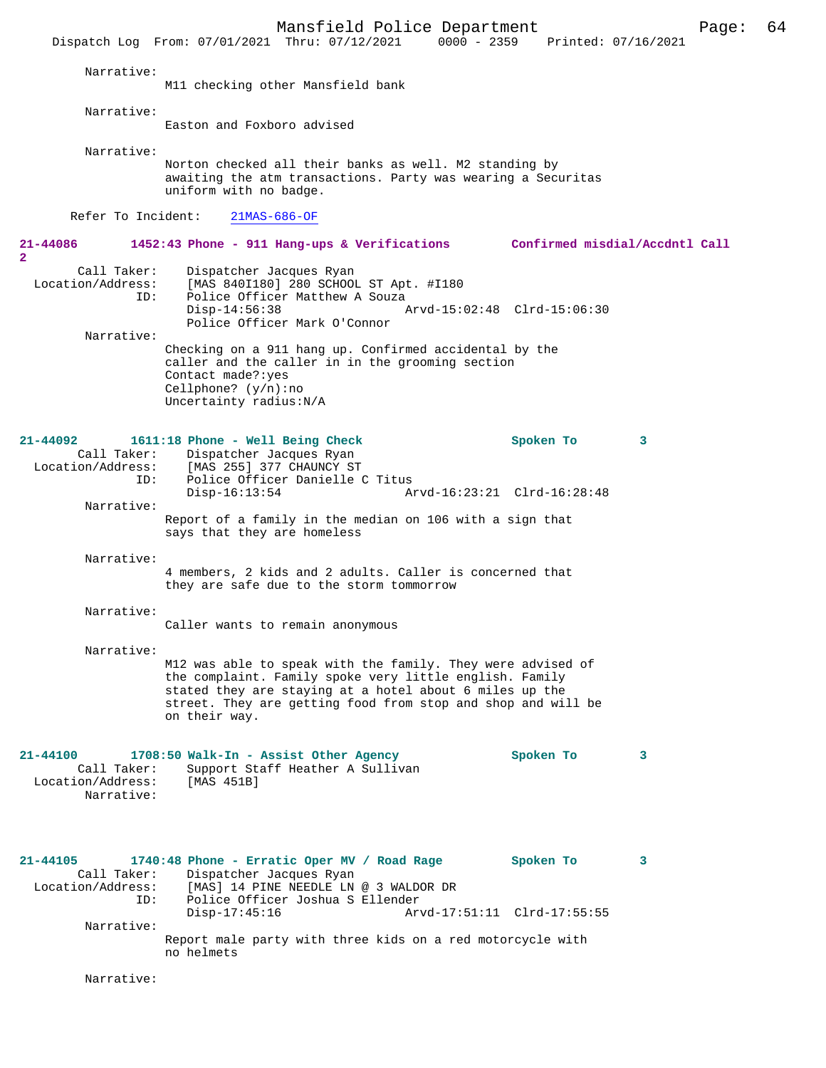Mansfield Police Department Page: 64 Dispatch Log From: 07/01/2021 Thru: 07/12/2021 Narrative: M11 checking other Mansfield bank Narrative: Easton and Foxboro advised Narrative: Norton checked all their banks as well. M2 standing by awaiting the atm transactions. Party was wearing a Securitas uniform with no badge. Refer To Incident: 21MAS-686-OF **21-44086 1452:43 Phone - 911 Hang-ups & Verifications Confirmed misdial/Accdntl Call 2**  Call Taker: Dispatcher Jacques Ryan<br>Location/Address: [MAS 840I180] 280 SCHOOI [MAS 840I180] 280 SCHOOL ST Apt. #I180 ID: Police Officer Matthew A Souza<br>Disp-14:56:38 Disp-14:56:38 Arvd-15:02:48 Clrd-15:06:30 Police Officer Mark O'Connor Narrative: Checking on a 911 hang up. Confirmed accidental by the caller and the caller in in the grooming section Contact made?:yes Cellphone? (y/n):no Uncertainty radius:N/A **21-44092 1611:18 Phone - Well Being Check Spoken To 3**  Call Taker: Dispatcher Jacques Ryan<br>Location/Address: [MAS 255] 377 CHAUNCY ST ess: [MAS 255] 377 CHAUNCY ST<br>ID: Police Officer Danielle ( ID: Police Officer Danielle C Titus Disp-16:13:54 Arvd-16:23:21 Clrd-16:28:48 Narrative: Report of a family in the median on 106 with a sign that says that they are homeless Narrative: 4 members, 2 kids and 2 adults. Caller is concerned that they are safe due to the storm tommorrow Narrative: Caller wants to remain anonymous Narrative: M12 was able to speak with the family. They were advised of the complaint. Family spoke very little english. Family stated they are staying at a hotel about 6 miles up the street. They are getting food from stop and shop and will be on their way. **21-44100 1708:50 Walk-In - Assist Other Agency Spoken To 3**  Call Taker: Support Staff Heather A Sullivan<br>ion/Address: [MAS 451B] Location/Address: Narrative: **21-44105 1740:48 Phone - Erratic Oper MV / Road Rage Spoken To 3**  Call Taker: Dispatcher Jacques Ryan<br>Location/Address: [MAS] 14 PINE NEEDLE LN [MAS] 14 PINE NEEDLE LN @ 3 WALDOR DR ID: Police Officer Joshua S Ellender Disp-17:45:16 Arvd-17:51:11 Clrd-17:55:55 Narrative:

> Report male party with three kids on a red motorcycle with no helmets

Narrative: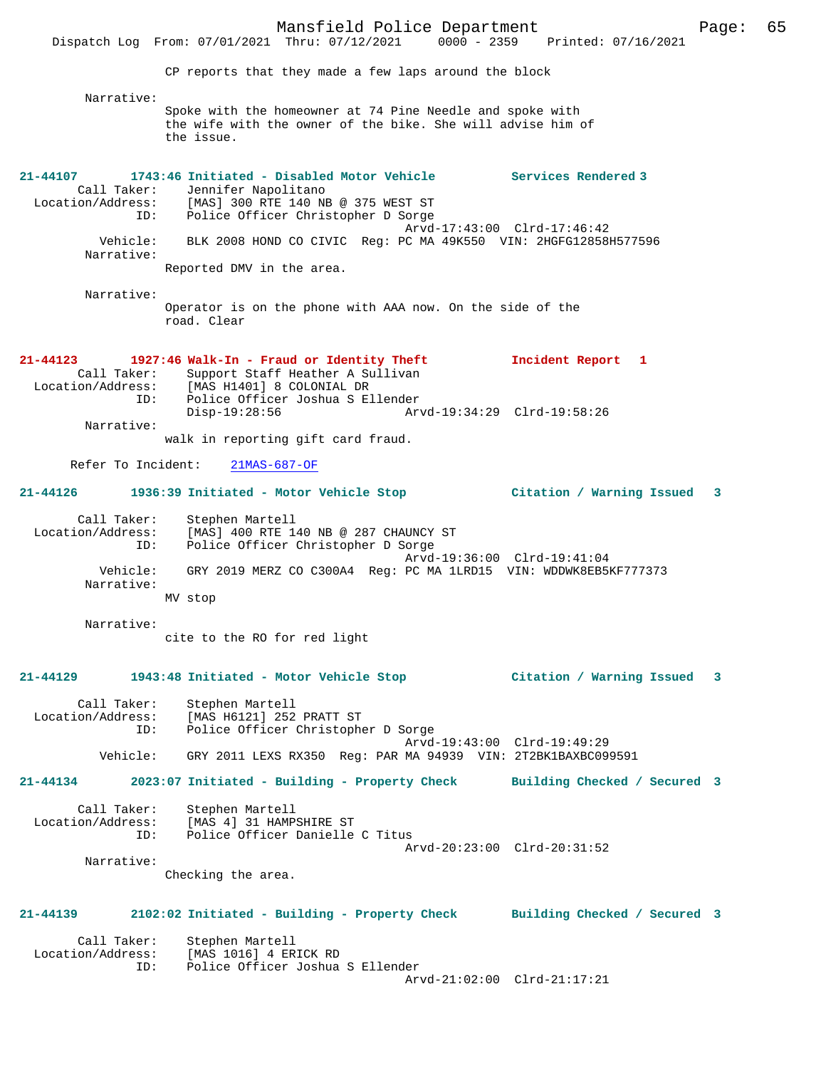Mansfield Police Department Form Page: 65 Dispatch Log From: 07/01/2021 Thru: 07/12/2021 0000 - 2359 Printed: 07/16/2021 CP reports that they made a few laps around the block Narrative: Spoke with the homeowner at 74 Pine Needle and spoke with the wife with the owner of the bike. She will advise him of the issue. **21-44107 1743:46 Initiated - Disabled Motor Vehicle Services Rendered 3**  Call Taker: Jennifer Napolitano<br>Location/Address: [MAS] 300 RTE 140 NE [MAS] 300 RTE 140 NB @ 375 WEST ST ID: Police Officer Christopher D Sorge Arvd-17:43:00 Clrd-17:46:42<br>Vehicle: BLK 2008 HOND CO CIVIC Reg: PC MA 49K550 VIN: 2HGFG12858B BLK 2008 HOND CO CIVIC Reg: PC MA 49K550 VIN: 2HGFG12858H577596 Narrative: Reported DMV in the area. Narrative: Operator is on the phone with AAA now. On the side of the road. Clear **21-44123 1927:46 Walk-In - Fraud or Identity Theft Incident Report 1**  Call Taker: Support Staff Heather A Sullivan<br>Location/Address: [MAS H1401] 8 COLONIAL DR [MAS H1401] 8 COLONIAL DR ID: Police Officer Joshua S Ellender Disp-19:28:56 Arvd-19:34:29 Clrd-19:58:26 Narrative: walk in reporting gift card fraud. Refer To Incident: 21MAS-687-OF **21-44126 1936:39 Initiated - Motor Vehicle Stop Citation / Warning Issued 3** Call Taker: Stephen Martell Location/Address: [MAS] 400 RTE 140 NB @ 287 CHAUNCY ST ID: Police Officer Christopher D Sorge Arvd-19:36:00 Clrd-19:41:04 Vehicle: GRY 2019 MERZ CO C300A4 Reg: PC MA 1LRD15 VIN: WDDWK8EB5KF777373 Narrative: MV stop Narrative: cite to the RO for red light **21-44129 1943:48 Initiated - Motor Vehicle Stop Citation / Warning Issued 3** Call Taker: Stephen Martell<br>Location/Address: [MAS H6121] 252 [MAS H6121] 252 PRATT ST ID: Police Officer Christopher D Sorge Arvd-19:43:00 Clrd-19:49:29<br>Vehicle: GRY 2011 LEXS RX350 Req: PAR MA 94939 VIN: 2T2BK1BAXBC099 GRY 2011 LEXS RX350 Reg: PAR MA 94939 VIN: 2T2BK1BAXBC099591 **21-44134 2023:07 Initiated - Building - Property Check Building Checked / Secured 3** Call Taker: Stephen Martell Location/Address: [MAS 4] 31 HAMPSHIRE ST ID: Police Officer Danielle C Titus Arvd-20:23:00 Clrd-20:31:52 Narrative: Checking the area. **21-44139 2102:02 Initiated - Building - Property Check Building Checked / Secured 3** Call Taker: Stephen Martell<br>Location/Address: [MAS 1016] 4 ER [MAS 1016] 4 ERICK RD ID: Police Officer Joshua S Ellender Arvd-21:02:00 Clrd-21:17:21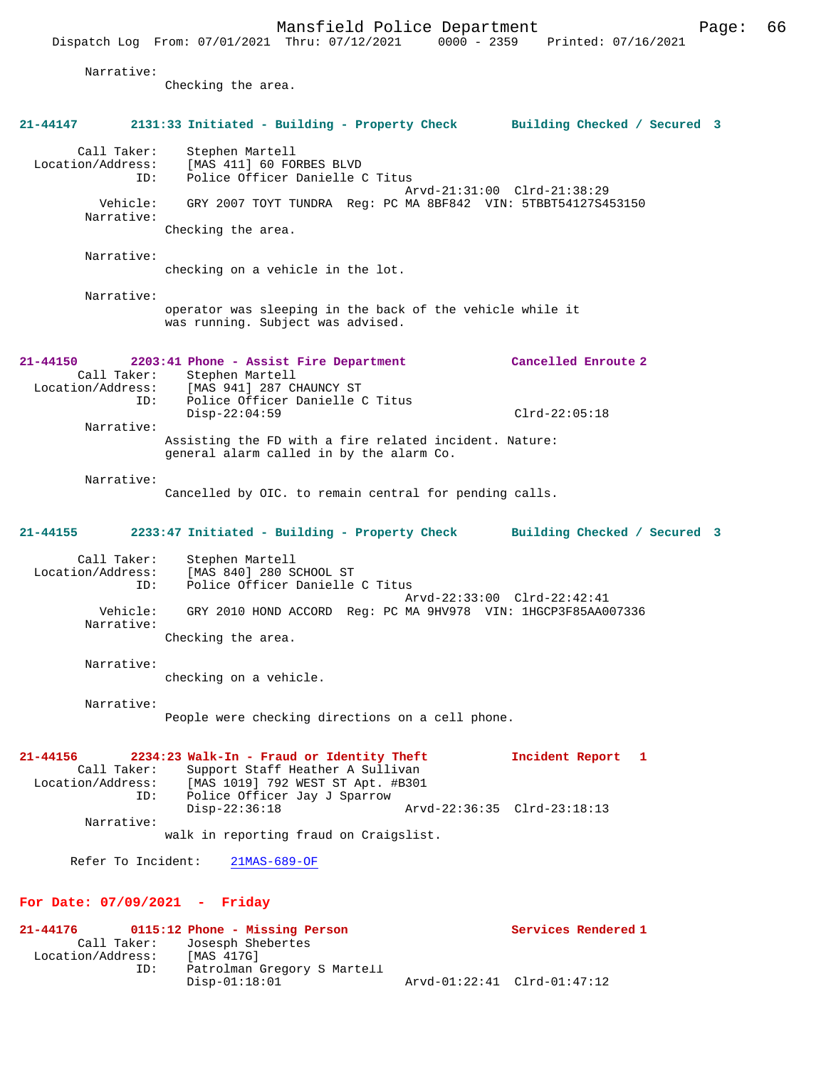|                         |                                         | Dispatch Log From: 07/01/2021 Thru: 07/12/2021                                                                                                     | $0000 - 2359$               | Printed: 07/16/2021          |  |
|-------------------------|-----------------------------------------|----------------------------------------------------------------------------------------------------------------------------------------------------|-----------------------------|------------------------------|--|
|                         | Narrative:                              | Checking the area.                                                                                                                                 |                             |                              |  |
| 21-44147                |                                         | 2131:33 Initiated - Building - Property Check Building Checked / Secured 3                                                                         |                             |                              |  |
|                         | Call Taker:<br>Location/Address:<br>ID: | Stephen Martell<br>[MAS 411] 60 FORBES BLVD<br>Police Officer Danielle C Titus                                                                     |                             |                              |  |
|                         | Vehicle:<br>Narrative:                  | GRY 2007 TOYT TUNDRA Req: PC MA 8BF842 VIN: 5TBBT54127S453150<br>Checking the area.                                                                | Arvd-21:31:00 Clrd-21:38:29 |                              |  |
|                         | Narrative:                              |                                                                                                                                                    |                             |                              |  |
|                         |                                         | checking on a vehicle in the lot.                                                                                                                  |                             |                              |  |
|                         | Narrative:                              | operator was sleeping in the back of the vehicle while it<br>was running. Subject was advised.                                                     |                             |                              |  |
| $21 - 44150$            | Call Taker:                             | 2203:41 Phone - Assist Fire Department<br>Stephen Martell                                                                                          |                             | Cancelled Enroute 2          |  |
|                         | Location/Address:<br>ID:                | [MAS 941] 287 CHAUNCY ST<br>Police Officer Danielle C Titus<br>$Disp-22:04:59$                                                                     |                             | $Clrd-22:05:18$              |  |
|                         | Narrative:                              | Assisting the FD with a fire related incident. Nature:<br>general alarm called in by the alarm Co.                                                 |                             |                              |  |
|                         | Narrative:                              | Cancelled by OIC. to remain central for pending calls.                                                                                             |                             |                              |  |
| 21-44155                |                                         | 2233:47 Initiated - Building - Property Check                                                                                                      |                             | Building Checked / Secured 3 |  |
|                         | Call Taker:<br>Location/Address:<br>ID: | Stephen Martell<br>[MAS 840] 280 SCHOOL ST<br>Police Officer Danielle C Titus                                                                      | Arvd-22:33:00 Clrd-22:42:41 |                              |  |
|                         | Vehicle:<br>Narrative:                  | GRY 2010 HOND ACCORD Reg: PC MA 9HV978 VIN: 1HGCP3F85AA007336<br>Checking the area.                                                                |                             |                              |  |
|                         | Narrative:                              |                                                                                                                                                    |                             |                              |  |
|                         |                                         | checking on a vehicle.                                                                                                                             |                             |                              |  |
|                         | Narrative:                              | People were checking directions on a cell phone.                                                                                                   |                             |                              |  |
| 21-44156                | Call Taker:<br>Location/Address:<br>ID: | 2234:23 Walk-In - Fraud or Identity Theft<br>Support Staff Heather A Sullivan<br>[MAS 1019] 792 WEST ST Apt. #B301<br>Police Officer Jay J Sparrow |                             | Incident Report 1            |  |
|                         | Narrative:                              | $Disp-22:36:18$<br>walk in reporting fraud on Craigslist.                                                                                          | Arvd-22:36:35 Clrd-23:18:13 |                              |  |
|                         | Refer To Incident:                      | $21MAS-689-OF$                                                                                                                                     |                             |                              |  |
|                         |                                         | For Date: $07/09/2021$ - Friday                                                                                                                    |                             |                              |  |
| 21-44176<br>Call Taker: |                                         | 0115:12 Phone - Missing Person<br>Josesph Shebertes                                                                                                |                             | Services Rendered 1          |  |
|                         | ID:                                     | Location/Address: [MAS 417G]<br>Patrolman Gregory S Martell<br>$Disp-01:18:01$                                                                     | Arvd-01:22:41 Clrd-01:47:12 |                              |  |
|                         |                                         |                                                                                                                                                    |                             |                              |  |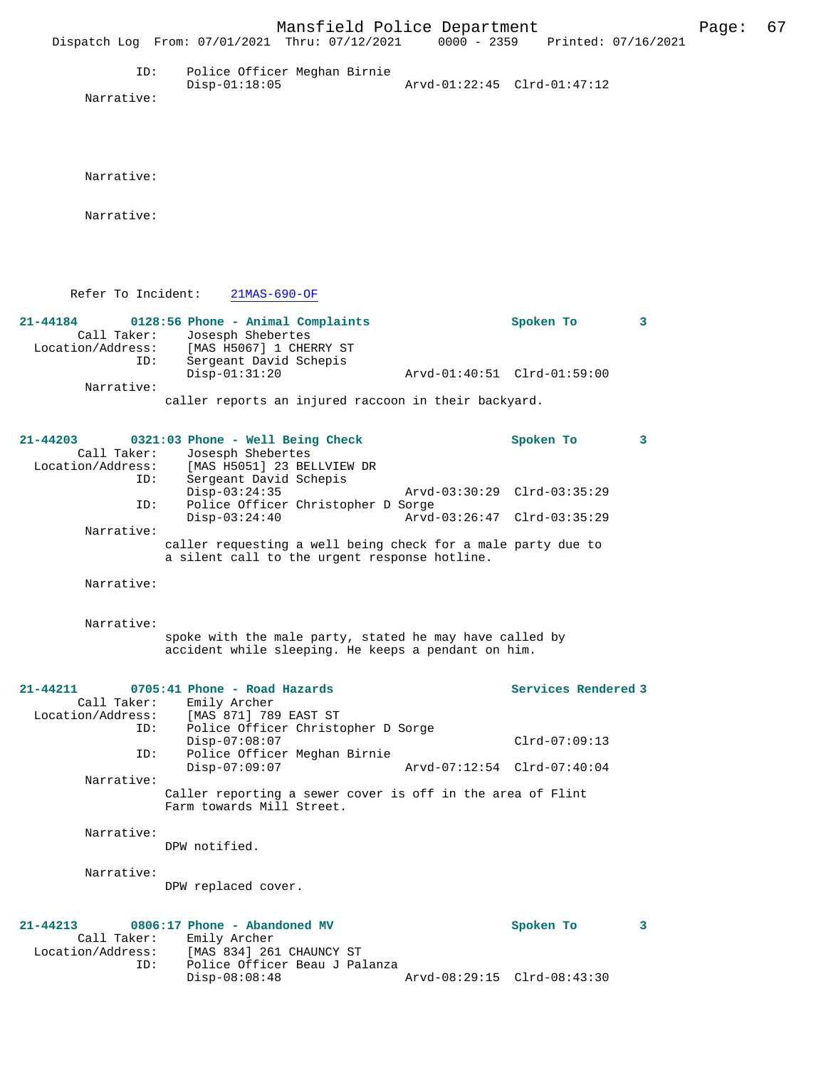|                                              | Mansfield Police Department<br>Dispatch Log From: 07/01/2021 Thru: 07/12/2021                                               | 0000 - 2359 Printed: 07/16/2021 |   | Page: | 67 |
|----------------------------------------------|-----------------------------------------------------------------------------------------------------------------------------|---------------------------------|---|-------|----|
| ID:<br>Narrative:                            | Police Officer Meghan Birnie<br>$Disp-01:18:05$                                                                             | Arvd-01:22:45 Clrd-01:47:12     |   |       |    |
| Narrative:                                   |                                                                                                                             |                                 |   |       |    |
| Narrative:                                   |                                                                                                                             |                                 |   |       |    |
| Refer To Incident:                           | $21MAS-690-OF$                                                                                                              |                                 |   |       |    |
| 21-44184<br>Call Taker:<br>Location/Address: | 0128:56 Phone - Animal Complaints<br>Josesph Shebertes<br>[MAS H5067] 1 CHERRY ST                                           | Spoken To                       | 3 |       |    |
| ID:                                          | Sergeant David Schepis<br>$Disp-01:31:20$                                                                                   | Arvd-01:40:51 Clrd-01:59:00     |   |       |    |
| Narrative:                                   | caller reports an injured raccoon in their backyard.                                                                        |                                 |   |       |    |
| 21-44203<br>Call Taker:                      | 0321:03 Phone - Well Being Check<br>Josesph Shebertes<br>Location/Address: [MAS H5051] 23 BELLVIEW DR                       | Spoken To                       | 3 |       |    |
| ID:                                          | Sergeant David Schepis<br>$Disp-03:24:35$                                                                                   | Arvd-03:30:29 Clrd-03:35:29     |   |       |    |
| ID:                                          | Police Officer Christopher D Sorge<br>$Disp-03:24:40$                                                                       | Arvd-03:26:47 Clrd-03:35:29     |   |       |    |
| Narrative:                                   | caller requesting a well being check for a male party due to<br>a silent call to the urgent response hotline.               |                                 |   |       |    |
| Narrative:                                   |                                                                                                                             |                                 |   |       |    |
| Narrative:                                   | spoke with the male party, stated he may have called by<br>accident while sleeping. He keeps a pendant on him.              |                                 |   |       |    |
| 21-44211<br>Call Taker:<br>Location/Address: | 0705:41 Phone - Road Hazards<br>Emily Archer<br>[MAS 871] 789 EAST ST                                                       | Services Rendered 3             |   |       |    |
| ID:                                          | Police Officer Christopher D Sorge<br>$Disp-07:08:07$                                                                       | $Clrd-07:09:13$                 |   |       |    |
| ID:                                          | Police Officer Meghan Birnie<br>$Disp-07:09:07$                                                                             | Arvd-07:12:54 Clrd-07:40:04     |   |       |    |
| Narrative:                                   | Caller reporting a sewer cover is off in the area of Flint<br>Farm towards Mill Street.                                     |                                 |   |       |    |
| Narrative:                                   | DPW notified.                                                                                                               |                                 |   |       |    |
| Narrative:                                   | DPW replaced cover.                                                                                                         |                                 |   |       |    |
| 21-44213<br>Call Taker:<br>ID:               | 0806:17 Phone - Abandoned MV<br>Emily Archer<br>Location/Address: [MAS 834] 261 CHAUNCY ST<br>Police Officer Beau J Palanza | Spoken To                       | 3 |       |    |
|                                              | Disp-08:08:48                                                                                                               | Arvd-08:29:15 Clrd-08:43:30     |   |       |    |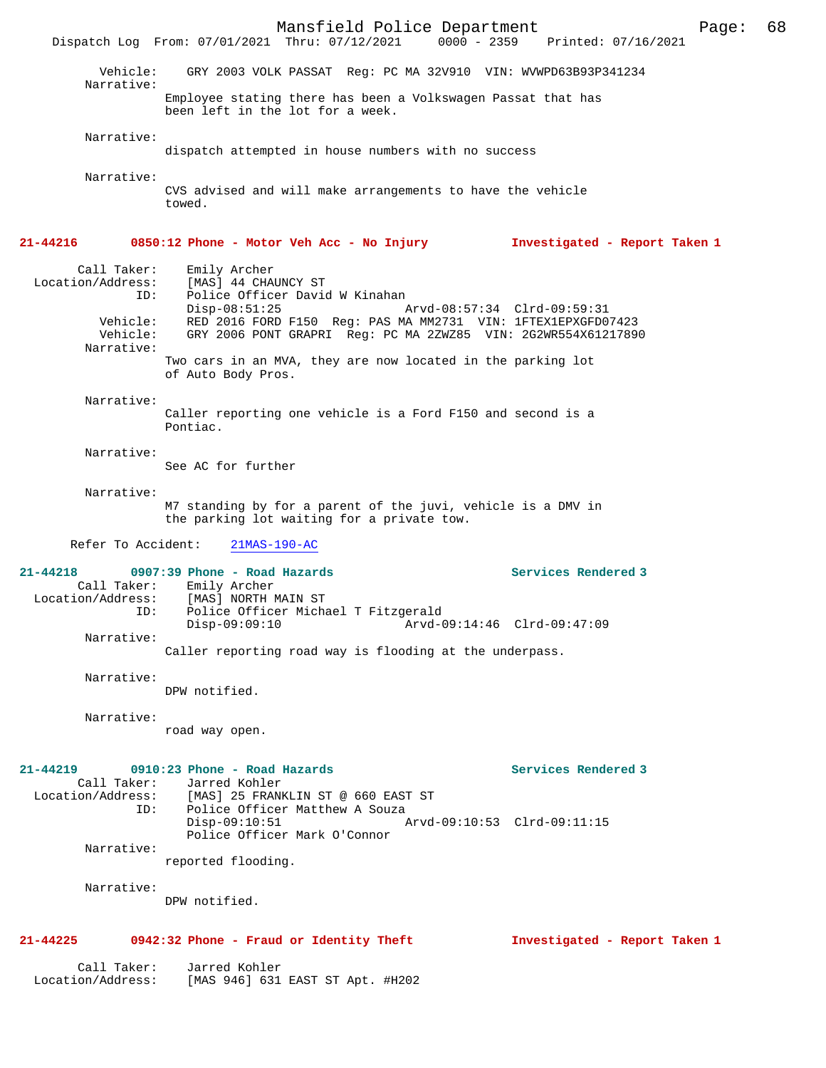Mansfield Police Department Page: 68 Dispatch Log From: 07/01/2021 Thru: 07/12/2021 Vehicle: GRY 2003 VOLK PASSAT Reg: PC MA 32V910 VIN: WVWPD63B93P341234 Narrative: Employee stating there has been a Volkswagen Passat that has been left in the lot for a week. Narrative: dispatch attempted in house numbers with no success Narrative: CVS advised and will make arrangements to have the vehicle towed. **21-44216 0850:12 Phone - Motor Veh Acc - No Injury Investigated - Report Taken 1** Call Taker: Emily Archer Location/Address: [MAS] 44 CHAUNCY ST<br>TD: Police Officer David Police Officer David W Kinahan<br>Disp-08:51:25 Disp-08:51:25 Arvd-08:57:34 Clrd-09:59:31 Vehicle: RED 2016 FORD F150 Reg: PAS MA MM2731 VIN: 1FTEX1EPXGFD07423 GRY 2006 PONT GRAPRI Reg: PC MA 2ZWZ85 VIN: 2G2WR554X61217890 Narrative: Two cars in an MVA, they are now located in the parking lot of Auto Body Pros. Narrative: Caller reporting one vehicle is a Ford F150 and second is a Pontiac. Narrative: See AC for further Narrative: M7 standing by for a parent of the juvi, vehicle is a DMV in the parking lot waiting for a private tow. Refer To Accident: 21MAS-190-AC **21-44218 0907:39 Phone - Road Hazards Services Rendered 3**  Call Taker: Emily Archer<br>Location/Address: [MAS] NORTH I [MAS] NORTH MAIN ST ID: Police Officer Michael T Fitzgerald Disp-09:09:10 Arvd-09:14:46 Clrd-09:47:09 Narrative: Caller reporting road way is flooding at the underpass. Narrative: DPW notified. Narrative: road way open. **21-44219 0910:23 Phone - Road Hazards Services Rendered 3**  Call Taker: Jarred Kohler Location/Address: [MAS] 25 FRANKLIN ST @ 660 EAST ST ID: Police Officer Matthew A Souza Disp-09:10:51 Arvd-09:10:53 Clrd-09:11:15 Police Officer Mark O'Connor Narrative: reported flooding. Narrative: DPW notified. **21-44225 0942:32 Phone - Fraud or Identity Theft Investigated - Report Taken 1** Call Taker: Jarred Kohler<br>Location/Address: [MAS 946] 631 [MAS 946] 631 EAST ST Apt. #H202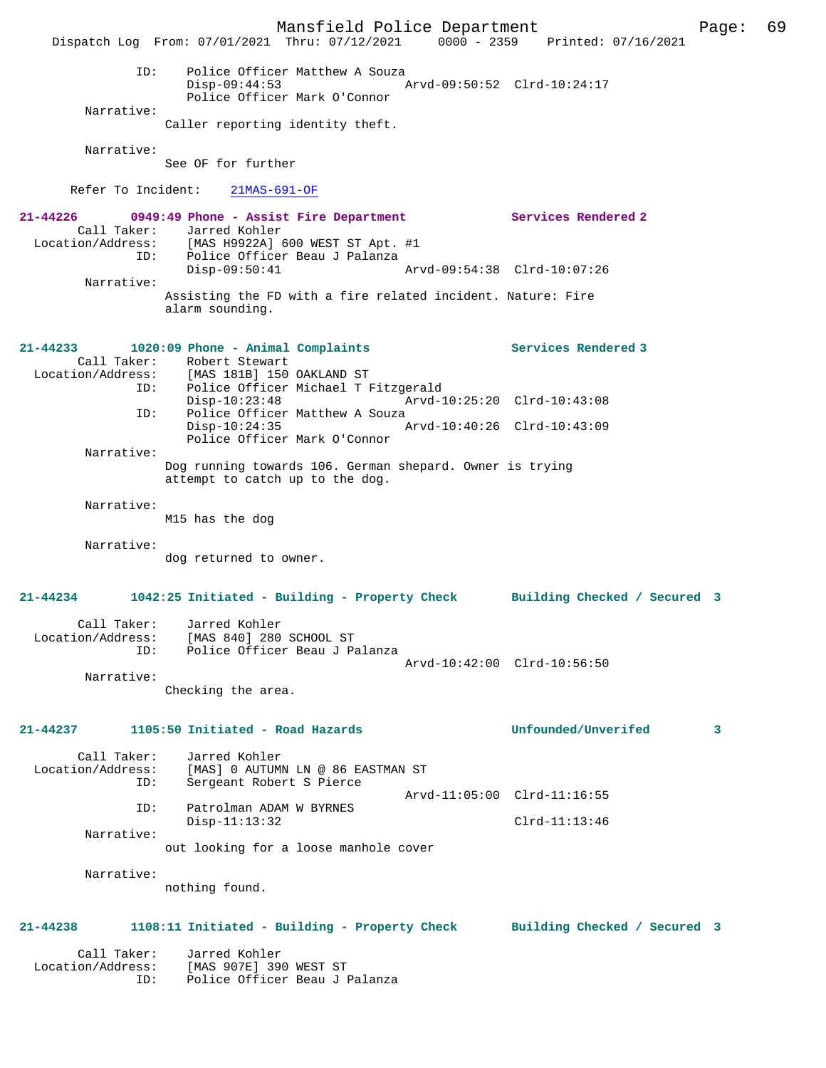Mansfield Police Department Page: 69 Dispatch Log From: 07/01/2021 Thru: 07/12/2021 0000 - 2359 Printed: 07/16/2021 ID: Police Officer Matthew A Souza Disp-09:44:53 Arvd-09:50:52 Clrd-10:24:17 Police Officer Mark O'Connor Narrative: Caller reporting identity theft. Narrative: See OF for further Refer To Incident: 21MAS-691-OF **21-44226 0949:49 Phone - Assist Fire Department Services Rendered 2**  Call Taker: Jarred Kohler<br>Location/Address: [MAS H9922A] ess: [MAS H9922A] 600 WEST ST Apt. #1<br>ID: Police Officer Beau J Palanza<br>Disp-09:50:41 Art Police Officer Beau J Palanza Disp-09:50:41 Arvd-09:54:38 Clrd-10:07:26 Narrative: Assisting the FD with a fire related incident. Nature: Fire alarm sounding. **21-44233 1020:09 Phone - Animal Complaints Services Rendered 3**  Call Taker: Robert Stewart Location/Address: [MAS 181B] 150 OAKLAND ST ID: Police Officer Michael T Fitzgerald Disp-10:23:48 Arvd-10:25:20 Clrd-10:43:08<br>ID: Police Officer Matthew A Souza Police Officer Matthew A Souza Disp-10:24:35 Arvd-10:40:26 Clrd-10:43:09 Police Officer Mark O'Connor Narrative: Dog running towards 106. German shepard. Owner is trying attempt to catch up to the dog. Narrative: M15 has the dog Narrative: dog returned to owner. **21-44234 1042:25 Initiated - Building - Property Check Building Checked / Secured 3** Call Taker: Jarred Kohler Location/Address: [MAS 840] 280 SCHOOL ST Police Officer Beau J Palanza Arvd-10:42:00 Clrd-10:56:50 Narrative: Checking the area. **21-44237 1105:50 Initiated - Road Hazards Unfounded/Unverifed 3** Call Taker: Jarred Kohler<br>Location/Address: [MAS] 0 AUTUM Location/Address: [MAS] 0 AUTUMN LN @ 86 EASTMAN ST ID: Sergeant Robert S Pierce Arvd-11:05:00 Clrd-11:16:55<br>TD: Patrolman ADAM W BYRNES Patrolman ADAM W BYRNES<br>Disp-11:13:32 Disp-11:13:32 Clrd-11:13:46 Narrative: out looking for a loose manhole cover Narrative: nothing found. **21-44238 1108:11 Initiated - Building - Property Check Building Checked / Secured 3** Call Taker: Jarred Kohler Location/Address: [MAS 907E] 390 WEST ST ID: Police Officer Beau J Palanza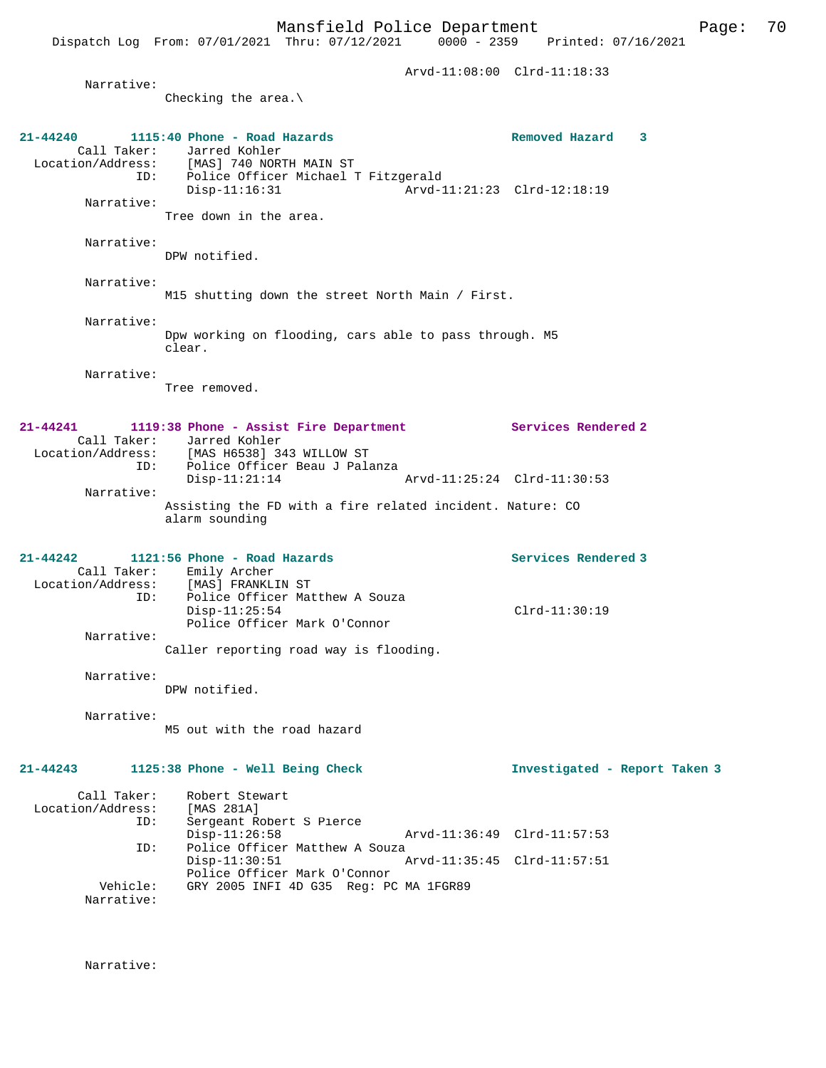Arvd-11:08:00 Clrd-11:18:33 Narrative: Checking the area.\ **21-44240 1115:40 Phone - Road Hazards Removed Hazard 3**  Call Taker: Jarred Kohler<br>Location/Address: [MAS] 740 NOR Location/Address: [MAS] 740 NORTH MAIN ST ID: Police Officer Michael T Fitzgerald Disp-11:16:31 Arvd-11:21:23 Clrd-12:18:19 Narrative: Tree down in the area. Narrative: DPW notified. Narrative: M15 shutting down the street North Main / First. Narrative: Dpw working on flooding, cars able to pass through. M5 clear. Narrative: Tree removed. **21-44241 1119:38 Phone - Assist Fire Department Services Rendered 2**  Call Taker: Jarred Kohler Location/Address: [MAS H6538] 343 WILLOW ST ID: Police Officer Beau J Palanza Arvd-11:25:24 Clrd-11:30:53 Narrative: Assisting the FD with a fire related incident. Nature: CO alarm sounding **21-44242 1121:56 Phone - Road Hazards Services Rendered 3**  Call Taker: Emily Archer<br>Location/Address: [MAS] FRANKLI Location/Address: [MAS] FRANKLIN ST Police Officer Matthew A Souza Disp-11:25:54 Clrd-11:30:19 Police Officer Mark O'Connor Narrative: Caller reporting road way is flooding. Narrative: DPW notified. Narrative: M5 out with the road hazard **21-44243 1125:38 Phone - Well Being Check Investigated - Report Taken 3** Call Taker: Robert Stewart<br>ion/Address: [MAS 281A] Location/Address:<br>ID: Sergeant Robert S Pierce<br>Disp-11:26:58 Disp-11:26:58 Arvd-11:36:49 Clrd-11:57:53<br>TD: Police Officer Matthew A Souza Police Officer Matthew A Souza<br>Disp-11:30:51 A Disp-11:30:51 Arvd-11:35:45 Clrd-11:57:51 Police Officer Mark O'Connor<br>Vehicle: GRY 2005 INFI 4D G35 Reg: PO GRY 2005 INFI 4D G35 Reg: PC MA 1FGR89 Narrative:

Narrative: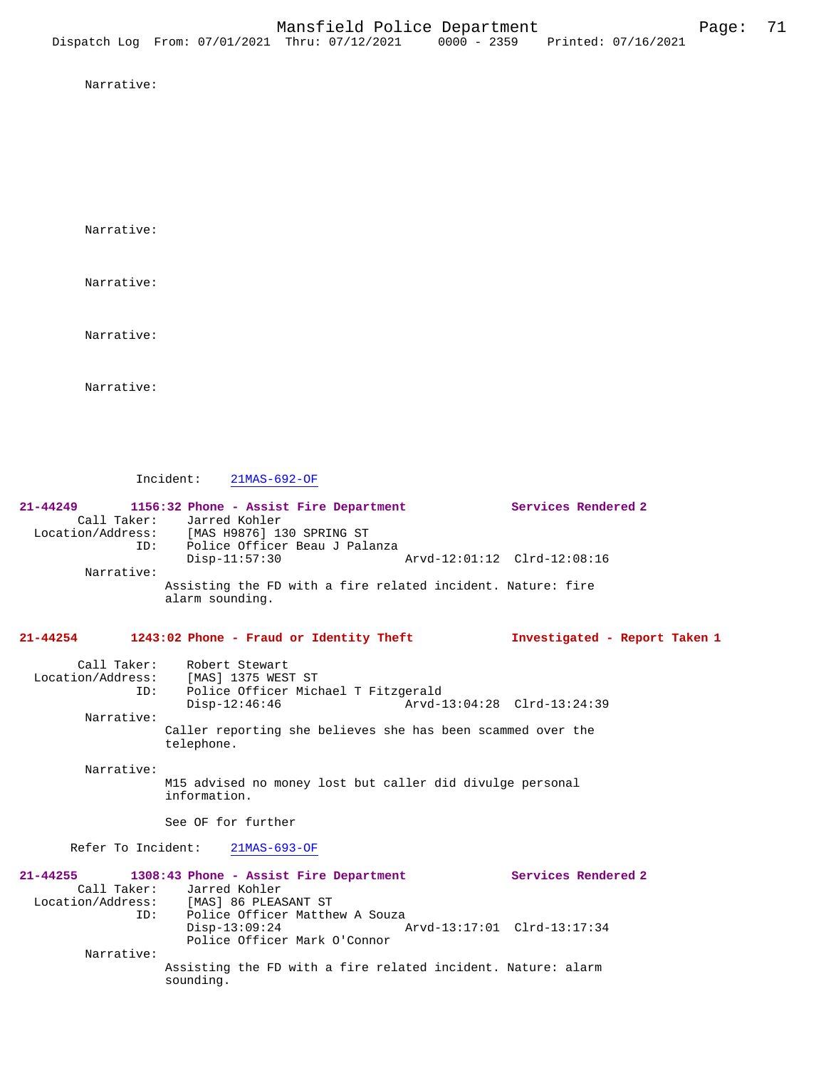Narrative:

Narrative:

Narrative:

Narrative:

Narrative:

Incident: 21MAS-692-OF

| 21-44249                          | 1156:32 Phone - Assist Fire Department<br>Call Taker: Jarred Kohler<br>Location/Address: [MAS H9876] 130 SPRING ST                                                                                 | Services Rendered 2                                |  |  |  |
|-----------------------------------|----------------------------------------------------------------------------------------------------------------------------------------------------------------------------------------------------|----------------------------------------------------|--|--|--|
|                                   | ID: Police Officer Beau J Palanza<br>$Disp-11:57:30$                                                                                                                                               | Arvd-12:01:12 Clrd-12:08:16                        |  |  |  |
| Narrative:                        | Assisting the FD with a fire related incident. Nature: fire<br>alarm sounding.                                                                                                                     |                                                    |  |  |  |
| $21 - 44254$                      | 1243:02 Phone - Fraud or Identity Theft                                                                                                                                                            | Investigated - Report Taken 1                      |  |  |  |
| ID:                               | Call Taker: Robert Stewart<br>Location/Address: [MAS] 1375 WEST ST<br>Police Officer Michael T Fitzgerald                                                                                          |                                                    |  |  |  |
| Narrative:                        | $Disp-12:46:46$                                                                                                                                                                                    |                                                    |  |  |  |
|                                   | Caller reporting she believes she has been scammed over the<br>telephone.                                                                                                                          |                                                    |  |  |  |
| Narrative:                        | M15 advised no money lost but caller did divulge personal<br>information.                                                                                                                          |                                                    |  |  |  |
|                                   | See OF for further                                                                                                                                                                                 |                                                    |  |  |  |
|                                   | Refer To Incident: 21MAS-693-OF                                                                                                                                                                    |                                                    |  |  |  |
| $21 - 44255$<br>ID:<br>Narrative: | 1308:43 Phone - Assist Fire Department<br>Call Taker: Jarred Kohler<br>Location/Address: [MAS] 86 PLEASANT ST<br>Police Officer Matthew A Souza<br>$Disp-13:09:24$<br>Police Officer Mark O'Connor | Services Rendered 2<br>Arvd-13:17:01 Clrd-13:17:34 |  |  |  |
|                                   | Assisting the FD with a fire related incident. Nature: alarm<br>sounding.                                                                                                                          |                                                    |  |  |  |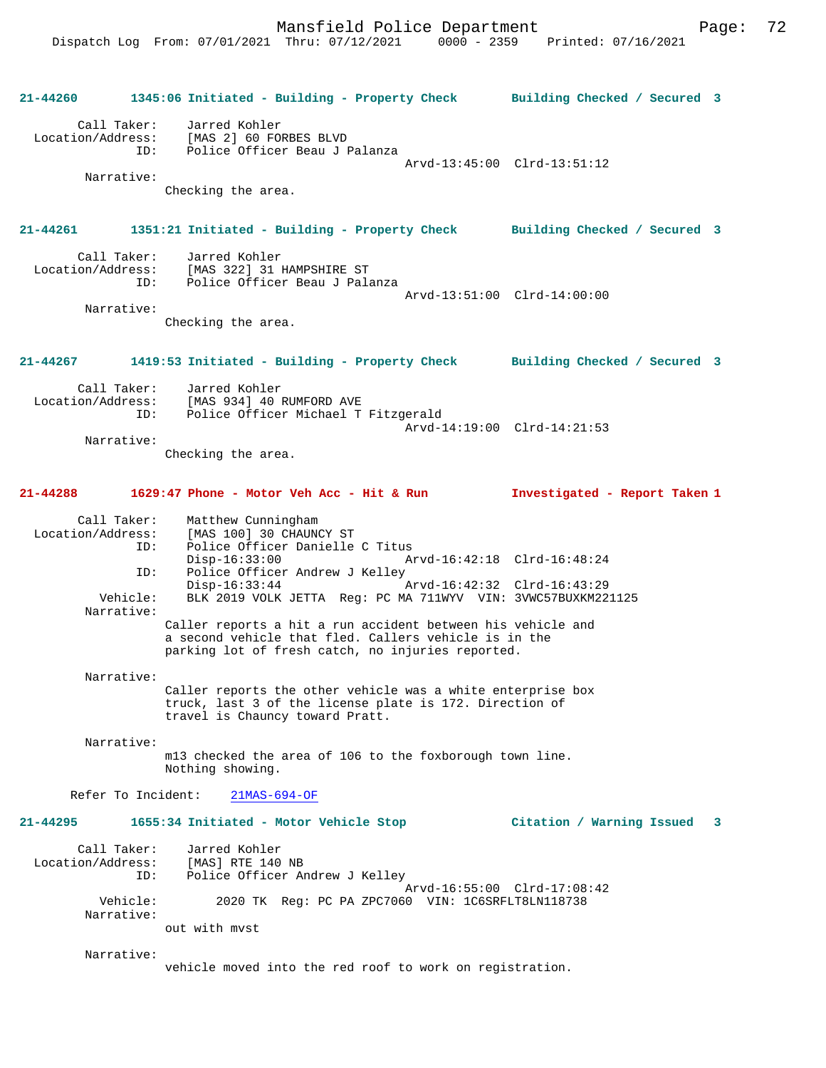**21-44260 1345:06 Initiated - Building - Property Check Building Checked / Secured 3** Call Taker: Jarred Kohler Location/Address: [MAS 2] 60 FORBES BLVD Police Officer Beau J Palanza Arvd-13:45:00 Clrd-13:51:12 Narrative: Checking the area. **21-44261 1351:21 Initiated - Building - Property Check Building Checked / Secured 3** Call Taker: Jarred Kohler<br>Location/Address: [MAS 322] 31 I [MAS 322] 31 HAMPSHIRE ST ID: Police Officer Beau J Palanza Arvd-13:51:00 Clrd-14:00:00 Narrative: Checking the area. **21-44267 1419:53 Initiated - Building - Property Check Building Checked / Secured 3** Call Taker: Jarred Kohler<br>Location/Address: [MAS 934] 40 1 ess: [MAS 934] 40 RUMFORD AVE<br>ID: Police Officer Michael T Police Officer Michael T Fitzgerald Arvd-14:19:00 Clrd-14:21:53 Narrative: Checking the area. **21-44288 1629:47 Phone - Motor Veh Acc - Hit & Run Investigated - Report Taken 1** Call Taker: Matthew Cunningham Location/Address: [MAS 100] 30 CHAUNCY ST ID: Police Officer Danielle C Titus Disp-16:33:00 Arvd-16:42:18 Clrd-16:48:24 ID: Police Officer Andrew J Kelley<br>Disp-16:33:44 Disp-16:33:44 Arvd-16:42:32 Clrd-16:43:29<br>Vehicle: BLK 2019 VOLK JETTA Req: PC MA 711WYV VIN: 3VWC57BUXKM22 BLK 2019 VOLK JETTA Reg: PC MA 711WYV VIN: 3VWC57BUXKM221125 Narrative: Caller reports a hit a run accident between his vehicle and a second vehicle that fled. Callers vehicle is in the parking lot of fresh catch, no injuries reported. Narrative: Caller reports the other vehicle was a white enterprise box truck, last 3 of the license plate is 172. Direction of travel is Chauncy toward Pratt. Narrative: m13 checked the area of 106 to the foxborough town line. Nothing showing. Refer To Incident: 21MAS-694-OF **21-44295 1655:34 Initiated - Motor Vehicle Stop Citation / Warning Issued 3** Call Taker: Jarred Kohler<br>.on/Address: [MAS] RTE 140 NB Location/Address: ID: Police Officer Andrew J Kelley Arvd-16:55:00 Clrd-17:08:42<br>Vehicle: 2020 TK Reg: PC PA ZPC7060 VIN: 1C6SRFLT8LN118738 2020 TK Reg: PC PA ZPC7060 VIN: 1C6SRFLT8LN118738 Narrative: out with mvst Narrative: vehicle moved into the red roof to work on registration.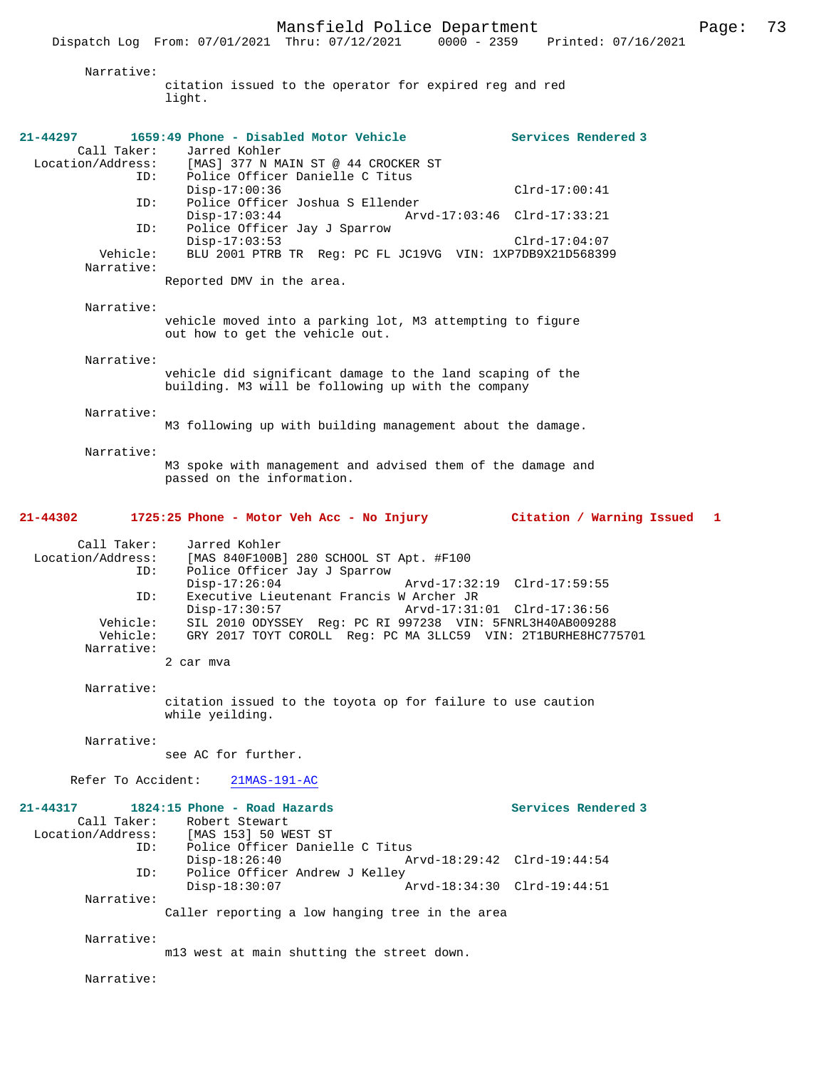Narrative:

citation issued to the operator for expired reg and red light.

| $21 - 44297$<br>Call Taker:<br>Location/Address: | 1659:49 Phone - Disabled Motor Vehicle<br>Jarred Kohler<br>[MAS] 377 N MAIN ST @ 44 CROCKER ST                                             | Services Rendered 3 |
|--------------------------------------------------|--------------------------------------------------------------------------------------------------------------------------------------------|---------------------|
| ID:<br>ID:                                       | Police Officer Danielle C Titus<br>$Disp-17:00:36$<br>Police Officer Joshua S Ellender                                                     | $Clrd-17:00:41$     |
| ID:                                              | $Disp-17:03:44$<br>Arvd-17:03:46 Clrd-17:33:21<br>Police Officer Jay J Sparrow                                                             |                     |
| Vehicle:<br>Narrative:                           | $Disp-17:03:53$<br>BLU 2001 PTRB TR Req: PC FL JC19VG VIN: 1XP7DB9X21D568399                                                               | $Clrd-17:04:07$     |
|                                                  | Reported DMV in the area.                                                                                                                  |                     |
| Narrative:                                       | vehicle moved into a parking lot, M3 attempting to figure<br>out how to get the vehicle out.                                               |                     |
| Narrative:                                       |                                                                                                                                            |                     |
|                                                  | vehicle did significant damage to the land scaping of the<br>building. M3 will be following up with the company                            |                     |
| Narrative:                                       | M3 following up with building management about the damage.                                                                                 |                     |
| Narrative:                                       | M3 spoke with management and advised them of the damage and<br>passed on the information.                                                  |                     |
| 21-44302                                         | 1725:25 Phone - Motor Veh Acc - No Injury Citation / Warning Issued 1                                                                      |                     |
| Call Taker:<br>Location/Address:<br>ID:          | Jarred Kohler<br>[MAS 840F100B] 280 SCHOOL ST Apt. #F100<br>Police Officer Jay J Sparrow                                                   |                     |
| ID:                                              | $Disp-17:26:04$<br>Arvd-17:32:19 Clrd-17:59:55<br>Executive Lieutenant Francis W Archer JR<br>Arvd-17:31:01 Clrd-17:36:56<br>Disp-17:30:57 |                     |
| Vehicle:<br>Vehicle:                             | SIL 2010 ODYSSEY Req: PC RI 997238 VIN: 5FNRL3H40AB009288<br>GRY 2017 TOYT COROLL Req: PC MA 3LLC59 VIN: 2T1BURHE8HC775701                 |                     |
| Narrative:                                       | 2 car mva                                                                                                                                  |                     |
| Narrative:                                       | citation issued to the toyota op for failure to use caution<br>while yeilding.                                                             |                     |
| Narrative:                                       | see AC for further.                                                                                                                        |                     |
| Refer To Accident:                               | $21MAS-191-AC$                                                                                                                             |                     |
| 21-44317<br>Call Taker:                          | 1824:15 Phone - Road Hazards<br>Robert Stewart                                                                                             | Services Rendered 3 |
| Location/Address:<br>ID:                         | [MAS 153] 50 WEST ST<br>Police Officer Danielle C Titus<br>$Disp-18:26:40$<br>Arvd-18:29:42 Clrd-19:44:54                                  |                     |
| ID:                                              | Police Officer Andrew J Kelley<br>$Disp-18:30:07$<br>Arvd-18:34:30 Clrd-19:44:51                                                           |                     |
| Narrative:                                       | Caller reporting a low hanging tree in the area                                                                                            |                     |
| Narrative:                                       | m13 west at main shutting the street down.                                                                                                 |                     |
| Narrative:                                       |                                                                                                                                            |                     |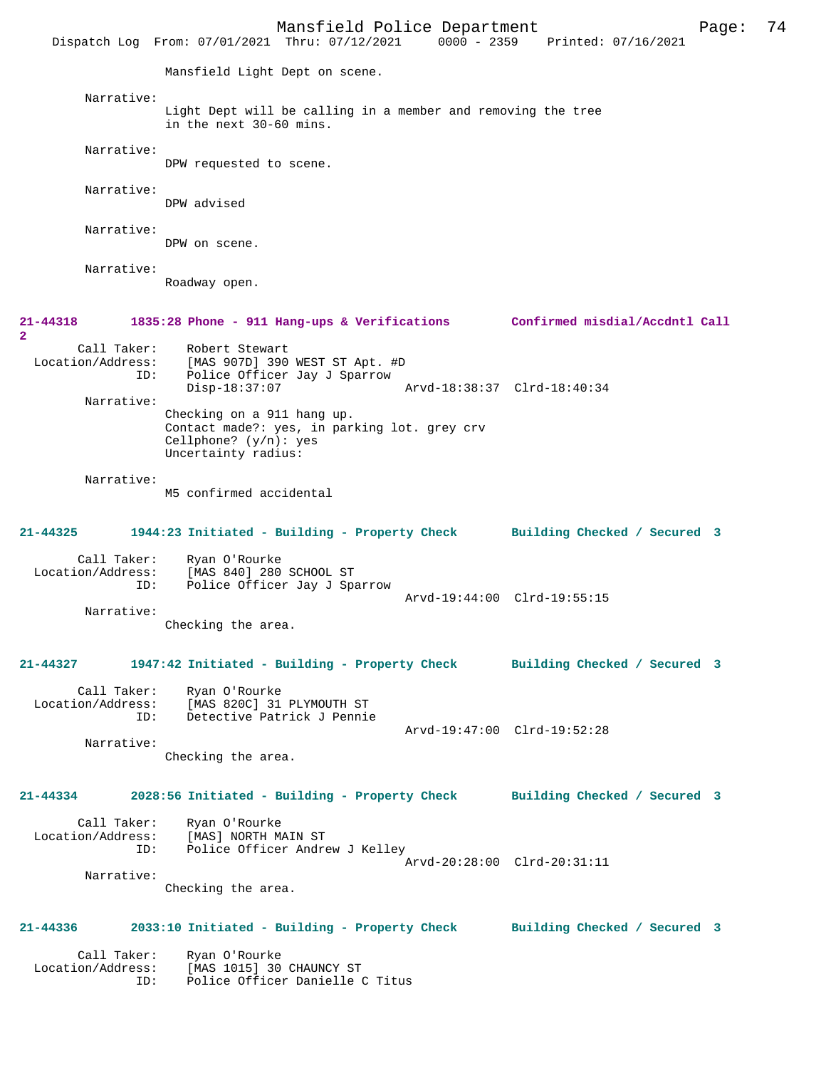Mansfield Police Department Form Page: 74 Dispatch Log From: 07/01/2021 Thru: 07/12/2021 0000 - 2359 Printed: 07/16/2021 Mansfield Light Dept on scene. Narrative: Light Dept will be calling in a member and removing the tree in the next 30-60 mins. Narrative: DPW requested to scene. Narrative: DPW advised Narrative: DPW on scene. Narrative: Roadway open. **21-44318 1835:28 Phone - 911 Hang-ups & Verifications Confirmed misdial/Accdntl Call 2**  Call Taker: Robert Stewart<br>Location/Address: [MAS 907D] 390 ess: [MAS 907D] 390 WEST ST Apt. #D<br>ID: Police Officer Jay J Sparrow Police Officer Jay J Sparrow Disp-18:37:07 Arvd-18:38:37 Clrd-18:40:34 Narrative: Checking on a 911 hang up. Contact made?: yes, in parking lot. grey crv Cellphone? (y/n): yes Uncertainty radius: Narrative: M5 confirmed accidental **21-44325 1944:23 Initiated - Building - Property Check Building Checked / Secured 3** Call Taker: Ryan O'Rourke Location/Address: [MAS 840] 280 SCHOOL ST Police Officer Jay J Sparrow Arvd-19:44:00 Clrd-19:55:15 Narrative: Checking the area. **21-44327 1947:42 Initiated - Building - Property Check Building Checked / Secured 3** Call Taker: Ryan O'Rourke<br>Location/Address: [MAS 820C] 31 [MAS 820C] 31 PLYMOUTH ST ID: Detective Patrick J Pennie Arvd-19:47:00 Clrd-19:52:28 Narrative: Checking the area. **21-44334 2028:56 Initiated - Building - Property Check Building Checked / Secured 3** Call Taker: Ryan O'Rourke Location/Address: [MAS] NORTH MAIN ST ID: Police Officer Andrew J Kelley Arvd-20:28:00 Clrd-20:31:11 Narrative: Checking the area. **21-44336 2033:10 Initiated - Building - Property Check Building Checked / Secured 3** Call Taker: Ryan O'Rourke<br>Location/Address: [MAS 1015] 30 ess: [MAS 1015] 30 CHAUNCY ST<br>ID: Police Officer Danielle ( Police Officer Danielle C Titus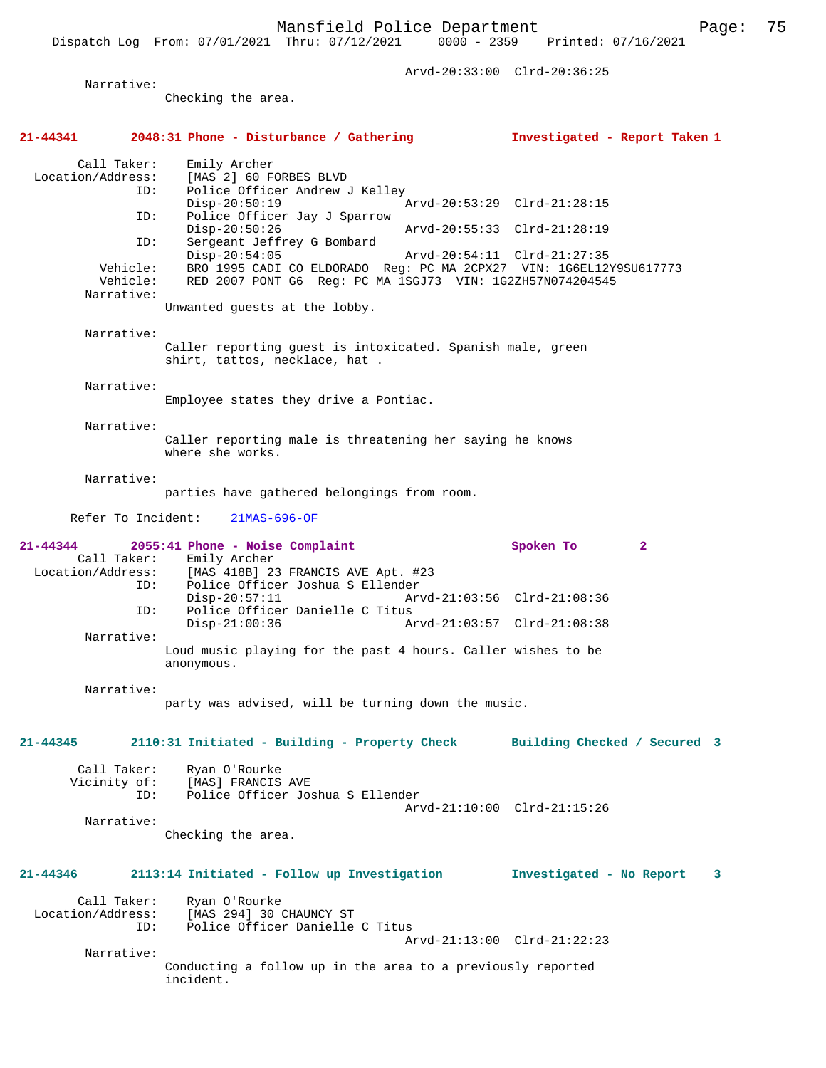Arvd-20:33:00 Clrd-20:36:25

 Narrative: Checking the area. **21-44341 2048:31 Phone - Disturbance / Gathering Investigated - Report Taken 1** Call Taker: Emily Archer Location/Address: [MAS 2] 60 FORBES BLVD ID: Police Officer Andrew J Kelley Disp-20:50:19 Arvd-20:53:29 Clrd-21:28:15<br>ID: Police Officer Jay J Sparrow Police Officer Jay J Sparrow<br>Disp-20:50:26 Disp-20:50:26 Arvd-20:55:33 Clrd-21:28:19 ID: Sergeant Jeffrey G Bombard Disp-20:54:05 Arvd-20:54:11 Clrd-21:27:35<br>Vehicle: BRO 1995 CADI CO ELDORADO Reg: PC MA 2CPX27 VIN: 1G6EL12 Vehicle: BRO 1995 CADI CO ELDORADO Reg: PC MA 2CPX27 VIN: 1G6EL12Y9SU617773<br>Vehicle: RED 2007 PONT G6 Reg: PC MA 1SGJ73 VIN: 1G2ZH57N074204545 RED 2007 PONT G6 Reg: PC MA 1SGJ73 VIN: 1G2ZH57N074204545 Narrative: Unwanted guests at the lobby. Narrative: Caller reporting guest is intoxicated. Spanish male, green shirt, tattos, necklace, hat . Narrative: Employee states they drive a Pontiac. Narrative: Caller reporting male is threatening her saying he knows where she works. Narrative: parties have gathered belongings from room. Refer To Incident: 21MAS-696-OF **21-44344 2055:41 Phone - Noise Complaint Spoken To 2**  Call Taker: Emily Archer Location/Address: [MAS 418B] 23 FRANCIS AVE Apt. #23 Police Officer Joshua S Ellender<br>Disp-20:57:11 Ar Arvd-21:03:56 Clrd-21:08:36 ID: Police Officer Danielle C Titus<br>Disp-21:00:36 A: Disp-21:00:36 Arvd-21:03:57 Clrd-21:08:38 Narrative: Loud music playing for the past 4 hours. Caller wishes to be anonymous. Narrative: party was advised, will be turning down the music. **21-44345 2110:31 Initiated - Building - Property Check Building Checked / Secured 3** Call Taker: Ryan O'Rourke Vicinity of: [MAS] FRANCIS AVE ID: Police Officer Joshua S Ellender Arvd-21:10:00 Clrd-21:15:26 Narrative: Checking the area. **21-44346 2113:14 Initiated - Follow up Investigation Investigated - No Report 3** Call Taker: Ryan O'Rourke Location/Address: [MAS 294] 30 CHAUNCY ST ID: Police Officer Danielle C Titus Arvd-21:13:00 Clrd-21:22:23 Narrative: Conducting a follow up in the area to a previously reported incident.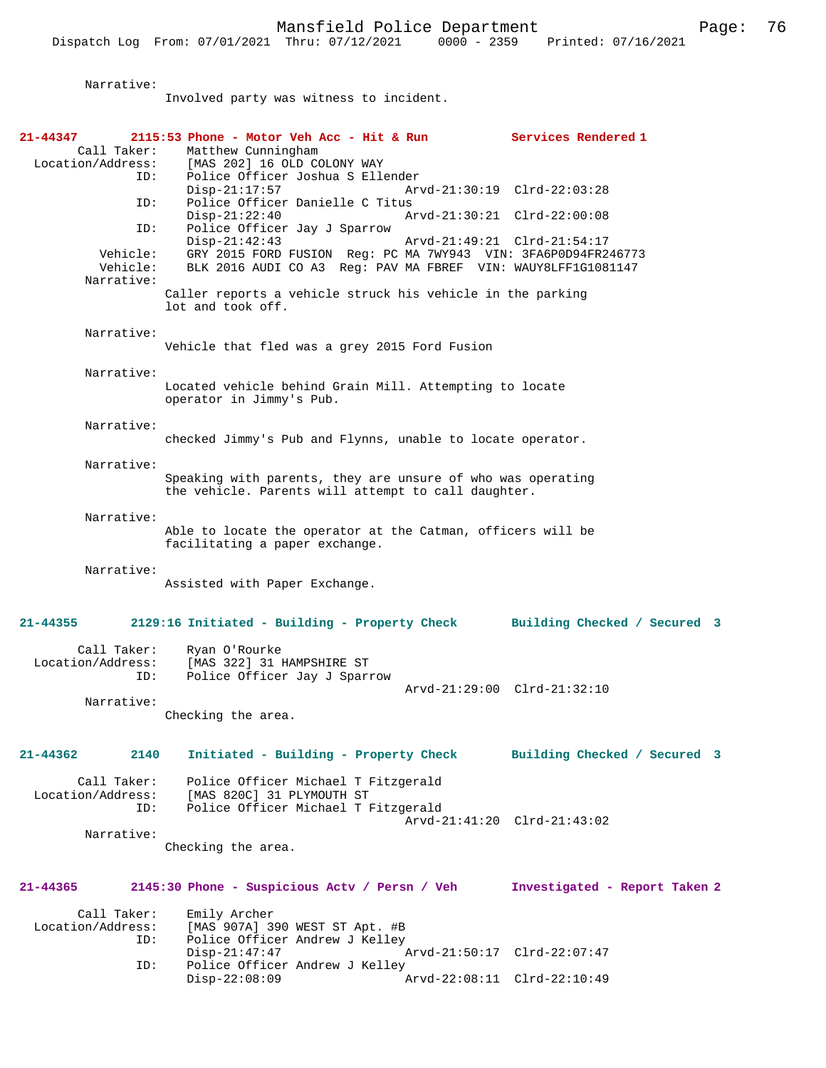| Narrative:                       |                                                                                                                    |                               |
|----------------------------------|--------------------------------------------------------------------------------------------------------------------|-------------------------------|
|                                  | Involved party was witness to incident.                                                                            |                               |
|                                  |                                                                                                                    |                               |
| 21-44347                         | 2115:53 Phone - Motor Veh Acc - Hit & Run Services Rendered 1                                                      |                               |
| Call Taker:                      | Matthew Cunningham<br>Location/Address: [MAS 202] 16 OLD COLONY WAY                                                |                               |
| ID:                              | Police Officer Joshua S Ellender                                                                                   |                               |
|                                  | $Disp-21:17:57$                                                                                                    | Arvd-21:30:19 Clrd-22:03:28   |
| ID:                              | Police Officer Danielle C Titus                                                                                    |                               |
| ID:                              | $Disp-21:22:40$<br>Police Officer Jay J Sparrow                                                                    | Arvd-21:30:21 Clrd-22:00:08   |
|                                  | $Disp-21:42:43$                                                                                                    | Arvd-21:49:21 Clrd-21:54:17   |
| Vehicle:                         | GRY 2015 FORD FUSION Reg: PC MA 7WY943 VIN: 3FA6P0D94FR246773                                                      |                               |
| Vehicle:<br>Narrative:           | BLK 2016 AUDI CO A3 Reg: PAV MA FBREF VIN: WAUY8LFF1G1081147                                                       |                               |
|                                  | Caller reports a vehicle struck his vehicle in the parking                                                         |                               |
|                                  | lot and took off.                                                                                                  |                               |
| Narrative:                       |                                                                                                                    |                               |
|                                  | Vehicle that fled was a grey 2015 Ford Fusion                                                                      |                               |
|                                  |                                                                                                                    |                               |
| Narrative:                       |                                                                                                                    |                               |
|                                  | Located vehicle behind Grain Mill. Attempting to locate<br>operator in Jimmy's Pub.                                |                               |
|                                  |                                                                                                                    |                               |
| Narrative:                       |                                                                                                                    |                               |
|                                  | checked Jimmy's Pub and Flynns, unable to locate operator.                                                         |                               |
| Narrative:                       |                                                                                                                    |                               |
|                                  | Speaking with parents, they are unsure of who was operating<br>the vehicle. Parents will attempt to call daughter. |                               |
|                                  |                                                                                                                    |                               |
| Narrative:                       |                                                                                                                    |                               |
|                                  | Able to locate the operator at the Catman, officers will be<br>facilitating a paper exchange.                      |                               |
|                                  |                                                                                                                    |                               |
| Narrative:                       |                                                                                                                    |                               |
|                                  | Assisted with Paper Exchange.                                                                                      |                               |
|                                  |                                                                                                                    |                               |
| $21 - 44355$                     | 2129:16 Initiated - Building - Property Check Building Checked / Secured 3                                         |                               |
| Call Taker:                      | Ryan O'Rourke                                                                                                      |                               |
| Location/Address:                | [MAS 322] 31 HAMPSHIRE ST                                                                                          |                               |
| ID:                              | Police Officer Jay J Sparrow                                                                                       | Arvd-21:29:00 Clrd-21:32:10   |
| Narrative:                       |                                                                                                                    |                               |
|                                  | Checking the area.                                                                                                 |                               |
|                                  |                                                                                                                    |                               |
| $21 - 44362$<br>2140             | Initiated - Building - Property Check                                                                              | Building Checked / Secured 3  |
|                                  |                                                                                                                    |                               |
| Call Taker:<br>Location/Address: | Police Officer Michael T Fitzgerald<br>[MAS 820C] 31 PLYMOUTH ST                                                   |                               |
| ID:                              | Police Officer Michael T Fitzgerald                                                                                |                               |
|                                  |                                                                                                                    | Arvd-21:41:20 Clrd-21:43:02   |
| Narrative:                       | Checking the area.                                                                                                 |                               |
|                                  |                                                                                                                    |                               |
| 21-44365                         | 2145:30 Phone - Suspicious Actv / Persn / Veh                                                                      | Investigated - Report Taken 2 |
|                                  |                                                                                                                    |                               |
| Call Taker:                      | Emily Archer                                                                                                       |                               |
| Location/Address:<br>ID:         | [MAS 907A] 390 WEST ST Apt. #B<br>Police Officer Andrew J Kelley                                                   |                               |
|                                  | $Disp-21:47:47$                                                                                                    | Arvd-21:50:17 Clrd-22:07:47   |
| ID:                              | Police Officer Andrew J Kelley                                                                                     |                               |
|                                  | $Disp-22:08:09$                                                                                                    | Arvd-22:08:11 Clrd-22:10:49   |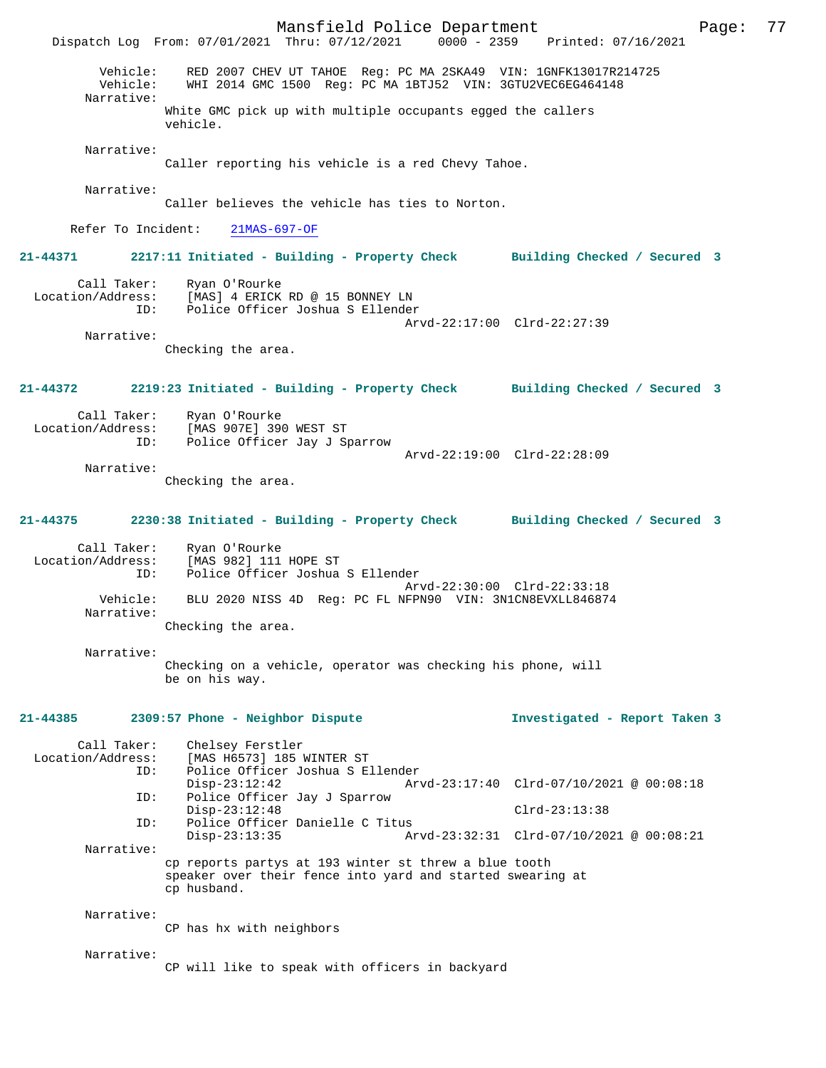Mansfield Police Department Page: 77 Dispatch Log From: 07/01/2021 Thru: 07/12/2021 Vehicle: RED 2007 CHEV UT TAHOE Reg: PC MA 2SKA49 VIN: 1GNFK13017R214725 Vehicle: WHI 2014 GMC 1500 Reg: PC MA 1BTJ52 VIN: 3GTU2VEC6EG464148 Narrative: White GMC pick up with multiple occupants egged the callers vehicle. Narrative: Caller reporting his vehicle is a red Chevy Tahoe. Narrative: Caller believes the vehicle has ties to Norton. Refer To Incident: 21MAS-697-OF **21-44371 2217:11 Initiated - Building - Property Check Building Checked / Secured 3** Call Taker: Ryan O'Rourke Location/Address: [MAS] 4 ERICK RD @ 15 BONNEY LN<br>TD: Police Officer Joshua S Ellender Police Officer Joshua S Ellender Arvd-22:17:00 Clrd-22:27:39 Narrative: Checking the area. **21-44372 2219:23 Initiated - Building - Property Check Building Checked / Secured 3** Call Taker: Ryan O'Rourke<br>Location/Address: [MAS 907E] 39 ess: [MAS 907E] 390 WEST ST<br>TD: Police Officer Jav J St Police Officer Jay J Sparrow Arvd-22:19:00 Clrd-22:28:09 Narrative: Checking the area. **21-44375 2230:38 Initiated - Building - Property Check Building Checked / Secured 3** Call Taker: Ryan O'Rourke Location/Address: [MAS 982] 111 HOPE ST ID: Police Officer Joshua S Ellender Arvd-22:30:00 Clrd-22:33:18<br>Vehicle: BLU 2020 NISS 4D Reg: PC FL NFPN90 VIN: 3N1CN8EVXLL846874 BLU 2020 NISS 4D Reg: PC FL NFPN90 VIN: 3N1CN8EVXLL846874 Narrative: Checking the area. Narrative: Checking on a vehicle, operator was checking his phone, will be on his way. **21-44385 2309:57 Phone - Neighbor Dispute Investigated - Report Taken 3** Call Taker: Chelsey Ferstler Location/Address: [MAS H6573] 185 WINTER ST ID: Police Officer Joshua S Ellender Disp-23:12:42 Arvd-23:17:40 Clrd-07/10/2021 @ 00:08:18<br>ID: Police Officer Jav J Sparrow Police Officer Jay J Sparrow Disp-23:12:48 Clrd-23:13:38 ID: Police Officer Danielle C Titus Disp-23:13:35 Arvd-23:32:31 Clrd-07/10/2021 @ 00:08:21 Narrative: cp reports partys at 193 winter st threw a blue tooth speaker over their fence into yard and started swearing at cp husband. Narrative: CP has hx with neighbors Narrative: CP will like to speak with officers in backyard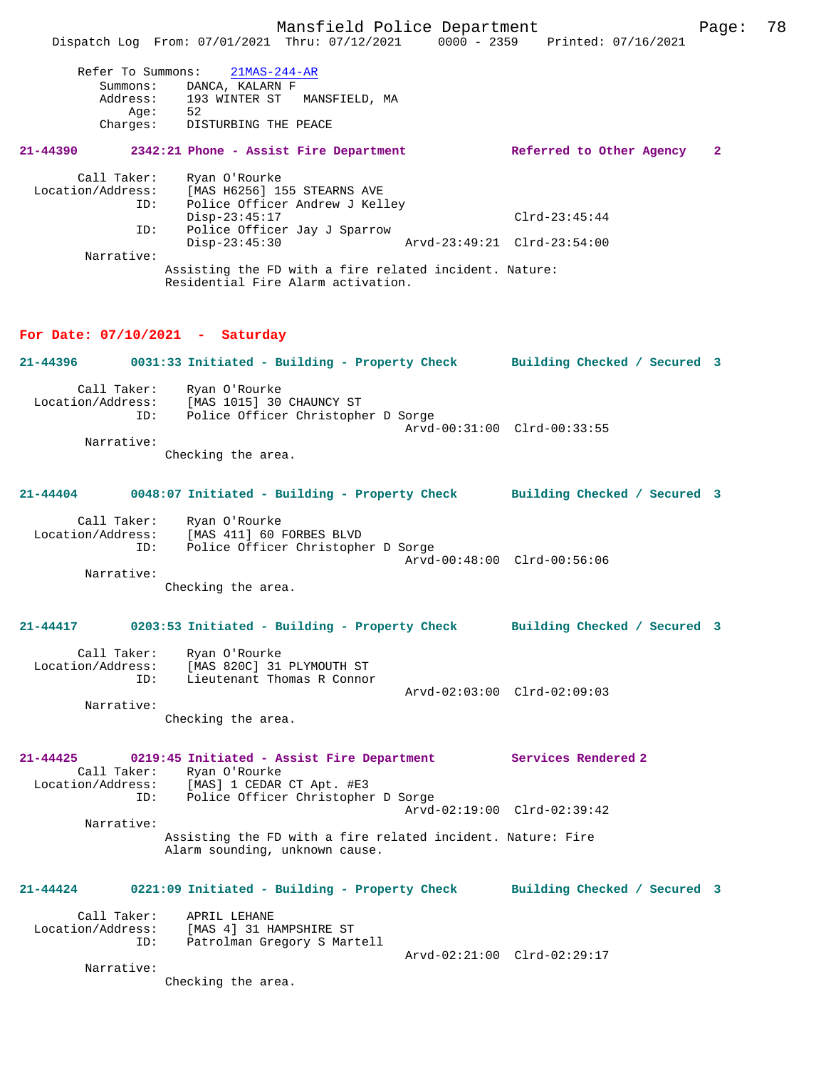Dispatch Log From: 07/01/2021 Thru: 07/12/2021 0000 - 2359 Printed: 07/16/2021 Refer To Summons: 21MAS-244-AR Summons: DANCA, KALARN F Address: 193 WINTER ST MANSFIELD, MA age: 52 Charges: DISTURBING THE PEACE **21-44390 2342:21 Phone - Assist Fire Department Referred to Other Agency 2** Call Taker: Ryan O'Rourke Location/Address: [MAS H6256] 155 STEARNS AVE ESS: IPAS AVASO, ISS SIMANES ...<br>ID: Police Officer Andrew J Kelley Disp-23:45:17 Clrd-23:45:44 ID: Police Officer Jay J Sparrow Disp-23:45:30 Arvd-23:49:21 Clrd-23:54:00 Narrative: Assisting the FD with a fire related incident. Nature: Residential Fire Alarm activation. **For Date: 07/10/2021 - Saturday 21-44396 0031:33 Initiated - Building - Property Check Building Checked / Secured 3** Call Taker: Ryan O'Rourke Location/Address: [MAS 1015] 30 CHAUNCY ST ID: Police Officer Christopher D Sorge Arvd-00:31:00 Clrd-00:33:55 Narrative: Checking the area. **21-44404 0048:07 Initiated - Building - Property Check Building Checked / Secured 3** Call Taker: Ryan O'Rourke Location/Address: [MAS 411] 60 FORBES BLVD ID: Police Officer Christopher D Sorge Arvd-00:48:00 Clrd-00:56:06 Narrative: Checking the area. **21-44417 0203:53 Initiated - Building - Property Check Building Checked / Secured 3** Call Taker: Ryan O'Rourke Location/Address: [MAS 820C] 31 PLYMOUTH ST ID: Lieutenant Thomas R Connor Arvd-02:03:00 Clrd-02:09:03 Narrative: Checking the area. **21-44425 0219:45 Initiated - Assist Fire Department Services Rendered 2**  Call Taker: Ryan O'Rourke<br>Location/Address: [MAS] 1 CEDAR Location/Address: [MAS] 1 CEDAR CT Apt. #E3 ID: Police Officer Christopher D Sorge Arvd-02:19:00 Clrd-02:39:42 Narrative: Assisting the FD with a fire related incident. Nature: Fire Alarm sounding, unknown cause. **21-44424 0221:09 Initiated - Building - Property Check Building Checked / Secured 3** Call Taker: APRIL LEHANE Location/Address: [MAS 4] 31 HAMPSHIRE ST

Arvd-02:21:00 Clrd-02:29:17

Checking the area.

Narrative:

ID: Patrolman Gregory S Martell

Mansfield Police Department Page: 78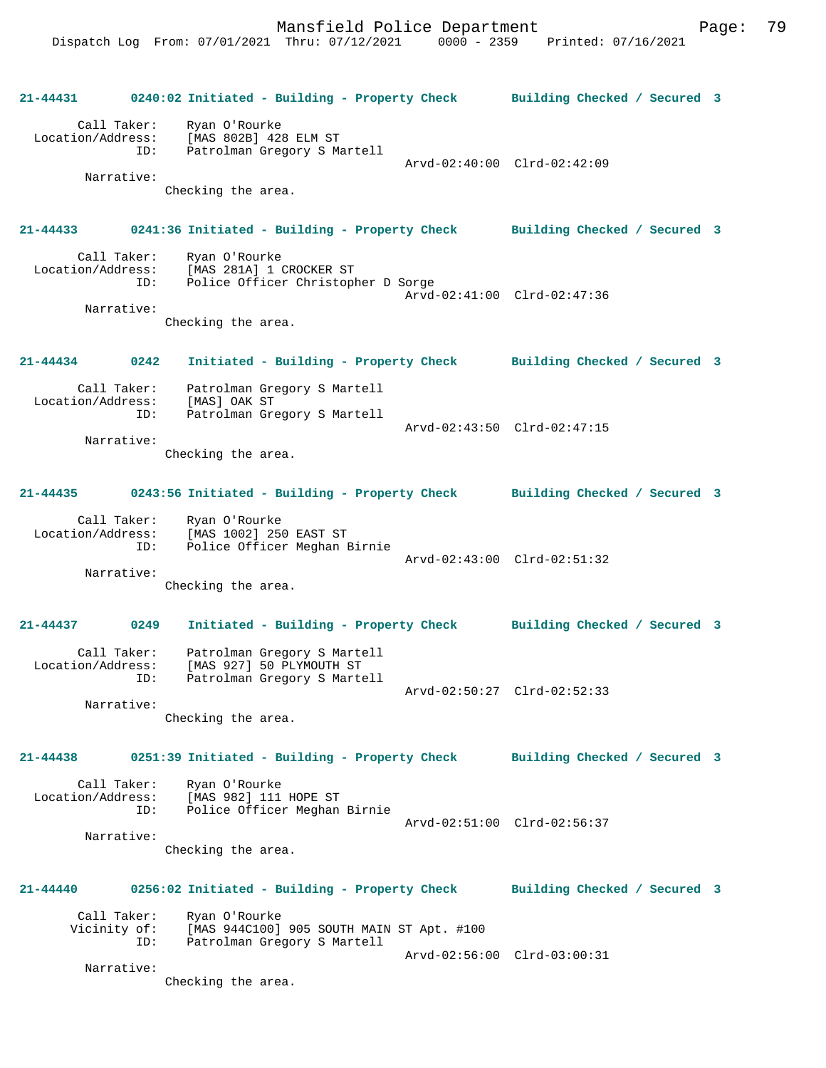|                                         | 21-44431 0240:02 Initiated - Building - Property Check Building Checked / Secured 3                                                 |                              |
|-----------------------------------------|-------------------------------------------------------------------------------------------------------------------------------------|------------------------------|
| Call Taker:                             | Ryan O'Rourke<br>Location/Address: [MAS 802B] 428 ELM ST<br>Patrolman Gregory S Martell<br>ID:                                      | Arvd-02:40:00 Clrd-02:42:09  |
| Narrative:                              | Checking the area.                                                                                                                  |                              |
|                                         | 21-44433 0241:36 Initiated - Building - Property Check Building Checked / Secured 3                                                 |                              |
|                                         | Call Taker: Ryan O'Rourke<br>Location/Address: [MAS 281A] 1 CROCKER ST<br>ID: Police Officer Christopher D Sorge                    | Arvd-02:41:00 Clrd-02:47:36  |
| Narrative:                              | Checking the area.                                                                                                                  |                              |
| $21 - 44434$ 0242                       | Initiated - Building - Property Check Building Checked / Secured 3                                                                  |                              |
| Call Taker:                             | Patrolman Gregory S Martell<br>Location/Address: [MAS] OAK SI<br>ID: Patrolman Gregory S Martell<br>ID: Patrolman Gregory S Martell |                              |
| Narrative:                              | Checking the area.                                                                                                                  | Arvd-02:43:50 Clrd-02:47:15  |
| $21 - 44435$                            | 0243:56 Initiated - Building - Property Check Building Checked / Secured 3                                                          |                              |
|                                         | Call Taker: Ryan O'Rourke<br>Location/Address: [MAS 1002] 250 EAST ST<br>Police Officer Meghan Birnie<br>ID:                        |                              |
| Narrative:                              | Checking the area.                                                                                                                  | Arvd-02:43:00 Clrd-02:51:32  |
|                                         |                                                                                                                                     |                              |
| 21-44437 0249                           | Initiated - Building - Property Check Building Checked / Secured 3                                                                  |                              |
| Call Taker:<br>Location/Address:<br>ID: | Patrolman Gregory S Martell<br>[MAS 927] 50 PLYMOUTH ST<br>Patrolman Gregory S Martell                                              | Arvd-02:50:27 Clrd-02:52:33  |
| Narrative:                              | Checking the area.                                                                                                                  |                              |
| $21 - 44438$                            | 0251:39 Initiated - Building - Property Check Building Checked / Secured 3                                                          |                              |
| Call Taker:<br>Location/Address:        | Ryan O'Rourke<br>[MAS 982] 111 HOPE ST<br>ID:<br>Police Officer Meghan Birnie                                                       |                              |
| Narrative:                              | Checking the area.                                                                                                                  | Arvd-02:51:00 Clrd-02:56:37  |
| 21-44440                                | 0256:02 Initiated - Building - Property Check                                                                                       | Building Checked / Secured 3 |
| Call Taker:                             | Ryan O'Rourke<br>Vicinity of: [MAS 944C100] 905 SOUTH MAIN ST Apt. #100<br>ID:<br>Patrolman Gregory S Martell                       |                              |
| Narrative:                              | Checking the area.                                                                                                                  | Arvd-02:56:00 Clrd-03:00:31  |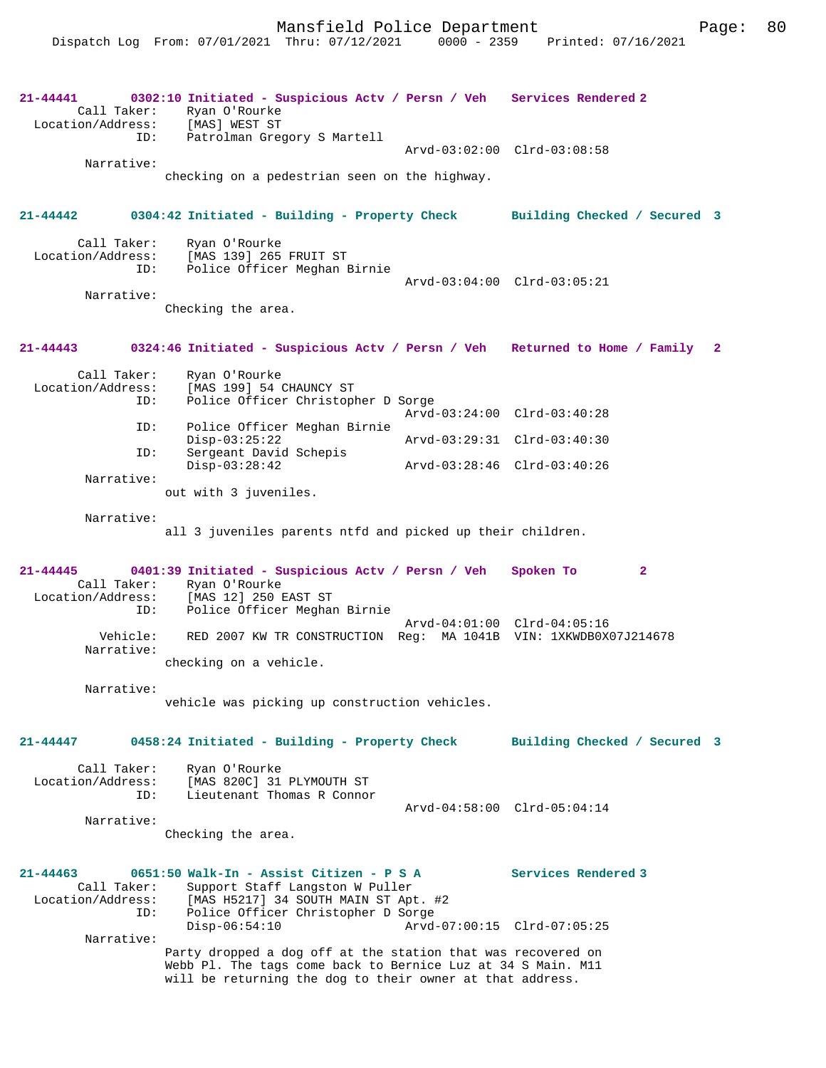**21-44441 0302:10 Initiated - Suspicious Actv / Persn / Veh Services Rendered 2**  Call Taker: Ryan O'Rourke<br>ion/Address: [MAS] WEST ST Location/Address: ID: Patrolman Gregory S Martell Arvd-03:02:00 Clrd-03:08:58 Narrative: checking on a pedestrian seen on the highway. **21-44442 0304:42 Initiated - Building - Property Check Building Checked / Secured 3** Call Taker: Ryan O'Rourke<br>Location/Address: [MAS 139] 265 ess: [MAS 139] 265 FRUIT ST<br>ID: Police Officer Meghan I Police Officer Meghan Birnie Arvd-03:04:00 Clrd-03:05:21 Narrative: Checking the area. **21-44443 0324:46 Initiated - Suspicious Actv / Persn / Veh Returned to Home / Family 2** Call Taker: Ryan O'Rourke Location/Address: [MAS 199] 54 CHAUNCY ST ID: Police Officer Christopher D Sorge Arvd-03:24:00 Clrd-03:40:28<br>ID: Police Officer Meghan Birnie Police Officer Meghan Birnie<br>Disp-03:25:22 Disp-03:25:22 Arvd-03:29:31 Clrd-03:40:30 ID: Sergeant David Schepis<br>Disp-03:28:42 Disp-03:28:42 Arvd-03:28:46 Clrd-03:40:26 Narrative: out with 3 juveniles. Narrative: all 3 juveniles parents ntfd and picked up their children. **21-44445 0401:39 Initiated - Suspicious Actv / Persn / Veh Spoken To 2**  Call Taker: Ryan O'Rourke<br>Location/Address: [MAS 12] 250 1 ess: [MAS 12] 250 EAST ST<br>ID: Police Officer Meaham Police Officer Meghan Birnie Arvd-04:01:00 Clrd-04:05:16 Vehicle: RED 2007 KW TR CONSTRUCTION Reg: MA 1041B VIN: 1XKWDB0X07J214678 Narrative: checking on a vehicle. Narrative: vehicle was picking up construction vehicles. **21-44447 0458:24 Initiated - Building - Property Check Building Checked / Secured 3** Call Taker: Ryan O'Rourke Location/Address: [MAS 820C] 31 PLYMOUTH ST Lieutenant Thomas R Connor Arvd-04:58:00 Clrd-05:04:14 Narrative: Checking the area. **21-44463 0651:50 Walk-In - Assist Citizen - P S A Services Rendered 3**  Call Taker: Support Staff Langston W Puller Location/Address: [MAS H5217] 34 SOUTH MAIN ST Apt. #2 ID: Police Officer Christopher D Sorge Disp-06:54:10 Arvd-07:00:15 Clrd-07:05:25 Narrative: Party dropped a dog off at the station that was recovered on Webb Pl. The tags come back to Bernice Luz at 34 S Main. M11 will be returning the dog to their owner at that address.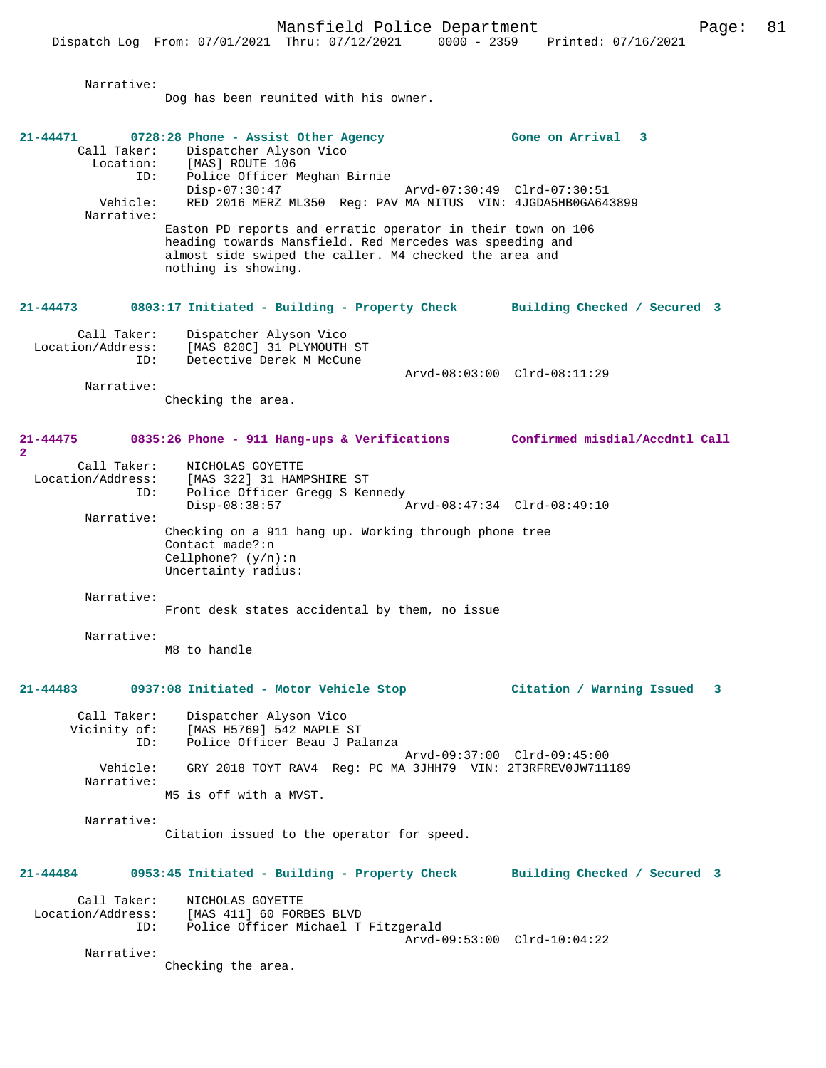Narrative: Dog has been reunited with his owner. **21-44471 0728:28 Phone - Assist Other Agency Gone on Arrival 3**  Call Taker: Dispatcher Alyson Vico<br>Location: [MAS] ROUTE 106 Location: [MAS] ROUTE 106 ID: Police Officer Meghan Birnie Disp-07:30:47 Arvd-07:30:49 Clrd-07:30:51 Vehicle: RED 2016 MERZ ML350 Reg: PAV MA NITUS VIN: 4JGDA5HB0GA643899 Narrative: Easton PD reports and erratic operator in their town on 106 heading towards Mansfield. Red Mercedes was speeding and almost side swiped the caller. M4 checked the area and nothing is showing. **21-44473 0803:17 Initiated - Building - Property Check Building Checked / Secured 3** Call Taker: Dispatcher Alyson Vico Location/Address: [MAS 820C] 31 PLYMOUTH ST Detective Derek M McCune Arvd-08:03:00 Clrd-08:11:29 Narrative: Checking the area. **21-44475 0835:26 Phone - 911 Hang-ups & Verifications Confirmed misdial/Accdntl Call 2**  Call Taker: NICHOLAS GOYETTE Location/Address: [MAS 322] 31 HAMPSHIRE ST ID: Police Officer Gregg S Kennedy Disp-08:38:57 Arvd-08:47:34 Clrd-08:49:10 Narrative: Checking on a 911 hang up. Working through phone tree Contact made?:n Cellphone? (y/n):n Uncertainty radius: Narrative: Front desk states accidental by them, no issue Narrative: M8 to handle **21-44483 0937:08 Initiated - Motor Vehicle Stop Citation / Warning Issued 3** Call Taker: Dispatcher Alyson Vico<br>Vicinity of: [MAS H5769] 542 MAPLE of: [MAS H5769] 542 MAPLE ST<br>ID: Police Officer Beau J Pa Police Officer Beau J Palanza Arvd-09:37:00 Clrd-09:45:00 Vehicle: GRY 2018 TOYT RAV4 Reg: PC MA 3JHH79 VIN: 2T3RFREV0JW711189 Narrative: M5 is off with a MVST. Narrative: Citation issued to the operator for speed. **21-44484 0953:45 Initiated - Building - Property Check Building Checked / Secured 3** Call Taker: NICHOLAS GOYETTE Location/Address: [MAS 411] 60 FORBES BLVD Police Officer Michael T Fitzgerald Arvd-09:53:00 Clrd-10:04:22 Narrative: Checking the area.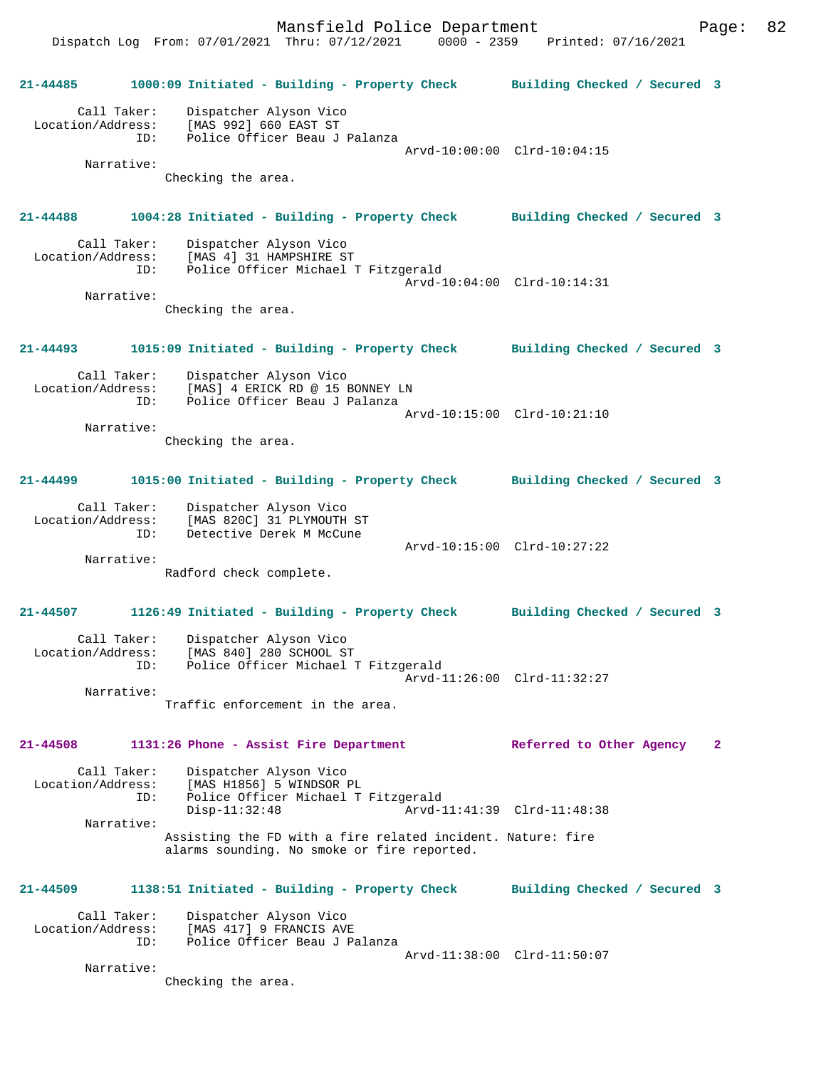|                                         | Dispatch Log From: 07/01/2021 Thru: 07/12/2021<br>$0000 - 2359$                                            | Printed: 07/16/2021          |              |
|-----------------------------------------|------------------------------------------------------------------------------------------------------------|------------------------------|--------------|
| $21 - 44485$                            | 1000:09 Initiated - Building - Property Check                                                              | Building Checked / Secured 3 |              |
| Call Taker:<br>Location/Address:<br>ID: | Dispatcher Alyson Vico<br>[MAS 992] 660 EAST ST<br>Police Officer Beau J Palanza                           |                              |              |
|                                         |                                                                                                            | Arvd-10:00:00 Clrd-10:04:15  |              |
| Narrative:                              | Checking the area.                                                                                         |                              |              |
| 21-44488                                | 1004:28 Initiated - Building - Property Check Building Checked / Secured 3                                 |                              |              |
| Call Taker:<br>Location/Address:<br>ID: | Dispatcher Alyson Vico<br>[MAS 4] 31 HAMPSHIRE ST<br>Police Officer Michael T Fitzgerald                   |                              |              |
| Narrative:                              |                                                                                                            | Arvd-10:04:00 Clrd-10:14:31  |              |
|                                         | Checking the area.                                                                                         |                              |              |
| 21-44493                                | 1015:09 Initiated - Building - Property Check Building Checked / Secured 3                                 |                              |              |
| Call Taker:<br>Location/Address:<br>ID: | Dispatcher Alyson Vico<br>[MAS] 4 ERICK RD @ 15 BONNEY LN<br>Police Officer Beau J Palanza                 |                              |              |
| Narrative:                              | Checking the area.                                                                                         | Arvd-10:15:00 Clrd-10:21:10  |              |
| 21-44499                                | 1015:00 Initiated - Building - Property Check Building Checked / Secured 3                                 |                              |              |
| Call Taker:<br>Location/Address:<br>ID: | Dispatcher Alyson Vico<br>[MAS 820C] 31 PLYMOUTH ST<br>Detective Derek M McCune                            |                              |              |
| Narrative:                              |                                                                                                            | Arvd-10:15:00 Clrd-10:27:22  |              |
|                                         | Radford check complete.                                                                                    |                              |              |
| $21 - 44507$                            | 1126:49 Initiated - Building - Property Check                                                              | Building Checked / Secured 3 |              |
| Call Taker:<br>Location/Address:<br>ID: | Dispatcher Alyson Vico<br>[MAS 840] 280 SCHOOL ST<br>Police Officer Michael T Fitzgerald                   | Arvd-11:26:00 Clrd-11:32:27  |              |
| Narrative:                              |                                                                                                            |                              |              |
|                                         | Traffic enforcement in the area.                                                                           |                              |              |
| $21 - 44508$                            | 1131:26 Phone - Assist Fire Department                                                                     | Referred to Other Agency     | $\mathbf{2}$ |
| Call Taker:<br>Location/Address:<br>ID: | Dispatcher Alyson Vico<br>[MAS H1856] 5 WINDSOR PL<br>Police Officer Michael T Fitzgerald                  |                              |              |
| Narrative:                              | $Disp-11:32:48$                                                                                            | Arvd-11:41:39 Clrd-11:48:38  |              |
|                                         | Assisting the FD with a fire related incident. Nature: fire<br>alarms sounding. No smoke or fire reported. |                              |              |
| 21-44509                                | 1138:51 Initiated - Building - Property Check                                                              | Building Checked / Secured 3 |              |
| Call Taker:<br>Location/Address:<br>ID: | Dispatcher Alyson Vico<br>[MAS 417] 9 FRANCIS AVE<br>Police Officer Beau J Palanza                         |                              |              |
| Narrative:                              |                                                                                                            | Arvd-11:38:00 Clrd-11:50:07  |              |
|                                         | Checking the area.                                                                                         |                              |              |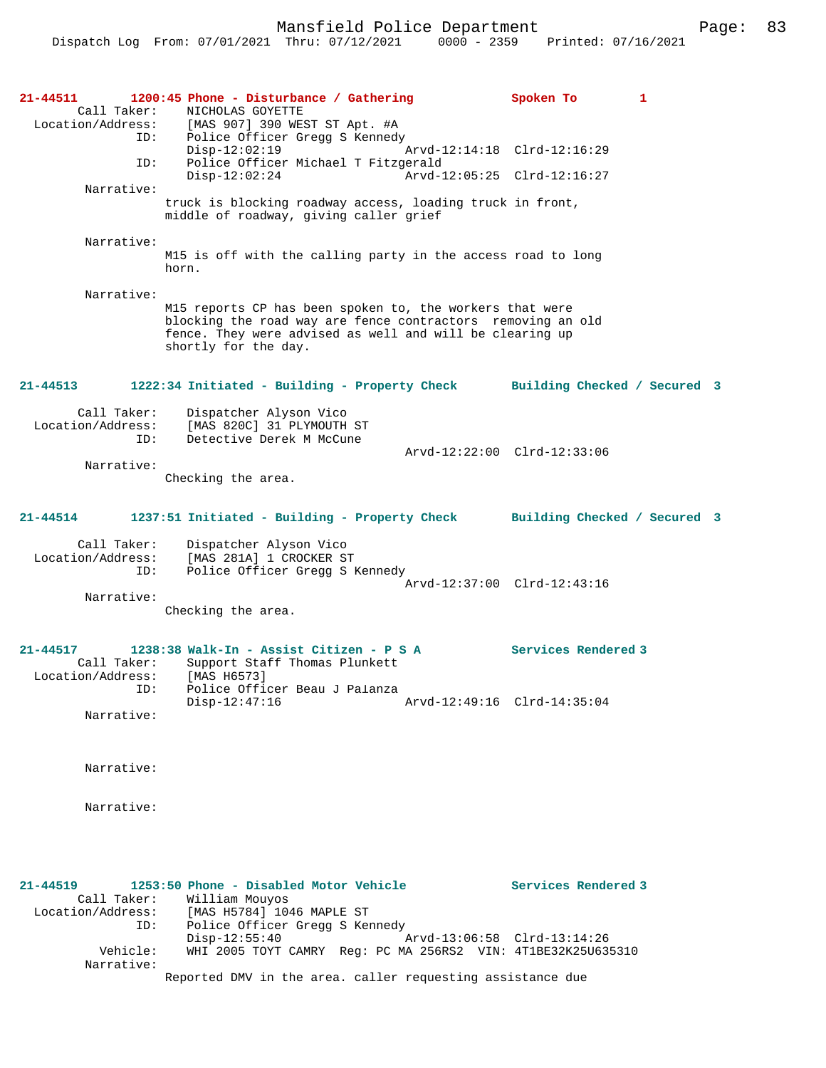**21-44511 1200:45 Phone - Disturbance / Gathering Spoken To 1**  Call Taker: NICHOLAS GOYETTE<br>Location/Address: [MAS 907] 390 WES [MAS 907] 390 WEST ST Apt. #A ID: Police Officer Gregg S Kennedy Disp-12:02:19 Arvd-12:14:18 Clrd-12:16:29 ID: Police Officer Michael T Fitzgerald Disp-12:02:24 Arvd-12:05:25 Clrd-12:16:27 Narrative: truck is blocking roadway access, loading truck in front, middle of roadway, giving caller grief Narrative: M15 is off with the calling party in the access road to long horn. Narrative: M15 reports CP has been spoken to, the workers that were blocking the road way are fence contractors removing an old fence. They were advised as well and will be clearing up shortly for the day. **21-44513 1222:34 Initiated - Building - Property Check Building Checked / Secured 3** Call Taker: Dispatcher Alyson Vico Location/Address: [MAS 820C] 31 PLYMOUTH ST ID: Detective Derek M McCune Arvd-12:22:00 Clrd-12:33:06 Narrative: Checking the area. **21-44514 1237:51 Initiated - Building - Property Check Building Checked / Secured 3** Call Taker: Dispatcher Alyson Vico Location/Address: [MAS 281A] 1 CROCKER ST<br>ID: Police Officer Gregg S E Police Officer Gregg S Kennedy Arvd-12:37:00 Clrd-12:43:16 Narrative: Checking the area. **21-44517 1238:38 Walk-In - Assist Citizen - P S A Services Rendered 3**  Call Taker: Support Staff Thomas Plunkett<br>ion/Address: [MAS H6573] Location/Address:<br>ID: Police Officer Beau J Palanza<br>Disp-12:47:16 Disp-12:47:16 Arvd-12:49:16 Clrd-14:35:04 Narrative: Narrative: Narrative: **21-44519 1253:50 Phone - Disabled Motor Vehicle Services Rendered 3**  Call Taker: William Mouyos<br>Location/Address: [MAS H5784] 104 Location (Address: [MAS H5784] 1046 MAPLE ST<br>ID: Police Officer Gregg S Ker Police Officer Gregg S Kennedy<br>Disp-12:55:40

Disp-12:55:40 Arvd-13:06:58 Clrd-13:14:26<br>Vehicle: WHI 2005 TOYT CAMRY Req: PC MA 256RS2 VIN: 4T1BE32K25U63 Vehicle: WHI 2005 TOYT CAMRY Reg: PC MA 256RS2 VIN: 4T1BE32K25U635310 Narrative:

Reported DMV in the area. caller requesting assistance due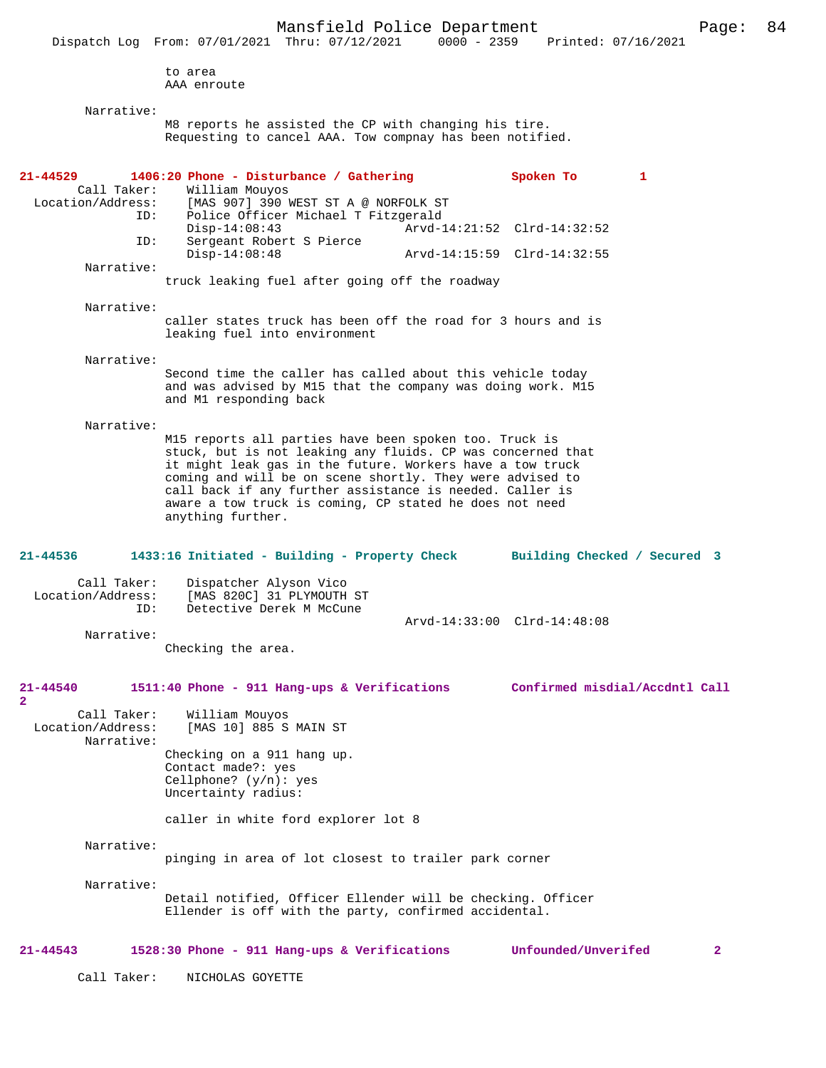Dispatch Log From: 07/01/2021 Thru: 07/12/2021 to area AAA enroute Narrative: M8 reports he assisted the CP with changing his tire. Requesting to cancel AAA. Tow compnay has been notified. **21-44529 1406:20 Phone - Disturbance / Gathering Spoken To 1** Call Taker: William Mouyos Call Taker: William Mouyos<br>Location/Address: [MAS 907] 390 I ess: [MAS 907] 390 WEST ST A @ NORFOLK ST<br>ID: Police Officer Michael T Fitzgerald Police Officer Michael T Fitzgerald<br>Disp-14:08:43 Arvd-1 Disp-14:08:43 Arvd-14:21:52 Clrd-14:32:52<br>ID: Sergeant Robert S Pierce Sergeant Robert S Pierce Disp-14:08:48 Arvd-14:15:59 Clrd-14:32:55 Narrative: truck leaking fuel after going off the roadway Narrative: caller states truck has been off the road for 3 hours and is leaking fuel into environment Narrative: Second time the caller has called about this vehicle today and was advised by M15 that the company was doing work. M15 and M1 responding back Narrative: M15 reports all parties have been spoken too. Truck is stuck, but is not leaking any fluids. CP was concerned that it might leak gas in the future. Workers have a tow truck coming and will be on scene shortly. They were advised to call back if any further assistance is needed. Caller is aware a tow truck is coming, CP stated he does not need anything further. **21-44536 1433:16 Initiated - Building - Property Check Building Checked / Secured 3** Call Taker: Dispatcher Alyson Vico<br>Location/Address: [MAS 820C] 31 PLYMOUTH ess: [MAS 820C] 31 PLYMOUTH ST<br>ID: Detective Derek M McCune Detective Derek M McCune Arvd-14:33:00 Clrd-14:48:08 Narrative: Checking the area. **21-44540 1511:40 Phone - 911 Hang-ups & Verifications Confirmed misdial/Accdntl Call 2**  Call Taker: William Mouyos Location/Address: [MAS 10] 885 S MAIN ST Narrative: Checking on a 911 hang up. Contact made?: yes Cellphone? (y/n): yes Uncertainty radius: caller in white ford explorer lot 8 Narrative: pinging in area of lot closest to trailer park corner Narrative: Detail notified, Officer Ellender will be checking. Officer Ellender is off with the party, confirmed accidental. **21-44543 1528:30 Phone - 911 Hang-ups & Verifications Unfounded/Unverifed 2**

Call Taker: NICHOLAS GOYETTE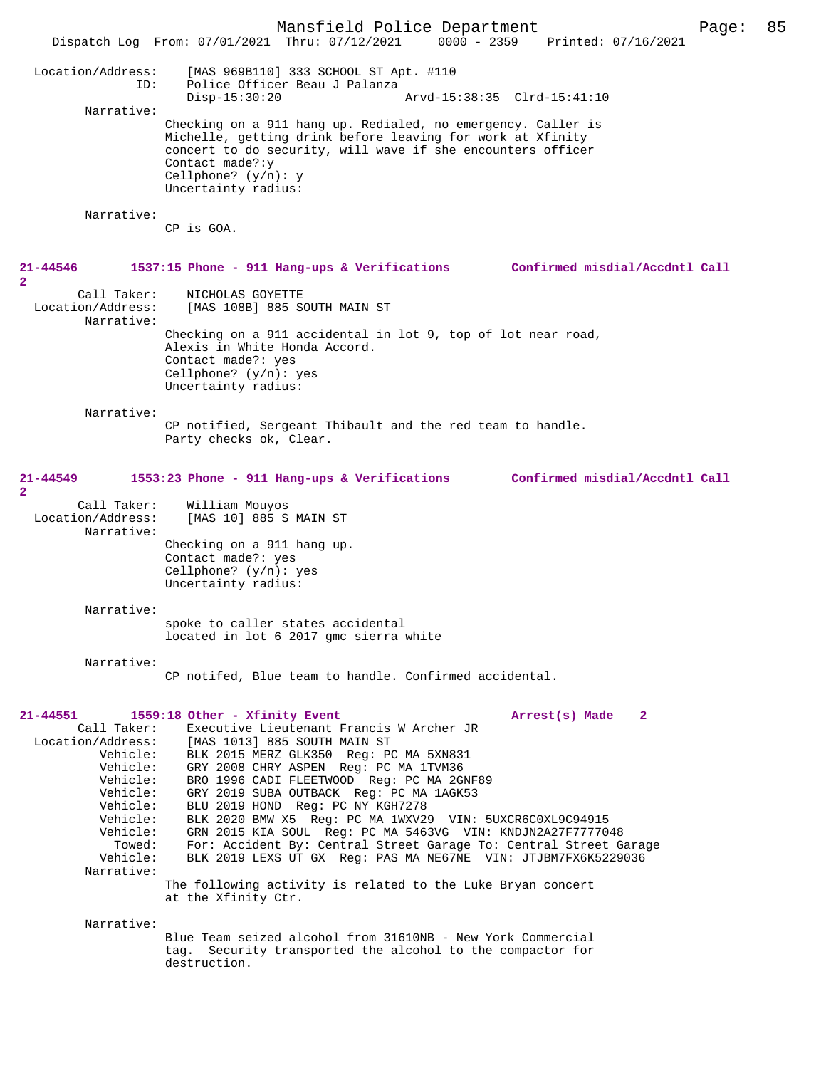Mansfield Police Department Page: 85 Dispatch Log From: 07/01/2021 Thru: 07/12/2021 Location/Address: [MAS 969B110] 333 SCHOOL ST Apt. #110 ID: Police Officer Beau J Palanza Disp-15:30:20 Arvd-15:38:35 Clrd-15:41:10 Narrative: Checking on a 911 hang up. Redialed, no emergency. Caller is Michelle, getting drink before leaving for work at Xfinity concert to do security, will wave if she encounters officer Contact made?:y Cellphone? (y/n): y Uncertainty radius: Narrative: CP is GOA. **21-44546 1537:15 Phone - 911 Hang-ups & Verifications Confirmed misdial/Accdntl Call** Call Taker: NICHOLAS GOYETTE<br>Location/Address: [MAS 108B] 885 S [MAS 108B] 885 SOUTH MAIN ST Narrative: Checking on a 911 accidental in lot 9, top of lot near road, Alexis in White Honda Accord. Contact made?: yes Cellphone? (y/n): yes Uncertainty radius: Narrative: CP notified, Sergeant Thibault and the red team to handle. Party checks ok, Clear. **21-44549 1553:23 Phone - 911 Hang-ups & Verifications Confirmed misdial/Accdntl Call** Call Taker: William Mouyos<br>Location/Address: [MAS 10] 885 S [MAS 10] 885 S MAIN ST Narrative: Checking on a 911 hang up. Contact made?: yes Cellphone? (y/n): yes Uncertainty radius: Narrative: spoke to caller states accidental located in lot 6 2017 gmc sierra white Narrative: CP notifed, Blue team to handle. Confirmed accidental. **21-44551 1559:18 Other - Xfinity Event Arrest(s) Made 2**  Call Taker: Executive Lieutenant Francis W Archer JR<br>Location/Address: [MAS 1013] 885 SOUTH MAIN ST % Address: [MAS 1013] 885 SOUTH MAIN ST<br>Vehicle: BLK 2015 MERZ GLK350 Req: P BLK 2015 MERZ GLK350 Reg: PC MA 5XN831 Vehicle: GRY 2008 CHRY ASPEN Reg: PC MA 1TVM36 Vehicle: BRO 1996 CADI FLEETWOOD Reg: PC MA 2GNF89 Vehicle: GRY 2019 SUBA OUTBACK Reg: PC MA 1AGK53<br>Vehicle: BLU 2019 HOND Req: PC NY KGH7278 Vehicle: BLU 2019 HOND Reg: PC NY KGH7278<br>Vehicle: BLK 2020 BMW X5 Reg: PC MA 1WXV2 Vehicle: BLK 2020 BMW X5 Reg: PC MA 1WXV29 VIN: 5UXCR6C0XL9C94915<br>Vehicle: GRN 2015 KIA SOUL Reg: PC MA 5463VG VIN: KNDJN2A27F77770 hicle: GRN 2015 KIA SOUL Reg: PC MA 5463VG VIN: KNDJN2A27F7777048<br>Towed: For: Accident By: Central Street Garage To: Central Street G Towed: For: Accident By: Central Street Garage To: Central Street Garage<br>Vehicle: RLK 2019 LEXS UT GX Reg: PAS MA NE67NE VIN: JTJRM7EX6K5229036 BLK 2019 LEXS UT GX Reg: PAS MA NE67NE VIN: JTJBM7FX6K5229036 Narrative: The following activity is related to the Luke Bryan concert at the Xfinity Ctr. Narrative: Blue Team seized alcohol from 31610NB - New York Commercial tag. Security transported the alcohol to the compactor for destruction.

**2** 

**2**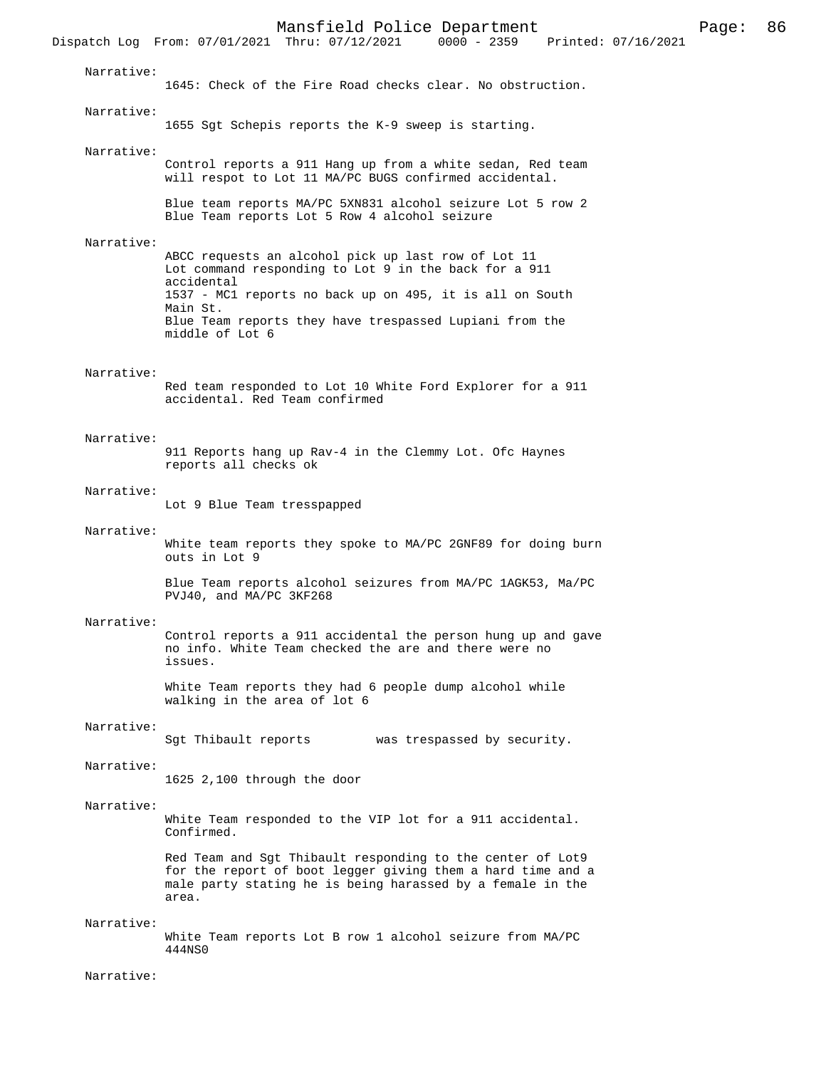Mansfield Police Department Page: 86 Dispatch Log From: 07/01/2021 Thru: 07/12/2021 Narrative: 1645: Check of the Fire Road checks clear. No obstruction. Narrative: 1655 Sgt Schepis reports the K-9 sweep is starting. Narrative: Control reports a 911 Hang up from a white sedan, Red team will respot to Lot 11 MA/PC BUGS confirmed accidental. Blue team reports MA/PC 5XN831 alcohol seizure Lot 5 row 2 Blue Team reports Lot 5 Row 4 alcohol seizure Narrative: ABCC requests an alcohol pick up last row of Lot 11 Lot command responding to Lot 9 in the back for a 911 accidental 1537 - MC1 reports no back up on 495, it is all on South Main St. Blue Team reports they have trespassed Lupiani from the middle of Lot 6 Narrative: Red team responded to Lot 10 White Ford Explorer for a 911 accidental. Red Team confirmed Narrative: 911 Reports hang up Rav-4 in the Clemmy Lot. Ofc Haynes reports all checks ok Narrative: Lot 9 Blue Team tresspapped Narrative: White team reports they spoke to MA/PC 2GNF89 for doing burn outs in Lot 9 Blue Team reports alcohol seizures from MA/PC 1AGK53, Ma/PC PVJ40, and MA/PC 3KF268 Narrative: Control reports a 911 accidental the person hung up and gave no info. White Team checked the are and there were no issues. White Team reports they had 6 people dump alcohol while walking in the area of lot 6 Narrative: Sgt Thibault reports was trespassed by security. Narrative: 1625 2,100 through the door Narrative: White Team responded to the VIP lot for a 911 accidental. Confirmed. Red Team and Sgt Thibault responding to the center of Lot9 for the report of boot legger giving them a hard time and a male party stating he is being harassed by a female in the area. Narrative: White Team reports Lot B row 1 alcohol seizure from MA/PC 444NS0

Narrative: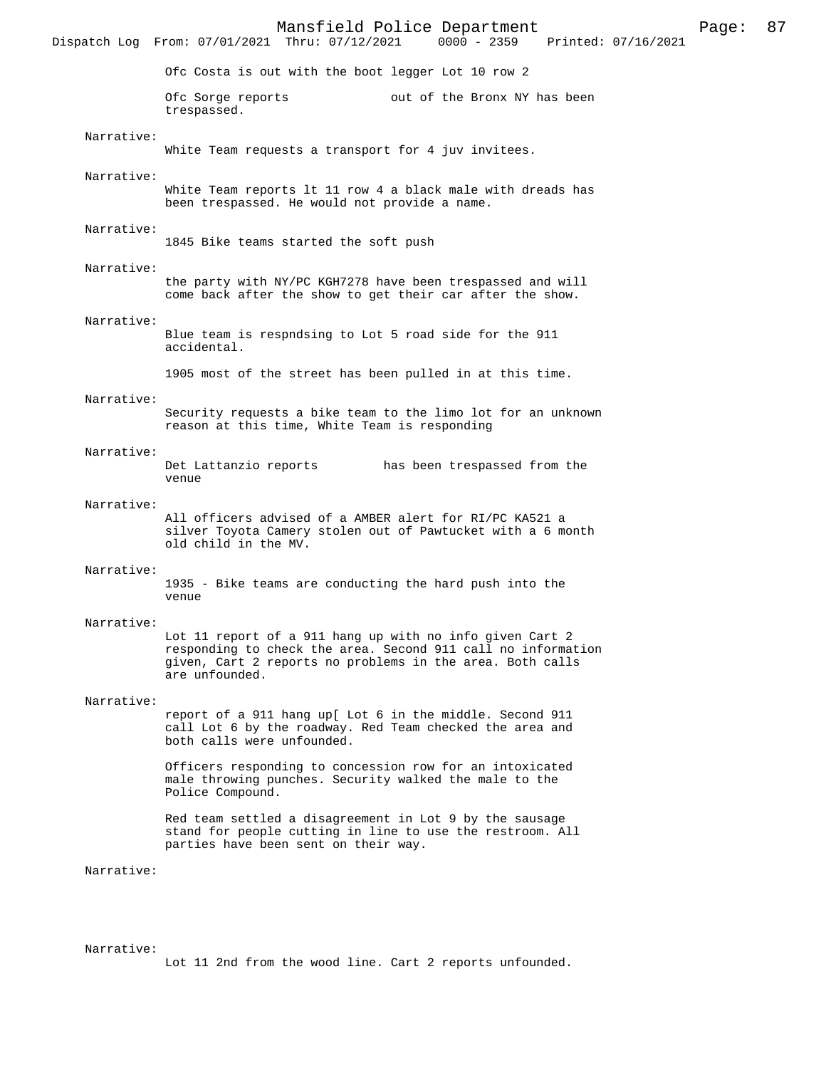Mansfield Police Department Page: 87 Dispatch Log From: 07/01/2021 Thru: 07/12/2021 Ofc Costa is out with the boot legger Lot 10 row 2 Ofc Sorge reports out of the Bronx NY has been trespassed. Narrative: White Team requests a transport for 4 juv invitees. Narrative: White Team reports lt 11 row 4 a black male with dreads has been trespassed. He would not provide a name. Narrative: 1845 Bike teams started the soft push Narrative: the party with NY/PC KGH7278 have been trespassed and will come back after the show to get their car after the show. Narrative: Blue team is respndsing to Lot 5 road side for the 911 accidental. 1905 most of the street has been pulled in at this time. Narrative: Security requests a bike team to the limo lot for an unknown reason at this time, White Team is responding Narrative:<br>Det Lattanzio reports has been trespassed from the venue Narrative: All officers advised of a AMBER alert for RI/PC KA521 a silver Toyota Camery stolen out of Pawtucket with a 6 month old child in the MV. Narrative: 1935 - Bike teams are conducting the hard push into the venue Narrative: Lot 11 report of a 911 hang up with no info given Cart 2 responding to check the area. Second 911 call no information given, Cart 2 reports no problems in the area. Both calls are unfounded. Narrative: report of a 911 hang up[ Lot 6 in the middle. Second 911 call Lot 6 by the roadway. Red Team checked the area and both calls were unfounded. Officers responding to concession row for an intoxicated male throwing punches. Security walked the male to the Police Compound. Red team settled a disagreement in Lot 9 by the sausage stand for people cutting in line to use the restroom. All parties have been sent on their way. Narrative:

#### Narrative:

Lot 11 2nd from the wood line. Cart 2 reports unfounded.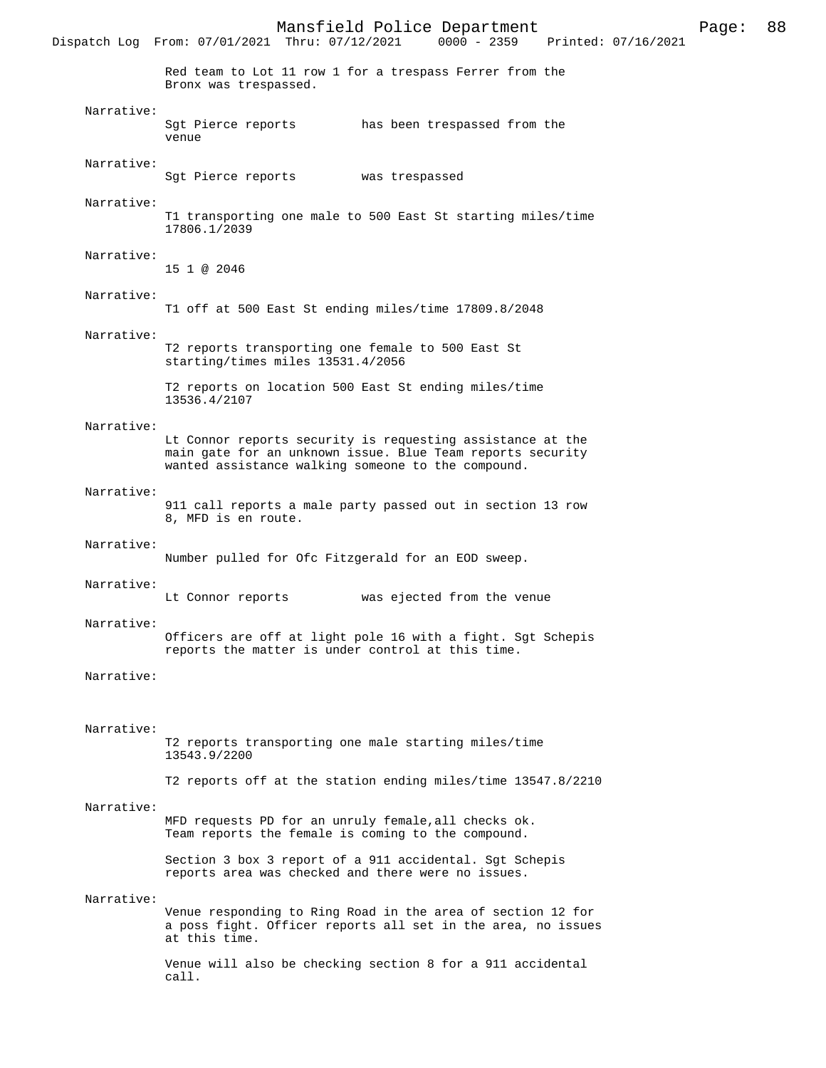Dispatch Log From: 07/01/2021 Thru: 07/12/2021 Red team to Lot 11 row 1 for a trespass Ferrer from the Bronx was trespassed. Narrative: Sgt Pierce reports has been trespassed from the venue Narrative: Sgt Pierce reports was trespassed Narrative: T1 transporting one male to 500 East St starting miles/time 17806.1/2039 Narrative: 15 1 @ 2046 Narrative: T1 off at 500 East St ending miles/time 17809.8/2048 Narrative: T2 reports transporting one female to 500 East St starting/times miles 13531.4/2056 T2 reports on location 500 East St ending miles/time 13536.4/2107 Narrative: Lt Connor reports security is requesting assistance at the main gate for an unknown issue. Blue Team reports security wanted assistance walking someone to the compound. Narrative: 911 call reports a male party passed out in section 13 row 8, MFD is en route. Narrative: Number pulled for Ofc Fitzgerald for an EOD sweep. Narrative: Lt Connor reports was ejected from the venue Narrative: Officers are off at light pole 16 with a fight. Sgt Schepis reports the matter is under control at this time. Narrative: Narrative: T2 reports transporting one male starting miles/time 13543.9/2200 T2 reports off at the station ending miles/time 13547.8/2210 Narrative: MFD requests PD for an unruly female,all checks ok. Team reports the female is coming to the compound. Section 3 box 3 report of a 911 accidental. Sgt Schepis reports area was checked and there were no issues. Narrative: Venue responding to Ring Road in the area of section 12 for a poss fight. Officer reports all set in the area, no issues at this time. Venue will also be checking section 8 for a 911 accidental call.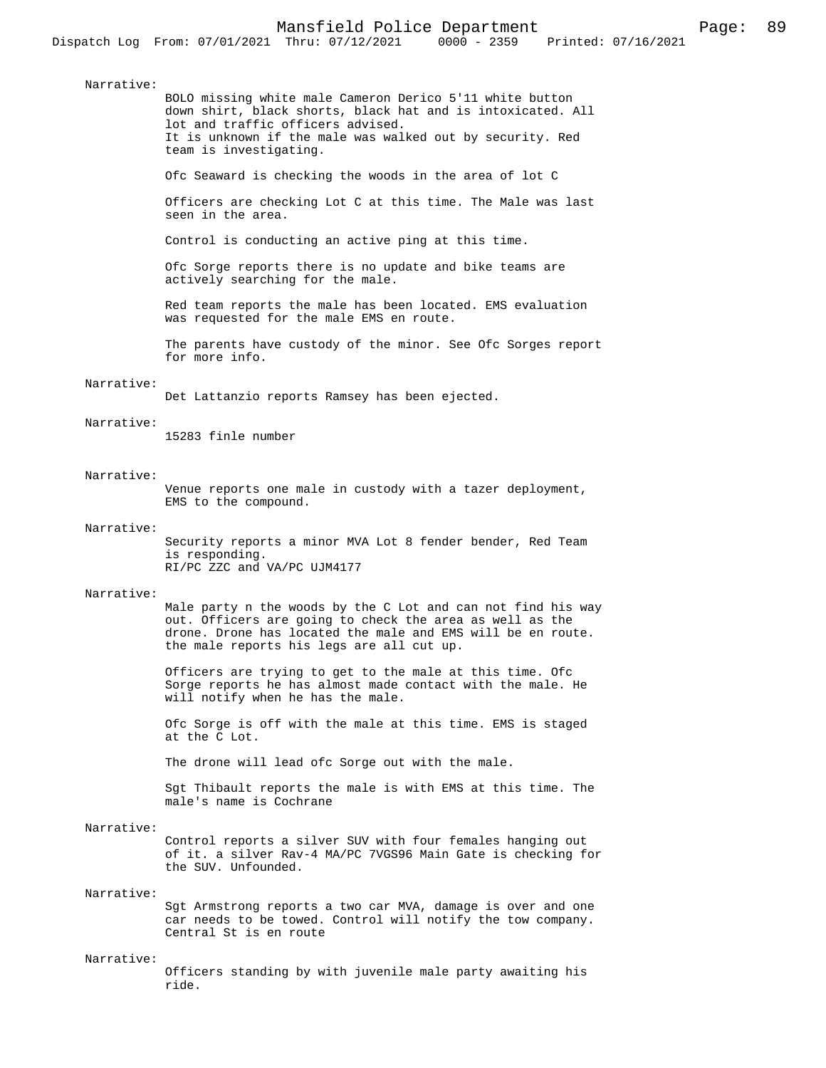BOLO missing white male Cameron Derico 5'11 white button down shirt, black shorts, black hat and is intoxicated. All lot and traffic officers advised. It is unknown if the male was walked out by security. Red team is investigating.

Ofc Seaward is checking the woods in the area of lot C

Officers are checking Lot C at this time. The Male was last seen in the area.

Control is conducting an active ping at this time.

Ofc Sorge reports there is no update and bike teams are actively searching for the male.

Red team reports the male has been located. EMS evaluation was requested for the male EMS en route.

The parents have custody of the minor. See Ofc Sorges report for more info.

### Narrative:

Det Lattanzio reports Ramsey has been ejected.

## Narrative:

15283 finle number

### Narrative:

Venue reports one male in custody with a tazer deployment, EMS to the compound.

#### Narrative:

Security reports a minor MVA Lot 8 fender bender, Red Team is responding. RI/PC ZZC and VA/PC UJM4177

#### Narrative:

Male party n the woods by the C Lot and can not find his way out. Officers are going to check the area as well as the drone. Drone has located the male and EMS will be en route. the male reports his legs are all cut up.

Officers are trying to get to the male at this time. Ofc Sorge reports he has almost made contact with the male. He will notify when he has the male.

Ofc Sorge is off with the male at this time. EMS is staged at the C Lot.

The drone will lead ofc Sorge out with the male.

Sgt Thibault reports the male is with EMS at this time. The male's name is Cochrane

## Narrative:

Control reports a silver SUV with four females hanging out of it. a silver Rav-4 MA/PC 7VGS96 Main Gate is checking for the SUV. Unfounded.

## Narrative:

Sgt Armstrong reports a two car MVA, damage is over and one car needs to be towed. Control will notify the tow company. Central St is en route

#### Narrative:

Officers standing by with juvenile male party awaiting his ride.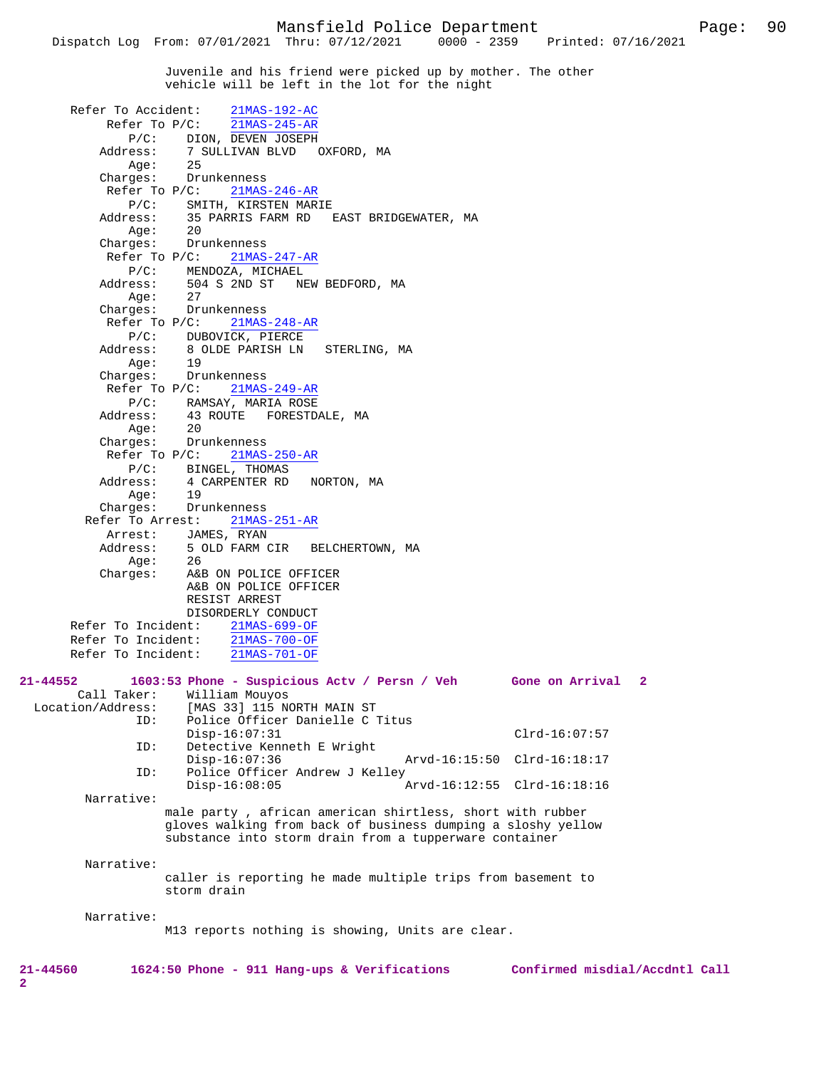Juvenile and his friend were picked up by mother. The other vehicle will be left in the lot for the night

|                                              |                    | Refer To Accident: 21MAS-192-AC                              |            |               |                                                                 |  |
|----------------------------------------------|--------------------|--------------------------------------------------------------|------------|---------------|-----------------------------------------------------------------|--|
|                                              |                    | Refer To $P/C$ : $\overline{21MAS-245-AR}$                   |            |               |                                                                 |  |
| $P/C$ :                                      |                    | DION, DEVEN JOSEPH                                           |            |               |                                                                 |  |
| Address:                                     |                    | 7 SULLIVAN BLVD OXFORD, MA<br>25                             |            |               |                                                                 |  |
| Age:                                         | 25                 |                                                              |            |               |                                                                 |  |
| Charges:                                     |                    | Drunkenness                                                  |            |               |                                                                 |  |
|                                              | Refer To $P/C$ :   | 21MAS-246-AR                                                 |            |               |                                                                 |  |
| $P/C$ :                                      |                    | SMITH, KIRSTEN MARIE                                         |            |               |                                                                 |  |
| Address:                                     |                    | 35 PARRIS FARM RD EAST BRIDGEWATER, MA                       |            |               |                                                                 |  |
| Aqe:                                         | 20                 |                                                              |            |               |                                                                 |  |
| Charges:                                     |                    | Drunkenness                                                  |            |               |                                                                 |  |
|                                              | Refer To $P/C$ :   | $21MAS-247-AR$                                               |            |               |                                                                 |  |
| $P/C$ :                                      |                    | MENDOZA, MICHAEL                                             |            |               |                                                                 |  |
| Address:                                     |                    | 504 S 2ND ST NEW BEDFORD, MA                                 |            |               |                                                                 |  |
| Age:                                         | 27<br>Drunkenness  |                                                              |            |               |                                                                 |  |
| Charges:                                     |                    |                                                              |            |               |                                                                 |  |
| Refer To $P/C$ :                             |                    | $21MAS-248-AR$                                               |            |               |                                                                 |  |
| $P/C$ :                                      |                    | DUBOVICK, PIERCE                                             |            |               |                                                                 |  |
| Address:                                     |                    | 8 OLDE PARISH LN STERLING, MA                                |            |               |                                                                 |  |
| Aqe:                                         | 19<br>Drunkenness  |                                                              |            |               |                                                                 |  |
| Charges:                                     |                    |                                                              |            |               |                                                                 |  |
|                                              | Refer To P/C:      | 21MAS-249-AR                                                 |            |               |                                                                 |  |
| $P/C$ :                                      |                    | RAMSAY, MARIA ROSE<br>43 ROUTE   FORESTDALE, MA              |            |               |                                                                 |  |
| Address:                                     |                    |                                                              |            |               |                                                                 |  |
| Aqe:                                         | 20                 |                                                              |            |               |                                                                 |  |
| Charges:                                     |                    | Drunkenness                                                  |            |               |                                                                 |  |
|                                              | $Refer$ To $P/C$ : | $21MAS-250-AR$                                               |            |               |                                                                 |  |
| $P/C$ :                                      |                    | BINGEL, THOMAS                                               |            |               |                                                                 |  |
| Address:                                     | 19                 | 4 CARPENTER RD                                               | NORTON, MA |               |                                                                 |  |
| Aqe:                                         |                    |                                                              |            |               |                                                                 |  |
| Charges:<br>Refer To Arrest:                 | Drunkenness        |                                                              |            |               |                                                                 |  |
| Arrest:                                      |                    | $21MAS-251-AR$<br>JAMES, RYAN                                |            |               |                                                                 |  |
| Address:                                     |                    | 5 OLD FARM CIR BELCHERTOWN, MA<br>26                         |            |               |                                                                 |  |
| Aqe:                                         | 26                 |                                                              |            |               |                                                                 |  |
| Charges:                                     |                    | A&B ON POLICE OFFICER                                        |            |               |                                                                 |  |
|                                              |                    | A&B ON POLICE OFFICER                                        |            |               |                                                                 |  |
|                                              |                    | RESIST ARREST                                                |            |               |                                                                 |  |
|                                              |                    | DISORDERLY CONDUCT                                           |            |               |                                                                 |  |
| Refer To Incident:                           |                    | 21MAS-699-OF                                                 |            |               |                                                                 |  |
|                                              |                    | Refer To Incident: 21MAS-700-OF                              |            |               |                                                                 |  |
|                                              |                    | Refer To Incident: 21MAS-701-OF                              |            |               |                                                                 |  |
|                                              |                    |                                                              |            |               |                                                                 |  |
| $21 - 44552$                                 |                    |                                                              |            |               | 1603:53 Phone - Suspicious Actv / Persn / Veh Gone on Arrival 2 |  |
| Call Taker:                                  |                    | William Mouyos                                               |            |               |                                                                 |  |
| Location/Address: [MAS 33] 115 NORTH MAIN ST |                    |                                                              |            |               |                                                                 |  |
| ID:                                          |                    | Police Officer Danielle C Titus                              |            |               |                                                                 |  |
|                                              |                    | $Disp-16:07:31$                                              |            |               | $Clrd-16:07:57$                                                 |  |
| ID:                                          |                    | Detective Kenneth E Wright                                   |            |               |                                                                 |  |
|                                              |                    | $Disp-16:07:36$                                              |            | Arvd-16:15:50 | Clrd-16:18:17                                                   |  |
| ID:                                          |                    | Police Officer Andrew J Kelley                               |            |               |                                                                 |  |
|                                              |                    | $Disp-16:08:05$                                              |            |               | Arvd-16:12:55 Clrd-16:18:16                                     |  |
| Narrative:                                   |                    |                                                              |            |               |                                                                 |  |
|                                              |                    | male party, african american shirtless, short with rubber    |            |               |                                                                 |  |
|                                              |                    | gloves walking from back of business dumping a sloshy yellow |            |               |                                                                 |  |
|                                              |                    | substance into storm drain from a tupperware container       |            |               |                                                                 |  |
|                                              |                    |                                                              |            |               |                                                                 |  |
| Narrative:                                   |                    |                                                              |            |               |                                                                 |  |
|                                              | storm drain        | caller is reporting he made multiple trips from basement to  |            |               |                                                                 |  |
|                                              |                    |                                                              |            |               |                                                                 |  |
| Narrative:                                   |                    |                                                              |            |               |                                                                 |  |
|                                              |                    | M13 reports nothing is showing, Units are clear.             |            |               |                                                                 |  |
|                                              |                    |                                                              |            |               |                                                                 |  |
|                                              |                    |                                                              |            |               |                                                                 |  |
| $21 - 44560$                                 |                    | 1624:50 Phone - 911 Hang-ups & Verifications                 |            |               | Confirmed misdial/Accdntl Call                                  |  |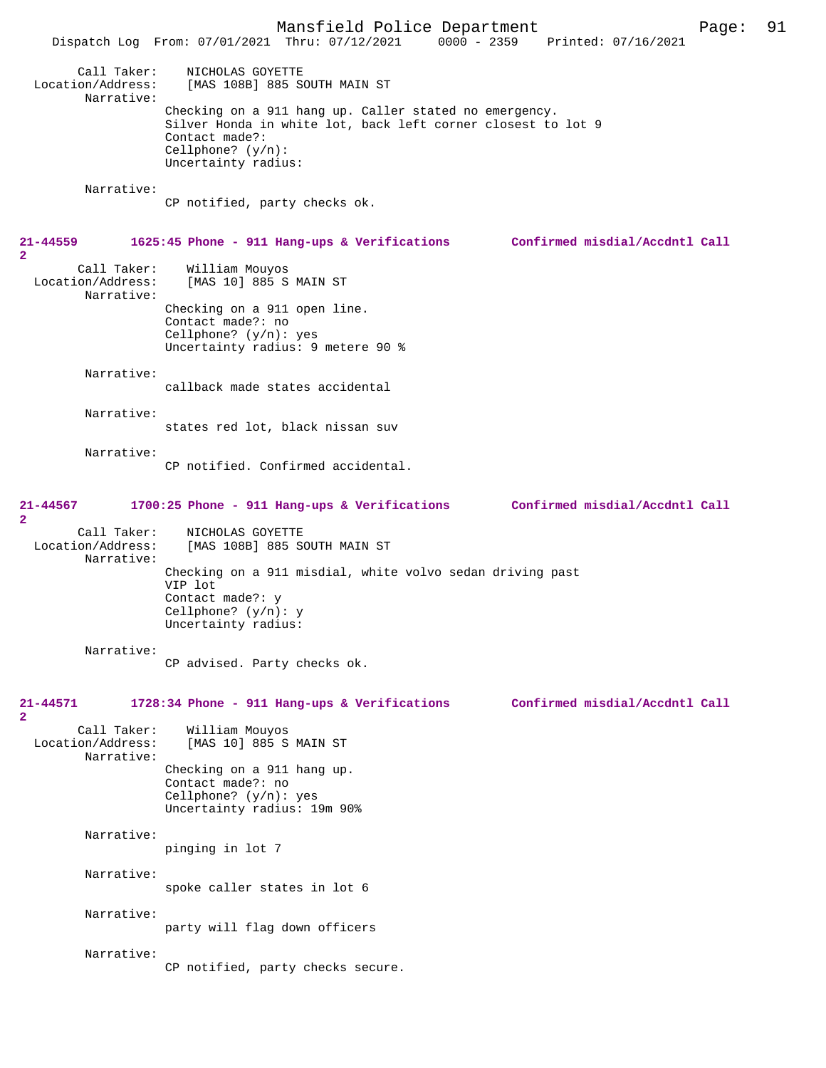Mansfield Police Department Page: 91 Dispatch Log From: 07/01/2021 Thru: 07/12/2021 Call Taker: NICHOLAS GOYETTE Location/Address: [MAS 108B] 885 SOUTH MAIN ST Narrative: Checking on a 911 hang up. Caller stated no emergency. Silver Honda in white lot, back left corner closest to lot 9 Contact made?: Cellphone? (y/n): Uncertainty radius: Narrative: CP notified, party checks ok. **21-44559 1625:45 Phone - 911 Hang-ups & Verifications Confirmed misdial/Accdntl Call 2**  Call Taker: William Mouyos<br>Location/Address: [MAS 10] 885 S [MAS 10] 885 S MAIN ST Narrative: Checking on a 911 open line. Contact made?: no Cellphone? (y/n): yes Uncertainty radius: 9 metere 90 % Narrative: callback made states accidental Narrative: states red lot, black nissan suv Narrative: CP notified. Confirmed accidental. **21-44567 1700:25 Phone - 911 Hang-ups & Verifications Confirmed misdial/Accdntl Call 2**  Call Taker: NICHOLAS GOYETTE Location/Address: [MAS 108B] 885 SOUTH MAIN ST Narrative: Checking on a 911 misdial, white volvo sedan driving past VIP lot Contact made?: y Cellphone? (y/n): y Uncertainty radius: Narrative: CP advised. Party checks ok. **21-44571 1728:34 Phone - 911 Hang-ups & Verifications Confirmed misdial/Accdntl Call 2**  Call Taker: William Mouyos<br>Location/Address: [MAS 10] 885 S [MAS 10] 885 S MAIN ST Narrative: Checking on a 911 hang up. Contact made?: no Cellphone? (y/n): yes Uncertainty radius: 19m 90% Narrative: pinging in lot 7 Narrative: spoke caller states in lot 6 Narrative: party will flag down officers Narrative: CP notified, party checks secure.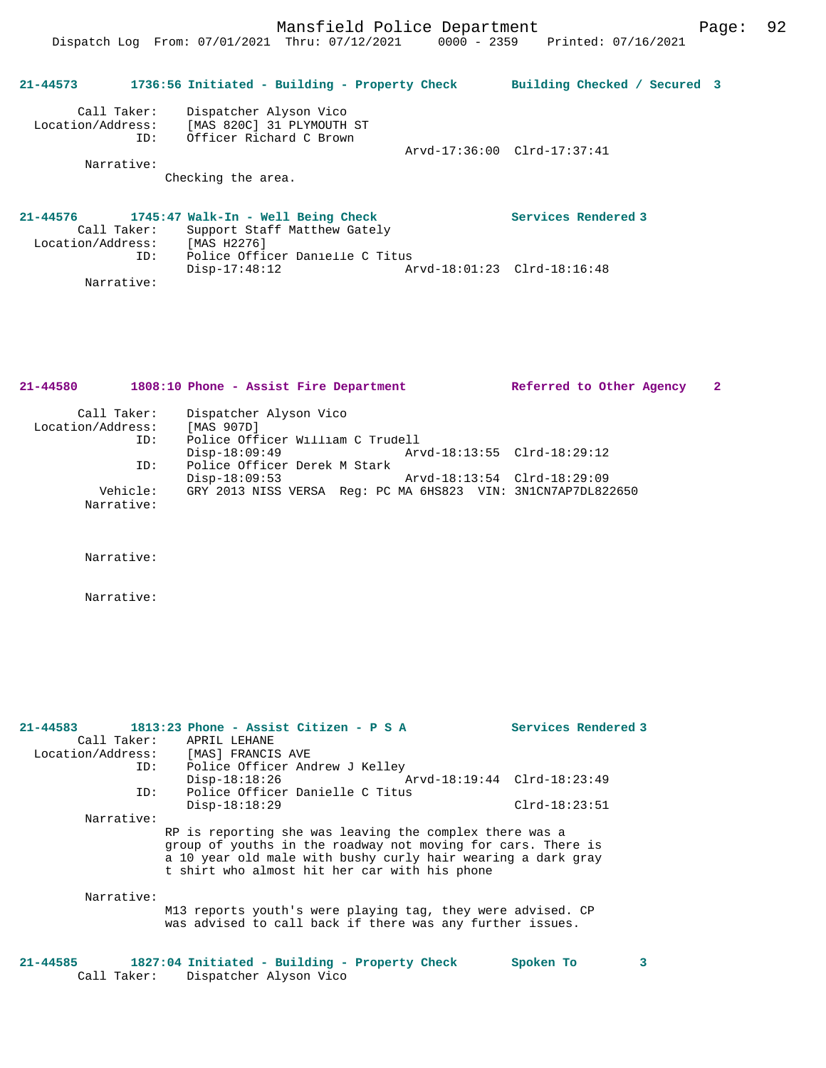**21-44573 1736:56 Initiated - Building - Property Check Building Checked / Secured 3** Call Taker: Dispatcher Alyson Vico Location/Address: [MAS 820C] 31 PLYMOUTH ST ID: Officer Richard C Brown Arvd-17:36:00 Clrd-17:37:41 Narrative: Checking the area. **21-44576 1745:47 Walk-In - Well Being Check Services Rendered 3**  Call Taker: Support Staff Matthew Gately<br>Location/Address: [MAS H2276] Location/Address: [MAS H2276] ID: Police Officer Danielle C Titus

Disp-17:48:12 Arvd-18:01:23 Clrd-18:16:48

| 21-44580          |                        | 1808:10 Phone - Assist Fire Department                       | Referred to Other Agency    | 2 |
|-------------------|------------------------|--------------------------------------------------------------|-----------------------------|---|
|                   | Call Taker:            | Dispatcher Alyson Vico                                       |                             |   |
| Location/Address: |                        | [MAS 907D]                                                   |                             |   |
|                   | ID:                    | Police Officer William C Trudell                             |                             |   |
|                   |                        | $Disp-18:09:49$                                              | Arvd-18:13:55 Clrd-18:29:12 |   |
|                   | ID:                    | Police Officer Derek M Stark                                 |                             |   |
|                   |                        | $Disp-18:09:53$                                              | Arvd-18:13:54 Clrd-18:29:09 |   |
|                   | Vehicle:<br>Narrative: | GRY 2013 NISS VERSA Req: PC MA 6HS823 VIN: 3N1CN7AP7DL822650 |                             |   |

Narrative:

Narrative:

Narrative:

| 21-44583          |                                                                                                                                                                                                                                          |                   | $1813:23$ Phone - Assist Citizen - P S A                                                                                 | Services Rendered 3         |  |
|-------------------|------------------------------------------------------------------------------------------------------------------------------------------------------------------------------------------------------------------------------------------|-------------------|--------------------------------------------------------------------------------------------------------------------------|-----------------------------|--|
|                   | Call Taker:                                                                                                                                                                                                                              | APRIL LEHANE      |                                                                                                                          |                             |  |
| Location/Address: |                                                                                                                                                                                                                                          | [MAS] FRANCIS AVE |                                                                                                                          |                             |  |
|                   | ID:                                                                                                                                                                                                                                      |                   | Police Officer Andrew J Kelley                                                                                           |                             |  |
|                   |                                                                                                                                                                                                                                          | $Disp-18:18:26$   |                                                                                                                          | Arvd-18:19:44 Clrd-18:23:49 |  |
|                   | ID:                                                                                                                                                                                                                                      |                   | Police Officer Danielle C Titus                                                                                          |                             |  |
|                   |                                                                                                                                                                                                                                          | $Disp-18:18:29$   |                                                                                                                          | $Clrd-18:23:51$             |  |
|                   | Narrative:                                                                                                                                                                                                                               |                   |                                                                                                                          |                             |  |
|                   | RP is reporting she was leaving the complex there was a<br>group of youths in the roadway not moving for cars. There is<br>a 10 year old male with bushy curly hair wearing a dark gray<br>t shirt who almost hit her car with his phone |                   |                                                                                                                          |                             |  |
|                   | Narrative:                                                                                                                                                                                                                               |                   | M13 reports youth's were playing tag, they were advised. CP<br>was advised to call back if there was any further issues. |                             |  |

```
21-44585 1827:04 Initiated - Building - Property Check Spoken To 3 
Call Taker: Dispatcher Alyson Vico
```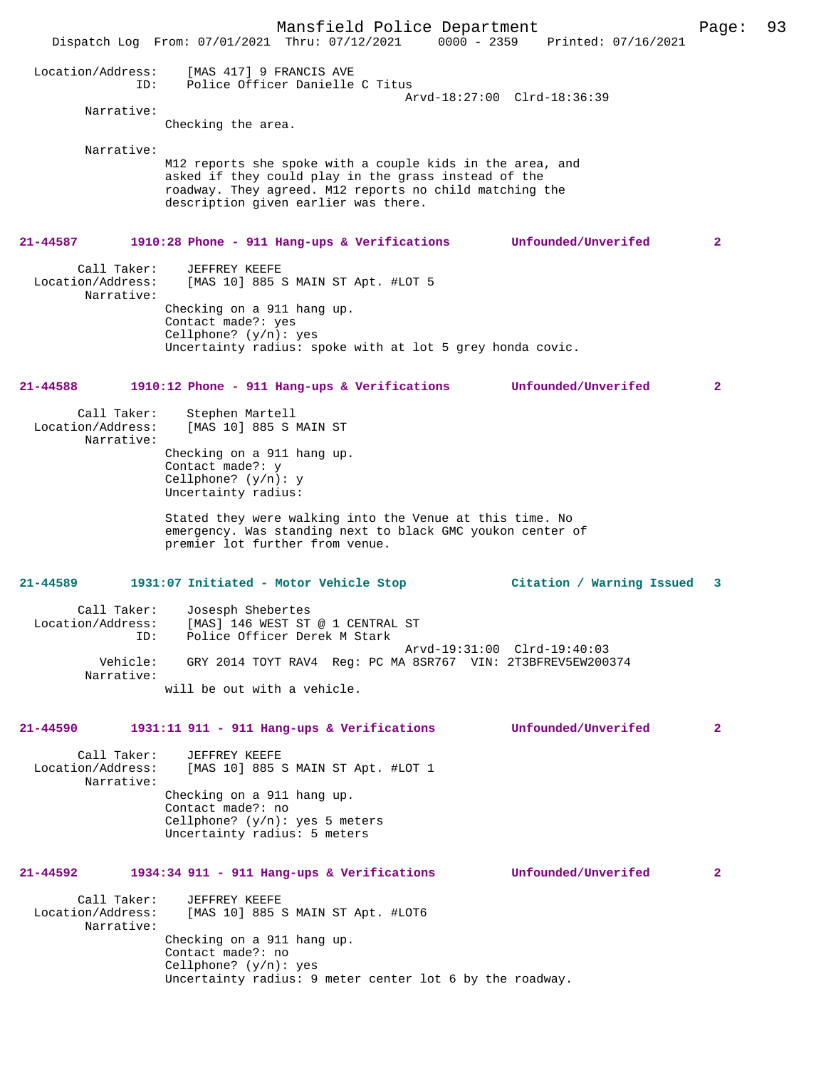Mansfield Police Department Page: 93 Dispatch Log From: 07/01/2021 Thru: 07/12/2021 Location/Address: [MAS 417] 9 FRANCIS AVE ID: Police Officer Danielle C Titus Arvd-18:27:00 Clrd-18:36:39 Narrative: Checking the area. Narrative: M12 reports she spoke with a couple kids in the area, and asked if they could play in the grass instead of the roadway. They agreed. M12 reports no child matching the description given earlier was there. **21-44587 1910:28 Phone - 911 Hang-ups & Verifications Unfounded/Unverifed 2** Call Taker: JEFFREY KEEFE<br>Location/Address: [MAS 10] 885; [MAS 10] 885 S MAIN ST Apt. #LOT 5 Narrative: Checking on a 911 hang up. Contact made?: yes Cellphone? (y/n): yes Uncertainty radius: spoke with at lot 5 grey honda covic. **21-44588 1910:12 Phone - 911 Hang-ups & Verifications Unfounded/Unverifed 2** Call Taker: Stephen Martell<br>Location/Address: [MAS 10] 885 S N [MAS 10] 885 S MAIN ST Narrative: Checking on a 911 hang up. Contact made?: y Cellphone? (y/n): y Uncertainty radius: Stated they were walking into the Venue at this time. No emergency. Was standing next to black GMC youkon center of premier lot further from venue. **21-44589 1931:07 Initiated - Motor Vehicle Stop Citation / Warning Issued 3** Call Taker: Josesph Shebertes<br>Location/Address: [MAS] 146 WEST ST ess: [MAS] 146 WEST ST @ 1 CENTRAL ST<br>TD: Police Officer Derek M Stark Police Officer Derek M Stark Arvd-19:31:00 Clrd-19:40:03<br>Vehicle: GRY 2014 TOYT RAV4 Reg: PC MA 8SR767 VIN: 2T3BFREV5EW200 GRY 2014 TOYT RAV4 Reg: PC MA 8SR767 VIN: 2T3BFREV5EW200374 Narrative: will be out with a vehicle. **21-44590 1931:11 911 - 911 Hang-ups & Verifications Unfounded/Unverifed 2** Call Taker: JEFFREY KEEFE Location/Address: [MAS 10] 885 S MAIN ST Apt. #LOT 1 Narrative: Checking on a 911 hang up. Contact made?: no Cellphone? (y/n): yes 5 meters Uncertainty radius: 5 meters **21-44592 1934:34 911 - 911 Hang-ups & Verifications Unfounded/Unverifed 2** Call Taker: JEFFREY KEEFE<br>Location/Address: [MAS 10] 885 9 [MAS 10] 885 S MAIN ST Apt. #LOT6 Narrative: Checking on a 911 hang up. Contact made?: no Cellphone? (y/n): yes Uncertainty radius: 9 meter center lot 6 by the roadway.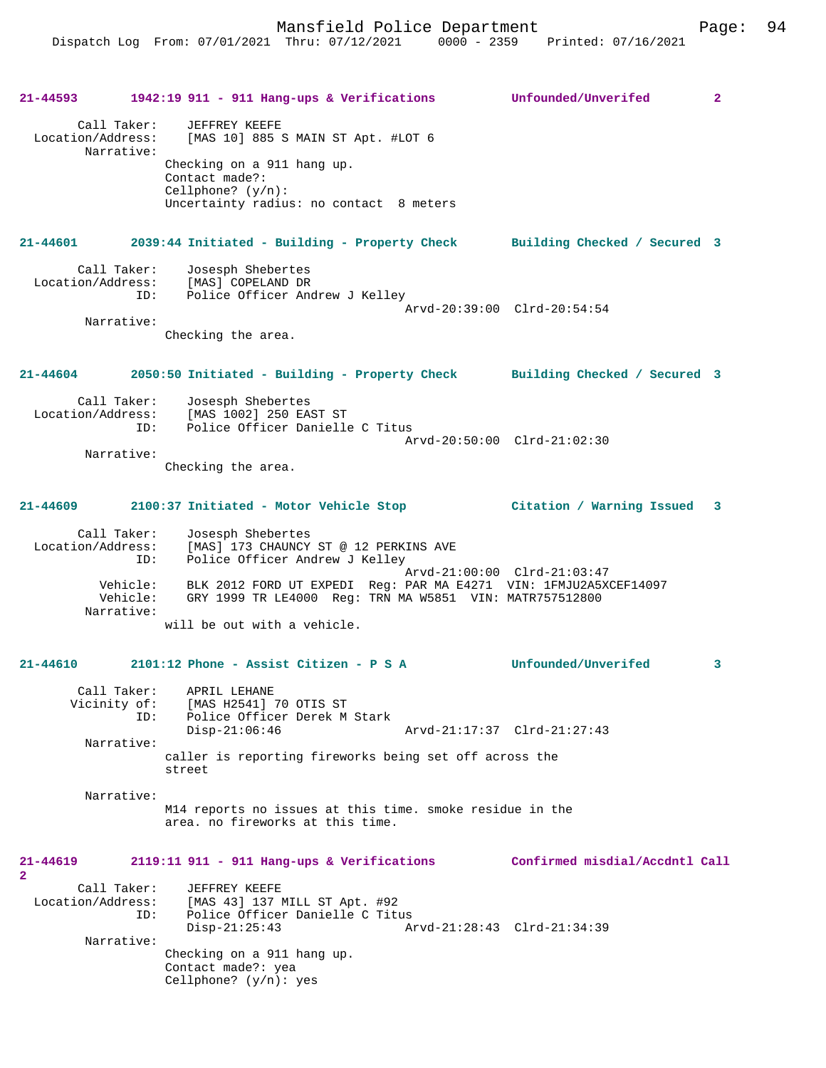|                   |                           | 21-44593 1942:19 911 - 911 Hang-ups & Verifications Unfounded/Unverifed                                                                                                                  |                                | $\overline{2}$ |
|-------------------|---------------------------|------------------------------------------------------------------------------------------------------------------------------------------------------------------------------------------|--------------------------------|----------------|
|                   | Call Taker:<br>Narrative: | JEFFREY KEEFE<br>Location/Address: [MAS 10] 885 S MAIN ST Apt. #LOT 6<br>Checking on a 911 hang up.<br>Contact made?:<br>Cellphone? $(y/n)$ :<br>Uncertainty radius: no contact 8 meters |                                |                |
|                   |                           |                                                                                                                                                                                          |                                |                |
|                   |                           | 21-44601 2039:44 Initiated - Building - Property Check Building Checked / Secured 3                                                                                                      |                                |                |
|                   | Call Taker:               | Josesph Shebertes<br>Location/Address: [MAS] COPELAND DR<br>ID: Police Officer Andrew J Kelley                                                                                           |                                |                |
|                   | Narrative:                | Checking the area.                                                                                                                                                                       | Arvd-20:39:00 Clrd-20:54:54    |                |
| 21-44604          |                           | 2050:50 Initiated - Building - Property Check Building Checked / Secured 3                                                                                                               |                                |                |
|                   | Call Taker:               | Josesph Shebertes<br>Location/Address: [MAS 1002] 250 EAST ST<br>ID: Police Officer Danielle C Titus                                                                                     | Arvd-20:50:00 Clrd-21:02:30    |                |
|                   | Narrative:                | Checking the area.                                                                                                                                                                       |                                |                |
| $21 - 44609$      |                           |                                                                                                                                                                                          |                                |                |
|                   | Call Taker:               | Josesph Shebertes<br>Location/Address: [MAS] 173 CHAUNCY ST @ 12 PERKINS AVE<br>ID: Police Officer Andrew J Kelley<br>Police Officer Andrew J Kelley                                     |                                |                |
|                   | Narrative:                | Vehicle: BLK 2012 FORD UT EXPEDI Req: PAR MA E4271 VIN: 1FMJU2A5XCEF14097<br>Vehicle: GRY 1999 TR LE4000 Reg: TRN MA W5851 VIN: MATR757512800                                            | Arvd-21:00:00 Clrd-21:03:47    |                |
|                   |                           | will be out with a vehicle.                                                                                                                                                              |                                |                |
|                   |                           | $21-44610$ 2101:12 Phone - Assist Citizen - P S A                                                                                                                                        | <b>Unfounded/Unverifed</b>     | $\mathbf{3}$   |
|                   | Vicinity of:<br>ID:       | Call Taker: APRIL LEHANE<br>[MAS H2541] 70 OTIS ST<br>Police Officer Derek M Stark<br>$Disp-21:06:46$                                                                                    | Arvd-21:17:37 Clrd-21:27:43    |                |
|                   | Narrative:                | caller is reporting fireworks being set off across the<br>street                                                                                                                         |                                |                |
|                   | Narrative:                | M14 reports no issues at this time. smoke residue in the<br>area. no fireworks at this time.                                                                                             |                                |                |
| $21 - 44619$<br>2 |                           | 2119:11 911 - 911 Hang-ups & Verifications                                                                                                                                               | Confirmed misdial/Accdntl Call |                |
| Location/Address: | Call Taker:<br>ID:        | <b>JEFFREY KEEFE</b><br>[MAS 43] 137 MILL ST Apt. #92<br>Police Officer Danielle C Titus<br>$Disp-21:25:43$                                                                              | Arvd-21:28:43 Clrd-21:34:39    |                |
|                   | Narrative:                | Checking on a 911 hang up.<br>Contact made?: yea<br>Cellphone? $(y/n):$ yes                                                                                                              |                                |                |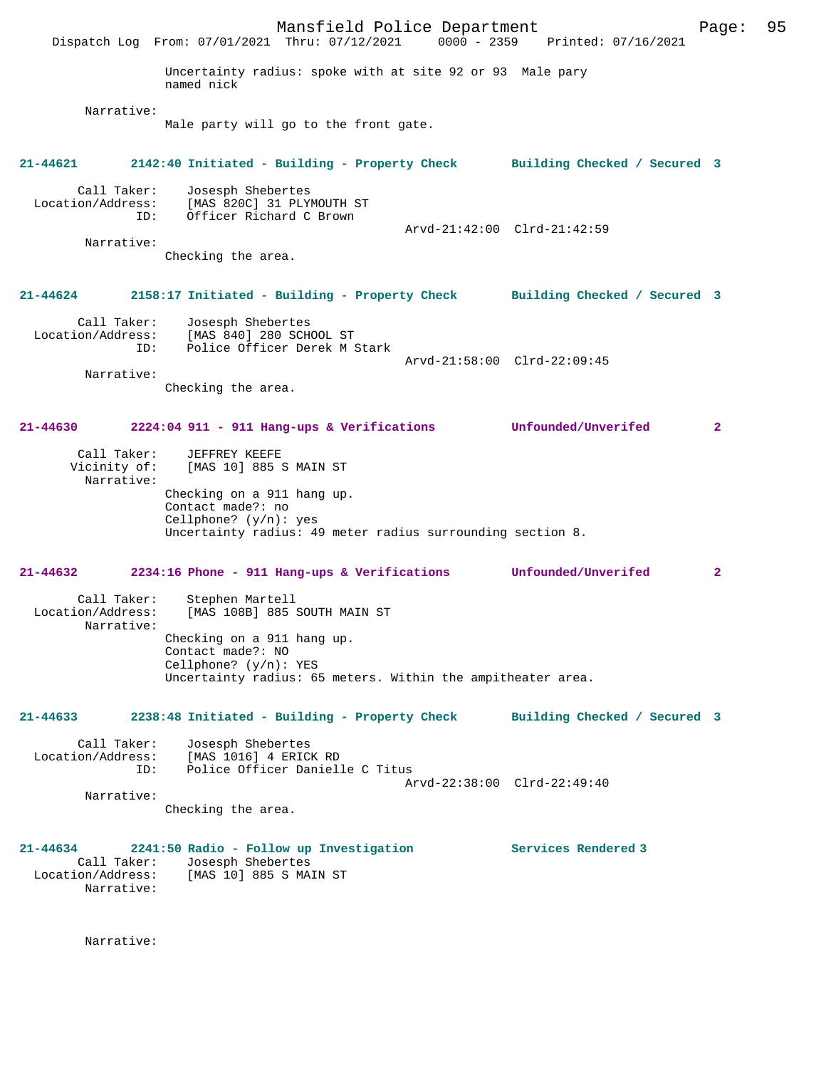Mansfield Police Department Page: 95 Dispatch Log From: 07/01/2021 Thru: 07/12/2021 Uncertainty radius: spoke with at site 92 or 93 Male pary named nick Narrative: Male party will go to the front gate. **21-44621 2142:40 Initiated - Building - Property Check Building Checked / Secured 3** Call Taker: Josesph Shebertes Location/Address: [MAS 820C] 31 PLYMOUTH ST ID: Officer Richard C Brown Arvd-21:42:00 Clrd-21:42:59 Narrative: Checking the area. **21-44624 2158:17 Initiated - Building - Property Check Building Checked / Secured 3** Call Taker: Josesph Shebertes Location/Address: [MAS 840] 280 SCHOOL ST ID: Police Officer Derek M Stark Arvd-21:58:00 Clrd-22:09:45 Narrative: Checking the area. **21-44630 2224:04 911 - 911 Hang-ups & Verifications Unfounded/Unverifed 2** Call Taker: JEFFREY KEEFE Vicinity of: [MAS 10] 885 S MAIN ST Narrative: Checking on a 911 hang up. Contact made?: no Cellphone? (y/n): yes Uncertainty radius: 49 meter radius surrounding section 8. **21-44632 2234:16 Phone - 911 Hang-ups & Verifications Unfounded/Unverifed 2** Call Taker: Stephen Martell<br>Location/Address: [MAS 108B] 885 S [MAS 108B] 885 SOUTH MAIN ST Narrative: Checking on a 911 hang up. Contact made?: NO Cellphone? (y/n): YES Uncertainty radius: 65 meters. Within the ampitheater area. **21-44633 2238:48 Initiated - Building - Property Check Building Checked / Secured 3** Call Taker: Josesph Shebertes<br>Location/Address: [MAS 1016] 4 ERIC ess: [MAS 1016] 4 ERICK RD<br>ID: Police Officer Daniell Police Officer Danielle C Titus Arvd-22:38:00 Clrd-22:49:40 Narrative: Checking the area. **21-44634 2241:50 Radio - Follow up Investigation Services Rendered 3**  Call Taker: Josesph Shebertes Location/Address: [MAS 10] 885 S MAIN ST Narrative:

Narrative: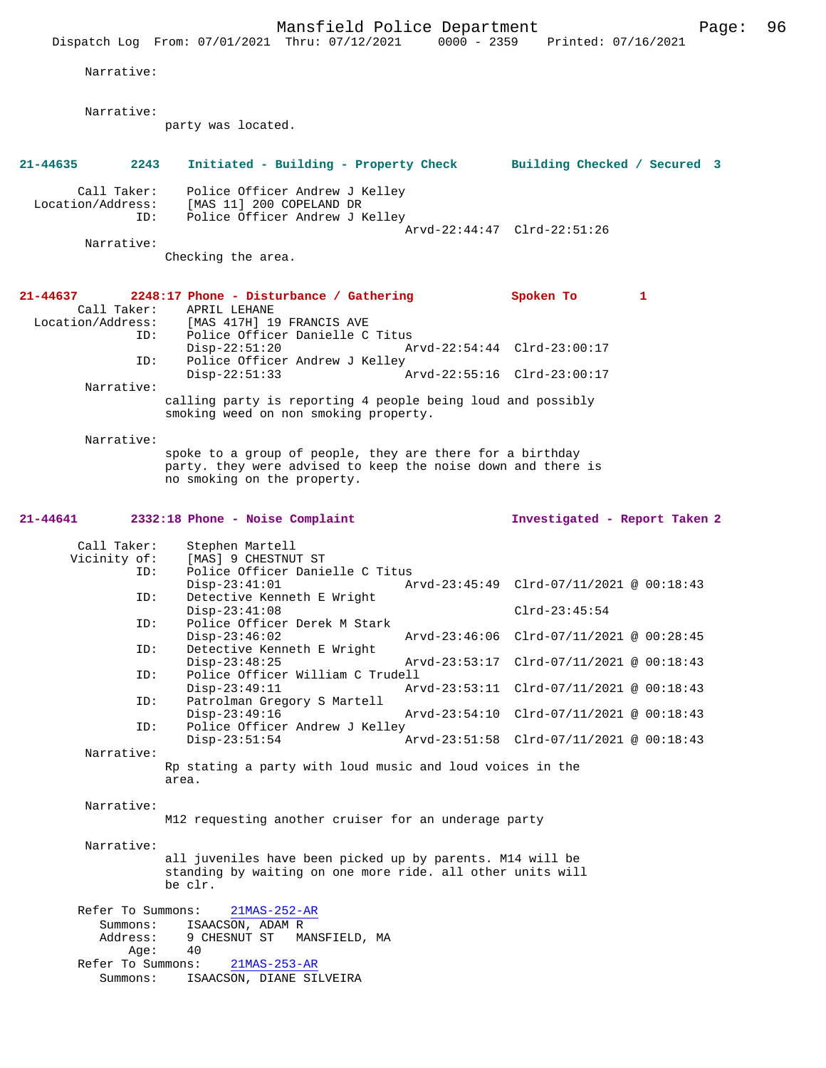|                                  |                           | Mansfield Police Department                                                                                                                              |               |                                          | Page: | 96 |
|----------------------------------|---------------------------|----------------------------------------------------------------------------------------------------------------------------------------------------------|---------------|------------------------------------------|-------|----|
|                                  |                           | Dispatch Log From: 07/01/2021 Thru: 07/12/2021 0000 - 2359 Printed: 07/16/2021                                                                           |               |                                          |       |    |
| Narrative:                       |                           |                                                                                                                                                          |               |                                          |       |    |
| Narrative:                       |                           |                                                                                                                                                          |               |                                          |       |    |
|                                  |                           | party was located.                                                                                                                                       |               |                                          |       |    |
| 21-44635                         | 2243                      | Initiated - Building - Property Check Building Checked / Secured 3                                                                                       |               |                                          |       |    |
| Call Taker:<br>Location/Address: | ID:                       | Police Officer Andrew J Kelley<br>[MAS 11] 200 COPELAND DR<br>Police Officer Andrew J Kelley                                                             |               |                                          |       |    |
| Narrative:                       |                           |                                                                                                                                                          |               | Arvd-22:44:47 Clrd-22:51:26              |       |    |
|                                  |                           | Checking the area.                                                                                                                                       |               |                                          |       |    |
| 21-44637<br>Call Taker:          | ID:                       | 2248:17 Phone - Disturbance / Gathering<br>APRIL LEHANE<br>Location/Address: [MAS 417H] 19 FRANCIS AVE<br>Police Officer Danielle C Titus                |               | Spoken To<br>$\mathbf{1}$                |       |    |
|                                  | ID:                       | $Disp-22:51:20$                                                                                                                                          |               | Arvd-22:54:44 Clrd-23:00:17              |       |    |
|                                  |                           | Police Officer Andrew J Kelley<br>$Disp-22:51:33$                                                                                                        |               | Arvd-22:55:16 Clrd-23:00:17              |       |    |
| Narrative:                       |                           | calling party is reporting 4 people being loud and possibly                                                                                              |               |                                          |       |    |
|                                  |                           | smoking weed on non smoking property.                                                                                                                    |               |                                          |       |    |
| Narrative:                       |                           | spoke to a group of people, they are there for a birthday<br>party. they were advised to keep the noise down and there is<br>no smoking on the property. |               |                                          |       |    |
| 21-44641                         |                           | 2332:18 Phone - Noise Complaint                                                                                                                          |               | Investigated - Report Taken 2            |       |    |
| Call Taker:                      |                           | Stephen Martell                                                                                                                                          |               |                                          |       |    |
| Vicinity of:                     | ID:                       | [MAS] 9 CHESTNUT ST<br>Police Officer Danielle C Titus                                                                                                   |               |                                          |       |    |
|                                  | ID:                       | $Disp-23:41:01$<br>Detective Kenneth E Wright                                                                                                            |               | Arvd-23:45:49 Clrd-07/11/2021 @ 00:18:43 |       |    |
|                                  |                           | $Disp-23:41:08$                                                                                                                                          |               | $Clrd-23:45:54$                          |       |    |
|                                  | ID:                       | Police Officer Derek M Stark<br>$Disp-23:46:02$                                                                                                          |               | Arvd-23:46:06 Clrd-07/11/2021 @ 00:28:45 |       |    |
|                                  | ID:                       | Detective Kenneth E Wright<br>$Disp-23:48:25$                                                                                                            | Arvd-23:53:17 | $Clrd-07/11/2021$ @ $00:18:43$           |       |    |
|                                  | ID:                       | Police Officer William C Trudell<br>$Disp-23:49:11$                                                                                                      |               | Arvd-23:53:11 Clrd-07/11/2021 @ 00:18:43 |       |    |
|                                  | ID:                       | Patrolman Gregory S Martell                                                                                                                              |               |                                          |       |    |
|                                  | ID:                       | $Disp-23:49:16$<br>Police Officer Andrew J Kelley                                                                                                        |               | Arvd-23:54:10 Clrd-07/11/2021 @ 00:18:43 |       |    |
| Narrative:                       |                           | $Disp-23:51:54$                                                                                                                                          |               | Arvd-23:51:58 Clrd-07/11/2021 @ 00:18:43 |       |    |
|                                  | area.                     | Rp stating a party with loud music and loud voices in the                                                                                                |               |                                          |       |    |
| Narrative:                       |                           |                                                                                                                                                          |               |                                          |       |    |
|                                  |                           | M12 requesting another cruiser for an underage party                                                                                                     |               |                                          |       |    |
|                                  |                           |                                                                                                                                                          |               |                                          |       |    |
| Narrative:                       |                           | all juveniles have been picked up by parents. M14 will be                                                                                                |               |                                          |       |    |
|                                  | be clr.                   | standing by waiting on one more ride. all other units will                                                                                               |               |                                          |       |    |
|                                  | Refer To Summons:         | $21MAS-252-AR$                                                                                                                                           |               |                                          |       |    |
|                                  | Summons:                  | ISAACSON, ADAM R                                                                                                                                         |               |                                          |       |    |
|                                  | Address:                  | 9 CHESNUT ST<br>MANSFIELD, MA<br>40                                                                                                                      |               |                                          |       |    |
|                                  | Age:<br>Refer To Summons: | 21MAS-253-AR<br>ISAACSON, DIANE SILVEIRA                                                                                                                 |               |                                          |       |    |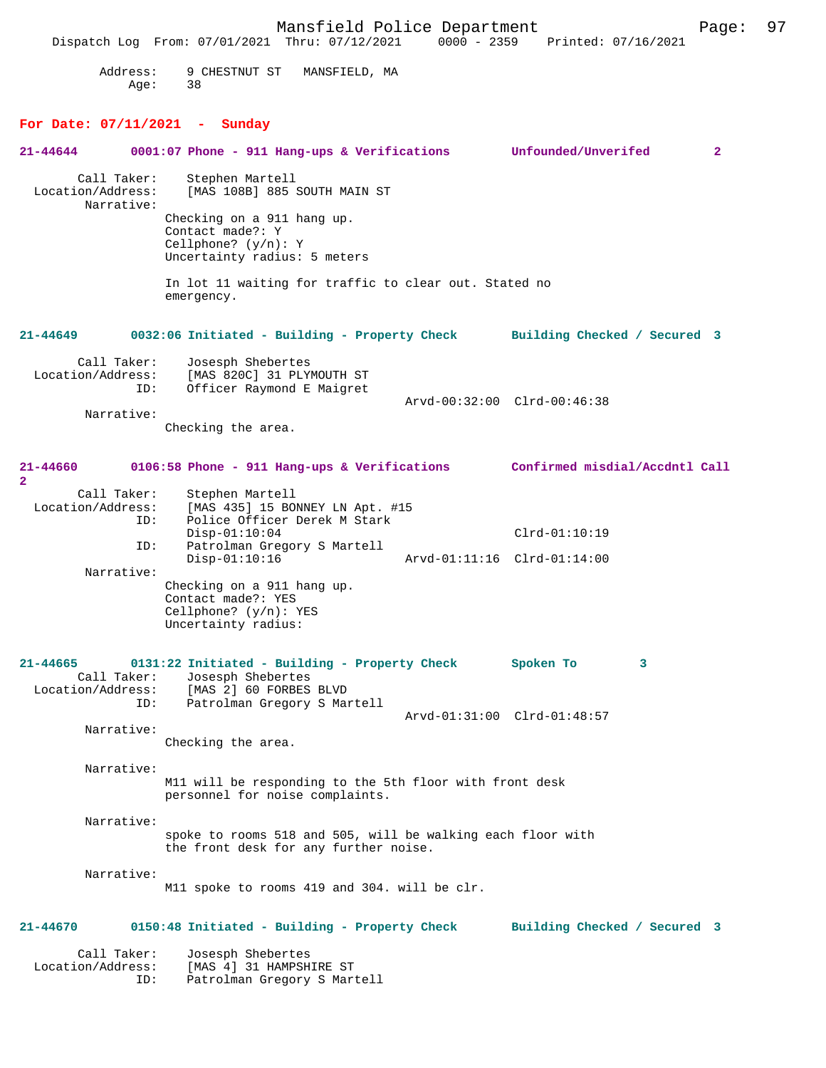Mansfield Police Department Page: 97 Dispatch Log From: 07/01/2021 Thru: 07/12/2021 Address: 9 CHESTNUT ST MANSFIELD, MA Age: 38 **For Date: 07/11/2021 - Sunday 21-44644 0001:07 Phone - 911 Hang-ups & Verifications Unfounded/Unverifed 2** Call Taker: Stephen Martell<br>Location/Address: [MAS 108B] 885 [MAS 108B] 885 SOUTH MAIN ST Narrative: Checking on a 911 hang up. Contact made?: Y Cellphone? (y/n): Y Uncertainty radius: 5 meters In lot 11 waiting for traffic to clear out. Stated no emergency. **21-44649 0032:06 Initiated - Building - Property Check Building Checked / Secured 3** Call Taker: Josesph Shebertes<br>Iocation/Address: [MAS 820Cl 31 PLY ess: [MAS 820C] 31 PLYMOUTH ST<br>TD: Officer Raymond E Maigret Officer Raymond E Maigret Arvd-00:32:00 Clrd-00:46:38 Narrative: Checking the area. **21-44660 0106:58 Phone - 911 Hang-ups & Verifications Confirmed misdial/Accdntl Call 2**  Call Taker: Stephen Martell Location/Address: [MAS 435] 15 BONNEY LN Apt. #15 Police Officer Derek M Stark Disp-01:10:04 Clrd-01:10:19<br>TD: Patrolman Gregory S Martell Patrolman Gregory S Martell<br>Disp-01:10:16 Disp-01:10:16 Arvd-01:11:16 Clrd-01:14:00 Narrative: Checking on a 911 hang up. Contact made?: YES Cellphone? (y/n): YES Uncertainty radius: **21-44665 0131:22 Initiated - Building - Property Check Spoken To 3**  Call Taker: Josesph Shebertes<br>Location/Address: [MAS 2] 60 FORBES ess: [MAS 2] 60 FORBES BLVD<br>ID: Patrolman Gregory S Ma Patrolman Gregory S Martell Arvd-01:31:00 Clrd-01:48:57 Narrative: Checking the area. Narrative: M11 will be responding to the 5th floor with front desk personnel for noise complaints. Narrative: spoke to rooms 518 and 505, will be walking each floor with the front desk for any further noise. Narrative: M11 spoke to rooms 419 and 304. will be clr. **21-44670 0150:48 Initiated - Building - Property Check Building Checked / Secured 3** Call Taker: Josesph Shebertes Location/Address: [MAS 4] 31 HAMPSHIRE ST Patrolman Gregory S Martell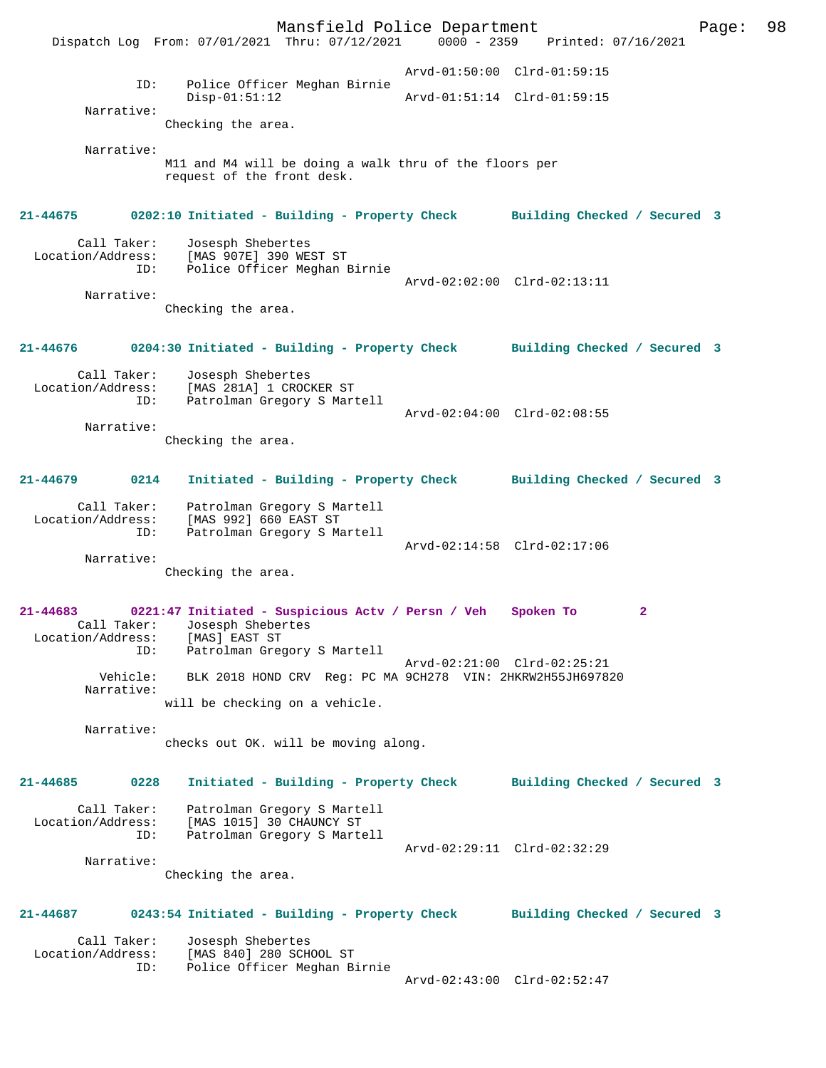Mansfield Police Department Page: 98 Dispatch Log From: 07/01/2021 Thru: 07/12/2021 Arvd-01:50:00 Clrd-01:59:15 ID: Police Officer Meghan Birnie Arvd-01:51:14 Clrd-01:59:15 Narrative: Checking the area. Narrative: M11 and M4 will be doing a walk thru of the floors per request of the front desk. **21-44675 0202:10 Initiated - Building - Property Check Building Checked / Secured 3** Call Taker: Josesph Shebertes Location/Address: [MAS 907E] 390 WEST ST ID: Police Officer Meghan Birnie Arvd-02:02:00 Clrd-02:13:11 Narrative: Checking the area. **21-44676 0204:30 Initiated - Building - Property Check Building Checked / Secured 3** Call Taker: Josesph Shebertes Location/Address: [MAS 281A] 1 CROCKER ST ID: Patrolman Gregory S Martell Arvd-02:04:00 Clrd-02:08:55 Narrative: Checking the area. **21-44679 0214 Initiated - Building - Property Check Building Checked / Secured 3** Call Taker: Patrolman Gregory S Martell Location/Address: [MAS 992] 660 EAST ST ID: Patrolman Gregory S Martell Arvd-02:14:58 Clrd-02:17:06 Narrative: Checking the area. **21-44683 0221:47 Initiated - Suspicious Actv / Persn / Veh Spoken To 2**  Call Taker: Josesph Shebertes Location/Address: [MAS] EAST ST ID: Patrolman Gregory S Martell Arvd-02:21:00 Clrd-02:25:21 Vehicle: BLK 2018 HOND CRV Reg: PC MA 9CH278 VIN: 2HKRW2H55JH697820 Narrative: will be checking on a vehicle. Narrative: checks out OK. will be moving along. **21-44685 0228 Initiated - Building - Property Check Building Checked / Secured 3** Call Taker: Patrolman Gregory S Martell Location/Address: [MAS 1015] 30 CHAUNCY ST ID: Patrolman Gregory S Martell Arvd-02:29:11 Clrd-02:32:29 Narrative: Checking the area. **21-44687 0243:54 Initiated - Building - Property Check Building Checked / Secured 3** Call Taker: Josesph Shebertes<br>Location/Address: [MAS 840] 280 SCH [MAS 840] 280 SCHOOL ST ID: Police Officer Meghan Birnie Arvd-02:43:00 Clrd-02:52:47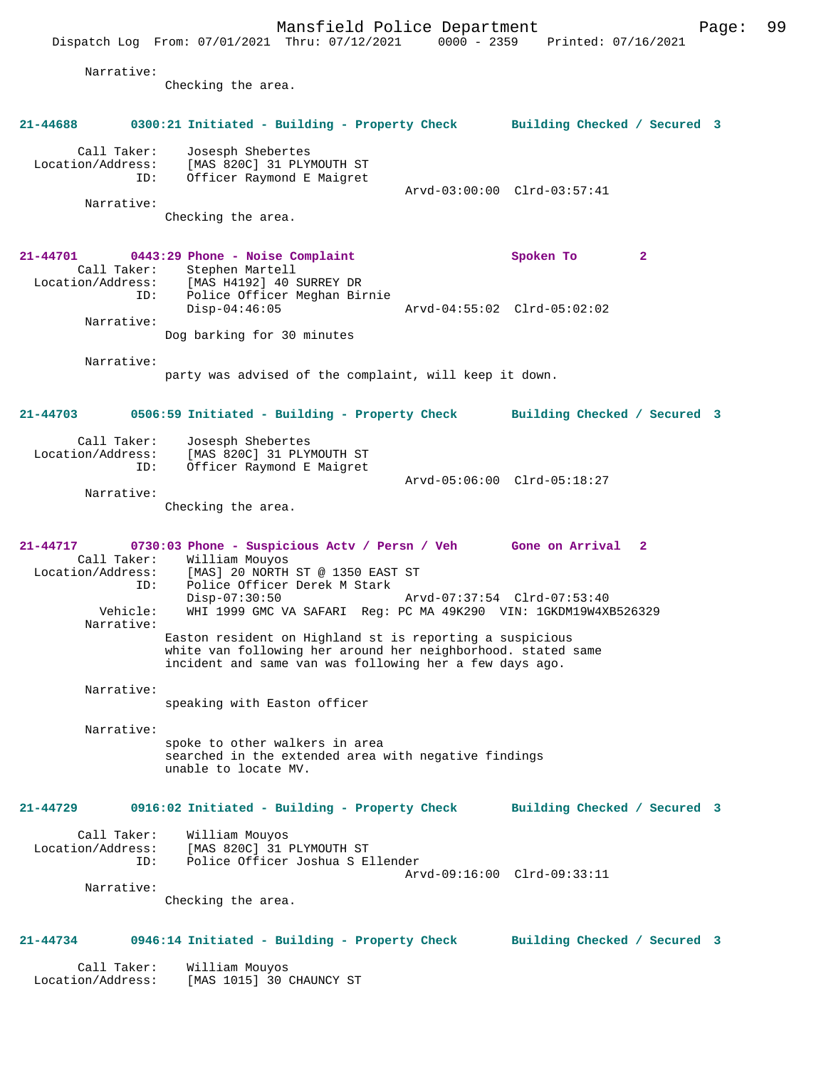Mansfield Police Department Page: 99 Dispatch Log From: 07/01/2021 Thru: 07/12/2021 0000 - 2359 Printed: 07/16/2021 Narrative: Checking the area. **21-44688 0300:21 Initiated - Building - Property Check Building Checked / Secured 3** Call Taker: Josesph Shebertes<br>Location/Address: [MAS 820C] 31 PLY SS: [MAS 820C] 31 PLYMOUTH ST<br>ID: Officer Raymond E Maigret Officer Raymond E Maigret Arvd-03:00:00 Clrd-03:57:41 Narrative: Checking the area. **21-44701 0443:29 Phone - Noise Complaint Spoken To 2**  Call Taker: Stephen Martell Location/Address: [MAS H4192] 40 SURREY DR Police Officer Meghan Birnie<br>Disp-04:46:05 Disp-04:46:05 Arvd-04:55:02 Clrd-05:02:02 Narrative: Dog barking for 30 minutes Narrative: party was advised of the complaint, will keep it down. **21-44703 0506:59 Initiated - Building - Property Check Building Checked / Secured 3** Call Taker: Josesph Shebertes<br>Location/Address: [MAS 820C] 31 PLY [MAS 820C] 31 PLYMOUTH ST ID: Officer Raymond E Maigret Arvd-05:06:00 Clrd-05:18:27 Narrative: Checking the area. **21-44717 0730:03 Phone - Suspicious Actv / Persn / Veh Gone on Arrival 2**  Call Taker: William Mouyos<br>Location/Address: [MAS] 20 NORTH ess: [MAS] 20 NORTH ST @ 1350 EAST ST<br>ID: Police Officer Derek M Stark Police Officer Derek M Stark<br>Disp-07:30:50 Disp-07:30:50 Arvd-07:37:54 Clrd-07:53:40 Vehicle: WHI 1999 GMC VA SAFARI Reg: PC MA 49K290 VIN: 1GKDM19W4XB526329 Narrative: Easton resident on Highland st is reporting a suspicious white van following her around her neighborhood. stated same incident and same van was following her a few days ago. Narrative: speaking with Easton officer Narrative: spoke to other walkers in area searched in the extended area with negative findings unable to locate MV. **21-44729 0916:02 Initiated - Building - Property Check Building Checked / Secured 3** Call Taker: William Mouyos Location/Address: [MAS 820C] 31 PLYMOUTH ST ID: Police Officer Joshua S Ellender Arvd-09:16:00 Clrd-09:33:11 Narrative: Checking the area. **21-44734 0946:14 Initiated - Building - Property Check Building Checked / Secured 3** Call Taker: William Mouyos Location/Address: [MAS 1015] 30 CHAUNCY ST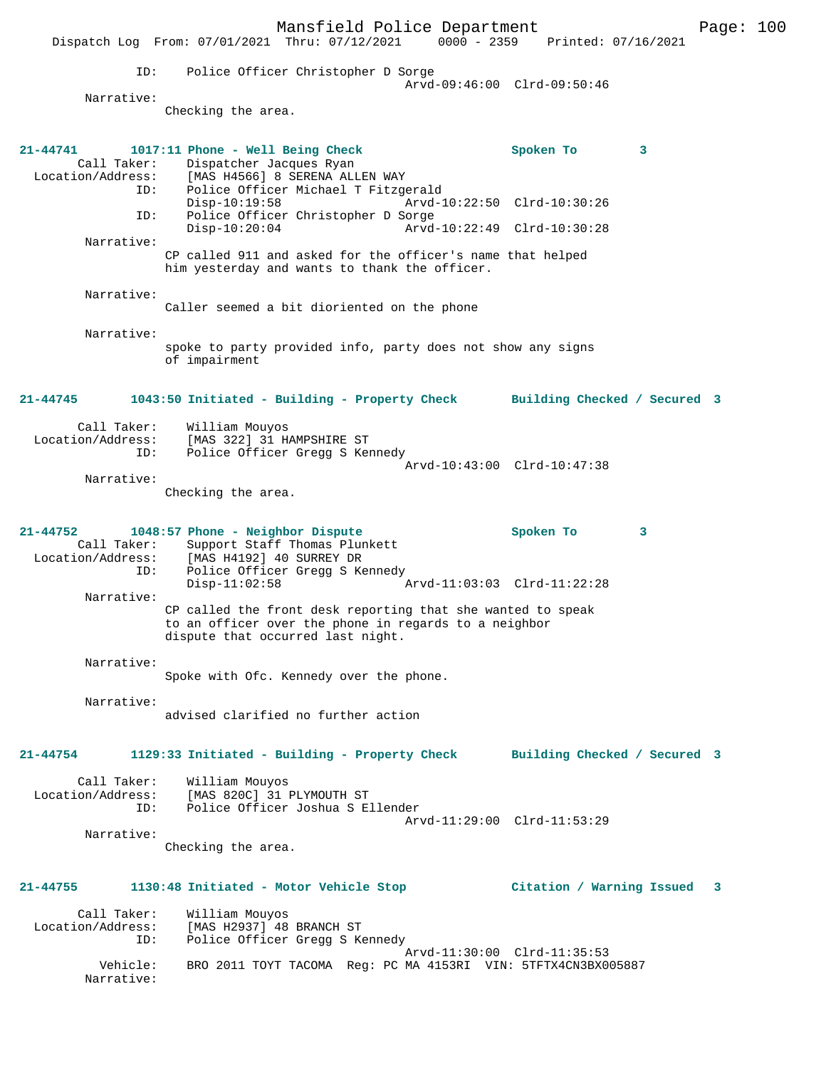Mansfield Police Department Fage: 100 Dispatch Log From: 07/01/2021 Thru: 07/12/2021 0000 - 2359 Printed: 07/16/2021 ID: Police Officer Christopher D Sorge Arvd-09:46:00 Clrd-09:50:46 Narrative: Checking the area. **21-44741 1017:11 Phone - Well Being Check Spoken To 3**  Call Taker: Dispatcher Jacques Ryan Location/Address: [MAS H4566] 8 SERENA ALLEN WAY ID: Police Officer Michael T Fitzgerald Disp-10:19:58 Arvd-10:22:50 Clrd-10:30:26 ID: Police Officer Christopher D Sorge<br>Disp-10:20:04 Arvd- Disp-10:20:04 Arvd-10:22:49 Clrd-10:30:28 Narrative: CP called 911 and asked for the officer's name that helped him yesterday and wants to thank the officer. Narrative: Caller seemed a bit dioriented on the phone Narrative: spoke to party provided info, party does not show any signs of impairment **21-44745 1043:50 Initiated - Building - Property Check Building Checked / Secured 3** Call Taker: William Mouyos<br>Location/Address: [MAS 322] 31 H. [MAS 322] 31 HAMPSHIRE ST ID: Police Officer Gregg S Kennedy Arvd-10:43:00 Clrd-10:47:38 Narrative: Checking the area. **21-44752 1048:57 Phone - Neighbor Dispute Spoken To 3**  Call Taker: Support Staff Thomas Plunkett Location/Address: [MAS H4192] 40 SURREY DR ID: Police Officer Gregg S Kennedy<br>Disp-11:02:58 Disp-11:02:58 Arvd-11:03:03 Clrd-11:22:28 Narrative: CP called the front desk reporting that she wanted to speak to an officer over the phone in regards to a neighbor dispute that occurred last night. Narrative: Spoke with Ofc. Kennedy over the phone. Narrative: advised clarified no further action **21-44754 1129:33 Initiated - Building - Property Check Building Checked / Secured 3** Call Taker: William Mouyos Location/Address: [MAS 820C] 31 PLYMOUTH ST ID: Police Officer Joshua S Ellender Arvd-11:29:00 Clrd-11:53:29 Narrative: Checking the area. **21-44755 1130:48 Initiated - Motor Vehicle Stop Citation / Warning Issued 3** Call Taker: William Mouyos<br>Location/Address: [MAS H2937] 48 ess: [MAS H2937] 48 BRANCH ST<br>TD: Police Officer Grega S K6 Police Officer Gregg S Kennedy Arvd-11:30:00 Clrd-11:35:53<br>Vehicle: BRO 2011 TOYT TACOMA Reg: PC MA 4153RI VIN: 5TFTX4CN3BX0 BRO 2011 TOYT TACOMA Reg: PC MA 4153RI VIN: 5TFTX4CN3BX005887 Narrative: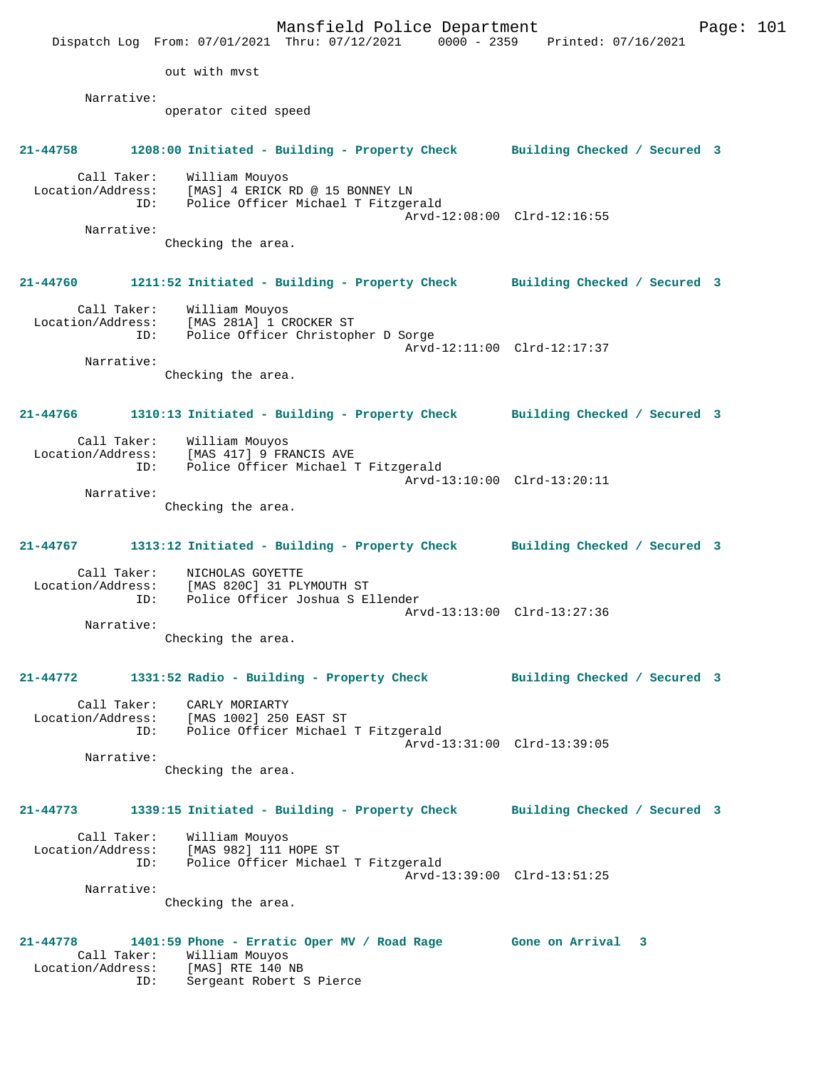|                                                         | Mansfield Police Department<br>Dispatch Log From: 07/01/2021 Thru: 07/12/2021 0000 - 2359 Printed: 07/16/2021                   |                              | Page: $101$ |
|---------------------------------------------------------|---------------------------------------------------------------------------------------------------------------------------------|------------------------------|-------------|
|                                                         | out with myst                                                                                                                   |                              |             |
| Narrative:                                              |                                                                                                                                 |                              |             |
|                                                         | operator cited speed                                                                                                            |                              |             |
| 21-44758                                                | 1208:00 Initiated - Building - Property Check                                                                                   | Building Checked / Secured 3 |             |
| Call Taker:<br>Location/Address:<br>ID:                 | William Mouyos<br>[MAS] 4 ERICK RD @ 15 BONNEY LN<br>Police Officer Michael T Fitzgerald                                        |                              |             |
| Narrative:                                              |                                                                                                                                 | Arvd-12:08:00 Clrd-12:16:55  |             |
|                                                         | Checking the area.                                                                                                              |                              |             |
| 21-44760                                                | 1211:52 Initiated - Building - Property Check Building Checked / Secured 3                                                      |                              |             |
| Call Taker:<br>Location/Address:<br>ID:                 | William Mouyos<br>[MAS 281A] 1 CROCKER ST<br>Police Officer Christopher D Sorge                                                 | Arvd-12:11:00 Clrd-12:17:37  |             |
| Narrative:                                              |                                                                                                                                 |                              |             |
|                                                         | Checking the area.                                                                                                              |                              |             |
| 21-44766                                                | 1310:13 Initiated - Building - Property Check Building Checked / Secured 3                                                      |                              |             |
| Call Taker:<br>ID:                                      | William Mouyos<br>Location/Address: [MAS 417] 9 FRANCIS AVE<br>Police Officer Michael T Fitzgerald                              | Arvd-13:10:00 Clrd-13:20:11  |             |
| Narrative:                                              |                                                                                                                                 |                              |             |
|                                                         | Checking the area.                                                                                                              |                              |             |
| 21-44767                                                | 1313:12 Initiated - Building - Property Check Building Checked / Secured 3                                                      |                              |             |
| Call Taker:<br>Location/Address:<br>ID:                 | NICHOLAS GOYETTE<br>[MAS 820C] 31 PLYMOUTH ST<br>Police Officer Joshua S Ellender                                               |                              |             |
| Narrative:                                              |                                                                                                                                 | Arvd-13:13:00 Clrd-13:27:36  |             |
|                                                         | Checking the area.                                                                                                              |                              |             |
| 21-44772                                                | 1331:52 Radio - Building - Property Check                                                                                       | Building Checked / Secured 3 |             |
| Call Taker:<br>Location/Address:<br>ID:                 | CARLY MORIARTY<br>[MAS 1002] 250 EAST ST<br>Police Officer Michael T Fitzgerald                                                 | Arvd-13:31:00 Clrd-13:39:05  |             |
| Narrative:                                              | Checking the area.                                                                                                              |                              |             |
| 21-44773                                                | 1339:15 Initiated - Building - Property Check                                                                                   | Building Checked / Secured 3 |             |
| Call Taker:<br>Location/Address:<br>ID:                 | William Mouyos<br>[MAS 982] 111 HOPE ST<br>Police Officer Michael T Fitzgerald                                                  | Arvd-13:39:00 Clrd-13:51:25  |             |
| Narrative:                                              |                                                                                                                                 |                              |             |
|                                                         | Checking the area.                                                                                                              |                              |             |
| $21 - 44778$<br>Call Taker:<br>Location/Address:<br>ID: | 1401:59 Phone - Erratic Oper MV / Road Rage Gone on Arrival 3<br>William Mouyos<br>[MAS] RTE 140 NB<br>Sergeant Robert S Pierce |                              |             |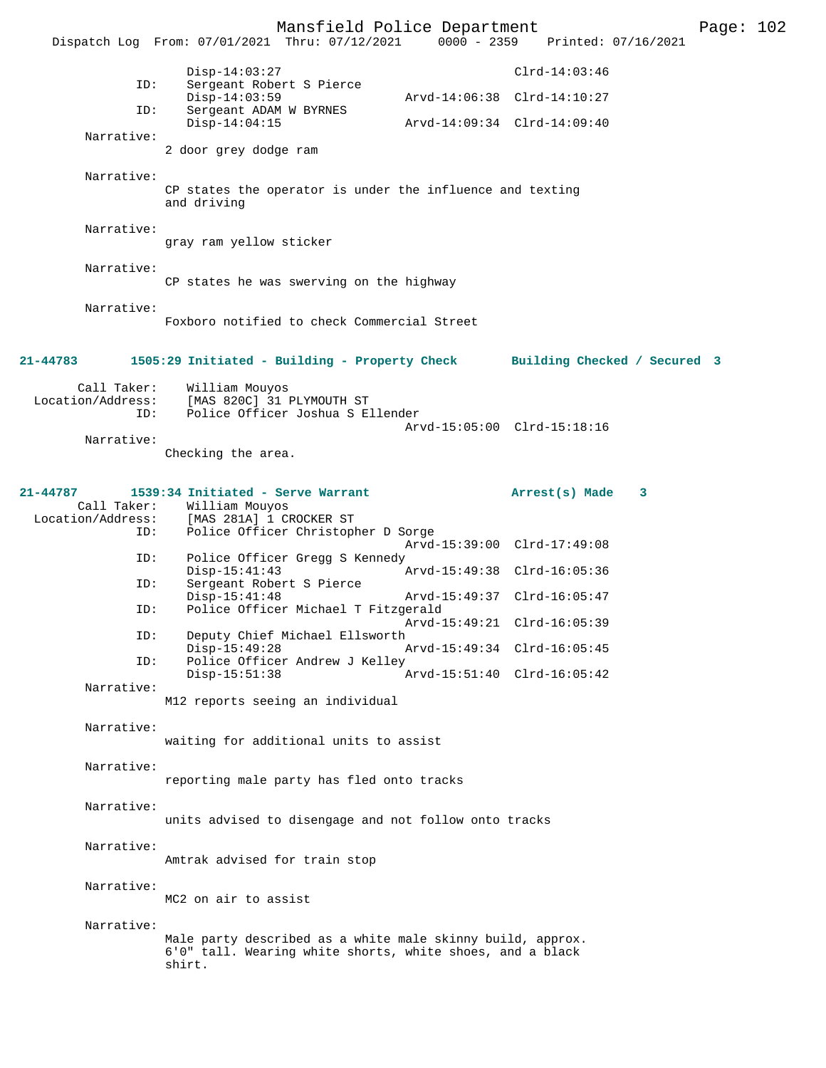|                                         | Mansfield Police Department<br>Dispatch Log From: 07/01/2021 Thru: 07/12/2021                                                          | 0000 - 2359 Printed: 07/16/2021                            | Page: $102$ |  |
|-----------------------------------------|----------------------------------------------------------------------------------------------------------------------------------------|------------------------------------------------------------|-------------|--|
| ID:                                     | $Disp-14:03:27$<br>Sergeant Robert S Pierce<br>$Disp-14:03:59$                                                                         | $Clrd-14:03:46$<br>Arvd-14:06:38 Clrd-14:10:27             |             |  |
| ID:                                     | Sergeant ADAM W BYRNES<br>$Disp-14:04:15$                                                                                              | Arvd-14:09:34 Clrd-14:09:40                                |             |  |
| Narrative:                              | 2 door grey dodge ram                                                                                                                  |                                                            |             |  |
| Narrative:                              | CP states the operator is under the influence and texting<br>and driving                                                               |                                                            |             |  |
| Narrative:                              | gray ram yellow sticker                                                                                                                |                                                            |             |  |
| Narrative:                              | CP states he was swerving on the highway                                                                                               |                                                            |             |  |
| Narrative:                              | Foxboro notified to check Commercial Street                                                                                            |                                                            |             |  |
| 21-44783                                | 1505:29 Initiated - Building - Property Check                                                                                          | Building Checked / Secured 3                               |             |  |
| Call Taker:<br>Location/Address:<br>ID: | William Mouyos<br>[MAS 820C] 31 PLYMOUTH ST<br>Police Officer Joshua S Ellender                                                        | Arvd-15:05:00 Clrd-15:18:16                                |             |  |
| Narrative:                              | Checking the area.                                                                                                                     |                                                            |             |  |
| 21-44787<br>Call Taker:<br>ID:          | 1539:34 Initiated - Serve Warrant<br>William Mouyos<br>Location/Address: [MAS 281A] 1 CROCKER ST<br>Police Officer Christopher D Sorge | Arrest(s) Made 3                                           |             |  |
| ID:                                     | Police Officer Gregg S Kennedy                                                                                                         | Arvd-15:39:00 Clrd-17:49:08                                |             |  |
| ID:                                     | $Disp-15:41:43$<br>Sergeant Robert S Pierce                                                                                            | Arvd-15:49:38 Clrd-16:05:36                                |             |  |
| ID:                                     | $Disp-15:41:48$<br>Police Officer Michael T Fitzgerald                                                                                 | Arvd-15:49:37 Clrd-16:05:47<br>Arvd-15:49:21 Clrd-16:05:39 |             |  |
| ID:                                     | Deputy Chief Michael Ellsworth<br>$Disp-15:49:28$                                                                                      | Arvd-15:49:34 Clrd-16:05:45                                |             |  |
| ID:                                     | Police Officer Andrew J Kelley<br>$Disp-15:51:38$                                                                                      | Arvd-15:51:40 Clrd-16:05:42                                |             |  |
| Narrative:                              | M12 reports seeing an individual                                                                                                       |                                                            |             |  |
| Narrative:                              | waiting for additional units to assist                                                                                                 |                                                            |             |  |
| Narrative:                              | reporting male party has fled onto tracks                                                                                              |                                                            |             |  |
| Narrative:                              | units advised to disengage and not follow onto tracks                                                                                  |                                                            |             |  |
| Narrative:                              | Amtrak advised for train stop                                                                                                          |                                                            |             |  |
| Narrative:                              | MC2 on air to assist                                                                                                                   |                                                            |             |  |
| Narrative:                              | Male party described as a white male skinny build, approx.<br>6'0" tall. Wearing white shorts, white shoes, and a black<br>shirt.      |                                                            |             |  |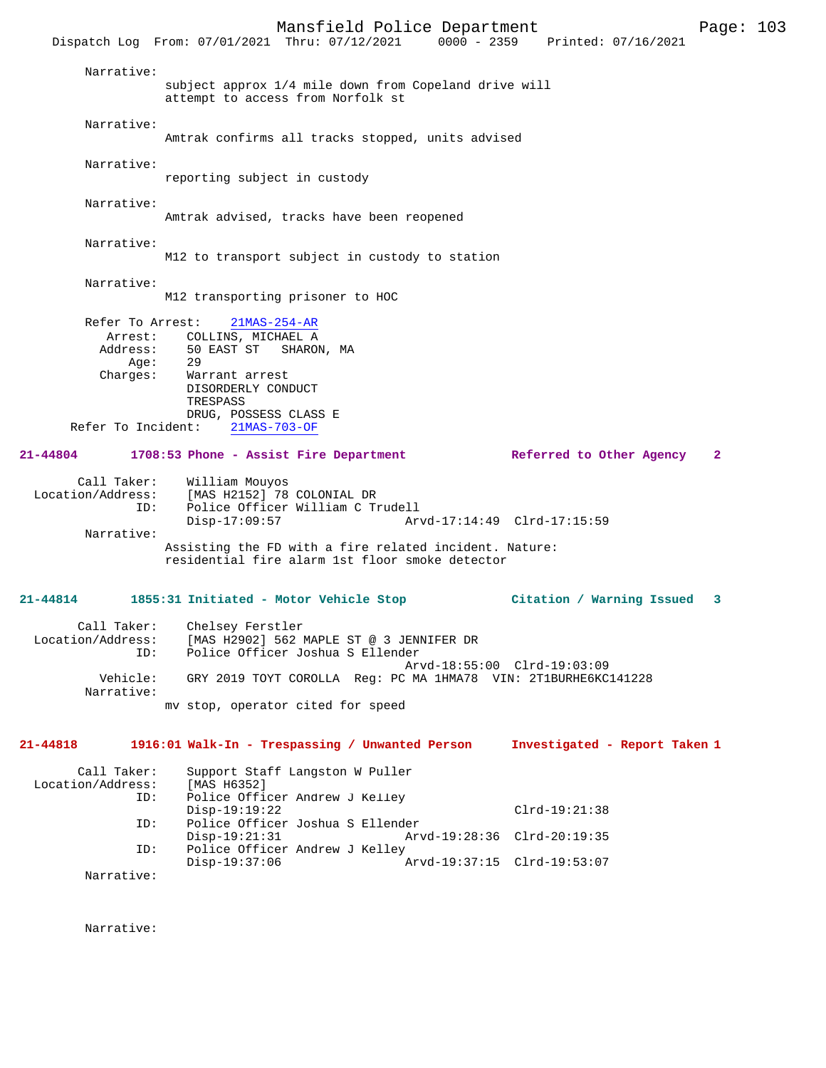|                                  | Dispatch Log From: 07/01/2021 Thru: 07/12/2021 0000 - 2359 Printed: 07/16/2021             |  | Mansfield Police Department |                 |                               | Page: 103 |  |
|----------------------------------|--------------------------------------------------------------------------------------------|--|-----------------------------|-----------------|-------------------------------|-----------|--|
| Narrative:                       |                                                                                            |  |                             |                 |                               |           |  |
|                                  | subject approx 1/4 mile down from Copeland drive will<br>attempt to access from Norfolk st |  |                             |                 |                               |           |  |
| Narrative:                       | Amtrak confirms all tracks stopped, units advised                                          |  |                             |                 |                               |           |  |
| Narrative:                       |                                                                                            |  |                             |                 |                               |           |  |
|                                  | reporting subject in custody                                                               |  |                             |                 |                               |           |  |
| Narrative:                       | Amtrak advised, tracks have been reopened                                                  |  |                             |                 |                               |           |  |
| Narrative:                       | M12 to transport subject in custody to station                                             |  |                             |                 |                               |           |  |
| Narrative:                       | M12 transporting prisoner to HOC                                                           |  |                             |                 |                               |           |  |
| Refer To Arrest:                 | $21MAS - 254 - AR$                                                                         |  |                             |                 |                               |           |  |
|                                  | Arrest: COLLINS, MICHAEL A                                                                 |  |                             |                 |                               |           |  |
| Age:                             | Address: 50 EAST ST SHARON, MA<br>29                                                       |  |                             |                 |                               |           |  |
| Charges:                         | Warrant arrest<br>DISORDERLY CONDUCT<br>TRESPASS                                           |  |                             |                 |                               |           |  |
|                                  | DRUG, POSSESS CLASS E                                                                      |  |                             |                 |                               |           |  |
| Refer To Incident:               | 21MAS-703-OF                                                                               |  |                             |                 |                               |           |  |
| 21-44804                         | 1708:53 Phone - Assist Fire Department Referred to Other Agency 2                          |  |                             |                 |                               |           |  |
| Call Taker:                      | William Mouyos                                                                             |  |                             |                 |                               |           |  |
| Location/Address:<br>ID:         | [MAS H2152] 78 COLONIAL DR<br>Police Officer William C Trudell                             |  |                             |                 |                               |           |  |
|                                  | $Disp-17:09:57$                                                                            |  | Arvd-17:14:49 Clrd-17:15:59 |                 |                               |           |  |
| Narrative:                       | Assisting the FD with a fire related incident. Nature:                                     |  |                             |                 |                               |           |  |
|                                  | residential fire alarm 1st floor smoke detector                                            |  |                             |                 |                               |           |  |
| 21-44814                         | 1855:31 Initiated - Motor Vehicle Stop                                                     |  |                             |                 | Citation / Warning Issued 3   |           |  |
| Location/Address:                | Call Taker: Chelsey Ferstler<br>[MAS H2902] 562 MAPLE ST @ 3 JENNIFER DR                   |  |                             |                 |                               |           |  |
| ID:                              | Police Officer Joshua S Ellender                                                           |  |                             |                 |                               |           |  |
| Vehicle:                         | GRY 2019 TOYT COROLLA Req: PC MA 1HMA78 VIN: 2T1BURHE6KC141228                             |  | Arvd-18:55:00 Clrd-19:03:09 |                 |                               |           |  |
| Narrative:                       |                                                                                            |  |                             |                 |                               |           |  |
|                                  | my stop, operator cited for speed                                                          |  |                             |                 |                               |           |  |
| 21-44818                         | 1916:01 Walk-In - Trespassing / Unwanted Person                                            |  |                             |                 | Investigated - Report Taken 1 |           |  |
| Call Taker:<br>Location/Address: | Support Staff Langston W Puller<br>[MAS H6352]                                             |  |                             |                 |                               |           |  |
| ID:                              | Police Officer Andrew J Kelley                                                             |  |                             |                 |                               |           |  |
| ID:                              | $Disp-19:19:22$<br>Police Officer Joshua S Ellender                                        |  |                             | $Clrd-19:21:38$ |                               |           |  |
|                                  | $Disp-19:21:31$                                                                            |  | Arvd-19:28:36 Clrd-20:19:35 |                 |                               |           |  |
| ID:                              | Police Officer Andrew J Kelley<br>$Disp-19:37:06$                                          |  | Arvd-19:37:15 Clrd-19:53:07 |                 |                               |           |  |
| Narrative:                       |                                                                                            |  |                             |                 |                               |           |  |

Narrative: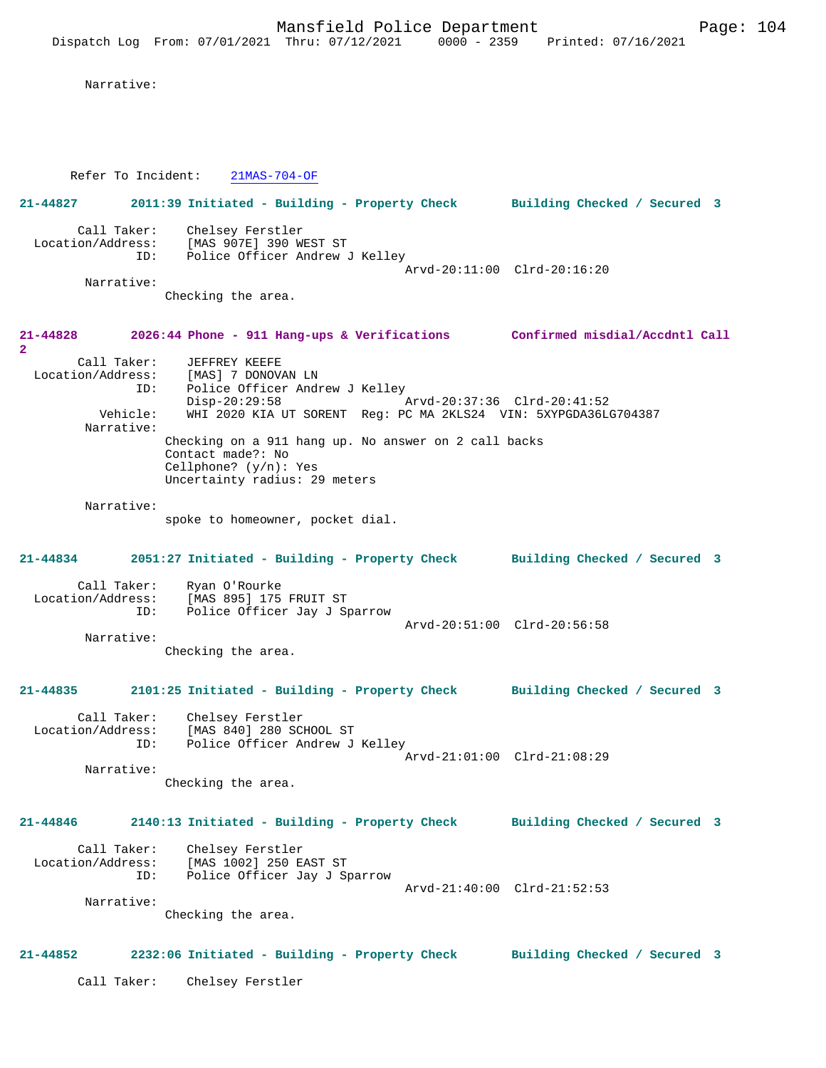Narrative:

Refer To Incident: 21MAS-704-OF

**21-44827 2011:39 Initiated - Building - Property Check Building Checked / Secured 3** Call Taker: Chelsey Ferstler Location/Address: [MAS 907E] 390 WEST ST ID: Police Officer Andrew J Kelley Arvd-20:11:00 Clrd-20:16:20 Narrative:

Checking the area.

**21-44828 2026:44 Phone - 911 Hang-ups & Verifications Confirmed misdial/Accdntl Call 2**  Call Taker: JEFFREY KEEFE Location/Address: [MAS] 7 DONOVAN LN ID: Police Officer Andrew J Kelley<br>Disp-20:29:58 Disp-20:29:58 Arvd-20:37:36 Clrd-20:41:52 Vehicle: WHI 2020 KIA UT SORENT Reg: PC MA 2KLS24 VIN: 5XYPGDA36LG704387 Narrative: Checking on a 911 hang up. No answer on 2 call backs Contact made?: No Cellphone? (y/n): Yes Uncertainty radius: 29 meters

Narrative:

spoke to homeowner, pocket dial.

**21-44834 2051:27 Initiated - Building - Property Check Building Checked / Secured 3** Call Taker: Ryan O'Rourke

 Location/Address: [MAS 895] 175 FRUIT ST ID: Police Officer Jay J Sparrow Arvd-20:51:00 Clrd-20:56:58 Narrative: Checking the area.

**21-44835 2101:25 Initiated - Building - Property Check Building Checked / Secured 3**

 Call Taker: Chelsey Ferstler Location/Address: [MAS 840] 280 SCHOOL ST ID: Police Officer Andrew J Kelley Arvd-21:01:00 Clrd-21:08:29 Narrative:

Checking the area.

# **21-44846 2140:13 Initiated - Building - Property Check Building Checked / Secured 3**

 Call Taker: Chelsey Ferstler Location/Address: [MAS 1002] 250 EAST ST<br>ID: Police Officer Jay J St Police Officer Jay J Sparrow Arvd-21:40:00 Clrd-21:52:53 Narrative:

Checking the area.

# **21-44852 2232:06 Initiated - Building - Property Check Building Checked / Secured 3**

Call Taker: Chelsey Ferstler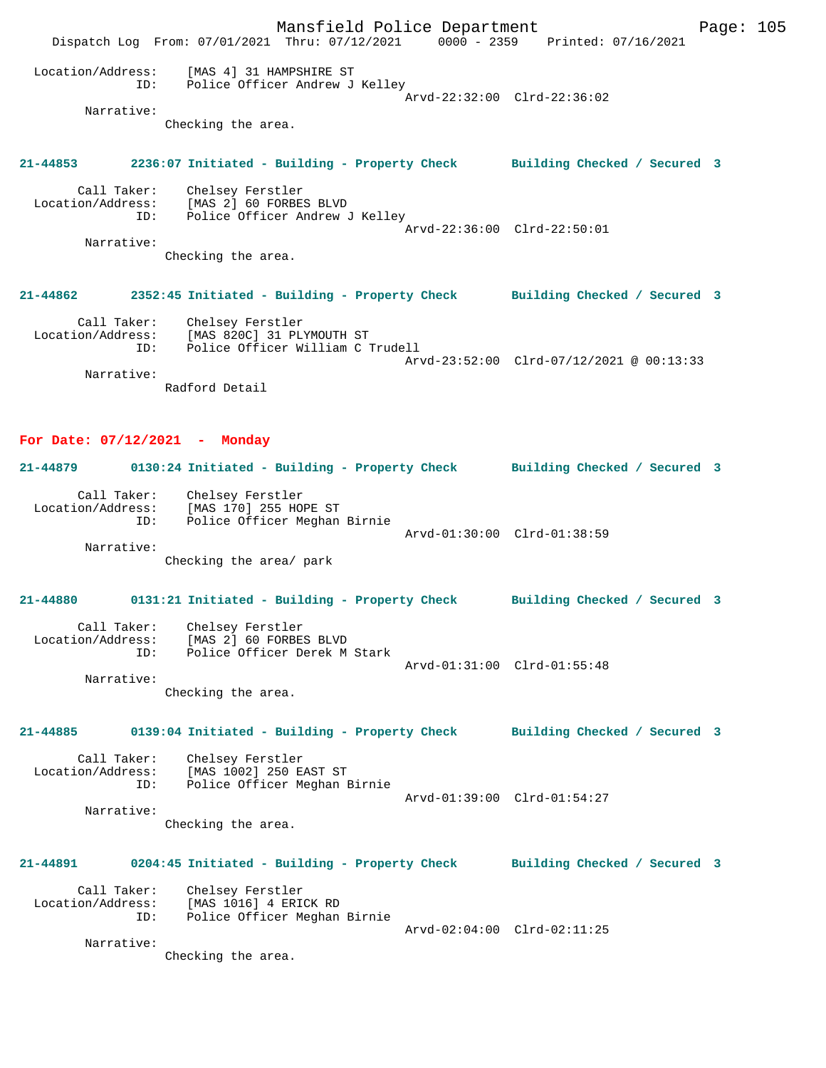Mansfield Police Department Page: 105 Dispatch Log From: 07/01/2021 Thru: 07/12/2021 0000 - 2359 Printed: 07/16/2021 Location/Address: [MAS 4] 31 HAMPSHIRE ST ID: Police Officer Andrew J Kelley Arvd-22:32:00 Clrd-22:36:02 Narrative: Checking the area. **21-44853 2236:07 Initiated - Building - Property Check Building Checked / Secured 3** Call Taker: Chelsey Ferstler Location/Address: [MAS 2] 60 FORBES BLVD ID: Police Officer Andrew J Kelley Arvd-22:36:00 Clrd-22:50:01 Narrative: Checking the area. **21-44862 2352:45 Initiated - Building - Property Check Building Checked / Secured 3** Call Taker: Chelsey Ferstler Location/Address: [MAS 820C] 31 PLYMOUTH ST ID: Police Officer William C Trudell Arvd-23:52:00 Clrd-07/12/2021 @ 00:13:33 Narrative: Radford Detail **For Date: 07/12/2021 - Monday 21-44879 0130:24 Initiated - Building - Property Check Building Checked / Secured 3** Call Taker: Chelsey Ferstler Location/Address: [MAS 170] 255 HOPE ST ID: Police Officer Meghan Birnie Arvd-01:30:00 Clrd-01:38:59 Narrative: Checking the area/ park **21-44880 0131:21 Initiated - Building - Property Check Building Checked / Secured 3** Call Taker: Chelsey Ferstler<br>Location/Address: [MAS 2] 60 FORBES ess: [MAS 2] 60 FORBES BLVD<br>ID: Police Officer Derek M Police Officer Derek M Stark Arvd-01:31:00 Clrd-01:55:48 Narrative: Checking the area. **21-44885 0139:04 Initiated - Building - Property Check Building Checked / Secured 3** Call Taker: Chelsey Ferstler Location/Address: [MAS 1002] 250 EAST ST Police Officer Meghan Birnie Arvd-01:39:00 Clrd-01:54:27 Narrative: Checking the area. **21-44891 0204:45 Initiated - Building - Property Check Building Checked / Secured 3** Call Taker: Chelsey Ferstler Location/Address: [MAS 1016] 4 ERICK RD ID: Police Officer Meghan Birnie Arvd-02:04:00 Clrd-02:11:25 Narrative: Checking the area.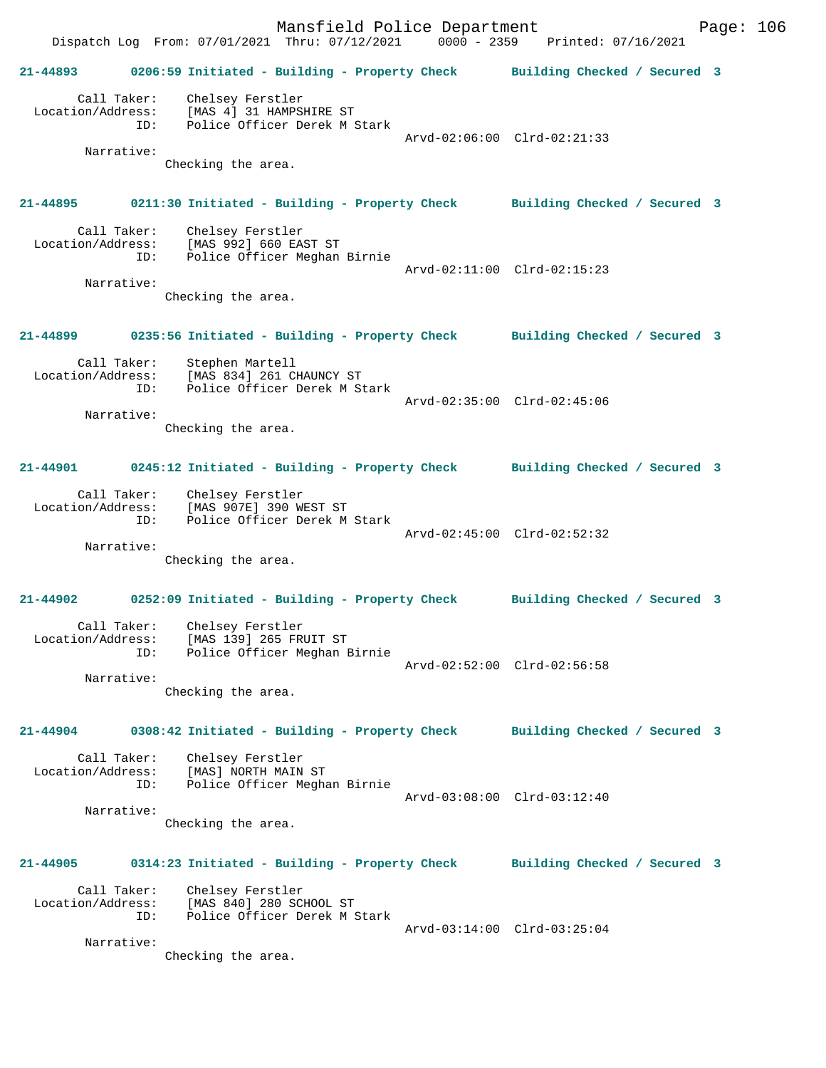Mansfield Police Department Fage: 106 Dispatch Log From: 07/01/2021 Thru: 07/12/2021 0000 - 2359 Printed: 07/16/2021 **21-44893 0206:59 Initiated - Building - Property Check Building Checked / Secured 3** Call Taker: Chelsey Ferstler Location/Address: [MAS 4] 31 HAMPSHIRE ST ID: Police Officer Derek M Stark Arvd-02:06:00 Clrd-02:21:33 Narrative: Checking the area. **21-44895 0211:30 Initiated - Building - Property Check Building Checked / Secured 3** Call Taker: Chelsey Ferstler Location/Address: [MAS 992] 660 EAST ST<br>Th: Police Officer Meghan Police Officer Meghan Birnie Arvd-02:11:00 Clrd-02:15:23 Narrative: Checking the area. **21-44899 0235:56 Initiated - Building - Property Check Building Checked / Secured 3** Call Taker: Stephen Martell Location/Address: [MAS 834] 261 CHAUNCY ST ID: Police Officer Derek M Stark Arvd-02:35:00 Clrd-02:45:06 Narrative: Checking the area. **21-44901 0245:12 Initiated - Building - Property Check Building Checked / Secured 3** Call Taker: Chelsey Ferstler Location/Address: [MAS 907E] 390 WEST ST ID: Police Officer Derek M Stark Arvd-02:45:00 Clrd-02:52:32 Narrative: Checking the area. **21-44902 0252:09 Initiated - Building - Property Check Building Checked / Secured 3** Call Taker: Chelsey Ferstler Location/Address: [MAS 139] 265 FRUIT ST ID: Police Officer Meghan Birnie Arvd-02:52:00 Clrd-02:56:58 Narrative: Checking the area. **21-44904 0308:42 Initiated - Building - Property Check Building Checked / Secured 3** Call Taker: Chelsey Ferstler Location/Address: [MAS] NORTH MAIN ST ID: Police Officer Meghan Birnie Arvd-03:08:00 Clrd-03:12:40 Narrative: Checking the area. **21-44905 0314:23 Initiated - Building - Property Check Building Checked / Secured 3** Call Taker: Chelsey Ferstler Location/Address: [MAS 840] 280 SCHOOL ST ID: Police Officer Derek M Stark Arvd-03:14:00 Clrd-03:25:04 Narrative: Checking the area.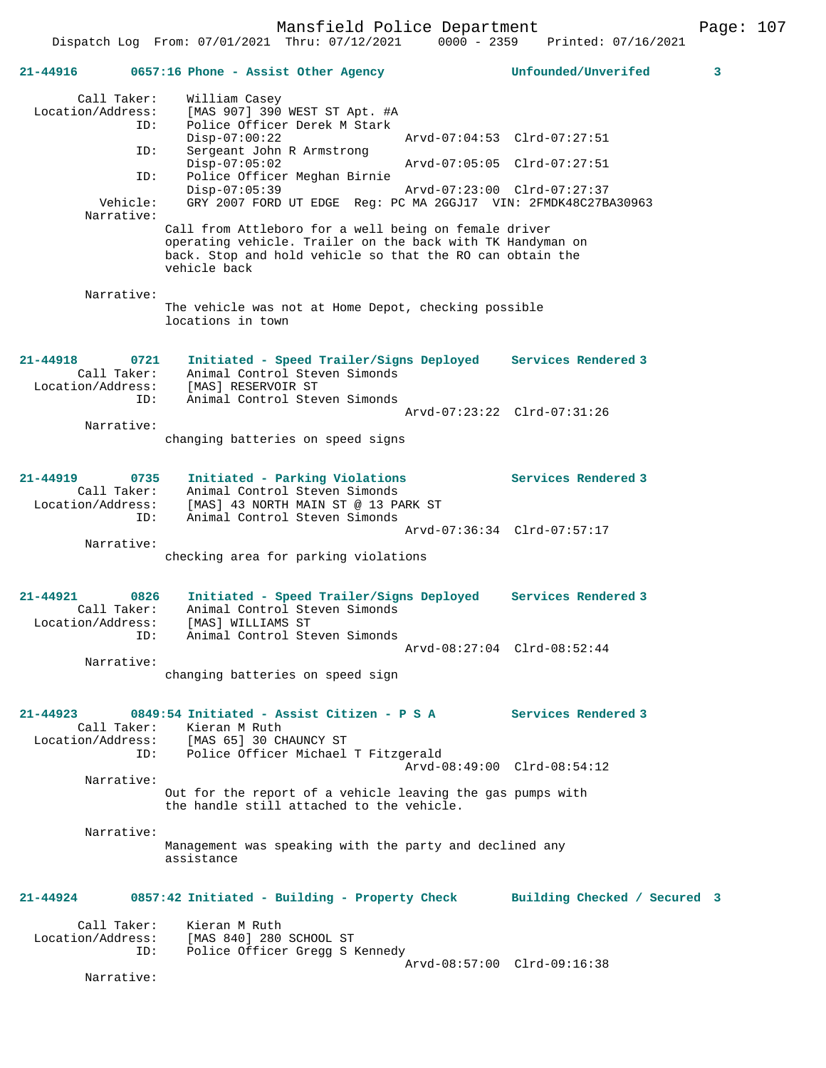Mansfield Police Department Fage: 107

| 21-44916                                     |      | 0657:16 Phone - Assist Other Agency                                                                                                                                                              | Unfounded/Unverifed<br>3    |
|----------------------------------------------|------|--------------------------------------------------------------------------------------------------------------------------------------------------------------------------------------------------|-----------------------------|
| Call Taker:<br>Location/Address:             |      | William Casey<br>[MAS 907] 390 WEST ST Apt. #A                                                                                                                                                   |                             |
|                                              | ID:  | Police Officer Derek M Stark<br>$Disp-07:00:22$                                                                                                                                                  | Arvd-07:04:53 Clrd-07:27:51 |
|                                              | ID:  | Sergeant John R Armstrong<br>$Disp-07:05:02$                                                                                                                                                     | Arvd-07:05:05 Clrd-07:27:51 |
|                                              | ID:  | Police Officer Meghan Birnie<br>$Disp-07:05:39$                                                                                                                                                  | Arvd-07:23:00 Clrd-07:27:37 |
| Vehicle:<br>Narrative:                       |      | GRY 2007 FORD UT EDGE Req: PC MA 2GGJ17 VIN: 2FMDK48C27BA30963                                                                                                                                   |                             |
|                                              |      | Call from Attleboro for a well being on female driver<br>operating vehicle. Trailer on the back with TK Handyman on<br>back. Stop and hold vehicle so that the RO can obtain the<br>vehicle back |                             |
| Narrative:                                   |      | The vehicle was not at Home Depot, checking possible<br>locations in town                                                                                                                        |                             |
| $21 - 44918$                                 |      | Initiated - Speed Trailer/Signs Deployed Services Rendered 3                                                                                                                                     |                             |
| Call Taker:<br>Location/Address:             | 0721 | Animal Control Steven Simonds<br>[MAS] RESERVOIR ST                                                                                                                                              |                             |
|                                              | ID:  | Animal Control Steven Simonds                                                                                                                                                                    | Arvd-07:23:22 Clrd-07:31:26 |
| Narrative:                                   |      | changing batteries on speed signs                                                                                                                                                                |                             |
| $21 - 44919$                                 | 0735 | Initiated - Parking Violations                                                                                                                                                                   | Services Rendered 3         |
| Call Taker:<br>Location/Address:             | ID:  | Animal Control Steven Simonds<br>[MAS] 43 NORTH MAIN ST @ 13 PARK ST<br>Animal Control Steven Simonds                                                                                            |                             |
| Narrative:                                   |      |                                                                                                                                                                                                  | Arvd-07:36:34 Clrd-07:57:17 |
|                                              |      | checking area for parking violations                                                                                                                                                             |                             |
| 21-44921<br>Call Taker:<br>Location/Address: | 0826 | Initiated - Speed Trailer/Signs Deployed<br>Animal Control Steven Simonds<br>[MAS] WILLIAMS ST                                                                                                   | Services Rendered 3         |
|                                              | ID:  | Animal Control Steven Simonds                                                                                                                                                                    | Arvd-08:27:04 Clrd-08:52:44 |
| Narrative:                                   |      | changing batteries on speed sign                                                                                                                                                                 |                             |
| $21 - 44923$                                 |      | 0849:54 Initiated - Assist Citizen - P S A Services Rendered 3<br>Call Taker: Kieran M Ruth                                                                                                      |                             |
|                                              | ID:  | Location/Address: [MAS 65] 30 CHAUNCY ST<br>Police Officer Michael T Fitzgerald                                                                                                                  | Arvd-08:49:00 Clrd-08:54:12 |
| Narrative:                                   |      |                                                                                                                                                                                                  |                             |
|                                              |      | Out for the report of a vehicle leaving the gas pumps with<br>the handle still attached to the vehicle.                                                                                          |                             |
| Narrative:                                   |      | Management was speaking with the party and declined any<br>assistance                                                                                                                            |                             |
| 21-44924                                     |      | 0857:42 Initiated - Building - Property Check Building Checked / Secured 3                                                                                                                       |                             |
| Call Taker:<br>Location/Address:             | ID:  | Kieran M Ruth<br>[MAS 840] 280 SCHOOL ST<br>Police Officer Gregg S Kennedy                                                                                                                       |                             |
| Narrative:                                   |      |                                                                                                                                                                                                  | Arvd-08:57:00 Clrd-09:16:38 |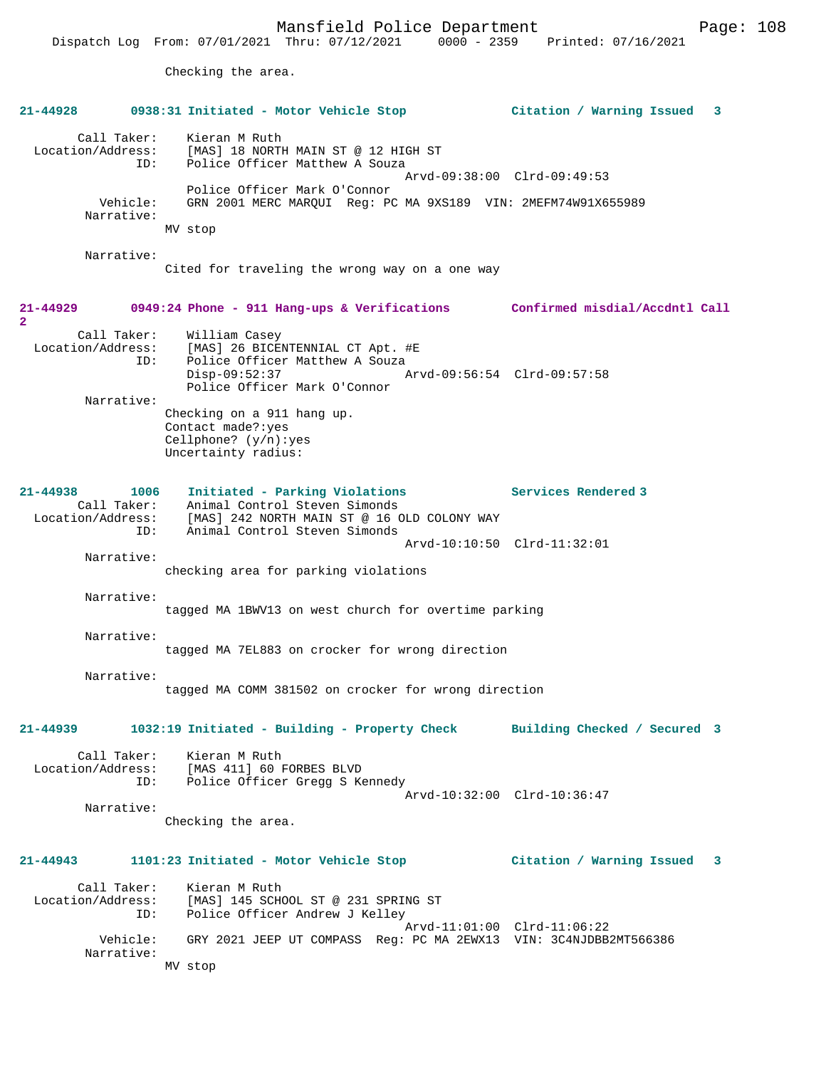Dispatch Log From: 07/01/2021 Thru: 07/12/2021 0000 - 2359 Printed: 07/16/2021

Checking the area.

|                                         | 21-44928 0938:31 Initiated - Motor Vehicle Stop                                                                                                                                                | Citation / Warning Issued 3    |
|-----------------------------------------|------------------------------------------------------------------------------------------------------------------------------------------------------------------------------------------------|--------------------------------|
| Call Taker:<br>ID:                      | Kieran M Ruth<br>Location/Address: [MAS] 18 NORTH MAIN ST @ 12 HIGH ST<br>Police Officer Matthew A Souza                                                                                       | Arvd-09:38:00 Clrd-09:49:53    |
| Vehicle:<br>Narrative:                  | Police Officer Mark O'Connor<br>GRN 2001 MERC MARQUI Req: PC MA 9XS189 VIN: 2MEFM74W91X655989<br>MV stop                                                                                       |                                |
| Narrative:                              | Cited for traveling the wrong way on a one way                                                                                                                                                 |                                |
| $21 - 44929$<br>$\overline{2}$          | 0949:24 Phone - 911 Hang-ups & Verifications Confirmed misdial/Accdntl Call                                                                                                                    |                                |
| Call Taker:                             | William Casey<br>Location/Address: [MAS] 26 BICENTENNIAL CT Apt. #E<br>ID: Police Officer Matthew A Souza<br>Police Officer Matthew A Souza<br>$Disp-09:52:37$<br>Police Officer Mark O'Connor | Arvd-09:56:54 Clrd-09:57:58    |
| Narrative:                              | Checking on a 911 hang up.<br>Contact made?: yes<br>Cellphone? $(y/n):yes$<br>Uncertainty radius:                                                                                              |                                |
| 21-44938 1006<br>ID:                    | Initiated - Parking Violations<br>Call Taker: Animal Control Steven Simonds<br>Location/Address: [MAS] 242 NORTH MAIN ST @ 16 OLD COLONY WAY<br>Animal Control Steven Simonds                  | Services Rendered 3            |
| Narrative:                              |                                                                                                                                                                                                | Arvd-10:10:50 Clrd-11:32:01    |
|                                         | checking area for parking violations                                                                                                                                                           |                                |
| Narrative:                              | tagged MA 1BWV13 on west church for overtime parking                                                                                                                                           |                                |
| Narrative:                              | tagged MA 7EL883 on crocker for wrong direction                                                                                                                                                |                                |
| Narrative:                              | tagged MA COMM 381502 on crocker for wrong direction                                                                                                                                           |                                |
| 21-44939                                | 1032:19 Initiated - Building - Property Check Building Checked / Secured 3                                                                                                                     |                                |
| Location/Address:<br>ID:                | Call Taker: Kieran M Ruth<br>[MAS 411] 60 FORBES BLVD<br>Police Officer Gregg S Kennedy                                                                                                        |                                |
| Narrative:                              | Checking the area.                                                                                                                                                                             | Arvd-10:32:00 Clrd-10:36:47    |
| $21 - 44943$                            | 1101:23 Initiated - Motor Vehicle Stop                                                                                                                                                         | Citation / Warning Issued<br>3 |
| Call Taker:<br>Location/Address:<br>ID: | Kieran M Ruth<br>[MAS] 145 SCHOOL ST @ 231 SPRING ST<br>Police Officer Andrew J Kelley                                                                                                         | Arvd-11:01:00 Clrd-11:06:22    |
| Vehicle:<br>Narrative:                  | GRY 2021 JEEP UT COMPASS Req: PC MA 2EWX13 VIN: 3C4NJDBB2MT566386                                                                                                                              |                                |
|                                         | MV stop                                                                                                                                                                                        |                                |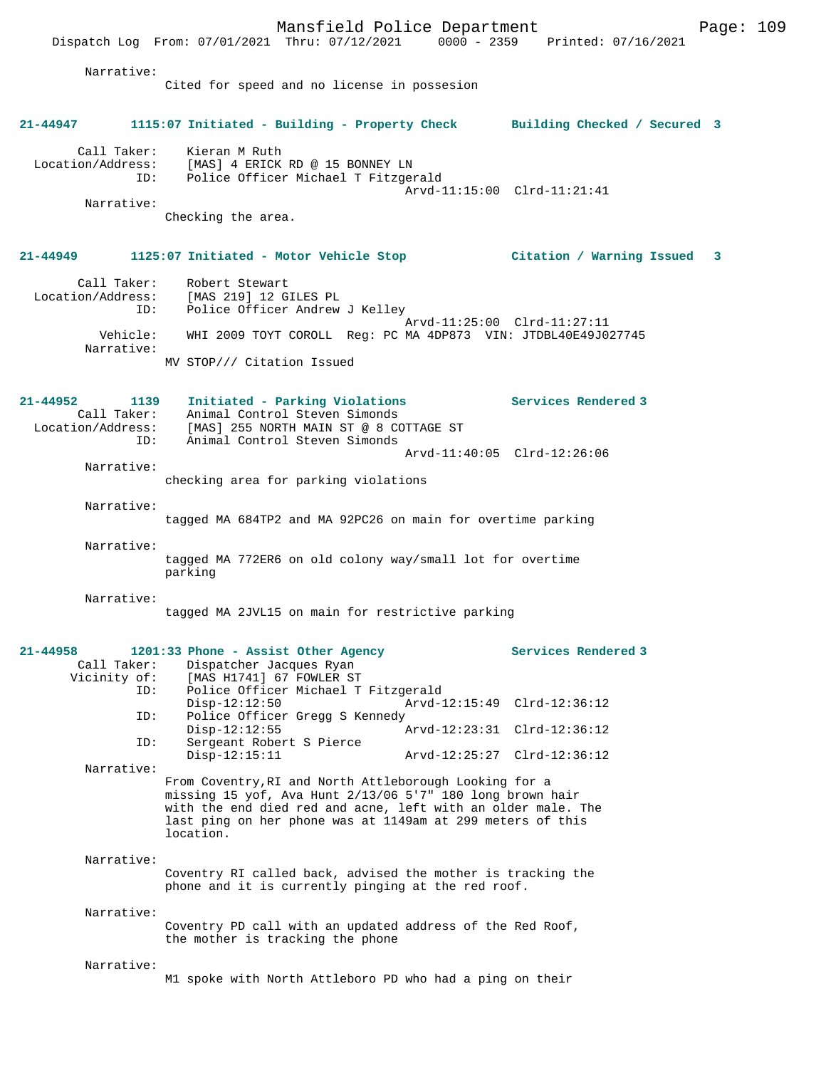Mansfield Police Department Fage: 109 Dispatch Log From: 07/01/2021 Thru: 07/12/2021 0000 - 2359 Printed: 07/16/2021 Narrative: Cited for speed and no license in possesion **21-44947 1115:07 Initiated - Building - Property Check Building Checked / Secured 3** Call Taker: Kieran M Ruth Location/Address: [MAS] 4 ERICK RD @ 15 BONNEY LN ID: Police Officer Michael T Fitzgerald Arvd-11:15:00 Clrd-11:21:41 Narrative: Checking the area. **21-44949 1125:07 Initiated - Motor Vehicle Stop Citation / Warning Issued 3** Call Taker: Robert Stewart Location/Address: [MAS 219] 12 GILES PL ID: Police Officer Andrew J Kelley Arvd-11:25:00 Clrd-11:27:11 Vehicle: WHI 2009 TOYT COROLL Reg: PC MA 4DP873 VIN: JTDBL40E49J027745 Narrative: MV STOP/// Citation Issued **21-44952 1139 Initiated - Parking Violations Services Rendered 3**  Call Taker: Animal Control Steven Simonds Location/Address: [MAS] 255 NORTH MAIN ST @ 8 COTTAGE ST ID: Animal Control Steven Simonds Arvd-11:40:05 Clrd-12:26:06 Narrative: checking area for parking violations Narrative: tagged MA 684TP2 and MA 92PC26 on main for overtime parking Narrative: tagged MA 772ER6 on old colony way/small lot for overtime parking Narrative: tagged MA 2JVL15 on main for restrictive parking **21-44958 1201:33 Phone - Assist Other Agency Services Rendered 3**  Call Taker: Dispatcher Jacques Ryan<br>Vicinity of: [MAS H1741] 67 FOWLER ST of: [MAS H1741] 67 FOWLER ST<br>ID: Police Officer Michael T Police Officer Michael T Fitzgerald<br>Disp-12:12:50 Arvd-1 Arvd-12:15:49 Clrd-12:36:12 ID: Police Officer Gregg S Kennedy Disp-12:12:55 Arvd-12:23:31 Clrd-12:36:12 ID: Sergeant Robert S Pierce Disp-12:15:11 Arvd-12:25:27 Clrd-12:36:12 Narrative: From Coventry,RI and North Attleborough Looking for a missing 15 yof, Ava Hunt 2/13/06 5'7" 180 long brown hair with the end died red and acne, left with an older male. The last ping on her phone was at 1149am at 299 meters of this location. Narrative: Coventry RI called back, advised the mother is tracking the phone and it is currently pinging at the red roof. Narrative: Coventry PD call with an updated address of the Red Roof, the mother is tracking the phone Narrative: M1 spoke with North Attleboro PD who had a ping on their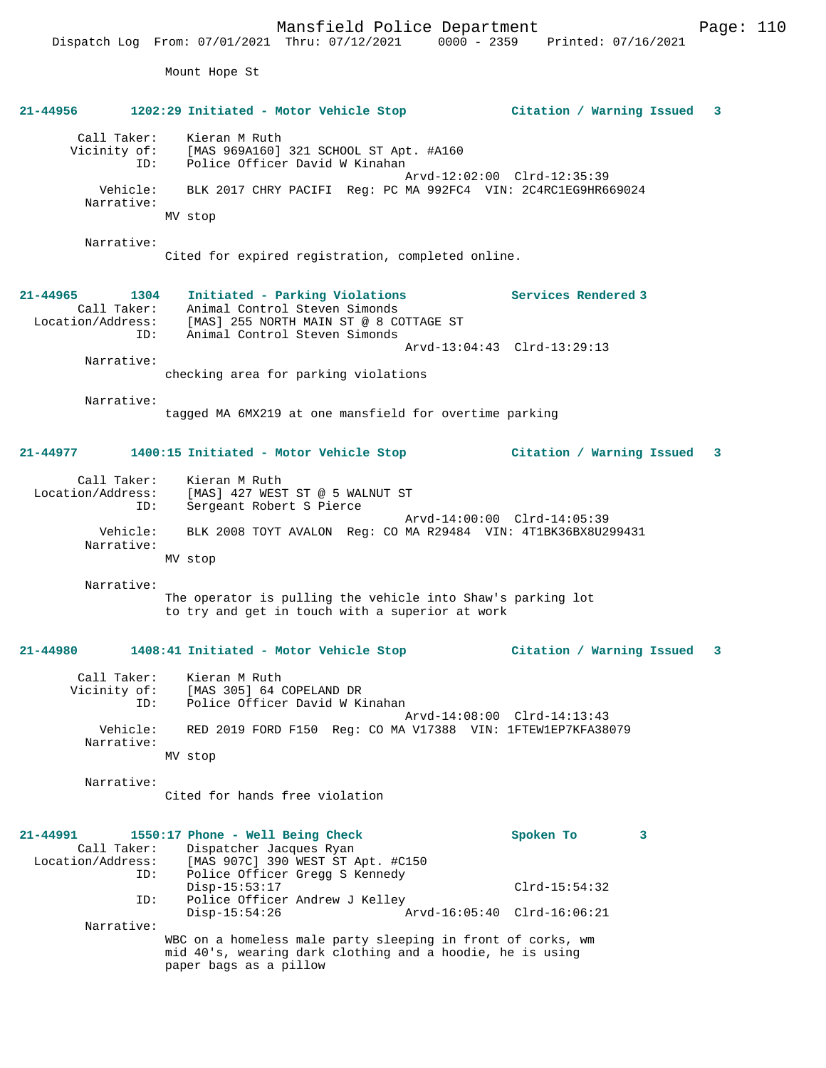Dispatch Log From: 07/01/2021 Thru: 07/12/2021 0000 - 2359 Printed: 07/16/2021 Mount Hope St **21-44956 1202:29 Initiated - Motor Vehicle Stop Citation / Warning Issued 3** Call Taker: Kieran M Ruth<br>Vicinity of: [MAS 969A160] of: [MAS 969A160] 321 SCHOOL ST Apt. #A160<br>ID: Police Officer David W Kinahan Police Officer David W Kinahan Arvd-12:02:00 Clrd-12:35:39 Vehicle: BLK 2017 CHRY PACIFI Reg: PC MA 992FC4 VIN: 2C4RC1EG9HR669024 Narrative: MV stop Narrative: Cited for expired registration, completed online. **21-44965 1304 Initiated - Parking Violations Services Rendered 3**  Call Taker: Animal Control Steven Simonds Location/Address: [MAS] 255 NORTH MAIN ST @ 8 COTTAGE ST<br>ID: Animal Control Steven Simonds Animal Control Steven Simonds Arvd-13:04:43 Clrd-13:29:13 Narrative: checking area for parking violations Narrative: tagged MA 6MX219 at one mansfield for overtime parking **21-44977 1400:15 Initiated - Motor Vehicle Stop Citation / Warning Issued 3** Call Taker: Kieran M Ruth Location/Address: [MAS] 427 WEST ST @ 5 WALNUT ST<br>TD: Sergeant Robert S Pierce Sergeant Robert S Pierce Arvd-14:00:00 Clrd-14:05:39<br>Vehicle: BLK 2008 TOYT AVALON Reg: CO MA R29484 VIN: 4T1BK36BX8U2 BLK 2008 TOYT AVALON Reg: CO MA R29484 VIN: 4T1BK36BX8U299431 Narrative: MV stop Narrative: The operator is pulling the vehicle into Shaw's parking lot to try and get in touch with a superior at work **21-44980 1408:41 Initiated - Motor Vehicle Stop Citation / Warning Issued 3** Call Taker: Kieran M Ruth<br>Vicinity of: [MAS 305] 64 0 [MAS 305] 64 COPELAND DR ID: Police Officer David W Kinahan Arvd-14:08:00 Clrd-14:13:43 Vehicle: RED 2019 FORD F150 Reg: CO MA V17388 VIN: 1FTEW1EP7KFA38079 Narrative: MV stop Narrative: Cited for hands free violation **21-44991 1550:17 Phone - Well Being Check Spoken To 3**  Call Taker: Dispatcher Jacques Ryan Location/Address: [MAS 907C] 390 WEST ST Apt. #C150 ID: Police Officer Gregg S Kennedy Disp-15:53:17 Clrd-15:54:32<br>ID: Police Officer Andrew J Kelley Police Officer Andrew J Kelley<br>Disp-15:54:26 A Disp-15:54:26 Arvd-16:05:40 Clrd-16:06:21 Narrative: WBC on a homeless male party sleeping in front of corks, wm mid 40's, wearing dark clothing and a hoodie, he is using paper bags as a pillow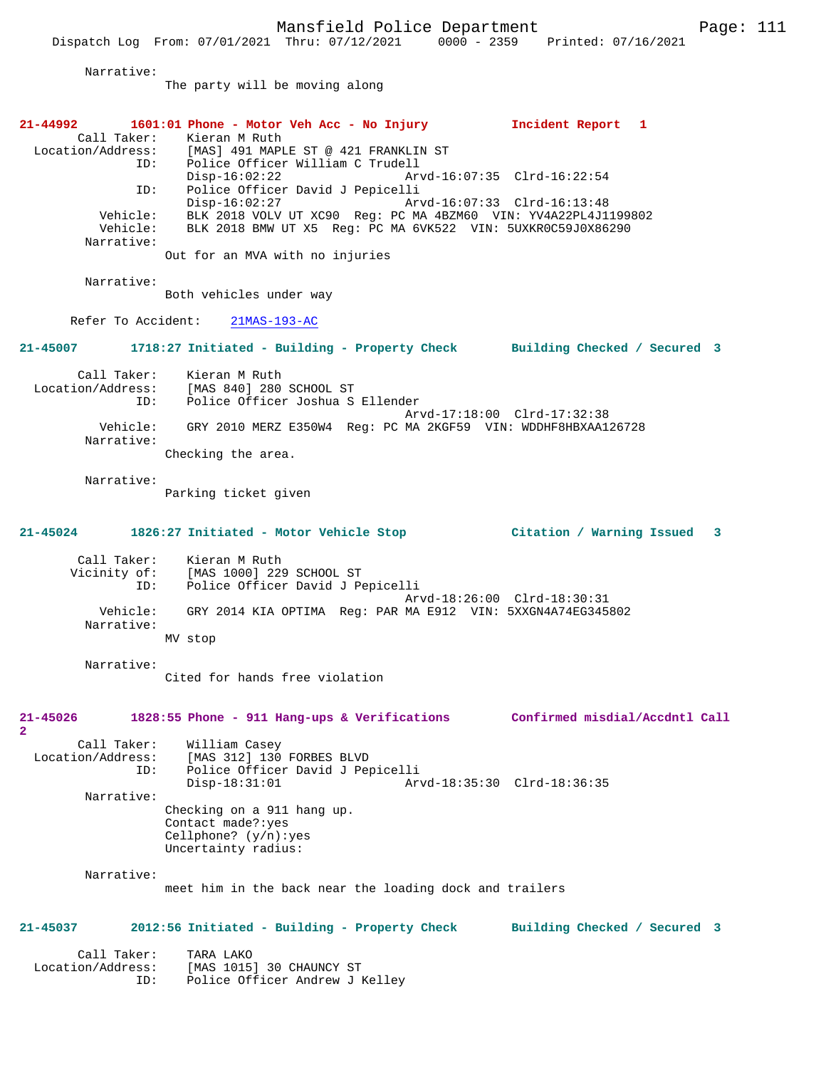|                                                         | Dispatch Log From: 07/01/2021 Thru: 07/12/2021 0000 - 2359 Printed: 07/16/2021                                                                   |                                |
|---------------------------------------------------------|--------------------------------------------------------------------------------------------------------------------------------------------------|--------------------------------|
| Narrative:                                              |                                                                                                                                                  |                                |
|                                                         | The party will be moving along                                                                                                                   |                                |
|                                                         |                                                                                                                                                  |                                |
| $21 - 44992$<br>Call Taker:<br>Location/Address:<br>ID: | 1601:01 Phone - Motor Veh Acc - No Injury<br>Kieran M Ruth<br>[MAS] 491 MAPLE ST @ 421 FRANKLIN ST<br>Police Officer William C Trudell           | Incident Report 1              |
| ID:                                                     | $Disp-16:02:22$<br>Police Officer David J Pepicelli                                                                                              | Arvd-16:07:35 Clrd-16:22:54    |
| Vehicle:<br>Vehicle:                                    | $Disp-16:02:27$<br>BLK 2018 VOLV UT XC90 Reg: PC MA 4BZM60 VIN: YV4A22PL4J1199802<br>BLK 2018 BMW UT X5 Reg: PC MA 6VK522 VIN: 5UXKR0C59J0X86290 | Arvd-16:07:33 Clrd-16:13:48    |
| Narrative:                                              | Out for an MVA with no injuries                                                                                                                  |                                |
| Narrative:                                              | Both vehicles under way                                                                                                                          |                                |
| Refer To Accident:                                      | $21MAS-193-AC$                                                                                                                                   |                                |
| 21-45007                                                | 1718:27 Initiated - Building - Property Check Building Checked / Secured 3                                                                       |                                |
| Call Taker:<br>ID:                                      | Kieran M Ruth<br>Location/Address: [MAS 840] 280 SCHOOL ST<br>Police Officer Joshua S Ellender                                                   |                                |
| Vehicle:                                                | GRY 2010 MERZ E350W4 Req: PC MA 2KGF59 VIN: WDDHF8HBXAA126728                                                                                    | Arvd-17:18:00 Clrd-17:32:38    |
| Narrative:                                              | Checking the area.                                                                                                                               |                                |
| Narrative:                                              | Parking ticket given                                                                                                                             |                                |
| $21 - 45024$                                            | 1826:27 Initiated - Motor Vehicle Stop                                                                                                           | Citation / Warning Issued 3    |
| Call Taker:<br>ID:                                      | Kieran M Ruth<br>Vicinity of: [MAS 1000] 229 SCHOOL ST<br>Police Officer David J Pepicelli                                                       |                                |
| Vehicle:<br>Narrative:                                  | GRY 2014 KIA OPTIMA Reg: PAR MA E912 VIN: 5XXGN4A74EG345802                                                                                      | Arvd-18:26:00 Clrd-18:30:31    |
|                                                         | MV stop                                                                                                                                          |                                |
| Narrative:                                              | Cited for hands free violation                                                                                                                   |                                |
| 21-45026<br>$\mathbf{2}$                                | 1828:55 Phone - 911 Hang-ups & Verifications                                                                                                     | Confirmed misdial/Accdntl Call |
| Call Taker:<br>Location/Address:<br>ID:                 | William Casey<br>[MAS 312] 130 FORBES BLVD<br>Police Officer David J Pepicelli                                                                   |                                |
| Narrative:                                              | $Disp-18:31:01$                                                                                                                                  | Arvd-18:35:30 Clrd-18:36:35    |
|                                                         | Checking on a 911 hang up.<br>Contact made?: yes<br>Cellphone? $(y/n):yes$<br>Uncertainty radius:                                                |                                |
| Narrative:                                              | meet him in the back near the loading dock and trailers                                                                                          |                                |
| 21-45037                                                | 2012:56 Initiated - Building - Property Check                                                                                                    | Building Checked / Secured 3   |
| Call Taker:                                             | TARA LAKO                                                                                                                                        |                                |

 Location/Address: [MAS 1015] 30 CHAUNCY ST ID: Police Officer Andrew J Kelley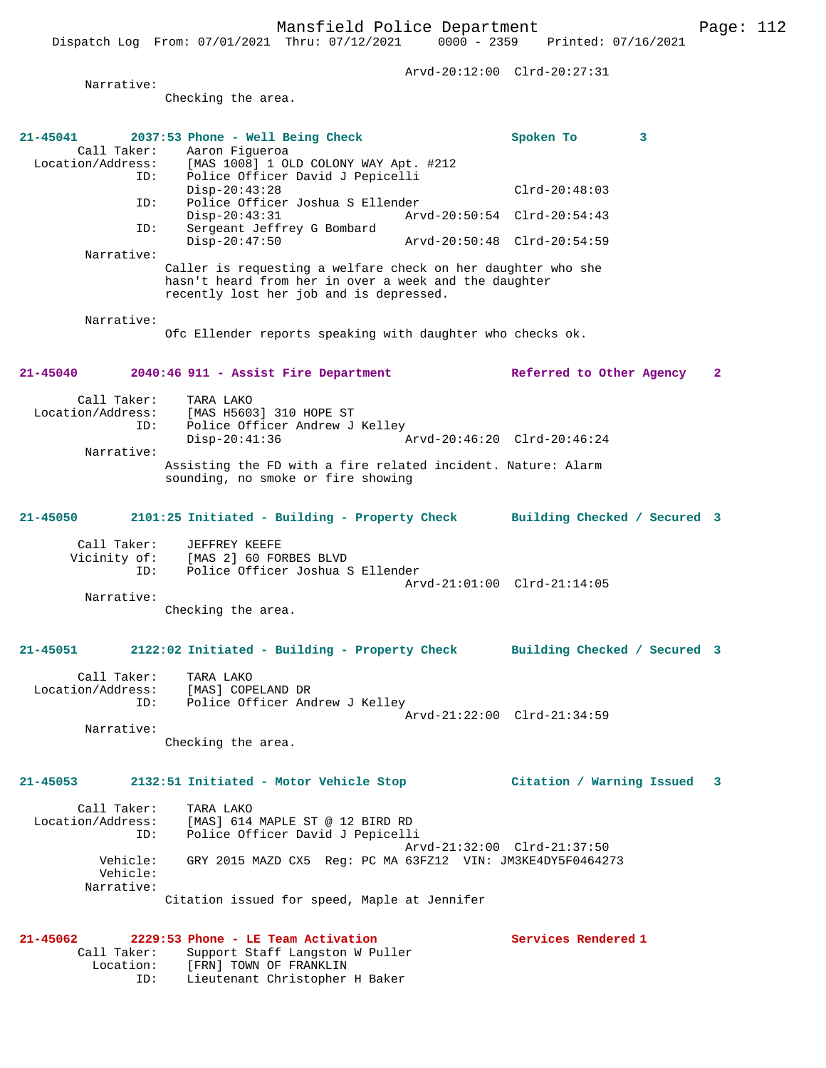Arvd-20:12:00 Clrd-20:27:31 Narrative: Checking the area. **21-45041 2037:53 Phone - Well Being Check Spoken To 3**  Call Taker: Aaron Figueroa<br>Location/Address: [MAS 1008] 1 OL Location/Address: [MAS 1008] 1 OLD COLONY WAY Apt. #212 ID: Police Officer David J Pepicelli Disp-20:43:28 Clrd-20:48:03 ID: Police Officer Joshua S Ellender Disp-20:43:31 Arvd-20:50:54 Clrd-20:54:43 ID: Sergeant Jeffrey G Bombard Disp-20:47:50 Arvd-20:50:48 Clrd-20:54:59 Narrative: Caller is requesting a welfare check on her daughter who she hasn't heard from her in over a week and the daughter recently lost her job and is depressed. Narrative: Ofc Ellender reports speaking with daughter who checks ok. **21-45040 2040:46 911 - Assist Fire Department Referred to Other Agency 2** Call Taker: TARA LAKO<br>Location/Address: [MAS H560] Location/Address: [MAS H5603] 310 HOPE ST ID: Police Officer Andrew J Kelley Disp-20:41:36 Arvd-20:46:20 Clrd-20:46:24 Narrative: Assisting the FD with a fire related incident. Nature: Alarm sounding, no smoke or fire showing **21-45050 2101:25 Initiated - Building - Property Check Building Checked / Secured 3** Call Taker: JEFFREY KEEFE Vicinity of: [MAS 2] 60 FORBES BLVD<br>TD: Police Officer Joshua S Police Officer Joshua S Ellender Arvd-21:01:00 Clrd-21:14:05 Narrative: Checking the area. **21-45051 2122:02 Initiated - Building - Property Check Building Checked / Secured 3** Call Taker: TARA LAKO Location/Address: [MAS] COPELAND DR ID: Police Officer Andrew J Kelley Arvd-21:22:00 Clrd-21:34:59 Narrative: Checking the area. **21-45053 2132:51 Initiated - Motor Vehicle Stop Citation / Warning Issued 3** Call Taker: TARA LAKO Location/Address: [MAS] 614 MAPLE ST @ 12 BIRD RD

 ID: Police Officer David J Pepicelli Arvd-21:32:00 Clrd-21:37:50 Vehicle: GRY 2015 MAZD CX5 Reg: PC MA 63FZ12 VIN: JM3KE4DY5F0464273 Vehicle: Narrative: Citation issued for speed, Maple at Jennifer

**21-45062 2229:53 Phone - LE Team Activation Services Rendered 1**  Call Taker: Support Staff Langston W Puller Location: [FRN] TOWN OF FRANKLIN ID: Lieutenant Christopher H Baker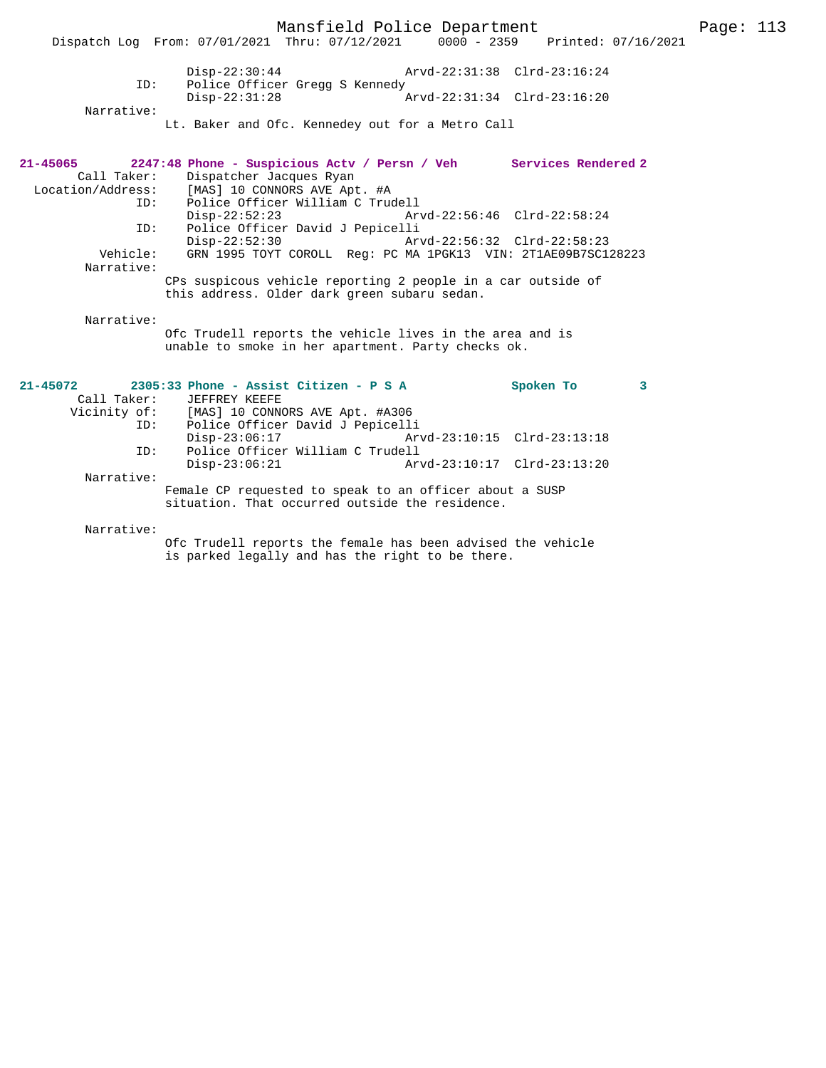Mansfield Police Department Page: 113 Dispatch Log From: 07/01/2021 Thru: 07/12/2021 Disp-22:30:44 Arvd-22:31:38 Clrd-23:16:24 ID: Police Officer Gregg S Kennedy<br>Disp-22:31:28 Disp-22:31:28 Arvd-22:31:34 Clrd-23:16:20 Narrative: Lt. Baker and Ofc. Kennedey out for a Metro Call **21-45065 2247:48 Phone - Suspicious Actv / Persn / Veh Services Rendered 2**  Call Taker: Dispatcher Jacques Ryan Location/Address: [MAS] 10 CONNORS AVE Apt. #A ID: Police Officer William C Trudell Disp-22:52:23 Arvd-22:56:46 Clrd-22:58:24<br>ID: Police Officer David J Pepicelli Police Officer David J Pepicelli<br>Disp-22:52:30 Arv Disp-22:52:30 Arvd-22:56:32 Clrd-22:58:23 Vehicle: GRN 1995 TOYT COROLL Reg: PC MA 1PGK13 VIN: 2T1AE09B7SC128223 Narrative: CPs suspicous vehicle reporting 2 people in a car outside of this address. Older dark green subaru sedan. Narrative: Ofc Trudell reports the vehicle lives in the area and is unable to smoke in her apartment. Party checks ok. **21-45072 2305:33 Phone - Assist Citizen - P S A Spoken To 3**  Call Taker: JEFFREY KEEFE Vicinity of: [MAS] 10 CONNORS AVE Apt. #A306<br>ID: Police Officer David J Penicell ID: Police Officer David J Pepicelli Disp-23:06:17 Arvd-23:10:15 Clrd-23:13:18<br>ID: Police Officer William C Trudell Police Officer William C Trudell<br>Disp-23:06:21 Ar Disp-23:06:21 Arvd-23:10:17 Clrd-23:13:20 Narrative: Female CP requested to speak to an officer about a SUSP situation. That occurred outside the residence.

Narrative:

Ofc Trudell reports the female has been advised the vehicle is parked legally and has the right to be there.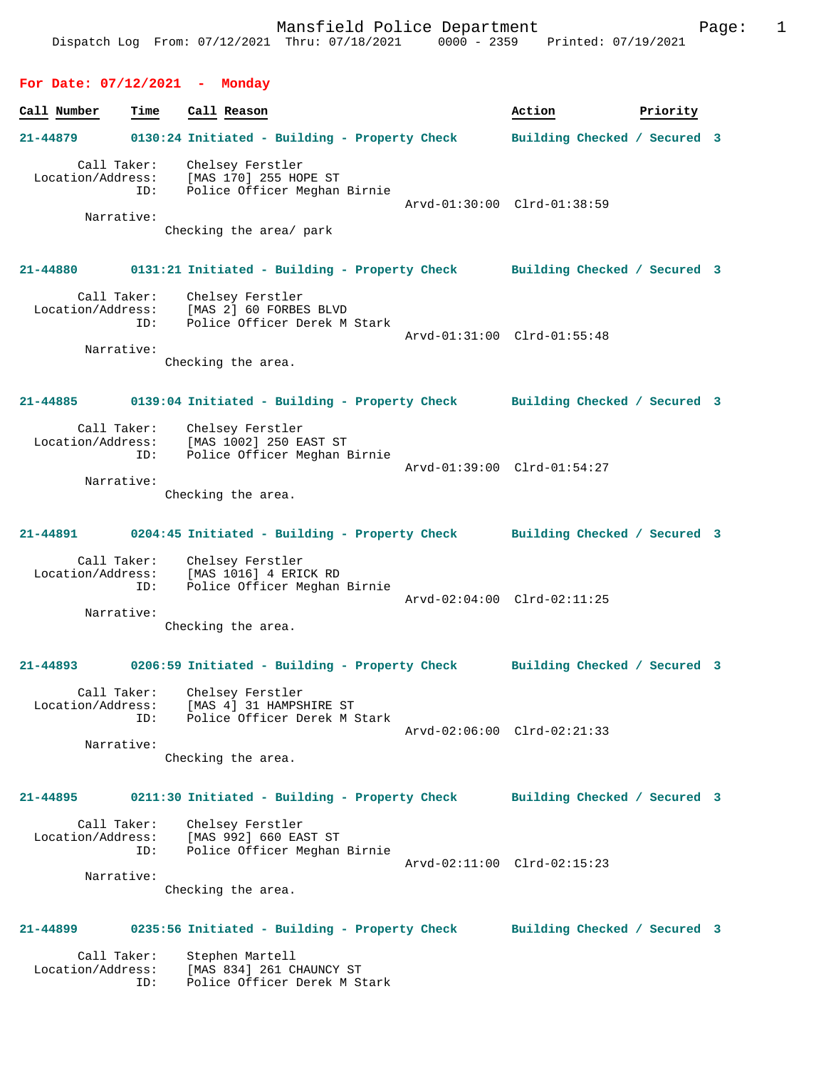#### **For Date: 07/12/2021 - Monday**

| Call Number                                    | Time | Call Reason                                                                                                        | Action                       | Priority |  |
|------------------------------------------------|------|--------------------------------------------------------------------------------------------------------------------|------------------------------|----------|--|
| 21-44879                                       |      | 0130:24 Initiated - Building - Property Check                                                                      | Building Checked / Secured 3 |          |  |
| Call Taker:<br>Location/Address:<br>Narrative: | ID:  | Chelsey Ferstler<br>[MAS 170] 255 HOPE ST<br>Police Officer Meghan Birnie<br>Checking the area/ park               | Arvd-01:30:00 Clrd-01:38:59  |          |  |
| 21-44880                                       |      | 0131:21 Initiated - Building - Property Check Building Checked / Secured 3                                         |                              |          |  |
| Call Taker:<br>Narrative:                      | ID:  | Chelsey Ferstler<br>Location/Address: [MAS 2] 60 FORBES BLVD<br>Police Officer Derek M Stark<br>Checking the area. | Arvd-01:31:00 Clrd-01:55:48  |          |  |
| $21 - 44885$                                   |      | 0139:04 Initiated - Building - Property Check Building Checked / Secured 3                                         |                              |          |  |
| Call Taker:<br>Location/Address:<br>Narrative: | ID:  | Chelsey Ferstler<br>[MAS 1002] 250 EAST ST<br>Police Officer Meghan Birnie<br>Checking the area.                   | Arvd-01:39:00 Clrd-01:54:27  |          |  |
| 21-44891                                       |      | 0204:45 Initiated - Building - Property Check                                                                      | Building Checked / Secured 3 |          |  |
| Call Taker:<br>Location/Address:<br>Narrative: | ID:  | Chelsey Ferstler<br>[MAS 1016] 4 ERICK RD<br>Police Officer Meghan Birnie<br>Checking the area.                    | Arvd-02:04:00 Clrd-02:11:25  |          |  |
|                                                |      | 21-44893 0206:59 Initiated - Building - Property Check                                                             | Building Checked / Secured 3 |          |  |
| Call Taker:<br>Location/Address:<br>Narrative: | ID:  | Chelsey Ferstler<br>[MAS 4] 31 HAMPSHIRE ST<br>Police Officer Derek M Stark<br>Checking the area.                  | Arvd-02:06:00 Clrd-02:21:33  |          |  |
| 21-44895                                       |      | 0211:30 Initiated - Building - Property Check                                                                      | Building Checked / Secured 3 |          |  |
| Call Taker:<br>Location/Address:<br>Narrative: | ID:  | Chelsey Ferstler<br>[MAS 992] 660 EAST ST<br>Police Officer Meghan Birnie<br>Checking the area.                    | Arvd-02:11:00 Clrd-02:15:23  |          |  |
| 21-44899                                       |      | 0235:56 Initiated - Building - Property Check                                                                      | Building Checked / Secured 3 |          |  |

 Call Taker: Stephen Martell Location/Address: [MAS 834] 261 CHAUNCY ST ID: Police Officer Derek M Stark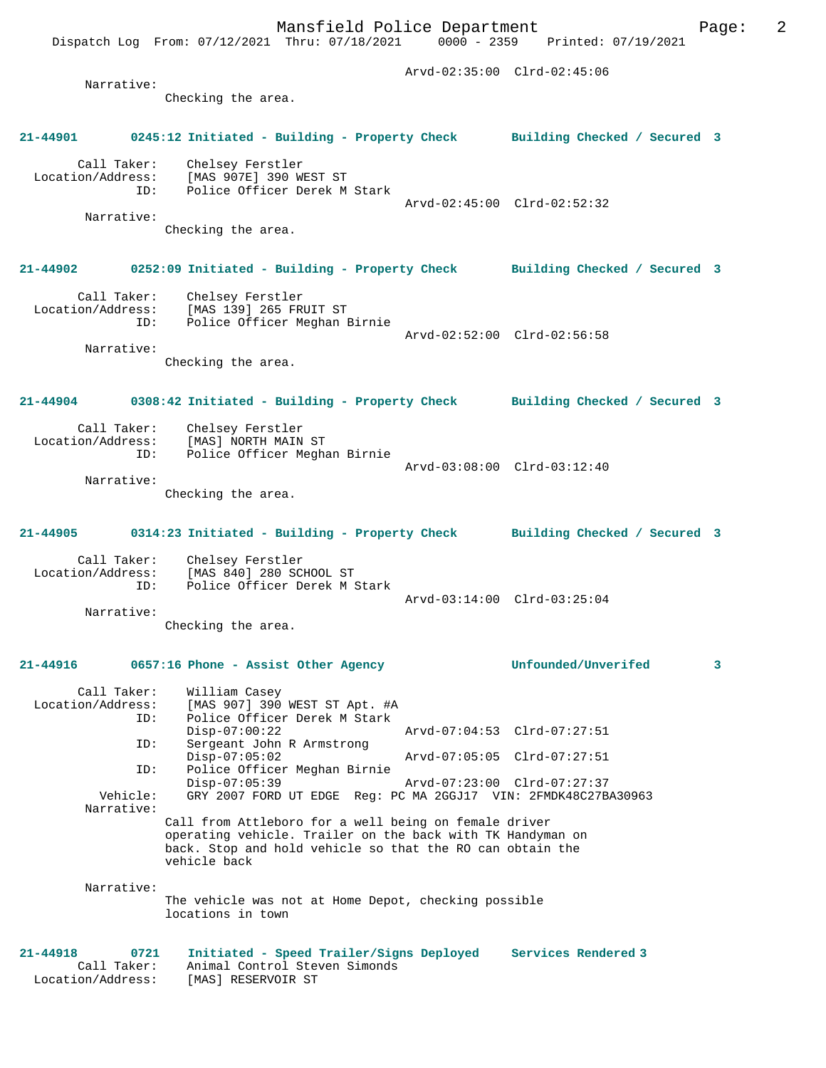Arvd-02:35:00 Clrd-02:45:06 Narrative: Checking the area. **21-44901 0245:12 Initiated - Building - Property Check Building Checked / Secured 3** Call Taker: Chelsey Ferstler Location/Address: [MAS 907E] 390 WEST ST<br>ID: Police Officer Derak M Police Officer Derek M Stark Arvd-02:45:00 Clrd-02:52:32 Narrative: Checking the area. **21-44902 0252:09 Initiated - Building - Property Check Building Checked / Secured 3** Call Taker: Chelsey Ferstler Location/Address: [MAS 139] 265 FRUIT ST ID: Police Officer Meghan Birnie Arvd-02:52:00 Clrd-02:56:58 Narrative:

Checking the area.

**21-44904 0308:42 Initiated - Building - Property Check Building Checked / Secured 3**

- Call Taker: Chelsey Ferstler<br>Location/Address: [MAS] NORTH MAIN [MAS] NORTH MAIN ST ID: Police Officer Meghan Birnie Arvd-03:08:00 Clrd-03:12:40 Narrative: Checking the area.
- **21-44905 0314:23 Initiated Building Property Check Building Checked / Secured 3**

 Call Taker: Chelsey Ferstler Location/Address: [MAS 840] 280 SCHOOL ST ID: Police Officer Derek M Stark Arvd-03:14:00 Clrd-03:25:04 Narrative:

Checking the area.

### **21-44916 0657:16 Phone - Assist Other Agency Unfounded/Unverifed 3** Call Taker: William Casey Location/Address: [MAS 907] 390 WEST ST Apt. #A ID: Police Officer Derek M Stark Disp-07:00:22 Arvd-07:04:53 Clrd-07:27:51 ID: Sergeant John R Armstrong Disp-07:05:02 Arvd-07:05:05 Clrd-07:27:51<br>TD: Police Officer Meghan Birnie Police Officer Meghan Birnie<br>Disp-07:05:39 Disp-07:05:39 Arvd-07:23:00 Clrd-07:27:37 Vehicle: GRY 2007 FORD UT EDGE Reg: PC MA 2GGJ17 VIN: 2FMDK48C27BA30963 Narrative: Call from Attleboro for a well being on female driver operating vehicle. Trailer on the back with TK Handyman on back. Stop and hold vehicle so that the RO can obtain the vehicle back Narrative: The vehicle was not at Home Depot, checking possible locations in town

**21-44918 0721 Initiated - Speed Trailer/Signs Deployed Services Rendered 3**  Call Taker: Animal Control Steven Simonds Location/Address: [MAS] RESERVOIR ST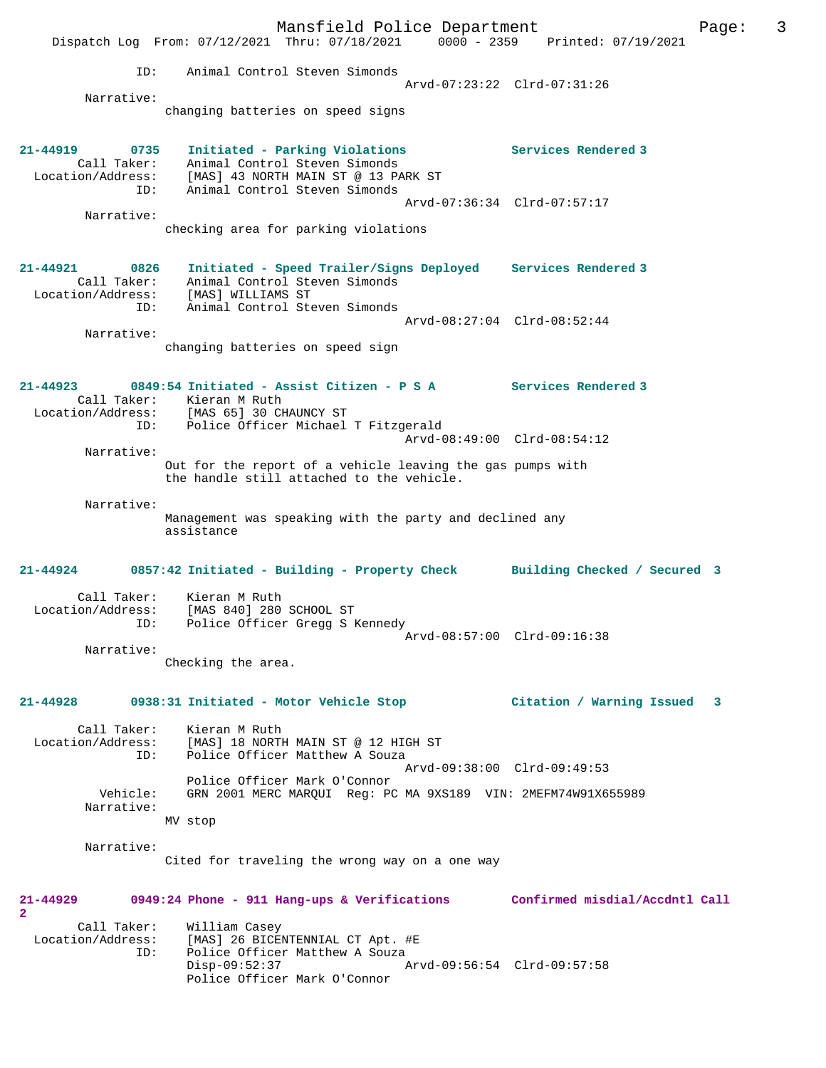Mansfield Police Department Fage: 3 Dispatch Log From: 07/12/2021 Thru: 07/18/2021 0000 - 2359 Printed: 07/19/2021 ID: Animal Control Steven Simonds Arvd-07:23:22 Clrd-07:31:26 Narrative: changing batteries on speed signs **21-44919 0735 Initiated - Parking Violations Services Rendered 3**  Call Taker: Animal Control Steven Simonds Location/Address: [MAS] 43 NORTH MAIN ST @ 13 PARK ST ID: Animal Control Steven Simonds Arvd-07:36:34 Clrd-07:57:17 Narrative: checking area for parking violations **21-44921 0826 Initiated - Speed Trailer/Signs Deployed Services Rendered 3**  Call Taker: Animal Control Steven Simonds Location/Address: [MAS] WILLIAMS ST ID: Animal Control Steven Simonds Arvd-08:27:04 Clrd-08:52:44 Narrative: changing batteries on speed sign **21-44923 0849:54 Initiated - Assist Citizen - P S A Services Rendered 3**  Call Taker: Kieran M Ruth<br>Location/Address: [MAS 65] 30 CH Location/Address: [MAS 65] 30 CHAUNCY ST ID: Police Officer Michael T Fitzgerald Arvd-08:49:00 Clrd-08:54:12 Narrative: Out for the report of a vehicle leaving the gas pumps with the handle still attached to the vehicle. Narrative: Management was speaking with the party and declined any assistance **21-44924 0857:42 Initiated - Building - Property Check Building Checked / Secured 3** Call Taker: Kieran M Ruth Location/Address: [MAS 840] 280 SCHOOL ST ID: Police Officer Gregg S Kennedy Arvd-08:57:00 Clrd-09:16:38 Narrative: Checking the area. **21-44928 0938:31 Initiated - Motor Vehicle Stop Citation / Warning Issued 3** Call Taker: Kieran M Ruth Location/Address: [MAS] 18 NORTH MAIN ST @ 12 HIGH ST<br>ID: Police Officer Matthew A Souza Police Officer Matthew A Souza Arvd-09:38:00 Clrd-09:49:53 Police Officer Mark O'Connor Vehicle: GRN 2001 MERC MARQUI Reg: PC MA 9XS189 VIN: 2MEFM74W91X655989 Narrative: MV stop Narrative: Cited for traveling the wrong way on a one way **21-44929 0949:24 Phone - 911 Hang-ups & Verifications Confirmed misdial/Accdntl Call 2**  Call Taker: William Casey<br>Location/Address: [MAS] 26 BICE [MAS] 26 BICENTENNIAL CT Apt. #E ID: Police Officer Matthew A Souza<br>Disp-09:52:37 Disp-09:52:37 Arvd-09:56:54 Clrd-09:57:58 Police Officer Mark O'Connor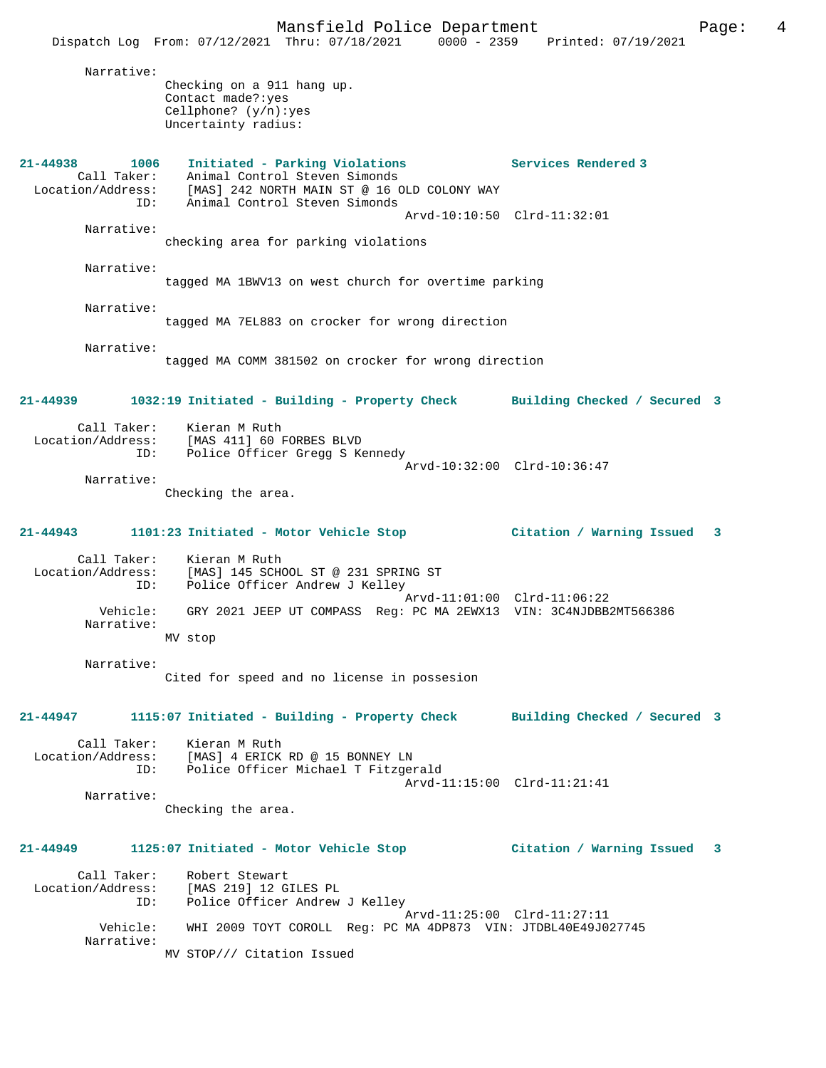Mansfield Police Department The Rage: 4 Dispatch Log From: 07/12/2021 Thru: 07/18/2021 0000 - 2359 Printed: 07/19/2021 Narrative: Checking on a 911 hang up. Contact made?:yes Cellphone? (y/n):yes Uncertainty radius: **21-44938 1006 Initiated - Parking Violations Services Rendered 3**  Call Taker: Animal Control Steven Simonds Location/Address: [MAS] 242 NORTH MAIN ST @ 16 OLD COLONY WAY ID: Animal Control Steven Simonds Arvd-10:10:50 Clrd-11:32:01 Narrative: checking area for parking violations Narrative: tagged MA 1BWV13 on west church for overtime parking Narrative: tagged MA 7EL883 on crocker for wrong direction Narrative: tagged MA COMM 381502 on crocker for wrong direction **21-44939 1032:19 Initiated - Building - Property Check Building Checked / Secured 3** Call Taker: Kieran M Ruth Location/Address: [MAS 411] 60 FORBES BLVD ID: Police Officer Gregg S Kennedy Arvd-10:32:00 Clrd-10:36:47 Narrative: Checking the area. **21-44943 1101:23 Initiated - Motor Vehicle Stop Citation / Warning Issued 3** Call Taker: Kieran M Ruth Location/Address: [MAS] 145 SCHOOL ST @ 231 SPRING ST ID: Police Officer Andrew J Kelley Arvd-11:01:00 Clrd-11:06:22 Vehicle: GRY 2021 JEEP UT COMPASS Reg: PC MA 2EWX13 VIN: 3C4NJDBB2MT566386 Narrative: MV stop Narrative: Cited for speed and no license in possesion **21-44947 1115:07 Initiated - Building - Property Check Building Checked / Secured 3** Call Taker: Kieran M Ruth Location/Address: [MAS] 4 ERICK RD @ 15 BONNEY LN Police Officer Michael T Fitzgerald Arvd-11:15:00 Clrd-11:21:41 Narrative: Checking the area. **21-44949 1125:07 Initiated - Motor Vehicle Stop Citation / Warning Issued 3** Call Taker: Robert Stewart<br>Location/Address: [MAS 219] 12 G [MAS 219] 12 GILES PL ID: Police Officer Andrew J Kelley Arvd-11:25:00 Clrd-11:27:11 Vehicle: WHI 2009 TOYT COROLL Reg: PC MA 4DP873 VIN: JTDBL40E49J027745 Narrative: MV STOP/// Citation Issued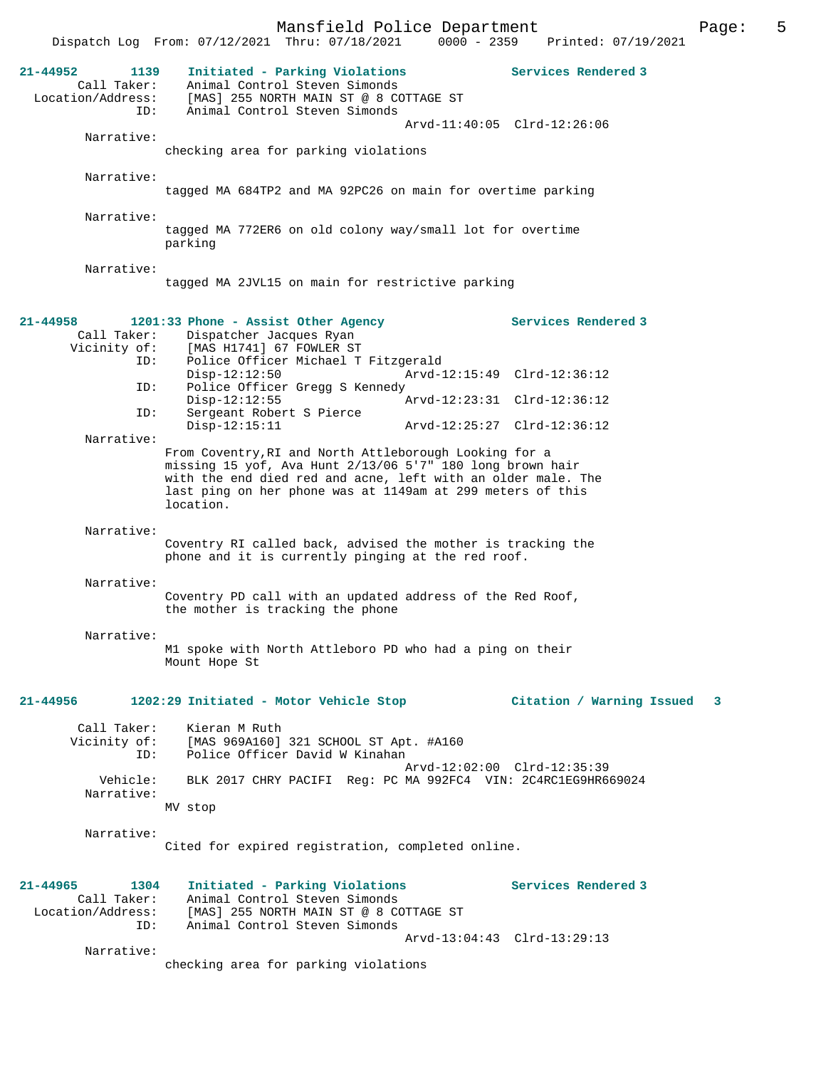|                                                                 | Mansfield Police Department                                                                                                                                                                                                                                    |                                 | 5<br>Page: |
|-----------------------------------------------------------------|----------------------------------------------------------------------------------------------------------------------------------------------------------------------------------------------------------------------------------------------------------------|---------------------------------|------------|
|                                                                 | Dispatch Log From: 07/12/2021 Thru: 07/18/2021                                                                                                                                                                                                                 | 0000 - 2359 Printed: 07/19/2021 |            |
| $21 - 44952$<br>1139<br>Call Taker:<br>Location/Address:<br>ID: | Initiated - Parking Violations<br>Animal Control Steven Simonds<br>[MAS] 255 NORTH MAIN ST @ 8 COTTAGE ST<br>Animal Control Steven Simonds                                                                                                                     | Services Rendered 3             |            |
|                                                                 |                                                                                                                                                                                                                                                                | Arvd-11:40:05 Clrd-12:26:06     |            |
| Narrative:                                                      | checking area for parking violations                                                                                                                                                                                                                           |                                 |            |
|                                                                 |                                                                                                                                                                                                                                                                |                                 |            |
| Narrative:                                                      | tagged MA 684TP2 and MA 92PC26 on main for overtime parking                                                                                                                                                                                                    |                                 |            |
| Narrative:                                                      |                                                                                                                                                                                                                                                                |                                 |            |
|                                                                 | tagged MA 772ER6 on old colony way/small lot for overtime<br>parking                                                                                                                                                                                           |                                 |            |
| Narrative:                                                      | tagged MA 2JVL15 on main for restrictive parking                                                                                                                                                                                                               |                                 |            |
|                                                                 |                                                                                                                                                                                                                                                                |                                 |            |
| $21 - 44958$<br>Call Taker:<br>Vicinity of:                     | 1201:33 Phone - Assist Other Agency<br>Dispatcher Jacques Ryan<br>[MAS H1741] 67 FOWLER ST                                                                                                                                                                     | Services Rendered 3             |            |
| ID:<br>ID:                                                      | Police Officer Michael T Fitzgerald<br>$Disp-12:12:50$<br>Police Officer Gregg S Kennedy                                                                                                                                                                       | Arvd-12:15:49 Clrd-12:36:12     |            |
|                                                                 | $Disp-12:12:55$                                                                                                                                                                                                                                                | Arvd-12:23:31 Clrd-12:36:12     |            |
| ID:                                                             | Sergeant Robert S Pierce<br>$Disp-12:15:11$                                                                                                                                                                                                                    | Arvd-12:25:27 Clrd-12:36:12     |            |
| Narrative:                                                      |                                                                                                                                                                                                                                                                |                                 |            |
|                                                                 | From Coventry, RI and North Attleborough Looking for a<br>missing 15 yof, Ava Hunt 2/13/06 5'7" 180 long brown hair<br>with the end died red and acne, left with an older male. The<br>last ping on her phone was at 1149am at 299 meters of this<br>location. |                                 |            |
| Narrative:                                                      |                                                                                                                                                                                                                                                                |                                 |            |
|                                                                 | Coventry RI called back, advised the mother is tracking the<br>phone and it is currently pinging at the red roof.                                                                                                                                              |                                 |            |
| Narrative:                                                      |                                                                                                                                                                                                                                                                |                                 |            |
|                                                                 | Coventry PD call with an updated address of the Red Roof,<br>the mother is tracking the phone                                                                                                                                                                  |                                 |            |
| Narrative:                                                      |                                                                                                                                                                                                                                                                |                                 |            |
|                                                                 | M1 spoke with North Attleboro PD who had a ping on their<br>Mount Hope St                                                                                                                                                                                      |                                 |            |
| 21-44956                                                        | 1202:29 Initiated - Motor Vehicle Stop                                                                                                                                                                                                                         | Citation / Warning Issued       | 3          |
| Call Taker:<br>ID:                                              | Kieran M Ruth<br>Vicinity of: [MAS 969A160] 321 SCHOOL ST Apt. #A160<br>Police Officer David W Kinahan                                                                                                                                                         |                                 |            |
| Vehicle:                                                        | BLK 2017 CHRY PACIFI Req: PC MA 992FC4 VIN: 2C4RC1EG9HR669024                                                                                                                                                                                                  | Arvd-12:02:00 Clrd-12:35:39     |            |
| Narrative:                                                      | MV stop                                                                                                                                                                                                                                                        |                                 |            |
| Narrative:                                                      |                                                                                                                                                                                                                                                                |                                 |            |
|                                                                 | Cited for expired registration, completed online.                                                                                                                                                                                                              |                                 |            |
| 21-44965<br>1304                                                | Initiated - Parking Violations                                                                                                                                                                                                                                 | Services Rendered 3             |            |
| Call Taker:<br>Location/Address:<br>ID:                         | Animal Control Steven Simonds<br>[MAS] 255 NORTH MAIN ST @ 8 COTTAGE ST<br>Animal Control Steven Simonds                                                                                                                                                       |                                 |            |
|                                                                 |                                                                                                                                                                                                                                                                | Arvd-13:04:43 Clrd-13:29:13     |            |
| Narrative:                                                      | checking area for parking violations                                                                                                                                                                                                                           |                                 |            |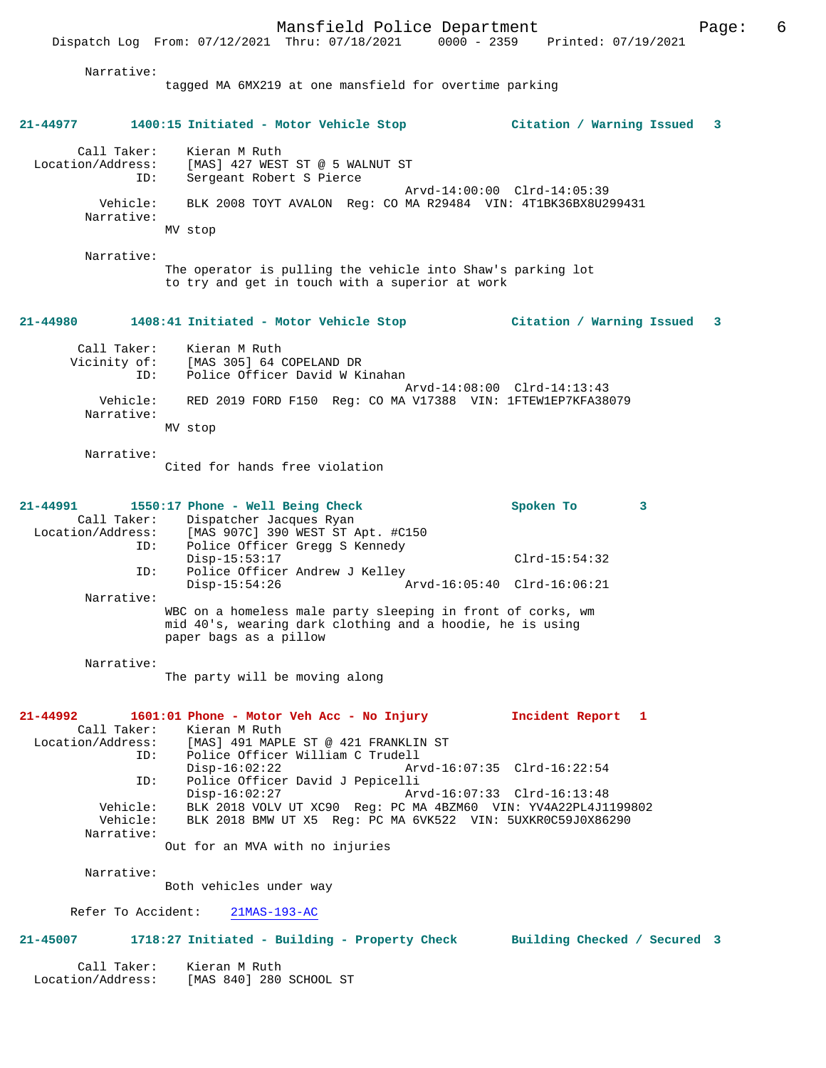Dispatch Log From: 07/12/2021 Thru: 07/18/2021 0000 - 2359 Printed: 07/19/2021

| Narrative:                                          | tagged MA 6MX219 at one mansfield for overtime parking                                                                                                                                                |                                                |   |   |
|-----------------------------------------------------|-------------------------------------------------------------------------------------------------------------------------------------------------------------------------------------------------------|------------------------------------------------|---|---|
| 21-44977                                            | 1400:15 Initiated - Motor Vehicle Stop                                                                                                                                                                | Citation / Warning Issued                      |   | 3 |
| Call Taker:<br>Location/Address:<br>ID:             | Kieran M Ruth<br>[MAS] 427 WEST ST @ 5 WALNUT ST<br>Sergeant Robert S Pierce                                                                                                                          |                                                |   |   |
| Vehicle:<br>Narrative:                              | BLK 2008 TOYT AVALON Reg: CO MA R29484 VIN: 4T1BK36BX8U299431<br>MV stop                                                                                                                              | Arvd-14:00:00 Clrd-14:05:39                    |   |   |
| Narrative:                                          | The operator is pulling the vehicle into Shaw's parking lot<br>to try and get in touch with a superior at work                                                                                        |                                                |   |   |
| 21-44980                                            | 1408:41 Initiated - Motor Vehicle Stop                                                                                                                                                                | Citation / Warning Issued                      |   | 3 |
| Call Taker:<br>Vicinity of:<br>ID:                  | Kieran M Ruth<br>[MAS 305] 64 COPELAND DR<br>Police Officer David W Kinahan                                                                                                                           |                                                |   |   |
| Vehicle:<br>Narrative:                              | RED 2019 FORD F150 Req: CO MA V17388 VIN: 1FTEW1EP7KFA38079                                                                                                                                           | Arvd-14:08:00 Clrd-14:13:43                    |   |   |
|                                                     | MV stop                                                                                                                                                                                               |                                                |   |   |
| Narrative:                                          | Cited for hands free violation                                                                                                                                                                        |                                                |   |   |
| 21-44991<br>Call Taker:<br>Location/Address:<br>ID: | 1550:17 Phone - Well Being Check<br>Dispatcher Jacques Ryan<br>[MAS 907C] 390 WEST ST Apt. #C150<br>Police Officer Gregg S Kennedy                                                                    | Spoken To                                      | 3 |   |
| ID:                                                 | $Disp-15:53:17$<br>Police Officer Andrew J Kelley                                                                                                                                                     | $Clrd-15:54:32$<br>Arvd-16:05:40 Clrd-16:06:21 |   |   |
| Narrative:                                          | Disp-15:54:26<br>WBC on a homeless male party sleeping in front of corks, wm<br>mid 40's, wearing dark clothing and a hoodie, he is using<br>paper bags as a pillow                                   |                                                |   |   |
| Narrative:                                          | The party will be moving along                                                                                                                                                                        |                                                |   |   |
| ID:                                                 | 21-44992 1601:01 Phone - Motor Veh Acc - No Injury<br>Call Taker: Kieran M Ruth<br>Location/Address: [MAS] 491 MAPLE ST @ 421 FRANKLIN ST<br>Police Officer William C Trudell                         | Incident Report 1                              |   |   |
| ID:                                                 | $Disp-16:02:22$<br>Police Officer David J Pepicelli                                                                                                                                                   | Arvd-16:07:35 Clrd-16:22:54                    |   |   |
| Narrative:                                          | $Disp-16:02:27$<br>Vehicle: BLK 2018 VOLV UT XC90 Reg: PC MA 4BZM60 VIN: YV4A22PL4J1199802<br>Vehicle: BLK 2018 BMW UT X5 Reg: PC MA 6VK522 VIN: 5UXKR0C59J0X86290<br>Out for an MVA with no injuries | Arvd-16:07:33 Clrd-16:13:48                    |   |   |
| Narrative:                                          |                                                                                                                                                                                                       |                                                |   |   |
|                                                     | Both vehicles under way<br>Refer To Accident: 21MAS-193-AC                                                                                                                                            |                                                |   |   |
|                                                     | 21-45007 1718:27 Initiated - Building - Property Check Building Checked / Secured 3                                                                                                                   |                                                |   |   |
| Location/Address:                                   | Call Taker: Kieran M Ruth<br>[MAS 840] 280 SCHOOL ST                                                                                                                                                  |                                                |   |   |
|                                                     |                                                                                                                                                                                                       |                                                |   |   |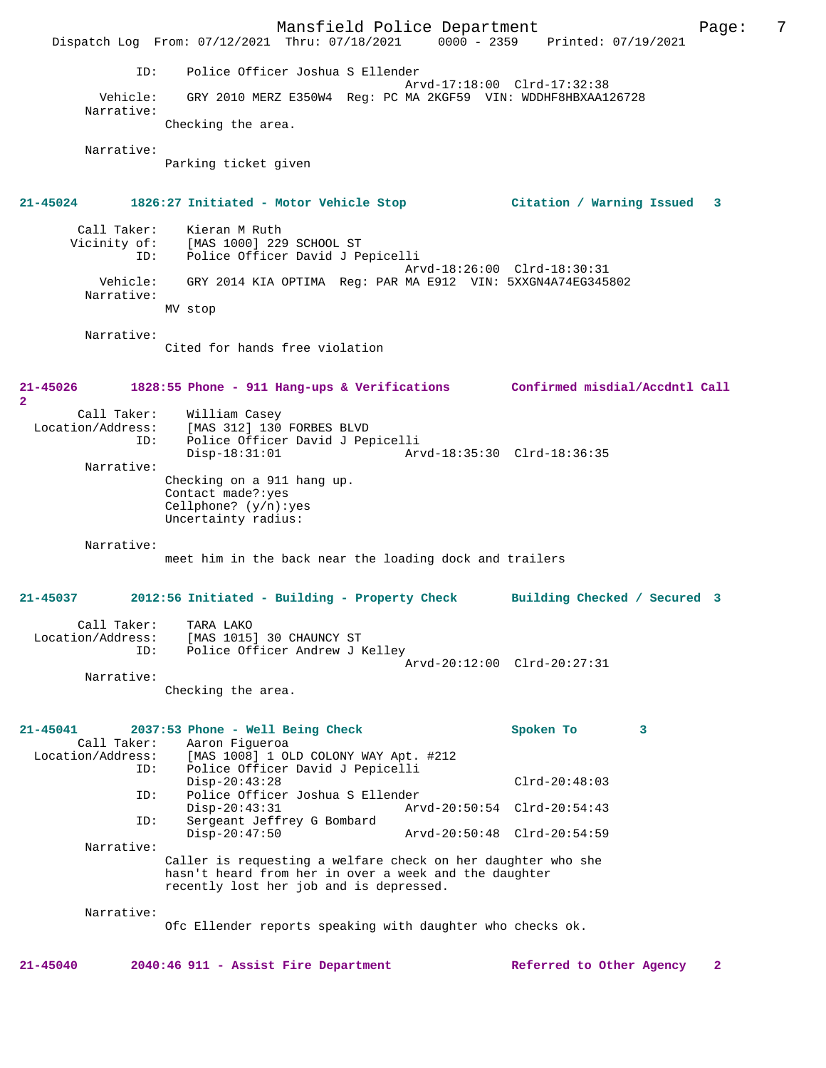Mansfield Police Department Page: 7 Dispatch Log From: 07/12/2021 Thru: 07/18/2021 ID: Police Officer Joshua S Ellender Arvd-17:18:00 Clrd-17:32:38<br>Vehicle: GRY 2010 MERZ E350W4 Reg: PC MA 2KGF59 VIN: WDDHF8HBXAA1 GRY 2010 MERZ E350W4 Reg: PC MA 2KGF59 VIN: WDDHF8HBXAA126728 Narrative: Checking the area. Narrative: Parking ticket given **21-45024 1826:27 Initiated - Motor Vehicle Stop Citation / Warning Issued 3** Call Taker: Kieran M Ruth<br>Vicinity of: [MAS 1000] 229 of: [MAS 1000] 229 SCHOOL ST<br>ID: Police Officer David J Pe Police Officer David J Pepicelli Arvd-18:26:00 Clrd-18:30:31<br>Vehicle: GRY 2014 KIA OPTIMA Reg: PAR MA E912 VIN: 5XXGN4A74EG3458 GRY 2014 KIA OPTIMA Reg: PAR MA E912 VIN: 5XXGN4A74EG345802 Narrative: MV stop Narrative: Cited for hands free violation **21-45026 1828:55 Phone - 911 Hang-ups & Verifications Confirmed misdial/Accdntl Call 2**  Call Taker: William Casey<br>Location/Address: [MAS 312] 130 [MAS 312] 130 FORBES BLVD ID: Police Officer David J Pepicelli Arvd-18:35:30 Clrd-18:36:35 Narrative: Checking on a 911 hang up. Contact made?:yes Cellphone? (y/n):yes Uncertainty radius: Narrative: meet him in the back near the loading dock and trailers **21-45037 2012:56 Initiated - Building - Property Check Building Checked / Secured 3** Call Taker: TARA LAKO Location/Address: [MAS 1015] 30 CHAUNCY ST ID: Police Officer Andrew J Kelley Arvd-20:12:00 Clrd-20:27:31 Narrative: Checking the area. **21-45041 2037:53 Phone - Well Being Check Spoken To 3**  Call Taker: Aaron Figueroa Location/Address: [MAS 1008] 1 OLD COLONY WAY Apt. #212 Police Officer David J Pepicelli Disp-20:43:28 Clrd-20:48:03<br>TD: Police Officer Joshua S Ellender ID: Police Officer Joshua S Ellender Disp-20:43:31 Arvd-20:50:54 Clrd-20:54:43 ID: Sergeant Jeffrey G Bombard Disp-20:47:50 Arvd-20:50:48 Clrd-20:54:59 Narrative: Caller is requesting a welfare check on her daughter who she hasn't heard from her in over a week and the daughter recently lost her job and is depressed. Narrative: Ofc Ellender reports speaking with daughter who checks ok.

**21-45040 2040:46 911 - Assist Fire Department Referred to Other Agency 2**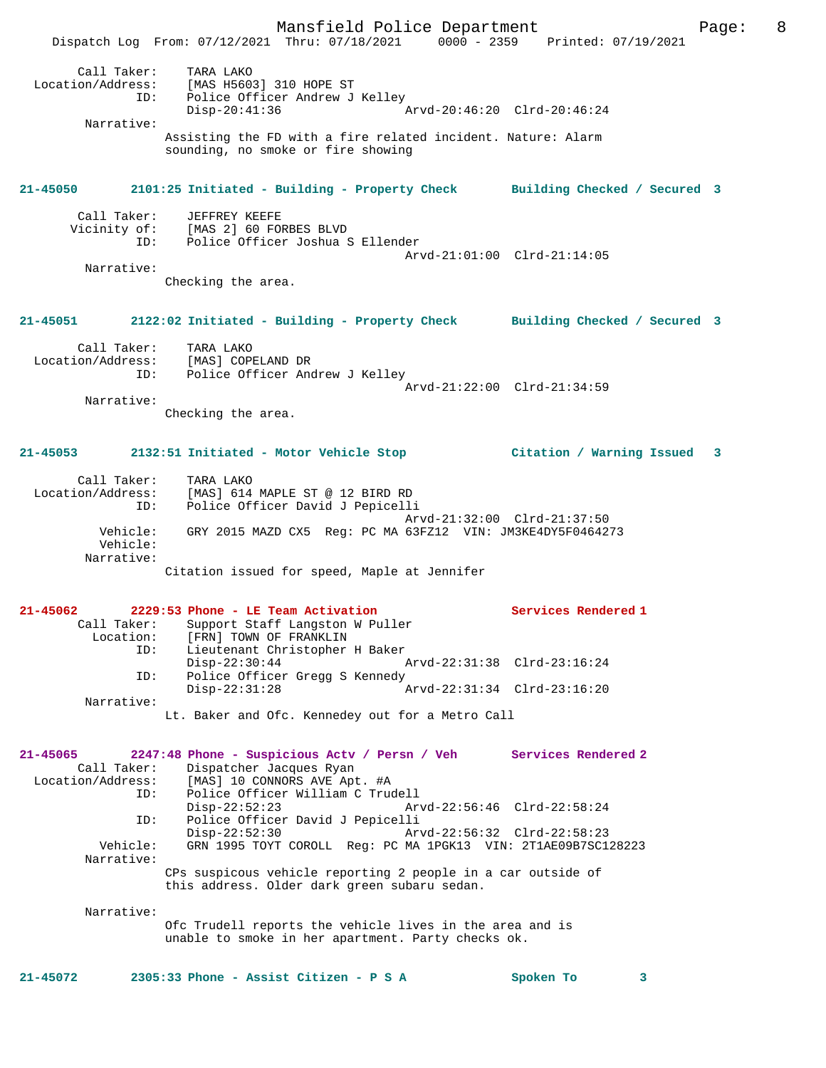Mansfield Police Department Page: 8 Dispatch Log From: 07/12/2021 Thru: 07/18/2021 0000 - 2359 Printed: 07/19/2021 Call Taker: TARA LAKO<br>ion/Address: [MAS HE60] Location/Address: [MAS H5603] 310 HOPE ST ESS. THE HOUSE SERVICE OF MARKER ON THE POLICE OF THE POLICE OF THE POLICE OF THE POLICE OF THE POLICE OF THE POLICE OF THE POLICE OF THE POLICE OF THE POLICE OF THE POLICE OF THE POLICE OF THE POLICE OF THE POLICE OF THE Disp-20:41:36 Arvd-20:46:20 Clrd-20:46:24 Narrative: Assisting the FD with a fire related incident. Nature: Alarm sounding, no smoke or fire showing **21-45050 2101:25 Initiated - Building - Property Check Building Checked / Secured 3** Call Taker: JEFFREY KEEFE Vicinity of: [MAS 2] 60 FORBES BLVD<br>ID: Police Officer Joshua S Police Officer Joshua S Ellender Arvd-21:01:00 Clrd-21:14:05 Narrative: Checking the area. **21-45051 2122:02 Initiated - Building - Property Check Building Checked / Secured 3** Call Taker: TARA LAKO Location/Address: [MAS] COPELAND DR ID: Police Officer Andrew J Kelley Arvd-21:22:00 Clrd-21:34:59 Narrative: Checking the area. **21-45053 2132:51 Initiated - Motor Vehicle Stop Citation / Warning Issued 3** Call Taker: TARA LAKO Location/Address: [MAS] 614 MAPLE ST @ 12 BIRD RD Police Officer David J Pepicelli Arvd-21:32:00 Clrd-21:37:50 Vehicle: GRY 2015 MAZD CX5 Reg: PC MA 63FZ12 VIN: JM3KE4DY5F0464273 Vehicle: Narrative: Citation issued for speed, Maple at Jennifer **21-45062 2229:53 Phone - LE Team Activation Services Rendered 1**  Call Taker: Support Staff Langston W Puller<br>Location: [FRN] TOWN OF FRANKLIN [FRN] TOWN OF FRANKLIN ID: Lieutenant Christopher H Baker Disp-22:30:44 Arvd-22:31:38 Clrd-23:16:24 ID: Police Officer Gregg S Kennedy Disp-22:31:28 Arvd-22:31:34 Clrd-23:16:20 Narrative: Lt. Baker and Ofc. Kennedey out for a Metro Call **21-45065 2247:48 Phone - Suspicious Actv / Persn / Veh Services Rendered 2**  Call Taker: Dispatcher Jacques Ryan Location/Address: [MAS] 10 CONNORS AVE Apt. #A ID: Police Officer William C Trudell Disp-22:52:23 Arvd-22:56:46 Clrd-22:58:24<br>ID: Police Officer David J Pepicelli Police Officer David J Pepicelli Disp-22:52:30 Arvd-22:56:32 Clrd-22:58:23 Vehicle: GRN 1995 TOYT COROLL Reg: PC MA 1PGK13 VIN: 2T1AE09B7SC128223 Narrative: CPs suspicous vehicle reporting 2 people in a car outside of this address. Older dark green subaru sedan. Narrative: Ofc Trudell reports the vehicle lives in the area and is unable to smoke in her apartment. Party checks ok. **21-45072 2305:33 Phone - Assist Citizen - P S A Spoken To 3**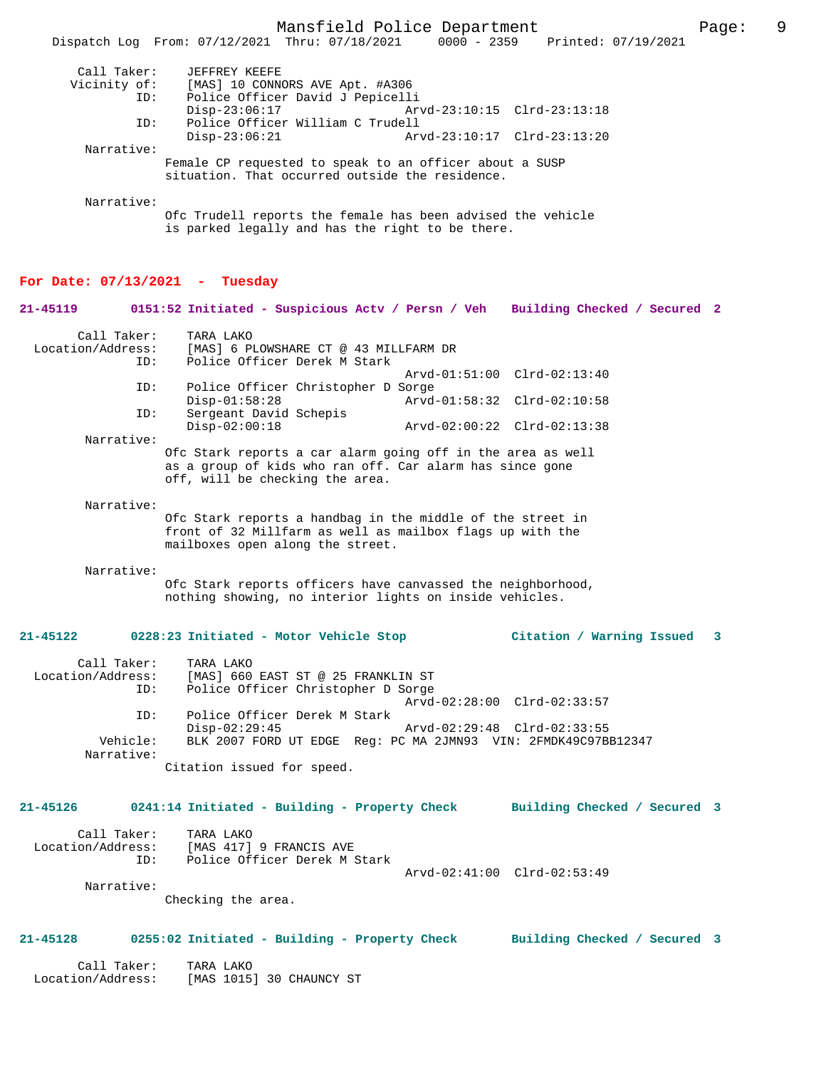|                                         | Mansfield Police Department                                                                                                                                 |                                                            |                              | Page: | 9 |
|-----------------------------------------|-------------------------------------------------------------------------------------------------------------------------------------------------------------|------------------------------------------------------------|------------------------------|-------|---|
|                                         | Dispatch Log From: 07/12/2021 Thru: 07/18/2021                                                                                                              | $0000 - 2359$                                              | Printed: 07/19/2021          |       |   |
| Call Taker:<br>Vicinity of:<br>ID:      | JEFFREY KEEFE<br>[MAS] 10 CONNORS AVE Apt. #A306<br>Police Officer David J Pepicelli                                                                        |                                                            |                              |       |   |
| ID:                                     | $Disp-23:06:17$<br>Police Officer William C Trudell                                                                                                         |                                                            | Arvd-23:10:15 Clrd-23:13:18  |       |   |
| Narrative:                              | $Disp-23:06:21$                                                                                                                                             | Arvd-23:10:17 Clrd-23:13:20                                |                              |       |   |
|                                         | Female CP requested to speak to an officer about a SUSP<br>situation. That occurred outside the residence.                                                  |                                                            |                              |       |   |
| Narrative:                              | Ofc Trudell reports the female has been advised the vehicle<br>is parked legally and has the right to be there.                                             |                                                            |                              |       |   |
| For Date: $07/13/2021$ - Tuesday        |                                                                                                                                                             |                                                            |                              |       |   |
| 21-45119                                | 0151:52 Initiated - Suspicious Actv / Persn / Veh                                                                                                           |                                                            | Building Checked / Secured 2 |       |   |
| Call Taker:<br>Location/Address:<br>ID: | TARA LAKO<br>[MAS] 6 PLOWSHARE CT @ 43 MILLFARM DR<br>Police Officer Derek M Stark                                                                          |                                                            |                              |       |   |
| ID:                                     | Police Officer Christopher D Sorge                                                                                                                          | Arvd-01:51:00 Clrd-02:13:40                                |                              |       |   |
| ID:                                     | $Disp-01:58:28$<br>Sergeant David Schepis<br>$Disp-02:00:18$                                                                                                | Arvd-01:58:32 Clrd-02:10:58<br>Arvd-02:00:22 Clrd-02:13:38 |                              |       |   |
| Narrative:                              | Ofc Stark reports a car alarm going off in the area as well                                                                                                 |                                                            |                              |       |   |
|                                         | as a group of kids who ran off. Car alarm has since gone<br>off, will be checking the area.                                                                 |                                                            |                              |       |   |
| Narrative:                              | Ofc Stark reports a handbag in the middle of the street in<br>front of 32 Millfarm as well as mailbox flags up with the<br>mailboxes open along the street. |                                                            |                              |       |   |
| Narrative:                              | Ofc Stark reports officers have canvassed the neighborhood,<br>nothing showing, no interior lights on inside vehicles.                                      |                                                            |                              |       |   |
| 21-45122                                | 0228:23 Initiated - Motor Vehicle Stop                                                                                                                      |                                                            | Citation / Warning Issued    | 3     |   |
|                                         |                                                                                                                                                             |                                                            |                              |       |   |

| Call Taker:<br>Location/Address: | TARA LAKO<br>[MAS] 660 EAST ST @ 25 FRANKLIN ST                |
|----------------------------------|----------------------------------------------------------------|
| ID:                              | Police Officer Christopher D Sorge                             |
|                                  | Arvd-02:28:00 Clrd-02:33:57                                    |
| ID:                              | Police Officer Derek M Stark                                   |
|                                  | Arvd-02:29:48 Clrd-02:33:55<br>Disp-02:29:45                   |
| Vehicle:                         | BLK 2007 FORD UT EDGE Req: PC MA 2JMN93 VIN: 2FMDK49C97BB12347 |
| Narrative:                       |                                                                |
|                                  | Citation issued for speed.                                     |

**21-45126 0241:14 Initiated - Building - Property Check Building Checked / Secured 3**

| Call Taker:       | TARA LAKO                    |                             |  |
|-------------------|------------------------------|-----------------------------|--|
| Location/Address: | [MAS 417] 9 FRANCIS AVE      |                             |  |
| TD:               | Police Officer Derek M Stark |                             |  |
|                   |                              | Arvd-02:41:00 Clrd-02:53:49 |  |
|                   |                              |                             |  |

Narrative:

Checking the area.

## **21-45128 0255:02 Initiated - Building - Property Check Building Checked / Secured 3**

| Call Taker:       | TARA LAKO                |  |
|-------------------|--------------------------|--|
| Location/Address: | [MAS 1015] 30 CHAUNCY ST |  |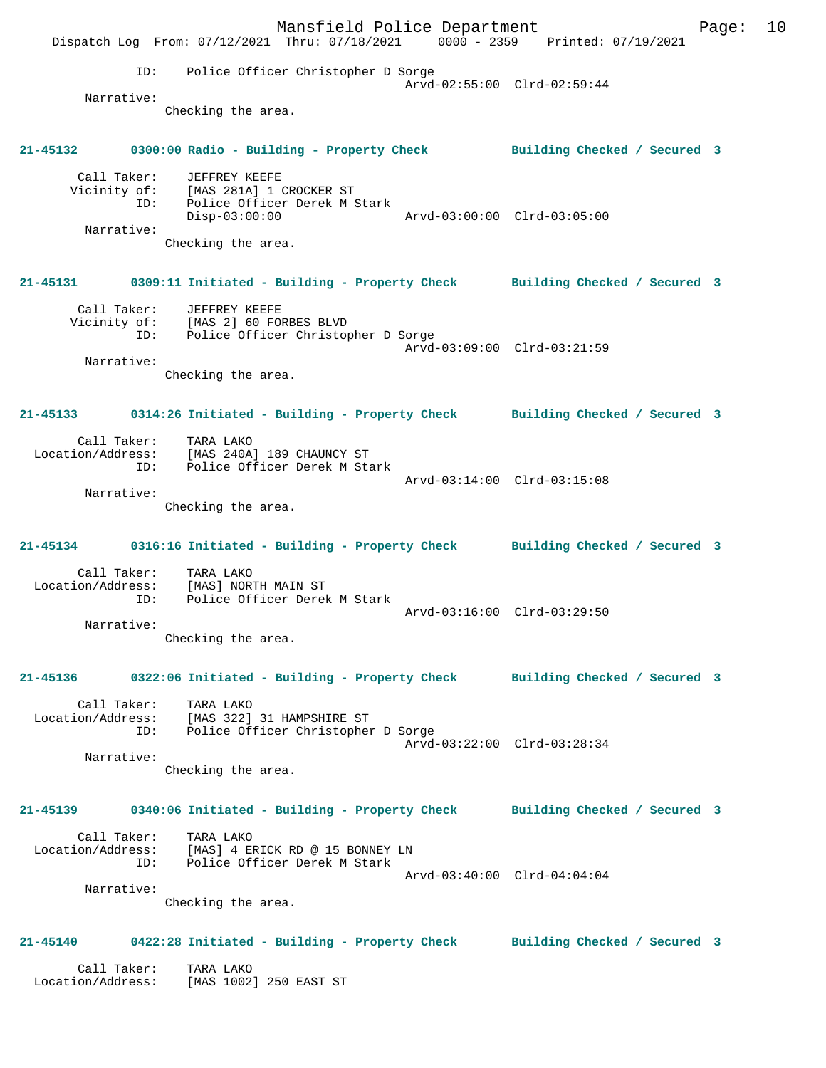Mansfield Police Department Form Page: 10 Dispatch Log From: 07/12/2021 Thru: 07/18/2021 0000 - 2359 Printed: 07/19/2021 ID: Police Officer Christopher D Sorge Arvd-02:55:00 Clrd-02:59:44 Narrative: Checking the area. **21-45132 0300:00 Radio - Building - Property Check Building Checked / Secured 3** Call Taker: JEFFREY KEEFE Vicinity of: [MAS 281A] 1 CROCKER ST ID: Police Officer Derek M Stark Disp-03:00:00 Arvd-03:00:00 Clrd-03:05:00 Narrative: Checking the area. **21-45131 0309:11 Initiated - Building - Property Check Building Checked / Secured 3** Call Taker: JEFFREY KEEFE Vicinity of: [MAS 2] 60 FORBES BLVD ID: Police Officer Christopher D Sorge Arvd-03:09:00 Clrd-03:21:59 Narrative: Checking the area. **21-45133 0314:26 Initiated - Building - Property Check Building Checked / Secured 3** Call Taker: TARA LAKO Location/Address: [MAS 240A] 189 CHAUNCY ST ID: Police Officer Derek M Stark Arvd-03:14:00 Clrd-03:15:08 Narrative: Checking the area. **21-45134 0316:16 Initiated - Building - Property Check Building Checked / Secured 3** Call Taker: TARA LAKO Location/Address: [MAS] NORTH MAIN ST ID: Police Officer Derek M Stark Arvd-03:16:00 Clrd-03:29:50 Narrative: Checking the area. **21-45136 0322:06 Initiated - Building - Property Check Building Checked / Secured 3** Call Taker: TARA LAKO Location/Address: [MAS 322] 31 HAMPSHIRE ST ID: Police Officer Christopher D Sorge Arvd-03:22:00 Clrd-03:28:34 Narrative: Checking the area. **21-45139 0340:06 Initiated - Building - Property Check Building Checked / Secured 3** Call Taker: TARA LAKO Location/Address: [MAS] 4 ERICK RD @ 15 BONNEY LN Police Officer Derek M Stark Arvd-03:40:00 Clrd-04:04:04 Narrative: Checking the area. **21-45140 0422:28 Initiated - Building - Property Check Building Checked / Secured 3** Call Taker: TARA LAKO Location/Address: [MAS 1002] 250 EAST ST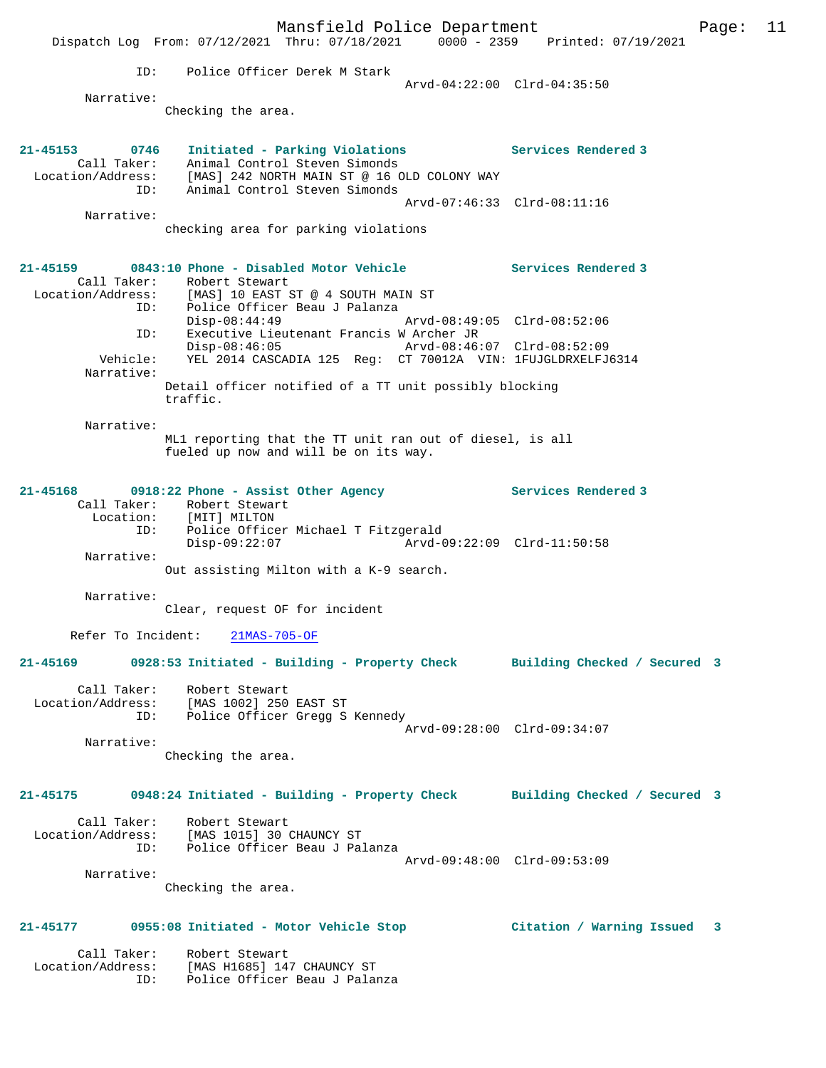Mansfield Police Department Page: 11 Dispatch Log From: 07/12/2021 Thru: 07/18/2021 0000 - 2359 Printed: 07/19/2021 ID: Police Officer Derek M Stark Arvd-04:22:00 Clrd-04:35:50 Narrative: Checking the area. **21-45153 0746 Initiated - Parking Violations Services Rendered 3**  Call Taker: Animal Control Steven Simonds Location/Address: [MAS] 242 NORTH MAIN ST @ 16 OLD COLONY WAY ID: Animal Control Steven Simonds Arvd-07:46:33 Clrd-08:11:16 Narrative: checking area for parking violations **21-45159 0843:10 Phone - Disabled Motor Vehicle Services Rendered 3**  Call Taker: Robert Stewart Location/Address: [MAS] 10 EAST ST @ 4 SOUTH MAIN ST ID: Police Officer Beau J Palanza Disp-08:44:49 Arvd-08:49:05 Clrd-08:52:06 ID: Executive Lieutenant Francis W Archer JR Disp-08:46:05 Arvd-08:46:07 Clrd-08:52:09 Vehicle: YEL 2014 CASCADIA 125 Reg: CT 70012A VIN: 1FUJGLDRXELFJ6314 Narrative: Detail officer notified of a TT unit possibly blocking traffic. Narrative: ML1 reporting that the TT unit ran out of diesel, is all fueled up now and will be on its way. **21-45168 0918:22 Phone - Assist Other Agency Services Rendered 3**  Call Taker: Robert Stewart Location: [MIT] MILTON ID: Police Officer Michael T Fitzgerald<br>Disp-09:22:07 Arvd-0 Disp-09:22:07 Arvd-09:22:09 Clrd-11:50:58 Narrative: Out assisting Milton with a K-9 search. Narrative: Clear, request OF for incident Refer To Incident: 21MAS-705-OF **21-45169 0928:53 Initiated - Building - Property Check Building Checked / Secured 3** Call Taker: Robert Stewart Location/Address: [MAS 1002] 250 EAST ST ID: Police Officer Gregg S Kennedy Arvd-09:28:00 Clrd-09:34:07 Narrative: Checking the area. **21-45175 0948:24 Initiated - Building - Property Check Building Checked / Secured 3** Call Taker: Robert Stewart Location/Address: [MAS 1015] 30 CHAUNCY ST ID: Police Officer Beau J Palanza Arvd-09:48:00 Clrd-09:53:09 Narrative: Checking the area. **21-45177 0955:08 Initiated - Motor Vehicle Stop Citation / Warning Issued 3** Call Taker: Robert Stewart Location/Address: [MAS H1685] 147 CHAUNCY ST ID: Police Officer Beau J Palanza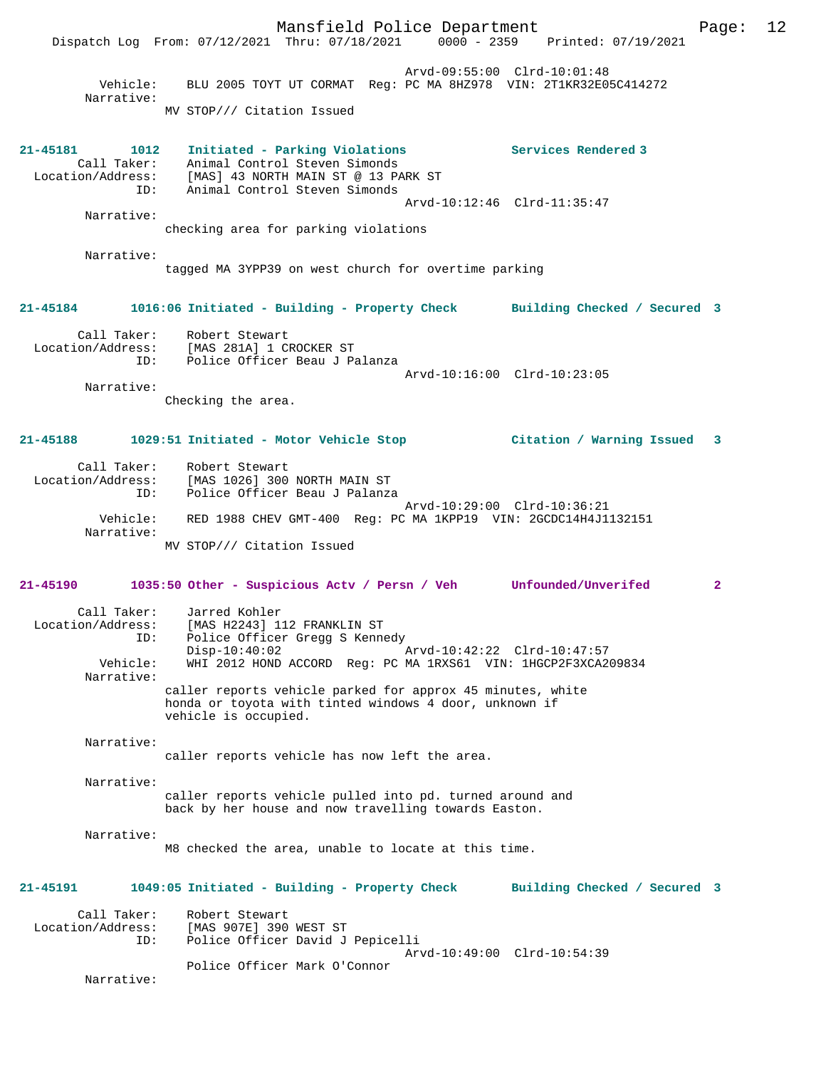Mansfield Police Department Page: 12 Dispatch Log From: 07/12/2021 Thru: 07/18/2021 Arvd-09:55:00 Clrd-10:01:48 Vehicle: BLU 2005 TOYT UT CORMAT Reg: PC MA 8HZ978 VIN: 2T1KR32E05C414272 Narrative: MV STOP/// Citation Issued **21-45181 1012 Initiated - Parking Violations Services Rendered 3**  Call Taker: Animal Control Steven Simonds Location/Address: [MAS] 43 NORTH MAIN ST @ 13 PARK ST ID: Animal Control Steven Simonds Arvd-10:12:46 Clrd-11:35:47 Narrative: checking area for parking violations Narrative: tagged MA 3YPP39 on west church for overtime parking **21-45184 1016:06 Initiated - Building - Property Check Building Checked / Secured 3** Call Taker: Robert Stewart<br>Location/Address: [MAS 281A] 1 CI ess: [MAS 281A] 1 CROCKER ST<br>ID: Police Officer Beau J P Police Officer Beau J Palanza Arvd-10:16:00 Clrd-10:23:05 Narrative: Checking the area. **21-45188 1029:51 Initiated - Motor Vehicle Stop Citation / Warning Issued 3** Call Taker: Robert Stewart Location/Address: [MAS 1026] 300 NORTH MAIN ST ID: Police Officer Beau J Palanza Arvd-10:29:00 Clrd-10:36:21 Vehicle: RED 1988 CHEV GMT-400 Reg: PC MA 1KPP19 VIN: 2GCDC14H4J1132151 Narrative: MV STOP/// Citation Issued **21-45190 1035:50 Other - Suspicious Actv / Persn / Veh Unfounded/Unverifed 2** Call Taker: Jarred Kohler<br>Location/Address: [MAS H2243] 1 [MAS H2243] 112 FRANKLIN ST ID: Police Officer Gregg S Kennedy<br>Disp-10:40:02 Disp-10:40:02 Arvd-10:42:22 Clrd-10:47:57<br>Vehicle: WHI 2012 HOND ACCORD Reg: PC MA 1RXS61 VIN: 1HGCP2F3XCA2 WHI 2012 HOND ACCORD Reg: PC MA 1RXS61 VIN: 1HGCP2F3XCA209834 Narrative: caller reports vehicle parked for approx 45 minutes, white honda or toyota with tinted windows 4 door, unknown if vehicle is occupied. Narrative: caller reports vehicle has now left the area. Narrative: caller reports vehicle pulled into pd. turned around and back by her house and now travelling towards Easton. Narrative: M8 checked the area, unable to locate at this time. **21-45191 1049:05 Initiated - Building - Property Check Building Checked / Secured 3** Call Taker: Robert Stewart Location/Address: [MAS 907E] 390 WEST ST Police Officer David J Pepicelli Arvd-10:49:00 Clrd-10:54:39 Police Officer Mark O'Connor Narrative: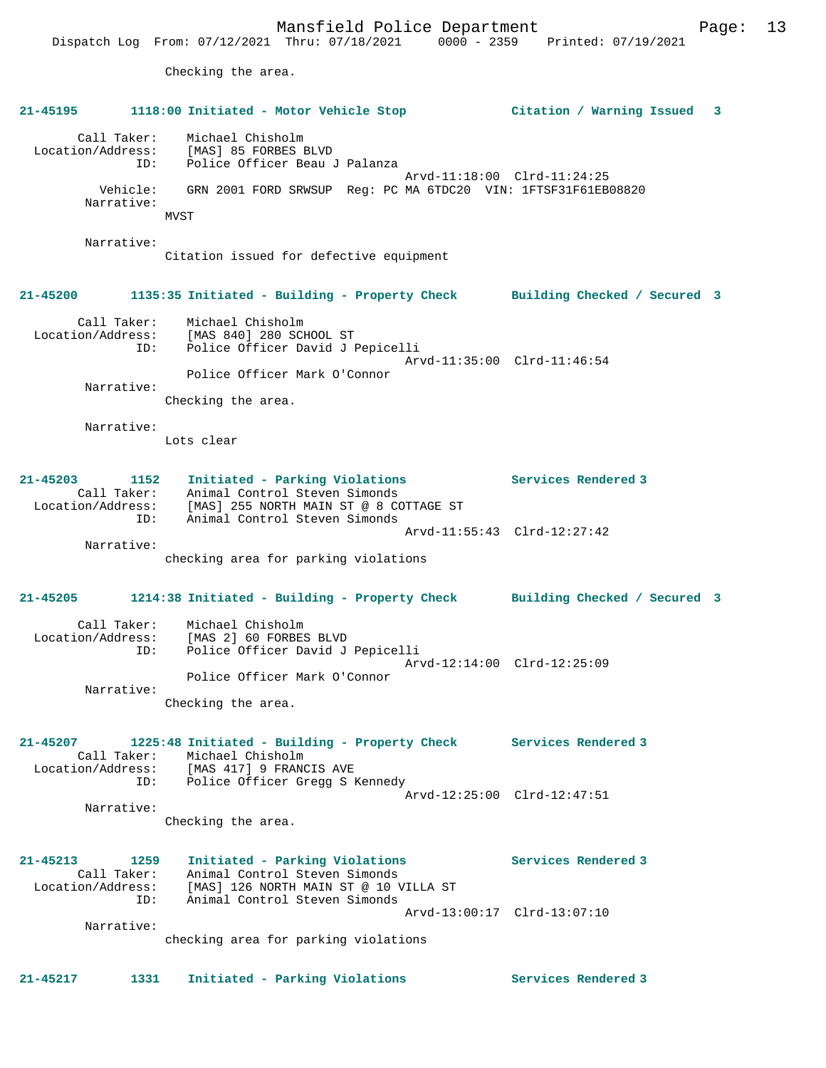Mansfield Police Department Form Page: 13 Dispatch Log From: 07/12/2021 Thru: 07/18/2021 0000 - 2359 Printed: 07/19/2021 Checking the area. **21-45195 1118:00 Initiated - Motor Vehicle Stop Citation / Warning Issued 3** Call Taker: Michael Chisholm Location/Address: [MAS] 85 FORBES BLVD ID: Police Officer Beau J Palanza Arvd-11:18:00 Clrd-11:24:25 Vehicle: GRN 2001 FORD SRWSUP Reg: PC MA 6TDC20 VIN: 1FTSF31F61EB08820 Narrative: MVST Narrative: Citation issued for defective equipment **21-45200 1135:35 Initiated - Building - Property Check Building Checked / Secured 3** Call Taker: Michael Chisholm Location/Address: [MAS 840] 280 SCHOOL ST ID: Police Officer David J Pepicelli Arvd-11:35:00 Clrd-11:46:54 Police Officer Mark O'Connor Narrative: Checking the area. Narrative: Lots clear **21-45203 1152 Initiated - Parking Violations Services Rendered 3**  Call Taker: Animal Control Steven Simonds Location/Address: [MAS] 255 NORTH MAIN ST @ 8 COTTAGE ST ID: Animal Control Steven Simonds Arvd-11:55:43 Clrd-12:27:42 Narrative: checking area for parking violations **21-45205 1214:38 Initiated - Building - Property Check Building Checked / Secured 3** Call Taker: Michael Chisholm Location/Address: [MAS 2] 60 FORBES BLVD ID: Police Officer David J Pepicelli Arvd-12:14:00 Clrd-12:25:09 Police Officer Mark O'Connor Narrative: Checking the area. **21-45207 1225:48 Initiated - Building - Property Check Services Rendered 3**  Call Taker: Michael Chisholm<br>Location/Address: [MAS 417] 9 FRANCIS AVE Location/Address: [MAS 417] 9 FRANCIS AVE ID: Police Officer Gregg S Kennedy Arvd-12:25:00 Clrd-12:47:51 Narrative: Checking the area. **21-45213 1259 Initiated - Parking Violations Services Rendered 3**  Call Taker: Animal Control Steven Simonds Location/Address: [MAS] 126 NORTH MAIN ST @ 10 VILLA ST ID: Animal Control Steven Simonds Arvd-13:00:17 Clrd-13:07:10 Narrative: checking area for parking violations

**21-45217 1331 Initiated - Parking Violations Services Rendered 3**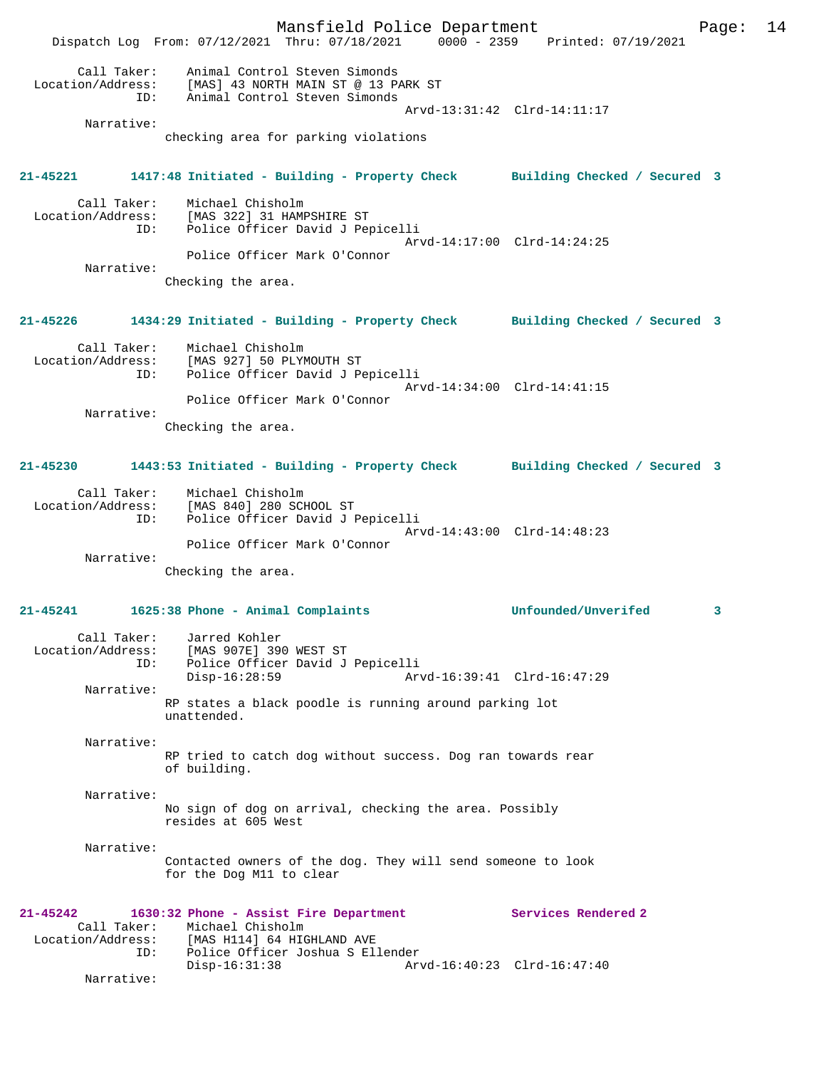Mansfield Police Department Page: 14 Dispatch Log From: 07/12/2021 Thru: 07/18/2021 0000 - 2359 Printed: 07/19/2021 Call Taker: Animal Control Steven Simonds Location/Address: [MAS] 43 NORTH MAIN ST @ 13 PARK ST ID: Animal Control Steven Simonds Arvd-13:31:42 Clrd-14:11:17 Narrative: checking area for parking violations **21-45221 1417:48 Initiated - Building - Property Check Building Checked / Secured 3** Call Taker: Michael Chisholm Location/Address: [MAS 322] 31 HAMPSHIRE ST ID: Police Officer David J Pepicelli Arvd-14:17:00 Clrd-14:24:25 Police Officer Mark O'Connor Narrative: Checking the area. **21-45226 1434:29 Initiated - Building - Property Check Building Checked / Secured 3** Call Taker: Michael Chisholm Location/Address: [MAS 927] 50 PLYMOUTH ST ID: Police Officer David J Pepicelli Arvd-14:34:00 Clrd-14:41:15 Police Officer Mark O'Connor Narrative: Checking the area. **21-45230 1443:53 Initiated - Building - Property Check Building Checked / Secured 3** Call Taker: Michael Chisholm Location/Address: [MAS 840] 280 SCHOOL ST ID: Police Officer David J Pepicelli Arvd-14:43:00 Clrd-14:48:23 Police Officer Mark O'Connor Narrative: Checking the area. **21-45241 1625:38 Phone - Animal Complaints Unfounded/Unverifed 3** Call Taker: Jarred Kohler Location/Address: [MAS 907E] 390 WEST ST ID: Police Officer David J Pepicelli Disp-16:28:59 Arvd-16:39:41 Clrd-16:47:29 Narrative: RP states a black poodle is running around parking lot unattended. Narrative: RP tried to catch dog without success. Dog ran towards rear of building. Narrative: No sign of dog on arrival, checking the area. Possibly resides at 605 West Narrative: Contacted owners of the dog. They will send someone to look for the Dog M11 to clear **21-45242 1630:32 Phone - Assist Fire Department Services Rendered 2**  Call Taker: Michael Chisholm<br>Location/Address: [MAS H114] 64 HIGHLAND AVE Location/Address: [MAS H114] 64 HIGHLAND AVE ID: Police Officer Joshua S Ellender Disp-16:31:38 Arvd-16:40:23 Clrd-16:47:40 Narrative: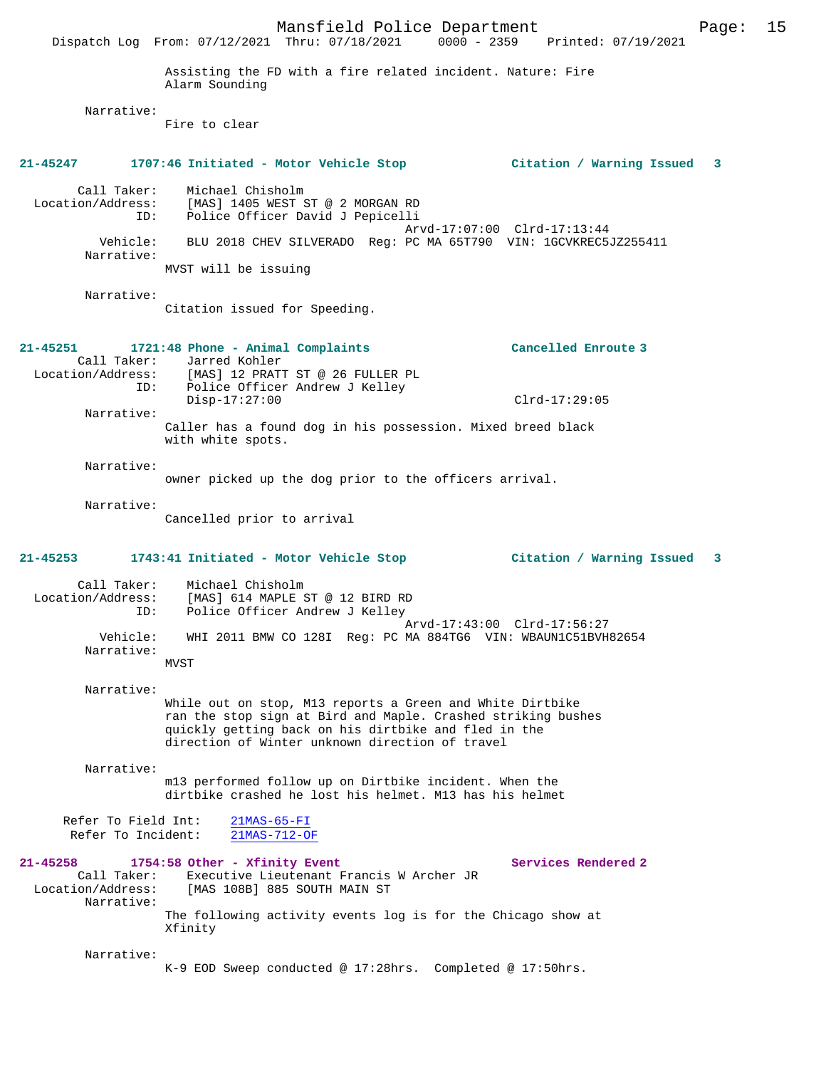Mansfield Police Department Page: 15 Dispatch Log From: 07/12/2021 Thru: 07/18/2021 Assisting the FD with a fire related incident. Nature: Fire Alarm Sounding Narrative: Fire to clear **21-45247 1707:46 Initiated - Motor Vehicle Stop Citation / Warning Issued 3** Call Taker: Michael Chisholm Location/Address: [MAS] 1405 WEST ST @ 2 MORGAN RD<br>ID: Police Officer David J Pepicelli Police Officer David J Pepicelli Arvd-17:07:00 Clrd-17:13:44 Vehicle: BLU 2018 CHEV SILVERADO Reg: PC MA 65T790 VIN: 1GCVKREC5JZ255411 Narrative: MVST will be issuing Narrative: Citation issued for Speeding. **21-45251 1721:48 Phone - Animal Complaints Cancelled Enroute 3**  Call Taker: Jarred Kohler<br>Location/Address: [MAS] 12 PRATI [MAS] 12 PRATT ST @ 26 FULLER PL ID: Police Officer Andrew J Kelley Disp-17:27:00 Clrd-17:29:05 Narrative: Caller has a found dog in his possession. Mixed breed black with white spots. Narrative: owner picked up the dog prior to the officers arrival. Narrative: Cancelled prior to arrival **21-45253 1743:41 Initiated - Motor Vehicle Stop Citation / Warning Issued 3** Call Taker: Michael Chisholm Location/Address: [MAS] 614 MAPLE ST @ 12 BIRD RD ID: Police Officer Andrew J Kelley Arvd-17:43:00 Clrd-17:56:27<br>Vehicle: WHI 2011 BMW CO 128I Reg: PC MA 884TG6 VIN: WBAUNIC51BVH Vehicle: WHI 2011 BMW CO 128I Reg: PC MA 884TG6 VIN: WBAUN1C51BVH82654 Narrative: MVST Narrative: While out on stop, M13 reports a Green and White Dirtbike ran the stop sign at Bird and Maple. Crashed striking bushes quickly getting back on his dirtbike and fled in the direction of Winter unknown direction of travel Narrative: m13 performed follow up on Dirtbike incident. When the dirtbike crashed he lost his helmet. M13 has his helmet Refer To Field Int: 21MAS-65-FI Refer To Incident: 21MAS-712-OF 21-45258 1754:58 Other - Xfinity Event Services Rendered 2 Call Taker: Executive Lieutenant Francis W Archer JR<br>Location/Address: [MAS 108B] 885 SOUTH MAIN ST [MAS 108B] 885 SOUTH MAIN ST Narrative: The following activity events log is for the Chicago show at Xfinity Narrative: K-9 EOD Sweep conducted @ 17:28hrs. Completed @ 17:50hrs.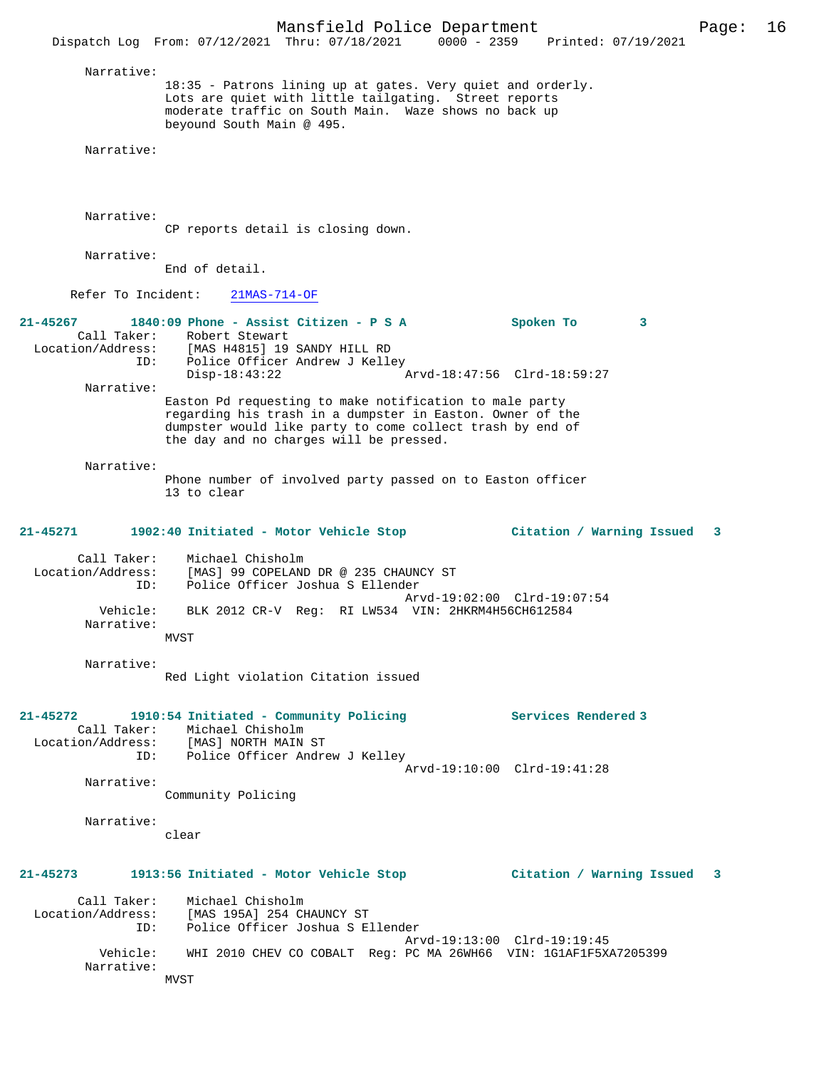Mansfield Police Department Page: 16 Dispatch Log From: 07/12/2021 Thru: 07/18/2021 0000 - 2359 Printed: 07/19/2021 Narrative: 18:35 - Patrons lining up at gates. Very quiet and orderly. Lots are quiet with little tailgating. Street reports moderate traffic on South Main. Waze shows no back up beyound South Main @ 495. Narrative: Narrative: CP reports detail is closing down. Narrative: End of detail. Refer To Incident: 21MAS-714-OF **21-45267 1840:09 Phone - Assist Citizen - P S A Spoken To 3**  Call Taker: Robert Stewart<br>Location/Address: [MAS H4815] 19 Location/Address: [MAS H4815] 19 SANDY HILL RD ID: Police Officer Andrew J Kelley Disp-18:43:22 Arvd-18:47:56 Clrd-18:59:27 Narrative: Easton Pd requesting to make notification to male party regarding his trash in a dumpster in Easton. Owner of the dumpster would like party to come collect trash by end of the day and no charges will be pressed. Narrative: Phone number of involved party passed on to Easton officer 13 to clear **21-45271 1902:40 Initiated - Motor Vehicle Stop Citation / Warning Issued 3** Call Taker: Michael Chisholm Location/Address: [MAS] 99 COPELAND DR @ 235 CHAUNCY ST Police Officer Joshua S Ellender Arvd-19:02:00 Clrd-19:07:54 Vehicle: BLK 2012 CR-V Reg: RI LW534 VIN: 2HKRM4H56CH612584 Narrative: MVST Narrative: Red Light violation Citation issued **21-45272 1910:54 Initiated - Community Policing Services Rendered 3**  Call Taker: Michael Chisholm Location/Address: [MAS] NORTH MAIN ST Police Officer Andrew J Kelley Arvd-19:10:00 Clrd-19:41:28 Narrative: Community Policing Narrative: clear **21-45273 1913:56 Initiated - Motor Vehicle Stop Citation / Warning Issued 3** Call Taker: Michael Chisholm Location/Address: [MAS 195A] 254 CHAUNCY ST ID: Police Officer Joshua S Ellender Arvd-19:13:00 Clrd-19:19:45 Vehicle: WHI 2010 CHEV CO COBALT Reg: PC MA 26WH66 VIN: 1G1AF1F5XA7205399 Narrative: **MVST**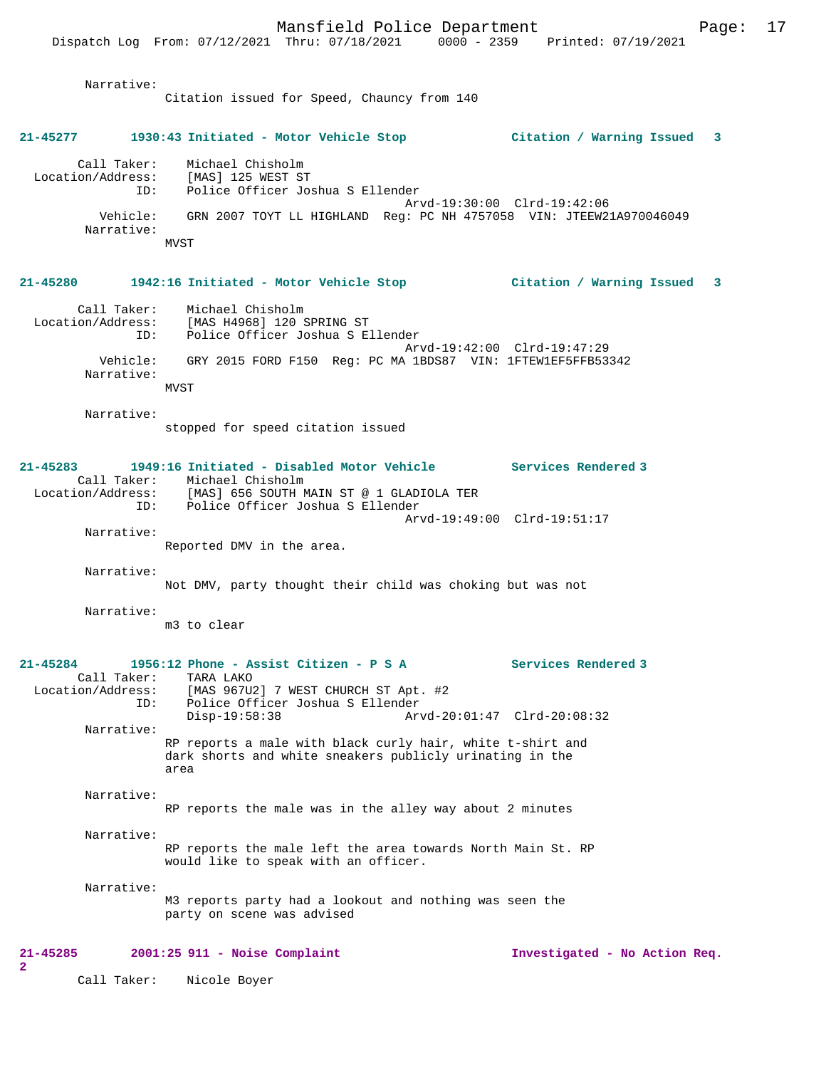Mansfield Police Department Page: 17 Dispatch Log From: 07/12/2021 Thru: 07/18/2021 0000 - 2359 Narrative: Citation issued for Speed, Chauncy from 140 **21-45277 1930:43 Initiated - Motor Vehicle Stop Citation / Warning Issued 3** Call Taker: Michael Chisholm Location/Address: [MAS] 125 WEST ST<br>ID: Police Officer Jo Ins. -<br>Police Officer Joshua S Ellender Arvd-19:30:00 Clrd-19:42:06 Vehicle: GRN 2007 TOYT LL HIGHLAND Reg: PC NH 4757058 VIN: JTEEW21A970046049 Narrative: MVST **21-45280 1942:16 Initiated - Motor Vehicle Stop Citation / Warning Issued 3** Call Taker: Michael Chisholm Location/Address: [MAS H4968] 120 SPRING ST ID: Police Officer Joshua S Ellender Arvd-19:42:00 Clrd-19:47:29 Vehicle: GRY 2015 FORD F150 Reg: PC MA 1BDS87 VIN: 1FTEW1EF5FFB53342 Narrative: MVST Narrative: stopped for speed citation issued **21-45283 1949:16 Initiated - Disabled Motor Vehicle Services Rendered 3**  Call Taker: Michael Chisholm<br>Location/Address: [MAS] 656 SOUTH N Location/Address: [MAS] 656 SOUTH MAIN ST @ 1 GLADIOLA TER ID: Police Officer Joshua S Ellender Arvd-19:49:00 Clrd-19:51:17 Narrative: Reported DMV in the area. Narrative: Not DMV, party thought their child was choking but was not Narrative: m3 to clear **21-45284 1956:12 Phone - Assist Citizen - P S A Services Rendered 3**  Call Taker: TARA LAKO<br>Location/Address: [MAS 967U [MAS 967U2] 7 WEST CHURCH ST Apt. #2 ID: Police Officer Joshua S Ellender Disp-19:58:38 Arvd-20:01:47 Clrd-20:08:32 Narrative: RP reports a male with black curly hair, white t-shirt and dark shorts and white sneakers publicly urinating in the area Narrative: RP reports the male was in the alley way about 2 minutes Narrative: RP reports the male left the area towards North Main St. RP would like to speak with an officer. Narrative: M3 reports party had a lookout and nothing was seen the party on scene was advised **21-45285 2001:25 911 - Noise Complaint Investigated - No Action Req. 2** 

Call Taker: Nicole Boyer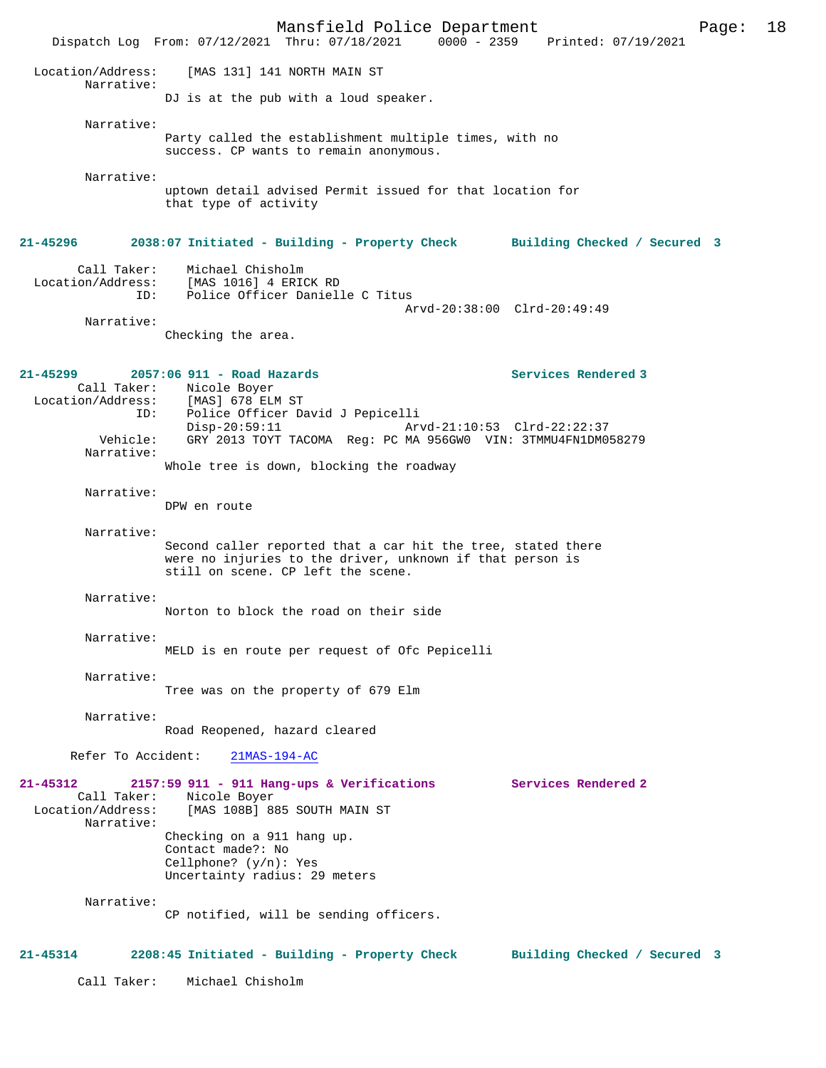Mansfield Police Department Page: 18 Dispatch Log From: 07/12/2021 Thru: 07/18/2021 Location/Address: [MAS 131] 141 NORTH MAIN ST Narrative: DJ is at the pub with a loud speaker. Narrative: Party called the establishment multiple times, with no success. CP wants to remain anonymous. Narrative: uptown detail advised Permit issued for that location for that type of activity **21-45296 2038:07 Initiated - Building - Property Check Building Checked / Secured 3** Call Taker: Michael Chisholm Location/Address: [MAS 1016] 4 ERICK RD ID: Police Officer Danielle C Titus Arvd-20:38:00 Clrd-20:49:49 Narrative: Checking the area. **21-45299 2057:06 911 - Road Hazards Services Rendered 3**  Call Taker: Nicole Boyer<br>ion/Address: [MAS] 678 ELM ST Location/Address:<br>ID: Police Officer David J Pepicelli<br>Disp-20:59:11 Ar Disp-20:59:11 Arvd-21:10:53 Clrd-22:22:37<br>Vehicle: GRY 2013 TOYT TACOMA Reg: PC MA 956GW0 VIN: 3TMMU4FN1DM0 GRY 2013 TOYT TACOMA Reg: PC MA 956GW0 VIN: 3TMMU4FN1DM058279 Narrative: Whole tree is down, blocking the roadway Narrative: DPW en route Narrative: Second caller reported that a car hit the tree, stated there were no injuries to the driver, unknown if that person is still on scene. CP left the scene. Narrative: Norton to block the road on their side Narrative: MELD is en route per request of Ofc Pepicelli Narrative: Tree was on the property of 679 Elm Narrative: Road Reopened, hazard cleared Refer To Accident: 21MAS-194-AC **21-45312 2157:59 911 - 911 Hang-ups & Verifications Services Rendered 2**  Call Taker: Nicole Boyer<br>Location/Address: [MAS 108B] 88 [MAS 108B] 885 SOUTH MAIN ST Narrative: Checking on a 911 hang up. Contact made?: No Cellphone? (y/n): Yes Uncertainty radius: 29 meters Narrative: CP notified, will be sending officers. **21-45314 2208:45 Initiated - Building - Property Check Building Checked / Secured 3** Call Taker: Michael Chisholm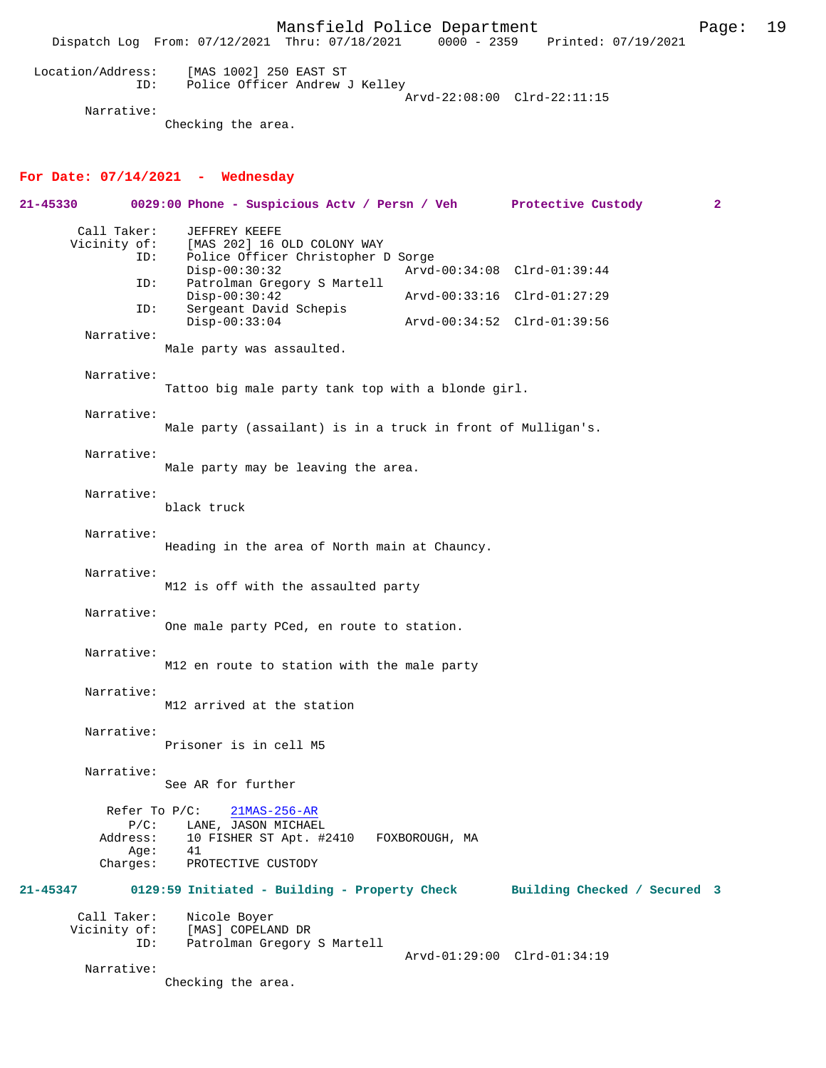Mansfield Police Department Fage: 19 Dispatch Log From: 07/12/2021 Thru: 07/18/2021 0000 - 2359 Printed: 07/19/2021 Location/Address: [MAS 1002] 250 EAST ST ID: Police Officer Andrew J Kelley Arvd-22:08:00 Clrd-22:11:15 Narrative:

Checking the area.

## **For Date: 07/14/2021 - Wednesday**

| 21-45330                    |                                         | 0029:00 Phone - Suspicious Actv / Persn / Veh Protective Custody                                                                     |                |                              | $\mathbf{2}$ |
|-----------------------------|-----------------------------------------|--------------------------------------------------------------------------------------------------------------------------------------|----------------|------------------------------|--------------|
| Call Taker:<br>Vicinity of: | ID:<br>ID:                              | JEFFREY KEEFE<br>[MAS 202] 16 OLD COLONY WAY<br>Police Officer Christopher D Sorge<br>$Disp-00:30:32$<br>Patrolman Gregory S Martell |                | Arvd-00:34:08 Clrd-01:39:44  |              |
|                             | ID:                                     | $Disp-00:30:42$<br>Sergeant David Schepis                                                                                            |                | Arvd-00:33:16 Clrd-01:27:29  |              |
| Narrative:                  |                                         | $Disp-00:33:04$                                                                                                                      |                | Arvd-00:34:52 Clrd-01:39:56  |              |
|                             |                                         | Male party was assaulted.                                                                                                            |                |                              |              |
| Narrative:                  |                                         | Tattoo big male party tank top with a blonde girl.                                                                                   |                |                              |              |
| Narrative:                  |                                         | Male party (assailant) is in a truck in front of Mulligan's.                                                                         |                |                              |              |
| Narrative:                  |                                         | Male party may be leaving the area.                                                                                                  |                |                              |              |
| Narrative:                  |                                         | black truck                                                                                                                          |                |                              |              |
| Narrative:                  |                                         | Heading in the area of North main at Chauncy.                                                                                        |                |                              |              |
| Narrative:                  |                                         | M12 is off with the assaulted party                                                                                                  |                |                              |              |
| Narrative:                  |                                         | One male party PCed, en route to station.                                                                                            |                |                              |              |
| Narrative:                  |                                         | M12 en route to station with the male party                                                                                          |                |                              |              |
| Narrative:                  |                                         | M12 arrived at the station                                                                                                           |                |                              |              |
| Narrative:                  |                                         | Prisoner is in cell M5                                                                                                               |                |                              |              |
| Narrative:                  |                                         | See AR for further                                                                                                                   |                |                              |              |
|                             | $P/C$ :<br>Address:<br>Age:<br>Charges: | Refer To $P/C$ :<br>$21MAS-256-AR$<br>LANE, JASON MICHAEL<br>10 FISHER ST Apt. #2410<br>41<br>PROTECTIVE CUSTODY                     | FOXBOROUGH, MA |                              |              |
| 21-45347                    |                                         | 0129:59 Initiated - Building - Property Check                                                                                        |                | Building Checked / Secured 3 |              |
| Call Taker:<br>Vicinity of: | ID:                                     | Nicole Boyer<br>[MAS] COPELAND DR<br>Patrolman Gregory S Martell                                                                     |                | Arvd-01:29:00 Clrd-01:34:19  |              |
| Narrative:                  |                                         | Checking the area.                                                                                                                   |                |                              |              |
|                             |                                         |                                                                                                                                      |                |                              |              |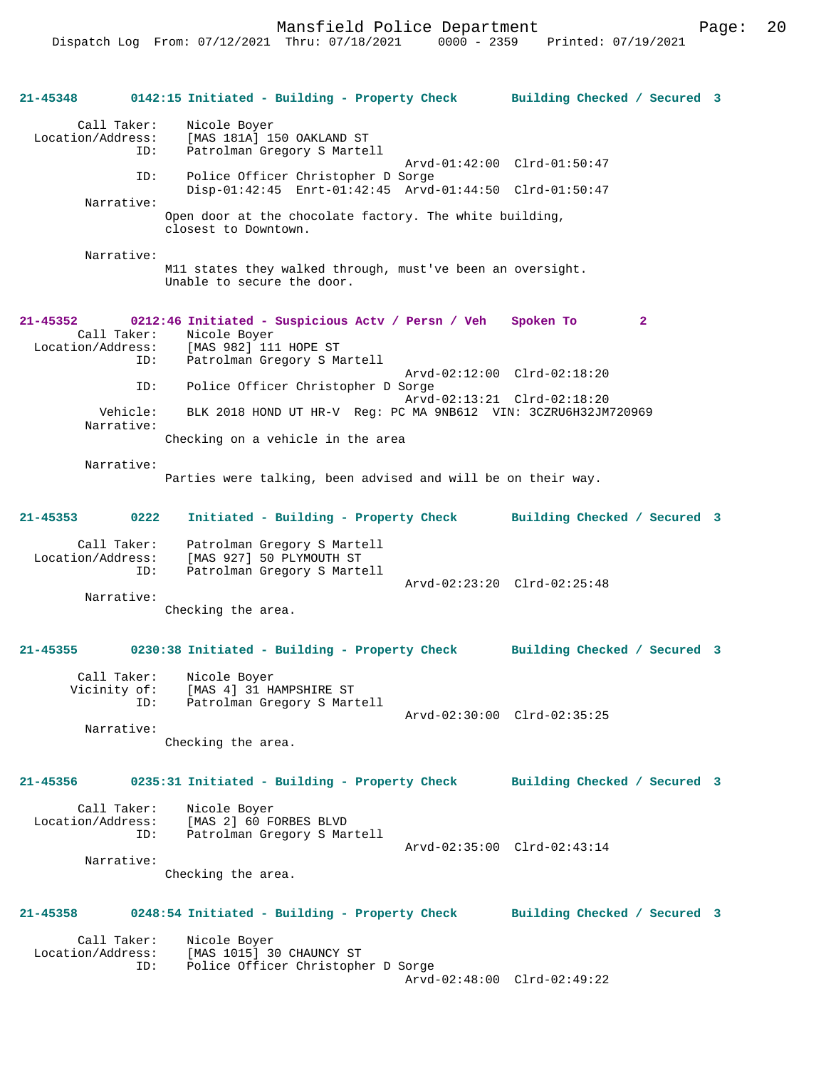Mansfield Police Department Fage: 20

**21-45348 0142:15 Initiated - Building - Property Check Building Checked / Secured 3** Call Taker: Nicole Boyer Location/Address: [MAS 181A] 150 OAKLAND ST Patrolman Gregory S Martell Arvd-01:42:00 Clrd-01:50:47<br>ID: Police Officer Christopher D Sorge Police Officer Christopher D Sorge Disp-01:42:45 Enrt-01:42:45 Arvd-01:44:50 Clrd-01:50:47 Narrative: Open door at the chocolate factory. The white building, closest to Downtown. Narrative: M11 states they walked through, must've been an oversight. Unable to secure the door. **21-45352 0212:46 Initiated - Suspicious Actv / Persn / Veh Spoken To 2**  Call Taker: Nicole Boyer Location/Address: [MAS 982] 111 HOPE ST Patrolman Gregory S Martell Arvd-02:12:00 Clrd-02:18:20<br>ID: Police Officer Christopher D Sorge Police Officer Christopher D Sorge Arvd-02:13:21 Clrd-02:18:20 Vehicle: BLK 2018 HOND UT HR-V Reg: PC MA 9NB612 VIN: 3CZRU6H32JM720969 Narrative: Checking on a vehicle in the area Narrative: Parties were talking, been advised and will be on their way. **21-45353 0222 Initiated - Building - Property Check Building Checked / Secured 3** Call Taker: Patrolman Gregory S Martell Location/Address: [MAS 927] 50 PLYMOUTH ST Patrolman Gregory S Martell Arvd-02:23:20 Clrd-02:25:48 Narrative: Checking the area. **21-45355 0230:38 Initiated - Building - Property Check Building Checked / Secured 3** Call Taker: Nicole Boyer Vicinity of: [MAS 4] 31 HAMPSHIRE ST ID: Patrolman Gregory S Martell Arvd-02:30:00 Clrd-02:35:25 Narrative: Checking the area. **21-45356 0235:31 Initiated - Building - Property Check Building Checked / Secured 3** Call Taker: Nicole Boyer Location/Address: [MAS 2] 60 FORBES BLVD Patrolman Gregory S Martell Arvd-02:35:00 Clrd-02:43:14 Narrative: Checking the area. **21-45358 0248:54 Initiated - Building - Property Check Building Checked / Secured 3** Call Taker: Nicole Boyer<br>Location/Address: [MAS 1015] 3 [MAS 1015] 30 CHAUNCY ST ID: Police Officer Christopher D Sorge Arvd-02:48:00 Clrd-02:49:22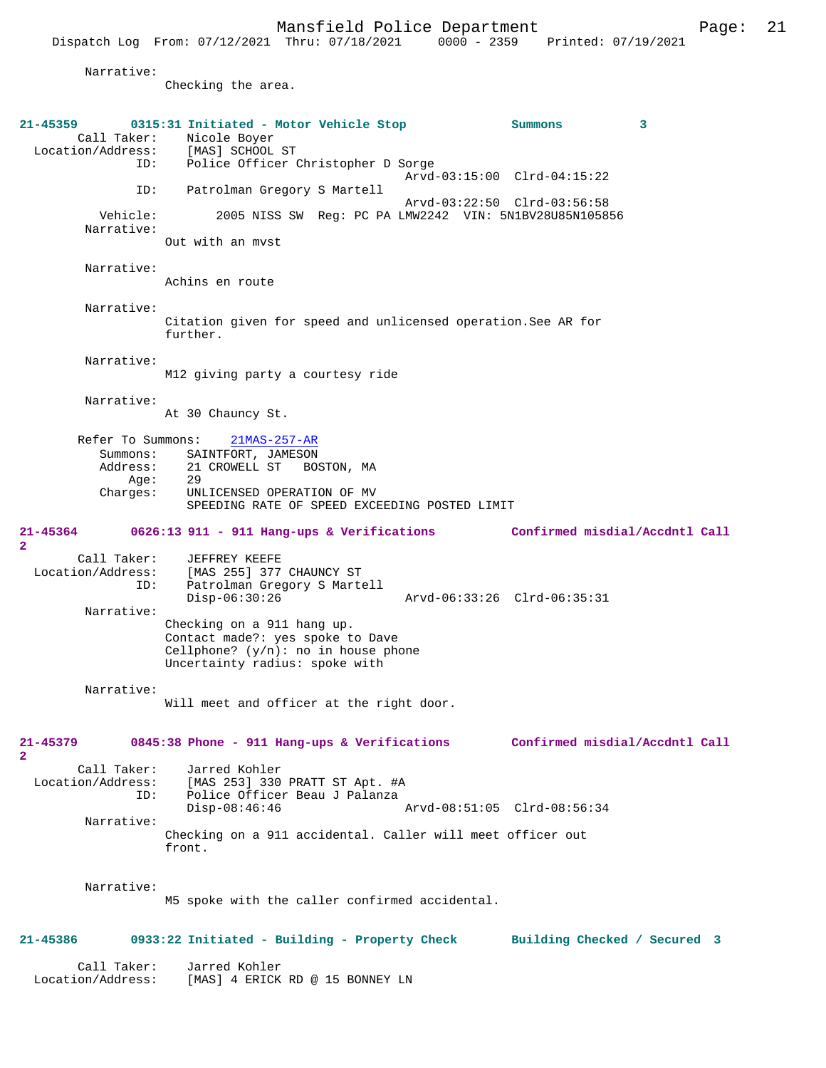|                                                               | Mansfield Police Department<br>Dispatch Log From: 07/12/2021 Thru: 07/18/2021 0000 - 2359 Printed: 07/19/2021                                                |                             |                                |   | Page: | 21 |
|---------------------------------------------------------------|--------------------------------------------------------------------------------------------------------------------------------------------------------------|-----------------------------|--------------------------------|---|-------|----|
| Narrative:                                                    | Checking the area.                                                                                                                                           |                             |                                |   |       |    |
| 21-45359<br>Call Taker:<br>ID:                                | 0315:31 Initiated - Motor Vehicle Stop<br>Nicole Boyer<br>Location/Address: [MAS] SCHOOL ST<br>Police Officer Christopher D Sorge                            | Arvd-03:15:00 Clrd-04:15:22 | Summons                        | 3 |       |    |
| ID:                                                           | Patrolman Gregory S Martell                                                                                                                                  | Arvd-03:22:50 Clrd-03:56:58 |                                |   |       |    |
| Vehicle:<br>Narrative:                                        | 2005 NISS SW Reg: PC PA LMW2242 VIN: 5N1BV28U85N105856<br>Out with an myst                                                                                   |                             |                                |   |       |    |
| Narrative:                                                    | Achins en route                                                                                                                                              |                             |                                |   |       |    |
| Narrative:                                                    | Citation given for speed and unlicensed operation. See AR for<br>further.                                                                                    |                             |                                |   |       |    |
| Narrative:                                                    | M12 giving party a courtesy ride                                                                                                                             |                             |                                |   |       |    |
| Narrative:                                                    | At 30 Chauncy St.                                                                                                                                            |                             |                                |   |       |    |
| Refer To Summons:<br>Summons:<br>Address:<br>Age:<br>Charges: | $21MAS - 257 - AR$<br>SAINTFORT, JAMESON<br>21 CROWELL ST<br>BOSTON, MA<br>29<br>UNLICENSED OPERATION OF MV<br>SPEEDING RATE OF SPEED EXCEEDING POSTED LIMIT |                             |                                |   |       |    |
| 21-45364<br>$\overline{a}$                                    | 0626:13 911 - 911 Hang-ups & Verifications                                                                                                                   |                             | Confirmed misdial/Accdntl Call |   |       |    |
| Call Taker:<br>Location/Address:<br>ID:                       | JEFFREY KEEFE<br>[MAS 255] 377 CHAUNCY ST<br>Patrolman Gregory S Martell<br>$Disp-06:30:26$                                                                  | Arvd-06:33:26 Clrd-06:35:31 |                                |   |       |    |
| Narrative:                                                    | Checking on a 911 hang up.<br>Contact made?: yes spoke to Dave<br>Cellphone? $(y/n)$ : no in house phone                                                     |                             |                                |   |       |    |

Narrative:

Will meet and officer at the right door.

Uncertainty radius: spoke with

#### **21-45379 0845:38 Phone - 911 Hang-ups & Verifications Confirmed misdial/Accdntl Call 2**

 Call Taker: Jarred Kohler Location/Address: [MAS 253] 330 PRATT ST Apt. #A ID: Police Officer Beau J Palanza Disp-08:46:46 Arvd-08:51:05 Clrd-08:56:34 Narrative:

Checking on a 911 accidental. Caller will meet officer out front.

Narrative:

**2** 

M5 spoke with the caller confirmed accidental.

### **21-45386 0933:22 Initiated - Building - Property Check Building Checked / Secured 3**

 Call Taker: Jarred Kohler Location/Address: [MAS] 4 ERICK RD @ 15 BONNEY LN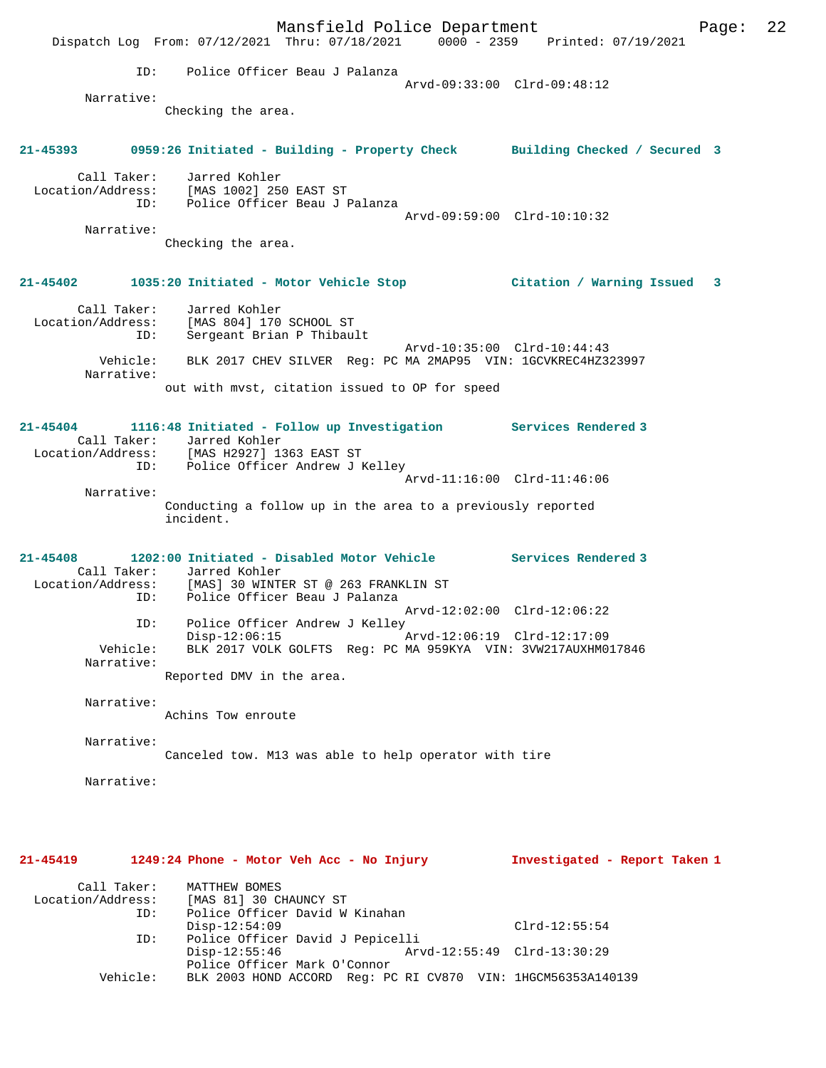Mansfield Police Department Fage: 22 Dispatch Log From: 07/12/2021 Thru: 07/18/2021 0000 - 2359 Printed: 07/19/2021 ID: Police Officer Beau J Palanza Arvd-09:33:00 Clrd-09:48:12 Narrative: Checking the area. **21-45393 0959:26 Initiated - Building - Property Check Building Checked / Secured 3** Call Taker: Jarred Kohler Location/Address: [MAS 1002] 250 EAST ST ID: Police Officer Beau J Palanza Arvd-09:59:00 Clrd-10:10:32 Narrative: Checking the area. **21-45402 1035:20 Initiated - Motor Vehicle Stop Citation / Warning Issued 3** Call Taker: Jarred Kohler Location/Address: [MAS 804] 170 SCHOOL ST ID: Sergeant Brian P Thibault Arvd-10:35:00 Clrd-10:44:43 Vehicle: BLK 2017 CHEV SILVER Reg: PC MA 2MAP95 VIN: 1GCVKREC4HZ323997 Narrative: out with mvst, citation issued to OP for speed **21-45404 1116:48 Initiated - Follow up Investigation Services Rendered 3**  Call Taker: Jarred Kohler Location/Address: [MAS H2927] 1363 EAST ST ID: Police Officer Andrew J Kelley Arvd-11:16:00 Clrd-11:46:06 Narrative: Conducting a follow up in the area to a previously reported incident. **21-45408 1202:00 Initiated - Disabled Motor Vehicle Services Rendered 3**  Call Taker: Jarred Kohler<br>Location/Address: [MAS] 30 WINTI ess: [MAS] 30 WINTER ST @ 263 FRANKLIN ST<br>ID: Police Officer Beau J Palanza Police Officer Beau J Palanza Arvd-12:02:00 Clrd-12:06:22 ID: Police Officer Andrew J Kelley<br>Disp-12:06:15 Disp-12:06:15 Arvd-12:06:19 Clrd-12:17:09 Vehicle: BLK 2017 VOLK GOLFTS Reg: PC MA 959KYA VIN: 3VW217AUXHM017846 Narrative: Reported DMV in the area. Narrative: Achins Tow enroute Narrative: Canceled tow. M13 was able to help operator with tire Narrative: **21-45419 1249:24 Phone - Motor Veh Acc - No Injury Investigated - Report Taken 1** Call Taker: MATTHEW BOMES<br>Location/Address: [MAS 81] 30 C [MAS 81] 30 CHAUNCY ST ID: Police Officer David W Kinahan Disp-12:54:09 Clrd-12:55:54<br>ID: Police Officer David J Pepicelli ID: Police Officer David J Pepicelli Disp-12:55:46 Arvd-12:55:49 Clrd-13:30:29 Police Officer Mark O'Connor Vehicle: BLK 2003 HOND ACCORD Reg: PC RI CV870 VIN: 1HGCM56353A140139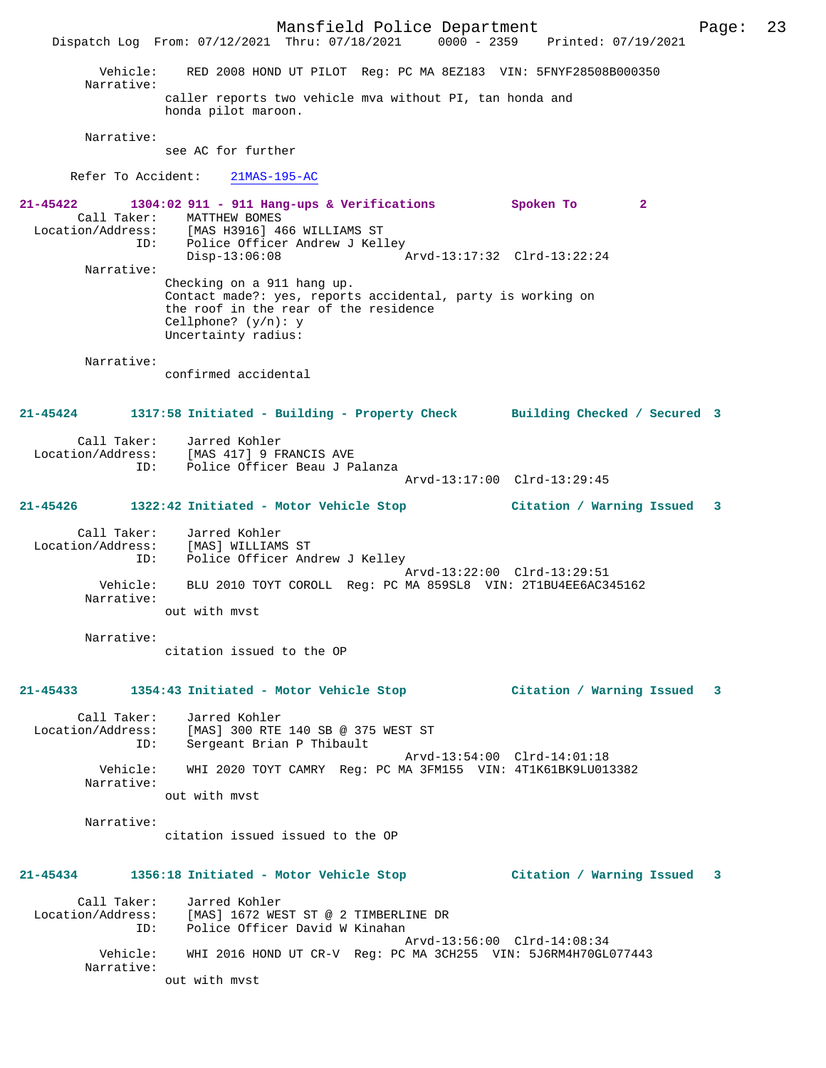Mansfield Police Department Page: 23 Dispatch Log From: 07/12/2021 Thru: 07/18/2021 0000 - 2359 Printed: 07/19/2021 Vehicle: RED 2008 HOND UT PILOT Reg: PC MA 8EZ183 VIN: 5FNYF28508B000350 Narrative: caller reports two vehicle mva without PI, tan honda and honda pilot maroon. Narrative: see AC for further Refer To Accident: 21MAS-195-AC **21-45422 1304:02 911 - 911 Hang-ups & Verifications Spoken To 2**  Call Taker: MATTHEW BOMES<br>Location/Address: [MAS H3916] 4 [MAS H3916] 466 WILLIAMS ST ID: Police Officer Andrew J Kelley Disp-13:06:08 Arvd-13:17:32 Clrd-13:22:24 Narrative: Checking on a 911 hang up. Contact made?: yes, reports accidental, party is working on the roof in the rear of the residence Cellphone? (y/n): y Uncertainty radius: Narrative: confirmed accidental **21-45424 1317:58 Initiated - Building - Property Check Building Checked / Secured 3** Call Taker: Jarred Kohler<br>Location/Address: [MAS 4171 9 FM [MAS 417] 9 FRANCIS AVE ID: Police Officer Beau J Palanza Arvd-13:17:00 Clrd-13:29:45 **21-45426 1322:42 Initiated - Motor Vehicle Stop Citation / Warning Issued 3** Call Taker: Jarred Kohler Location/Address: [MAS] WILLIAMS ST ID: Police Officer Andrew J Kelley Arvd-13:22:00 Clrd-13:29:51 Vehicle: BLU 2010 TOYT COROLL Reg: PC MA 859SL8 VIN: 2T1BU4EE6AC345162 Narrative: out with mvst Narrative: citation issued to the OP **21-45433 1354:43 Initiated - Motor Vehicle Stop Citation / Warning Issued 3** Call Taker: Jarred Kohler Location/Address: [MAS] 300 RTE 140 SB @ 375 WEST ST ID: Sergeant Brian P Thibault Arvd-13:54:00 Clrd-14:01:18<br>Vehicle: WHI 2020 TOYT CAMRY Reg: PC MA 3FM155 VIN: 4T1K61BK9LU01 WHI 2020 TOYT CAMRY Reg: PC MA 3FM155 VIN: 4T1K61BK9LU013382 Narrative: out with mvst Narrative: citation issued issued to the OP **21-45434 1356:18 Initiated - Motor Vehicle Stop Citation / Warning Issued 3** Call Taker: Jarred Kohler Location/Address: [MAS] 1672 WEST ST @ 2 TIMBERLINE DR ID: Police Officer David W Kinahan Arvd-13:56:00 Clrd-14:08:34<br>Vehicle: WHI 2016 HOND UT CR-V Reg: PC MA 3CH255 VIN: 5J6RM4H70GL WHI 2016 HOND UT CR-V Reg: PC MA 3CH255 VIN: 5J6RM4H70GL077443 Narrative: out with mvst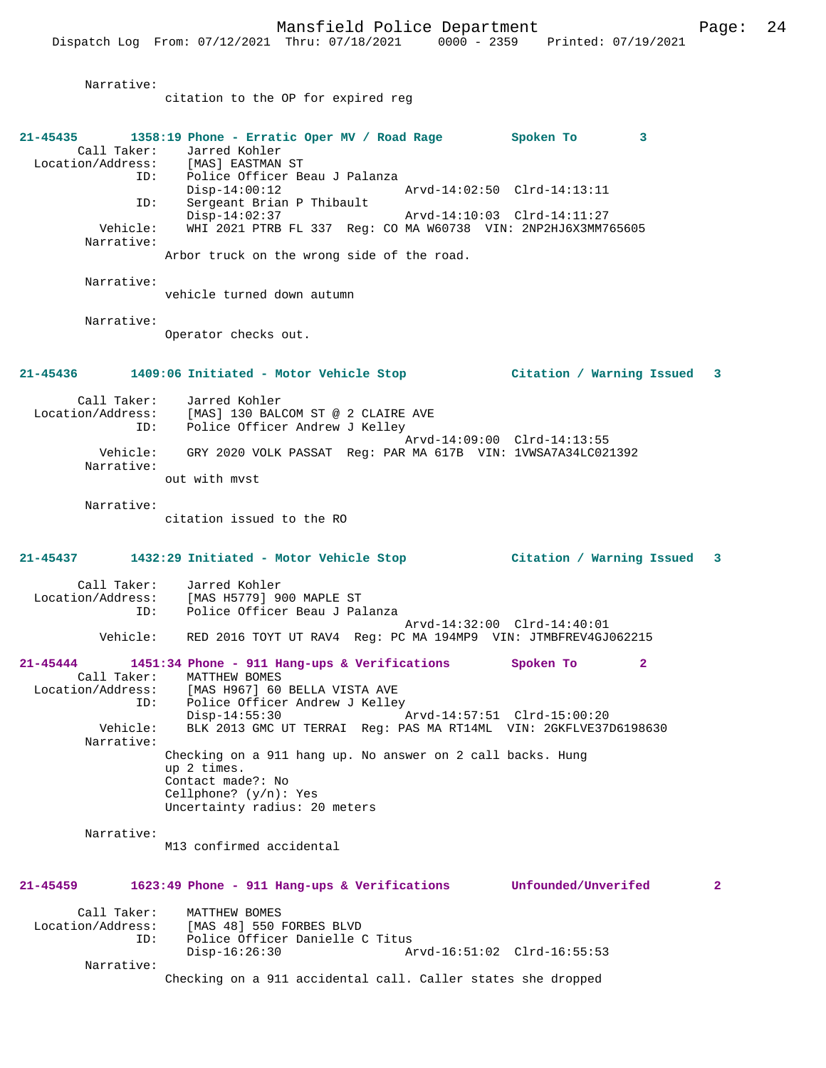Narrative: citation to the OP for expired reg **21-45435 1358:19 Phone - Erratic Oper MV / Road Rage Spoken To 3**  Call Taker: Jarred Kohler<br>Location/Address: [MAS] EASTMAN Location/Address: [MAS] EASTMAN ST ID: Police Officer Beau J Palanza Disp-14:00:12 Arvd-14:02:50 Clrd-14:13:11 ID: Sergeant Brian P Thibault Disp-14:02:37 Arvd-14:10:03 Clrd-14:11:27<br>Vehicle: WHI 2021 PTRB FL 337 Reg: CO MA W60738 VIN: 2NP2HJ6X3MM78 Vehicle: WHI 2021 PTRB FL 337 Reg: CO MA W60738 VIN: 2NP2HJ6X3MM765605 Narrative: Arbor truck on the wrong side of the road. Narrative: vehicle turned down autumn Narrative: Operator checks out. **21-45436 1409:06 Initiated - Motor Vehicle Stop Citation / Warning Issued 3** Call Taker: Jarred Kohler<br>Location/Address: [MAS] 130 BAL [MAS] 130 BALCOM ST @ 2 CLAIRE AVE ID: Police Officer Andrew J Kelley Arvd-14:09:00 Clrd-14:13:55 Vehicle: GRY 2020 VOLK PASSAT Reg: PAR MA 617B VIN: 1VWSA7A34LC021392 Narrative: out with mvst Narrative: citation issued to the RO **21-45437 1432:29 Initiated - Motor Vehicle Stop Citation / Warning Issued 3** Call Taker: Jarred Kohler<br>Location/Address: [MAS H5779] 9 ess: [MAS H5779] 900 MAPLE ST<br>ID: Police Officer Beau J Pa Indo Issex, 2002<br>Police Officer Beau J Palanza Arvd-14:32:00 Clrd-14:40:01 Vehicle: RED 2016 TOYT UT RAV4 Reg: PC MA 194MP9 VIN: JTMBFREV4GJ062215 **21-45444 1451:34 Phone - 911 Hang-ups & Verifications Spoken To 2**  Call Taker: MATTHEW BOMES Location/Address: [MAS H967] 60 BELLA VISTA AVE ID: Police Officer Andrew J Kelley Disp-14:55:30 Arvd-14:57:51 Clrd-15:00:20<br>Vehicle: BLK 2013 GMC UT TERRAI Req: PAS MA RT14ML VIN: 2GKFLVE37 BLK 2013 GMC UT TERRAI Reg: PAS MA RT14ML VIN: 2GKFLVE37D6198630 Narrative: Checking on a 911 hang up. No answer on 2 call backs. Hung up 2 times. Contact made?: No Cellphone? (y/n): Yes Uncertainty radius: 20 meters Narrative: M13 confirmed accidental **21-45459 1623:49 Phone - 911 Hang-ups & Verifications Unfounded/Unverifed 2** Call Taker: MATTHEW BOMES<br>Location/Address: [MAS 48] 550 1  $[MAS 48] 550 FORBES BLVD$  ID: Police Officer Danielle C Titus Disp-16:26:30 Arvd-16:51:02 Clrd-16:55:53 Narrative: Checking on a 911 accidental call. Caller states she dropped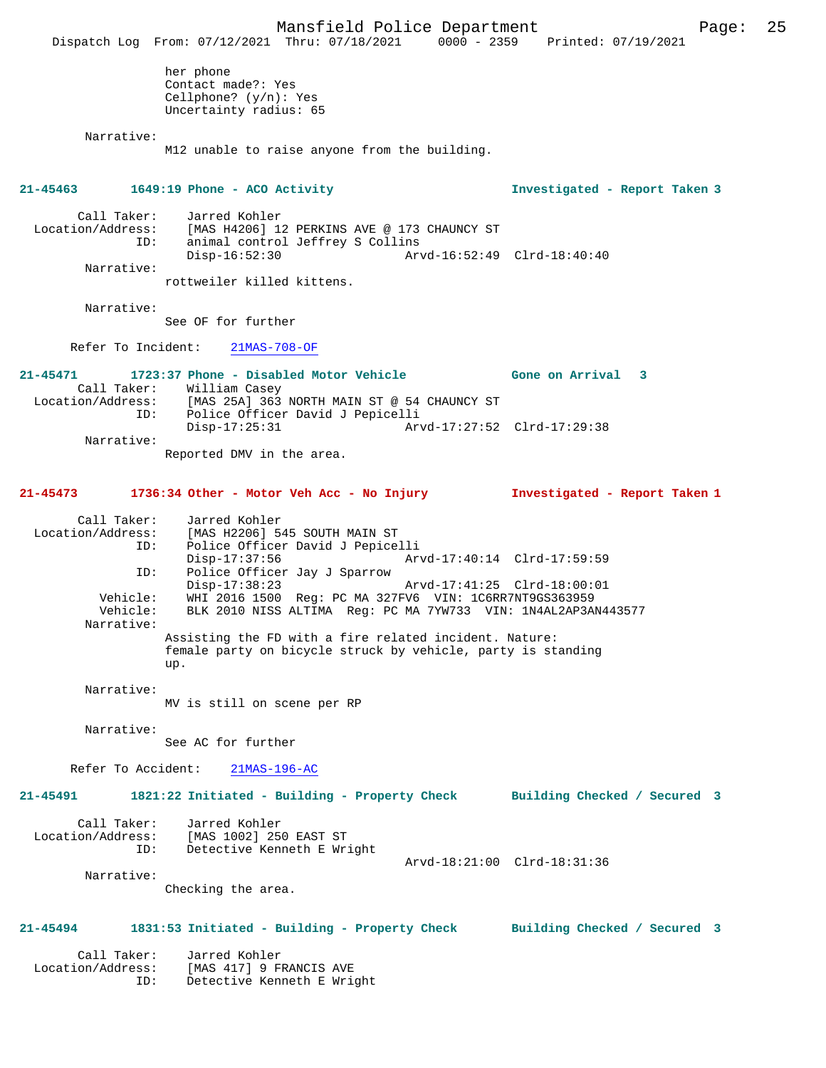Mansfield Police Department Page: 25 Dispatch Log From: 07/12/2021 Thru: 07/18/2021 0000 - 2359 Printed: 07/19/2021 her phone Contact made?: Yes Cellphone? (y/n): Yes Uncertainty radius: 65 Narrative: M12 unable to raise anyone from the building. **21-45463 1649:19 Phone - ACO Activity Investigated - Report Taken 3** Call Taker: Jarred Kohler Location/Address: [MAS H4206] 12 PERKINS AVE @ 173 CHAUNCY ST<br>ID: animal control Jeffrey S Collins<br>Disp-16:52:30 Arvd-16:52:49 animal control Jeffrey S Collins Disp-16:52:30 Arvd-16:52:49 Clrd-18:40:40 Narrative: rottweiler killed kittens. Narrative: See OF for further Refer To Incident: 21MAS-708-OF **21-45471 1723:37 Phone - Disabled Motor Vehicle Gone on Arrival 3**  Call Taker: William Casey Location/Address: [MAS 25A] 363 NORTH MAIN ST @ 54 CHAUNCY ST ID: Police Officer David J Pepicelli Disp-17:25:31 Arvd-17:27:52 Clrd-17:29:38 Narrative: Reported DMV in the area. **21-45473 1736:34 Other - Motor Veh Acc - No Injury Investigated - Report Taken 1** Call Taker: Jarred Kohler Location/Address: [MAS H2206] 545 SOUTH MAIN ST ID: Police Officer David J Pepicelli<br>Disp-17:37:56 Art Disp-17:37:56 Arvd-17:40:14 Clrd-17:59:59 ID: Police Officer Jay J Sparrow Disp-17:38:23 Arvd-17:41:25 Clrd-18:00:01 Vehicle: WHI 2016 1500 Reg: PC MA 327FV6 VIN: 1C6RR7NT9GS363959 Vehicle: BLK 2010 NISS ALTIMA Reg: PC MA 7YW733 VIN: 1N4AL2AP3AN443577 Narrative: Assisting the FD with a fire related incident. Nature: female party on bicycle struck by vehicle, party is standing up. Narrative: MV is still on scene per RP Narrative: See AC for further Refer To Accident: 21MAS-196-AC **21-45491 1821:22 Initiated - Building - Property Check Building Checked / Secured 3** Call Taker: Jarred Kohler Location/Address: [MAS 1002] 250 EAST ST ID: Detective Kenneth E Wright Arvd-18:21:00 Clrd-18:31:36 Narrative: Checking the area. **21-45494 1831:53 Initiated - Building - Property Check Building Checked / Secured 3** Call Taker: Jarred Kohler Location/Address: [MAS 417] 9 FRANCIS AVE ID: Detective Kenneth E Wright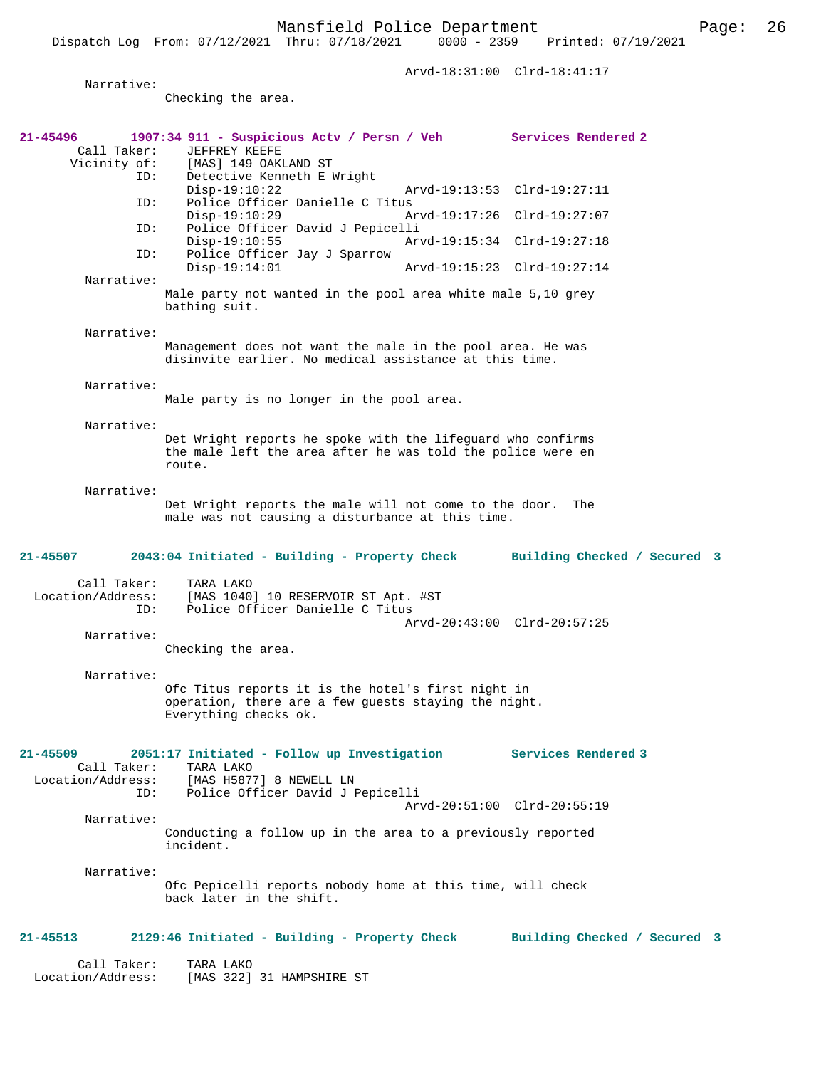Arvd-18:31:00 Clrd-18:41:17

| Narrative:                              | Checking the area.                                                                                                                                 |                             |                              |  |
|-----------------------------------------|----------------------------------------------------------------------------------------------------------------------------------------------------|-----------------------------|------------------------------|--|
|                                         |                                                                                                                                                    |                             |                              |  |
| 21-45496<br>Call Taker:                 | 1907:34 911 - Suspicious Actv / Persn / Veh Services Rendered 2<br>JEFFREY KEEFE                                                                   |                             |                              |  |
| ID:<br>ID:                              | Vicinity of: [MAS] 149 OAKLAND ST<br>ID: Detective Kenneth E I<br>Detective Kenneth E Wright<br>$Disp-19:10:22$<br>Police Officer Danielle C Titus |                             | Arvd-19:13:53 Clrd-19:27:11  |  |
|                                         | $Disp-19:10:29$                                                                                                                                    |                             | Arvd-19:17:26 Clrd-19:27:07  |  |
| ID:                                     | Police Officer David J Pepicelli<br>$Disp-19:10:55$                                                                                                | Arvd-19:15:34 Clrd-19:27:18 |                              |  |
| ID:                                     | Police Officer Jay J Sparrow<br>$Disp-19:14:01$                                                                                                    |                             | Arvd-19:15:23 Clrd-19:27:14  |  |
| Narrative:                              | Male party not wanted in the pool area white male 5,10 grey<br>bathing suit.                                                                       |                             |                              |  |
| Narrative:                              | Management does not want the male in the pool area. He was<br>disinvite earlier. No medical assistance at this time.                               |                             |                              |  |
| Narrative:                              | Male party is no longer in the pool area.                                                                                                          |                             |                              |  |
| Narrative:                              | Det Wright reports he spoke with the lifeguard who confirms<br>the male left the area after he was told the police were en<br>route.               |                             |                              |  |
| Narrative:                              |                                                                                                                                                    |                             |                              |  |
|                                         | Det Wright reports the male will not come to the door.<br>male was not causing a disturbance at this time.                                         |                             | The                          |  |
| 21-45507                                | 2043:04 Initiated - Building - Property Check Building Checked / Secured 3                                                                         |                             |                              |  |
| Call Taker:<br>Location/Address:<br>ID: | TARA LAKO<br>[MAS 1040] 10 RESERVOIR ST Apt. #ST<br>Police Officer Danielle C Titus                                                                |                             |                              |  |
| Narrative:                              | Checking the area.                                                                                                                                 |                             | Arvd-20:43:00 Clrd-20:57:25  |  |
| Narrative:                              | Ofc Titus reports it is the hotel's first night in<br>operation, there are a few quests staying the night.<br>Everything checks ok.                |                             |                              |  |
| 21-45509                                | 2051:17 Initiated - Follow up Investigation                                                                                                        |                             | <b>Services Rendered 3</b>   |  |
| Call Taker:<br>ID:                      | TARA LAKO<br>Location/Address: [MAS H5877] 8 NEWELL LN<br>Police Officer David J Pepicelli                                                         |                             |                              |  |
| Narrative:                              |                                                                                                                                                    |                             | Arvd-20:51:00 Clrd-20:55:19  |  |
|                                         | Conducting a follow up in the area to a previously reported<br>incident.                                                                           |                             |                              |  |
| Narrative:                              | Ofc Pepicelli reports nobody home at this time, will check<br>back later in the shift.                                                             |                             |                              |  |
| 21-45513                                | 2129:46 Initiated - Building - Property Check                                                                                                      |                             | Building Checked / Secured 3 |  |
| Call Taker:<br>Location/Address:        | TARA LAKO<br>[MAS 322] 31 HAMPSHIRE ST                                                                                                             |                             |                              |  |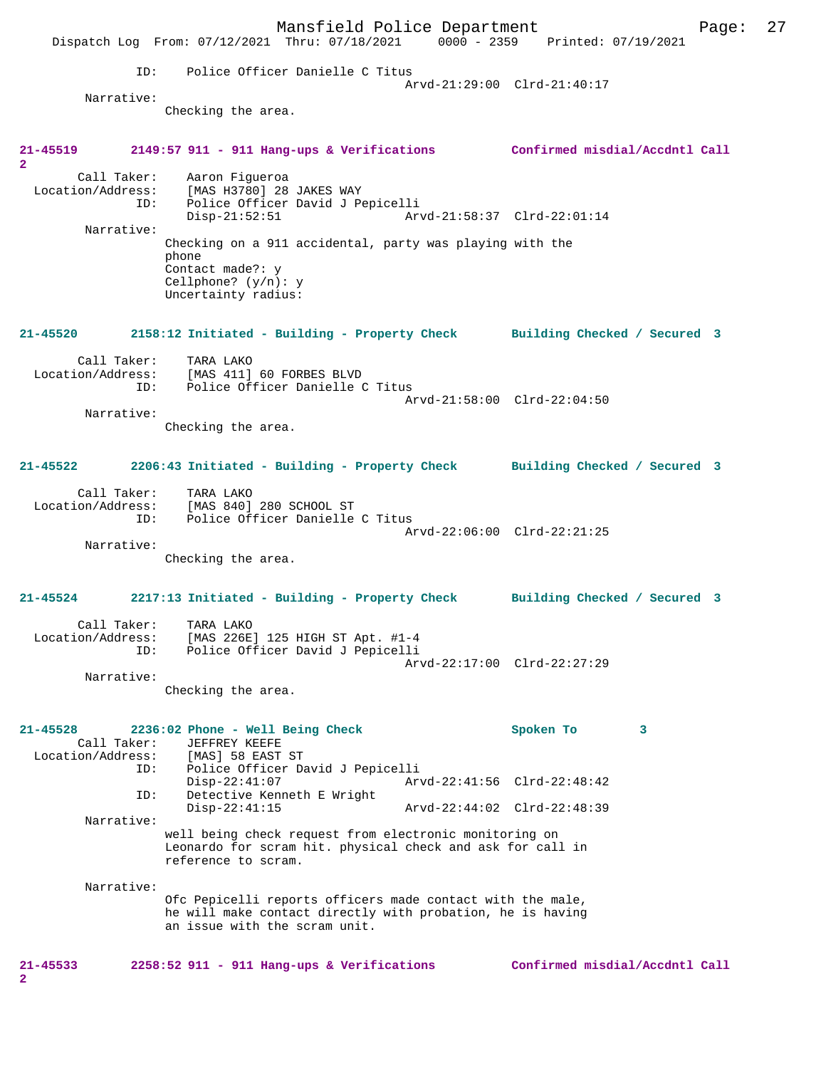|                                                  |            | Dispatch Log From: 07/12/2021 Thru: 07/18/2021 0000 - 2359 Printed: 07/19/2021                                                                            | Mansfield Police Department |                             |           |                                | Page: | 27 |
|--------------------------------------------------|------------|-----------------------------------------------------------------------------------------------------------------------------------------------------------|-----------------------------|-----------------------------|-----------|--------------------------------|-------|----|
|                                                  | ID:        | Police Officer Danielle C Titus                                                                                                                           |                             |                             |           |                                |       |    |
| Narrative:                                       |            |                                                                                                                                                           |                             | Arvd-21:29:00 Clrd-21:40:17 |           |                                |       |    |
|                                                  |            | Checking the area.                                                                                                                                        |                             |                             |           |                                |       |    |
| 21-45519<br>$\overline{2}$                       |            | 2149:57 911 - 911 Hang-ups & Verifications Confirmed misdial/Accdntl Call                                                                                 |                             |                             |           |                                |       |    |
|                                                  | ID:        | Call Taker: Aaron Fiqueroa<br>Location/Address: [MAS H3780] 28 JAKES WAY<br>Police Officer David J Pepicelli<br>$Disp-21:52:51$                           |                             | Arvd-21:58:37 Clrd-22:01:14 |           |                                |       |    |
| Narrative:                                       |            | Checking on a 911 accidental, party was playing with the<br>phone<br>Contact made?: y<br>Cellphone? $(y/n): y$<br>Uncertainty radius:                     |                             |                             |           |                                |       |    |
|                                                  |            | 21-45520 2158:12 Initiated - Building - Property Check Building Checked / Secured 3                                                                       |                             |                             |           |                                |       |    |
| Call Taker:<br>Location/Address:                 | ID:        | TARA LAKO<br>[MAS 411] 60 FORBES BLVD<br>Police Officer Danielle C Titus                                                                                  |                             | Arvd-21:58:00 Clrd-22:04:50 |           |                                |       |    |
| Narrative:                                       |            | Checking the area.                                                                                                                                        |                             |                             |           |                                |       |    |
|                                                  |            | 21-45522 2206:43 Initiated - Building - Property Check Building Checked / Secured 3                                                                       |                             |                             |           |                                |       |    |
| Call Taker:                                      | ID:        | TARA LAKO<br>Location/Address: [MAS 840] 280 SCHOOL ST<br>Police Officer Danielle C Titus                                                                 |                             | Arvd-22:06:00 Clrd-22:21:25 |           |                                |       |    |
| Narrative:                                       |            | Checking the area.                                                                                                                                        |                             |                             |           |                                |       |    |
|                                                  |            | 21-45524 2217:13 Initiated - Building - Property Check Building Checked / Secured 3                                                                       |                             |                             |           |                                |       |    |
| Location/Address:                                | ID:        | Call Taker: TARA LAKO<br>[MAS 226E] 125 HIGH ST Apt. #1-4<br>Police Officer David J Pepicelli                                                             |                             | Arvd-22:17:00 Clrd-22:27:29 |           |                                |       |    |
| Narrative:                                       |            | Checking the area.                                                                                                                                        |                             |                             |           |                                |       |    |
| $21 - 45528$<br>Call Taker:<br>Location/Address: |            | 2236:02 Phone - Well Being Check<br>JEFFREY KEEFE<br>[MAS] 58 EAST ST                                                                                     |                             |                             | Spoken To | 3                              |       |    |
|                                                  | ID:<br>ID: | Police Officer David J Pepicelli<br>$Disp-22:41:07$<br>Detective Kenneth E Wright                                                                         |                             | Arvd-22:41:56 Clrd-22:48:42 |           |                                |       |    |
| Narrative:                                       |            | $Disp-22:41:15$                                                                                                                                           |                             | Arvd-22:44:02 Clrd-22:48:39 |           |                                |       |    |
|                                                  |            | well being check request from electronic monitoring on<br>Leonardo for scram hit. physical check and ask for call in<br>reference to scram.               |                             |                             |           |                                |       |    |
| Narrative:                                       |            | Ofc Pepicelli reports officers made contact with the male,<br>he will make contact directly with probation, he is having<br>an issue with the scram unit. |                             |                             |           |                                |       |    |
| 21-45533<br>$\overline{\mathbf{2}}$              |            | $2258:52$ 911 - 911 Hang-ups & Verifications                                                                                                              |                             |                             |           | Confirmed misdial/Accdntl Call |       |    |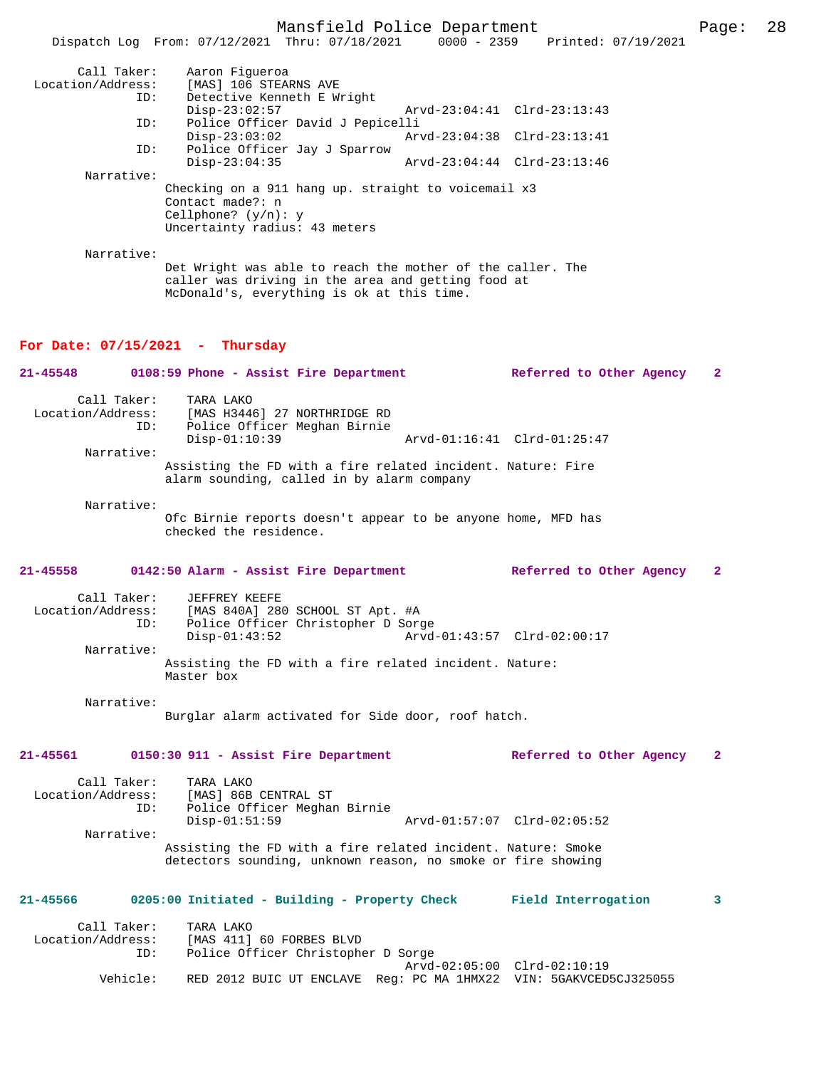|                                                |  | Mansfield Police Department |                                 | Page: 28 |  |
|------------------------------------------------|--|-----------------------------|---------------------------------|----------|--|
| Dispatch Log From: 07/12/2021 Thru: 07/18/2021 |  |                             | 0000 - 2359 Printed: 07/19/2021 |          |  |

| Call Taker:       | Aaron Fiqueroa                                                                                                   |                             |  |  |  |
|-------------------|------------------------------------------------------------------------------------------------------------------|-----------------------------|--|--|--|
| Location/Address: | [MAS] 106 STEARNS AVE                                                                                            |                             |  |  |  |
| ID:               | Detective Kenneth E Wright                                                                                       |                             |  |  |  |
|                   | $Disp-23:02:57$                                                                                                  | Arvd-23:04:41 Clrd-23:13:43 |  |  |  |
| ID:               | Police Officer David J Pepicelli                                                                                 |                             |  |  |  |
|                   | $Disp-23:03:02$                                                                                                  | Arvd-23:04:38 Clrd-23:13:41 |  |  |  |
| ID:               | Police Officer Jay J Sparrow                                                                                     |                             |  |  |  |
|                   | $Disp-23:04:35$                                                                                                  | Arvd-23:04:44 Clrd-23:13:46 |  |  |  |
| Narrative:        |                                                                                                                  |                             |  |  |  |
|                   | Checking on a 911 hang up. straight to voicemail x3                                                              |                             |  |  |  |
|                   | Contact made?: n                                                                                                 |                             |  |  |  |
|                   | Cellphone? $(y/n): y$                                                                                            |                             |  |  |  |
|                   | Uncertainty radius: 43 meters                                                                                    |                             |  |  |  |
|                   |                                                                                                                  |                             |  |  |  |
| Narrative:        |                                                                                                                  |                             |  |  |  |
|                   | Det Wright was able to reach the mother of the caller. The<br>caller was driving in the area and getting food at |                             |  |  |  |
|                   | McDonald's, everything is ok at this time.                                                                       |                             |  |  |  |

#### **For Date: 07/15/2021 - Thursday**

**21-45548 0108:59 Phone - Assist Fire Department Referred to Other Agency 2** Call Taker: TARA LAKO<br>Location/Address: [MAS H3446 Location/Address: [MAS H3446] 27 NORTHRIDGE RD ID: Police Officer Meghan Birnie Disp-01:10:39 Arvd-01:16:41 Clrd-01:25:47 Narrative: Assisting the FD with a fire related incident. Nature: Fire alarm sounding, called in by alarm company Narrative: Ofc Birnie reports doesn't appear to be anyone home, MFD has checked the residence.

# **21-45558 0142:50 Alarm - Assist Fire Department Referred to Other Agency 2**

| Call Taker:       | JEFFREY KEEFE                                                        |                             |
|-------------------|----------------------------------------------------------------------|-----------------------------|
| Location/Address: | [MAS 840A] 280 SCHOOL ST Apt. #A                                     |                             |
| ID:               | Police Officer Christopher D Sorge                                   |                             |
|                   | $Disp-01:43:52$                                                      | Arvd-01:43:57 Clrd-02:00:17 |
| Narrative:        |                                                                      |                             |
|                   | Assisting the FD with a fire related incident. Nature:<br>Master box |                             |

Narrative:

Burglar alarm activated for Side door, roof hatch.

#### **21-45561 0150:30 911 - Assist Fire Department Referred to Other Agency 2**

| Call Taker:<br>Location/Address: | TARA LAKO<br>[MAS] 86B CENTRAL ST                            |  |                             |  |
|----------------------------------|--------------------------------------------------------------|--|-----------------------------|--|
| ID:                              | Police Officer Meghan Birnie                                 |  |                             |  |
|                                  | $Disp-01:51:59$                                              |  | Arvd-01:57:07 Clrd-02:05:52 |  |
| Narrative:                       |                                                              |  |                             |  |
|                                  | Assisting the FD with a fire related incident. Nature: Smoke |  |                             |  |
|                                  | detectors sounding, unknown reason, no smoke or fire showing |  |                             |  |

# **21-45566 0205:00 Initiated - Building - Property Check Field Interrogation 3**

| Call Taker:<br>Location/Address:<br>ID: | TARA LAKO<br>[MAS 411] 60 FORBES BLVD<br>Police Officer Christopher D Sorge |                             |
|-----------------------------------------|-----------------------------------------------------------------------------|-----------------------------|
| Vehicle:                                | RED 2012 BUIC UT ENCLAVE Req: PC MA 1HMX22 VIN: 5GAKVCED5CJ325055           | Arvd-02:05:00 Clrd-02:10:19 |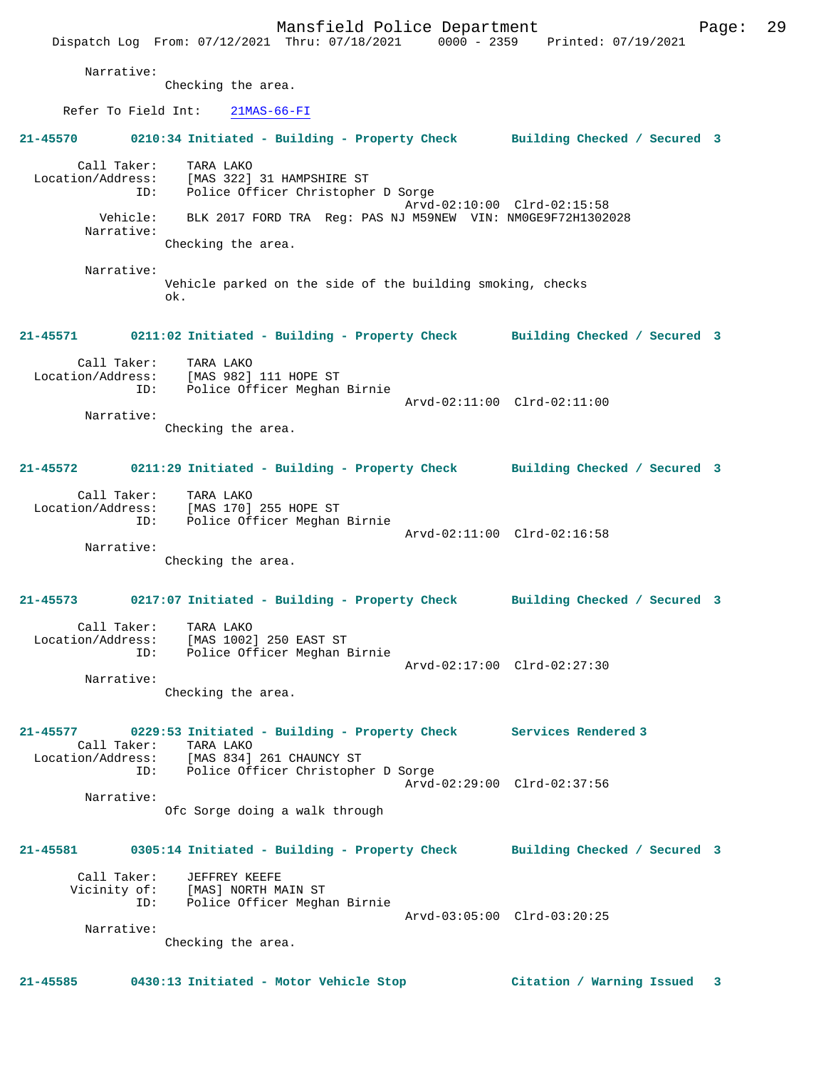|                                         |                                                                                                         | Mansfield Police Department                                          | Dispatch Log From: 07/12/2021 Thru: 07/18/2021 0000 - 2359 Printed: 07/19/2021      | 29<br>Page:             |
|-----------------------------------------|---------------------------------------------------------------------------------------------------------|----------------------------------------------------------------------|-------------------------------------------------------------------------------------|-------------------------|
| Narrative:                              | Checking the area.                                                                                      |                                                                      |                                                                                     |                         |
|                                         |                                                                                                         |                                                                      |                                                                                     |                         |
| Refer To Field Int:                     | $21MAS-66-FI$                                                                                           |                                                                      |                                                                                     |                         |
| 21-45570                                |                                                                                                         |                                                                      | 0210:34 Initiated - Building - Property Check Building Checked / Secured 3          |                         |
| Call Taker:<br>Location/Address:<br>ID: | TARA LAKO<br>[MAS 322] 31 HAMPSHIRE ST<br>Police Officer Christopher D Sorge                            |                                                                      | Arvd-02:10:00 Clrd-02:15:58                                                         |                         |
| Narrative:                              | Checking the area.                                                                                      | Vehicle: BLK 2017 FORD TRA Req: PAS NJ M59NEW VIN: NM0GE9F72H1302028 |                                                                                     |                         |
|                                         |                                                                                                         |                                                                      |                                                                                     |                         |
| Narrative:                              | ok.                                                                                                     | Vehicle parked on the side of the building smoking, checks           |                                                                                     |                         |
|                                         |                                                                                                         |                                                                      | 21-45571 0211:02 Initiated - Building - Property Check Building Checked / Secured 3 |                         |
|                                         | Call Taker: TARA LAKO<br>Location/Address: [MAS 982] 111 HOPE ST<br>Police Officer Meghan Birnie<br>ID: |                                                                      | Arvd-02:11:00 Clrd-02:11:00                                                         |                         |
| Narrative:                              | Checking the area.                                                                                      |                                                                      |                                                                                     |                         |
| $21 - 45572$                            |                                                                                                         |                                                                      | 0211:29 Initiated - Building - Property Check Building Checked / Secured 3          |                         |
|                                         | Call Taker: TARA LAKO<br>Location/Address: [MAS 170] 255 HOPE ST<br>ID: Police Officer Meghan Birnie    |                                                                      | Arvd-02:11:00 Clrd-02:16:58                                                         |                         |
| Narrative:                              | Checking the area.                                                                                      |                                                                      |                                                                                     |                         |
|                                         |                                                                                                         |                                                                      | 21-45573 0217:07 Initiated - Building - Property Check Building Checked / Secured 3 |                         |
| Call Taker:<br>Location/Address:<br>ID: | TARA LAKO<br>[MAS 1002] 250 EAST ST<br>Police Officer Meghan Birnie                                     |                                                                      | Arvd-02:17:00 Clrd-02:27:30                                                         |                         |
| Narrative:                              | Checking the area.                                                                                      |                                                                      |                                                                                     |                         |
| $21 - 45577$<br>Call Taker:             | TARA LAKO                                                                                               | 0229:53 Initiated - Building - Property Check Services Rendered 3    |                                                                                     |                         |
|                                         | Location/Address: [MAS 834] 261 CHAUNCY ST<br>ID: Police Officer Christopher D Sorge                    |                                                                      | Arvd-02:29:00 Clrd-02:37:56                                                         |                         |
| Narrative:                              | Ofc Sorge doing a walk through                                                                          |                                                                      |                                                                                     |                         |
| 21-45581                                |                                                                                                         |                                                                      | 0305:14 Initiated - Building - Property Check Building Checked / Secured 3          |                         |
|                                         | Call Taker: JEFFREY KEEFE<br>Vicinity of: [MAS] NORTH MAIN ST<br>ID: Police Officer Meghan Birnie       |                                                                      |                                                                                     |                         |
| Narrative:                              |                                                                                                         |                                                                      | Arvd-03:05:00 Clrd-03:20:25                                                         |                         |
|                                         | Checking the area.                                                                                      |                                                                      |                                                                                     |                         |
| $21 - 45585$                            | 0430:13 Initiated - Motor Vehicle Stop                                                                  |                                                                      | Citation / Warning Issued                                                           | $\overline{\mathbf{3}}$ |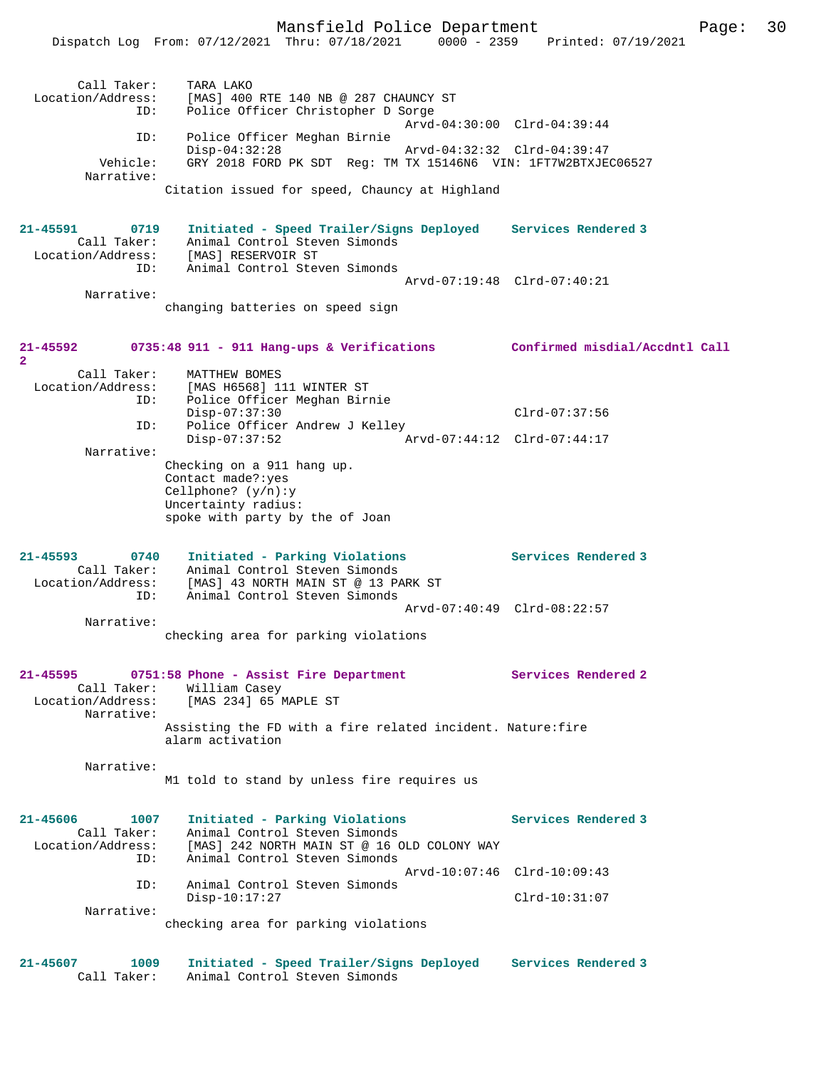Mansfield Police Department Page: 30 Dispatch Log From: 07/12/2021 Thru: 07/18/2021 0000 - 2359 Printed: 07/19/2021 Call Taker: TARA LAKO Location/Address: [MAS] 400 RTE 140 NB @ 287 CHAUNCY ST ID: Police Officer Christopher D Sorge Arvd-04:30:00 Clrd-04:39:44 ID: Police Officer Meghan Birnie Disp-04:32:28 Arvd-04:32:32 Clrd-04:39:47<br>Vehicle: GRY 2018 FORD PK SDT Reg: TM TX 15146N6 VIN: 1FT7W2BTXJE GRY 2018 FORD PK SDT Reg: TM TX 15146N6 VIN: 1FT7W2BTXJEC06527 Narrative: Citation issued for speed, Chauncy at Highland **21-45591 0719 Initiated - Speed Trailer/Signs Deployed Services Rendered 3**  Call Taker: Animal Control Steven Simonds Location/Address: [MAS] RESERVOIR ST ID: Animal Control Steven Simonds Arvd-07:19:48 Clrd-07:40:21 Narrative: changing batteries on speed sign **21-45592 0735:48 911 - 911 Hang-ups & Verifications Confirmed misdial/Accdntl Call 2**  Call Taker: MATTHEW BOMES<br>Location/Address: [MAS H6568] 1 [MAS H6568] 111 WINTER ST ID: Police Officer Meghan Birnie Disp-07:37:30 Clrd-07:37:56 ID: Police Officer Andrew J Kelley Disp-07:37:52 Arvd-07:44:12 Clrd-07:44:17 Narrative: Checking on a 911 hang up. Contact made?:yes Cellphone? (y/n):y Uncertainty radius: spoke with party by the of Joan **21-45593 0740 Initiated - Parking Violations Services Rendered 3**  Call Taker: Animal Control Steven Simonds Location/Address: [MAS] 43 NORTH MAIN ST @ 13 PARK ST ESS: ITHET IS ITHER STREAM SIMONDS Arvd-07:40:49 Clrd-08:22:57 Narrative: checking area for parking violations **21-45595 0751:58 Phone - Assist Fire Department Services Rendered 2**  Call Taker: William Casey<br>Location/Address: [MAS 234] 65 M [MAS 234] 65 MAPLE ST Narrative: Assisting the FD with a fire related incident. Nature:fire alarm activation Narrative: M1 told to stand by unless fire requires us **21-45606 1007 Initiated - Parking Violations Services Rendered 3**  Call Taker: Animal Control Steven Simonds Location/Address: [MAS] 242 NORTH MAIN ST @ 16 OLD COLONY WAY ID: Animal Control Steven Simonds Arvd-10:07:46 Clrd-10:09:43 ID: Animal Control Steven Simonds Disp-10:17:27 Clrd-10:31:07 Narrative: checking area for parking violations **21-45607 1009 Initiated - Speed Trailer/Signs Deployed Services Rendered 3**  Call Taker: Animal Control Steven Simonds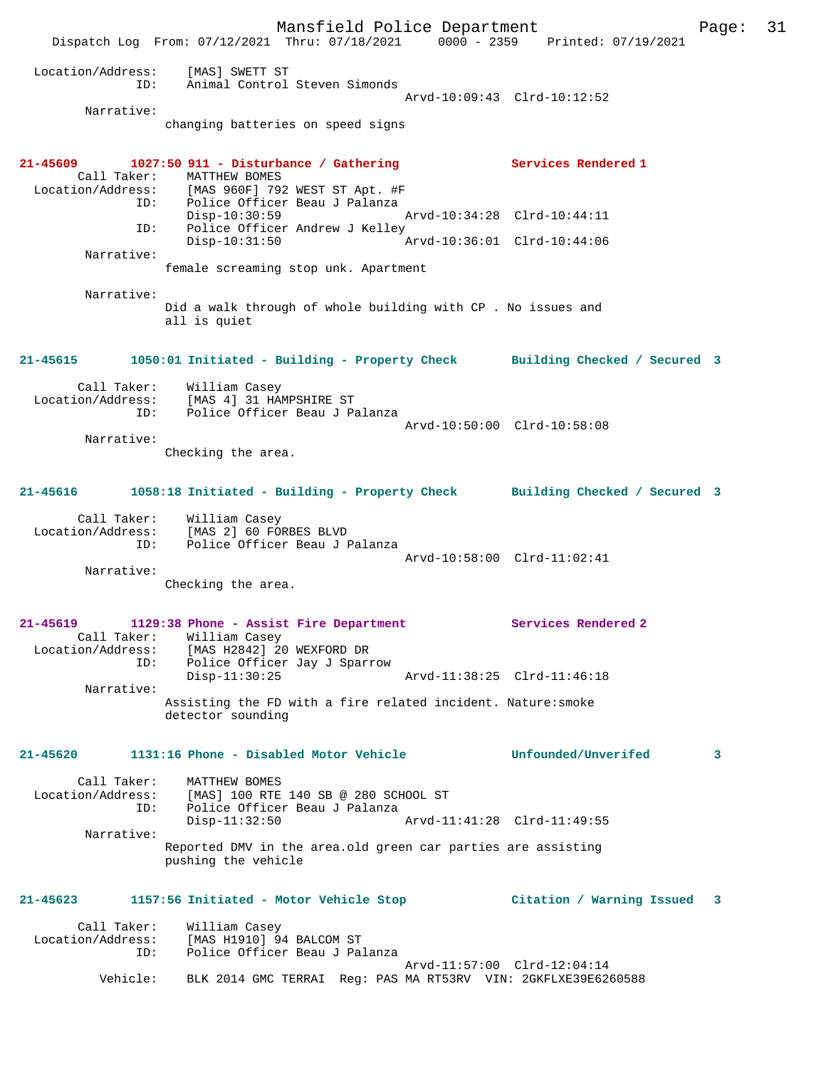Mansfield Police Department Page: 31 Dispatch Log From: 07/12/2021 Thru: 07/18/2021 0000 - 2359 Printed: 07/19/2021 Location/Address: [MAS] SWETT ST ID: Animal Control Steven Simonds Arvd-10:09:43 Clrd-10:12:52 Narrative: changing batteries on speed signs **21-45609 1027:50 911 - Disturbance / Gathering Services Rendered 1**  Call Taker: MATTHEW BOMES Location/Address: [MAS 960F] 792 WEST ST Apt. #F ID: Police Officer Beau J Palanza Disp-10:30:59 Arvd-10:34:28 Clrd-10:44:11 ID: Police Officer Andrew J Kelley Disp-10:31:50 Arvd-10:36:01 Clrd-10:44:06 Narrative: female screaming stop unk. Apartment Narrative: Did a walk through of whole building with CP . No issues and all is quiet **21-45615 1050:01 Initiated - Building - Property Check Building Checked / Secured 3** Call Taker: William Casey Location/Address: [MAS 4] 31 HAMPSHIRE ST<br>TD: Police Officer Beau J Pa Police Officer Beau J Palanza Arvd-10:50:00 Clrd-10:58:08 Narrative: Checking the area. **21-45616 1058:18 Initiated - Building - Property Check Building Checked / Secured 3** Call Taker: William Casey Location/Address: [MAS 2] 60 FORBES BLVD ID: Police Officer Beau J Palanza Arvd-10:58:00 Clrd-11:02:41 Narrative: Checking the area. **21-45619 1129:38 Phone - Assist Fire Department Services Rendered 2**  Call Taker: William Casey Location/Address: [MAS H2842] 20 WEXFORD DR ID: Police Officer Jay J Sparrow Disp-11:30:25 Arvd-11:38:25 Clrd-11:46:18 Narrative: Assisting the FD with a fire related incident. Nature:smoke detector sounding **21-45620 1131:16 Phone - Disabled Motor Vehicle Unfounded/Unverifed 3** Call Taker: MATTHEW BOMES Location/Address: [MAS] 100 RTE 140 SB @ 280 SCHOOL ST ID: Police Officer Beau J Palanza Disp-11:32:50 Arvd-11:41:28 Clrd-11:49:55 Narrative: Reported DMV in the area.old green car parties are assisting pushing the vehicle **21-45623 1157:56 Initiated - Motor Vehicle Stop Citation / Warning Issued 3** Call Taker: William Casey<br>Location/Address: [MAS H1910] 94 ess: [MAS H1910] 94 BALCOM ST<br>ID: Police Officer Beau و Police Officer Police Officer Beau J Palanza Arvd-11:57:00 Clrd-12:04:14 Vehicle: BLK 2014 GMC TERRAI Reg: PAS MA RT53RV VIN: 2GKFLXE39E6260588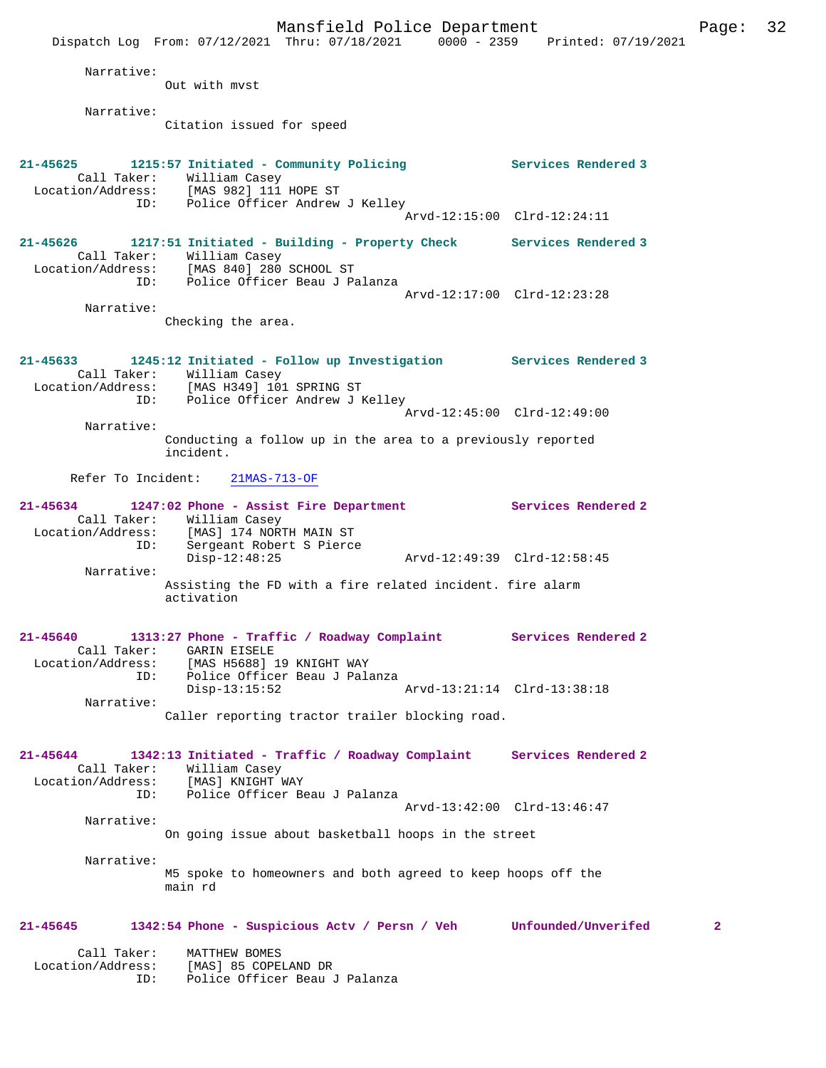Mansfield Police Department Form Page: 32 Dispatch Log From: 07/12/2021 Thru: 07/18/2021 0000 - 2359 Printed: 07/19/2021 Narrative: Out with mvst Narrative: Citation issued for speed **21-45625 1215:57 Initiated - Community Policing Services Rendered 3**  Call Taker: William Casey Location/Address: [MAS 982] 111 HOPE ST ID: Police Officer Andrew J Kelley Arvd-12:15:00 Clrd-12:24:11 **21-45626 1217:51 Initiated - Building - Property Check Services Rendered 3**  Call Taker: William Casey<br>ion (Address: [MAC 840] 280 Location/Address: [MAS 840] 280 SCHOOL ST ID: Police Officer Beau J Palanza Arvd-12:17:00 Clrd-12:23:28 Narrative: Checking the area. **21-45633 1245:12 Initiated - Follow up Investigation Services Rendered 3**  Call Taker: William Casey<br>Location/Address: [MAS H349] 10 [MAS H349] 101 SPRING ST ID: Police Officer Andrew J Kelley Arvd-12:45:00 Clrd-12:49:00 Narrative: Conducting a follow up in the area to a previously reported incident. Refer To Incident: 21MAS-713-OF **21-45634 1247:02 Phone - Assist Fire Department Services Rendered 2**  Call Taker: William Casey Location/Address: [MAS] 174 NORTH MAIN ST ID: Sergeant Robert S Pierce Disp-12:48:25 Arvd-12:49:39 Clrd-12:58:45 Narrative: Assisting the FD with a fire related incident. fire alarm activation **21-45640 1313:27 Phone - Traffic / Roadway Complaint Services Rendered 2**  Call Taker: GARIN EISELE<br>Location/Address: [MAS H5688] ess: [MAS H5688] 19 KNIGHT WAY<br>ID: Police Officer Beau J Pala Police Officer Beau J Palanza Disp-13:15:52 Arvd-13:21:14 Clrd-13:38:18 Narrative: Caller reporting tractor trailer blocking road. **21-45644 1342:13 Initiated - Traffic / Roadway Complaint Services Rendered 2**  Call Taker: William Casey Location/Address: [MAS] KNIGHT WAY ID: Police Officer Beau J Palanza Arvd-13:42:00 Clrd-13:46:47 Narrative: On going issue about basketball hoops in the street Narrative: M5 spoke to homeowners and both agreed to keep hoops off the main rd **21-45645 1342:54 Phone - Suspicious Actv / Persn / Veh Unfounded/Unverifed 2** Call Taker: MATTHEW BOMES Location/Address: [MAS] 85 COPELAND DR ID: Police Officer Beau J Palanza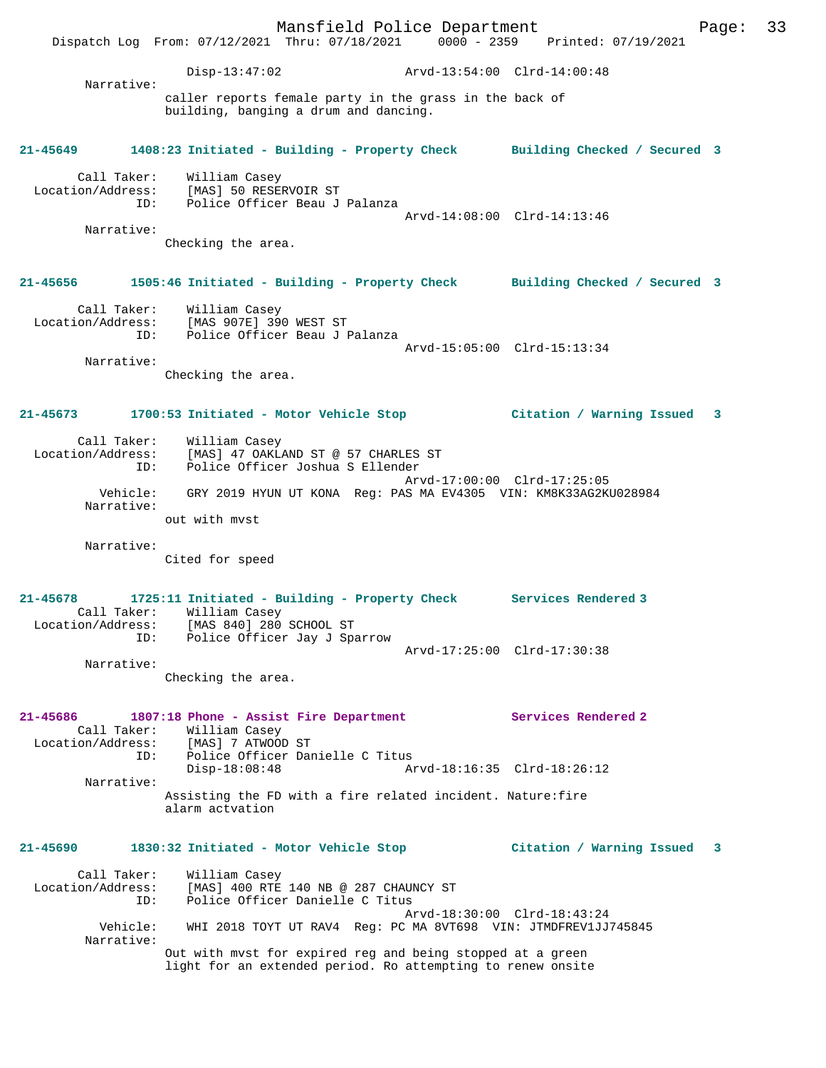Mansfield Police Department Page: 33 Dispatch Log From: 07/12/2021 Thru: 07/18/2021 0000 - 2359 Printed: 07/19/2021 Disp-13:47:02 Arvd-13:54:00 Clrd-14:00:48 Narrative: caller reports female party in the grass in the back of building, banging a drum and dancing. **21-45649 1408:23 Initiated - Building - Property Check Building Checked / Secured 3** Call Taker: William Casey Location/Address: [MAS] 50 RESERVOIR ST ID: Police Officer Beau J Palanza Arvd-14:08:00 Clrd-14:13:46 Narrative: Checking the area. **21-45656 1505:46 Initiated - Building - Property Check Building Checked / Secured 3** Call Taker: William Casey Location/Address: [MAS 907E] 390 WEST ST ID: Police Officer Beau J Palanza Arvd-15:05:00 Clrd-15:13:34 Narrative: Checking the area. **21-45673 1700:53 Initiated - Motor Vehicle Stop Citation / Warning Issued 3** Call Taker: William Casey Location/Address: [MAS] 47 OAKLAND ST @ 57 CHARLES ST ID: Police Officer Joshua S Ellender Arvd-17:00:00 Clrd-17:25:05 Vehicle: GRY 2019 HYUN UT KONA Reg: PAS MA EV4305 VIN: KM8K33AG2KU028984 Narrative: out with mvst Narrative: Cited for speed **21-45678 1725:11 Initiated - Building - Property Check Services Rendered 3**  Call Taker: William Casey Location/Address: [MAS 840] 280 SCHOOL ST ID: Police Officer Jay J Sparrow Arvd-17:25:00 Clrd-17:30:38 Narrative: Checking the area. **21-45686 1807:18 Phone - Assist Fire Department Services Rendered 2**  Call Taker: William Casey<br>:ion/Address: [MAS] 7 ATWOOD ST Location/Address: ID: Police Officer Danielle C Titus Disp-18:08:48 Arvd-18:16:35 Clrd-18:26:12 Narrative: Assisting the FD with a fire related incident. Nature:fire alarm actvation **21-45690 1830:32 Initiated - Motor Vehicle Stop Citation / Warning Issued 3** Call Taker: William Casey Location/Address: [MAS] 400 RTE 140 NB @ 287 CHAUNCY ST ID: Police Officer Danielle C Titus Arvd-18:30:00 Clrd-18:43:24<br>Vebicle: WHI 2018 TOYT IT RAV4 Req: PC MA 8VT698 VIN: JTMDFREV1JJJ WHI 2018 TOYT UT RAV4 Reg: PC MA 8VT698 VIN: JTMDFREV1JJ745845 Narrative: Out with mvst for expired reg and being stopped at a green light for an extended period. Ro attempting to renew onsite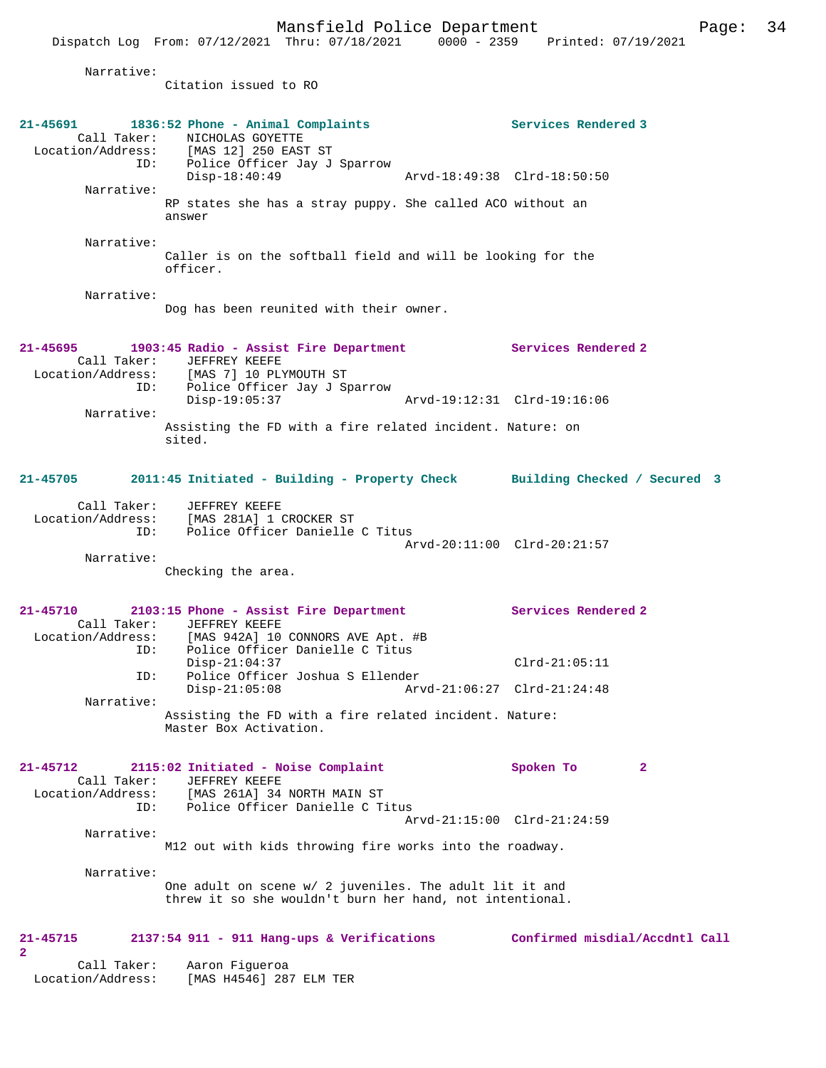|                                                                          | Mansfield Police Department<br>Dispatch Log From: 07/12/2021 Thru: 07/18/2021 0000 - 2359 Printed: 07/19/2021                                                                                                                                                              | Page:                                                                 | -34 |
|--------------------------------------------------------------------------|----------------------------------------------------------------------------------------------------------------------------------------------------------------------------------------------------------------------------------------------------------------------------|-----------------------------------------------------------------------|-----|
| Narrative:                                                               | Citation issued to RO                                                                                                                                                                                                                                                      |                                                                       |     |
| Narrative:                                                               | 21-45691 1836:52 Phone - Animal Complaints<br>Call Taker: NICHOLAS GOYETTE<br>Location/Address: [MAS 12] 250 EAST ST<br>ID: Police Officer Jay J Sparrow<br>$Disp-18:40:49$<br>RP states she has a stray puppy. She called ACO without an<br>answer                        | Services Rendered 3<br>Arvd-18:49:38 Clrd-18:50:50                    |     |
| Narrative:                                                               | Caller is on the softball field and will be looking for the<br>officer.                                                                                                                                                                                                    |                                                                       |     |
| Narrative:                                                               | Dog has been reunited with their owner.                                                                                                                                                                                                                                    |                                                                       |     |
| Narrative:                                                               | 21-45695 1903:45 Radio - Assist Fire Department Services Rendered 2<br>Call Taker: JEFFREY KEEFE<br>Location/Address: [MAS 7] 10 PLYMOUTH ST<br>ID: Police Officer Jay J Sparrow<br>$Disp-19:05:37$<br>Assisting the FD with a fire related incident. Nature: on<br>sited. | Arvd-19:12:31 Clrd-19:16:06                                           |     |
|                                                                          | 21-45705 2011:45 Initiated - Building - Property Check Building Checked / Secured 3                                                                                                                                                                                        |                                                                       |     |
| ID:<br>Narrative:                                                        | Call Taker: JEFFREY KEEFE<br>Location/Address: [MAS 281A] 1 CROCKER ST<br>Police Officer Danielle C Titus<br>Checking the area.                                                                                                                                            | Arvd-20:11:00 Clrd-20:21:57                                           |     |
| 21-45710<br>Call Taker:<br>Location/Address:<br>ID:<br>ID:<br>Narrative: | 2103:15 Phone - Assist Fire Department<br>JEFFREY KEEFE<br>[MAS 942A] 10 CONNORS AVE Apt. #B<br>Police Officer Danielle C Titus<br>$Disp-21:04:37$<br>Police Officer Joshua S Ellender<br>$Disp-21:05:08$<br>Assisting the FD with a fire related incident. Nature:        | Services Rendered 2<br>$Clrd-21:05:11$<br>Arvd-21:06:27 Clrd-21:24:48 |     |
| $21 - 45712$<br>Call Taker:<br>Location/Address:                         | Master Box Activation.<br>2115:02 Initiated - Noise Complaint<br>JEFFREY KEEFE<br>[MAS 261A] 34 NORTH MAIN ST                                                                                                                                                              | Spoken To<br>$\mathbf{2}$                                             |     |
| ID:<br>Narrative:                                                        | Police Officer Danielle C Titus<br>M12 out with kids throwing fire works into the roadway.                                                                                                                                                                                 | Arvd-21:15:00 Clrd-21:24:59                                           |     |
| Narrative:                                                               | One adult on scene w/ 2 juveniles. The adult lit it and<br>threw it so she wouldn't burn her hand, not intentional.                                                                                                                                                        |                                                                       |     |

# **21-45715 2137:54 911 - 911 Hang-ups & Verifications Confirmed misdial/Accdntl Call 2**

 Call Taker: Aaron Figueroa Location/Address: [MAS H4546] 287 ELM TER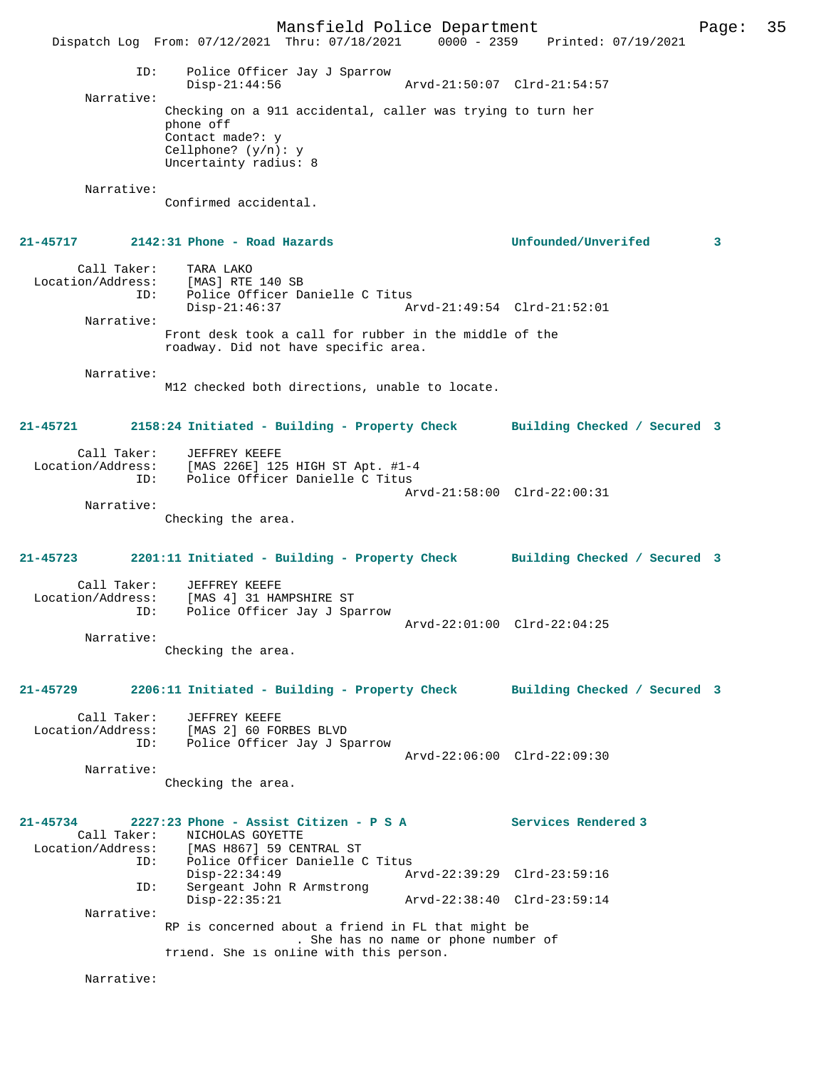Mansfield Police Department Page: 35 Dispatch Log From: 07/12/2021 Thru: 07/18/2021 0000 - 2359 Printed: 07/19/2021 ID: Police Officer Jay J Sparrow Disp-21:44:56 Arvd-21:50:07 Clrd-21:54:57 Narrative: Checking on a 911 accidental, caller was trying to turn her phone off Contact made?: y Cellphone? (y/n): y Uncertainty radius: 8 Narrative: Confirmed accidental. **21-45717 2142:31 Phone - Road Hazards Unfounded/Unverifed 3** Call Taker: TARA LAKO Location/Address: [MAS] RTE 140 SB ID: Police Officer Danielle C Titus Disp-21:46:37 Arvd-21:49:54 Clrd-21:52:01 Narrative: Front desk took a call for rubber in the middle of the roadway. Did not have specific area. Narrative: M12 checked both directions, unable to locate. **21-45721 2158:24 Initiated - Building - Property Check Building Checked / Secured 3** Call Taker: JEFFREY KEEFE Location/Address: [MAS 226E] 125 HIGH ST Apt. #1-4 ID: Police Officer Danielle C Titus Arvd-21:58:00 Clrd-22:00:31 Narrative: Checking the area. **21-45723 2201:11 Initiated - Building - Property Check Building Checked / Secured 3** Call Taker: JEFFREY KEEFE Location/Address: [MAS 4] 31 HAMPSHIRE ST ID: Police Officer Jay J Sparrow Arvd-22:01:00 Clrd-22:04:25 Narrative: Checking the area. **21-45729 2206:11 Initiated - Building - Property Check Building Checked / Secured 3** Call Taker: JEFFREY KEEFE Location/Address: [MAS 2] 60 FORBES BLVD ID: Police Officer Jay J Sparrow Arvd-22:06:00 Clrd-22:09:30 Narrative: Checking the area. **21-45734 2227:23 Phone - Assist Citizen - P S A Services Rendered 3**  Call Taker: NICHOLAS GOYETTE<br>Location/Address: [MAS H867] 59 CEI [MAS H867] 59 CENTRAL ST ID: Police Officer Danielle C Titus Disp-22:34:49 Arvd-22:39:29 Clrd-23:59:16<br>ID: Sergeant John R Armstrong Sergeant John R Armstrong<br>Disp-22:35:21 Disp-22:35:21 Arvd-22:38:40 Clrd-23:59:14 Narrative: RP is concerned about a friend in FL that might be . She has no name or phone number of friend. She is online with this person. Narrative: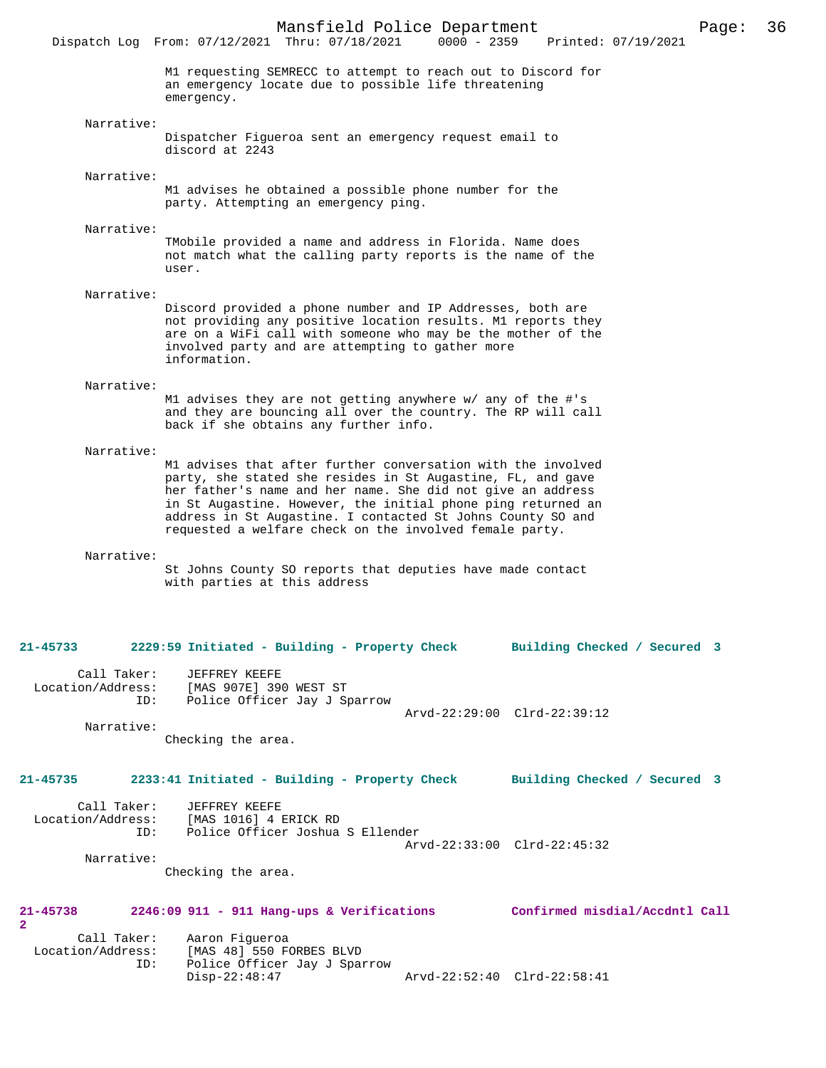M1 requesting SEMRECC to attempt to reach out to Discord for an emergency locate due to possible life threatening emergency.

Narrative:

Dispatcher Figueroa sent an emergency request email to discord at 2243

Narrative:

M1 advises he obtained a possible phone number for the party. Attempting an emergency ping.

Narrative:

TMobile provided a name and address in Florida. Name does not match what the calling party reports is the name of the user.

Narrative:

Discord provided a phone number and IP Addresses, both are not providing any positive location results. M1 reports they are on a WiFi call with someone who may be the mother of the involved party and are attempting to gather more information.

#### Narrative:

M1 advises they are not getting anywhere w/ any of the #'s and they are bouncing all over the country. The RP will call back if she obtains any further info.

#### Narrative:

M1 advises that after further conversation with the involved party, she stated she resides in St Augastine, FL, and gave her father's name and her name. She did not give an address in St Augastine. However, the initial phone ping returned an address in St Augastine. I contacted St Johns County SO and requested a welfare check on the involved female party.

#### Narrative:

St Johns County SO reports that deputies have made contact with parties at this address

#### **21-45733 2229:59 Initiated - Building - Property Check Building Checked / Secured 3**

Call Taker: JEFFREY KEEFE<br>Location/Address: [MAS 907E] 39 [MAS 907E] 390 WEST ST ID: Police Officer Jay J Sparrow Arvd-22:29:00 Clrd-22:39:12

Narrative:

Checking the area.

## **21-45735 2233:41 Initiated - Building - Property Check Building Checked / Secured 3**

| Call Taker:<br>Location/Address: | JEFFREY KEEFE<br>[MAS 1016] 4 ERICK RD |  |
|----------------------------------|----------------------------------------|--|
| TD:                              | Police Officer Joshua S Ellender       |  |
|                                  |                                        |  |
|                                  | Arvd-22:33:00 Clrd-22:45:32            |  |
| Narrative:                       |                                        |  |

Checking the area.

## **21-45738 2246:09 911 - 911 Hang-ups & Verifications Confirmed misdial/Accdntl Call 2**  Call Taker: Aaron Figueroa

| Location/Address: | [MAS 48] 550 FORBES BLVD     |                             |  |
|-------------------|------------------------------|-----------------------------|--|
|                   | Police Officer Jay J Sparrow |                             |  |
|                   | Disp-22:48:47                | Arvd-22:52:40 Clrd-22:58:41 |  |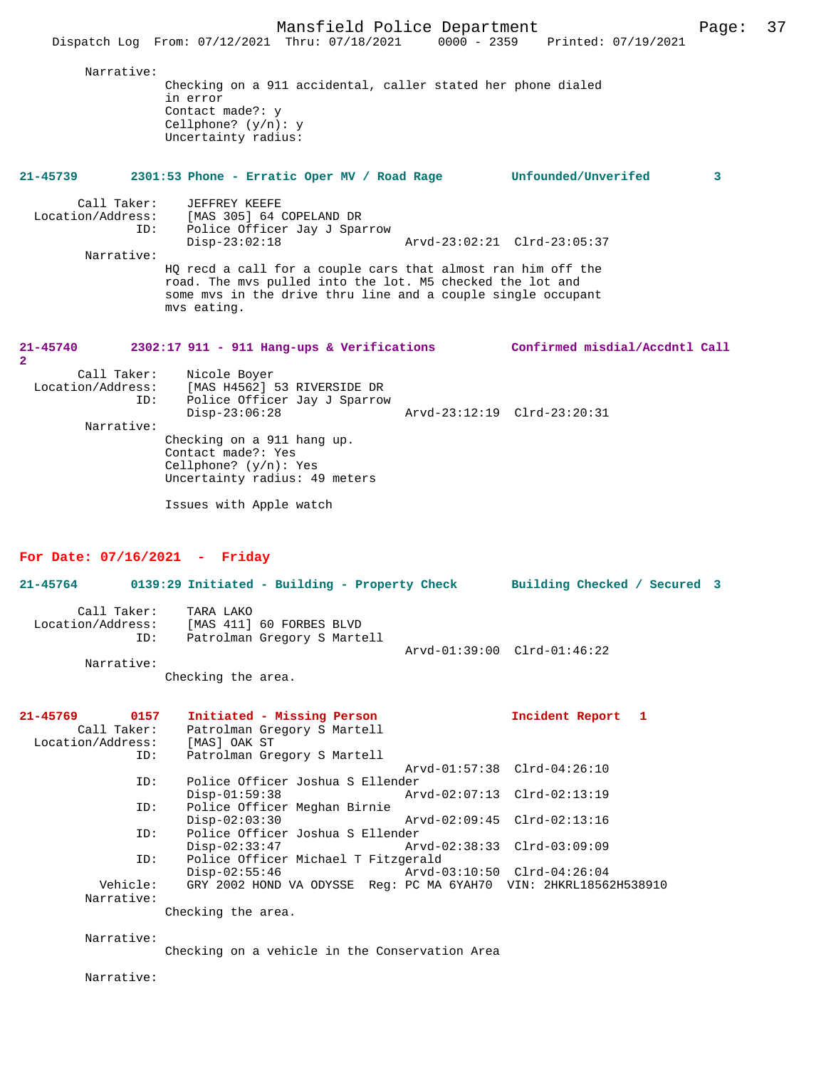Mansfield Police Department Page: 37 Dispatch Log From: 07/12/2021 Thru: 07/18/2021 Narrative: Checking on a 911 accidental, caller stated her phone dialed in error Contact made?: y Cellphone? (y/n): y Uncertainty radius: **21-45739 2301:53 Phone - Erratic Oper MV / Road Rage Unfounded/Unverifed 3** Call Taker: JEFFREY KEEFE<br>Location/Address: [MAS 305] 64 0 [MAS 305] 64 COPELAND DR ID: Police Officer Jay J Sparrow Disp-23:02:18 Arvd-23:02:21 Clrd-23:05:37 Narrative: HQ recd a call for a couple cars that almost ran him off the road. The mvs pulled into the lot. M5 checked the lot and some mvs in the drive thru line and a couple single occupant mvs eating. **21-45740 2302:17 911 - 911 Hang-ups & Verifications Confirmed misdial/Accdntl Call 2**  Call Taker: Nicole Boyer<br>! Location/Address: [MAS H4562] [MAS H4562] 53 RIVERSIDE DR ID: Police Officer Jay J Sparrow Disp-23:06:28 Arvd-23:12:19 Clrd-23:20:31 Narrative: Checking on a 911 hang up. Contact made?: Yes Cellphone? (y/n): Yes Uncertainty radius: 49 meters Issues with Apple watch **For Date: 07/16/2021 - Friday 21-45764 0139:29 Initiated - Building - Property Check Building Checked / Secured 3** Call Taker: TARA LAKO Location/Address: [MAS 411] 60 FORBES BLVD ID: Patrolman Gregory S Martell

Arvd-01:39:00 Clrd-01:46:22

Narrative:

Checking the area.

| 0157<br>21-45769<br>Call Taker:<br>Location/Address: | Initiated - Missing Person<br>Patrolman Gregory S Martell<br>[MAS] OAK ST | Incident Report 1           |
|------------------------------------------------------|---------------------------------------------------------------------------|-----------------------------|
| ID:                                                  | Patrolman Gregory S Martell                                               |                             |
|                                                      |                                                                           | Arvd-01:57:38 Clrd-04:26:10 |
| ID:                                                  | Police Officer Joshua S Ellender                                          |                             |
|                                                      | $Disp-01:59:38$                                                           | Arvd-02:07:13 Clrd-02:13:19 |
| ID:                                                  | Police Officer Meghan Birnie                                              |                             |
|                                                      | $Disp-02:03:30$                                                           | Arvd-02:09:45 Clrd-02:13:16 |
| ID:                                                  | Police Officer Joshua S Ellender                                          |                             |
|                                                      | $Disp-02:33:47$                                                           | Arvd-02:38:33 Clrd-03:09:09 |
| ID:                                                  | Police Officer Michael T Fitzgerald                                       |                             |
|                                                      | $Disp-02:55:46$                                                           | Arvd-03:10:50 Clrd-04:26:04 |
| Vehicle:                                             | GRY 2002 HOND VA ODYSSE Req: PC MA 6YAH70 VIN: 2HKRL18562H538910          |                             |
| Narrative:                                           |                                                                           |                             |
|                                                      | Checking the area.                                                        |                             |

Narrative:

Checking on a vehicle in the Conservation Area

Narrative: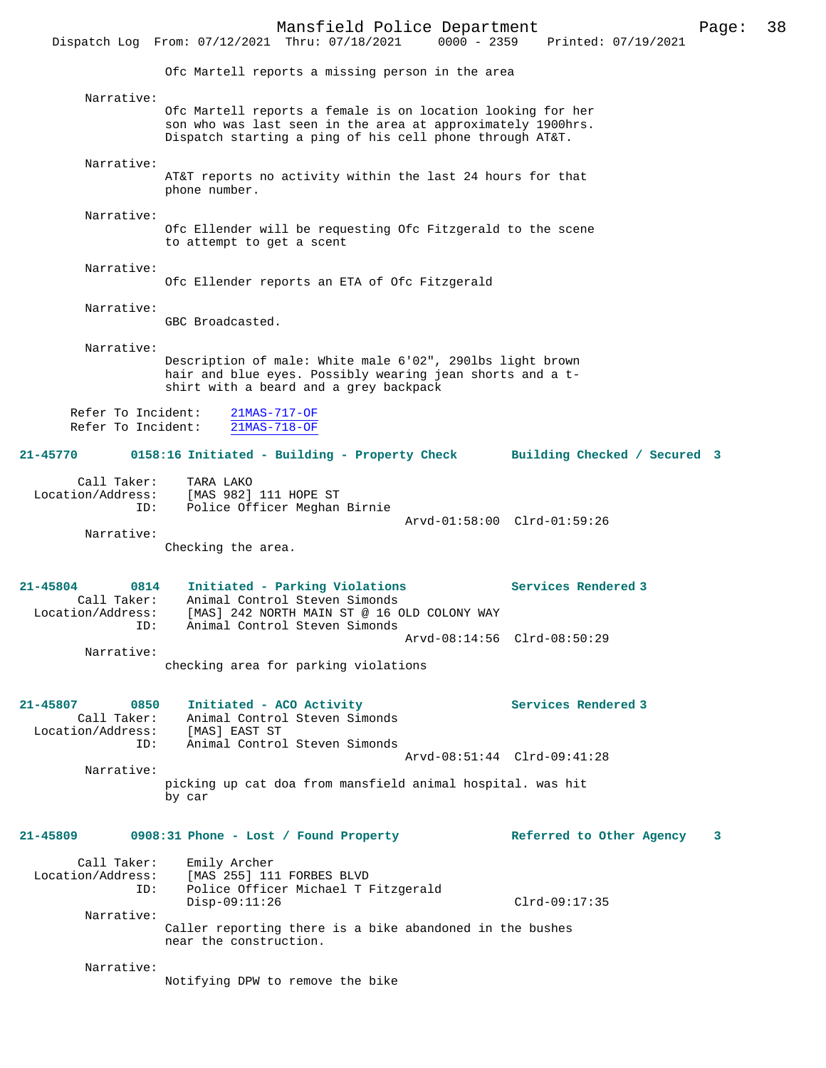Mansfield Police Department Page: 38 Dispatch Log From: 07/12/2021 Thru: 07/18/2021 Ofc Martell reports a missing person in the area Narrative: Ofc Martell reports a female is on location looking for her son who was last seen in the area at approximately 1900hrs. Dispatch starting a ping of his cell phone through AT&T. Narrative: AT&T reports no activity within the last 24 hours for that phone number. Narrative: Ofc Ellender will be requesting Ofc Fitzgerald to the scene to attempt to get a scent Narrative: Ofc Ellender reports an ETA of Ofc Fitzgerald Narrative: GBC Broadcasted. Narrative: Description of male: White male 6'02", 290lbs light brown hair and blue eyes. Possibly wearing jean shorts and a tshirt with a beard and a grey backpack Refer To Incident: 21MAS-717-OF Refer To Incident: 21MAS-718-OF **21-45770 0158:16 Initiated - Building - Property Check Building Checked / Secured 3** Call Taker: TARA LAKO Location/Address: [MAS 982] 111 HOPE ST ID: Police Officer Meghan Birnie Arvd-01:58:00 Clrd-01:59:26 Narrative: Checking the area. **21-45804 0814 Initiated - Parking Violations Services Rendered 3**  Call Taker: Animal Control Steven Simonds<br>Location/Address: [MAS] 242 NORTH MAIN ST @ 16 C ess: [MAS] 242 NORTH MAIN ST @ 16 OLD COLONY WAY<br>ID: Animal Control Steven Simonds Animal Control Steven Simonds Arvd-08:14:56 Clrd-08:50:29 Narrative: checking area for parking violations 21-45807 0850 Initiated - ACO Activity **Services Rendered 3** Call Taker: Animal Control Steven Simonds Animal Control Steven Simonds Call Taker<br>Location/Address: [MAS] EAST ST ID: Animal Control Steven Simonds Arvd-08:51:44 Clrd-09:41:28 Narrative: picking up cat doa from mansfield animal hospital. was hit by car **21-45809 0908:31 Phone - Lost / Found Property Referred to Other Agency 3** Call Taker: Emily Archer<br>Location/Address: [MAS 255] 11 ess: [MAS 255] 111 FORBES BLVD<br>ID: Police Officer Michael T B Police Officer Michael T Fitzgerald Disp-09:11:26 Clrd-09:17:35 Narrative: Caller reporting there is a bike abandoned in the bushes near the construction. Narrative: Notifying DPW to remove the bike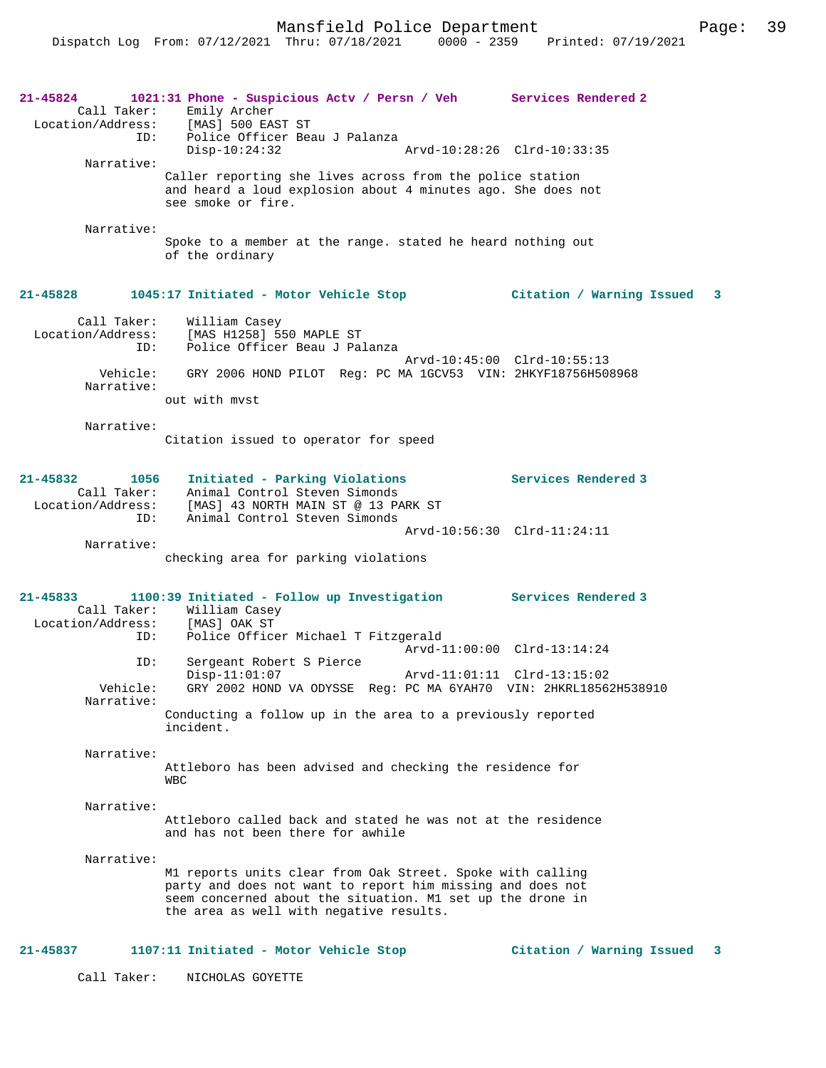| 21-45824<br>Call Taker:<br>ID:                                  | 1021:31 Phone - Suspicious Actv / Persn / Veh Services Rendered 2<br>Emily Archer<br>Location/Address: [MAS] 500 EAST ST<br>Police Officer Beau J Palanza                                                                         |                             |                             |   |
|-----------------------------------------------------------------|-----------------------------------------------------------------------------------------------------------------------------------------------------------------------------------------------------------------------------------|-----------------------------|-----------------------------|---|
| Narrative:                                                      | $Disp-10:24:32$                                                                                                                                                                                                                   | Arvd-10:28:26 Clrd-10:33:35 |                             |   |
|                                                                 | Caller reporting she lives across from the police station<br>and heard a loud explosion about 4 minutes ago. She does not<br>see smoke or fire.                                                                                   |                             |                             |   |
| Narrative:                                                      |                                                                                                                                                                                                                                   |                             |                             |   |
|                                                                 | Spoke to a member at the range. stated he heard nothing out<br>of the ordinary                                                                                                                                                    |                             |                             |   |
| 21-45828                                                        |                                                                                                                                                                                                                                   |                             |                             | 3 |
| Call Taker:<br>Location/Address:<br>ID:                         | William Casey<br>[MAS H1258] 550 MAPLE ST<br>Police Officer Beau J Palanza                                                                                                                                                        |                             |                             |   |
| Vehicle:<br>Narrative:                                          | GRY 2006 HOND PILOT Reg: PC MA 1GCV53 VIN: 2HKYF18756H508968                                                                                                                                                                      |                             | Arvd-10:45:00 Clrd-10:55:13 |   |
|                                                                 | out with myst                                                                                                                                                                                                                     |                             |                             |   |
| Narrative:                                                      | Citation issued to operator for speed                                                                                                                                                                                             |                             |                             |   |
| $21 - 45832$<br>1056<br>Call Taker:<br>Location/Address:<br>ID: | Initiated - Parking Violations<br>Animal Control Steven Simonds<br>[MAS] 43 NORTH MAIN ST @ 13 PARK ST<br>Animal Control Steven Simonds                                                                                           |                             | <b>Services Rendered 3</b>  |   |
| Narrative:                                                      |                                                                                                                                                                                                                                   |                             | Arvd-10:56:30 Clrd-11:24:11 |   |
|                                                                 | checking area for parking violations                                                                                                                                                                                              |                             |                             |   |
| 21-45833<br>Location/Address:                                   | 1100:39 Initiated - Follow up Investigation Services Rendered 3<br>Call Taker: William Casey<br>[MAS] OAK ST                                                                                                                      |                             |                             |   |
| ID:                                                             | Police Officer Michael T Fitzgerald                                                                                                                                                                                               |                             | Arvd-11:00:00 Clrd-13:14:24 |   |
| ID:<br>Vehicle:                                                 | Sergeant Robert S Pierce<br>$Disp-11:01:07$<br>GRY 2002 HOND VA ODYSSE Reg: PC MA 6YAH70 VIN: 2HKRL18562H538910                                                                                                                   | Arvd-11:01:11 Clrd-13:15:02 |                             |   |
| Narrative:                                                      | Conducting a follow up in the area to a previously reported<br>incident.                                                                                                                                                          |                             |                             |   |
| Narrative:                                                      |                                                                                                                                                                                                                                   |                             |                             |   |
|                                                                 | Attleboro has been advised and checking the residence for<br><b>WBC</b>                                                                                                                                                           |                             |                             |   |
| Narrative:                                                      | Attleboro called back and stated he was not at the residence<br>and has not been there for awhile                                                                                                                                 |                             |                             |   |
| Narrative:                                                      | M1 reports units clear from Oak Street. Spoke with calling<br>party and does not want to report him missing and does not<br>seem concerned about the situation. M1 set up the drone in<br>the area as well with negative results. |                             |                             |   |
| 21-45837                                                        | 1107:11 Initiated - Motor Vehicle Stop                                                                                                                                                                                            |                             | Citation / Warning Issued   | 3 |
| Call Taker:                                                     | NICHOLAS GOYETTE                                                                                                                                                                                                                  |                             |                             |   |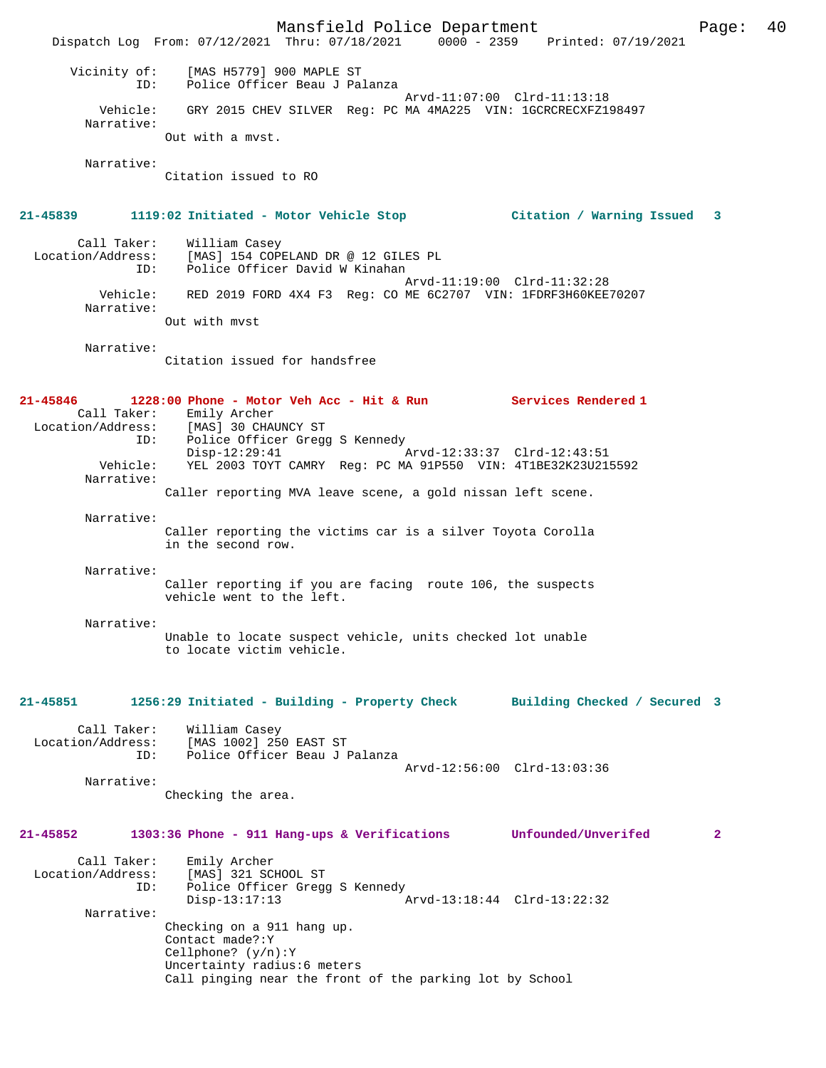Mansfield Police Department Page: 40 Dispatch Log From: 07/12/2021 Thru: 07/18/2021 0000 - 2359 Printed: 07/19/2021 Vicinity of: [MAS H5779] 900 MAPLE ST ID: Police Officer Beau J Palanza Arvd-11:07:00 Clrd-11:13:18 Vehicle: GRY 2015 CHEV SILVER Reg: PC MA 4MA225 VIN: 1GCRCRECXFZ198497 Narrative: Out with a mvst. Narrative: Citation issued to RO **21-45839 1119:02 Initiated - Motor Vehicle Stop Citation / Warning Issued 3** Call Taker: William Casey Location/Address: [MAS] 154 COPELAND DR @ 12 GILES PL ID: Police Officer David W Kinahan Arvd-11:19:00 Clrd-11:32:28 Vehicle: RED 2019 FORD 4X4 F3 Reg: CO ME 6C2707 VIN: 1FDRF3H60KEE70207 Narrative: Out with mvst Narrative: Citation issued for handsfree **21-45846 1228:00 Phone - Motor Veh Acc - Hit & Run Services Rendered 1**  Call Taker: Emily Archer Location/Address: [MAS] 30 CHAUNCY ST ID: Police Officer Gregg S Kennedy Disp-12:29:41 Arvd-12:33:37 Clrd-12:43:51 Vehicle: YEL 2003 TOYT CAMRY Reg: PC MA 91P550 VIN: 4T1BE32K23U215592 Narrative: Caller reporting MVA leave scene, a gold nissan left scene. Narrative: Caller reporting the victims car is a silver Toyota Corolla in the second row. Narrative: Caller reporting if you are facing route 106, the suspects vehicle went to the left. Narrative: Unable to locate suspect vehicle, units checked lot unable to locate victim vehicle. **21-45851 1256:29 Initiated - Building - Property Check Building Checked / Secured 3** Call Taker: William Casey Location/Address: [MAS 1002] 250 EAST ST Police Officer Beau J Palanza Arvd-12:56:00 Clrd-13:03:36 Narrative: Checking the area. **21-45852 1303:36 Phone - 911 Hang-ups & Verifications Unfounded/Unverifed 2** Call Taker: Emily Archer Location/Address: [MAS] 321 SCHOOL ST ID: Police Officer Gregg S Kennedy<br>Disp-13:17:13 A Disp-13:17:13 Arvd-13:18:44 Clrd-13:22:32 Narrative: Checking on a 911 hang up. Contact made?:Y Cellphone? (y/n):Y Uncertainty radius:6 meters Call pinging near the front of the parking lot by School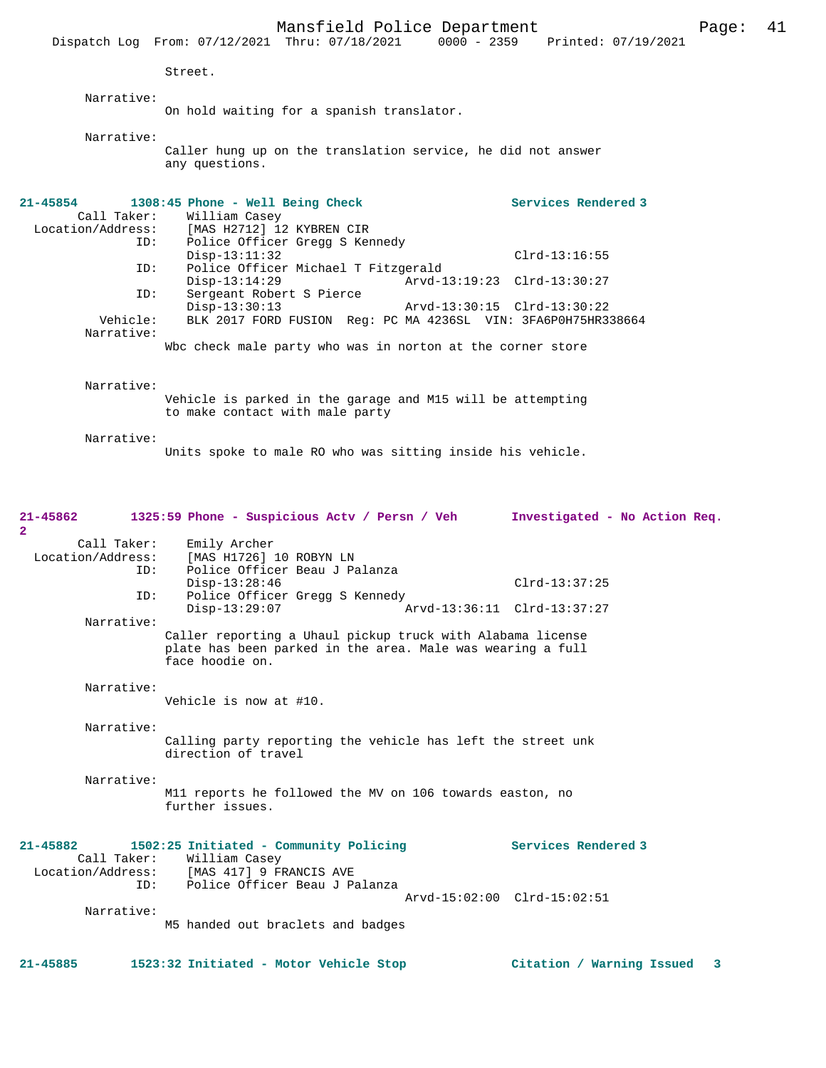Mansfield Police Department Page: 41 Dispatch Log From: 07/12/2021 Thru: 07/18/2021 0000 - 2359 Street. Narrative: On hold waiting for a spanish translator. Narrative: Caller hung up on the translation service, he did not answer any questions. **21-45854 1308:45 Phone - Well Being Check Services Rendered 3**  Call Taker: William Casey<br>Location/Address: [MAS H2712] 12 ess: [MAS H2712] 12 KYBREN CIR<br>ID: Police Officer Gregg S Ker Police Officer Gregg S Kennedy Disp-13:11:32 Clrd-13:16:55<br>TD: Police Officer Michael T Fitzgerald ID: Police Officer Michael T Fitzgerald Disp-13:14:29 Arvd-13:19:23 Clrd-13:30:27<br>TD: Sergeant Robert S Pierce Sergeant Robert S Pierce Disp-13:30:13 Arvd-13:30:15 Clrd-13:30:22 BLK 2017 FORD FUSION Reg: PC MA 4236SL VIN: 3FA6P0H75HR338664 Narrative: Wbc check male party who was in norton at the corner store Narrative: Vehicle is parked in the garage and M15 will be attempting to make contact with male party Narrative: Units spoke to male RO who was sitting inside his vehicle. **21-45862 1325:59 Phone - Suspicious Actv / Persn / Veh Investigated - No Action Req. 2**  Call Taker: Emily Archer Location/Address: [MAS H1726] 10 ROBYN LN<br>ID: Police Officer Beau J Pa Police Officer Beau J Palanza Disp-13:28:46 Clrd-13:37:25<br>TD: Police Officer Gread S Kennedy Police Officer Gregg S Kennedy<br>Disp-13:29:07 A Disp-13:29:07 Arvd-13:36:11 Clrd-13:37:27 Narrative: Caller reporting a Uhaul pickup truck with Alabama license plate has been parked in the area. Male was wearing a full face hoodie on. Narrative: Vehicle is now at #10. Narrative: Calling party reporting the vehicle has left the street unk direction of travel Narrative: M11 reports he followed the MV on 106 towards easton, no further issues. **21-45882 1502:25 Initiated - Community Policing Services Rendered 3**  Call Taker: William Casey Location/Address: [MAS 417] 9 FRANCIS AVE ID: Police Officer Beau J Palanza Arvd-15:02:00 Clrd-15:02:51 Narrative: M5 handed out braclets and badges

**21-45885 1523:32 Initiated - Motor Vehicle Stop Citation / Warning Issued 3**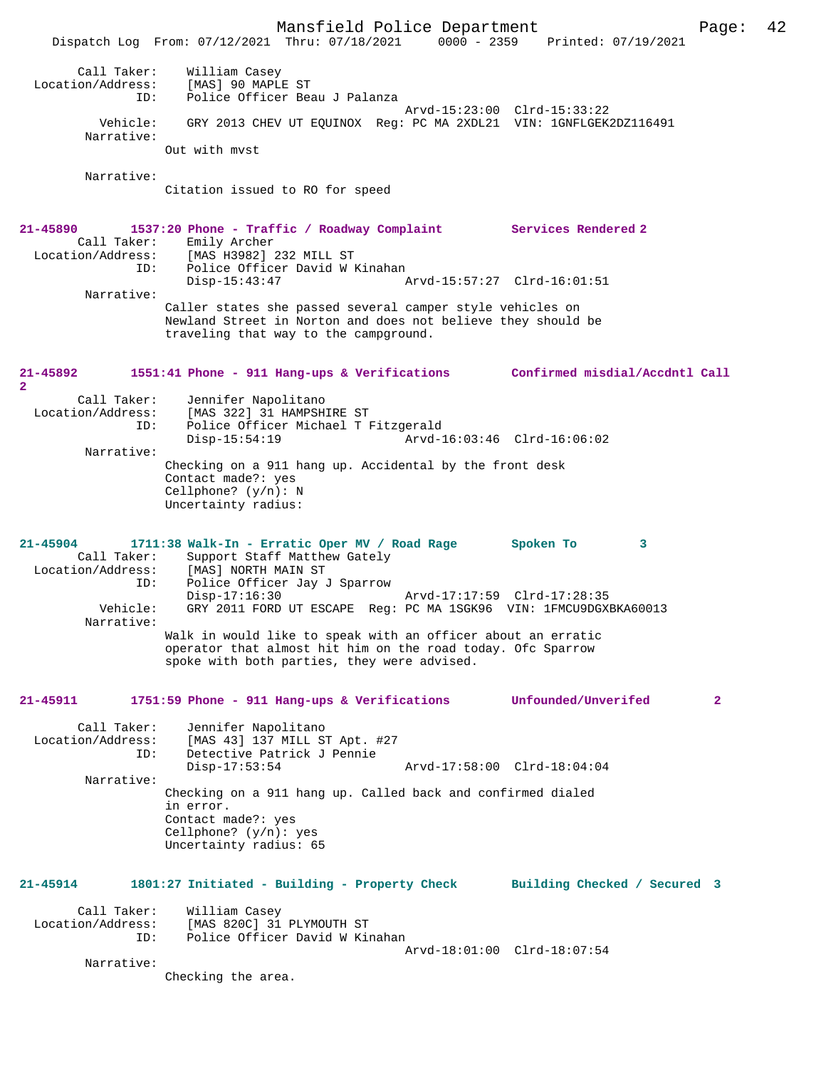Mansfield Police Department Page: 42 Dispatch Log From: 07/12/2021 Thru: 07/18/2021 0000 - 2359 Printed: 07/19/2021 Call Taker: William Casey Location/Address: [MAS] 90 MAPLE ST ID: Police Officer Beau J Palanza Arvd-15:23:00 Clrd-15:33:22 Vehicle: GRY 2013 CHEV UT EQUINOX Reg: PC MA 2XDL21 VIN: 1GNFLGEK2DZ116491 Narrative: Out with mvst Narrative: Citation issued to RO for speed **21-45890 1537:20 Phone - Traffic / Roadway Complaint Services Rendered 2**  Call Taker: Emily Archer Location/Address: [MAS H3982] 232 MILL ST ID: Police Officer David W Kinahan<br>Disp-15:43:47 Disp-15:43:47 Arvd-15:57:27 Clrd-16:01:51 Narrative: Caller states she passed several camper style vehicles on Newland Street in Norton and does not believe they should be traveling that way to the campground. **21-45892 1551:41 Phone - 911 Hang-ups & Verifications Confirmed misdial/Accdntl Call 2**  Call Taker: Jennifer Napolitano<br>Location/Address: [MAS 322] 31 HAMPSHI [MAS 322] 31 HAMPSHIRE ST ess. Inno Jaaj of manuter<br>ID: Police Officer Michael T Fitzgerald<br>Disp-15:54:19 Arvd-1 Disp-15:54:19 Arvd-16:03:46 Clrd-16:06:02 Narrative: Checking on a 911 hang up. Accidental by the front desk Contact made?: yes Cellphone? (y/n): N Uncertainty radius: **21-45904 1711:38 Walk-In - Erratic Oper MV / Road Rage Spoken To 3**  Call Taker: Support Staff Matthew Gately<br>Location/Address: [MAS] NORTH MAIN ST Location/Address: [MAS] NORTH MAIN ST ID: Police Officer Jay J Sparrow Disp-17:16:30 Arvd-17:17:59 Clrd-17:28:35 Vehicle: GRY 2011 FORD UT ESCAPE Reg: PC MA 1SGK96 VIN: 1FMCU9DGXBKA60013 Narrative: Walk in would like to speak with an officer about an erratic operator that almost hit him on the road today. Ofc Sparrow spoke with both parties, they were advised. **21-45911 1751:59 Phone - 911 Hang-ups & Verifications Unfounded/Unverifed 2** Call Taker: Jennifer Napolitano<br>Location/Address: [MAS 43] 137 MILL ST Apt. #27 Location/Address: [MAS 43] 137 MILL ST Apt. #27 ID: Detective Patrick J Pennie Disp-17:53:54 Arvd-17:58:00 Clrd-18:04:04 Narrative: Checking on a 911 hang up. Called back and confirmed dialed in error. Contact made?: yes Cellphone? (y/n): yes Uncertainty radius: 65 **21-45914 1801:27 Initiated - Building - Property Check Building Checked / Secured 3** Call Taker: William Casey<br>Location/Address: [MAS 820C] 31 [MAS 820C] 31 PLYMOUTH ST ID: Police Officer David W Kinahan Arvd-18:01:00 Clrd-18:07:54 Narrative: Checking the area.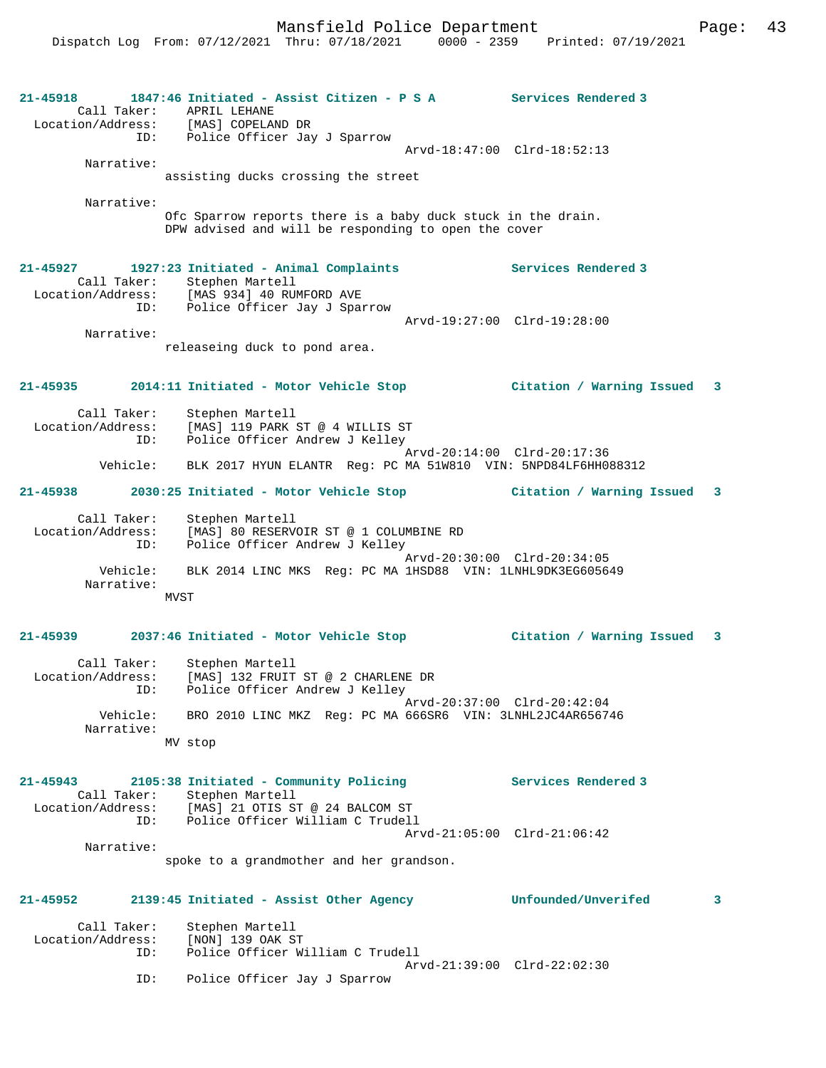| 21-45918<br>Call Taker:                 | 1847:46 Initiated - Assist Citizen - P S A Services Rendered 3<br>APRIL LEHANE<br>Location/Address: [MAS] COPELAND DR |                             |
|-----------------------------------------|-----------------------------------------------------------------------------------------------------------------------|-----------------------------|
|                                         | ID: Police Officer Jay J Sparrow                                                                                      | Arvd-18:47:00 Clrd-18:52:13 |
| Narrative:                              | assisting ducks crossing the street                                                                                   |                             |
| Narrative:                              |                                                                                                                       |                             |
|                                         | Ofc Sparrow reports there is a baby duck stuck in the drain.<br>DPW advised and will be responding to open the cover  |                             |
| 21-45927                                | 1927:23 Initiated - Animal Complaints Services Rendered 3<br>Call Taker: Stephen Martell                              |                             |
| Location/Address:                       | [MAS 934] 40 RUMFORD AVE                                                                                              |                             |
|                                         | ID: Police Officer Jay J Sparrow                                                                                      | Arvd-19:27:00 Clrd-19:28:00 |
| Narrative:                              |                                                                                                                       |                             |
|                                         | releaseing duck to pond area.                                                                                         |                             |
| $21 - 45935$                            |                                                                                                                       |                             |
| Call Taker:                             | Stephen Martell<br>Location/Address: [MAS] 119 PARK ST @ 4 WILLIS ST                                                  |                             |
|                                         | ID: Police Officer Andrew J Kelley                                                                                    | Arvd-20:14:00 Clrd-20:17:36 |
|                                         | Vehicle: BLK 2017 HYUN ELANTR Req: PC MA 51W810 VIN: 5NPD84LF6HH088312                                                |                             |
| $21 - 45938$                            |                                                                                                                       |                             |
| Call Taker:<br>Location/Address:<br>ID: | Stephen Martell<br>[MAS] 80 RESERVOIR ST @ 1 COLUMBINE RD<br>Police Officer Andrew J Kelley                           |                             |
| Vehicle:<br>Narrative:                  | BLK 2014 LINC MKS Req: PC MA 1HSD88 VIN: 1LNHL9DK3EG605649<br>MVST                                                    | Arvd-20:30:00 Clrd-20:34:05 |
|                                         |                                                                                                                       |                             |
| $21 - 45939$                            | 2037:46 Initiated - Motor Vehicle Stop Citation / Warning Issued 3                                                    |                             |
| Call Taker:<br>Location/Address:        | Stephen Martell<br>[MAS] 132 FRUIT ST @ 2 CHARLENE DR<br>ID: Police Officer Andrew J Kelley                           |                             |
| Vehicle:<br>Narrative:                  | BRO 2010 LINC MKZ Req: PC MA 666SR6 VIN: 3LNHL2JC4AR656746                                                            | Arvd-20:37:00 Clrd-20:42:04 |
|                                         | MV stop                                                                                                               |                             |
| $21 - 45943$                            | 2105:38 Initiated - Community Policing                                                                                | Services Rendered 3         |
|                                         | Call Taker: Stephen Martell<br>Location/Address: [MAS] 21 OTIS ST @ 24 BALCOM ST                                      |                             |
| ID:                                     | Police Officer William C Trudell                                                                                      |                             |
| Narrative:                              |                                                                                                                       | Arvd-21:05:00 Clrd-21:06:42 |
|                                         | spoke to a grandmother and her grandson.                                                                              |                             |
| 21-45952                                | 2139:45 Initiated - Assist Other Agency                                                                               | Unfounded/Unverifed<br>3    |
| Call Taker:<br>Location/Address:        | Stephen Martell<br>[NON] 139 OAK ST                                                                                   |                             |
| ID:                                     | Police Officer William C Trudell                                                                                      | Arvd-21:39:00 Clrd-22:02:30 |
| ID:                                     | Police Officer Jay J Sparrow                                                                                          |                             |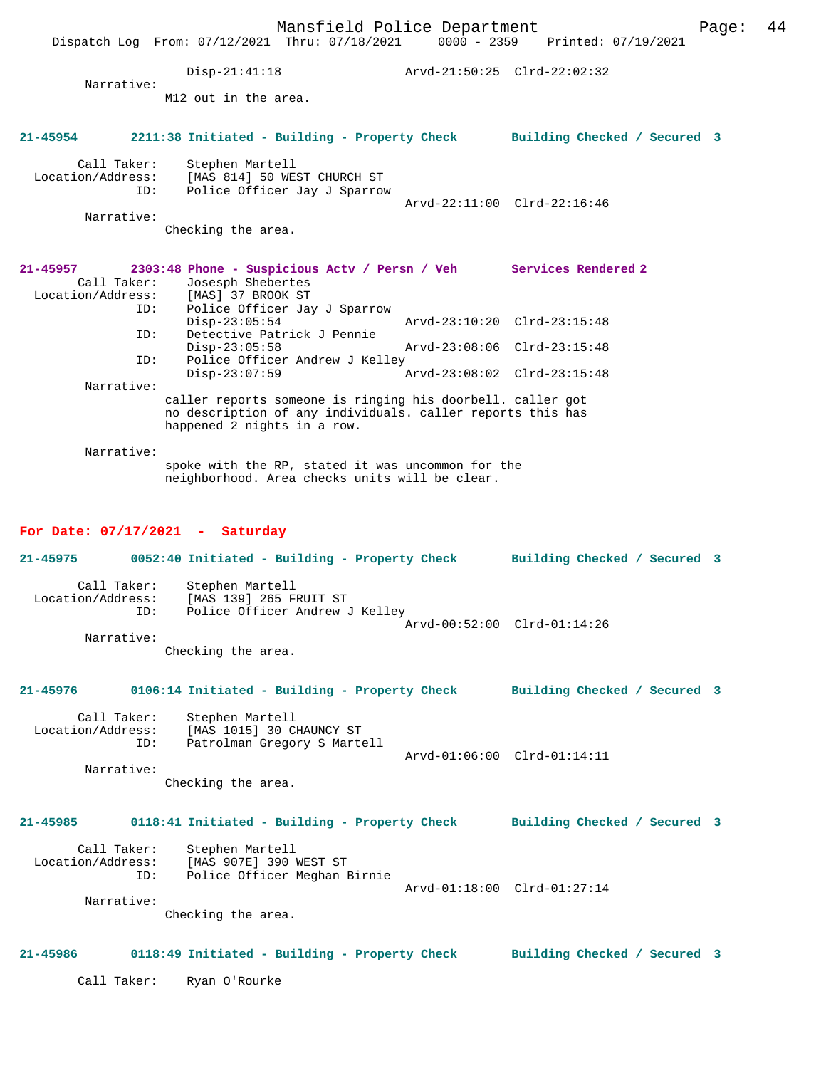Mansfield Police Department Page: 44 Dispatch Log From: 07/12/2021 Thru: 07/18/2021 Disp-21:41:18 Arvd-21:50:25 Clrd-22:02:32 Narrative: M12 out in the area. **21-45954 2211:38 Initiated - Building - Property Check Building Checked / Secured 3** Call Taker: Stephen Martell Location/Address: [MAS 814] 50 WEST CHURCH ST Police Officer Jay J Sparrow Arvd-22:11:00 Clrd-22:16:46 Narrative: Checking the area. **21-45957 2303:48 Phone - Suspicious Actv / Persn / Veh Services Rendered 2**  Call Taker: Josesph Shebertes<br>ion/Address: [MAS] 37 BROOK ST Location/Address:<br>ID: Police Officer Jay J Sparrow<br>Disp-23:05:54 Disp-23:05:54 Arvd-23:10:20 Clrd-23:15:48<br>ID: Detective Patrick J Pennie Detective Patrick J Pennie Disp-23:05:58 Arvd-23:08:06 Clrd-23:15:48<br>TD: Police Officer Andrew J Kelley Police Officer Andrew J Kelley<br>Disp-23:07:59 Arvd-23:08:02 Clrd-23:15:48 Narrative: caller reports someone is ringing his doorbell. caller got no description of any individuals. caller reports this has happened 2 nights in a row. Narrative: spoke with the RP, stated it was uncommon for the neighborhood. Area checks units will be clear. **For Date: 07/17/2021 - Saturday 21-45975 0052:40 Initiated - Building - Property Check Building Checked / Secured 3** Call Taker: Stephen Martell<br>Location/Address: [MAS 139] 265 F ess: [MAS 139] 265 FRUIT ST<br>ID: Police Officer Andrew J Police Officer Andrew J Kelley Arvd-00:52:00 Clrd-01:14:26 Narrative: Checking the area. **21-45976 0106:14 Initiated - Building - Property Check Building Checked / Secured 3** Call Taker: Stephen Martell<br>Location/Address: [MAS 1015] 30 C [MAS 1015] 30 CHAUNCY ST ID: Patrolman Gregory S Martell Arvd-01:06:00 Clrd-01:14:11 Narrative: Checking the area.

# **21-45985 0118:41 Initiated - Building - Property Check Building Checked / Secured 3**

Call Taker: Stephen Martell<br>Location/Address: [MAS 907E] 390 ess: [MAS 907E] 390 WEST ST<br>ID: Police Officer Meghan B Police Officer Meghan Birnie Arvd-01:18:00 Clrd-01:27:14 Narrative:

Checking the area.

#### **21-45986 0118:49 Initiated - Building - Property Check Building Checked / Secured 3**

Call Taker: Ryan O'Rourke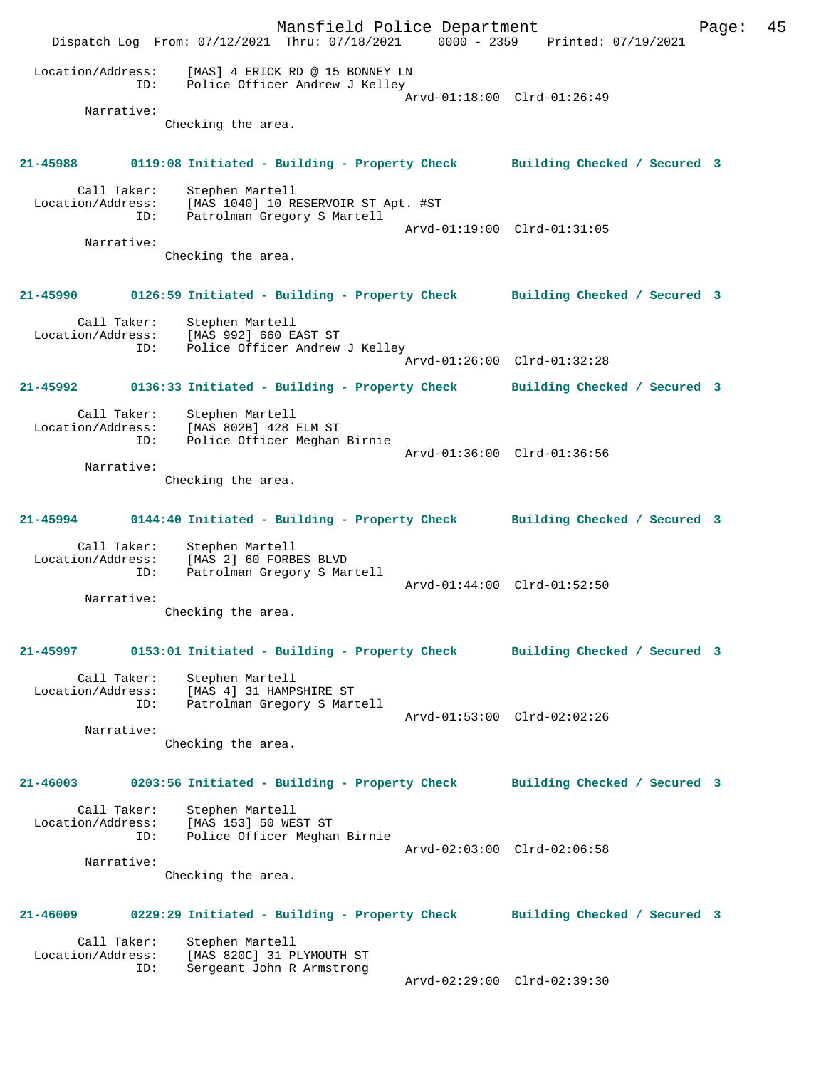Mansfield Police Department Fage: 45 Dispatch Log From: 07/12/2021 Thru: 07/18/2021 0000 - 2359 Printed: 07/19/2021 Location/Address: [MAS] 4 ERICK RD @ 15 BONNEY LN ID: Police Officer Andrew J Kelley Arvd-01:18:00 Clrd-01:26:49 Narrative: Checking the area. **21-45988 0119:08 Initiated - Building - Property Check Building Checked / Secured 3** Call Taker: Stephen Martell Location/Address: [MAS 1040] 10 RESERVOIR ST Apt. #ST ID: Patrolman Gregory S Martell Arvd-01:19:00 Clrd-01:31:05 Narrative: Checking the area. **21-45990 0126:59 Initiated - Building - Property Check Building Checked / Secured 3** Call Taker: Stephen Martell Location/Address: [MAS 992] 660 EAST ST ID: Police Officer Andrew J Kelley Arvd-01:26:00 Clrd-01:32:28 **21-45992 0136:33 Initiated - Building - Property Check Building Checked / Secured 3** Call Taker: Stephen Martell Location/Address: [MAS 802B] 428 ELM ST ID: Police Officer Meghan Birnie Arvd-01:36:00 Clrd-01:36:56 Narrative: Checking the area. **21-45994 0144:40 Initiated - Building - Property Check Building Checked / Secured 3** Call Taker: Stephen Martell Location/Address: [MAS 2] 60 FORBES BLVD ID: Patrolman Gregory S Martell Arvd-01:44:00 Clrd-01:52:50 Narrative: Checking the area. **21-45997 0153:01 Initiated - Building - Property Check Building Checked / Secured 3** Call Taker: Stephen Martell Location/Address: [MAS 4] 31 HAMPSHIRE ST ID: Patrolman Gregory S Martell Arvd-01:53:00 Clrd-02:02:26 Narrative: Checking the area. **21-46003 0203:56 Initiated - Building - Property Check Building Checked / Secured 3** Call Taker: Stephen Martell Location/Address: [MAS 153] 50 WEST ST ID: Police Officer Meghan Birnie Arvd-02:03:00 Clrd-02:06:58 Narrative: Checking the area. **21-46009 0229:29 Initiated - Building - Property Check Building Checked / Secured 3** Call Taker: Stephen Martell<br>Location/Address: [MAS 820C] 31 P ess: [MAS 820C] 31 PLYMOUTH ST<br>ID: Sergeant John R Armstrong Sergeant John R Armstrong Arvd-02:29:00 Clrd-02:39:30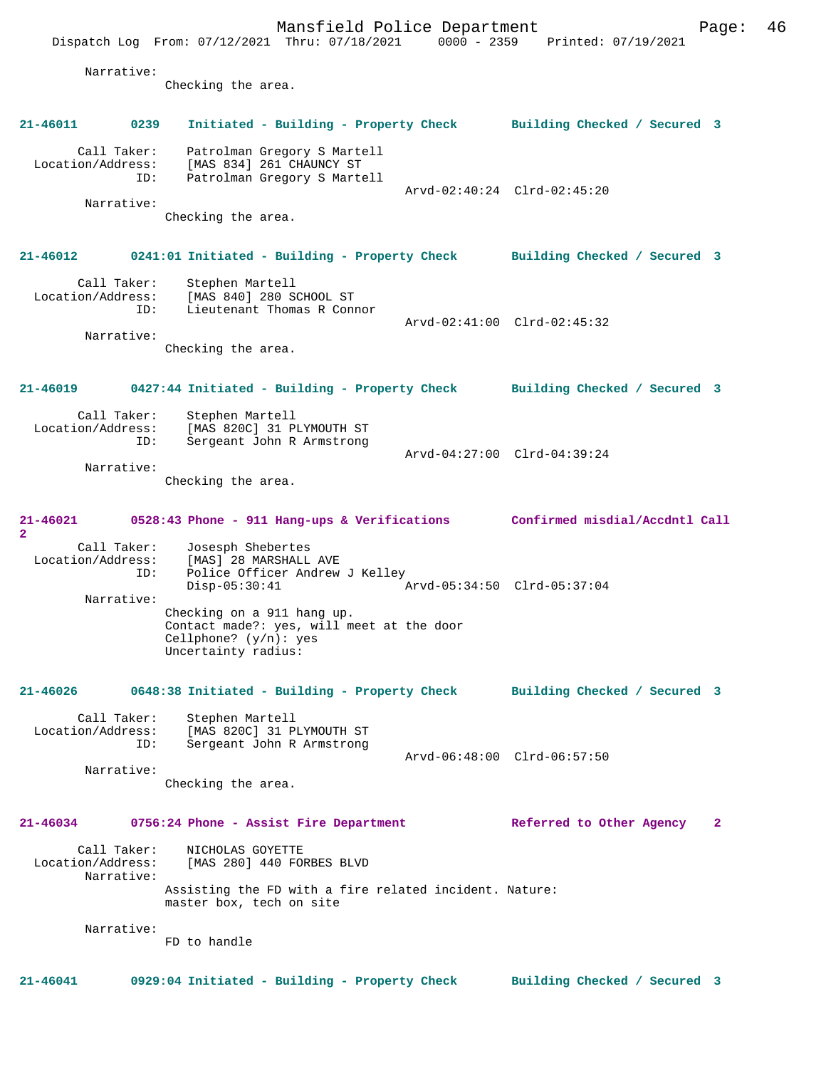Mansfield Police Department Fage: 46 Dispatch Log From: 07/12/2021 Thru: 07/18/2021 0000 - 2359 Printed: 07/19/2021 Narrative: Checking the area. **21-46011 0239 Initiated - Building - Property Check Building Checked / Secured 3** Call Taker: Patrolman Gregory S Martell Location/Address: [MAS 834] 261 CHAUNCY ST ID: Patrolman Gregory S Martell Arvd-02:40:24 Clrd-02:45:20 Narrative: Checking the area. **21-46012 0241:01 Initiated - Building - Property Check Building Checked / Secured 3** Call Taker: Stephen Martell Location/Address: [MAS 840] 280 SCHOOL ST ID: Lieutenant Thomas R Connor Arvd-02:41:00 Clrd-02:45:32 Narrative: Checking the area. **21-46019 0427:44 Initiated - Building - Property Check Building Checked / Secured 3** Call Taker: Stephen Martell Location/Address: [MAS 820C] 31 PLYMOUTH ST<br>ID: Sergeant John R Armstrong Sergeant John R Armstrong Arvd-04:27:00 Clrd-04:39:24 Narrative: Checking the area. **21-46021 0528:43 Phone - 911 Hang-ups & Verifications Confirmed misdial/Accdntl Call 2**  Call Taker: Josesph Shebertes Location/Address: [MAS] 28 MARSHALL AVE ID: Police Officer Andrew J Kelley Disp-05:30:41 Arvd-05:34:50 Clrd-05:37:04 Narrative: Checking on a 911 hang up. Contact made?: yes, will meet at the door Cellphone? (y/n): yes Uncertainty radius: **21-46026 0648:38 Initiated - Building - Property Check Building Checked / Secured 3** Call Taker: Stephen Martell Location/Address: [MAS 820C] 31 PLYMOUTH ST ID: Sergeant John R Armstrong Arvd-06:48:00 Clrd-06:57:50 Narrative: Checking the area. **21-46034 0756:24 Phone - Assist Fire Department Referred to Other Agency 2** Call Taker: NICHOLAS GOYETTE Location/Address: [MAS 280] 440 FORBES BLVD Narrative: Assisting the FD with a fire related incident. Nature: master box, tech on site Narrative: FD to handle

**21-46041 0929:04 Initiated - Building - Property Check Building Checked / Secured 3**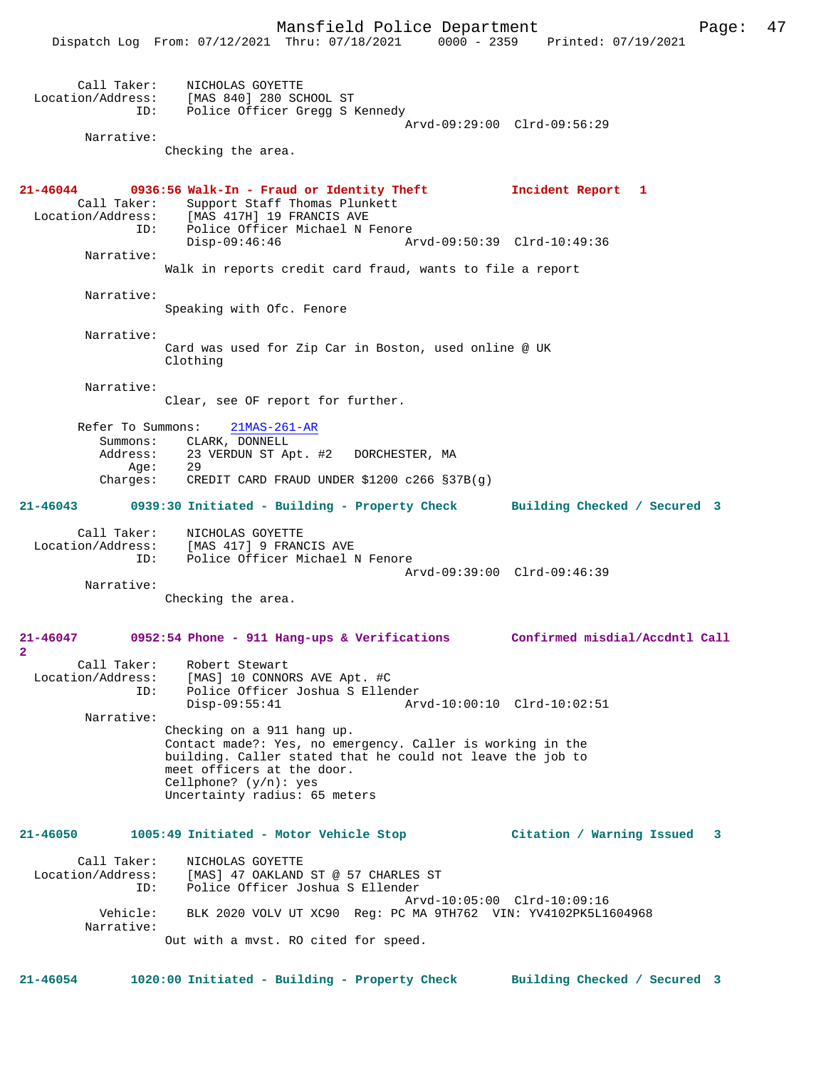|                                  | Dispatch Log From: 07/12/2021 Thru: 07/18/2021 0000 - 2359 Printed: 07/19/2021           |                                |
|----------------------------------|------------------------------------------------------------------------------------------|--------------------------------|
|                                  |                                                                                          |                                |
| Call Taker:                      | NICHOLAS GOYETTE<br>Location/Address: [MAS 840] 280 SCHOOL ST                            |                                |
| ID:                              | Police Officer Gregg S Kennedy                                                           |                                |
|                                  | Arvd-09:29:00 Clrd-09:56:29                                                              |                                |
| Narrative:                       | Checking the area.                                                                       |                                |
|                                  |                                                                                          |                                |
| $21 - 46044$                     | 0936:56 Walk-In - Fraud or Identity Theft                                                | Incident Report 1              |
|                                  | Call Taker: Support Staff Thomas Plunkett                                                |                                |
|                                  | Location/Address: [MAS 417H] 19 FRANCIS AVE<br>ID: Police Officer Michael N Fenore       |                                |
|                                  | Arvd-09:50:39 Clrd-10:49:36<br>$Disp-09:46:46$                                           |                                |
| Narrative:                       |                                                                                          |                                |
|                                  | Walk in reports credit card fraud, wants to file a report                                |                                |
| Narrative:                       |                                                                                          |                                |
|                                  | Speaking with Ofc. Fenore                                                                |                                |
| Narrative:                       |                                                                                          |                                |
|                                  | Card was used for Zip Car in Boston, used online @ UK                                    |                                |
|                                  | Clothing                                                                                 |                                |
| Narrative:                       |                                                                                          |                                |
|                                  | Clear, see OF report for further.                                                        |                                |
| Refer To Summons:                | $21MAS-261-AR$                                                                           |                                |
|                                  | Summons: CLARK, DONNELL                                                                  |                                |
| Address:<br>Aqe:                 | 23 VERDUN ST Apt. #2 DORCHESTER, MA<br>29                                                |                                |
| Charges:                         | CREDIT CARD FRAUD UNDER \$1200 c266 §37B(q)                                              |                                |
|                                  | 21-46043 0939:30 Initiated - Building - Property Check                                   | Building Checked / Secured 3   |
|                                  |                                                                                          |                                |
| Call Taker:                      | NICHOLAS GOYETTE<br>Location/Address: [MAS 417] 9 FRANCIS AVE                            |                                |
|                                  | ID: Police Officer Michael N Fenore                                                      |                                |
| Narrative:                       | Arvd-09:39:00 Clrd-09:46:39                                                              |                                |
|                                  | Checking the area.                                                                       |                                |
|                                  |                                                                                          |                                |
| 21-46047                         | 0952:54 Phone - 911 Hang-ups & Verifications                                             | Confirmed misdial/Accdntl Call |
| $\overline{\mathbf{2}}$          |                                                                                          |                                |
| Call Taker:<br>Location/Address: | Robert Stewart<br>[MAS] 10 CONNORS AVE Apt. #C                                           |                                |
| ID:                              | Police Officer Joshua S Ellender                                                         |                                |
| Narrative:                       | $Disp-09:55:41$<br>Arvd-10:00:10 Clrd-10:02:51                                           |                                |
|                                  | Checking on a 911 hang up.                                                               |                                |
|                                  | Contact made?: Yes, no emergency. Caller is working in the                               |                                |
|                                  | building. Caller stated that he could not leave the job to<br>meet officers at the door. |                                |
|                                  | Cellphone? $(y/n)$ : yes                                                                 |                                |
|                                  | Uncertainty radius: 65 meters                                                            |                                |
|                                  |                                                                                          |                                |
| 21-46050                         | 1005:49 Initiated - Motor Vehicle Stop                                                   | Citation / Warning Issued<br>3 |
| Call Taker:                      | NICHOLAS GOYETTE                                                                         |                                |
| Location/Address:                | [MAS] 47 OAKLAND ST @ 57 CHARLES ST                                                      |                                |
| ID:                              | Police Officer Joshua S Ellender<br>Arvd-10:05:00 Clrd-10:09:16                          |                                |
| Vehicle:                         | BLK 2020 VOLV UT XC90 Req: PC MA 9TH762 VIN: YV4102PK5L1604968                           |                                |
| Narrative:                       |                                                                                          |                                |
|                                  | Out with a mvst. RO cited for speed.                                                     |                                |
|                                  |                                                                                          |                                |

**21-46054 1020:00 Initiated - Building - Property Check Building Checked / Secured 3**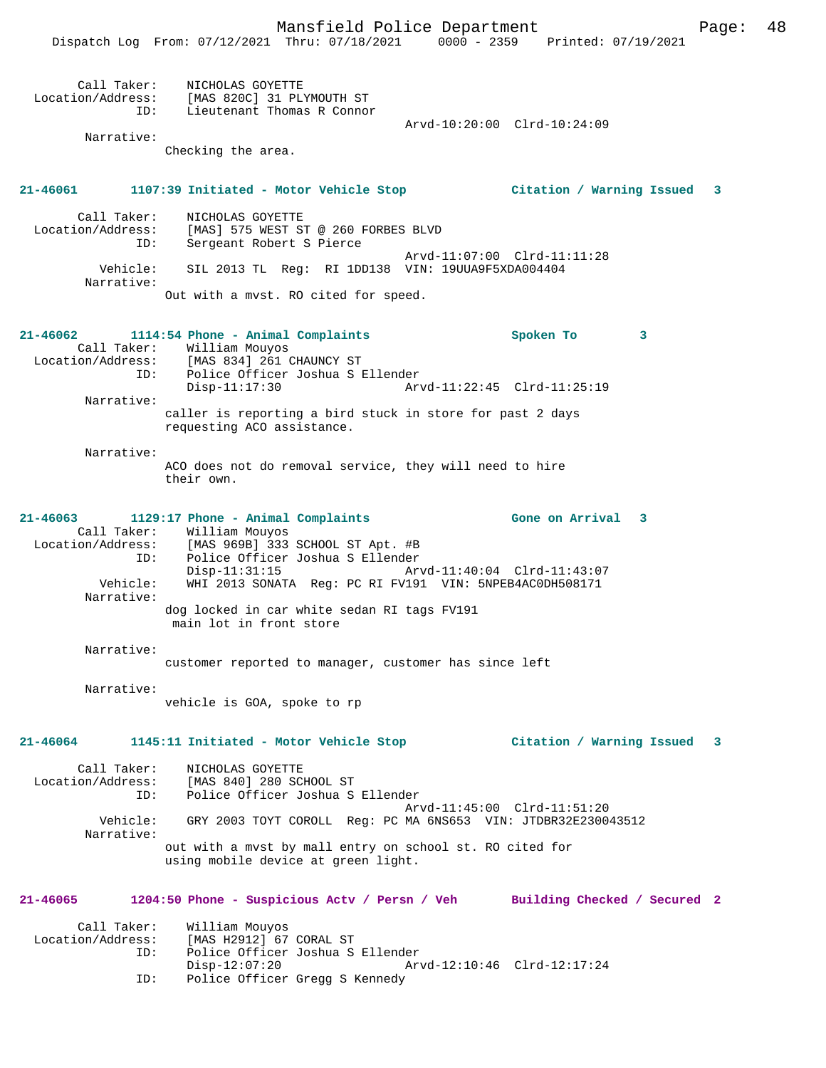|                                                | Dispatch Log From: 07/12/2021 Thru: 07/18/2021                                                                                                                                                                                                                                                                    |                             | 0000 - 2359 Printed: 07/19/2021 |   |
|------------------------------------------------|-------------------------------------------------------------------------------------------------------------------------------------------------------------------------------------------------------------------------------------------------------------------------------------------------------------------|-----------------------------|---------------------------------|---|
| Narrative:                                     | Call Taker: NICHOLAS GOYETTE<br>Location/Address: [MAS 820C] 31 PLYMOUTH ST<br>ID: Lieutenant Thomas R Connoi<br>Lieutenant Thomas R Connor<br>Checking the area.                                                                                                                                                 | Arvd-10:20:00 Clrd-10:24:09 |                                 |   |
|                                                |                                                                                                                                                                                                                                                                                                                   |                             |                                 |   |
| 21-46061                                       | 1107:39 Initiated - Motor Vehicle Stop                    Citation / Warning Issued                                                                                                                                                                                                                               |                             |                                 | 3 |
| Call Taker:<br>ID:                             | NICHOLAS GOYETTE<br>Location/Address: [MAS] 575 WEST ST @ 260 FORBES BLVD<br>Sergeant Robert S Pierce                                                                                                                                                                                                             | Arvd-11:07:00 Clrd-11:11:28 |                                 |   |
| Vehicle:<br>Narrative:                         | SIL 2013 TL Reg: RI 1DD138 VIN: 19UUA9F5XDA004404<br>Out with a mvst. RO cited for speed.                                                                                                                                                                                                                         |                             |                                 |   |
|                                                |                                                                                                                                                                                                                                                                                                                   |                             |                                 |   |
| $21 - 46062$                                   | 1114:54 Phone - Animal Complaints<br>Call Taker: William Mouyos<br>Location/Address: [MAS 834] 261 CHAUNCY ST                                                                                                                                                                                                     |                             | Spoken To<br>$\mathbf{3}$       |   |
| ID:                                            | Police Officer Joshua S Ellender<br>$Disp-11:17:30$                                                                                                                                                                                                                                                               | Arvd-11:22:45 Clrd-11:25:19 |                                 |   |
| Narrative:                                     | caller is reporting a bird stuck in store for past 2 days<br>requesting ACO assistance.                                                                                                                                                                                                                           |                             |                                 |   |
| Narrative:                                     | ACO does not do removal service, they will need to hire<br>their own.                                                                                                                                                                                                                                             |                             |                                 |   |
| 21-46063<br>ID:<br>Vehicle:<br>Narrative:      | 1129:17 Phone - Animal Complaints<br>Call Taker: William Mouyos<br>Location/Address: [MAS 969B] 333 SCHOOL ST Apt. #B<br>Police Officer Joshua S Ellender<br>$Disp-11:31:15$<br>WHI 2013 SONATA Reg: PC RI FV191 VIN: 5NPEB4AC0DH508171<br>dog locked in car white sedan RI tags FV191<br>main lot in front store | Arvd-11:40:04 Clrd-11:43:07 | Gone on Arrival 3               |   |
| Narrative:                                     | customer reported to manager, customer has since left                                                                                                                                                                                                                                                             |                             |                                 |   |
| Narrative:                                     | vehicle is GOA, spoke to rp                                                                                                                                                                                                                                                                                       |                             |                                 |   |
| 21-46064                                       | 1145:11 Initiated - Motor Vehicle Stop                                                                                                                                                                                                                                                                            |                             | Citation / Warning Issued       | 3 |
| Call Taker:<br>Location/Address:<br>ID:        | NICHOLAS GOYETTE<br>[MAS 840] 280 SCHOOL ST<br>Police Officer Joshua S Ellender                                                                                                                                                                                                                                   | Arvd-11:45:00 Clrd-11:51:20 |                                 |   |
| Vehicle:<br>Narrative:                         | GRY 2003 TOYT COROLL Reg: PC MA 6NS653 VIN: JTDBR32E230043512                                                                                                                                                                                                                                                     |                             |                                 |   |
|                                                | out with a mvst by mall entry on school st. RO cited for<br>using mobile device at green light.                                                                                                                                                                                                                   |                             |                                 |   |
| 21-46065                                       | 1204:50 Phone - Suspicious Actv / Persn / Veh Building Checked / Secured 2                                                                                                                                                                                                                                        |                             |                                 |   |
| Call Taker:<br>Location/Address:<br>ID:<br>ID: | William Mouyos<br>[MAS H2912] 67 CORAL ST<br>Police Officer Joshua S Ellender<br>$Disp-12:07:20$<br>Police Officer Gregg S Kennedy                                                                                                                                                                                | Arvd-12:10:46 Clrd-12:17:24 |                                 |   |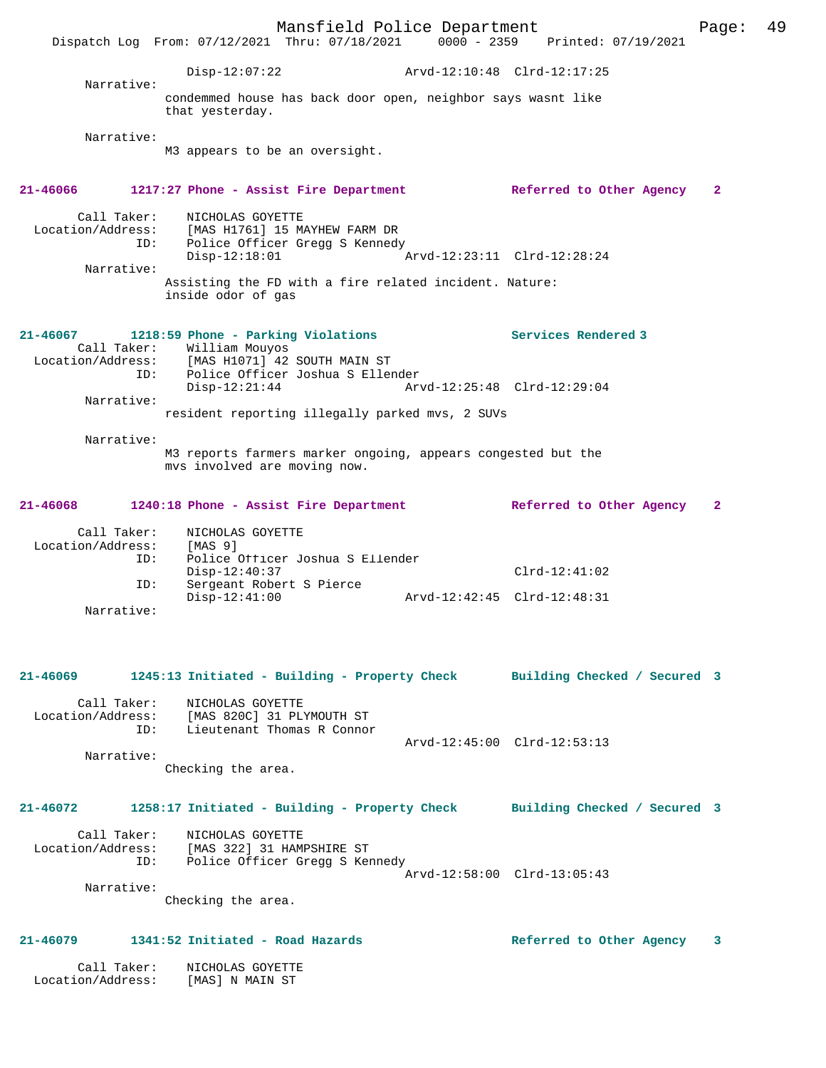Mansfield Police Department Fage: 49 Dispatch Log From: 07/12/2021 Thru: 07/18/2021 0000 - 2359 Printed: 07/19/2021 Disp-12:07:22 Arvd-12:10:48 Clrd-12:17:25 Narrative: condemmed house has back door open, neighbor says wasnt like that yesterday. Narrative: M3 appears to be an oversight. **21-46066 1217:27 Phone - Assist Fire Department Referred to Other Agency 2** Call Taker: NICHOLAS GOYETTE Location/Address: [MAS H1761] 15 MAYHEW FARM DR ID: Police Officer Gregg S Kennedy Disp-12:18:01 Arvd-12:23:11 Clrd-12:28:24 Narrative: Assisting the FD with a fire related incident. Nature: inside odor of gas **21-46067 1218:59 Phone - Parking Violations Services Rendered 3**  Call Taker: William Mouyos Location/Address: [MAS H1071] 42 SOUTH MAIN ST ID: Police Officer Joshua S Ellender Disp-12:21:44 Arvd-12:25:48 Clrd-12:29:04 Narrative: resident reporting illegally parked mvs, 2 SUVs Narrative: M3 reports farmers marker ongoing, appears congested but the mvs involved are moving now. **21-46068 1240:18 Phone - Assist Fire Department Referred to Other Agency 2** Call Taker: NICHOLAS GOYETTE Location/Address: [MAS 9] ID: Police Officer Joshua S Ellender Disp-12:40:37 Clrd-12:41:02 ID: Sergeant Robert S Pierce Disp-12:41:00 Arvd-12:42:45 Clrd-12:48:31 Narrative: **21-46069 1245:13 Initiated - Building - Property Check Building Checked / Secured 3** Call Taker: NICHOLAS GOYETTE Location/Address: [MAS 820C] 31 PLYMOUTH ST ID: Lieutenant Thomas R Connor Arvd-12:45:00 Clrd-12:53:13 Narrative: Checking the area. **21-46072 1258:17 Initiated - Building - Property Check Building Checked / Secured 3** Call Taker: NICHOLAS GOYETTE Location/Address: [MAS 322] 31 HAMPSHIRE ST ID: Police Officer Gregg S Kennedy Arvd-12:58:00 Clrd-13:05:43 Narrative: Checking the area.

# **21-46079 1341:52 Initiated - Road Hazards Referred to Other Agency 3**

 Call Taker: NICHOLAS GOYETTE Location/Address: [MAS] N MAIN ST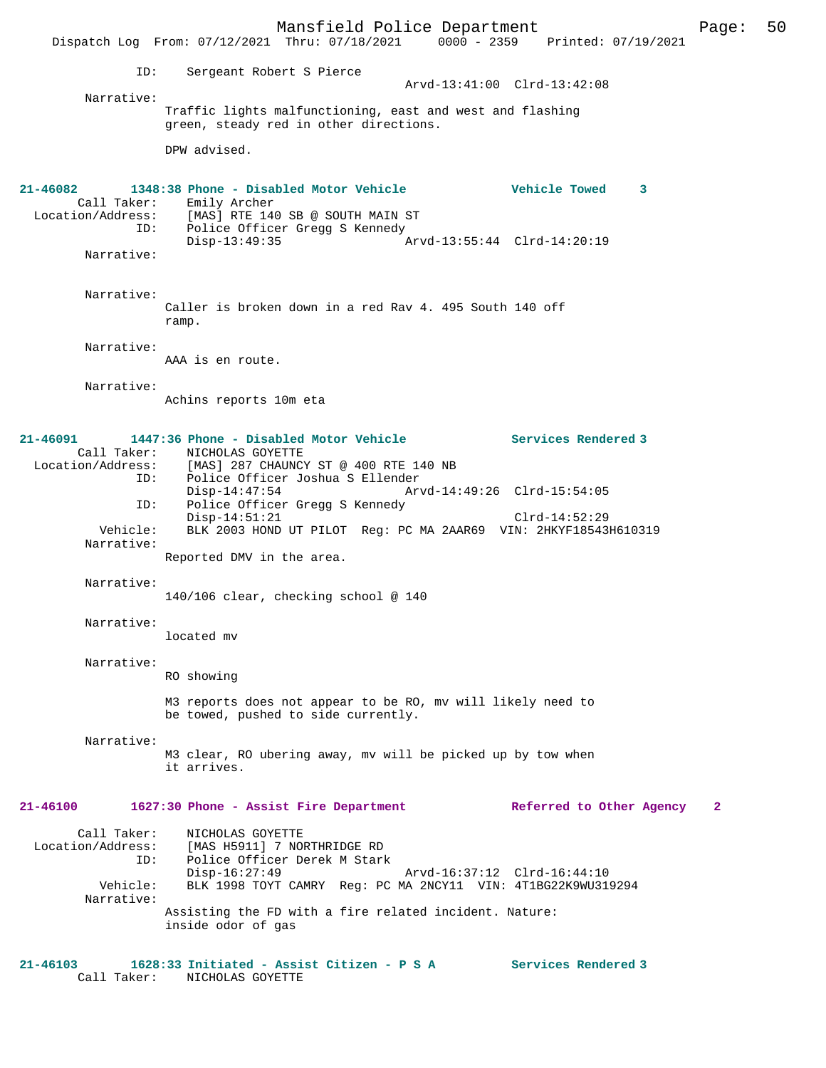Mansfield Police Department Form Page: 50 Dispatch Log From: 07/12/2021 Thru: 07/18/2021 0000 - 2359 Printed: 07/19/2021 ID: Sergeant Robert S Pierce Arvd-13:41:00 Clrd-13:42:08 Narrative: Traffic lights malfunctioning, east and west and flashing green, steady red in other directions. DPW advised. **21-46082 1348:38 Phone - Disabled Motor Vehicle Vehicle Towed 3**  Call Taker: Emily Archer<br>Location/Address: [MAS] RTE 14 [MAS] RTE 140 SB @ SOUTH MAIN ST ID: Police Officer Gregg S Kennedy<br>Disp-13:49:35 Arvd-13:55:44 Clrd-14:20:19 Narrative: Narrative: Caller is broken down in a red Rav 4. 495 South 140 off ramp. Narrative: AAA is en route. Narrative: Achins reports 10m eta **21-46091 1447:36 Phone - Disabled Motor Vehicle Services Rendered 3**  Call Taker: NICHOLAS GOYETTE<br>Location/Address: [MAS] 287 CHAUNCY ess: [MAS] 287 CHAUNCY ST @ 400 RTE 140 NB<br>ID: Police Officer Joshua S Ellender ID: Police Officer Joshua S Ellender Disp-14:47:54 Arvd-14:49:26 Clrd-15:54:05<br>ID: Police Officer Gregg S Kennedy ID: Police Officer Gregg S Kennedy Disp-14:51:21 Clrd-14:52:29 Vehicle: BLK 2003 HOND UT PILOT Reg: PC MA 2AAR69 VIN: 2HKYF18543H610319 Narrative: Reported DMV in the area. Narrative: 140/106 clear, checking school @ 140 Narrative: located mv Narrative: RO showing M3 reports does not appear to be RO, mv will likely need to be towed, pushed to side currently. Narrative: M3 clear, RO ubering away, mv will be picked up by tow when it arrives. **21-46100 1627:30 Phone - Assist Fire Department Referred to Other Agency 2** Call Taker: NICHOLAS GOYETTE<br>Location/Address: [MAS H5911] 7 NO [MAS H5911] 7 NORTHRIDGE RD ID: Police Officer Derek M Stark Disp-16:27:49 Arvd-16:37:12 Clrd-16:44:10 Vehicle: BLK 1998 TOYT CAMRY Reg: PC MA 2NCY11 VIN: 4T1BG22K9WU319294 Narrative: Assisting the FD with a fire related incident. Nature: inside odor of gas **21-46103 1628:33 Initiated - Assist Citizen - P S A Services Rendered 3**  Call Taker: NICHOLAS GOYETTE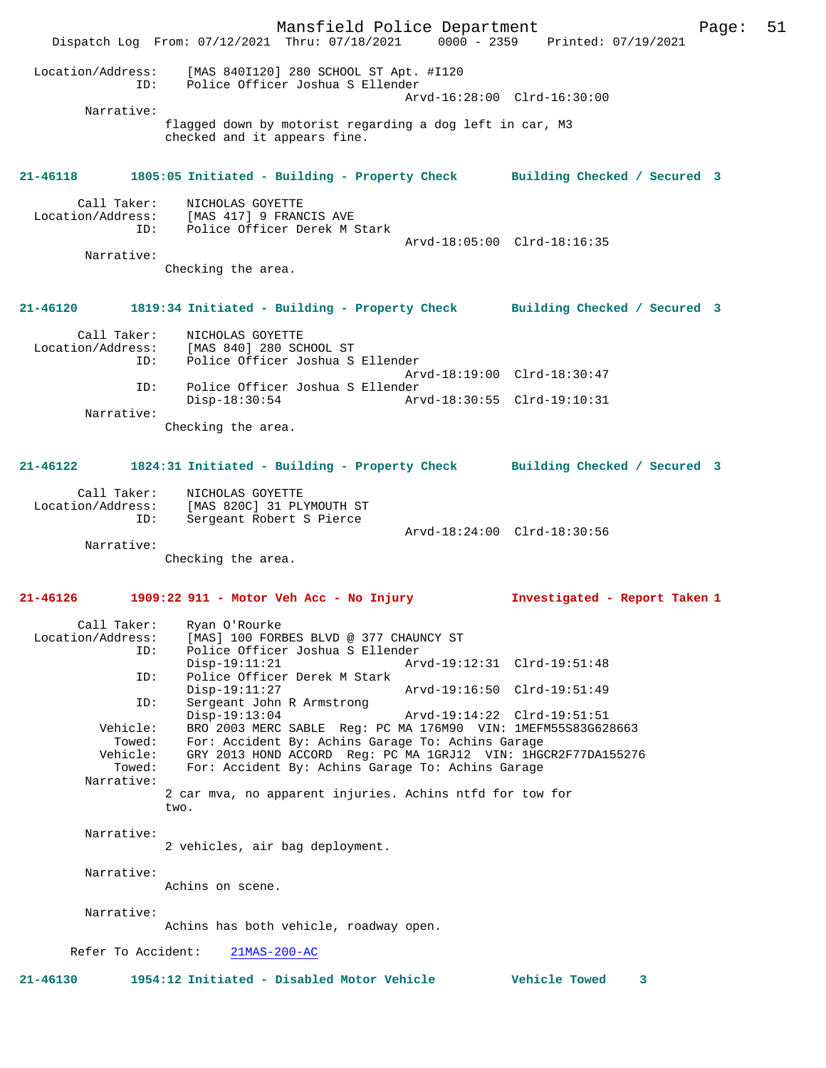Mansfield Police Department Page: 51 Dispatch Log From: 07/12/2021 Thru: 07/18/2021 0000 - 2359 Printed: 07/19/2021 Location/Address: [MAS 840I120] 280 SCHOOL ST Apt. #I120 ID: Police Officer Joshua S Ellender Arvd-16:28:00 Clrd-16:30:00 Narrative: flagged down by motorist regarding a dog left in car, M3 checked and it appears fine. **21-46118 1805:05 Initiated - Building - Property Check Building Checked / Secured 3** Call Taker: NICHOLAS GOYETTE Location/Address: [MAS 417] 9 FRANCIS AVE ID: Police Officer Derek M Stark Arvd-18:05:00 Clrd-18:16:35 Narrative: Checking the area. **21-46120 1819:34 Initiated - Building - Property Check Building Checked / Secured 3** Call Taker: NICHOLAS GOYETTE<br>Location/Address: [MAS 840] 280 SCI ESS: [MAS 840] 280 SCHOOL ST<br>ID: Police Officer Joshua S Police Officer Joshua S Ellender Arvd-18:19:00 Clrd-18:30:47 ID: Police Officer Joshua S Ellender Disp-18:30:54 Arvd-18:30:55 Clrd-19:10:31 Narrative: Checking the area. **21-46122 1824:31 Initiated - Building - Property Check Building Checked / Secured 3** Call Taker: NICHOLAS GOYETTE Location/Address: [MAS 820C] 31 PLYMOUTH ST ID: Sergeant Robert S Pierce Arvd-18:24:00 Clrd-18:30:56 Narrative: Checking the area. **21-46126 1909:22 911 - Motor Veh Acc - No Injury Investigated - Report Taken 1** Call Taker: Ryan O'Rourke Location/Address: [MAS] 100 FORBES BLVD @ 377 CHAUNCY ST ID: Police Officer Joshua S Ellender Disp-19:11:21 Arvd-19:12:31 Clrd-19:51:48 ID: Police Officer Derek M Stark Disp-19:11:27 Arvd-19:16:50 Clrd-19:51:49<br>TD: Sergeant John R Armstrong Sergeant John R Armstrong<br>Disp-19:13:04 Disp-19:13:04 Arvd-19:14:22 Clrd-19:51:51 Vehicle: BRO 2003 MERC SABLE Reg: PC MA 176M90 VIN: 1MEFM55S83G628663 Towed: For: Accident By: Achins Garage To: Achins Garage ehicle: GRY 2013 HOND ACCORD Reg: PC MA 1GRJ12 VIN: 1HGCR2F77DA155276<br>Towed: For: Accident By: Achins Garage To: Achins Garage For: Accident By: Achins Garage To: Achins Garage Narrative: 2 car mva, no apparent injuries. Achins ntfd for tow for two. Narrative: 2 vehicles, air bag deployment. Narrative: Achins on scene. Narrative: Achins has both vehicle, roadway open. Refer To Accident: 21MAS-200-AC **21-46130 1954:12 Initiated - Disabled Motor Vehicle Vehicle Towed 3**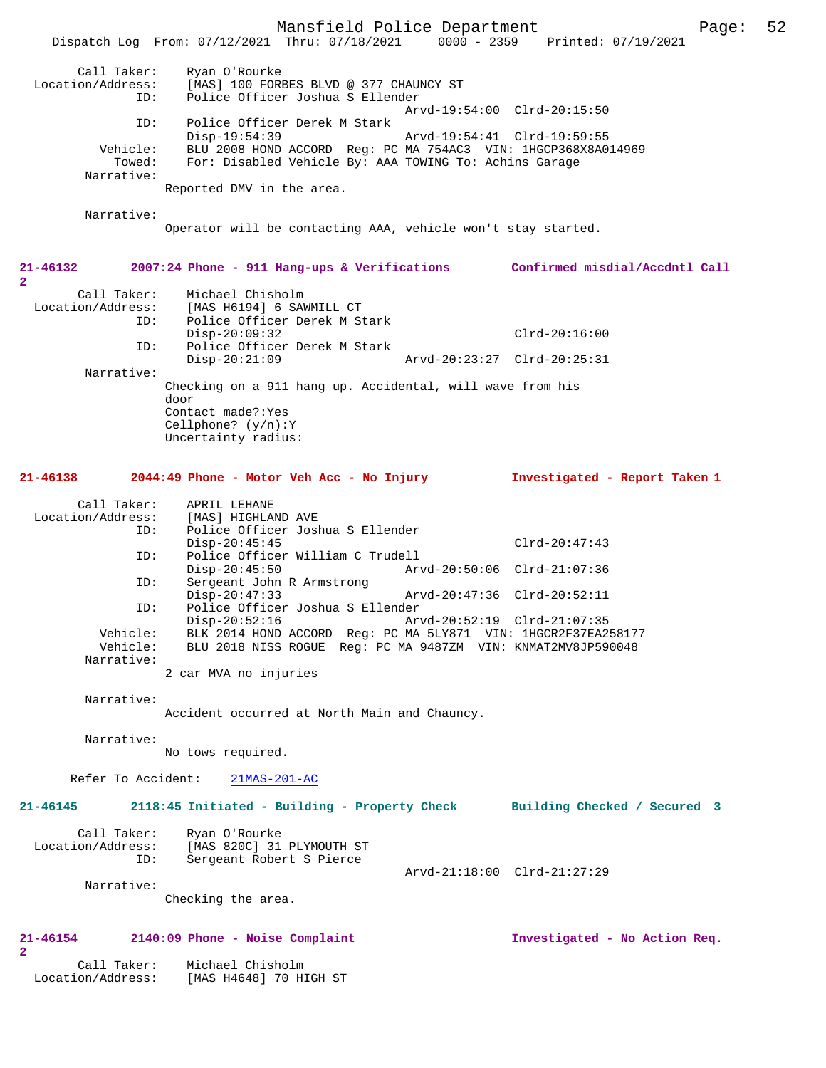Mansfield Police Department Page: 52 Dispatch Log From: 07/12/2021 Thru: 07/18/2021 0000 - 2359 Printed: 07/19/2021 Call Taker: Ryan O'Rourke<br>Location/Address: [MAS] 100 FORE [MAS] 100 FORBES BLVD @ 377 CHAUNCY ST ID: Police Officer Joshua S Ellender Arvd-19:54:00 Clrd-20:15:50<br>TD: Police Officer Derek M Stark Police Officer Derek M Stark<br>Disp-19:54:39 Disp-19:54:39 Arvd-19:54:41 Clrd-19:59:55 Vehicle: BLU 2008 HOND ACCORD Reg: PC MA 754AC3 VIN: 1HGCP368X8A014969 Towed: For: Disabled Vehicle By: AAA TOWING To: Achins Garage Narrative: Reported DMV in the area. Narrative: Operator will be contacting AAA, vehicle won't stay started. **21-46132 2007:24 Phone - 911 Hang-ups & Verifications Confirmed misdial/Accdntl Call 2**  Call Taker: Michael Chisholm<br>Location/Address: [MAS H6194] 6 SAW ess: [MAS H6194] 6 SAWMILL CT<br>ID: Police Officer Derek M.St Police Officer Derek M Stark Disp-20:09:32 Clrd-20:16:00 ID: Police Officer Derek M Stark Disp-20:21:09 Arvd-20:23:27 Clrd-20:25:31 Narrative: Checking on a 911 hang up. Accidental, will wave from his door Contact made?:Yes Cellphone? (y/n):Y Uncertainty radius: **21-46138 2044:49 Phone - Motor Veh Acc - No Injury Investigated - Report Taken 1** Call Taker: APRIL LEHANE<br>Location/Address: [MAS] HIGHLA [MAS] HIGHLAND AVE ID: Police Officer Joshua S Ellender Disp-20:45:45 Clrd-20:47:43<br>TD: Police Officer William C Trudell Police Officer William C Trudell<br>Disp-20:45:50 Arv Disp-20:45:50 <br>D: Sergeant John R Armstrong <br>D: Sergeant John R Armstrong Sergeant John R Armstrong<br>Disp-20:47:33 Disp-20:47:33 Arvd-20:47:36 Clrd-20:52:11 ID: Police Officer Joshua S Ellender Disp-20:52:16 Arvd-20:52:19 Clrd-21:07:35<br>Vehicle: BLK 2014 HOND ACCORD Reg: PC MA 5LY871 VIN: 1HGCR2F37EA2 Vehicle: BLK 2014 HOND ACCORD Reg: PC MA 5LY871 VIN: 1HGCR2F37EA258177 Vehicle: BLU 2018 NISS ROGUE Reg: PC MA 9487ZM VIN: KNMAT2MV8JP590048 Narrative: 2 car MVA no injuries Narrative: Accident occurred at North Main and Chauncy. Narrative: No tows required. Refer To Accident: 21MAS-201-AC **21-46145 2118:45 Initiated - Building - Property Check Building Checked / Secured 3** Call Taker: Ryan O'Rourke<br>Location/Address: [MAS 820C] 31 PLYMOUTH ST Location/Address: [MAS 820C] 31 PLYMOUTH ST ID: Sergeant Robert S Pierce Arvd-21:18:00 Clrd-21:27:29 Narrative: Checking the area. **21-46154 2140:09 Phone - Noise Complaint Investigated - No Action Req. 2**  Call Taker: Michael Chisholm Location/Address: [MAS H4648] 70 HIGH ST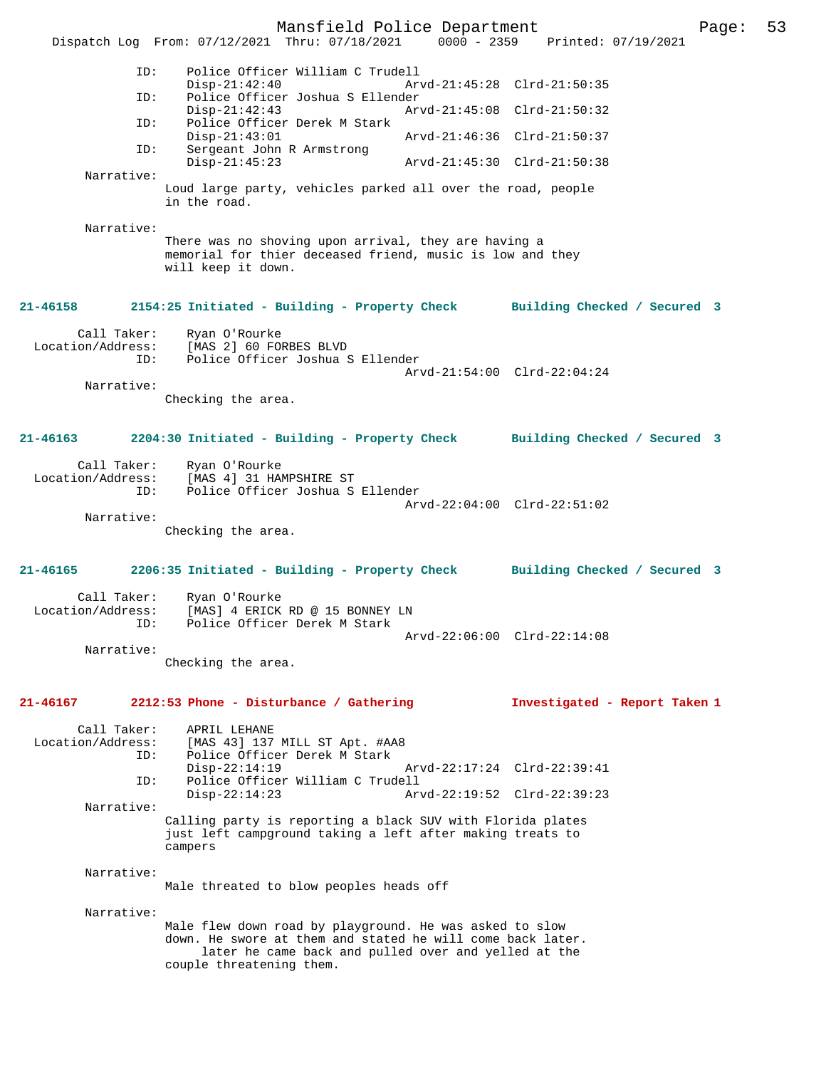Mansfield Police Department Page: 53 Dispatch Log From: 07/12/2021 Thru: 07/18/2021 ID: Police Officer William C Trudell Disp-21:42:40 Arvd-21:45:28 Clrd-21:50:35<br>TD: Police Officer Joshua S Ellender Police Officer Joshua S Ellender<br>Disp-21:42:43 Ar Disp-21:42:43 Arvd-21:45:08 Clrd-21:50:32 Police Officer Derek M Stark<br>Disp-21:43:01 Arvd-21:46:36 Clrd-21:50:37 ID: Sergeant John R Armstrong Arvd-21:45:30 Clrd-21:50:38 Narrative: Loud large party, vehicles parked all over the road, people in the road. Narrative: There was no shoving upon arrival, they are having a memorial for thier deceased friend, music is low and they will keep it down. **21-46158 2154:25 Initiated - Building - Property Check Building Checked / Secured 3** Call Taker: Ryan O'Rourke<br>Location/Address: [MAS 2] 60 FOI [MAS 2] 60 FORBES BLVD ID: Police Officer Joshua S Ellender Arvd-21:54:00 Clrd-22:04:24 Narrative: Checking the area. **21-46163 2204:30 Initiated - Building - Property Check Building Checked / Secured 3** Call Taker: Ryan O'Rourke<br>Location/Address: [MAS 4] 31 HA ess: [MAS 4] 31 HAMPSHIRE ST<br>ID: Police Officer Joshua S Police Officer Joshua S Ellender Arvd-22:04:00 Clrd-22:51:02 Narrative: Checking the area. **21-46165 2206:35 Initiated - Building - Property Check Building Checked / Secured 3** Call Taker: Ryan O'Rourke Location/Address: [MAS] 4 ERICK RD @ 15 BONNEY LN<br>TD: Police Officer Derek M Stark Police Officer Derek M Stark Arvd-22:06:00 Clrd-22:14:08 Narrative: Checking the area. **21-46167 2212:53 Phone - Disturbance / Gathering Investigated - Report Taken 1** Call Taker: APRIL LEHANE<br>Location/Address: [MAS 43] 137 ess: [MAS 43] 137 MILL ST Apt. #AA8<br>ID: Police Officer Derek M Stark Police Officer Derek M Stark Disp-22:14:19 Arvd-22:17:24 Clrd-22:39:41 ID: Police Officer William C Trudell Disp-22:14:23 Arvd-22:19:52 Clrd-22:39:23 Narrative: Calling party is reporting a black SUV with Florida plates just left campground taking a left after making treats to campers Narrative: Male threated to blow peoples heads off Narrative: Male flew down road by playground. He was asked to slow down. He swore at them and stated he will come back later. later he came back and pulled over and yelled at the couple threatening them.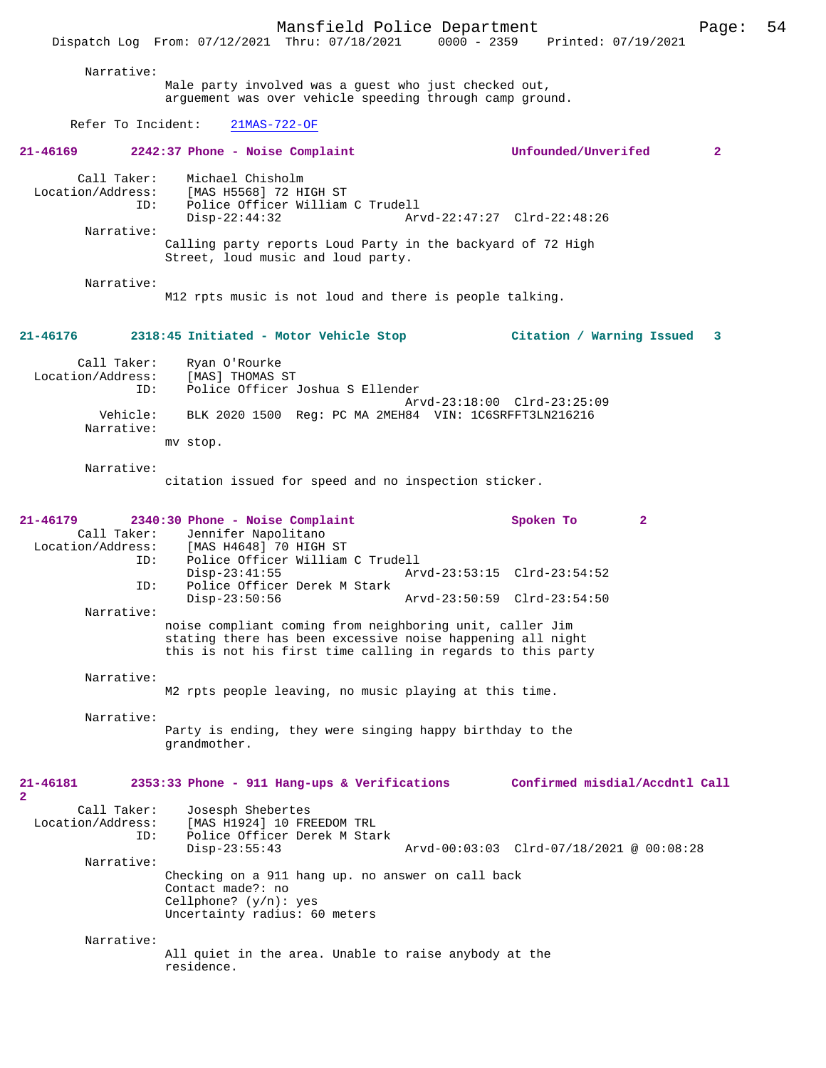Mansfield Police Department Page: 54 Dispatch Log From: 07/12/2021 Thru: 07/18/2021 Narrative: Male party involved was a guest who just checked out, arguement was over vehicle speeding through camp ground. Refer To Incident: 21MAS-722-OF **21-46169 2242:37 Phone - Noise Complaint Unfounded/Unverifed 2** Call Taker: Michael Chisholm Location/Address: [MAS H5568] 72 HIGH ST ID: Police Officer William C Trudell Disp-22:44:32 Arvd-22:47:27 Clrd-22:48:26 Narrative: Calling party reports Loud Party in the backyard of 72 High Street, loud music and loud party. Narrative: M12 rpts music is not loud and there is people talking. **21-46176 2318:45 Initiated - Motor Vehicle Stop Citation / Warning Issued 3** Call Taker: Ryan O'Rourke<br>.on/Address: [MAS] THOMAS ST Location/Address:<br>ID: Police Officer Joshua S Ellender Arvd-23:18:00 Clrd-23:25:09<br>Vebicle: RLK 2020 1500 Reg: PC MA 2MEH84 VIN: 1C6SREET3LN216216 BLK 2020 1500 Reg: PC MA 2MEH84 VIN: 1C6SRFFT3LN216216 Narrative: mv stop. Narrative: citation issued for speed and no inspection sticker. **21-46179 2340:30 Phone - Noise Complaint Spoken To 2**  Call Taker: Jennifer Napolitano<br>Location/Address: [MAS H4648] 70 HIGH [MAS H4648] 70 HIGH ST ID: Police Officer William C Trudell Disp-23:41:55 Arvd-23:53:15 Clrd-23:54:52 Police Officer Derek M Stark<br>Disp-23:50:56 Disp-23:50:56 Arvd-23:50:59 Clrd-23:54:50 Narrative: noise compliant coming from neighboring unit, caller Jim stating there has been excessive noise happening all night this is not his first time calling in regards to this party Narrative: M2 rpts people leaving, no music playing at this time. Narrative: Party is ending, they were singing happy birthday to the grandmother. **21-46181 2353:33 Phone - 911 Hang-ups & Verifications Confirmed misdial/Accdntl Call** Call Taker: Josesph Shebertes<br>Location/Address: [MAS H1924] 10 FR ess: [MAS H1924] 10 FREEDOM TRL<br>ID: Police Officer Derek M Stai Police Officer Derek M Stark<br>Disp-23:55:43 Arvd-00:03:03 Clrd-07/18/2021 @ 00:08:28 Narrative: Checking on a 911 hang up. no answer on call back Contact made?: no Cellphone? (y/n): yes Uncertainty radius: 60 meters Narrative: All quiet in the area. Unable to raise anybody at the

residence.

**2**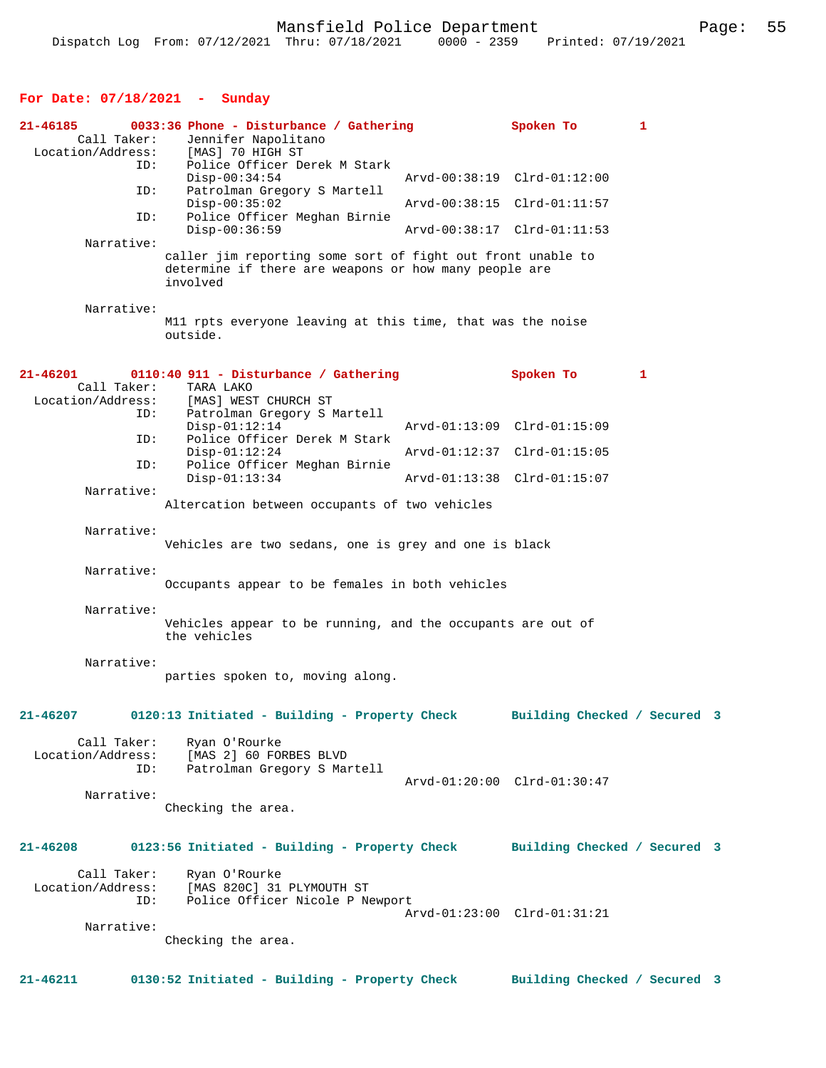# **For Date: 07/18/2021 - Sunday**

| 21-46185<br>Call Taker:                 | 0033:36 Phone - Disturbance / Gathering<br>Jennifer Napolitano<br>Location/Address: [MAS] 70 HIGH ST                             | Spoken To                    | 1 |  |
|-----------------------------------------|----------------------------------------------------------------------------------------------------------------------------------|------------------------------|---|--|
| ID:                                     | Police Officer Derek M Stark<br>$Disp-00:34:54$                                                                                  | Arvd-00:38:19 Clrd-01:12:00  |   |  |
| ID:                                     | Patrolman Gregory S Martell<br>$Disp-00:35:02$                                                                                   | Arvd-00:38:15 Clrd-01:11:57  |   |  |
| ID:                                     | Police Officer Meghan Birnie<br>$Disp-00:36:59$                                                                                  | Arvd-00:38:17 Clrd-01:11:53  |   |  |
| Narrative:                              | caller jim reporting some sort of fight out front unable to<br>determine if there are weapons or how many people are<br>involved |                              |   |  |
| Narrative:                              | M11 rpts everyone leaving at this time, that was the noise<br>outside.                                                           |                              |   |  |
| 21-46201                                | 0110:40 911 - Disturbance / Gathering                                                                                            | Spoken To                    | 1 |  |
| Call Taker:<br>Location/Address:<br>ID: | TARA LAKO<br>[MAS] WEST CHURCH ST<br>Patrolman Gregory S Martell<br>$Disp-01:12:14$                                              | Arvd-01:13:09 Clrd-01:15:09  |   |  |
| ID:                                     | Police Officer Derek M Stark<br>$Disp-01:12:24$                                                                                  | Arvd-01:12:37 Clrd-01:15:05  |   |  |
| ID:                                     | Police Officer Meghan Birnie<br>$Disp-01:13:34$                                                                                  | Arvd-01:13:38 Clrd-01:15:07  |   |  |
| Narrative:                              | Altercation between occupants of two vehicles                                                                                    |                              |   |  |
| Narrative:                              | Vehicles are two sedans, one is grey and one is black                                                                            |                              |   |  |
| Narrative:                              | Occupants appear to be females in both vehicles                                                                                  |                              |   |  |
| Narrative:                              | Vehicles appear to be running, and the occupants are out of<br>the vehicles                                                      |                              |   |  |
| Narrative:                              | parties spoken to, moving along.                                                                                                 |                              |   |  |
| 21-46207                                | 0120:13 Initiated - Building - Property Check                                                                                    | Building Checked / Secured 3 |   |  |
| Location/Address:<br>ID:                | Call Taker: Ryan O'Rourke<br>MAS 2] 60 FORBES BLVD<br>Patrolman Gregory S Mai<br>Patrolman Gregory S Martell                     | Arvd-01:20:00 Clrd-01:30:47  |   |  |
| Narrative:                              | Checking the area.                                                                                                               |                              |   |  |
| 21-46208                                | 0123:56 Initiated - Building - Property Check                                                                                    | Building Checked / Secured 3 |   |  |
| Call Taker:<br>Location/Address:<br>ID: | Ryan O'Rourke<br>[MAS 820C] 31 PLYMOUTH ST<br>Police Officer Nicole P Newport                                                    | Arvd-01:23:00 Clrd-01:31:21  |   |  |
| Narrative:                              | Checking the area.                                                                                                               |                              |   |  |
| 21-46211                                | 0130:52 Initiated - Building - Property Check                                                                                    | Building Checked / Secured 3 |   |  |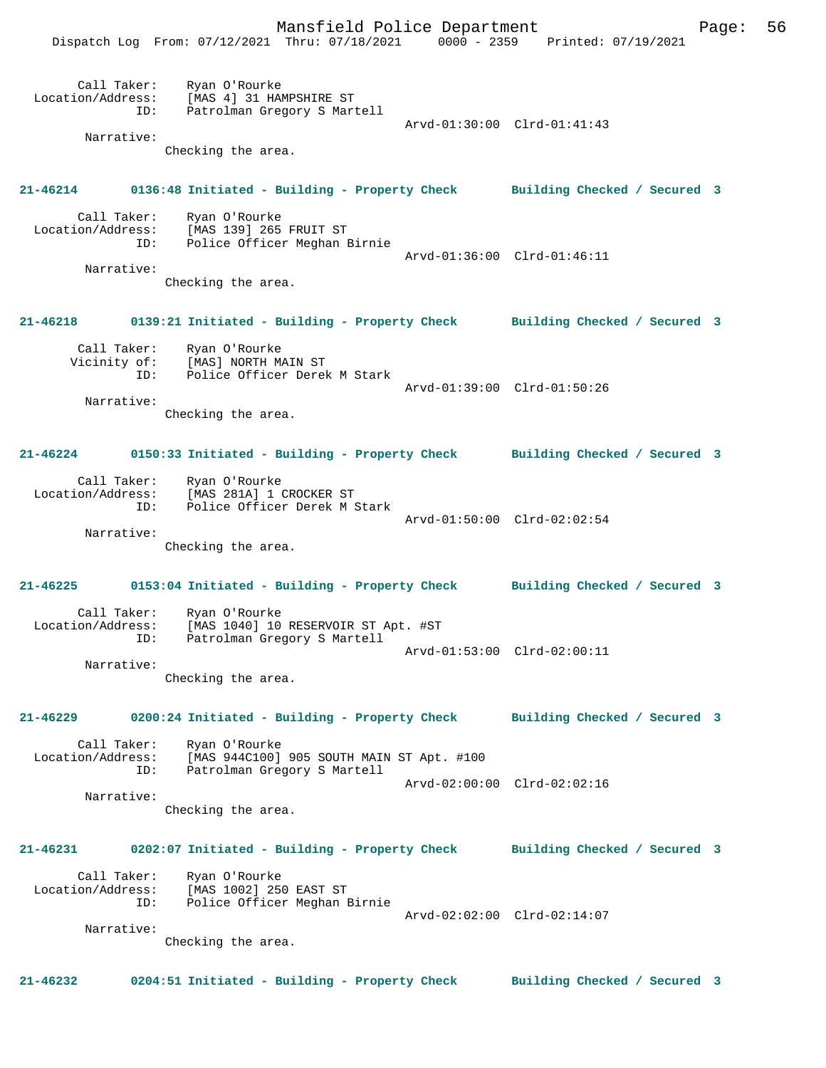Mansfield Police Department Page: 56 Dispatch Log From: 07/12/2021 Thru: 07/18/2021 0000 - 2359 Printed: 07/19/2021 Call Taker: Ryan O'Rourke Location/Address: [MAS 4] 31 HAMPSHIRE ST ID: Patrolman Gregory S Martell Arvd-01:30:00 Clrd-01:41:43 Narrative: Checking the area. **21-46214 0136:48 Initiated - Building - Property Check Building Checked / Secured 3** Call Taker: Ryan O'Rourke Location/Address: [MAS 139] 265 FRUIT ST Police Officer Meghan Birnie Arvd-01:36:00 Clrd-01:46:11 Narrative: Checking the area. **21-46218 0139:21 Initiated - Building - Property Check Building Checked / Secured 3** Call Taker: Ryan O'Rourke Vicinity of: [MAS] NORTH MAIN ST ID: Police Officer Derek M Stark Arvd-01:39:00 Clrd-01:50:26 Narrative: Checking the area. **21-46224 0150:33 Initiated - Building - Property Check Building Checked / Secured 3** Call Taker: Ryan O'Rourke Location/Address: [MAS 281A] 1 CROCKER ST Police Officer Derek M Stark Arvd-01:50:00 Clrd-02:02:54 Narrative: Checking the area. **21-46225 0153:04 Initiated - Building - Property Check Building Checked / Secured 3** Call Taker: Ryan O'Rourke Location/Address: [MAS 1040] 10 RESERVOIR ST Apt. #ST ID: Patrolman Gregory S Martell Arvd-01:53:00 Clrd-02:00:11 Narrative: Checking the area. **21-46229 0200:24 Initiated - Building - Property Check Building Checked / Secured 3** Call Taker: Ryan O'Rourke Location/Address: [MAS 944C100] 905 SOUTH MAIN ST Apt. #100 ID: Patrolman Gregory S Martell Arvd-02:00:00 Clrd-02:02:16 Narrative: Checking the area. **21-46231 0202:07 Initiated - Building - Property Check Building Checked / Secured 3** Call Taker: Ryan O'Rourke Location/Address: [MAS 1002] 250 EAST ST ID: Police Officer Meghan Birnie Arvd-02:02:00 Clrd-02:14:07 Narrative: Checking the area. **21-46232 0204:51 Initiated - Building - Property Check Building Checked / Secured 3**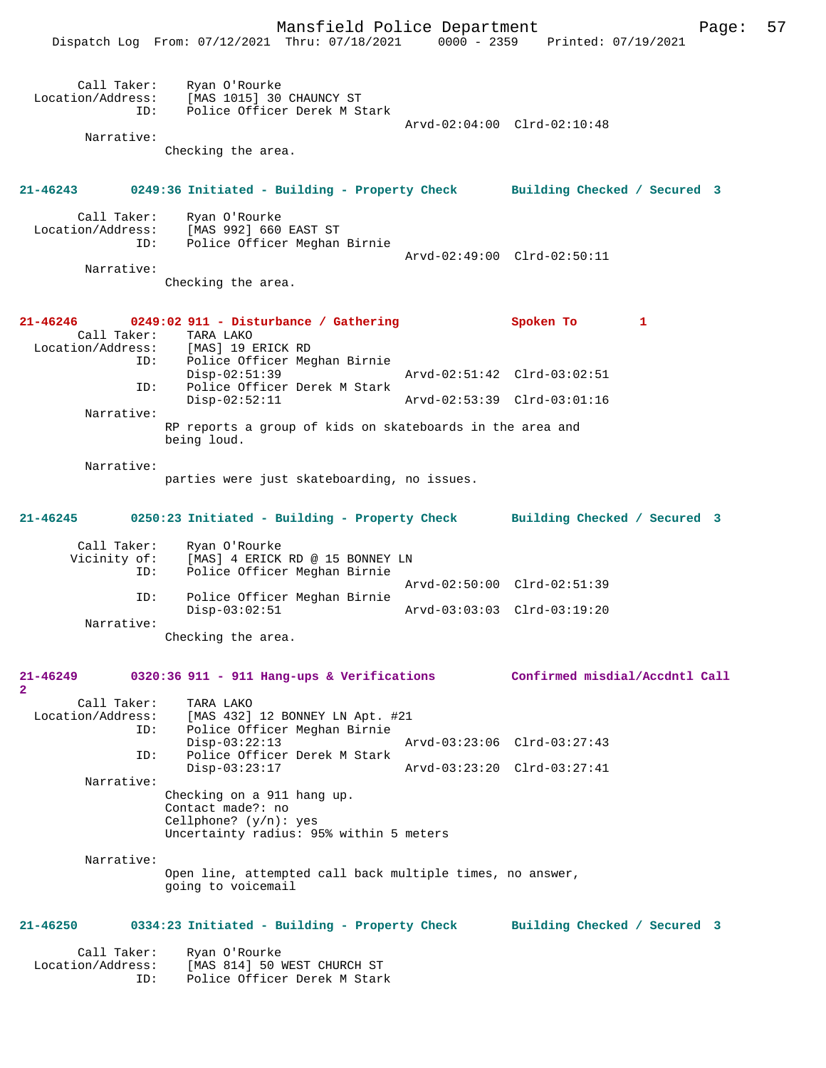Mansfield Police Department Page: 57 Dispatch Log From: 07/12/2021 Thru: 07/18/2021 Call Taker: Ryan O'Rourke Location/Address: [MAS 1015] 30 CHAUNCY ST Police Officer Derek M Stark Arvd-02:04:00 Clrd-02:10:48 Narrative: Checking the area. **21-46243 0249:36 Initiated - Building - Property Check Building Checked / Secured 3** Call Taker: Ryan O'Rourke Location/Address: [MAS 992] 660 EAST ST Police Officer Meghan Birnie Arvd-02:49:00 Clrd-02:50:11 Narrative: Checking the area. **21-46246 0249:02 911 - Disturbance / Gathering Spoken To 1**  Call Taker:<br>Location/Address: ess: [MAS] 19 ERICK RD<br>ID: Police Officer Me Police Officer Meghan Birnie<br>Disp-02:51:39 Disp-02:51:39 Arvd-02:51:42 Clrd-03:02:51<br>ID: Police Officer Derek M Stark Police Officer Derek M Stark Disp-02:52:11 Arvd-02:53:39 Clrd-03:01:16 Narrative: RP reports a group of kids on skateboards in the area and being loud. Narrative: parties were just skateboarding, no issues. **21-46245 0250:23 Initiated - Building - Property Check Building Checked / Secured 3** Call Taker: Ryan O'Rourke<br>Vicinity of: [MAS] 4 ERICK of: [MAS] 4 ERICK RD @ 15 BONNEY LN<br>ID: Police Officer Meghan Birnie Police Officer Meghan Birnie Arvd-02:50:00 Clrd-02:51:39<br>ID: Police Officer Meghan Birnie Police Officer Meghan Birnie Disp-03:02:51 Arvd-03:03:03 Clrd-03:19:20 Narrative: Checking the area. **21-46249 0320:36 911 - 911 Hang-ups & Verifications Confirmed misdial/Accdntl Call 2**  Call Taker: TARA LAKO<br>Location/Address: [MAS 432] [MAS 432] 12 BONNEY LN Apt. #21 ID: Police Officer Meghan Birnie Disp-03:22:13 Arvd-03:23:06 Clrd-03:27:43<br>ID: Police Officer Derek M Stark Police Officer Derek M Stark Disp-03:23:17 Arvd-03:23:20 Clrd-03:27:41 Narrative: Checking on a 911 hang up. Contact made?: no Cellphone? (y/n): yes Uncertainty radius: 95% within 5 meters Narrative: Open line, attempted call back multiple times, no answer, going to voicemail **21-46250 0334:23 Initiated - Building - Property Check Building Checked / Secured 3** Call Taker: Ryan O'Rourke<br>Location/Address: [MAS 814] 50 1 [MAS 814] 50 WEST CHURCH ST ID: Police Officer Derek M Stark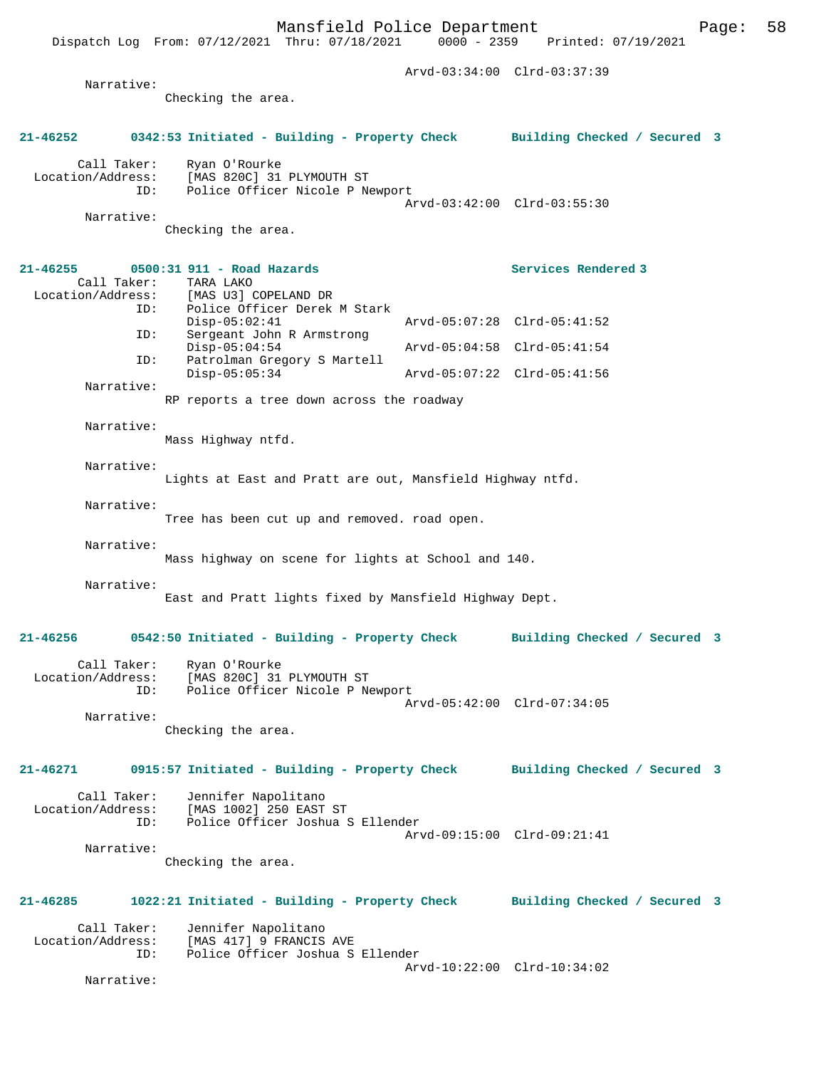Dispatch Log From: 07/12/2021 Thru: 07/18/2021

 Arvd-03:34:00 Clrd-03:37:39 Narrative: Checking the area. **21-46252 0342:53 Initiated - Building - Property Check Building Checked / Secured 3** Call Taker: Ryan O'Rourke Location/Address: [MAS 820C] 31 PLYMOUTH ST<br>ID: Police Officer Nicole P N Police Officer Nicole P Newport Arvd-03:42:00 Clrd-03:55:30 Narrative: Checking the area. **21-46255 0500:31 911 - Road Hazards Services Rendered 3**  Call Taker: TARA LAKO<br>Location/Address: [MAS U3] ( ess: [MAS U3] COPELAND DR<br>ID: Police Officer Derek Police Officer Derek M Stark<br>Disp-05:02:41 Disp-05:02:41 Arvd-05:07:28 Clrd-05:41:52<br>ID: Sergeant John R Armstrong Sergeant John R Armstrong Disp-05:04:54 Arvd-05:04:58 Clrd-05:41:54<br>TD: Patrolman Gregory S Martell Patrolman Gregory S Martell<br>Disp-05:05:34 Disp-05:05:34 Arvd-05:07:22 Clrd-05:41:56 Narrative: RP reports a tree down across the roadway Narrative: Mass Highway ntfd. Narrative: Lights at East and Pratt are out, Mansfield Highway ntfd. Narrative: Tree has been cut up and removed. road open. Narrative: Mass highway on scene for lights at School and 140. Narrative: East and Pratt lights fixed by Mansfield Highway Dept. **21-46256 0542:50 Initiated - Building - Property Check Building Checked / Secured 3** Call Taker: Ryan O'Rourke<br>Location/Address: [MAS 820C] 31 ess: [MAS 820C] 31 PLYMOUTH ST<br>ID: Police Officer Nicole P Ne Police Officer Nicole P Newport Arvd-05:42:00 Clrd-07:34:05 Narrative: Checking the area. **21-46271 0915:57 Initiated - Building - Property Check Building Checked / Secured 3** Call Taker: Jennifer Napolitano<br>Location/Address: [MAS 1002] 250 EAST ess: [MAS 1002] 250 EAST ST<br>ID: Police Officer Joshua S Police Officer Joshua S Ellender Arvd-09:15:00 Clrd-09:21:41 Narrative: Checking the area. **21-46285 1022:21 Initiated - Building - Property Check Building Checked / Secured 3** Call Taker: Jennifer Napolitano<br>Location/Address: [MAS 417] 9 FRANCIS ess: [MAS 417] 9 FRANCIS AVE<br>ID: Police Officer Joshua S Police Officer Joshua S Ellender Arvd-10:22:00 Clrd-10:34:02 Narrative: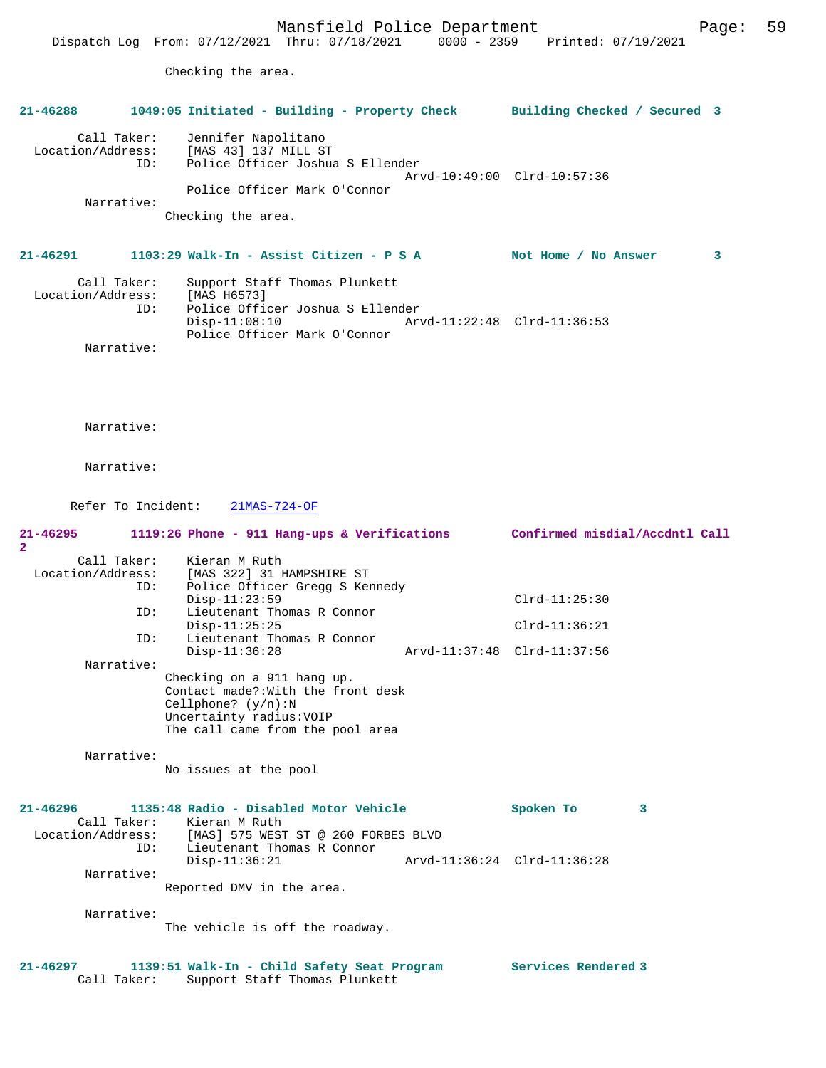Checking the area.

# **21-46288 1049:05 Initiated - Building - Property Check Building Checked / Secured 3** Call Taker: Jennifer Napolitano Location/Address: [MAS 43] 137 MILL ST ID: Police Officer Joshua S Ellender Arvd-10:49:00 Clrd-10:57:36 Police Officer Mark O'Connor Narrative: Checking the area. **21-46291 1103:29 Walk-In - Assist Citizen - P S A Not Home / No Answer 3** Call Taker: Support Staff Thomas Plunkett Location/Address: [MAS H6573] ID: Police Officer Joshua S Ellender Disp-11:08:10 Arvd-11:22:48 Clrd-11:36:53 Police Officer Mark O'Connor Narrative: Narrative: Narrative: Refer To Incident: 21MAS-724-OF **21-46295 1119:26 Phone - 911 Hang-ups & Verifications Confirmed misdial/Accdntl Call 2**  Call Taker: Kieran M Ruth

| Location/Address: | [MAS 322] 31 HAMPSHIRE ST          |                             |
|-------------------|------------------------------------|-----------------------------|
| ID:               | Police Officer Gregg S Kennedy     |                             |
|                   | $Disp-11:23:59$                    | $Clrd-11:25:30$             |
| ID:               | Lieutenant Thomas R Connor         |                             |
|                   | $Disp-11:25:25$                    | $Clrd-11:36:21$             |
| ID:               | Lieutenant Thomas R Connor         |                             |
|                   | $Disp-11:36:28$                    | Arvd-11:37:48 Clrd-11:37:56 |
| Narrative:        |                                    |                             |
|                   | Checking on a 911 hang up.         |                             |
|                   | Contact made?: With the front desk |                             |
|                   | Cellphone? $(y/n):N$               |                             |
|                   | Uncertainty radius: VOIP           |                             |
|                   | The call came from the pool area   |                             |
|                   |                                    |                             |
| Narrative:        |                                    |                             |
|                   | No issues at the pool              |                             |
|                   |                                    |                             |

| 21-46296          |             | 1135:48 Radio - Disabled Motor Vehicle |                             | Spoken To |  |
|-------------------|-------------|----------------------------------------|-----------------------------|-----------|--|
|                   | Call Taker: | Kieran M Ruth                          |                             |           |  |
| Location/Address: |             | [MAS] 575 WEST ST @ 260 FORBES BLVD    |                             |           |  |
|                   | ID:         | Lieutenant Thomas R Connor             |                             |           |  |
|                   |             | $Disp-11:36:21$                        | Arvd-11:36:24 Clrd-11:36:28 |           |  |
|                   | Narrative:  |                                        |                             |           |  |
|                   |             | Reported DMV in the area.              |                             |           |  |
|                   | Narrative:  |                                        |                             |           |  |

The vehicle is off the roadway.

## **21-46297 1139:51 Walk-In - Child Safety Seat Program Services Rendered 3**  Call Taker: Support Staff Thomas Plunkett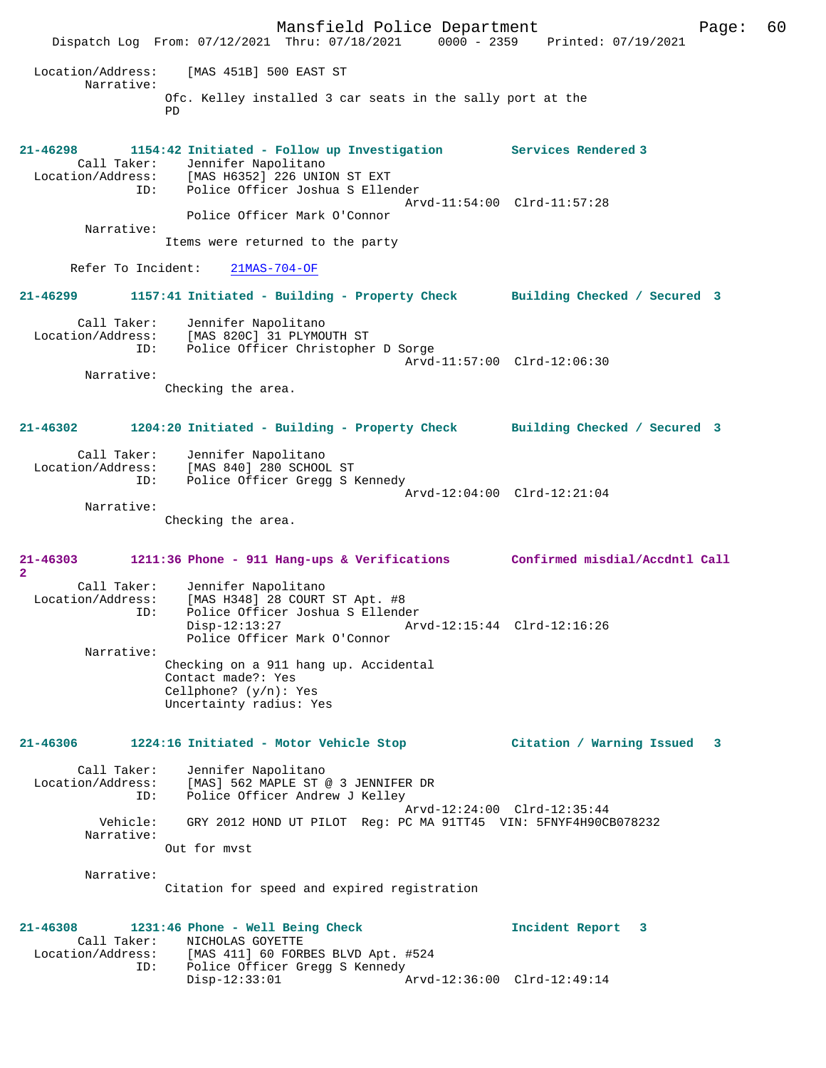Mansfield Police Department Form Page: 60 Dispatch Log From: 07/12/2021 Thru: 07/18/2021 0000 - 2359 Printed: 07/19/2021 Location/Address: [MAS 451B] 500 EAST ST Narrative: Ofc. Kelley installed 3 car seats in the sally port at the PD **21-46298 1154:42 Initiated - Follow up Investigation Services Rendered 3**  Call Taker: Jennifer Napolitano Location/Address: [MAS H6352] 226 UNION ST EXT ID: Police Officer Joshua S Ellender Arvd-11:54:00 Clrd-11:57:28 Police Officer Mark O'Connor Narrative: Items were returned to the party Refer To Incident: 21MAS-704-OF **21-46299 1157:41 Initiated - Building - Property Check Building Checked / Secured 3** Call Taker: Jennifer Napolitano Location/Address: [MAS 820C] 31 PLYMOUTH ST ID: Police Officer Christopher D Sorge Arvd-11:57:00 Clrd-12:06:30 Narrative: Checking the area. **21-46302 1204:20 Initiated - Building - Property Check Building Checked / Secured 3** Call Taker: Jennifer Napolitano Location/Address: [MAS 840] 280 SCHOOL ST ID: Police Officer Gregg S Kennedy Arvd-12:04:00 Clrd-12:21:04 Narrative: Checking the area. **21-46303 1211:36 Phone - 911 Hang-ups & Verifications Confirmed misdial/Accdntl Call 2**  Call Taker: Jennifer Napolitano Location/Address: [MAS H348] 28 COURT ST Apt. #8 Police Officer Joshua S Ellender<br>Disp-12:13:27 Ary Disp-12:13:27 Arvd-12:15:44 Clrd-12:16:26 Police Officer Mark O'Connor Narrative: Checking on a 911 hang up. Accidental Contact made?: Yes Cellphone? (y/n): Yes Uncertainty radius: Yes **21-46306 1224:16 Initiated - Motor Vehicle Stop Citation / Warning Issued 3** Call Taker: Jennifer Napolitano<br>Location/Address: [MAS] 562 MAPLE ST [MAS] 562 MAPLE ST @ 3 JENNIFER DR ID: Police Officer Andrew J Kelley Arvd-12:24:00 Clrd-12:35:44 Vehicle: GRY 2012 HOND UT PILOT Reg: PC MA 91TT45 VIN: 5FNYF4H90CB078232 Narrative: Out for mvst Narrative: Citation for speed and expired registration **21-46308 1231:46 Phone - Well Being Check Incident Report 3**  Call Taker: NICHOLAS GOYETTE<br>Location/Address: [MAS 411] 60 FORE ess: [MAS 411] 60 FORBES BLVD Apt. #524<br>ID: Police Officer Gregg S Kennedy IMAS 1111 VV LONGEL .<br>Police Officer Gregg S Kennedy<br>Disp-12:33:01 A Disp-12:33:01 Arvd-12:36:00 Clrd-12:49:14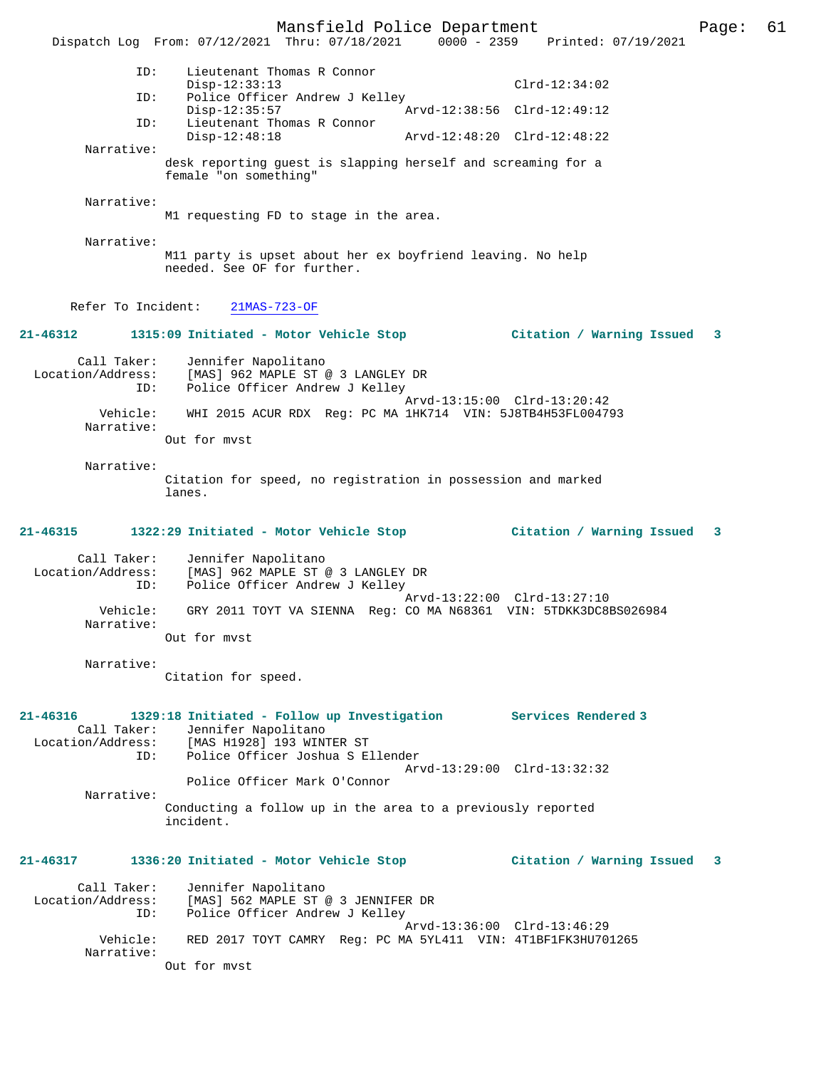Mansfield Police Department Form Page: 61 Dispatch Log From: 07/12/2021 Thru: 07/18/2021 0000 - 2359 Printed: 07/19/2021 ID: Lieutenant Thomas R Connor Disp-12:33:13 Clrd-12:34:02<br>TD: Police Officer Andrew J Kelley Police Officer Andrew J Kelley<br>Disp-12:35:57 Art Disp-12:35:57 <br>Th: Lieutenant Thomas R Connor<br>The Lieutenant Thomas R Connor Lieutenant Thomas R Connor<br>Disp-12:48:18 Disp-12:48:18 Arvd-12:48:20 Clrd-12:48:22 Narrative: desk reporting guest is slapping herself and screaming for a female "on something" Narrative: M1 requesting FD to stage in the area. Narrative: M11 party is upset about her ex boyfriend leaving. No help needed. See OF for further. Refer To Incident: 21MAS-723-OF **21-46312 1315:09 Initiated - Motor Vehicle Stop Citation / Warning Issued 3** Call Taker: Jennifer Napolitano Location/Address: [MAS] 962 MAPLE ST @ 3 LANGLEY DR ID: Police Officer Andrew J Kelley Arvd-13:15:00 Clrd-13:20:42 Vehicle: WHI 2015 ACUR RDX Reg: PC MA 1HK714 VIN: 5J8TB4H53FL004793 Narrative: Out for mvst Narrative: Citation for speed, no registration in possession and marked lanes. **21-46315 1322:29 Initiated - Motor Vehicle Stop Citation / Warning Issued 3** Call Taker: Jennifer Napolitano<br>Location/Address: [MAS] 962 MAPLE ST @ ess: [MAS] 962 MAPLE ST @ 3 LANGLEY DR<br>ID: Police Officer Andrew J Kelley Police Officer Andrew J Kelley Arvd-13:22:00 Clrd-13:27:10 Vehicle: GRY 2011 TOYT VA SIENNA Reg: CO MA N68361 VIN: 5TDKK3DC8BS026984 Narrative: Out for mvst Narrative: Citation for speed. **21-46316 1329:18 Initiated - Follow up Investigation Services Rendered 3**  Call Taker: Jennifer Napolitano Location/Address: [MAS H1928] 193 WINTER ST<br>ID: Police Officer Joshua S E Police Officer Joshua S Ellender Arvd-13:29:00 Clrd-13:32:32 Police Officer Mark O'Connor Narrative: Conducting a follow up in the area to a previously reported incident. **21-46317 1336:20 Initiated - Motor Vehicle Stop Citation / Warning Issued 3** Call Taker: Jennifer Napolitano<br>Location/Address: [MAS] 562 MAPLE ST [MAS] 562 MAPLE ST @ 3 JENNIFER DR ID: Police Officer Andrew J Kelley Arvd-13:36:00 Clrd-13:46:29<br>Vehicle: RED 2017 TOYT CAMRY Reg: PC MA 5YL411 VIN: 4T1BF1FK3HU70 RED 2017 TOYT CAMRY Reg: PC MA 5YL411 VIN: 4T1BF1FK3HU701265 Narrative: Out for mvst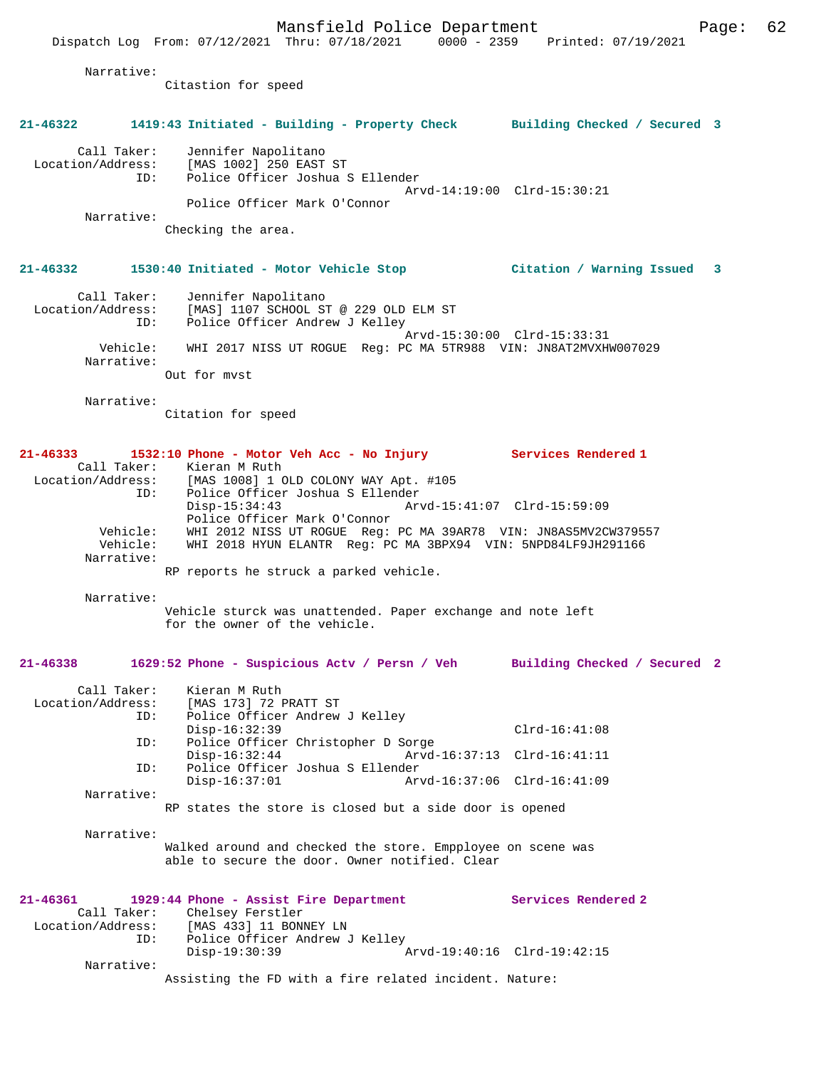Narrative:

Citastion for speed

#### **21-46322 1419:43 Initiated - Building - Property Check Building Checked / Secured 3**

 Call Taker: Jennifer Napolitano Location/Address: [MAS 1002] 250 EAST ST ID: Police Officer Joshua S Ellender

 Arvd-14:19:00 Clrd-15:30:21 Police Officer Mark O'Connor

Narrative:

Checking the area.

### **21-46332 1530:40 Initiated - Motor Vehicle Stop Citation / Warning Issued 3**

 Call Taker: Jennifer Napolitano Location/Address: [MAS] 1107 SCHOOL ST @ 229 OLD ELM ST ID: Police Officer Andrew J Kelley Arvd-15:30:00 Clrd-15:33:31 Vehicle: WHI 2017 NISS UT ROGUE Reg: PC MA 5TR988 VIN: JN8AT2MVXHW007029 Narrative: Out for mvst

Narrative:

Citation for speed

### **21-46333 1532:10 Phone - Motor Veh Acc - No Injury Services Rendered 1**  Call Taker: Kieran M Ruth<br>Location/Address: [MAS 1008] 1 C [MAS 1008] 1 OLD COLONY WAY Apt. #105 ID: Police Officer Joshua S Ellender Disp-15:34:43 Arvd-15:41:07 Clrd-15:59:09 Police Officer Mark O'Connor<br>Vehicle: WHI 2012 NISS UT ROGUE Req: WHI 2012 NISS UT ROGUE Reg: PC MA 39AR78 VIN: JN8AS5MV2CW379557

 Vehicle: WHI 2018 HYUN ELANTR Reg: PC MA 3BPX94 VIN: 5NPD84LF9JH291166 Narrative: RP reports he struck a parked vehicle.

Narrative:

Vehicle sturck was unattended. Paper exchange and note left for the owner of the vehicle.

## **21-46338 1629:52 Phone - Suspicious Actv / Persn / Veh Building Checked / Secured 2**

| Call Taker:       | Kieran M Ruth                                           |                             |
|-------------------|---------------------------------------------------------|-----------------------------|
| Location/Address: | [MAS 173] 72 PRATT ST                                   |                             |
| ID:               | Police Officer Andrew J Kelley                          |                             |
|                   | $Disp-16:32:39$                                         | $Clrd-16:41:08$             |
| ID:               | Police Officer Christopher D Sorge                      |                             |
|                   | $Disp-16:32:44$                                         | Arvd-16:37:13 Clrd-16:41:11 |
| ID:               | Police Officer Joshua S Ellender                        |                             |
|                   | $Disp-16:37:01$                                         | Arvd-16:37:06 Clrd-16:41:09 |
| Narrative:        |                                                         |                             |
|                   | RP states the store is closed but a side door is opened |                             |

Narrative:

Walked around and checked the store. Empployee on scene was able to secure the door. Owner notified. Clear

| 21-46361          |            |                 |                        | 1929:44 Phone - Assist Fire Department |                                                        | Services Rendered 2 |
|-------------------|------------|-----------------|------------------------|----------------------------------------|--------------------------------------------------------|---------------------|
| Call Taker:       |            |                 | Chelsey Ferstler       |                                        |                                                        |                     |
| Location/Address: |            |                 | [MAS 433] 11 BONNEY LN |                                        |                                                        |                     |
|                   | ID:        |                 |                        | Police Officer Andrew J Kelley         |                                                        |                     |
|                   |            | $Disp-19:30:39$ |                        |                                        | Arvd-19:40:16 Clrd-19:42:15                            |                     |
|                   | Narrative: |                 |                        |                                        |                                                        |                     |
|                   |            |                 |                        |                                        | Assisting the FD with a fire related incident. Nature: |                     |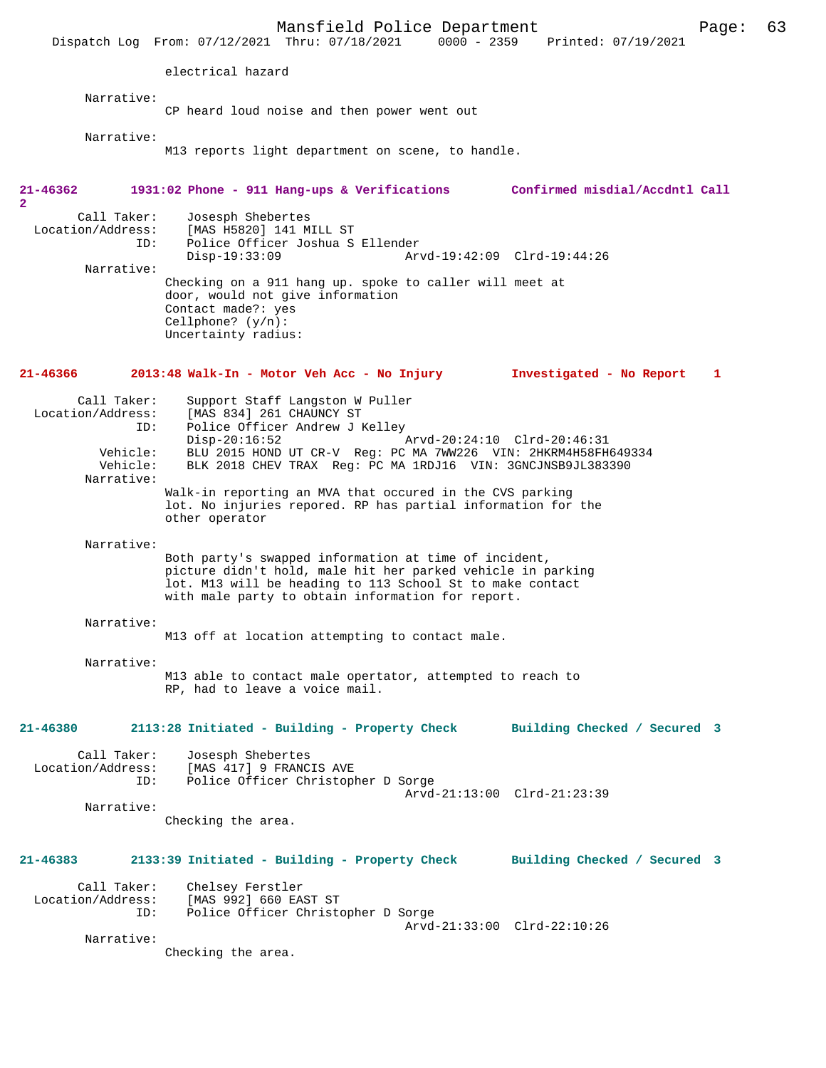Mansfield Police Department Page: 63 Dispatch Log From: 07/12/2021 Thru: 07/18/2021 electrical hazard Narrative: CP heard loud noise and then power went out Narrative: M13 reports light department on scene, to handle. **21-46362 1931:02 Phone - 911 Hang-ups & Verifications Confirmed misdial/Accdntl Call 2**  Call Taker: Josesph Shebertes Location/Address: [MAS H5820] 141 MILL ST Police Officer Joshua S Ellender<br>Disp-19:33:09 Ar Disp-19:33:09 Arvd-19:42:09 Clrd-19:44:26 Narrative: Checking on a 911 hang up. spoke to caller will meet at door, would not give information Contact made?: yes Cellphone? (y/n): Uncertainty radius: **21-46366 2013:48 Walk-In - Motor Veh Acc - No Injury Investigated - No Report 1** Call Taker: Support Staff Langston W Puller<br>Location/Address: [MAS 834] 261 CHAUNCY ST  $[MAS 834]$  261 CHAUNCY ST ID: Police Officer Andrew J Kelley Disp-20:16:52 Arvd-20:24:10 Clrd-20:46:31 Vehicle: BLU 2015 HOND UT CR-V Reg: PC MA 7WW226 VIN: 2HKRM4H58FH649334 Vehicle: BLK 2018 CHEV TRAX Reg: PC MA 1RDJ16 VIN: 3GNCJNSB9JL383390 Narrative: Walk-in reporting an MVA that occured in the CVS parking lot. No injuries repored. RP has partial information for the other operator Narrative: Both party's swapped information at time of incident, picture didn't hold, male hit her parked vehicle in parking lot. M13 will be heading to 113 School St to make contact with male party to obtain information for report. Narrative: M13 off at location attempting to contact male. Narrative: M13 able to contact male opertator, attempted to reach to RP, had to leave a voice mail. **21-46380 2113:28 Initiated - Building - Property Check Building Checked / Secured 3** Call Taker: Josesph Shebertes Location/Address: [MAS 417] 9 FRANCIS AVE ID: Police Officer Christopher D Sorge Arvd-21:13:00 Clrd-21:23:39 Narrative: Checking the area. **21-46383 2133:39 Initiated - Building - Property Check Building Checked / Secured 3** Call Taker: Chelsey Ferstler<br>Location/Address: [MAS 992] 660 EA [MAS 992] 660 EAST ST ID: Police Officer Christopher D Sorge Arvd-21:33:00 Clrd-22:10:26 Narrative: Checking the area.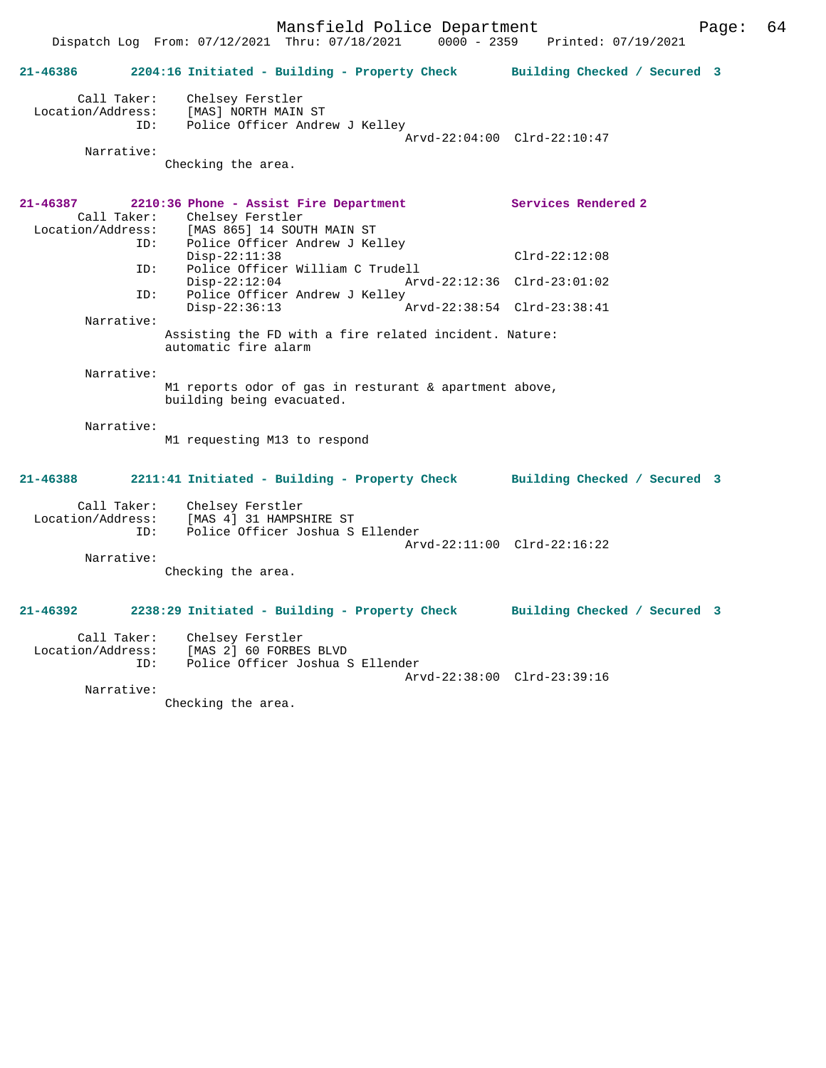Dispatch Log From: 07/12/2021 Thru: 07/18/2021 0000 - 2359 Printed: 07/19/2021

| 21-46386                      |                    | 2204:16 Initiated - Building - Property Check Building Checked / Secured 3                                                                 |                             |  |
|-------------------------------|--------------------|--------------------------------------------------------------------------------------------------------------------------------------------|-----------------------------|--|
| Call Taker:<br>Narrative:     |                    | Chelsey Ferstler<br>Location/Address: [MAS] NORTH MAIN ST<br>ID: Police Officer Andrew J Kelley                                            | Arvd-22:04:00 Clrd-22:10:47 |  |
|                               |                    | Checking the area.                                                                                                                         |                             |  |
| 21-46387<br>Location/Address: |                    | 2210:36 Phone - Assist Fire Department<br>Call Taker: Chelsey Ferstler<br>[MAS 865] 14 SOUTH MAIN ST<br>ID: Police Officer Andrew J Kelley | Services Rendered 2         |  |
|                               |                    | $Disp-22:11:38$                                                                                                                            | $Clrd-22:12:08$             |  |
|                               | ID:                | Police Officer William C Trudell<br>$Disp-22:12:04$                                                                                        | Arvd-22:12:36 Clrd-23:01:02 |  |
|                               | ID:                | Police Officer Andrew J Kelley<br>$Disp-22:36:13$                                                                                          | Arvd-22:38:54 Clrd-23:38:41 |  |
|                               | Narrative:         | Assisting the FD with a fire related incident. Nature:<br>automatic fire alarm                                                             |                             |  |
|                               | Narrative:         | M1 reports odor of gas in resturant & apartment above,<br>building being evacuated.                                                        |                             |  |
|                               | Narrative:         | M1 requesting M13 to respond                                                                                                               |                             |  |
| 21-46388                      |                    | 2211:41 Initiated - Building - Property Check Building Checked / Secured 3                                                                 |                             |  |
|                               | Call Taker:<br>TD: | Chelsey Ferstler<br>Location/Address: [MAS 4] 31 HAMPSHIRE ST<br>Police Officer Joshua S Ellender                                          | Arvd-22:11:00 Clrd-22:16:22 |  |
|                               | Narrative:         | Checking the area.                                                                                                                         |                             |  |
| $21 - 46392$                  |                    | 2238:29 Initiated - Building - Property Check Building Checked / Secured 3                                                                 |                             |  |
| Location/Address:             | Call Taker:<br>ID: | Chelsey Ferstler<br>[MAS 2] 60 FORBES BLVD<br>Police Officer Joshua S Ellender                                                             | Arvd-22:38:00 Clrd-23:39:16 |  |
|                               | Narrative:         |                                                                                                                                            |                             |  |

Checking the area.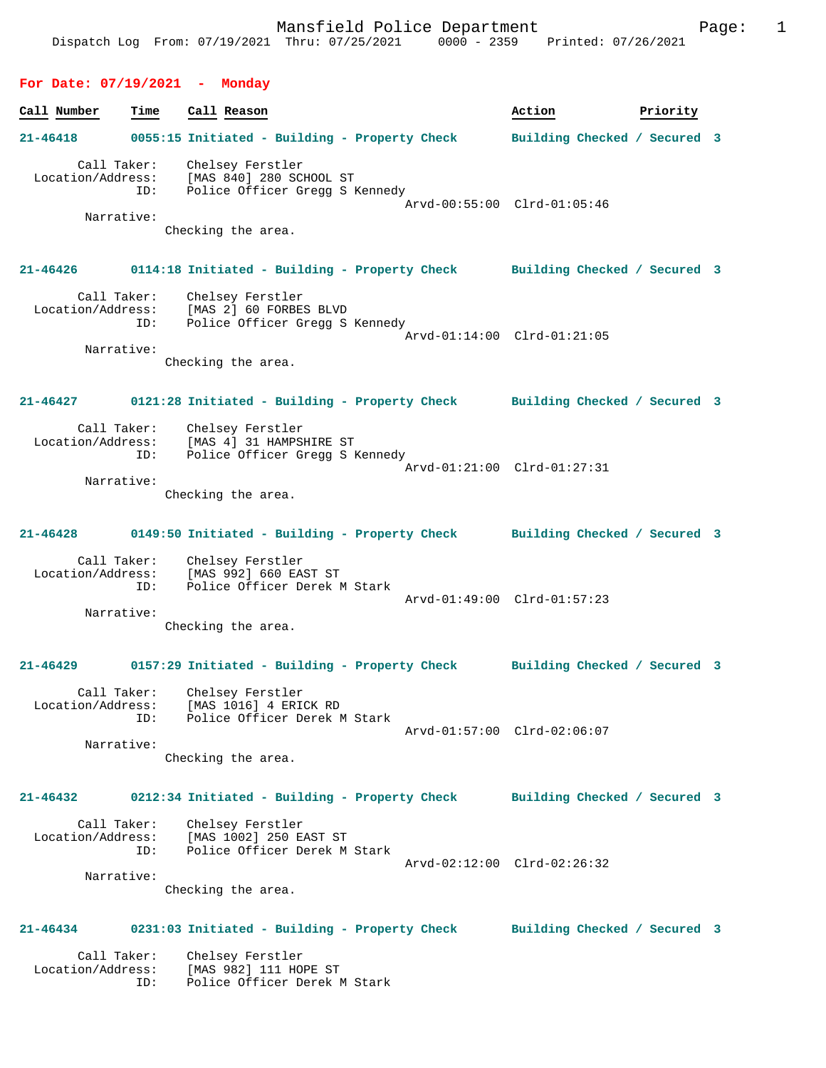| For Date: 07/19/2021 - Monday                         |                                                                                                                                    |                              |
|-------------------------------------------------------|------------------------------------------------------------------------------------------------------------------------------------|------------------------------|
| Call Number<br>Time                                   | Call Reason                                                                                                                        | Action<br>Priority           |
| $21 - 46418$                                          | 0055:15 Initiated - Building - Property Check                                                                                      | Building Checked / Secured 3 |
| Call Taker:<br>Location/Address:<br>ID:<br>Narrative: | Chelsey Ferstler<br>[MAS 840] 280 SCHOOL ST<br>Police Officer Gregg S Kennedy<br>Arvd-00:55:00 Clrd-01:05:46<br>Checking the area. |                              |
| 21-46426                                              | 0114:18 Initiated - Building - Property Check Building Checked / Secured 3                                                         |                              |
| Call Taker:<br>Location/Address:<br>ID:<br>Narrative: | Chelsey Ferstler<br>[MAS 2] 60 FORBES BLVD<br>Police Officer Gregg S Kennedy<br>Arvd-01:14:00 Clrd-01:21:05<br>Checking the area.  |                              |
| 21-46427                                              | 0121:28 Initiated - Building - Property Check Building Checked / Secured 3                                                         |                              |
| Call Taker:<br>Location/Address:<br>ID:<br>Narrative: | Chelsey Ferstler<br>[MAS 4] 31 HAMPSHIRE ST<br>Police Officer Gregg S Kennedy<br>Arvd-01:21:00 Clrd-01:27:31<br>Checking the area. |                              |
| 21-46428                                              | 0149:50 Initiated - Building - Property Check Building Checked / Secured 3                                                         |                              |
| Call Taker:<br>Location/Address:<br>ID:<br>Narrative: | Chelsey Ferstler<br>[MAS 992] 660 EAST ST<br>Police Officer Derek M Stark<br>Arvd-01:49:00 Clrd-01:57:23<br>Checking the area.     |                              |
| 21-46429                                              | 0157:29 Initiated - Building - Property Check                                                                                      | Building Checked / Secured 3 |
| Call Taker:<br>Location/Address:<br>ID:<br>Narrative: | Chelsey Ferstler<br>[MAS 1016] 4 ERICK RD<br>Police Officer Derek M Stark<br>Arvd-01:57:00 Clrd-02:06:07                           |                              |

Checking the area.

**21-46432 0212:34 Initiated - Building - Property Check Building Checked / Secured 3**

 Call Taker: Chelsey Ferstler Location/Address: [MAS 1002] 250 EAST ST ID: Police Officer Derek M Stark Arvd-02:12:00 Clrd-02:26:32 Narrative:

Checking the area.

## **21-46434 0231:03 Initiated - Building - Property Check Building Checked / Secured 3**

 Call Taker: Chelsey Ferstler Location/Address: [MAS 982] 111 HOPE ST ID: Police Officer Derek M Stark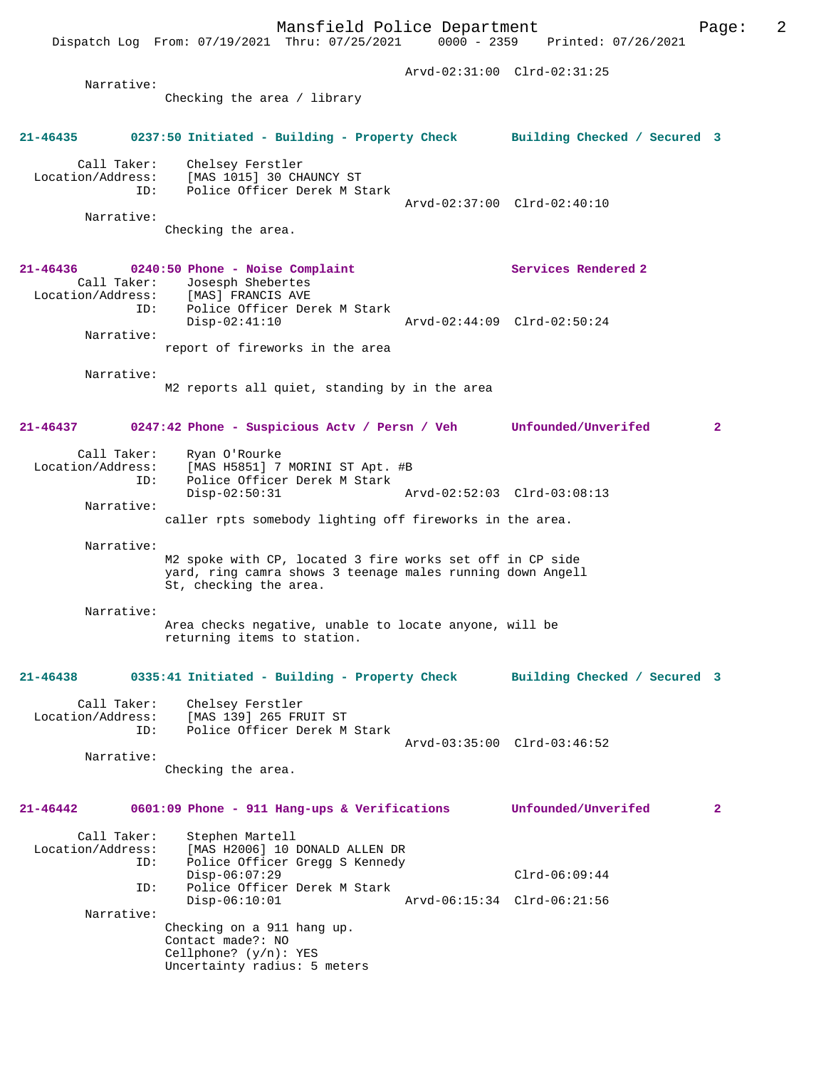Mansfield Police Department Page: 2 Dispatch Log From: 07/19/2021 Thru: 07/25/2021 0000 - 2359 Arvd-02:31:00 Clrd-02:31:25 Narrative: Checking the area / library **21-46435 0237:50 Initiated - Building - Property Check Building Checked / Secured 3** Call Taker: Chelsey Ferstler Location/Address: [MAS 1015] 30 CHAUNCY ST<br>ID: Police Officer Derek M S IPAN IVIS, SI I<br>Police Officer Derek M Stark Arvd-02:37:00 Clrd-02:40:10 Narrative: Checking the area. **21-46436 0240:50 Phone - Noise Complaint Services Rendered 2**  Call Taker: Josesph Shebertes<br>ion/Address: [MAS] FRANCIS AVE Location/Address: ID: Police Officer Derek M Stark Disp-02:41:10 Arvd-02:44:09 Clrd-02:50:24 Narrative: report of fireworks in the area Narrative: M2 reports all quiet, standing by in the area **21-46437 0247:42 Phone - Suspicious Actv / Persn / Veh Unfounded/Unverifed 2** Call Taker: Ryan O'Rourke Location/Address: [MAS H5851] 7 MORINI ST Apt. #B<br>ID: Police Officer Derek M Stark Police Officer Derek M Stark Disp-02:50:31 Arvd-02:52:03 Clrd-03:08:13 Narrative: caller rpts somebody lighting off fireworks in the area. Narrative: M2 spoke with CP, located 3 fire works set off in CP side yard, ring camra shows 3 teenage males running down Angell St, checking the area. Narrative: Area checks negative, unable to locate anyone, will be returning items to station. **21-46438 0335:41 Initiated - Building - Property Check Building Checked / Secured 3** Call Taker: Chelsey Ferstler Location/Address: [MAS 139] 265 FRUIT ST ID: Police Officer Derek M Stark Arvd-03:35:00 Clrd-03:46:52 Narrative: Checking the area. **21-46442 0601:09 Phone - 911 Hang-ups & Verifications Unfounded/Unverifed 2** Call Taker: Stephen Martell Location/Address: [MAS H2006] 10 DONALD ALLEN DR Police Officer Gregg S Kennedy Disp-06:07:29 Clrd-06:09:44<br>Th: Police Officer Derek M Stark Police Officer Derek M Stark<br>Disp-06:10:01 Disp-06:10:01 Arvd-06:15:34 Clrd-06:21:56 Narrative: Checking on a 911 hang up. Contact made?: NO Cellphone? (y/n): YES Uncertainty radius: 5 meters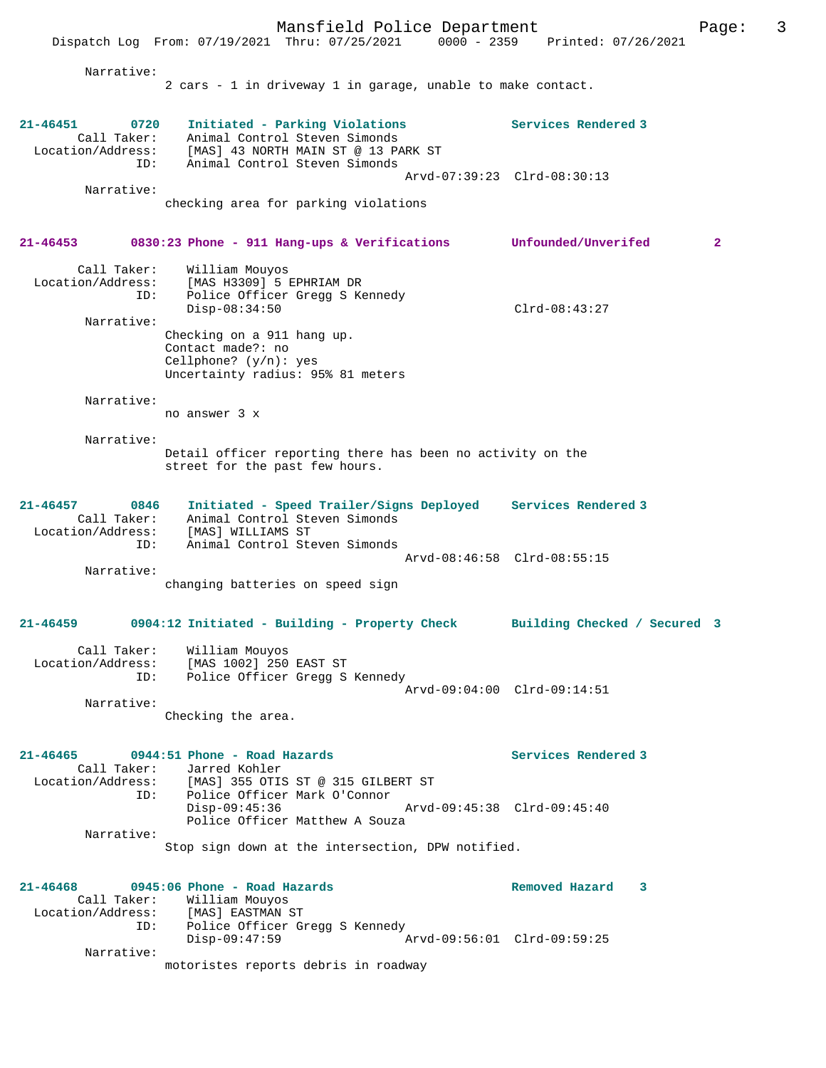Mansfield Police Department Page: 3 Dispatch Log From: 07/19/2021 Thru: 07/25/2021 0000 - 2359 Printed: 07/26/2021 Narrative: 2 cars - 1 in driveway 1 in garage, unable to make contact. **21-46451 0720 Initiated - Parking Violations Services Rendered 3**  Call Taker: Animal Control Steven Simonds Location/Address: [MAS] 43 NORTH MAIN ST @ 13 PARK ST ID: Animal Control Steven Simonds Arvd-07:39:23 Clrd-08:30:13 Narrative: checking area for parking violations **21-46453 0830:23 Phone - 911 Hang-ups & Verifications Unfounded/Unverifed 2** Call Taker: William Mouyos Location/Address: [MAS H3309] 5 EPHRIAM DR ID: Police Officer Gregg S Kennedy Disp-08:34:50 Clrd-08:43:27 Narrative: Checking on a 911 hang up. Contact made?: no Cellphone? (y/n): yes Uncertainty radius: 95% 81 meters Narrative: no answer 3 x Narrative: Detail officer reporting there has been no activity on the street for the past few hours. **21-46457 0846 Initiated - Speed Trailer/Signs Deployed Services Rendered 3**  Call Taker: Animal Control Steven Simonds Location/Address: [MAS] WILLIAMS ST ID: Animal Control Steven Simonds Arvd-08:46:58 Clrd-08:55:15 Narrative: changing batteries on speed sign **21-46459 0904:12 Initiated - Building - Property Check Building Checked / Secured 3** Call Taker: William Mouyos Location/Address: [MAS 1002] 250 EAST ST ID: Police Officer Gregg S Kennedy Arvd-09:04:00 Clrd-09:14:51 Narrative: Checking the area. **21-46465 0944:51 Phone - Road Hazards Services Rendered 3**  Call Taker: Jarred Kohler Location/Address: [MAS] 355 OTIS ST @ 315 GILBERT ST ID: Police Officer Mark O'Connor Disp-09:45:36 Arvd-09:45:38 Clrd-09:45:40 Police Officer Matthew A Souza Narrative: Stop sign down at the intersection, DPW notified. **21-46468 0945:06 Phone - Road Hazards Removed Hazard 3**  Call Taker: William Mouyos<br>Location/Address: [MAS] EASTMAN S [MAS] EASTMAN ST ID: Police Officer Gregg S Kennedy Disp-09:47:59 Arvd-09:56:01 Clrd-09:59:25 Narrative: motoristes reports debris in roadway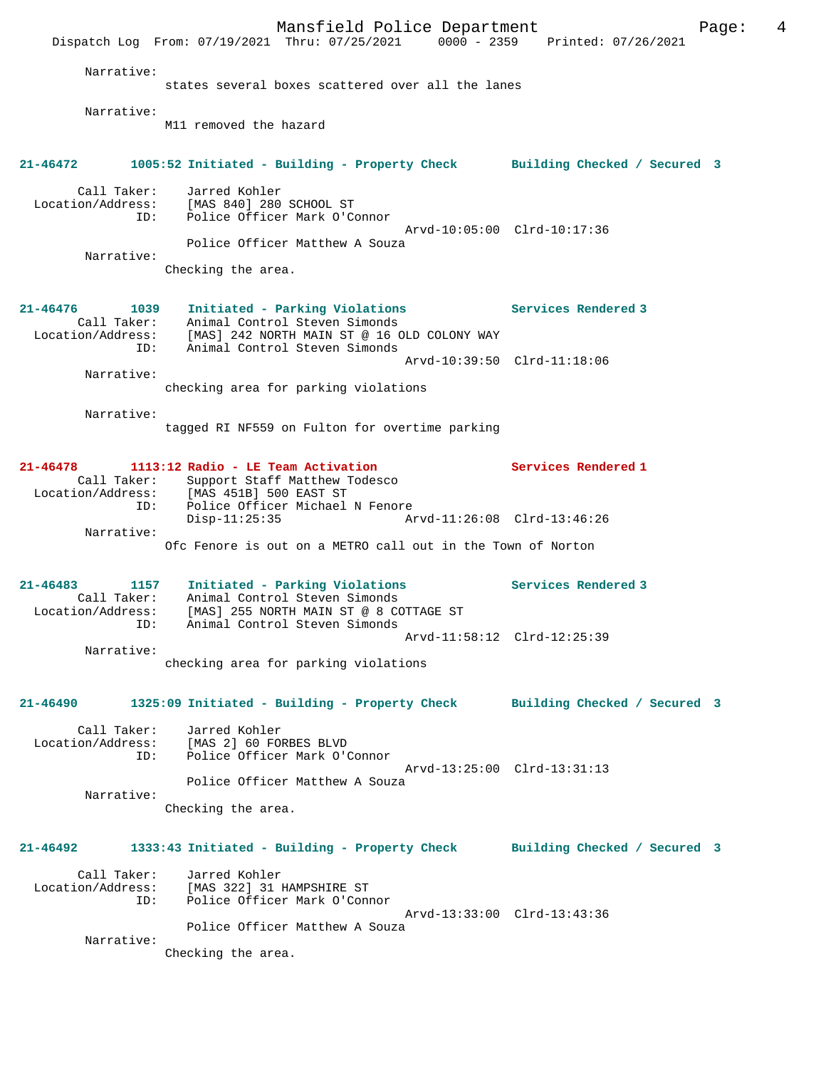|                                          | Mansfield Police Department<br>Dispatch Log From: 07/19/2021 Thru: 07/25/2021 0000 - 2359 Printed: 07/26/2021                                                                 | Page:                       | 4 |
|------------------------------------------|-------------------------------------------------------------------------------------------------------------------------------------------------------------------------------|-----------------------------|---|
| Narrative:                               | states several boxes scattered over all the lanes                                                                                                                             |                             |   |
| Narrative:                               | M11 removed the hazard                                                                                                                                                        |                             |   |
| $21 - 46472$                             | 1005:52 Initiated - Building - Property Check Building Checked / Secured 3                                                                                                    |                             |   |
| Call Taker:<br>Location/Address:<br>ID:  | Jarred Kohler<br>[MAS 840] 280 SCHOOL ST<br>Police Officer Mark O'Connor                                                                                                      | Arvd-10:05:00 Clrd-10:17:36 |   |
| Narrative:                               | Police Officer Matthew A Souza                                                                                                                                                |                             |   |
|                                          | Checking the area.                                                                                                                                                            |                             |   |
| $21 - 46476$<br>1039<br>ID:              | Initiated - Parking Violations<br>Call Taker: Animal Control Steven Simonds<br>Location/Address: [MAS] 242 NORTH MAIN ST @ 16 OLD COLONY WAY<br>Animal Control Steven Simonds | Services Rendered 3         |   |
|                                          |                                                                                                                                                                               | Arvd-10:39:50 Clrd-11:18:06 |   |
| Narrative:                               | checking area for parking violations                                                                                                                                          |                             |   |
| Narrative:                               | tagged RI NF559 on Fulton for overtime parking                                                                                                                                |                             |   |
| 21-46478                                 | 1113:12 Radio - LE Team Activation<br>Call Taker: Support Staff Matthew Todesco<br>Location/Address: [MAS 451B] 500 EAST ST                                                   | Services Rendered 1         |   |
| ID:                                      | Police Officer Michael N Fenore<br>Disp-11:25:35                                                                                                                              |                             |   |
| Narrative:                               | Ofc Fenore is out on a METRO call out in the Town of Norton                                                                                                                   |                             |   |
| $21 - 46483$<br>Location/Address:<br>ID: | 1157 Initiated - Parking Violations<br>Call Taker: Animal Control Steven Simonds<br>[MAS] 255 NORTH MAIN ST @ 8 COTTAGE ST<br>Animal Control Steven Simonds                   | Services Rendered 3         |   |
| Narrative:                               |                                                                                                                                                                               | Arvd-11:58:12 Clrd-12:25:39 |   |
|                                          | checking area for parking violations                                                                                                                                          |                             |   |
| 21-46490                                 | 1325:09 Initiated - Building - Property Check Building Checked / Secured 3                                                                                                    |                             |   |
| Call Taker:<br>ID:                       | Jarred Kohler<br>Location/Address: [MAS 2] 60 FORBES BLVD<br>Police Officer Mark O'Connor                                                                                     |                             |   |
| Narrative:                               | Police Officer Matthew A Souza                                                                                                                                                | Arvd-13:25:00 Clrd-13:31:13 |   |
|                                          | Checking the area.                                                                                                                                                            |                             |   |
| 21-46492                                 | 1333:43 Initiated - Building - Property Check Building Checked / Secured 3                                                                                                    |                             |   |
| ID:                                      | Call Taker: Jarred Kohler<br>Location/Address: [MAS 322] 31 HAMPSHIRE ST<br>Police Officer Mark O'Connor                                                                      | Arvd-13:33:00 Clrd-13:43:36 |   |
| Narrative:                               | Police Officer Matthew A Souza<br>Checking the area.                                                                                                                          |                             |   |
|                                          |                                                                                                                                                                               |                             |   |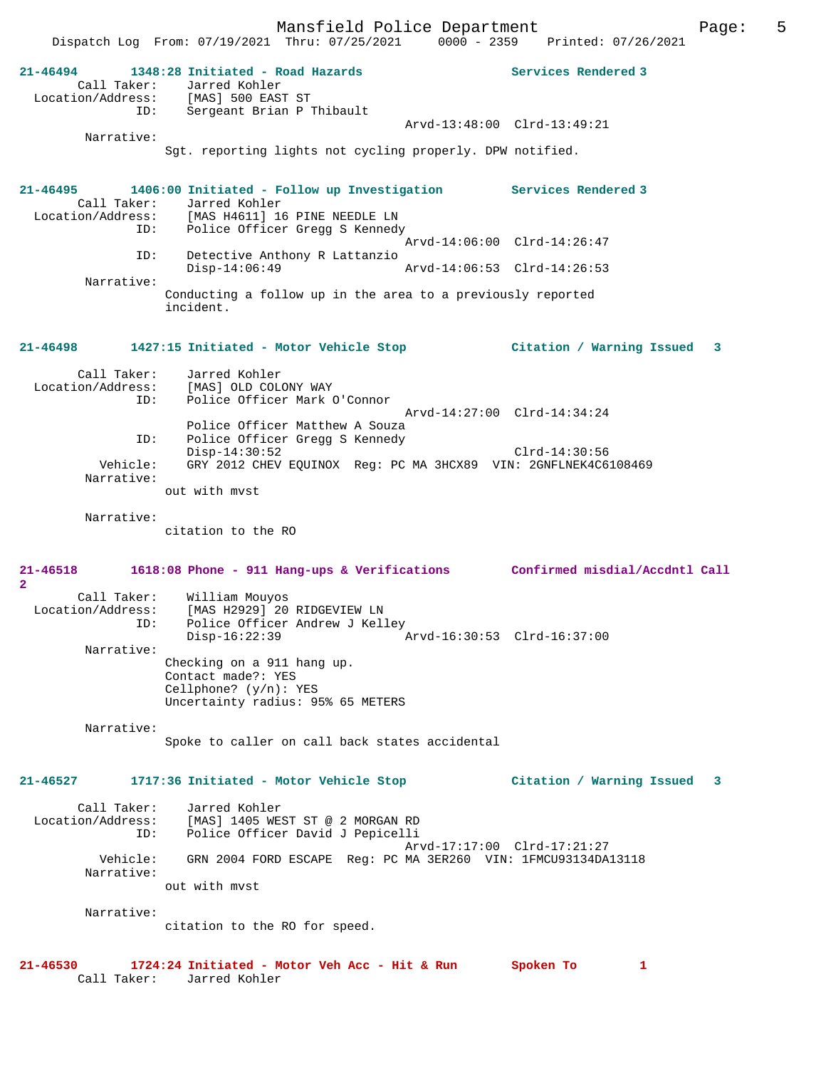Mansfield Police Department The Page: 5

|                                         | Dispatch Log From: 07/19/2021 Thru: 07/25/2021 0000 - 2359 Printed: 07/26/2021                                                                                            |                                |
|-----------------------------------------|---------------------------------------------------------------------------------------------------------------------------------------------------------------------------|--------------------------------|
| 21-46494<br>Call Taker:<br>ID:          | 1348:28 Initiated - Road Hazards<br>Jarred Kohler<br>Location/Address: [MAS] 500 EAST ST<br>Sergeant Brian P Thibault                                                     | Services Rendered 3            |
|                                         | Arvd-13:48:00 Clrd-13:49:21                                                                                                                                               |                                |
| Narrative:                              | Sqt. reporting lights not cycling properly. DPW notified.                                                                                                                 |                                |
| $21 - 46495$<br>Call Taker:             | 1406:00 Initiated - Follow up Investigation Services Rendered 3<br>Jarred Kohler<br>Location/Address: [MAS H4611] 16 PINE NEEDLE LN<br>ID: Police Officer Gregg S Kennedy |                                |
|                                         | Arvd-14:06:00 Clrd-14:26:47                                                                                                                                               |                                |
| ID:                                     | Detective Anthony R Lattanzio<br>$Disp-14:06:49$<br>Arvd-14:06:53 Clrd-14:26:53                                                                                           |                                |
| Narrative:                              | Conducting a follow up in the area to a previously reported<br>incident.                                                                                                  |                                |
| $21 - 46498$                            |                                                                                                                                                                           | $\overline{\mathbf{3}}$        |
| Call Taker:<br>Location/Address:<br>ID: | Jarred Kohler<br>[MAS] OLD COLONY WAY<br>Police Officer Mark O'Connor<br>Arvd-14:27:00 Clrd-14:34:24                                                                      |                                |
|                                         | Police Officer Matthew A Souza                                                                                                                                            |                                |
| ID:                                     | Police Officer Gregg S Kennedy<br>$Disp-14:30:52$                                                                                                                         | $Clrd-14:30:56$                |
| Vehicle:<br>Narrative:                  | GRY 2012 CHEV EQUINOX Req: PC MA 3HCX89 VIN: 2GNFLNEK4C6108469                                                                                                            |                                |
|                                         | out with myst                                                                                                                                                             |                                |
|                                         |                                                                                                                                                                           |                                |
| Narrative:                              | citation to the RO                                                                                                                                                        |                                |
| 21-46518<br>$\mathbf{2}$                | 1618:08 Phone - 911 Hang-ups & Verifications Confirmed misdial/Accdntl Call                                                                                               |                                |
| Call Taker:<br>Location/Address:<br>ID: | William Mouyos<br>[MAS H2929] 20 RIDGEVIEW LN<br>Police Officer Andrew J Kelley                                                                                           |                                |
| Narrative:                              | $Disp-16:22:39$<br>Arvd-16:30:53 Clrd-16:37:00                                                                                                                            |                                |
|                                         | Checking on a 911 hang up.<br>Contact made?: YES<br>Cellphone? $(y/n)$ : YES<br>Uncertainty radius: 95% 65 METERS                                                         |                                |
| Narrative:                              |                                                                                                                                                                           |                                |
|                                         | Spoke to caller on call back states accidental                                                                                                                            |                                |
| $21 - 46527$                            | 1717:36 Initiated - Motor Vehicle Stop                                                                                                                                    | Citation / Warning Issued<br>3 |
| Call Taker:<br>Location/Address:<br>ID: | Jarred Kohler<br>[MAS] 1405 WEST ST @ 2 MORGAN RD<br>Police Officer David J Pepicelli                                                                                     |                                |
| Vehicle:<br>Narrative:                  | Arvd-17:17:00 Clrd-17:21:27<br>GRN 2004 FORD ESCAPE Req: PC MA 3ER260 VIN: 1FMCU93134DA13118                                                                              |                                |
|                                         | out with myst                                                                                                                                                             |                                |
| Narrative:                              | citation to the RO for speed.                                                                                                                                             |                                |

Call Taker: Jarred Kohler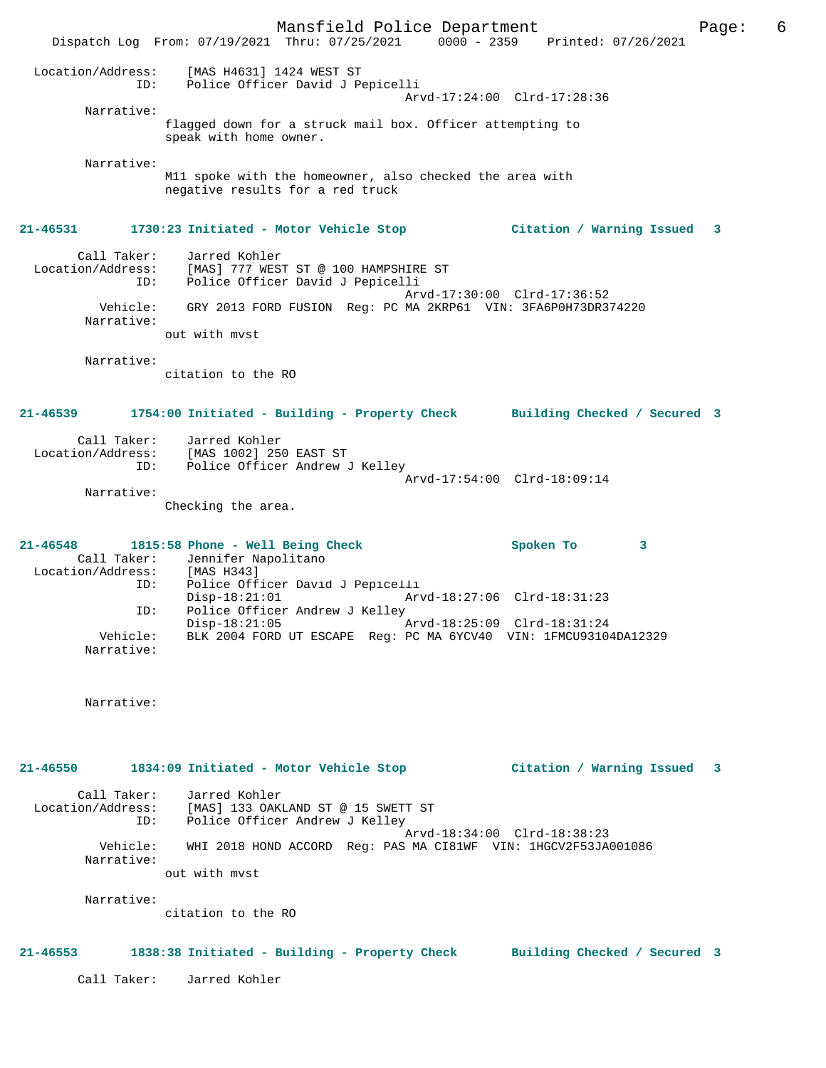Mansfield Police Department The Page: 6 Dispatch Log From: 07/19/2021 Thru: 07/25/2021 0000 - 2359 Printed: 07/26/2021 Location/Address: [MAS H4631] 1424 WEST ST ID: Police Officer David J Pepicelli Arvd-17:24:00 Clrd-17:28:36 Narrative: flagged down for a struck mail box. Officer attempting to speak with home owner. Narrative: M11 spoke with the homeowner, also checked the area with negative results for a red truck **21-46531 1730:23 Initiated - Motor Vehicle Stop Citation / Warning Issued 3** Call Taker: Jarred Kohler Location/Address: [MAS] 777 WEST ST @ 100 HAMPSHIRE ST ID: Police Officer David J Pepicelli Arvd-17:30:00 Clrd-17:36:52 Vehicle: GRY 2013 FORD FUSION Reg: PC MA 2KRP61 VIN: 3FA6P0H73DR374220 Narrative: out with mvst Narrative: citation to the RO **21-46539 1754:00 Initiated - Building - Property Check Building Checked / Secured 3** Call Taker: Jarred Kohler Location/Address: [MAS 1002] 250 EAST ST ID: Police Officer Andrew J Kelley Arvd-17:54:00 Clrd-18:09:14 Narrative: Checking the area. **21-46548 1815:58 Phone - Well Being Check Spoken To 3**  Call Taker: Jennifer Napolitano<br>cion/Address: [MAS H343] Location/Address:<br>ID: Police Officer David J Pepicelli<br>Disp-18:21:01 Arv Disp-18:21:01 Arvd-18:27:06 Clrd-18:31:23<br>ID: Police Officer Andrew J Kelley Police Officer Andrew J Kelley<br>Disp-18:21:05  $\bar{P}_{AYd-18:25:09}$  Clrd-18:31:24 Vehicle: BLK 2004 FORD UT ESCAPE Reg: PC MA 6YCV40 VIN: 1FMCU93104DA12329 Narrative: Narrative: **21-46550 1834:09 Initiated - Motor Vehicle Stop Citation / Warning Issued 3** Call Taker: Jarred Kohler Location/Address: [MAS] 133 OAKLAND ST @ 15 SWETT ST ID: Police Officer Andrew J Kelley Arvd-18:34:00 Clrd-18:38:23 Vehicle: WHI 2018 HOND ACCORD Reg: PAS MA CI81WF VIN: 1HGCV2F53JA001086 Narrative: out with mvst Narrative: citation to the RO **21-46553 1838:38 Initiated - Building - Property Check Building Checked / Secured 3** Call Taker: Jarred Kohler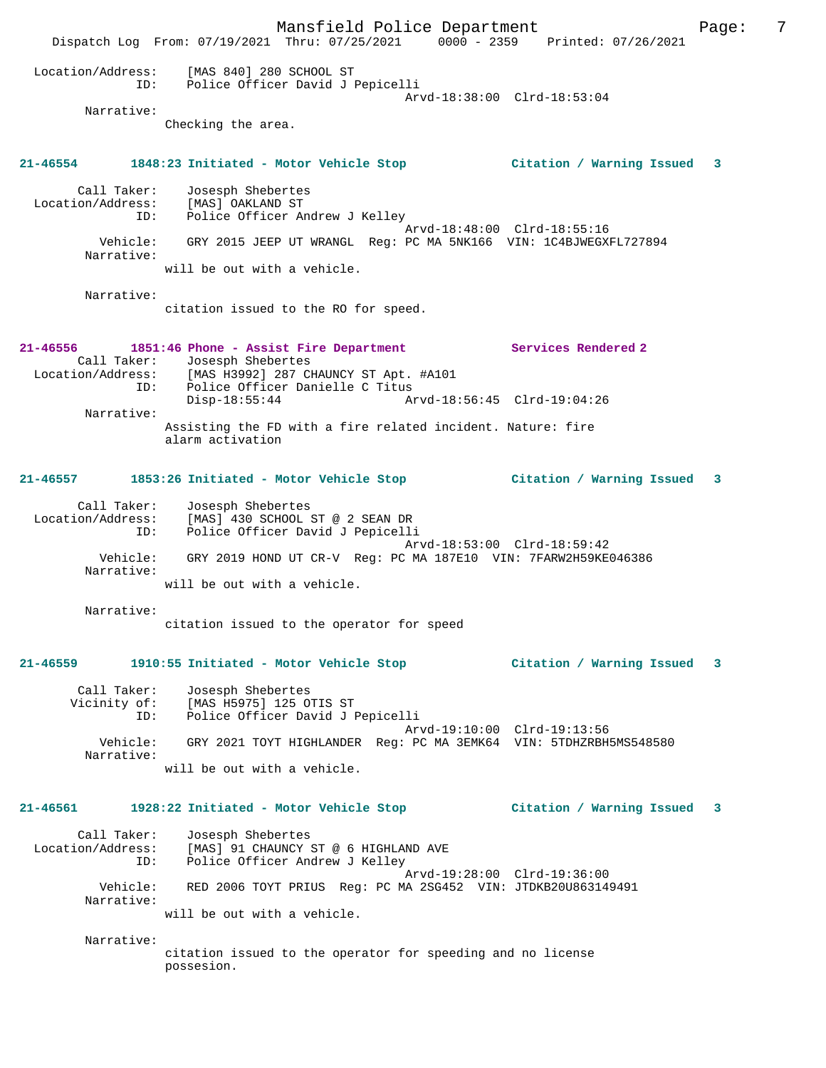Mansfield Police Department Fage: 7 Dispatch Log From: 07/19/2021 Thru: 07/25/2021 0000 - 2359 Printed: 07/26/2021 Location/Address: [MAS 840] 280 SCHOOL ST ID: Police Officer David J Pepicelli Arvd-18:38:00 Clrd-18:53:04 Narrative: Checking the area. **21-46554 1848:23 Initiated - Motor Vehicle Stop Citation / Warning Issued 3** Call Taker: Josesph Shebertes Location/Address: [MAS] OAKLAND ST ID: Police Officer Andrew J Kelley Arvd-18:48:00 Clrd-18:55:16 Vehicle: GRY 2015 JEEP UT WRANGL Reg: PC MA 5NK166 VIN: 1C4BJWEGXFL727894 Narrative: will be out with a vehicle. Narrative: citation issued to the RO for speed. **21-46556 1851:46 Phone - Assist Fire Department Services Rendered 2**  Call Taker: Josesph Shebertes Location/Address: [MAS H3992] 287 CHAUNCY ST Apt. #A101 ID: Police Officer Danielle C Titus Disp-18:55:44 Arvd-18:56:45 Clrd-19:04:26 Narrative: Assisting the FD with a fire related incident. Nature: fire alarm activation **21-46557 1853:26 Initiated - Motor Vehicle Stop Citation / Warning Issued 3** Call Taker: Josesph Shebertes Location/Address: [MAS] 430 SCHOOL ST @ 2 SEAN DR ID: Police Officer David J Pepicelli Arvd-18:53:00 Clrd-18:59:42 Vehicle: GRY 2019 HOND UT CR-V Reg: PC MA 187E10 VIN: 7FARW2H59KE046386 Narrative: will be out with a vehicle. Narrative: citation issued to the operator for speed **21-46559 1910:55 Initiated - Motor Vehicle Stop Citation / Warning Issued 3** Call Taker: Josesph Shebertes Vicinity of: [MAS H5975] 125 OTIS ST ID: Police Officer David J Pepicelli Arvd-19:10:00 Clrd-19:13:56 Vehicle: GRY 2021 TOYT HIGHLANDER Reg: PC MA 3EMK64 VIN: 5TDHZRBH5MS548580 Narrative: will be out with a vehicle. **21-46561 1928:22 Initiated - Motor Vehicle Stop Citation / Warning Issued 3** Call Taker: Josesph Shebertes Location/Address: [MAS] 91 CHAUNCY ST @ 6 HIGHLAND AVE ID: Police Officer Andrew J Kelley Arvd-19:28:00 Clrd-19:36:00 Vehicle: RED 2006 TOYT PRIUS Reg: PC MA 2SG452 VIN: JTDKB20U863149491 Narrative: will be out with a vehicle. Narrative: citation issued to the operator for speeding and no license possesion.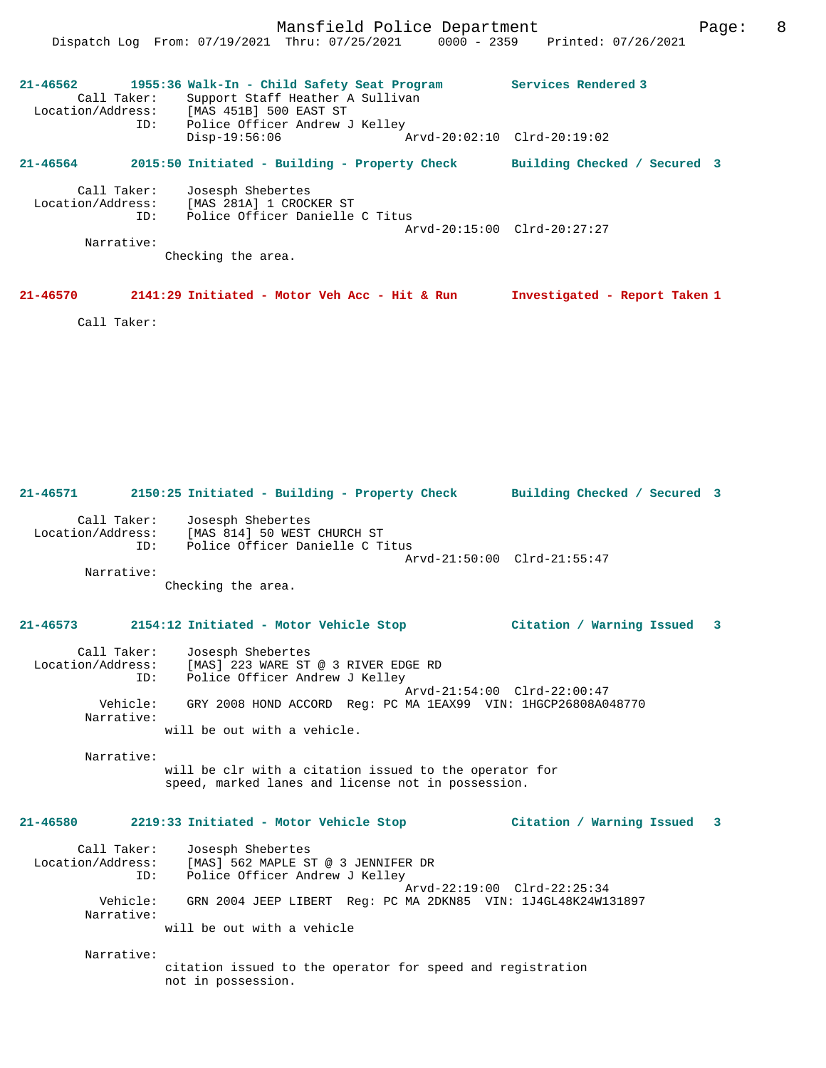**21-46562 1955:36 Walk-In - Child Safety Seat Program Services Rendered 3**  Call Taker: Support Staff Heather A Sullivan Location/Address: [MAS 451B] 500 EAST ST ID: Police Officer Andrew J Kelley Disp-19:56:06 Arvd-20:02:10 Clrd-20:19:02 **21-46564 2015:50 Initiated - Building - Property Check Building Checked / Secured 3** Call Taker: Josesph Shebertes Location/Address: [MAS 281A] 1 CROCKER ST ID: Police Officer Danielle C Titus Arvd-20:15:00 Clrd-20:27:27 Narrative: Checking the area.

```
21-46570 2141:29 Initiated - Motor Veh Acc - Hit & Run Investigated - Report Taken 1
```
Call Taker:

**21-46571 2150:25 Initiated - Building - Property Check Building Checked / Secured 3** Call Taker: Josesph Shebertes Location/Address: [MAS 814] 50 WEST CHURCH ST ID: Police Officer Danielle C Titus Arvd-21:50:00 Clrd-21:55:47

 Narrative: Checking the area.

### **21-46573 2154:12 Initiated - Motor Vehicle Stop Citation / Warning Issued 3**

| Call Taker:       | Josesph Shebertes                                             |
|-------------------|---------------------------------------------------------------|
| Location/Address: | [MAS] 223 WARE ST @ 3 RIVER EDGE RD                           |
| ID:               | Police Officer Andrew J Kelley                                |
| Vehicle:          | Arvd-21:54:00 Clrd-22:00:47                                   |
| Narrative:        | GRY 2008 HOND ACCORD Req: PC MA 1EAX99 VIN: 1HGCP26808A048770 |
|                   | will be out with a vehicle.                                   |

Narrative:

will be clr with a citation issued to the operator for speed, marked lanes and license not in possession.

### **21-46580 2219:33 Initiated - Motor Vehicle Stop Citation / Warning Issued 3**

| Call Taker:            | Josesph Shebertes                                                                                                          |
|------------------------|----------------------------------------------------------------------------------------------------------------------------|
| Location/Address:      | [MAS] 562 MAPLE ST @ 3 JENNIFER DR                                                                                         |
| ID:                    | Police Officer Andrew J Kelley                                                                                             |
| Vehicle:<br>Narrative: | Arvd-22:19:00 Clrd-22:25:34<br>GRN 2004 JEEP LIBERT Req: PC MA 2DKN85 VIN: 1J4GL48K24W131897<br>will be out with a vehicle |

Narrative:

citation issued to the operator for speed and registration not in possession.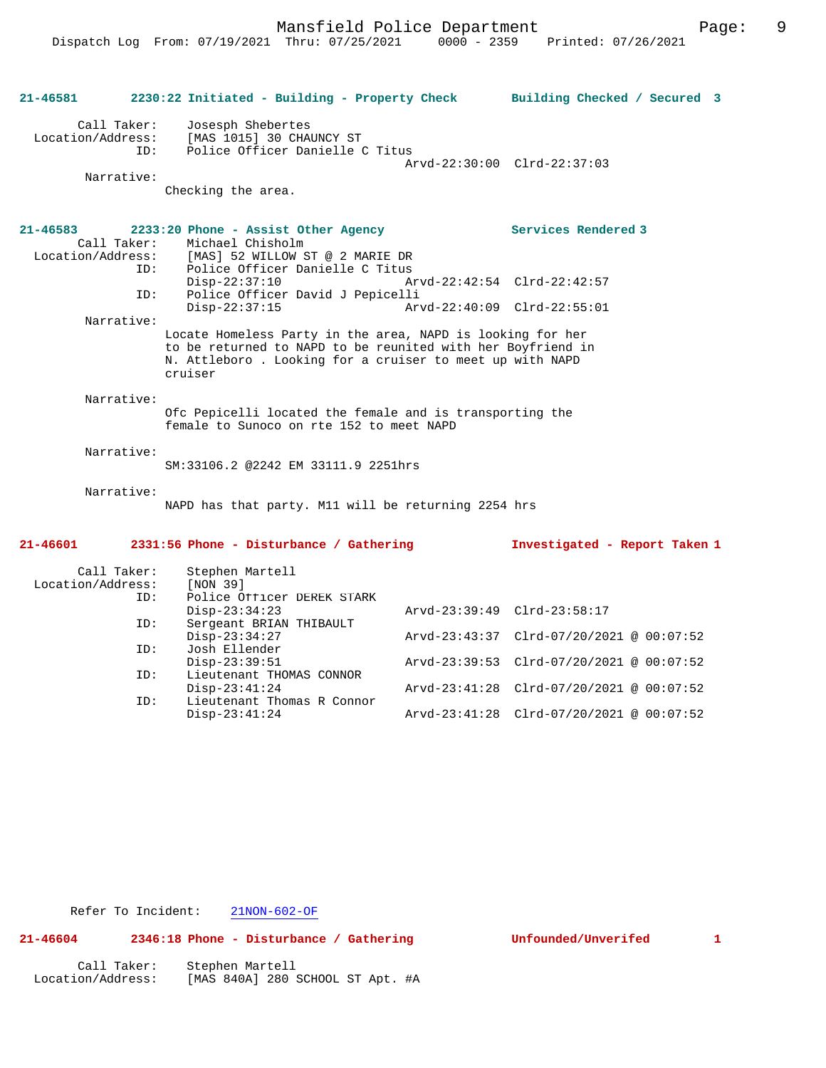| 21-46581                          |                                  | 2230:22 Initiated - Building - Property Check                                                                                                                                                     | Building Checked / Secured 3             |  |
|-----------------------------------|----------------------------------|---------------------------------------------------------------------------------------------------------------------------------------------------------------------------------------------------|------------------------------------------|--|
| Location/Address:                 | Call Taker:<br>ID:<br>Narrative: | Josesph Shebertes<br>[MAS 1015] 30 CHAUNCY ST<br>Police Officer Danielle C Titus                                                                                                                  | Arvd-22:30:00 Clrd-22:37:03              |  |
|                                   |                                  | Checking the area.                                                                                                                                                                                |                                          |  |
| $21 - 46583$<br>Location/Address: | Call Taker:                      | 2233:20 Phone - Assist Other Agency<br>Michael Chisholm<br>[MAS] 52 WILLOW ST @ 2 MARIE DR                                                                                                        | Services Rendered 3                      |  |
|                                   | ID:<br>ID:                       | Police Officer Danielle C Titus<br>$Disp-22:37:10$<br>Police Officer David J Pepicelli                                                                                                            | Arvd-22:42:54 Clrd-22:42:57              |  |
|                                   |                                  | $Disp-22:37:15$                                                                                                                                                                                   | Arvd-22:40:09 Clrd-22:55:01              |  |
|                                   | Narrative:                       | Locate Homeless Party in the area, NAPD is looking for her<br>to be returned to NAPD to be reunited with her Boyfriend in<br>N. Attleboro . Looking for a cruiser to meet up with NAPD<br>cruiser |                                          |  |
|                                   | Narrative:                       | Ofc Pepicelli located the female and is transporting the<br>female to Sunoco on rte 152 to meet NAPD                                                                                              |                                          |  |
|                                   | Narrative:                       | SM:33106.2 @2242 EM 33111.9 2251hrs                                                                                                                                                               |                                          |  |
|                                   | Narrative:                       | NAPD has that party. M11 will be returning 2254 hrs                                                                                                                                               |                                          |  |
| 21-46601                          |                                  | 2331:56 Phone - Disturbance / Gathering                                                                                                                                                           | Investigated - Report Taken 1            |  |
| Location/Address:                 | Call Taker:<br>ID:               | Stephen Martell<br>[NON 39]<br>Police Officer DEREK STARK                                                                                                                                         |                                          |  |
|                                   | ID:                              | $Disp-23:34:23$<br>Sergeant BRIAN THIBAULT                                                                                                                                                        | Arvd-23:39:49 Clrd-23:58:17              |  |
|                                   |                                  | $Disp-23:34:27$                                                                                                                                                                                   | Arvd-23:43:37 Clrd-07/20/2021 @ 00:07:52 |  |
|                                   | ID:                              | Josh Ellender<br>$Disp-23:39:51$                                                                                                                                                                  | Arvd-23:39:53 Clrd-07/20/2021 @ 00:07:52 |  |
|                                   | ID:                              | Lieutenant THOMAS CONNOR<br>$Disp-23:41:24$                                                                                                                                                       | Arvd-23:41:28 Clrd-07/20/2021 @ 00:07:52 |  |
|                                   | ID:                              | Lieutenant Thomas R Connor                                                                                                                                                                        |                                          |  |

Disp-23:41:24 Arvd-23:41:28 Clrd-07/20/2021 @ 00:07:52

# **21-46604 2346:18 Phone - Disturbance / Gathering Unfounded/Unverifed 1**

| Call Taker:       | Stephen Martell                  |  |
|-------------------|----------------------------------|--|
| Location/Address: | [MAS 840A] 280 SCHOOL ST Apt. #A |  |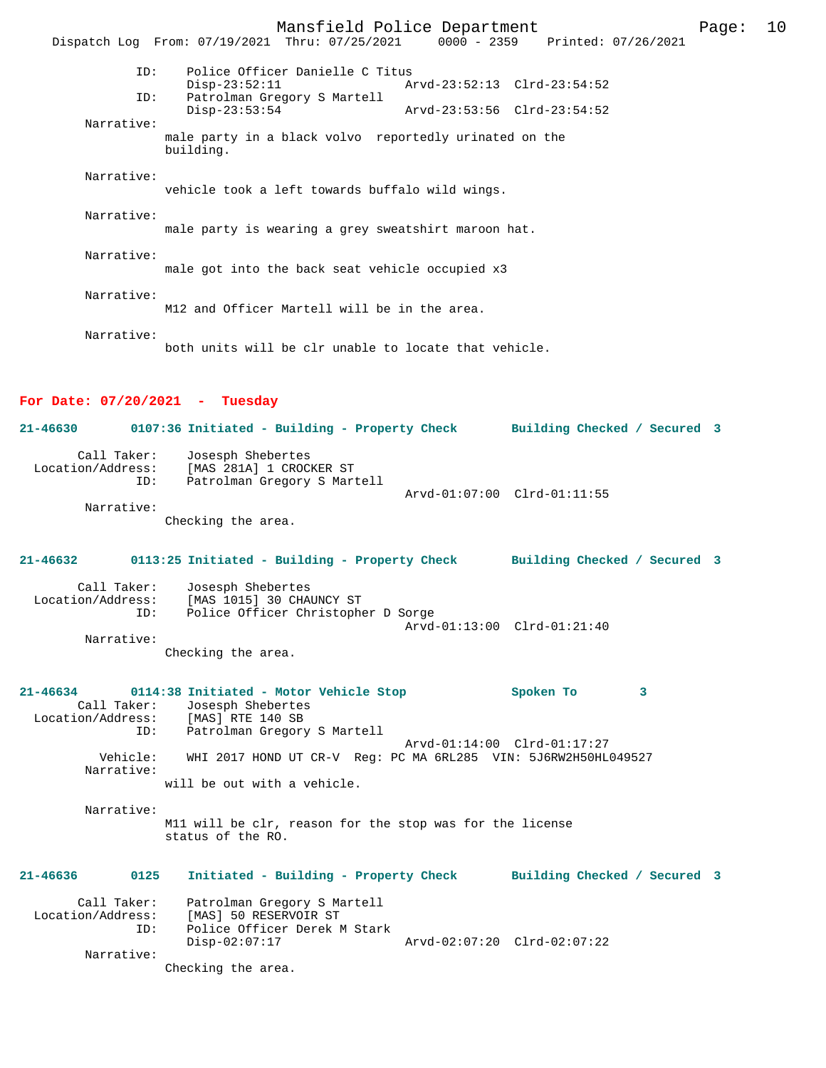Mansfield Police Department Form Page: 10 Dispatch Log From: 07/19/2021 Thru: 07/25/2021 0000 - 2359 Printed: 07/26/2021 ID: Police Officer Danielle C Titus Disp-23:52:11 Arvd-23:52:13 Clrd-23:54:52<br>TD: Patrolman Gregory S Martell Patrolman Gregory S Martell<br>Disp-23:53:54 Disp-23:53:54 Arvd-23:53:56 Clrd-23:54:52 Narrative: male party in a black volvo reportedly urinated on the building. Narrative: vehicle took a left towards buffalo wild wings. Narrative: male party is wearing a grey sweatshirt maroon hat. Narrative: male got into the back seat vehicle occupied x3 Narrative: M12 and Officer Martell will be in the area. Narrative: both units will be clr unable to locate that vehicle.

#### **For Date: 07/20/2021 - Tuesday**

**21-46630 0107:36 Initiated - Building - Property Check Building Checked / Secured 3** Call Taker: Josesph Shebertes Location/Address: [MAS 281A] 1 CROCKER ST ID: Patrolman Gregory S Martell Arvd-01:07:00 Clrd-01:11:55 Narrative:

Checking the area.

**21-46632 0113:25 Initiated - Building - Property Check Building Checked / Secured 3** Call Taker: Josesph Shebertes Location/Address: [MAS 1015] 30 CHAUNCY ST Police Officer Christopher D Sorge Arvd-01:13:00 Clrd-01:21:40

 Narrative: Checking the area.

**21-46634 0114:38 Initiated - Motor Vehicle Stop Spoken To 3**  Call Taker: Josesph Shebertes Location/Address: [MAS] RTE 140 SB ID: Patrolman Gregory S Martell Arvd-01:14:00 Clrd-01:17:27 Vehicle: WHI 2017 HOND UT CR-V Reg: PC MA 6RL285 VIN: 5J6RW2H50HL049527 Narrative: will be out with a vehicle.

 Narrative: M11 will be clr, reason for the stop was for the license status of the RO.

**21-46636 0125 Initiated - Building - Property Check Building Checked / Secured 3** Call Taker: Patrolman Gregory S Martell

| Location/Address: | [MAS] 50 RESERVOIR ST        |                             |
|-------------------|------------------------------|-----------------------------|
| TD:               | Police Officer Derek M Stark |                             |
|                   | Disp-02:07:17                | Arvd-02:07:20 Clrd-02:07:22 |
| Narrative:        |                              |                             |

Checking the area.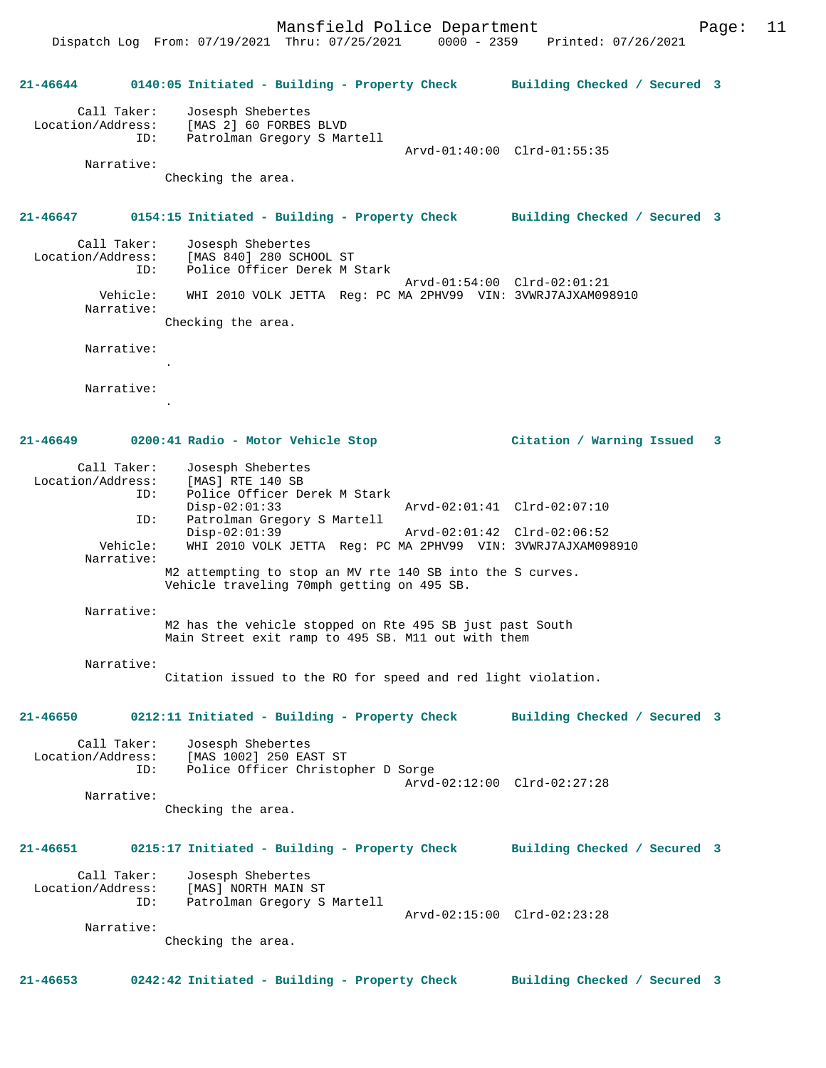Dispatch Log From: 07/19/2021 Thru: 07/25/2021 0000 - 2359 Printed: 07/26/2021

**21-46644 0140:05 Initiated - Building - Property Check Building Checked / Secured 3** Call Taker: Josesph Shebertes Location/Address: [MAS 2] 60 FORBES BLVD ID: Patrolman Gregory S Martell Arvd-01:40:00 Clrd-01:55:35 Narrative: Checking the area. **21-46647 0154:15 Initiated - Building - Property Check Building Checked / Secured 3** Call Taker: Josesph Shebertes Location/Address: [MAS 840] 280 SCHOOL ST<br>ID: Police Officer Derek M 9 Police Officer Derek M Stark Arvd-01:54:00 Clrd-02:01:21 Vehicle: WHI 2010 VOLK JETTA Reg: PC MA 2PHV99 VIN: 3VWRJ7AJXAM098910 Narrative: Checking the area. Narrative: . Narrative: . **21-46649 0200:41 Radio - Motor Vehicle Stop Citation / Warning Issued 3** Call Taker: Josesph Shebertes Location/Address: [MAS] RTE 140 SB ID: Police Officer Derek M Stark<br>Disp-02:01:33 Disp-02:01:33 Arvd-02:01:41 Clrd-02:07:10 ID: Patrolman Gregory S Martell<br>Disp-02:01:39 Disp-02:01:39 Arvd-02:01:42 Clrd-02:06:52 Vehicle: WHI 2010 VOLK JETTA Reg: PC MA 2PHV99 VIN: 3VWRJ7AJXAM098910 Narrative: M2 attempting to stop an MV rte 140 SB into the S curves. Vehicle traveling 70mph getting on 495 SB. Narrative: M2 has the vehicle stopped on Rte 495 SB just past South Main Street exit ramp to 495 SB. M11 out with them Narrative: Citation issued to the RO for speed and red light violation. **21-46650 0212:11 Initiated - Building - Property Check Building Checked / Secured 3** Call Taker: Josesph Shebertes Location/Address: [MAS 1002] 250 EAST ST Police Officer Christopher D Sorge Arvd-02:12:00 Clrd-02:27:28 Narrative: Checking the area. **21-46651 0215:17 Initiated - Building - Property Check Building Checked / Secured 3** Call Taker: Josesph Shebertes Location/Address: [MAS] NORTH MAIN ST ID: Patrolman Gregory S Martell Arvd-02:15:00 Clrd-02:23:28 Narrative: Checking the area.

**21-46653 0242:42 Initiated - Building - Property Check Building Checked / Secured 3**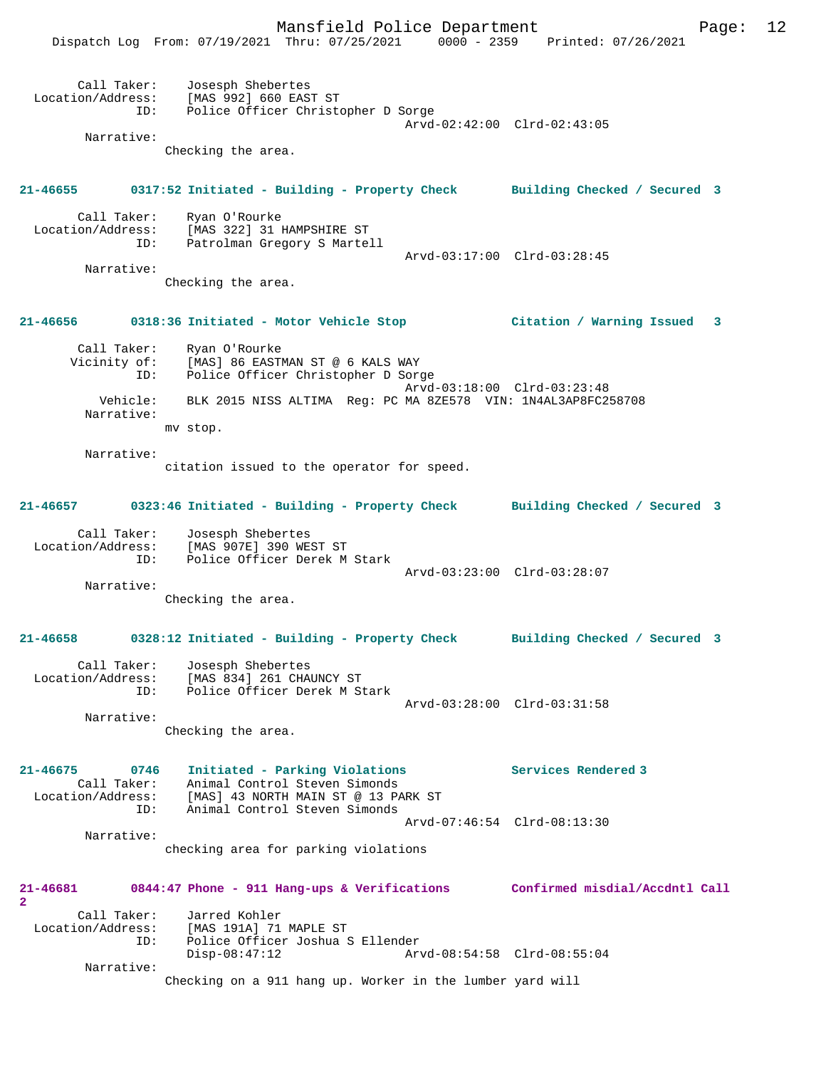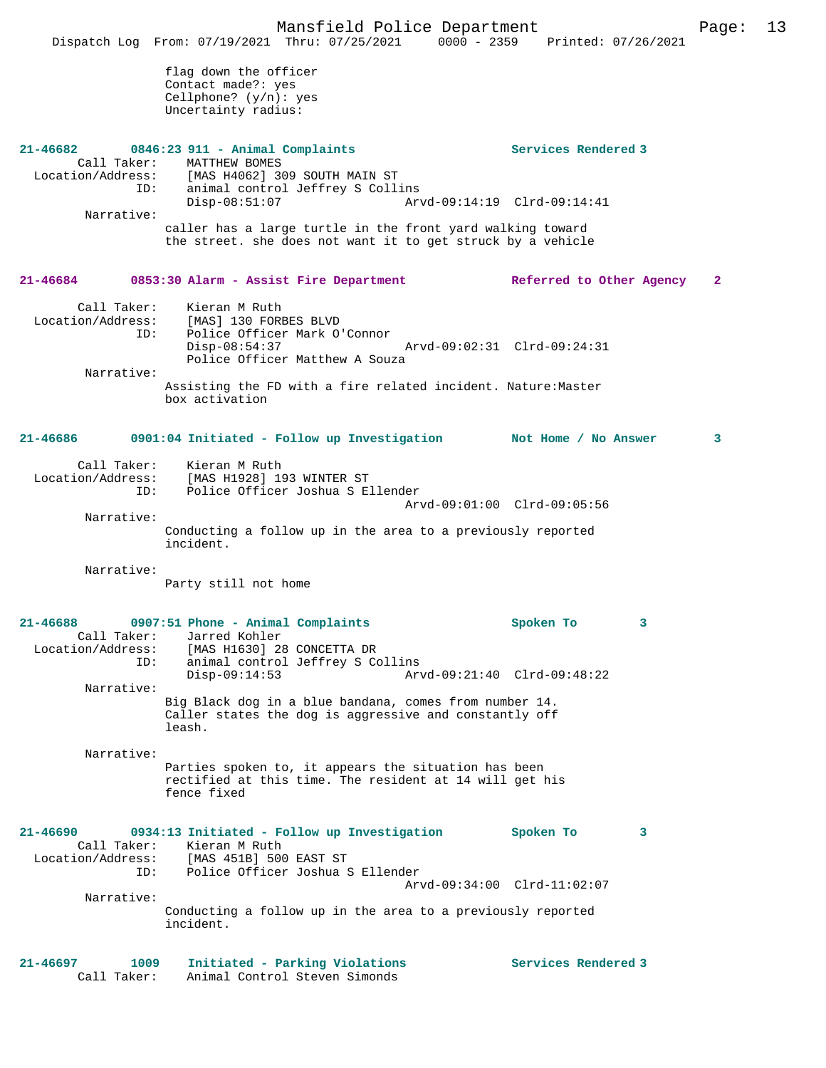Mansfield Police Department Page: 13 Dispatch Log From: 07/19/2021 Thru: 07/25/2021 0000 - 2359 Printed: 07/26/2021 flag down the officer Contact made?: yes Cellphone? (y/n): yes Uncertainty radius: **21-46682 0846:23 911 - Animal Complaints Services Rendered 3**  Call Taker: MATTHEW BOMES Location/Address: [MAS H4062] 309 SOUTH MAIN ST ID: animal control Jeffrey S Collins Disp-08:51:07 Arvd-09:14:19 Clrd-09:14:41 Narrative: caller has a large turtle in the front yard walking toward the street. she does not want it to get struck by a vehicle **21-46684 0853:30 Alarm - Assist Fire Department Referred to Other Agency 2** Call Taker: Kieran M Ruth<br>Location/Address: [MAS] 130 FORE ess: [MAS] 130 FORBES BLVD<br>ID: Police Officer Mark O Police Officer Mark O'Connor<br>Disp-08:54:37 Disp-08:54:37 Arvd-09:02:31 Clrd-09:24:31 Police Officer Matthew A Souza Narrative: Assisting the FD with a fire related incident. Nature:Master box activation **21-46686 0901:04 Initiated - Follow up Investigation Not Home / No Answer 3** Call Taker: Kieran M Ruth Location/Address: [MAS H1928] 193 WINTER ST<br>TD: Police Officer Joshua S E Police Officer Joshua S Ellender Arvd-09:01:00 Clrd-09:05:56 Narrative: Conducting a follow up in the area to a previously reported incident. Narrative: Party still not home **21-46688 0907:51 Phone - Animal Complaints Spoken To 3**  Call Taker: Jarred Kohler<br>Location/Address: [MAS H1630] 28 ess: [MAS H1630] 28 CONCETTA DR<br>ID: animal control Jeffrey S Co animal control Jeffrey S Collins Disp-09:14:53 Arvd-09:21:40 Clrd-09:48:22 Narrative: Big Black dog in a blue bandana, comes from number 14. Caller states the dog is aggressive and constantly off leash. Narrative: Parties spoken to, it appears the situation has been rectified at this time. The resident at 14 will get his fence fixed **21-46690 0934:13 Initiated - Follow up Investigation Spoken To 3**  Call Taker: Kieran M Ruth<br>Location/Address: [MAS 451B] 500 [MAS 451B] 500 EAST ST ID: Police Officer Joshua S Ellender Arvd-09:34:00 Clrd-11:02:07 Narrative: Conducting a follow up in the area to a previously reported incident.

**21-46697 1009 Initiated - Parking Violations Services Rendered 3**  Call Taker: Animal Control Steven Simonds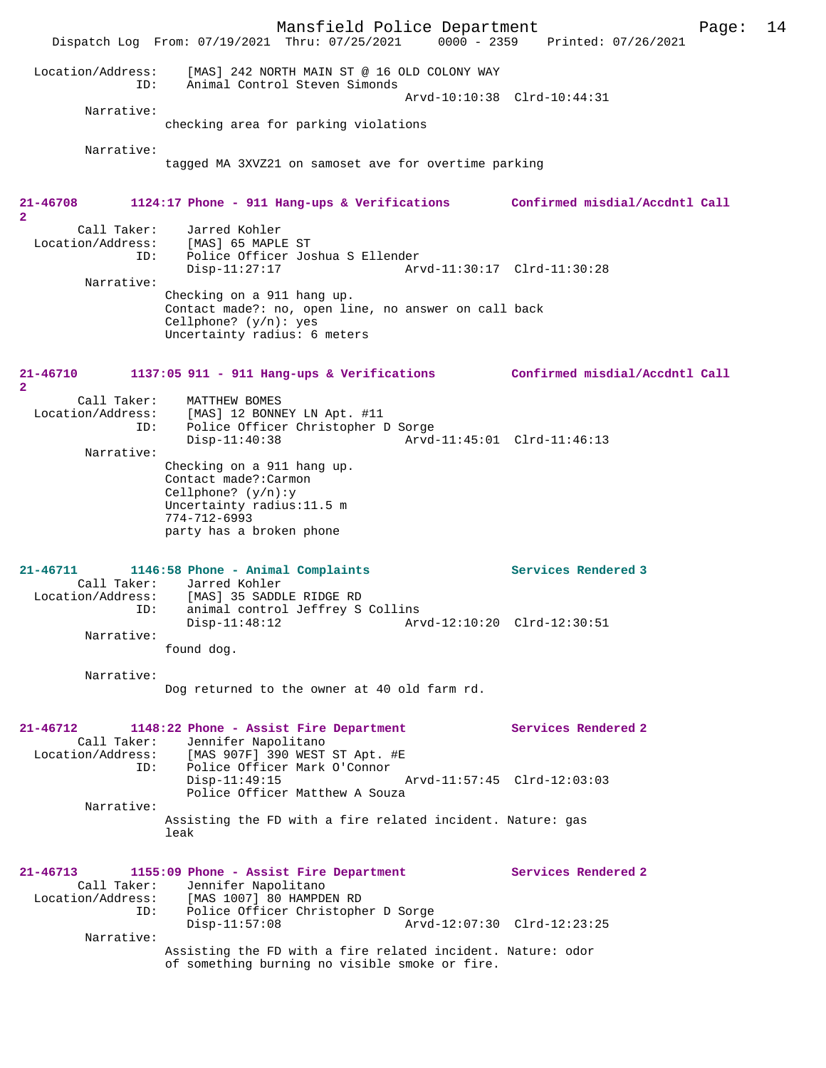Mansfield Police Department Page: 14 Dispatch Log From: 07/19/2021 Thru: 07/25/2021 0000 - 2359 Location/Address: [MAS] 242 NORTH MAIN ST @ 16 OLD COLONY WAY ID: Animal Control Steven Simonds Arvd-10:10:38 Clrd-10:44:31 Narrative: checking area for parking violations Narrative: tagged MA 3XVZ21 on samoset ave for overtime parking **21-46708 1124:17 Phone - 911 Hang-ups & Verifications Confirmed misdial/Accdntl Call 2**  Call Taker: Jarred Kohler<br>Location/Address: [MAS] 65 MAPLI ess: [MAS] 65 MAPLE ST<br>Location: [MAS] 65 MAPLE ST<br>ID: Police Officer Jos ID: Police Officer Joshua S Ellender Disp-11:27:17 Arvd-11:30:17 Clrd-11:30:28 Narrative: Checking on a 911 hang up. Contact made?: no, open line, no answer on call back Cellphone? (y/n): yes Uncertainty radius: 6 meters **21-46710 1137:05 911 - 911 Hang-ups & Verifications Confirmed misdial/Accdntl Call 2**  Call Taker: MATTHEW BOMES<br>Location/Address: [MAS] 12 BONNI لمطلبين المستعدد [MAS] 12 BONNEY LN Apt. #11<br>ID: Police Officer Christopher I Police Officer Christopher D Sorge<br>Disp-11:40:38 Arvd- Disp-11:40:38 Arvd-11:45:01 Clrd-11:46:13 Narrative: Checking on a 911 hang up. Contact made?:Carmon Cellphone? (y/n):y Uncertainty radius:11.5 m 774-712-6993 party has a broken phone **21-46711 1146:58 Phone - Animal Complaints Services Rendered 3**  Call Taker: Jarred Kohler<br>ion/Address: [MAS] 25 SADDI Location/Address: [MAS] 35 SADDLE RIDGE RD ID: animal control Jeffrey S Collins<br>Disp-11:48:12 Art Arvd-12:10:20 Clrd-12:30:51 Narrative: found dog. Narrative: Dog returned to the owner at 40 old farm rd. **21-46712 1148:22 Phone - Assist Fire Department Services Rendered 2**  Call Taker: Jennifer Napolitano<br>Location/Address: [MAS 907F] 390 WEST SS: [MAS 907F] 390 WEST ST Apt. #E<br>ID: Police Officer Mark O'Connor Inno 2002<br>International Mark O'Connor<br>Disp-11:49:15 Disp-11:49:15 Arvd-11:57:45 Clrd-12:03:03 Police Officer Matthew A Souza Narrative: Assisting the FD with a fire related incident. Nature: gas leak **21-46713 1155:09 Phone - Assist Fire Department Services Rendered 2**  Call Taker: Jennifer Napolitano<br>Location/Address: [MAS 1007] 80 HAMPDI ess: [MAS 1007] 80 HAMPDEN RD<br>ID: Police Officer Christophe Police Officer Christopher D Sorge<br>Disp-11:57:08 Arvd-Arvd-12:07:30 Clrd-12:23:25 Narrative: Assisting the FD with a fire related incident. Nature: odor of something burning no visible smoke or fire.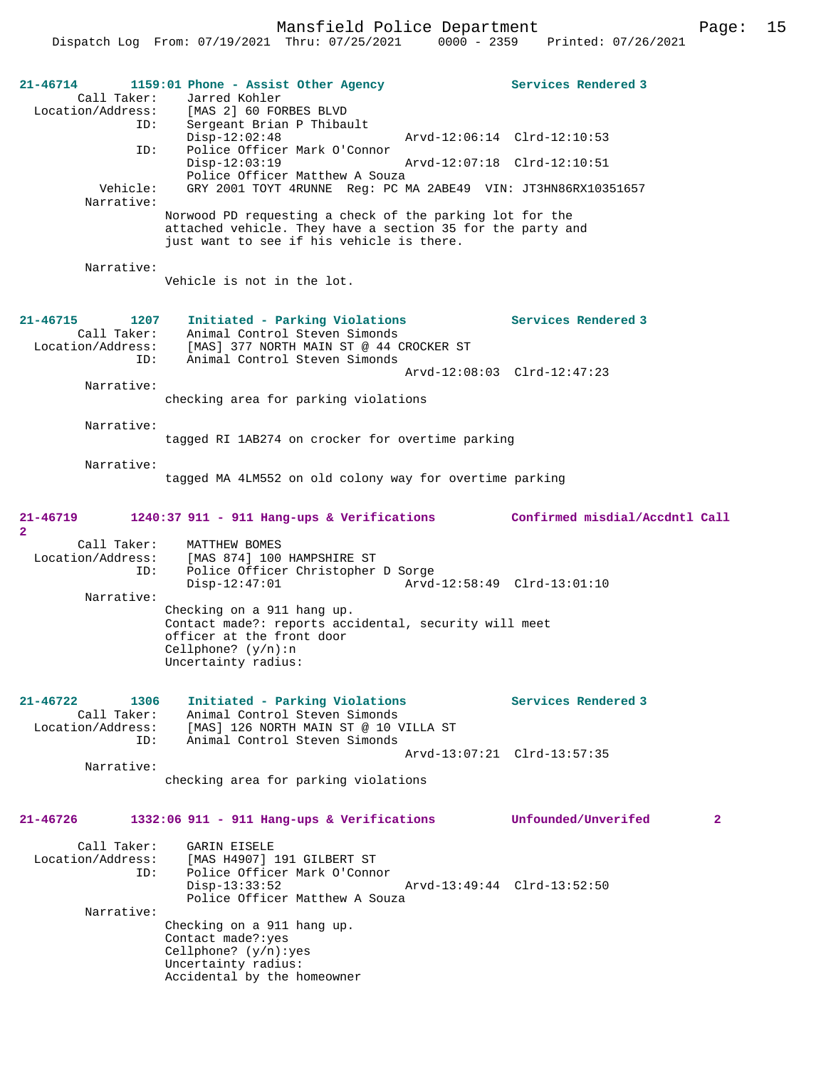Mansfield Police Department Fage: 15

| 21-46714<br>Call Taker:<br>ID:                                  | 1159:01 Phone - Assist Other Agency<br>Jarred Kohler<br>Location/Address: [MAS 2] 60 FORBES BLVD<br>Sergeant Brian P Thibault                                       | Services Rendered 3                 |
|-----------------------------------------------------------------|---------------------------------------------------------------------------------------------------------------------------------------------------------------------|-------------------------------------|
| ID:                                                             | $Disp-12:02:48$<br>Police Officer Mark O'Connor                                                                                                                     | Arvd-12:06:14 Clrd-12:10:53         |
|                                                                 | $Disp-12:03:19$<br>Police Officer Matthew A Souza                                                                                                                   | Arvd-12:07:18 Clrd-12:10:51         |
| Vehicle:<br>Narrative:                                          | GRY 2001 TOYT 4RUNNE Req: PC MA 2ABE49 VIN: JT3HN86RX10351657                                                                                                       |                                     |
|                                                                 | Norwood PD requesting a check of the parking lot for the<br>attached vehicle. They have a section 35 for the party and<br>just want to see if his vehicle is there. |                                     |
| Narrative:                                                      | Vehicle is not in the lot.                                                                                                                                          |                                     |
| $21 - 46715$<br>1207<br>Call Taker:<br>Location/Address:<br>ID: | Initiated - Parking Violations<br>Animal Control Steven Simonds<br>[MAS] 377 NORTH MAIN ST @ 44 CROCKER ST<br>Animal Control Steven Simonds                         | Services Rendered 3                 |
| Narrative:                                                      |                                                                                                                                                                     | Arvd-12:08:03 Clrd-12:47:23         |
|                                                                 | checking area for parking violations                                                                                                                                |                                     |
| Narrative:                                                      | tagged RI 1AB274 on crocker for overtime parking                                                                                                                    |                                     |
| Narrative:                                                      | tagged MA 4LM552 on old colony way for overtime parking                                                                                                             |                                     |
| 21-46719<br>$\overline{a}$                                      | 1240:37 911 - 911 Hang-ups & Verifications Confirmed misdial/Accdntl Call                                                                                           |                                     |
| Call Taker:<br>Location/Address:<br>ID:                         | MATTHEW BOMES<br>[MAS 874] 100 HAMPSHIRE ST<br>Police Officer Christopher D Sorge<br>$Disp-12:47:01$                                                                | Arvd-12:58:49 Clrd-13:01:10         |
| Narrative:                                                      | Checking on a 911 hang up.<br>Contact made?: reports accidental, security will meet<br>officer at the front door<br>Cellphone? $(y/n):n$<br>Uncertainty radius:     |                                     |
| $21 - 46722$<br>1306<br>Call Taker:<br>Location/Address:        | Initiated - Parking Violations<br>Animal Control Steven Simonds<br>[MAS] 126 NORTH MAIN ST @ 10 VILLA ST                                                            | Services Rendered 3                 |
| ID:                                                             | Animal Control Steven Simonds                                                                                                                                       | Arvd-13:07:21 Clrd-13:57:35         |
| Narrative:                                                      | checking area for parking violations                                                                                                                                |                                     |
| $21 - 46726$                                                    | 1332:06 911 - 911 Hang-ups & Verifications                                                                                                                          | Unfounded/Unverifed<br>$\mathbf{2}$ |
| Call Taker:<br>Location/Address:<br>ID:                         | <b>GARIN EISELE</b><br>[MAS H4907] 191 GILBERT ST<br>Police Officer Mark O'Connor<br>$Disp-13:33:52$                                                                | Arvd-13:49:44 Clrd-13:52:50         |
| Narrative:                                                      | Police Officer Matthew A Souza                                                                                                                                      |                                     |
|                                                                 | Checking on a 911 hang up.<br>Contact made?: yes<br>Cellphone? $(y/n):yes$<br>Uncertainty radius:<br>Accidental by the homeowner                                    |                                     |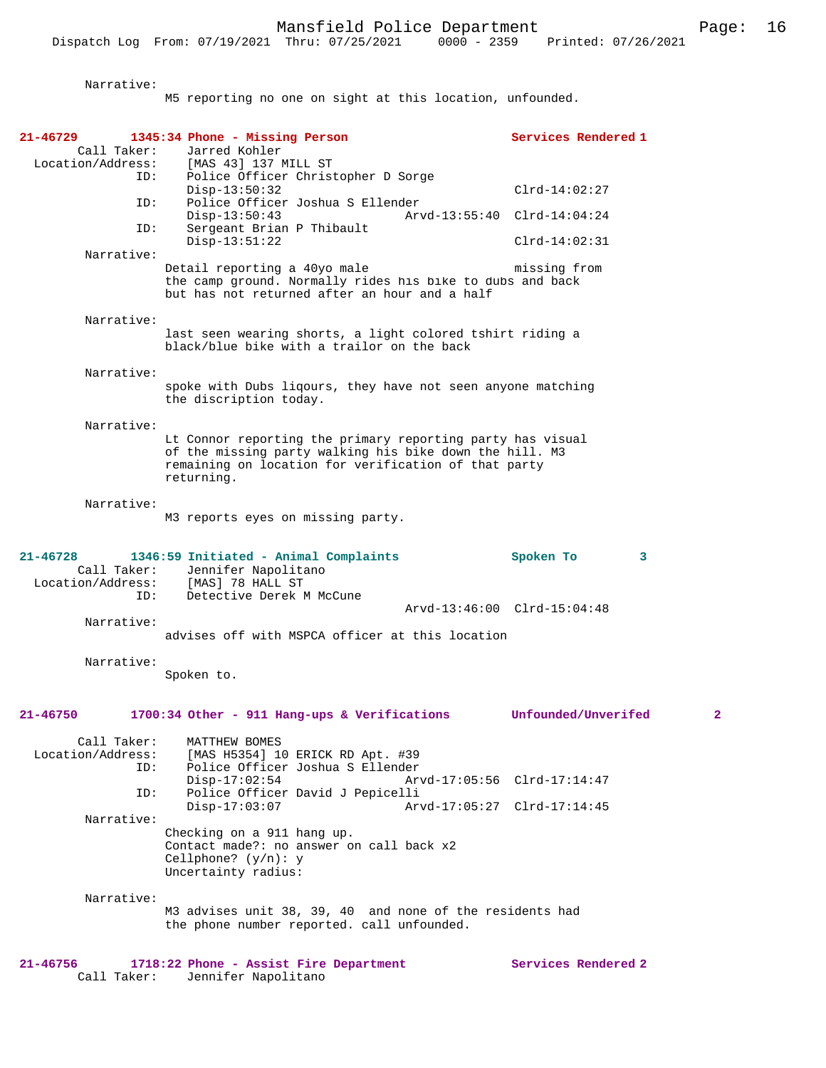Narrative: M5 reporting no one on sight at this location, unfounded. **21-46729 1345:34 Phone - Missing Person Services Rendered 1**  Call Taker: Jarred Kohler<br>Location/Address: [MAS 43] 137 1 Location/Address: [MAS 43] 137 MILL ST ID: Police Officer Christopher D Sorge Disp-13:50:32 Clrd-14:02:27 ID: Police Officer Joshua S Ellender Disp-13:50:43 Arvd-13:55:40 Clrd-14:04:24<br>ID: Sergeant Brian P Thibault Sergeant Brian P Thibault Disp-13:51:22 Clrd-14:02:31 Narrative: Detail reporting a 40yo male missing from the camp ground. Normally rides his bike to dubs and back but has not returned after an hour and a half Narrative: last seen wearing shorts, a light colored tshirt riding a black/blue bike with a trailor on the back Narrative: spoke with Dubs liqours, they have not seen anyone matching the discription today. Narrative: Lt Connor reporting the primary reporting party has visual of the missing party walking his bike down the hill. M3 remaining on location for verification of that party returning. Narrative: M3 reports eyes on missing party. **21-46728 1346:59 Initiated - Animal Complaints Spoken To 3**  Call Taker: Jennifer Napolitano<br>ion/Address: [MAS] 78 HALL ST Location/Address: ID: Detective Derek M McCune Arvd-13:46:00 Clrd-15:04:48 Narrative: advises off with MSPCA officer at this location Narrative: Spoken to. **21-46750 1700:34 Other - 911 Hang-ups & Verifications Unfounded/Unverifed 2** Call Taker: MATTHEW BOMES<br>Location/Address: [MAS H5354] 10 ess: [MAS H5354] 10 ERICK RD Apt. #39<br>ID: Police Officer Joshua S Ellender ID: Police Officer Joshua S Ellender Disp-17:02:54 Arvd-17:05:56 Clrd-17:14:47 ID: Police Officer David J Pepicelli Disp-17:03:07 Arvd-17:05:27 Clrd-17:14:45 Narrative: Checking on a 911 hang up. Contact made?: no answer on call back x2 Cellphone? (y/n): y Uncertainty radius: Narrative: M3 advises unit 38, 39, 40 and none of the residents had the phone number reported. call unfounded. **21-46756 1718:22 Phone - Assist Fire Department Services Rendered 2**  Call Taker: Jennifer Napolitano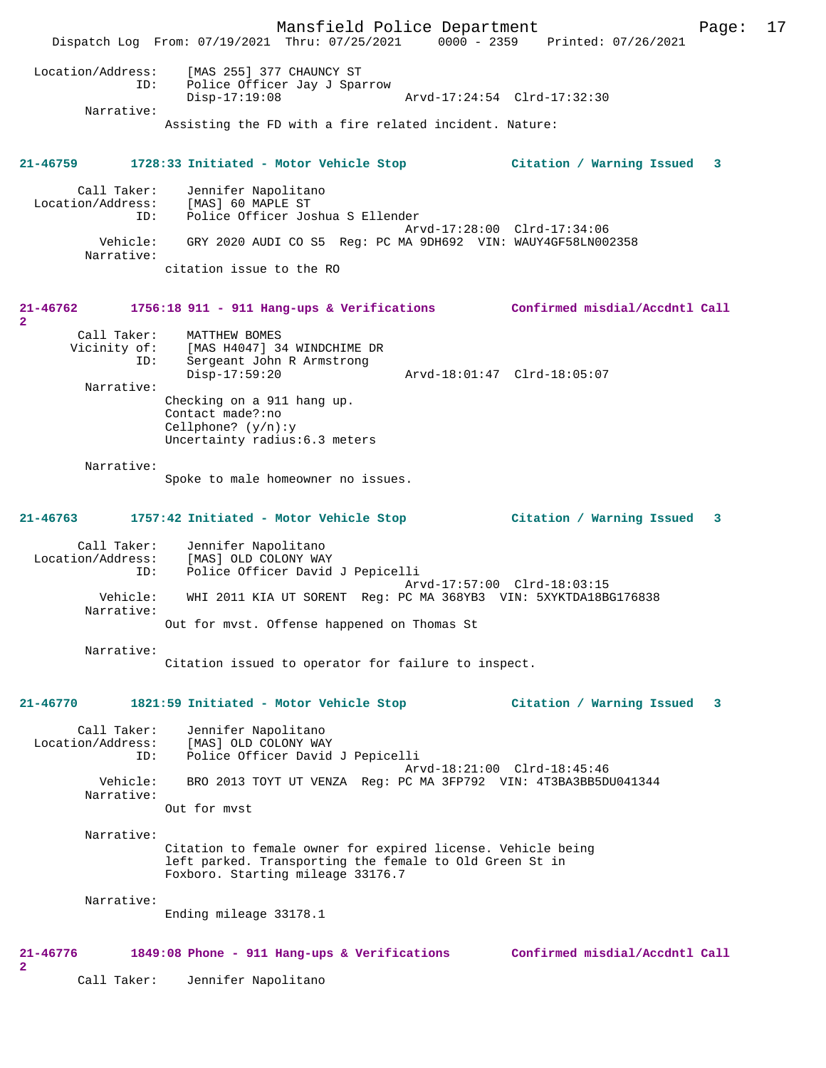Mansfield Police Department Page: 17 Dispatch Log From: 07/19/2021 Thru: 07/25/2021 0000 - 2359 Printed: 07/26/2021 Location/Address: [MAS 255] 377 CHAUNCY ST ID: Police Officer Jay J Sparrow Disp-17:19:08 Arvd-17:24:54 Clrd-17:32:30 Narrative: Assisting the FD with a fire related incident. Nature: **21-46759 1728:33 Initiated - Motor Vehicle Stop Citation / Warning Issued 3** Call Taker: Jennifer Napolitano Location/Address: [MAS] 60 MAPLE ST ID: Police Officer Joshua S Ellender Arvd-17:28:00 Clrd-17:34:06 Vehicle: GRY 2020 AUDI CO S5 Reg: PC MA 9DH692 VIN: WAUY4GF58LN002358 Narrative: citation issue to the RO **21-46762 1756:18 911 - 911 Hang-ups & Verifications Confirmed misdial/Accdntl Call 2**  Call Taker: MATTHEW BOMES<br>Vicinity of: [MAS H4047] 3 of: [MAS H4047] 34 WINDCHIME DR<br>ID: Sergeant John R Armstrong Sergeant John R Armstrong<br>Disp-17:59:20 Disp-17:59:20 Arvd-18:01:47 Clrd-18:05:07 Narrative: Checking on a 911 hang up. Contact made?:no Cellphone? (y/n):y Uncertainty radius:6.3 meters Narrative: Spoke to male homeowner no issues. **21-46763 1757:42 Initiated - Motor Vehicle Stop Citation / Warning Issued 3** Call Taker: Jennifer Napolitano<br>Location/Address: [MAS] OLD COLONY WA [MAS] OLD COLONY WAY ID: Police Officer David J Pepicelli Arvd-17:57:00 Clrd-18:03:15<br>Vehicle: WHI 2011 KIA UT SORENT Reg: PC MA 368YB3 VIN: 5XYKTDA18BC WHI 2011 KIA UT SORENT Reg: PC MA 368YB3 VIN: 5XYKTDA18BG176838 Narrative: Out for mvst. Offense happened on Thomas St Narrative: Citation issued to operator for failure to inspect. **21-46770 1821:59 Initiated - Motor Vehicle Stop Citation / Warning Issued 3** Call Taker: Jennifer Napolitano Location/Address: [MAS] OLD COLONY WAY ID: Police Officer David J Pepicelli Arvd-18:21:00 Clrd-18:45:46 Vehicle: BRO 2013 TOYT UT VENZA Reg: PC MA 3FP792 VIN: 4T3BA3BB5DU041344 Narrative: Out for mvst Narrative: Citation to female owner for expired license. Vehicle being left parked. Transporting the female to Old Green St in Foxboro. Starting mileage 33176.7 Narrative: Ending mileage 33178.1 **21-46776 1849:08 Phone - 911 Hang-ups & Verifications Confirmed misdial/Accdntl Call 2**  Call Taker: Jennifer Napolitano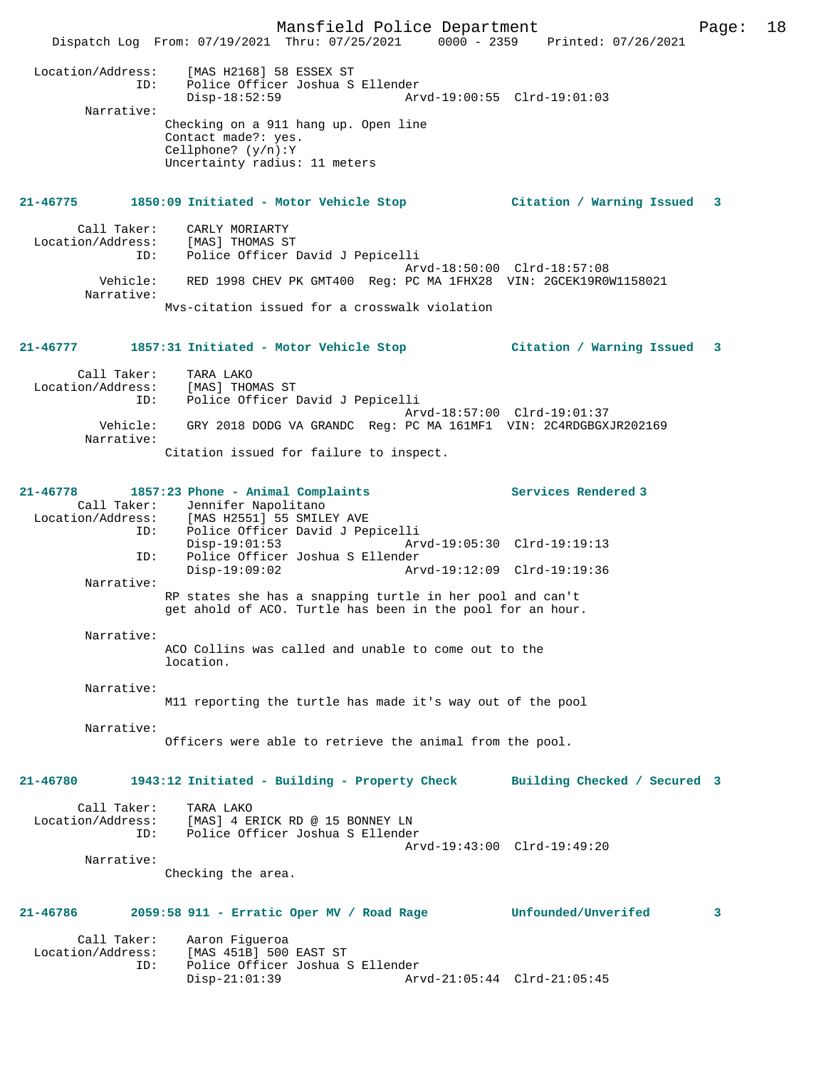Mansfield Police Department Page: 18 Dispatch Log From: 07/19/2021 Thru: 07/25/2021 0000 - 2359 Printed: 07/26/2021 Location/Address: [MAS H2168] 58 ESSEX ST ID: Police Officer Joshua S Ellender Disp-18:52:59 Arvd-19:00:55 Clrd-19:01:03 Narrative: Checking on a 911 hang up. Open line Contact made?: yes. Cellphone? (y/n):Y Uncertainty radius: 11 meters **21-46775 1850:09 Initiated - Motor Vehicle Stop Citation / Warning Issued 3** Call Taker: CARLY MORIARTY<br>ion/Address: [MAS] THOMAS ST Location/Address: SSS: IMAST INCHASTS:<br>ID: Police Officer David J Pepicelli Arvd-18:50:00 Clrd-18:57:08<br>Vehicle: RED 1998 CHEV PK GMT400 Reg: PC MA 1FHX28 VIN: 2GCEK19R00 RED 1998 CHEV PK GMT400 Reg: PC MA 1FHX28 VIN: 2GCEK19R0W1158021 Narrative: Mvs-citation issued for a crosswalk violation **21-46777 1857:31 Initiated - Motor Vehicle Stop Citation / Warning Issued 3** Call Taker: TARA LAKO Location/Address: [MAS] THOMAS ST ID: Police Officer David J Pepicelli Arvd-18:57:00 Clrd-19:01:37 Vehicle: GRY 2018 DODG VA GRANDC Reg: PC MA 161MF1 VIN: 2C4RDGBGXJR202169 Narrative: Citation issued for failure to inspect. **21-46778 1857:23 Phone - Animal Complaints Services Rendered 3**  Call Taker: Jennifer Napolitano Location/Address: [MAS H2551] 55 SMILEY AVE ID: Police Officer David J Pepicelli Disp-19:01:53 Arvd-19:05:30 Clrd-19:19:13<br>ID: Police Officer Joshua S Ellender ID: Police Officer Joshua S Ellender Disp-19:09:02 Arvd-19:12:09 Clrd-19:19:36 Narrative: RP states she has a snapping turtle in her pool and can't get ahold of ACO. Turtle has been in the pool for an hour. Narrative: ACO Collins was called and unable to come out to the location. Narrative: M11 reporting the turtle has made it's way out of the pool Narrative: Officers were able to retrieve the animal from the pool. **21-46780 1943:12 Initiated - Building - Property Check Building Checked / Secured 3** Call Taker: TARA LAKO Location/Address: [MAS] 4 ERICK RD @ 15 BONNEY LN Police Officer Joshua S Ellender Arvd-19:43:00 Clrd-19:49:20 Narrative: Checking the area. **21-46786 2059:58 911 - Erratic Oper MV / Road Rage Unfounded/Unverifed 3** Call Taker: Aaron Figueroa Location/Address: [MAS 451B] 500 EAST ST Police Officer Joshua S Ellender Disp-21:01:39 Arvd-21:05:44 Clrd-21:05:45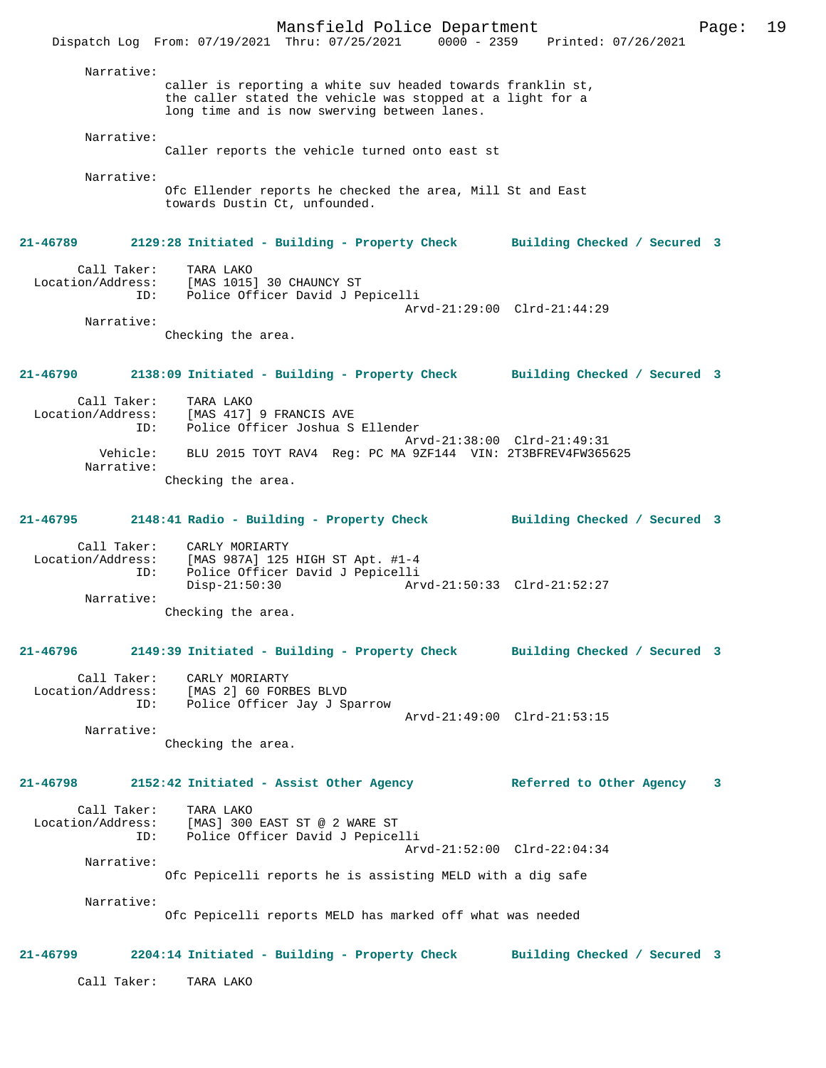Mansfield Police Department Page: 19 Dispatch Log From: 07/19/2021 Thru: 07/25/2021 0000 - 2359 Printed: 07/26/2021 Narrative: caller is reporting a white suv headed towards franklin st, the caller stated the vehicle was stopped at a light for a long time and is now swerving between lanes. Narrative: Caller reports the vehicle turned onto east st Narrative: Ofc Ellender reports he checked the area, Mill St and East towards Dustin Ct, unfounded. **21-46789 2129:28 Initiated - Building - Property Check Building Checked / Secured 3** Call Taker: TARA LAKO<br>Location/Address: [MAS 1015 [MAS 1015] 30 CHAUNCY ST ID: Police Officer David J Pepicelli Arvd-21:29:00 Clrd-21:44:29 Narrative: Checking the area. **21-46790 2138:09 Initiated - Building - Property Check Building Checked / Secured 3** Call Taker: TARA LAKO Location/Address: [MAS 417] 9 FRANCIS AVE Police Officer Joshua S Ellender Arvd-21:38:00 Clrd-21:49:31<br>Vehicle: BLU 2015 TOYT RAV4 Reg: PC MA 9ZF144 VIN: 2T3BFREV4FW365 BLU 2015 TOYT RAV4 Reg: PC MA 9ZF144 VIN: 2T3BFREV4FW365625 Narrative: Checking the area. **21-46795 2148:41 Radio - Building - Property Check Building Checked / Secured 3** Call Taker: CARLY MORIARTY Location/Address: [MAS 987A] 125 HIGH ST Apt. #1-4 ID: Police Officer David J Pepicelli Disp-21:50:30 Arvd-21:50:33 Clrd-21:52:27 Narrative: Checking the area. **21-46796 2149:39 Initiated - Building - Property Check Building Checked / Secured 3** Call Taker: CARLY MORIARTY Location/Address: [MAS 2] 60 FORBES BLVD ID: Police Officer Jay J Sparrow Arvd-21:49:00 Clrd-21:53:15 Narrative: Checking the area. **21-46798 2152:42 Initiated - Assist Other Agency Referred to Other Agency 3** Call Taker: TARA LAKO Location/Address: [MAS] 300 EAST ST @ 2 WARE ST ID: Police Officer David J Pepicelli Arvd-21:52:00 Clrd-22:04:34 Narrative: Ofc Pepicelli reports he is assisting MELD with a dig safe Narrative: Ofc Pepicelli reports MELD has marked off what was needed **21-46799 2204:14 Initiated - Building - Property Check Building Checked / Secured 3** Call Taker: TARA LAKO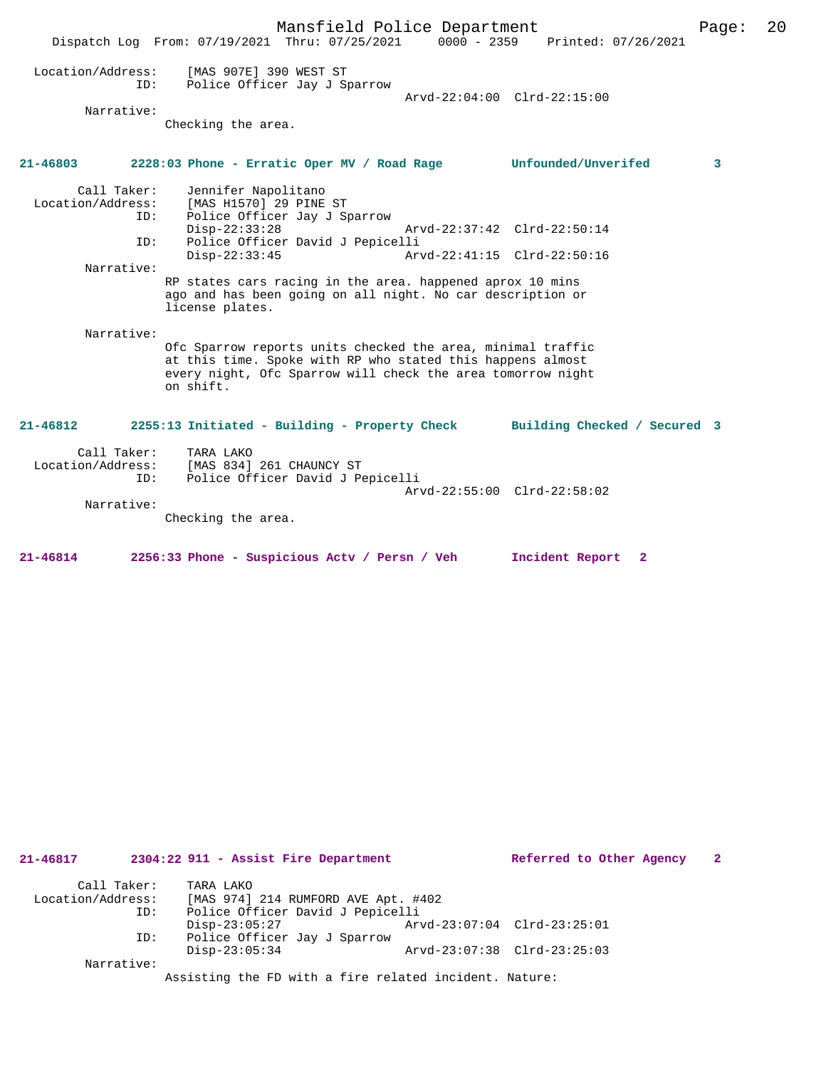|                                                       | Mansfield Police Department<br>0000 - 2359 Printed: 07/26/2021<br>Dispatch Log From: 07/19/2021 Thru: 07/25/2021                                                                                                                                                                                                                                                                                                                                                                                                                                                                               | Page: | 20 |
|-------------------------------------------------------|------------------------------------------------------------------------------------------------------------------------------------------------------------------------------------------------------------------------------------------------------------------------------------------------------------------------------------------------------------------------------------------------------------------------------------------------------------------------------------------------------------------------------------------------------------------------------------------------|-------|----|
| Location/Address:<br>ID:                              | [MAS 907E] 390 WEST ST<br>Police Officer Jay J Sparrow<br>Arvd-22:04:00 Clrd-22:15:00                                                                                                                                                                                                                                                                                                                                                                                                                                                                                                          |       |    |
| Narrative:                                            | Checking the area.                                                                                                                                                                                                                                                                                                                                                                                                                                                                                                                                                                             |       |    |
| $21 - 46803$                                          | 2228:03 Phone - Erratic Oper MV / Road Rage Unfounded/Unverifed                                                                                                                                                                                                                                                                                                                                                                                                                                                                                                                                | 3     |    |
| Call Taker:<br>ID:<br>ID:<br>Narrative:<br>Narrative: | Jennifer Napolitano<br>Location/Address: [MAS H1570] 29 PINE ST<br>Police Officer Jay J Sparrow<br>$Disp-22:33:28$<br>Arvd-22:37:42 Clrd-22:50:14<br>Police Officer David J Pepicelli<br>$Disp-22:33:45$<br>Arvd-22:41:15 Clrd-22:50:16<br>RP states cars racing in the area. happened aprox 10 mins<br>ago and has been going on all night. No car description or<br>license plates.<br>Ofc Sparrow reports units checked the area, minimal traffic<br>at this time. Spoke with RP who stated this happens almost<br>every night, Ofc Sparrow will check the area tomorrow night<br>on shift. |       |    |
| $21 - 46812$                                          | 2255:13 Initiated - Building - Property Check<br>Building Checked / Secured 3                                                                                                                                                                                                                                                                                                                                                                                                                                                                                                                  |       |    |
| Call Taker:<br>Location/Address:<br>ID:<br>Narrative: | TARA LAKO<br>[MAS 834] 261 CHAUNCY ST<br>Police Officer David J Pepicelli<br>Arvd-22:55:00 Clrd-22:58:02<br>Checking the area.                                                                                                                                                                                                                                                                                                                                                                                                                                                                 |       |    |
|                                                       |                                                                                                                                                                                                                                                                                                                                                                                                                                                                                                                                                                                                |       |    |

| 21-46817          | 2304:22 911 - Assist Fire Department                   |                             | Referred to Other Agency | 2 |
|-------------------|--------------------------------------------------------|-----------------------------|--------------------------|---|
| Call Taker:       | TARA LAKO                                              |                             |                          |   |
| Location/Address: | [MAS 974] 214 RUMFORD AVE Apt. #402                    |                             |                          |   |
| ID:               | Police Officer David J Pepicelli                       |                             |                          |   |
|                   | $Disp-23:05:27$                                        | Arvd-23:07:04 Clrd-23:25:01 |                          |   |
| ID:               | Police Officer Jay J Sparrow                           |                             |                          |   |
|                   | $Disp-23:05:34$                                        | Arvd-23:07:38 Clrd-23:25:03 |                          |   |
| Narrative:        |                                                        |                             |                          |   |
|                   | Assisting the FD with a fire related incident. Nature: |                             |                          |   |

**21-46814 2256:33 Phone - Suspicious Actv / Persn / Veh Incident Report 2**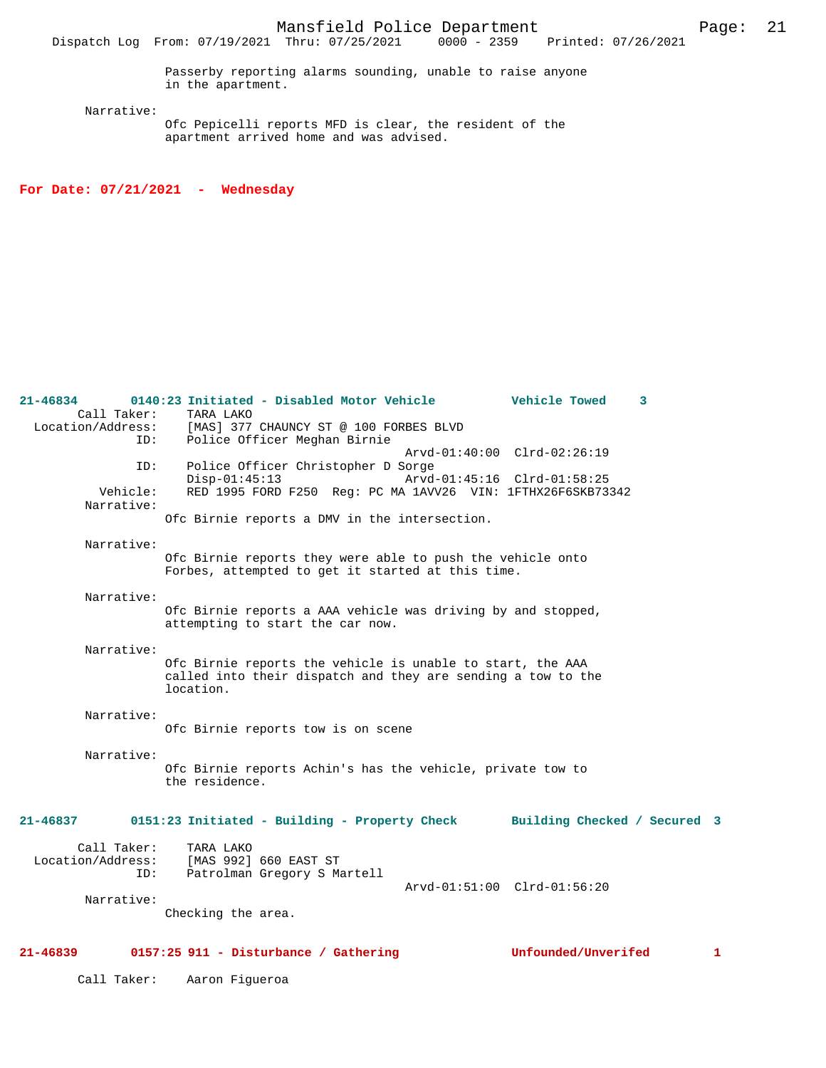Narrative:

Ofc Pepicelli reports MFD is clear, the resident of the apartment arrived home and was advised.

**For Date: 07/21/2021 - Wednesday**

| $21 - 46839$                            | 0157:25 911 - Disturbance / Gathering                                                                                                   |                             | Unfounded/Unverifed |   | 1 |
|-----------------------------------------|-----------------------------------------------------------------------------------------------------------------------------------------|-----------------------------|---------------------|---|---|
| Narrative:                              | Checking the area.                                                                                                                      |                             |                     |   |   |
| Call Taker:<br>Location/Address:<br>ID: | TARA LAKO<br>[MAS 992] 660 EAST ST<br>Patrolman Gregory S Martell                                                                       | Arvd-01:51:00 Clrd-01:56:20 |                     |   |   |
| 21-46837                                | 0151:23 Initiated - Building - Property Check Building Checked / Secured 3                                                              |                             |                     |   |   |
| Narrative:                              | Ofc Birnie reports Achin's has the vehicle, private tow to<br>the residence.                                                            |                             |                     |   |   |
| Narrative:                              | Ofc Birnie reports tow is on scene                                                                                                      |                             |                     |   |   |
| Narrative:                              | Ofc Birnie reports the vehicle is unable to start, the AAA<br>called into their dispatch and they are sending a tow to the<br>location. |                             |                     |   |   |
| Narrative:                              | Ofc Birnie reports a AAA vehicle was driving by and stopped,<br>attempting to start the car now.                                        |                             |                     |   |   |
| Narrative:                              | Ofc Birnie reports they were able to push the vehicle onto<br>Forbes, attempted to get it started at this time.                         |                             |                     |   |   |
| Narrative:                              | Ofc Birnie reports a DMV in the intersection.                                                                                           |                             |                     |   |   |
| ID:<br>Vehicle:                         | Police Officer Christopher D Sorge<br>$Disp-01:45:13$<br>RED 1995 FORD F250 Reg: PC MA 1AVV26 VIN: 1FTHX26F6SKB73342                    | Arvd-01:45:16 Clrd-01:58:25 |                     |   |   |
| Call Taker:<br>Location/Address:<br>ID: | TARA LAKO<br>[MAS] 377 CHAUNCY ST @ 100 FORBES BLVD<br>Police Officer Meghan Birnie                                                     | Arvd-01:40:00 Clrd-02:26:19 |                     |   |   |
| 21-46834                                | 0140:23 Initiated - Disabled Motor Vehicle                                                                                              |                             | Vehicle Towed       | 3 |   |

Call Taker: Aaron Figueroa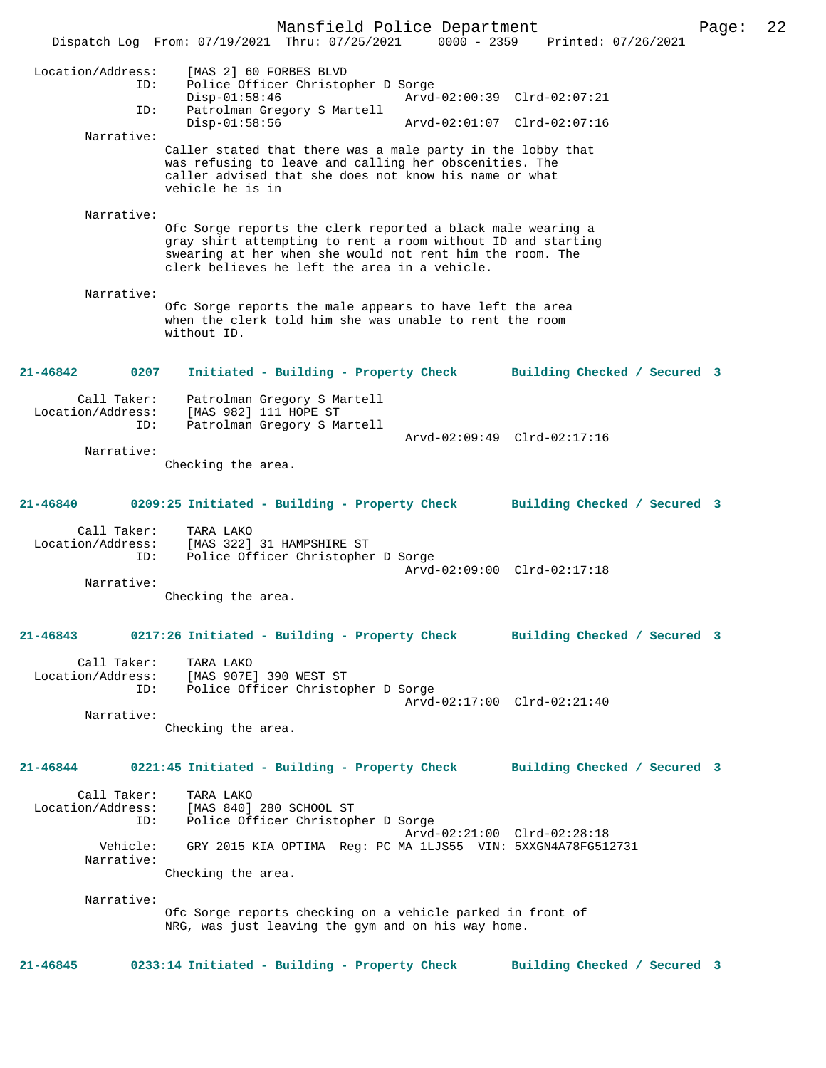Mansfield Police Department Page: 22 Dispatch Log From: 07/19/2021 Thru: 07/25/2021 0000 - 2359 Printed: 07/26/2021 Location/Address: [MAS 2] 60 FORBES BLVD ID: Police Officer Christopher D Sorge Disp-01:58:46 Arvd-02:00:39 Clrd-02:07:21 ID: Patrolman Gregory S Martell Disp-01:58:56 Arvd-02:01:07 Clrd-02:07:16 Narrative: Caller stated that there was a male party in the lobby that was refusing to leave and calling her obscenities. The caller advised that she does not know his name or what vehicle he is in Narrative: Ofc Sorge reports the clerk reported a black male wearing a gray shirt attempting to rent a room without ID and starting swearing at her when she would not rent him the room. The clerk believes he left the area in a vehicle. Narrative: Ofc Sorge reports the male appears to have left the area when the clerk told him she was unable to rent the room without ID. **21-46842 0207 Initiated - Building - Property Check Building Checked / Secured 3** Call Taker: Patrolman Gregory S Martell Location/Address: [MAS 982] 111 HOPE ST ID: Patrolman Gregory S Martell Arvd-02:09:49 Clrd-02:17:16 Narrative: Checking the area. **21-46840 0209:25 Initiated - Building - Property Check Building Checked / Secured 3** Call Taker: TARA LAKO Location/Address: [MAS 322] 31 HAMPSHIRE ST ID: Police Officer Christopher D Sorge Arvd-02:09:00 Clrd-02:17:18 Narrative: Checking the area. **21-46843 0217:26 Initiated - Building - Property Check Building Checked / Secured 3** Call Taker: TARA LAKO<br>Location/Address: [MAS 907E [MAS 907E] 390 WEST ST ID: Police Officer Christopher D Sorge Arvd-02:17:00 Clrd-02:21:40 Narrative: Checking the area. **21-46844 0221:45 Initiated - Building - Property Check Building Checked / Secured 3** Call Taker: TARA LAKO Location/Address: [MAS 840] 280 SCHOOL ST ID: Police Officer Christopher D Sorge Arvd-02:21:00 Clrd-02:28:18<br>Vehicle: GRY 2015 KIA OPTIMA Req: PC MA 1LJS55 VIN: 5XXGN4A78FG51 GRY 2015 KIA OPTIMA Reg: PC MA 1LJS55 VIN: 5XXGN4A78FG512731 Narrative: Checking the area. Narrative: Ofc Sorge reports checking on a vehicle parked in front of NRG, was just leaving the gym and on his way home. **21-46845 0233:14 Initiated - Building - Property Check Building Checked / Secured 3**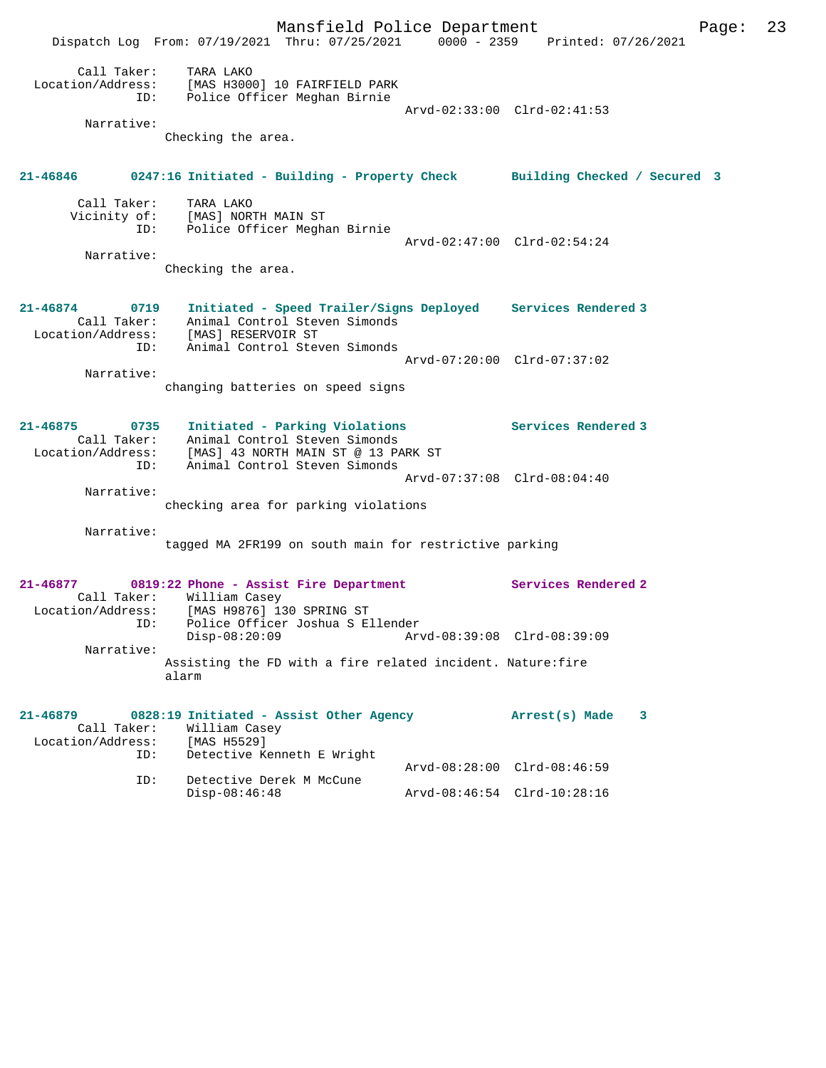Mansfield Police Department Page: 23 Dispatch Log From: 07/19/2021 Thru: 07/25/2021 0000 - 2359 Printed: 07/26/2021 Call Taker: TARA LAKO Location/Address: [MAS H3000] 10 FAIRFIELD PARK ID: Police Officer Meghan Birnie Arvd-02:33:00 Clrd-02:41:53 Narrative: Checking the area. **21-46846 0247:16 Initiated - Building - Property Check Building Checked / Secured 3** Call Taker: TARA LAKO Vicinity of: [MAS] NORTH MAIN ST ID: Police Officer Meghan Birnie Arvd-02:47:00 Clrd-02:54:24 Narrative: Checking the area. **21-46874 0719 Initiated - Speed Trailer/Signs Deployed Services Rendered 3**  Call Taker: Animal Control Steven Simonds Location/Address: [MAS] RESERVOIR ST ID: Animal Control Steven Simonds Arvd-07:20:00 Clrd-07:37:02 Narrative: changing batteries on speed signs **21-46875 0735 Initiated - Parking Violations Services Rendered 3**  Call Taker: Animal Control Steven Simonds Location/Address: [MAS] 43 NORTH MAIN ST @ 13 PARK ST ID: Animal Control Steven Simonds Arvd-07:37:08 Clrd-08:04:40 Narrative: checking area for parking violations Narrative: tagged MA 2FR199 on south main for restrictive parking **21-46877 0819:22 Phone - Assist Fire Department Services Rendered 2**  Call Taker: William Casey<br>ion/Adress: [MAS H0976] 17 Location/Address: [MAS H9876] 130 SPRING ST ID: Police Officer Joshua S Ellender<br>Disp-08:20:09 Arv Disp-08:20:09 Arvd-08:39:08 Clrd-08:39:09 Narrative: Assisting the FD with a fire related incident. Nature:fire alarm **21-46879 0828:19 Initiated - Assist Other Agency Arrest(s) Made 3**  Call Taker: William Casey Location/Address: [MAS H5529]<br>ID: Detective Ke Detective Kenneth E Wright Arvd-08:28:00 Clrd-08:46:59 ID: Detective Derek M McCune Disp-08:46:48 Arvd-08:46:54 Clrd-10:28:16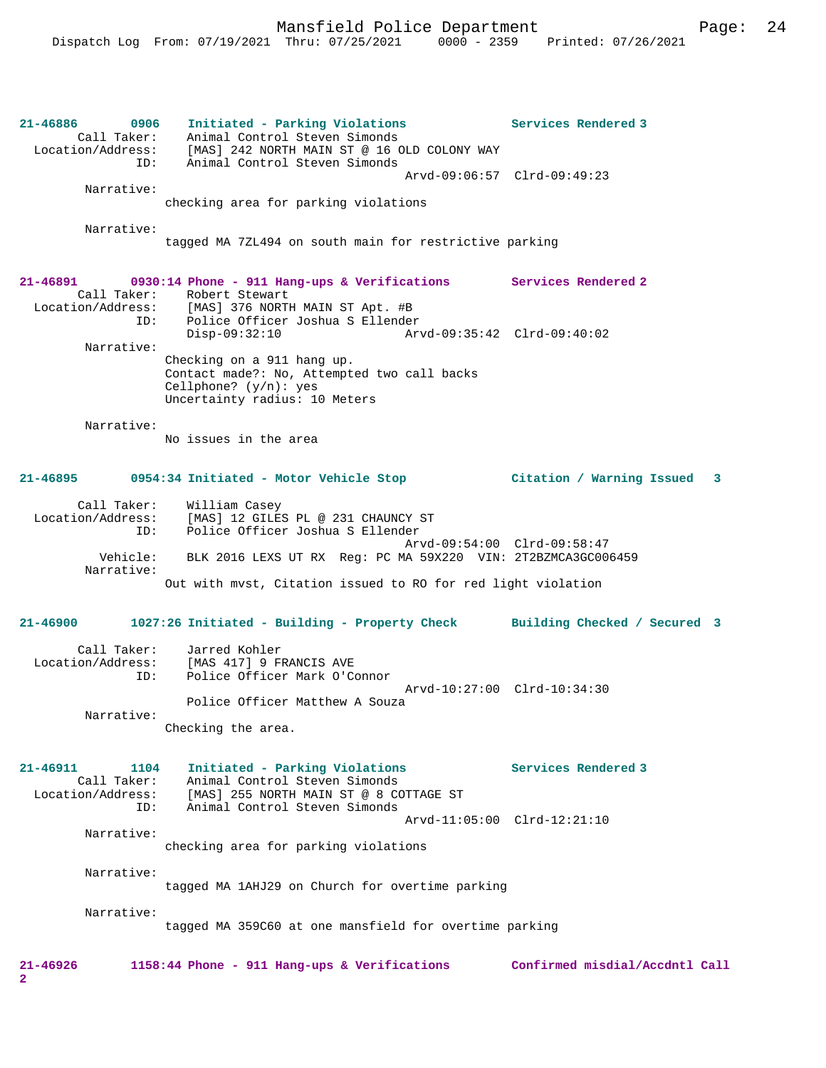| 21-46886 0906<br>Call Taker:<br>Location/Address:           | Initiated - Parking Violations<br>Animal Control Steven Simonds<br>[MAS] 242 NORTH MAIN ST @ 16 OLD COLONY WAY                                                              | Services Rendered 3            |
|-------------------------------------------------------------|-----------------------------------------------------------------------------------------------------------------------------------------------------------------------------|--------------------------------|
| ID:                                                         | Animal Control Steven Simonds                                                                                                                                               | Arvd-09:06:57 Clrd-09:49:23    |
| Narrative:                                                  | checking area for parking violations                                                                                                                                        |                                |
| Narrative:                                                  | tagged MA 7ZL494 on south main for restrictive parking                                                                                                                      |                                |
| 21-46891<br>Call Taker:<br>ID:                              | 0930:14 Phone - 911 Hang-ups & Verifications Services Rendered 2<br>Robert Stewart<br>Location/Address: [MAS] 376 NORTH MAIN ST Apt. #B<br>Police Officer Joshua S Ellender |                                |
| Narrative:                                                  | $Disp-09:32:10$<br>Checking on a 911 hang up.<br>Contact made?: No, Attempted two call backs<br>Cellphone? $(y/n): ye s$<br>Uncertainty radius: 10 Meters                   |                                |
| Narrative:                                                  | No issues in the area                                                                                                                                                       |                                |
|                                                             | 21-46895 0954:34 Initiated - Motor Vehicle Stop                                                                                                                             | Citation / Warning Issued 3    |
| Call Taker:<br>ID:                                          | William Casey<br>Location/Address: [MAS] 12 GILES PL @ 231 CHAUNCY ST<br>Police Officer Joshua S Ellender                                                                   |                                |
| Vehicle:<br>Narrative:                                      | BLK 2016 LEXS UT RX Req: PC MA 59X220 VIN: 2T2BZMCA3GC006459                                                                                                                | Arvd-09:54:00 Clrd-09:58:47    |
|                                                             | Out with myst, Citation issued to RO for red light violation                                                                                                                |                                |
| 21-46900                                                    | 1027:26 Initiated - Building - Property Check Building Checked / Secured 3                                                                                                  |                                |
| Call Taker:<br>ID:                                          | Jarred Kohler<br>Location/Address: [MAS 417] 9 FRANCIS AVE<br>Police Officer Mark O'Connor                                                                                  | Arvd-10:27:00 Clrd-10:34:30    |
| Narrative:                                                  | Police Officer Matthew A Souza<br>Checking the area.                                                                                                                        |                                |
| 21-46911<br>1104<br>Call Taker:<br>Location/Address:<br>ID: | Initiated - Parking Violations<br>Animal Control Steven Simonds<br>[MAS] 255 NORTH MAIN ST @ 8 COTTAGE ST<br>Animal Control Steven Simonds                                  | Services Rendered 3            |
| Narrative:                                                  | checking area for parking violations                                                                                                                                        | Arvd-11:05:00 Clrd-12:21:10    |
| Narrative:                                                  | tagged MA 1AHJ29 on Church for overtime parking                                                                                                                             |                                |
| Narrative:                                                  | tagged MA 359C60 at one mansfield for overtime parking                                                                                                                      |                                |
| 21-46926<br>2                                               | 1158:44 Phone - 911 Hang-ups & Verifications                                                                                                                                | Confirmed misdial/Accdntl Call |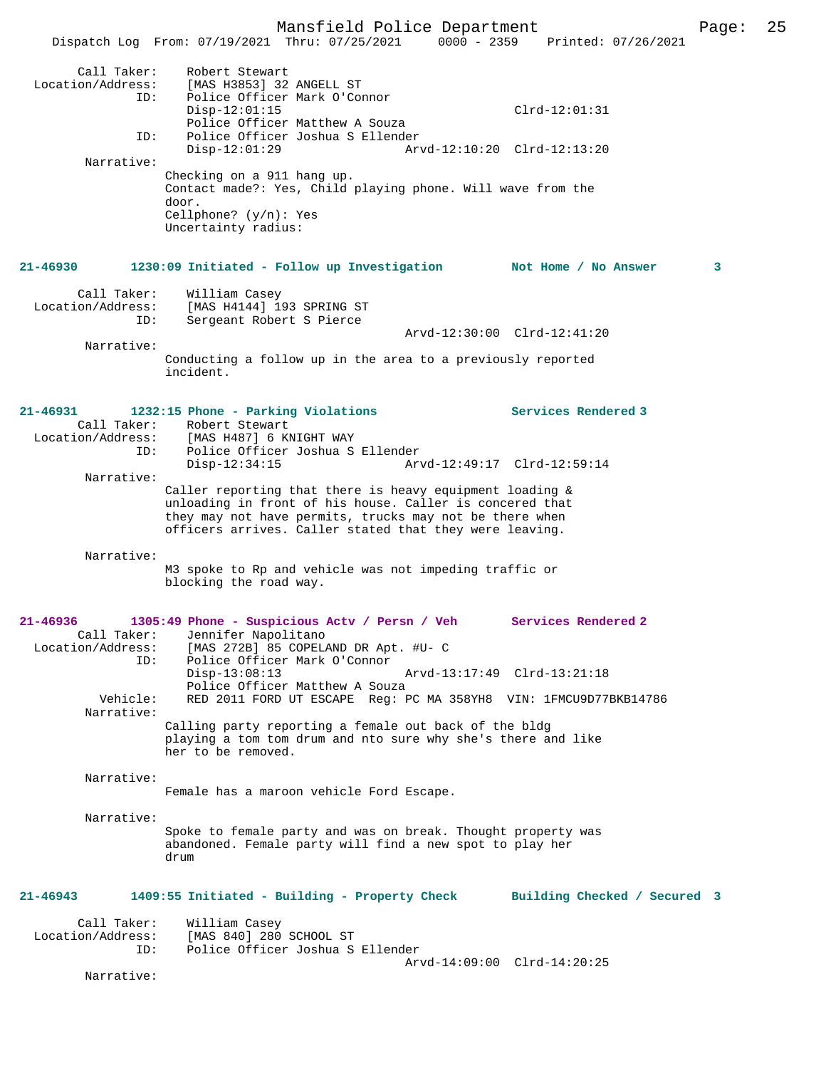Mansfield Police Department Page: 25 Dispatch Log From: 07/19/2021 Thru: 07/25/2021 0000 - 2359 Call Taker: Robert Stewart<br>Location/Address: [MAS H3853] 32 [MAS H3853] 32 ANGELL ST ID: Police Officer Mark O'Connor Disp-12:01:15 Clrd-12:01:31 Police Officer Matthew A Souza<br>ID: Police Officer Joshua S Ellender Police Officer Joshua S Ellender Disp-12:01:29 Arvd-12:10:20 Clrd-12:13:20 Narrative: Checking on a 911 hang up. Contact made?: Yes, Child playing phone. Will wave from the door. Cellphone? (y/n): Yes Uncertainty radius: **21-46930 1230:09 Initiated - Follow up Investigation Not Home / No Answer 3** Call Taker: William Casey Location/Address: [MAS H4144] 193 SPRING ST ID: Sergeant Robert S Pierce Arvd-12:30:00 Clrd-12:41:20 Narrative: Conducting a follow up in the area to a previously reported incident. **21-46931 1232:15 Phone - Parking Violations Services Rendered 3**  Call Taker: Robert Stewart<br>Location/Address: [MAS H487] 6 KM ess: [MAS H487] 6 KNIGHT WAY<br>ID: Police Officer Joshua S ID: Police Officer Joshua S Ellender Disp-12:34:15 Arvd-12:49:17 Clrd-12:59:14 Narrative: Caller reporting that there is heavy equipment loading & unloading in front of his house. Caller is concered that they may not have permits, trucks may not be there when officers arrives. Caller stated that they were leaving. Narrative: M3 spoke to Rp and vehicle was not impeding traffic or blocking the road way. **21-46936 1305:49 Phone - Suspicious Actv / Persn / Veh Services Rendered 2**  Call Taker: Jennifer Napolitano<br>Location/Address: [MAS 272B] 85 COPEL ess: [MAS 272B] 85 COPELAND DR Apt. #U- C<br>ID: Police Officer Mark O'Connor Police Officer Mark O'Connor<br>Disp-13:08:13 Disp-13:08:13 Arvd-13:17:49 Clrd-13:21:18 Police Officer Matthew A Souza Vehicle: RED 2011 FORD UT ESCAPE Reg: PC MA 358YH8 VIN: 1FMCU9D77BKB14786 Narrative: Calling party reporting a female out back of the bldg playing a tom tom drum and nto sure why she's there and like her to be removed. Narrative: Female has a maroon vehicle Ford Escape. Narrative: Spoke to female party and was on break. Thought property was abandoned. Female party will find a new spot to play her drum **21-46943 1409:55 Initiated - Building - Property Check Building Checked / Secured 3** Call Taker: William Casey Location/Address: [MAS 840] 280 SCHOOL ST Police Officer Joshua S Ellender Arvd-14:09:00 Clrd-14:20:25 Narrative: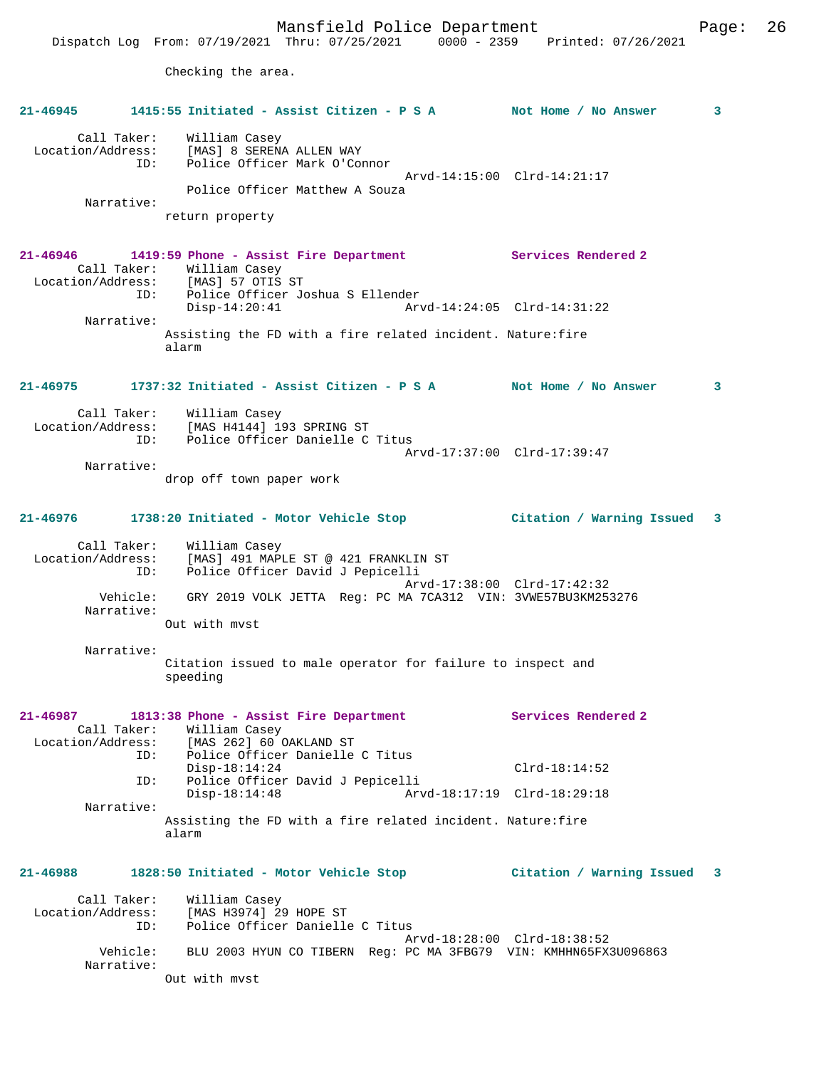Mansfield Police Department Page: 26 Dispatch Log From: 07/19/2021 Thru: 07/25/2021 0000 - 2359 Printed: 07/26/2021 Checking the area. **21-46945 1415:55 Initiated - Assist Citizen - P S A Not Home / No Answer 3** Call Taker: William Casey Location/Address: [MAS] 8 SERENA ALLEN WAY ID: Police Officer Mark O'Connor Arvd-14:15:00 Clrd-14:21:17 Police Officer Matthew A Souza Narrative: return property **21-46946 1419:59 Phone - Assist Fire Department Services Rendered 2**  Call Taker: William Casey Location/Address: [MAS] 57 OTIS ST ID: Police Officer Joshua S Ellender Disp-14:20:41 Arvd-14:24:05 Clrd-14:31:22 Narrative: Assisting the FD with a fire related incident. Nature:fire alarm **21-46975 1737:32 Initiated - Assist Citizen - P S A Not Home / No Answer 3** Call Taker: William Casey Location/Address: [MAS H4144] 193 SPRING ST ID: Police Officer Danielle C Titus Arvd-17:37:00 Clrd-17:39:47 Narrative: drop off town paper work **21-46976 1738:20 Initiated - Motor Vehicle Stop Citation / Warning Issued 3** Call Taker: William Casey Location/Address: [MAS] 491 MAPLE ST @ 421 FRANKLIN ST ID: Police Officer David J Pepicelli Arvd-17:38:00 Clrd-17:42:32<br>Vehicle: GRY 2019 VOLK JETTA Reg: PC MA 7CA312 VIN: 3VWE57BU3KM25 GRY 2019 VOLK JETTA Reg: PC MA 7CA312 VIN: 3VWE57BU3KM253276 Narrative: Out with mvst Narrative: Citation issued to male operator for failure to inspect and speeding **21-46987 1813:38 Phone - Assist Fire Department Services Rendered 2**  Call Taker: William Casey<br>Location/Address: [MAS 262] 60 0 ess: [MAS 262] 60 OAKLAND ST<br>ID: Police Officer Danielle Police Officer Danielle C Titus Disp-18:14:24 Clrd-18:14:52<br>ID: Police Officer David J Pepicelli Police Officer David J Pepicelli<br>Disp-18:14:48 Arv Disp-18:14:48 Arvd-18:17:19 Clrd-18:29:18 Narrative: Assisting the FD with a fire related incident. Nature:fire alarm **21-46988 1828:50 Initiated - Motor Vehicle Stop Citation / Warning Issued 3** Call Taker: William Casey Location/Address: [MAS H3974] 29 HOPE ST Police Officer Danielle C Titus Arvd-18:28:00 Clrd-18:38:52<br>Vehicle: BLU 2003 HYUN CO TIBERN Reg: PC MA 3FBG79 VIN: KMHHN65EX BLU 2003 HYUN CO TIBERN Reg: PC MA 3FBG79 VIN: KMHHN65FX3U096863 Narrative: Out with mvst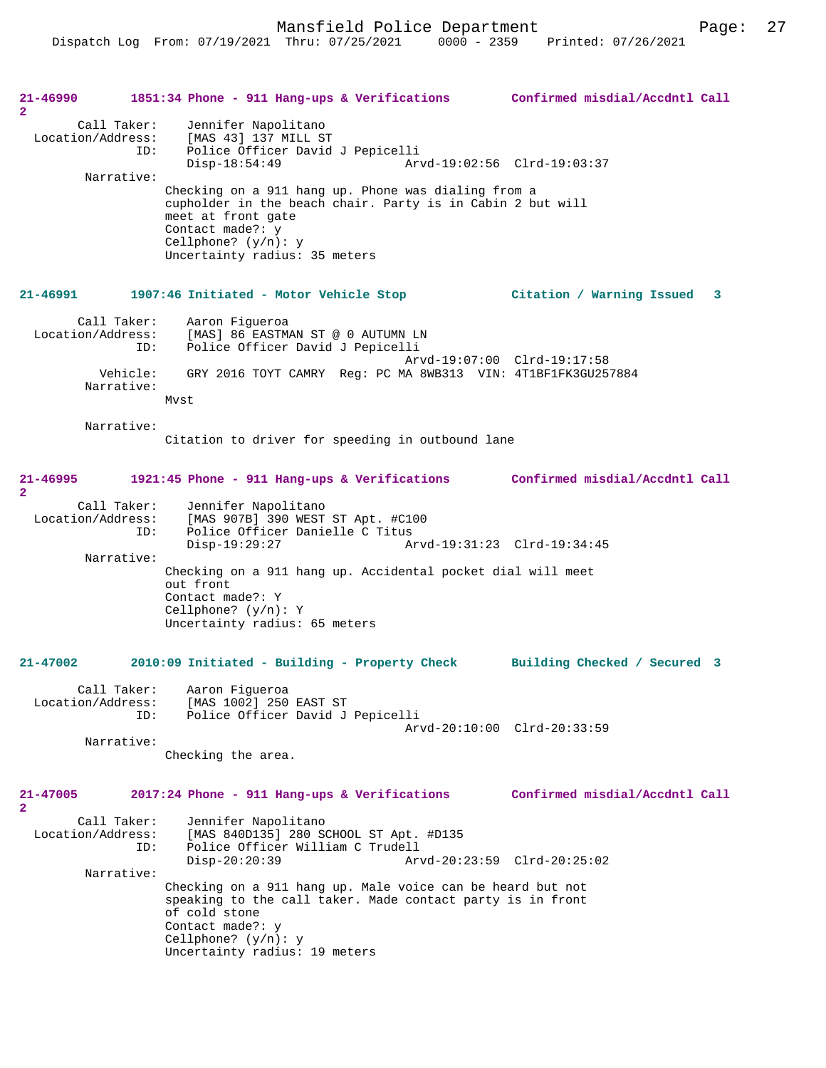Mansfield Police Department Fage: 27

| 21-46990<br>$\mathbf{2}$                | 1851:34 Phone - 911 Hang-ups & Verifications                                                                                                                                                                            | Confirmed misdial/Accdntl Call |
|-----------------------------------------|-------------------------------------------------------------------------------------------------------------------------------------------------------------------------------------------------------------------------|--------------------------------|
| Call Taker:<br>Location/Address:<br>ID: | Jennifer Napolitano<br>[MAS 43] 137 MILL ST<br>Police Officer David J Pepicelli<br>$Disp-18:54:49$                                                                                                                      | Arvd-19:02:56 Clrd-19:03:37    |
| Narrative:                              |                                                                                                                                                                                                                         |                                |
|                                         | Checking on a 911 hang up. Phone was dialing from a<br>cupholder in the beach chair. Party is in Cabin 2 but will<br>meet at front gate<br>Contact made?: y<br>Cellphone? $(y/n): y$<br>Uncertainty radius: 35 meters   |                                |
| 21-46991                                | 1907:46 Initiated - Motor Vehicle Stop                                                                                                                                                                                  | Citation / Warning Issued<br>3 |
| Call Taker:<br>ID:                      | Aaron Figueroa<br>Location/Address: [MAS] 86 EASTMAN ST @ 0 AUTUMN LN<br>Police Officer David J Pepicelli                                                                                                               | Arvd-19:07:00 Clrd-19:17:58    |
| Vehicle:<br>Narrative:                  | GRY 2016 TOYT CAMRY Reg: PC MA 8WB313 VIN: 4T1BF1FK3GU257884<br>Mvst                                                                                                                                                    |                                |
| Narrative:                              |                                                                                                                                                                                                                         |                                |
|                                         | Citation to driver for speeding in outbound lane                                                                                                                                                                        |                                |
| 21-46995<br>$\mathbf{2}$                | 1921:45 Phone - 911 Hang-ups & Verifications                                                                                                                                                                            | Confirmed misdial/Accdntl Call |
| Call Taker:<br>Location/Address:<br>ID: | Jennifer Napolitano<br>[MAS 907B] 390 WEST ST Apt. #C100<br>Police Officer Danielle C Titus                                                                                                                             |                                |
|                                         | $Disp-19:29:27$                                                                                                                                                                                                         | Arvd-19:31:23 Clrd-19:34:45    |
| Narrative:                              | Checking on a 911 hang up. Accidental pocket dial will meet<br>out front<br>Contact made?: Y<br>Cellphone? $(y/n): Y$<br>Uncertainty radius: 65 meters                                                                  |                                |
| $21 - 47002$                            | 2010:09 Initiated - Building - Property Check                                                                                                                                                                           | Building Checked / Secured 3   |
| Call Taker:                             | Aaron Fiqueroa                                                                                                                                                                                                          |                                |
| Location/Address:<br>ID:                | [MAS 1002] 250 EAST ST<br>Police Officer David J Pepicelli                                                                                                                                                              |                                |
|                                         |                                                                                                                                                                                                                         | Arvd-20:10:00 Clrd-20:33:59    |
| Narrative:                              | Checking the area.                                                                                                                                                                                                      |                                |
| 21-47005<br>$\mathbf{2}$                | 2017:24 Phone - 911 Hang-ups & Verifications                                                                                                                                                                            | Confirmed misdial/Accdntl Call |
| Call Taker:<br>Location/Address:<br>ID: | Jennifer Napolitano<br>[MAS 840D135] 280 SCHOOL ST Apt. #D135<br>Police Officer William C Trudell<br>$Disp-20:20:39$                                                                                                    | Arvd-20:23:59 Clrd-20:25:02    |
| Narrative:                              |                                                                                                                                                                                                                         |                                |
|                                         | Checking on a 911 hang up. Male voice can be heard but not<br>speaking to the call taker. Made contact party is in front<br>of cold stone<br>Contact made?: y<br>Cellphone? $(y/n): y$<br>Uncertainty radius: 19 meters |                                |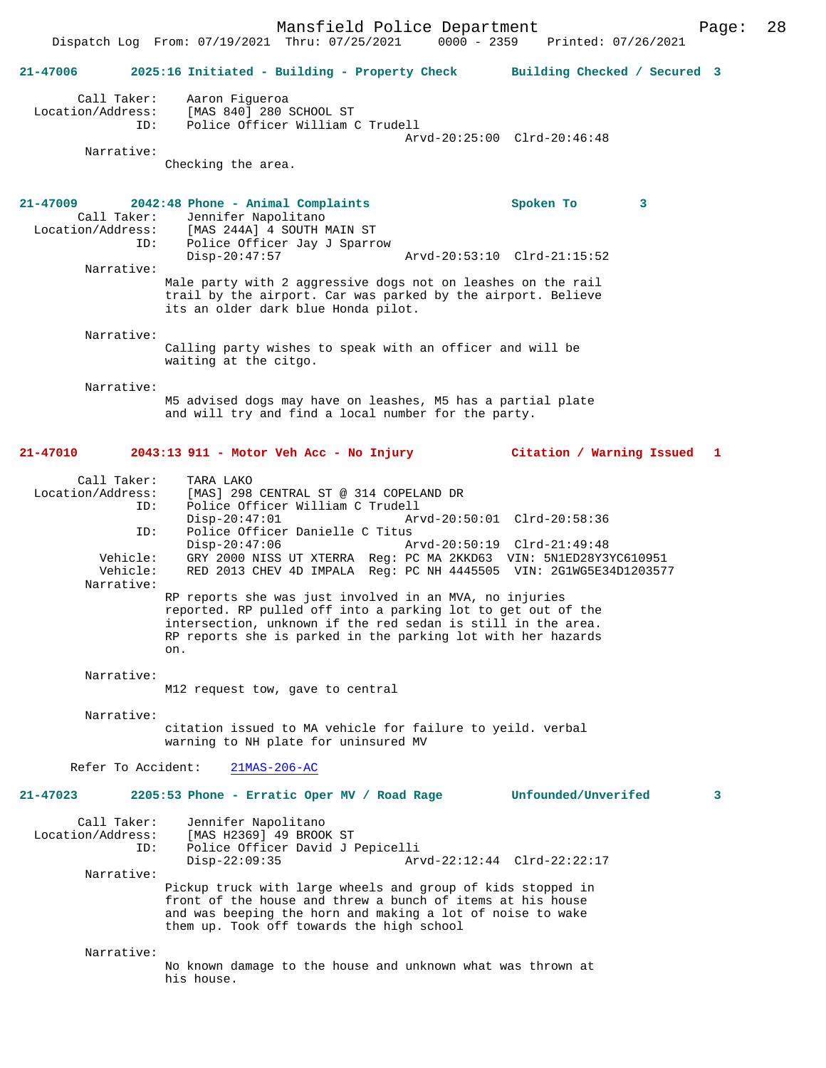| $21 - 47006$                                                                         | 2025:16 Initiated - Building - Property Check Building Checked / Secured 3                                                                                                                                                                                                                                |                                                            |
|--------------------------------------------------------------------------------------|-----------------------------------------------------------------------------------------------------------------------------------------------------------------------------------------------------------------------------------------------------------------------------------------------------------|------------------------------------------------------------|
| Call Taker:<br>Location/Address:<br>ID:                                              | Aaron Fiqueroa<br>[MAS 840] 280 SCHOOL ST<br>Police Officer William C Trudell                                                                                                                                                                                                                             | Arvd-20:25:00 Clrd-20:46:48                                |
| Narrative:                                                                           | Checking the area.                                                                                                                                                                                                                                                                                        |                                                            |
| 21-47009<br>Call Taker:<br>Location/Address:<br>ID:                                  | 2042:48 Phone - Animal Complaints<br>Jennifer Napolitano<br>[MAS 244A] 4 SOUTH MAIN ST<br>Police Officer Jay J Sparrow<br>$Disp-20:47:57$                                                                                                                                                                 | Spoken To<br>3<br>Arvd-20:53:10 Clrd-21:15:52              |
| Narrative:                                                                           | Male party with 2 aggressive dogs not on leashes on the rail<br>trail by the airport. Car was parked by the airport. Believe<br>its an older dark blue Honda pilot.                                                                                                                                       |                                                            |
| Narrative:                                                                           | Calling party wishes to speak with an officer and will be<br>waiting at the citgo.                                                                                                                                                                                                                        |                                                            |
| Narrative:                                                                           | M5 advised dogs may have on leashes, M5 has a partial plate<br>and will try and find a local number for the party.                                                                                                                                                                                        |                                                            |
| 21-47010                                                                             | 2043:13 911 - Motor Veh Acc - No Injury                                                                                                                                                                                                                                                                   | Citation / Warning Issued 1                                |
| Call Taker:<br>Location/Address:<br>ID:<br>ID:<br>Vehicle:<br>Vehicle:<br>Narrative: | TARA LAKO<br>[MAS] 298 CENTRAL ST @ 314 COPELAND DR<br>Police Officer William C Trudell<br>$Disp-20:47:01$<br>Police Officer Danielle C Titus<br>$Disp-20:47:06$<br>GRY 2000 NISS UT XTERRA Reg: PC MA 2KKD63 VIN: 5N1ED28Y3YC610951<br>RED 2013 CHEV 4D IMPALA Req: PC NH 4445505 VIN: 2G1WG5E34D1203577 | Arvd-20:50:01 Clrd-20:58:36<br>Arvd-20:50:19 Clrd-21:49:48 |
|                                                                                      | RP reports she was just involved in an MVA, no injuries<br>reported. RP pulled off into a parking lot to get out of the<br>intersection, unknown if the red sedan is still in the area.<br>RP reports she is parked in the parking lot with her hazards<br>on.                                            |                                                            |
| Narrative:                                                                           | M12 request tow, gave to central                                                                                                                                                                                                                                                                          |                                                            |
| Narrative:                                                                           | citation issued to MA vehicle for failure to yeild. verbal<br>warning to NH plate for uninsured MV                                                                                                                                                                                                        |                                                            |
| Refer To Accident:                                                                   | $21MAS-206-AC$                                                                                                                                                                                                                                                                                            |                                                            |
| 21-47023                                                                             | 2205:53 Phone - Erratic Oper MV / Road Rage Unfounded/Unverifed                                                                                                                                                                                                                                           | 3                                                          |
| Call Taker:<br>Location/Address:<br>ID:                                              | Jennifer Napolitano<br>[MAS H2369] 49 BROOK ST<br>Police Officer David J Pepicelli<br>$Disp-22:09:35$                                                                                                                                                                                                     | Arvd-22:12:44 Clrd-22:22:17                                |
| Narrative:                                                                           | Pickup truck with large wheels and group of kids stopped in<br>front of the house and threw a bunch of items at his house<br>and was beeping the horn and making a lot of noise to wake<br>them up. Took off towards the high school                                                                      |                                                            |
| Narrative:                                                                           | No known damage to the house and unknown what was thrown at<br>his house.                                                                                                                                                                                                                                 |                                                            |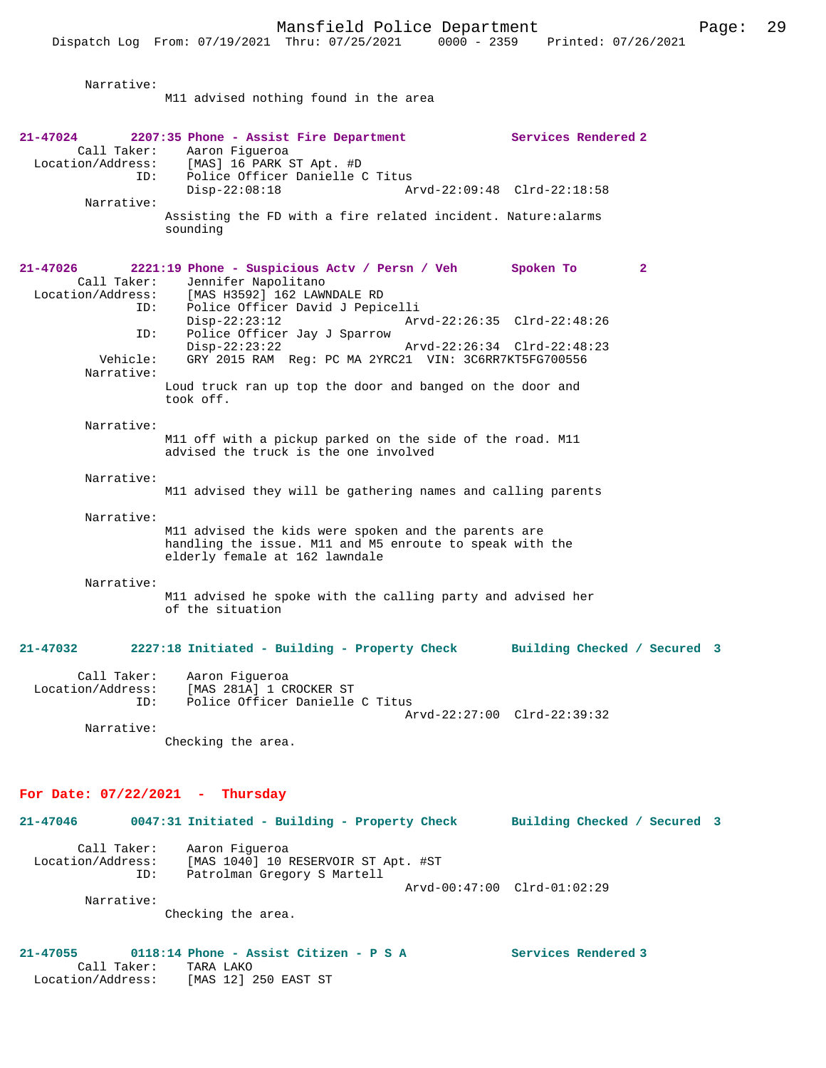| Narrative:                                                 | M11 advised nothing found in the area                                                                                                                                                                |                             |                              |              |
|------------------------------------------------------------|------------------------------------------------------------------------------------------------------------------------------------------------------------------------------------------------------|-----------------------------|------------------------------|--------------|
|                                                            |                                                                                                                                                                                                      |                             |                              |              |
| 21-47024<br>ID:                                            | 2207:35 Phone - Assist Fire Department<br>Call Taker: Aaron Figueroa<br>Location/Address: [MAS] 16 PARK ST Apt. #D<br>Police Officer Danielle C Titus                                                |                             | Services Rendered 2          |              |
| Narrative:                                                 | $Disp-22:08:18$<br>Assisting the FD with a fire related incident. Nature:alarms<br>sounding                                                                                                          | Arvd-22:09:48 Clrd-22:18:58 |                              |              |
| 21-47026<br>Call Taker:<br>Location/Address:<br>ID:<br>ID: | 2221:19 Phone - Suspicious Actv / Persn / Veh Spoken To<br>Jennifer Napolitano<br>[MAS H3592] 162 LAWNDALE RD<br>Police Officer David J Pepicelli<br>$Disp-22:23:12$<br>Police Officer Jay J Sparrow | Arvd-22:26:35 Clrd-22:48:26 |                              | $\mathbf{2}$ |
| Vehicle:<br>Narrative:                                     | $Disp-22:23:22$<br>GRY 2015 RAM Reg: PC MA 2YRC21 VIN: 3C6RR7KT5FG700556<br>Loud truck ran up top the door and banged on the door and                                                                | Arvd-22:26:34 Clrd-22:48:23 |                              |              |
| Narrative:                                                 | took off.<br>M11 off with a pickup parked on the side of the road. M11<br>advised the truck is the one involved                                                                                      |                             |                              |              |
| Narrative:                                                 | M11 advised they will be gathering names and calling parents                                                                                                                                         |                             |                              |              |
| Narrative:                                                 | M11 advised the kids were spoken and the parents are<br>handling the issue. M11 and M5 enroute to speak with the<br>elderly female at 162 lawndale                                                   |                             |                              |              |
| Narrative:                                                 | M11 advised he spoke with the calling party and advised her<br>of the situation                                                                                                                      |                             |                              |              |
| 21-47032                                                   | 2227:18 Initiated - Building - Property Check                                                                                                                                                        |                             | Building Checked / Secured 3 |              |
| Call Taker:<br>Location/Address:<br>ID:                    | Aaron Figueroa<br>[MAS 281A] 1 CROCKER ST<br>Police Officer Danielle C Titus                                                                                                                         | Arvd-22:27:00 Clrd-22:39:32 |                              |              |
| Narrative:                                                 | Checking the area.                                                                                                                                                                                   |                             |                              |              |
| For Date: $07/22/2021$ - Thursday                          |                                                                                                                                                                                                      |                             |                              |              |
| 21-47046                                                   | 0047:31 Initiated - Building - Property Check                                                                                                                                                        |                             | Building Checked / Secured 3 |              |
| Call Taker:<br>Location/Address:<br>ID:                    | Aaron Figueroa<br>[MAS 1040] 10 RESERVOIR ST Apt. #ST<br>Patrolman Gregory S Martell                                                                                                                 | Arvd-00:47:00 Clrd-01:02:29 |                              |              |
| Narrative:                                                 | Checking the area.                                                                                                                                                                                   |                             |                              |              |

**21-47055 0118:14 Phone - Assist Citizen - P S A Services Rendered 3**  Call Taker: TARA LAKO Location/Address: [MAS 12] 250 EAST ST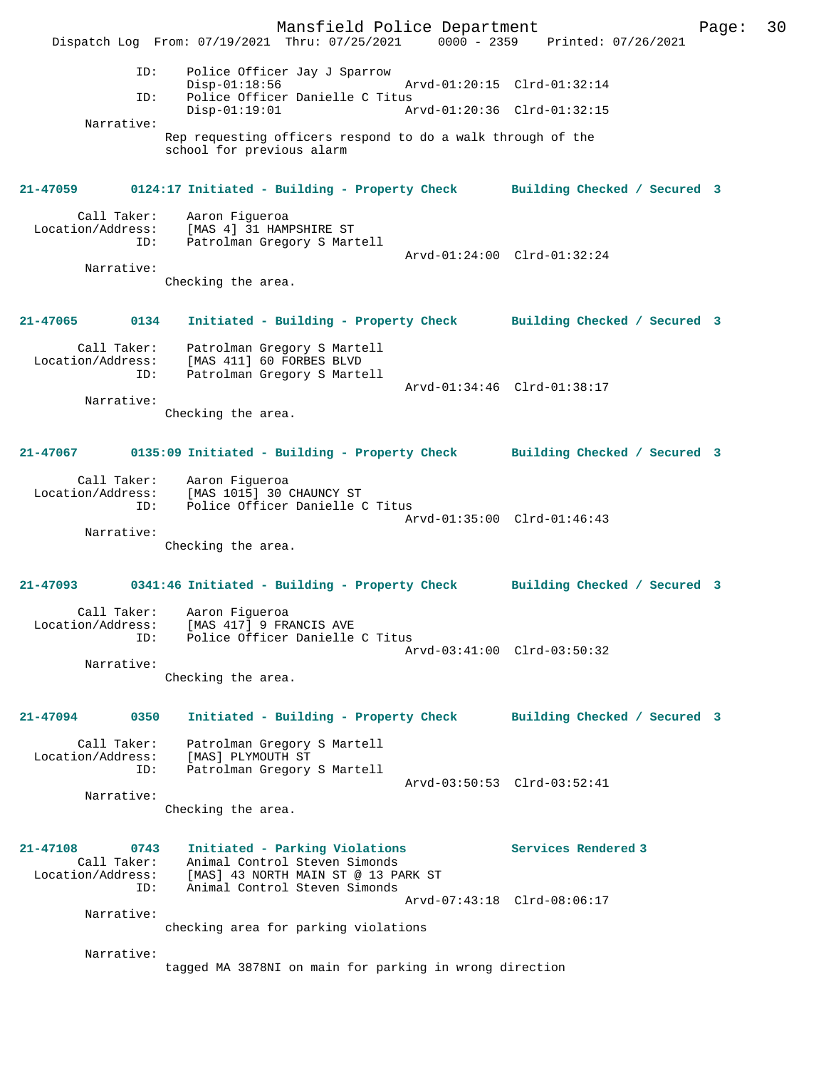Mansfield Police Department Page: 30 Dispatch Log From: 07/19/2021 Thru: 07/25/2021 0000 - 2359 Printed: 07/26/2021 ID: Police Officer Jay J Sparrow Disp-01:18:56 Arvd-01:20:15 Clrd-01:32:14<br>TD: Police Officer Danielle C Titus Police Officer Danielle C Titus<br>Disp-01:19:01 Am Disp-01:19:01 Arvd-01:20:36 Clrd-01:32:15 Narrative: Rep requesting officers respond to do a walk through of the school for previous alarm **21-47059 0124:17 Initiated - Building - Property Check Building Checked / Secured 3** Call Taker: Aaron Figueroa Location/Address: [MAS 4] 31 HAMPSHIRE ST Patrolman Gregory S Martell Arvd-01:24:00 Clrd-01:32:24 Narrative: Checking the area. **21-47065 0134 Initiated - Building - Property Check Building Checked / Secured 3** Call Taker: Patrolman Gregory S Martell Location/Address: [MAS 411] 60 FORBES BLVD ID: Patrolman Gregory S Martell Arvd-01:34:46 Clrd-01:38:17 Narrative: Checking the area. **21-47067 0135:09 Initiated - Building - Property Check Building Checked / Secured 3** Call Taker: Aaron Figueroa Location/Address: [MAS 1015] 30 CHAUNCY ST Police Officer Danielle C Titus Arvd-01:35:00 Clrd-01:46:43 Narrative: Checking the area. **21-47093 0341:46 Initiated - Building - Property Check Building Checked / Secured 3** Call Taker: Aaron Figueroa Location/Address: [MAS 417] 9 FRANCIS AVE ID: Police Officer Danielle C Titus Arvd-03:41:00 Clrd-03:50:32 Narrative: Checking the area. **21-47094 0350 Initiated - Building - Property Check Building Checked / Secured 3** Call Taker: Patrolman Gregory S Martell Location/Address: [MAS] PLYMOUTH ST<br>ID: Patrolman Gregory Patrolman Gregory S Martell Arvd-03:50:53 Clrd-03:52:41 Narrative: Checking the area. **21-47108 0743 Initiated - Parking Violations Services Rendered 3**  Call Taker: Animal Control Steven Simonds Location/Address: [MAS] 43 NORTH MAIN ST @ 13 PARK ST ID: Animal Control Steven Simonds Arvd-07:43:18 Clrd-08:06:17 Narrative: checking area for parking violations Narrative: tagged MA 3878NI on main for parking in wrong direction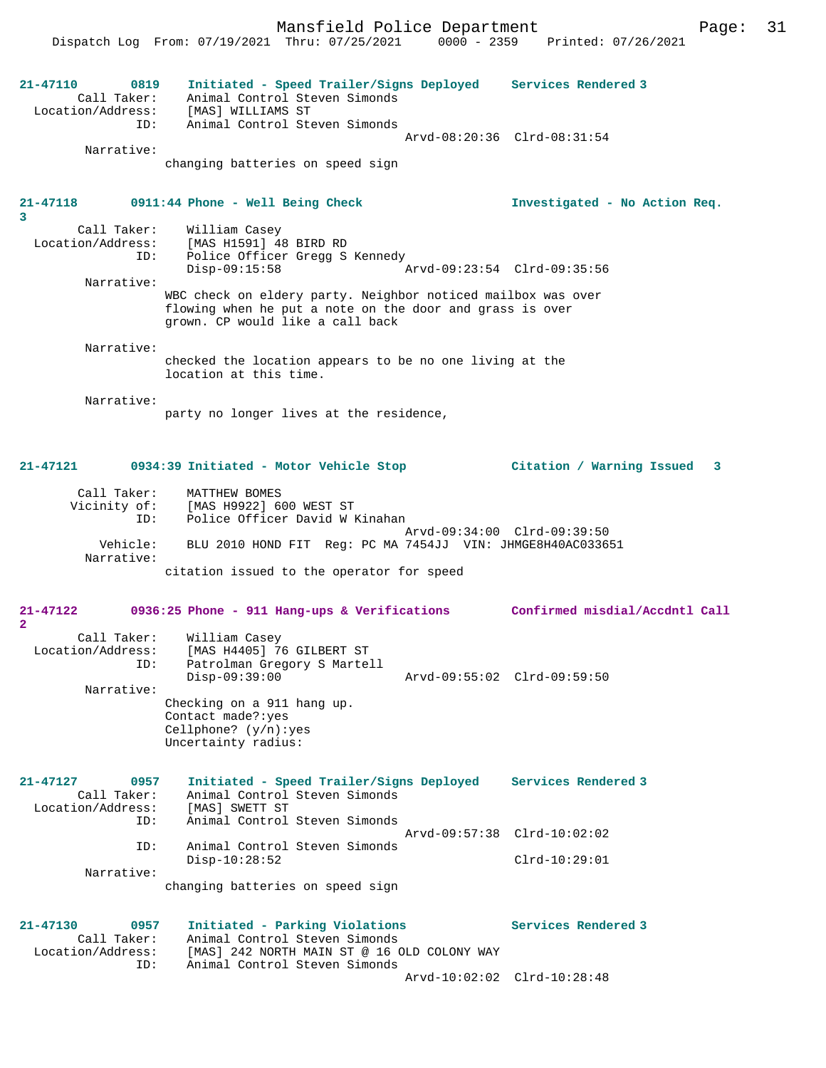Mansfield Police Department Page: 31 Dispatch Log From: 07/19/2021 Thru: 07/25/2021 0000 - 2359 Printed: 07/26/2021 **21-47110 0819 Initiated - Speed Trailer/Signs Deployed Services Rendered 3**  Call Taker: Animal Control Steven Simonds Location/Address: [MAS] WILLIAMS ST ID: Animal Control Steven Simonds Arvd-08:20:36 Clrd-08:31:54 Narrative: changing batteries on speed sign **21-47118 0911:44 Phone - Well Being Check Investigated - No Action Req. 3**  Call Taker: William Casey<br>Location/Address: [MAS H1591] 4 ess: [MAS H1591] 48 BIRD RD<br>Location: [MAS H1591] 48 BIRD RD<br>ID: Police Officer Gregg S Police Officer Gregg S Kennedy<br>Disp-09:15:58 Disp-09:15:58 Arvd-09:23:54 Clrd-09:35:56 Narrative: WBC check on eldery party. Neighbor noticed mailbox was over flowing when he put a note on the door and grass is over grown. CP would like a call back Narrative: checked the location appears to be no one living at the location at this time. Narrative: party no longer lives at the residence, **21-47121 0934:39 Initiated - Motor Vehicle Stop Citation / Warning Issued 3** Call Taker: MATTHEW BOMES Vicinity of: [MAS H9922] 600 WEST ST ID: Police Officer David W Kinahan Arvd-09:34:00 Clrd-09:39:50 Vehicle: BLU 2010 HOND FIT Reg: PC MA 7454JJ VIN: JHMGE8H40AC033651 Narrative: citation issued to the operator for speed **21-47122 0936:25 Phone - 911 Hang-ups & Verifications Confirmed misdial/Accdntl Call 2**  Call Taker: William Casey Location/Address: [MAS H4405] 76 GILBERT ST ID: Patrolman Gregory S Martell Disp-09:39:00 Arvd-09:55:02 Clrd-09:59:50 Narrative: Checking on a 911 hang up. Contact made?:yes Cellphone? (y/n):yes Uncertainty radius: **21-47127 0957 Initiated - Speed Trailer/Signs Deployed Services Rendered 3**  Call Taker: Animal Control Steven Simonds Location/Address: [MAS] SWETT ST ID: Animal Control Steven Simonds Arvd-09:57:38 Clrd-10:02:02 ID: Animal Control Steven Simonds Disp-10:28:52 Clrd-10:29:01 Narrative: changing batteries on speed sign **21-47130 0957 Initiated - Parking Violations Services Rendered 3**  Call Taker: Animal Control Steven Simonds Call Taker: Animal Control Steven Simonas<br>Location/Address: [MAS] 242 NORTH MAIN ST @ 16 OLD COLONY WAY ID: Animal Control Steven Simonds Arvd-10:02:02 Clrd-10:28:48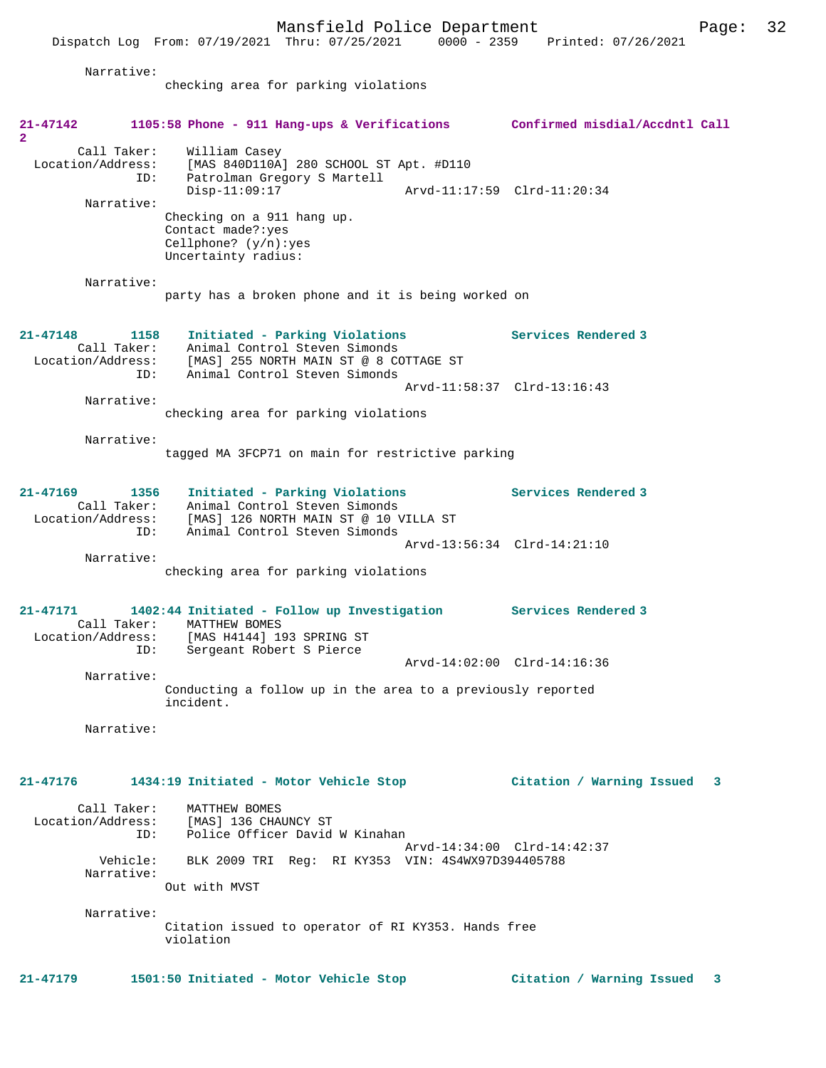Dispatch Log From: 07/19/2021 Thru: 07/25/2021 0000 - 2359 Printed: 07/26/2021

Narrative:

checking area for parking violations

| 21-47142                                                 | 1105:58 Phone - 911 Hang-ups & Verifications Confirmed misdial/Accdntl Call                                                                                  |                             |   |
|----------------------------------------------------------|--------------------------------------------------------------------------------------------------------------------------------------------------------------|-----------------------------|---|
| $\mathbf{2}$<br>Call Taker:<br>Location/Address:<br>ID:  | William Casey<br>[MAS 840D110A] 280 SCHOOL ST Apt. #D110                                                                                                     |                             |   |
|                                                          | Patrolman Gregory S Martell<br>$Disp-11:09:17$                                                                                                               | Arvd-11:17:59 Clrd-11:20:34 |   |
| Narrative:                                               | Checking on a 911 hang up.<br>Contact made?: yes<br>Cellphone? $(y/n):yes$<br>Uncertainty radius:                                                            |                             |   |
| Narrative:                                               | party has a broken phone and it is being worked on                                                                                                           |                             |   |
| $21 - 47148$<br>1158<br>Call Taker:<br>ID:               | Initiated - Parking Violations<br>Animal Control Steven Simonds<br>Location/Address: [MAS] 255 NORTH MAIN ST @ 8 COTTAGE ST<br>Animal Control Steven Simonds | Services Rendered 3         |   |
|                                                          |                                                                                                                                                              | Arvd-11:58:37 Clrd-13:16:43 |   |
| Narrative:                                               | checking area for parking violations                                                                                                                         |                             |   |
| Narrative:                                               | tagged MA 3FCP71 on main for restrictive parking                                                                                                             |                             |   |
| $21 - 47169$<br>1356<br>Call Taker:<br>Location/Address: | Initiated - Parking Violations<br>Animal Control Steven Simonds<br>[MAS] 126 NORTH MAIN ST @ 10 VILLA ST                                                     | Services Rendered 3         |   |
| ID:                                                      | Animal Control Steven Simonds                                                                                                                                | Arvd-13:56:34 Clrd-14:21:10 |   |
| Narrative:                                               | checking area for parking violations                                                                                                                         |                             |   |
| 21-47171                                                 | 1402:44 Initiated - Follow up Investigation<br>Call Taker: MATTHEW BOMES<br>Location/Address: [MAS H4144] 193 SPRING ST                                      | Services Rendered 3         |   |
| ID:                                                      | Sergeant Robert S Pierce                                                                                                                                     | Arvd-14:02:00 Clrd-14:16:36 |   |
| Narrative:                                               | Conducting a follow up in the area to a previously reported<br>incident.                                                                                     |                             |   |
| Narrative:                                               |                                                                                                                                                              |                             |   |
| 21-47176                                                 | 1434:19 Initiated - Motor Vehicle Stop                                                                                                                       | Citation / Warning Issued 3 |   |
| Call Taker:<br>ID:                                       | MATTHEW BOMES<br>Location/Address: [MAS] 136 CHAUNCY ST<br>Police Officer David W Kinahan                                                                    |                             |   |
|                                                          | Vehicle: BLK 2009 TRI Reg: RI KY353 VIN: 4S4WX97D394405788                                                                                                   | Arvd-14:34:00 Clrd-14:42:37 |   |
| Narrative:                                               | Out with MVST                                                                                                                                                |                             |   |
| Narrative:                                               |                                                                                                                                                              |                             |   |
|                                                          | Citation issued to operator of RI KY353. Hands free<br>violation                                                                                             |                             |   |
| 21-47179                                                 | 1501:50 Initiated - Motor Vehicle Stop                                                                                                                       | Citation / Warning Issued   | 3 |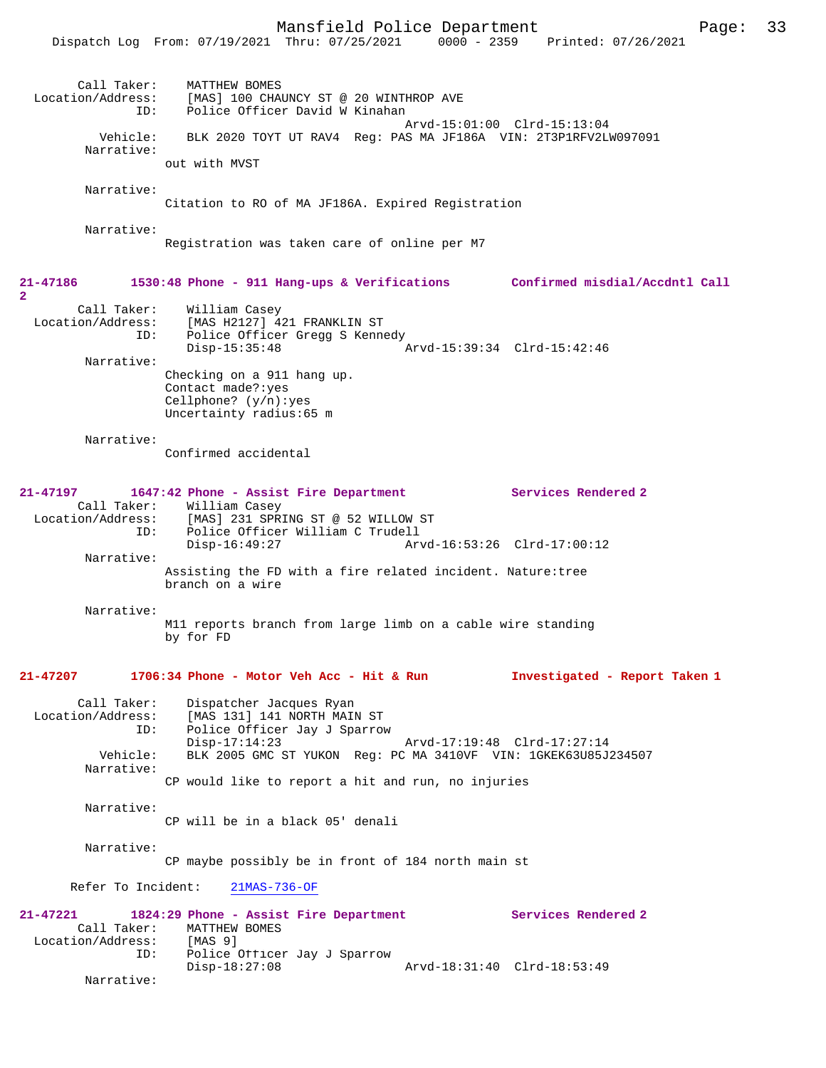|                                                                   | Dispatch Log From: 07/19/2021 Thru: 07/25/2021                                                                                                                              | $0000 - 2359$<br>Printed: 07/26/2021 |
|-------------------------------------------------------------------|-----------------------------------------------------------------------------------------------------------------------------------------------------------------------------|--------------------------------------|
| Call Taker:<br>Location/Address:<br>ID:                           | MATTHEW BOMES<br>[MAS] 100 CHAUNCY ST @ 20 WINTHROP AVE<br>Police Officer David W Kinahan                                                                                   | Arvd-15:01:00 Clrd-15:13:04          |
| Vehicle:<br>Narrative:                                            | BLK 2020 TOYT UT RAV4 Req: PAS MA JF186A VIN: 2T3P1RFV2LW097091                                                                                                             |                                      |
|                                                                   | out with MVST                                                                                                                                                               |                                      |
| Narrative:                                                        | Citation to RO of MA JF186A. Expired Registration                                                                                                                           |                                      |
| Narrative:                                                        | Registration was taken care of online per M7                                                                                                                                |                                      |
| 21-47186<br>$\overline{2}$                                        | 1530:48 Phone - 911 Hang-ups & Verifications Confirmed misdial/Accdntl Call                                                                                                 |                                      |
| Call Taker:<br>Location/Address:<br>ID:                           | William Casey<br>[MAS H2127] 421 FRANKLIN ST<br>Police Officer Gregg S Kennedy<br>$Disp-15:35:48$                                                                           | Arvd-15:39:34 Clrd-15:42:46          |
| Narrative:                                                        | Checking on a 911 hang up.<br>Contact made?: yes<br>Cellphone? $(y/n):yes$<br>Uncertainty radius:65 m                                                                       |                                      |
| Narrative:                                                        | Confirmed accidental                                                                                                                                                        |                                      |
| $21 - 47197$<br>Call Taker:<br>Location/Address:<br>ID:           | 1647:42 Phone - Assist Fire Department<br>William Casey<br>[MAS] 231 SPRING ST @ 52 WILLOW ST<br>Police Officer William C Trudell                                           | Services Rendered 2                  |
| Narrative:                                                        | $Disp-16:49:27$                                                                                                                                                             | Arvd-16:53:26 Clrd-17:00:12          |
|                                                                   | Assisting the FD with a fire related incident. Nature: tree<br>branch on a wire                                                                                             |                                      |
| Narrative:                                                        | M11 reports branch from large limb on a cable wire standing<br>by for FD                                                                                                    |                                      |
| $21 - 47207$                                                      | 1706:34 Phone - Motor Veh Acc - Hit & Run                                                                                                                                   | Investigated - Report Taken 1        |
| Call Taker:<br>Location/Address:<br>ID:<br>Vehicle:<br>Narrative: | Dispatcher Jacques Ryan<br>[MAS 131] 141 NORTH MAIN ST<br>Police Officer Jay J Sparrow<br>$Disp-17:14:23$<br>BLK 2005 GMC ST YUKON Req: PC MA 3410VF VIN: 1GKEK63U85J234507 | Arvd-17:19:48 Clrd-17:27:14          |
|                                                                   | CP would like to report a hit and run, no injuries                                                                                                                          |                                      |
| Narrative:                                                        | CP will be in a black 05' denali                                                                                                                                            |                                      |
| Narrative:                                                        | CP maybe possibly be in front of 184 north main st                                                                                                                          |                                      |
| Refer To Incident:                                                | $21MAS-736-OF$                                                                                                                                                              |                                      |
| 21-47221<br>Call Taker:<br>Location/Address:<br>ID:               | 1824:29 Phone - Assist Fire Department<br>MATTHEW BOMES<br>[MAS 9]<br>Police Officer Jay J Sparrow                                                                          | Services Rendered 2                  |
| Narrative:                                                        | $Disp-18:27:08$                                                                                                                                                             | Arvd-18:31:40 Clrd-18:53:49          |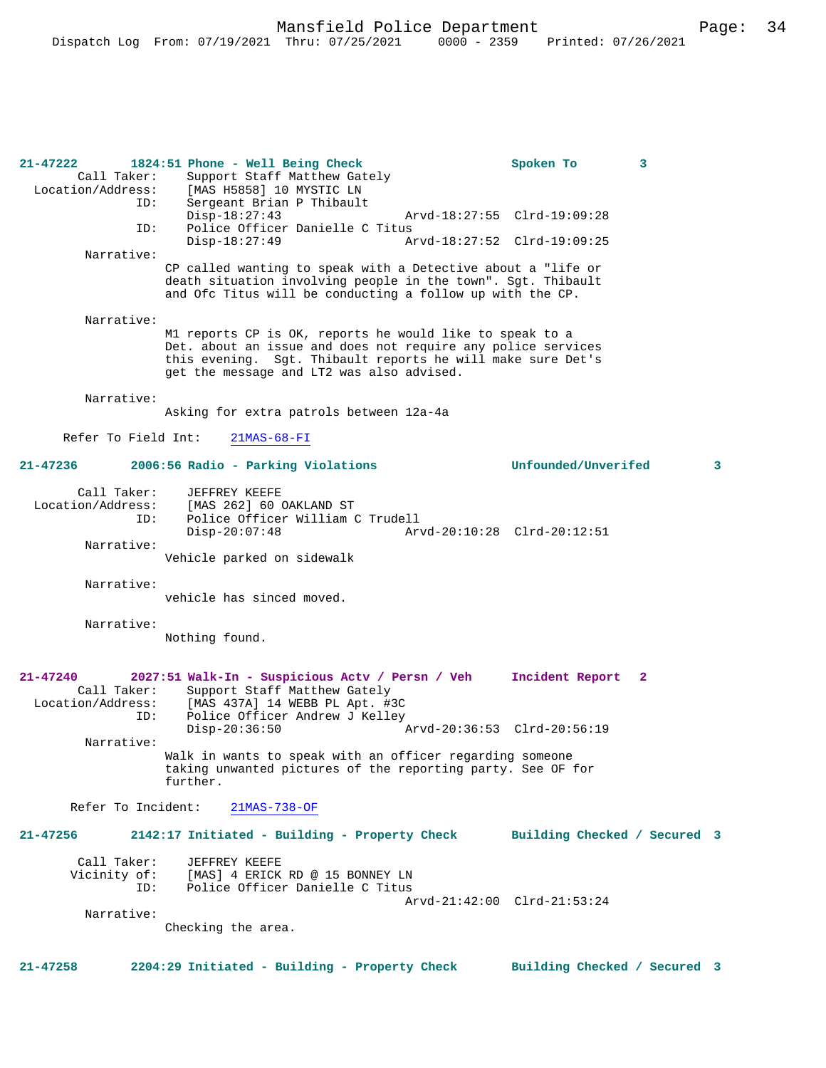| $21 - 47222$<br>Location/Address: | Call Taker:        | 1824:51 Phone - Well Being Check<br>Support Staff Matthew Gately<br>[MAS H5858] 10 MYSTIC LN                                                                                                                                         | Spoken To<br>3                  |   |
|-----------------------------------|--------------------|--------------------------------------------------------------------------------------------------------------------------------------------------------------------------------------------------------------------------------------|---------------------------------|---|
|                                   | ID:                | Sergeant Brian P Thibault<br>$Disp-18:27:43$                                                                                                                                                                                         | Arvd-18:27:55 Clrd-19:09:28     |   |
|                                   | ID:                | Police Officer Danielle C Titus<br>$Disp-18:27:49$                                                                                                                                                                                   | Arvd-18:27:52 Clrd-19:09:25     |   |
|                                   | Narrative:         |                                                                                                                                                                                                                                      |                                 |   |
|                                   |                    | CP called wanting to speak with a Detective about a "life or<br>death situation involving people in the town". Sgt. Thibault<br>and Ofc Titus will be conducting a follow up with the CP.                                            |                                 |   |
|                                   | Narrative:         |                                                                                                                                                                                                                                      |                                 |   |
|                                   |                    | M1 reports CP is OK, reports he would like to speak to a<br>Det. about an issue and does not require any police services<br>this evening. Sgt. Thibault reports he will make sure Det's<br>get the message and LT2 was also advised. |                                 |   |
|                                   | Narrative:         |                                                                                                                                                                                                                                      |                                 |   |
|                                   |                    | Asking for extra patrols between 12a-4a                                                                                                                                                                                              |                                 |   |
| Refer To Field Int:               |                    | $21MAS-68-FI$                                                                                                                                                                                                                        |                                 |   |
| $21 - 47236$                      |                    | 2006:56 Radio - Parking Violations                                                                                                                                                                                                   | Unfounded/Unverifed             | 3 |
| Location/Address:                 | Call Taker:        | JEFFREY KEEFE<br>[MAS 262] 60 OAKLAND ST                                                                                                                                                                                             |                                 |   |
|                                   | ID:                | Police Officer William C Trudell                                                                                                                                                                                                     |                                 |   |
|                                   | Narrative:         | $Disp-20:07:48$                                                                                                                                                                                                                      | Arvd-20:10:28 Clrd-20:12:51     |   |
|                                   |                    | Vehicle parked on sidewalk                                                                                                                                                                                                           |                                 |   |
|                                   | Narrative:         |                                                                                                                                                                                                                                      |                                 |   |
|                                   |                    | vehicle has sinced moved.                                                                                                                                                                                                            |                                 |   |
|                                   | Narrative:         |                                                                                                                                                                                                                                      |                                 |   |
|                                   |                    | Nothing found.                                                                                                                                                                                                                       |                                 |   |
|                                   |                    |                                                                                                                                                                                                                                      |                                 |   |
| $21 - 47240$<br>Location/Address: | Call Taker:        | 2027:51 Walk-In - Suspicious Actv / Persn / Veh<br>Support Staff Matthew Gately<br>[MAS 437A] 14 WEBB PL Apt. #3C                                                                                                                    | Incident Report<br>$\mathbf{2}$ |   |
|                                   | ID:                | Police Officer Andrew J Kelley<br>$Disp-20:36:50$                                                                                                                                                                                    | Arvd-20:36:53 Clrd-20:56:19     |   |
|                                   | Narrative:         | Walk in wants to speak with an officer regarding someone<br>taking unwanted pictures of the reporting party. See OF for<br>further.                                                                                                  |                                 |   |
|                                   | Refer To Incident: | $21MAS-738-OF$                                                                                                                                                                                                                       |                                 |   |
| $21 - 47256$                      |                    | 2142:17 Initiated - Building - Property Check                                                                                                                                                                                        | Building Checked / Secured 3    |   |
| Vicinity of:                      | Call Taker:<br>ID: | JEFFREY KEEFE<br>[MAS] 4 ERICK RD @ 15 BONNEY LN<br>Police Officer Danielle C Titus                                                                                                                                                  |                                 |   |
|                                   | Narrative:         |                                                                                                                                                                                                                                      | Arvd-21:42:00 Clrd-21:53:24     |   |
|                                   |                    | Checking the area.                                                                                                                                                                                                                   |                                 |   |
|                                   |                    |                                                                                                                                                                                                                                      |                                 |   |
| $21 - 47258$                      |                    | 2204:29 Initiated - Building - Property Check                                                                                                                                                                                        | Building Checked / Secured 3    |   |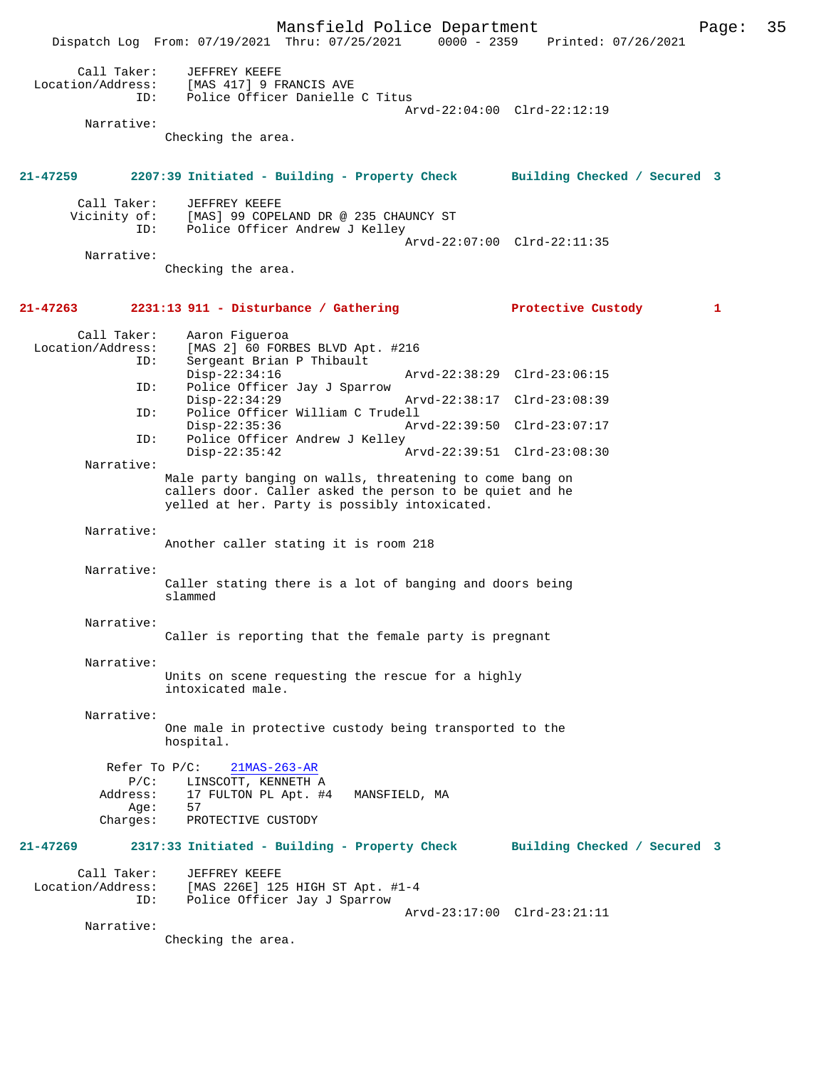Mansfield Police Department Page: 35 Dispatch Log From: 07/19/2021 Thru: 07/25/2021 0000 - 2359 Call Taker: JEFFREY KEEFE<br>Location/Address: [MAS 417] 9 FI ess: [MAS 417] 9 FRANCIS AVE<br>ID: Police Officer Danielle Police Officer Danielle C Titus Arvd-22:04:00 Clrd-22:12:19 Narrative: Checking the area. **21-47259 2207:39 Initiated - Building - Property Check Building Checked / Secured 3** Call Taker: JEFFREY KEEFE<br>Vicinity of: [MAS] 99 COPE of: [MAS] 99 COPELAND DR @ 235 CHAUNCY ST<br>ID: Police Officer Andrew J Kelley Police Officer Andrew J Kelley Arvd-22:07:00 Clrd-22:11:35 Narrative: Checking the area. **21-47263 2231:13 911 - Disturbance / Gathering Protective Custody 1** Call Taker: Aaron Figueroa<br>Location/Address: [MAS 2] 60 FORI Ess: [MAS 2] 60 FORBES BLVD Apt. #216<br>ID: Sergeant Brian P Thibault Sergeant Brian P Thibault<br>Disp-22:34:16 Disp-22:34:16 Arvd-22:38:29 Clrd-23:06:15<br>ID: Police Officer Jay J Sparrow Police Officer Jay J Sparrow Disp-22:34:29 Arvd-22:38:17 Clrd-23:08:39<br>ID: Police Officer William C Trudell Police Officer William C Trudell Disp-22:35:36 Arvd-22:39:50 Clrd-23:07:17<br>ID: Police Officer Andrew J Kellev Police Officer Andrew J Kelley<br>Disp-22:35:42 Disp-22:35:42 Arvd-22:39:51 Clrd-23:08:30 Narrative: Male party banging on walls, threatening to come bang on callers door. Caller asked the person to be quiet and he yelled at her. Party is possibly intoxicated. Narrative: Another caller stating it is room 218 Narrative: Caller stating there is a lot of banging and doors being slammed Narrative: Caller is reporting that the female party is pregnant Narrative: Units on scene requesting the rescue for a highly intoxicated male. Narrative: One male in protective custody being transported to the hospital. Refer To P/C: 21MAS-263-AR P/C: LINSCOTT, KENNETH A Address: 17 FULTON PL Apt. #4 MANSFIELD, MA Age: Charges: PROTECTIVE CUSTODY **21-47269 2317:33 Initiated - Building - Property Check Building Checked / Secured 3** Call Taker: JEFFREY KEEFE<br>Location/Address: [MAS 226E] 12 [MAS 226E] 125 HIGH ST Apt. #1-4 ID: Police Officer Jay J Sparrow Arvd-23:17:00 Clrd-23:21:11 Narrative: Checking the area.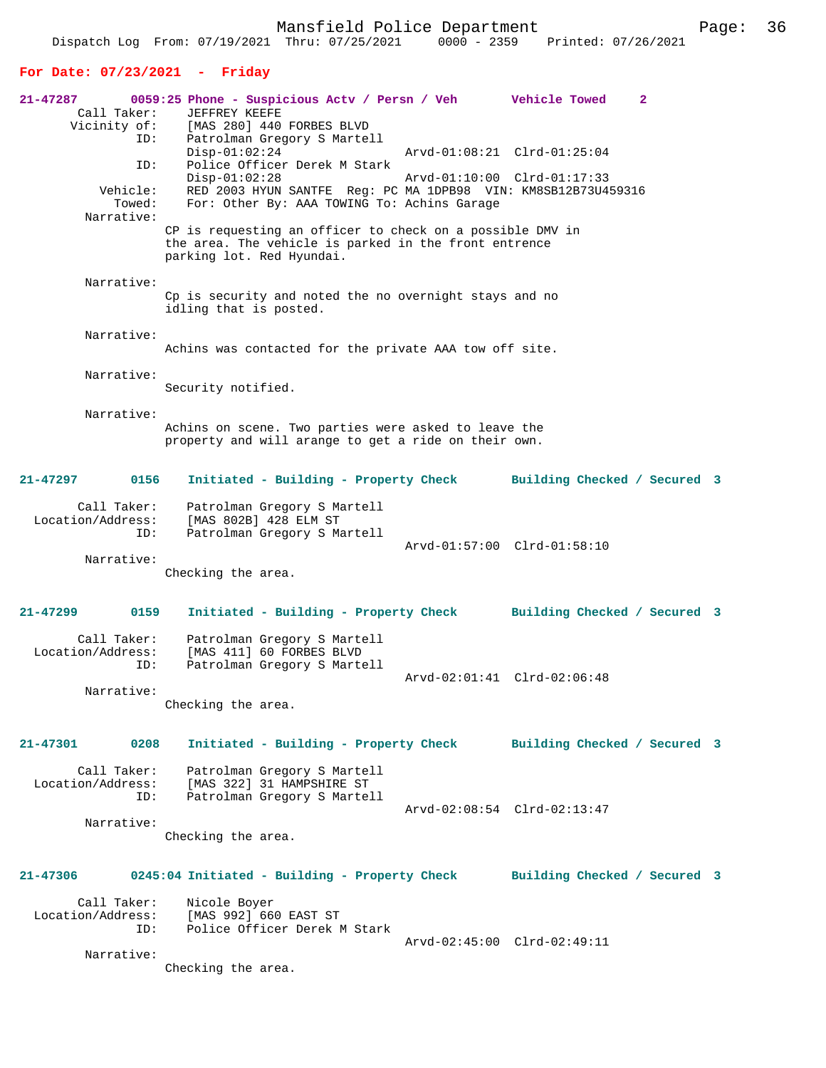| $21 - 47287$<br>Call Taker:<br>Vicinity of: | 0059:25 Phone - Suspicious Actv / Persn / Veh    Vehicle Towed<br>JEFFREY KEEFE<br>[MAS 280] 440 FORBES BLVD                                    | 2                                                          |  |
|---------------------------------------------|-------------------------------------------------------------------------------------------------------------------------------------------------|------------------------------------------------------------|--|
| ID:<br>ID:                                  | Patrolman Gregory S Martell<br>$Disp-01:02:24$<br>Police Officer Derek M Stark<br>$Disp-01:02:28$                                               | Arvd-01:08:21 Clrd-01:25:04<br>Arvd-01:10:00 Clrd-01:17:33 |  |
| Vehicle:<br>Towed:<br>Narrative:            | RED 2003 HYUN SANTFE Reg: PC MA 1DPB98 VIN: KM8SB12B73U459316<br>For: Other By: AAA TOWING To: Achins Garage                                    |                                                            |  |
|                                             | CP is requesting an officer to check on a possible DMV in<br>the area. The vehicle is parked in the front entrence<br>parking lot. Red Hyundai. |                                                            |  |
| Narrative:                                  |                                                                                                                                                 |                                                            |  |
|                                             | Cp is security and noted the no overnight stays and no<br>idling that is posted.                                                                |                                                            |  |
| Narrative:                                  | Achins was contacted for the private AAA tow off site.                                                                                          |                                                            |  |
|                                             |                                                                                                                                                 |                                                            |  |
| Narrative:                                  | Security notified.                                                                                                                              |                                                            |  |
| Narrative:                                  |                                                                                                                                                 |                                                            |  |
|                                             | Achins on scene. Two parties were asked to leave the<br>property and will arange to get a ride on their own.                                    |                                                            |  |
| 21-47297<br>0156                            | Initiated - Building - Property Check                                                                                                           | Building Checked / Secured 3                               |  |
| Call Taker:<br>Location/Address:<br>ID:     | Patrolman Gregory S Martell<br>[MAS 802B] 428 ELM ST<br>Patrolman Gregory S Martell                                                             |                                                            |  |
|                                             |                                                                                                                                                 | Arvd-01:57:00 Clrd-01:58:10                                |  |
| Narrative:                                  | Checking the area.                                                                                                                              |                                                            |  |
| 21-47299<br>0159                            | Initiated - Building - Property Check                                                                                                           | Building Checked / Secured 3                               |  |
| Call Taker:<br>Location/Address:            | Patrolman Gregory S Martell<br>[MAS 411] 60 FORBES BLVD                                                                                         |                                                            |  |
| ID:                                         | Patrolman Gregory S Martell                                                                                                                     |                                                            |  |
|                                             | Arvd-02:01:41 Clrd-02:06:48                                                                                                                     |                                                            |  |
| Narrative:                                  | Checking the area.                                                                                                                              |                                                            |  |
| 21-47301<br>0208                            | Initiated - Building - Property Check                                                                                                           | Building Checked / Secured 3                               |  |
| Call Taker:<br>Location/Address:<br>ID:     | Patrolman Gregory S Martell<br>[MAS 322] 31 HAMPSHIRE ST<br>Patrolman Gregory S Martell                                                         |                                                            |  |
|                                             |                                                                                                                                                 | Arvd-02:08:54 Clrd-02:13:47                                |  |
| Narrative:                                  | Checking the area.                                                                                                                              |                                                            |  |
| 21-47306                                    | 0245:04 Initiated - Building - Property Check                                                                                                   | Building Checked / Secured 3                               |  |
| Call Taker:                                 | Nicole Boyer                                                                                                                                    |                                                            |  |
| Location/Address:                           | [MAS 992] 660 EAST ST                                                                                                                           |                                                            |  |
| ID:                                         | Police Officer Derek M Stark                                                                                                                    |                                                            |  |
| Narrative:                                  | Checking the area.                                                                                                                              | Arvd-02:45:00 Clrd-02:49:11                                |  |
|                                             |                                                                                                                                                 |                                                            |  |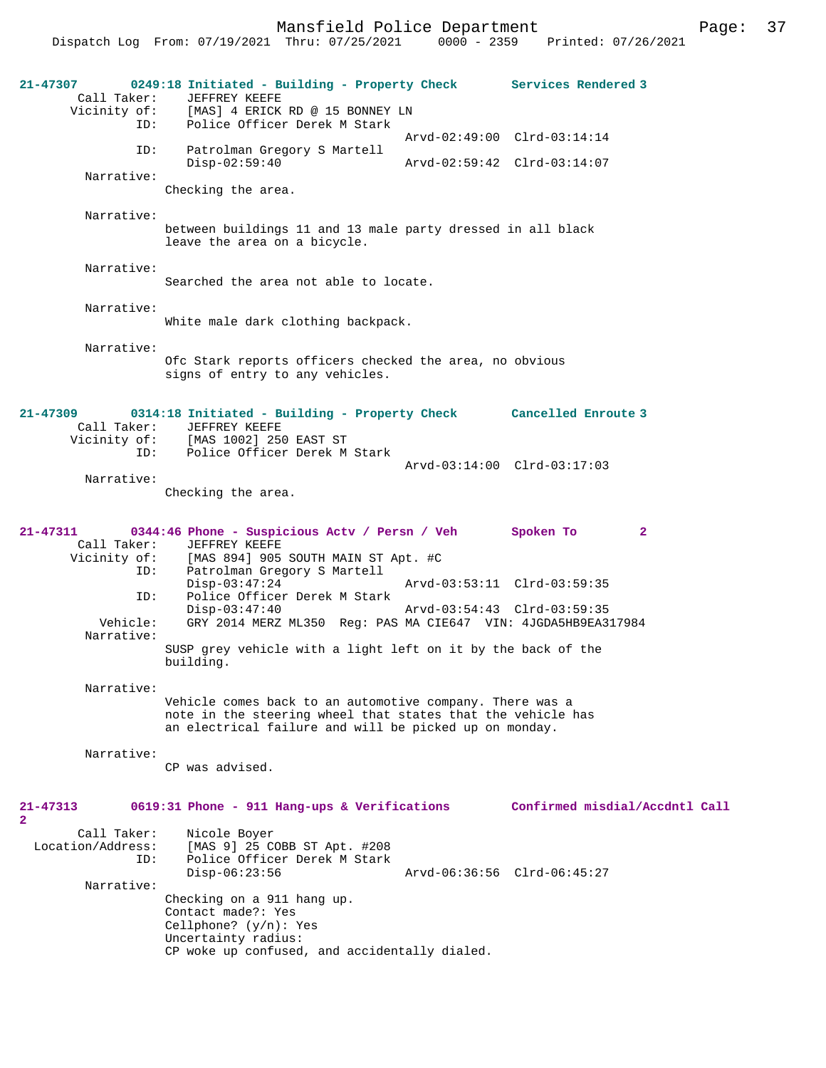Mansfield Police Department Fage: 37

Dispatch Log From: 07/19/2021 Thru: 07/25/2021 0000 - 2359 Printed: 07/26/2021

**21-47307 0249:18 Initiated - Building - Property Check Services Rendered 3**  Call Taker: JEFFREY KEEFE Vicinity of: [MAS] 4 ERICK RD @ 15 BONNEY LN ID: Police Officer Derek M Stark Arvd-02:49:00 Clrd-03:14:14<br>TD: Patrolman Gregory S Martell Patrolman Gregory S Martell<br>Disp-02:59:40 Disp-02:59:40 Arvd-02:59:42 Clrd-03:14:07 Narrative: Checking the area. Narrative: between buildings 11 and 13 male party dressed in all black leave the area on a bicycle. Narrative: Searched the area not able to locate. Narrative: White male dark clothing backpack. Narrative: Ofc Stark reports officers checked the area, no obvious signs of entry to any vehicles. **21-47309 0314:18 Initiated - Building - Property Check Cancelled Enroute 3**  Call Taker: JEFFREY KEEFE Vicinity of: [MAS 1002] 250 EAST ST ID: Police Officer Derek M Stark Arvd-03:14:00 Clrd-03:17:03 Narrative: Checking the area. **21-47311 0344:46 Phone - Suspicious Actv / Persn / Veh Spoken To 2**  Call Taker: JEFFREY KEEFE Vicinity of: [MAS 894] 905 SOUTH MAIN ST Apt. #C<br>ID: Patrolman Gregory S Martell Patrolman Gregory S Martell Disp-03:47:24 Arvd-03:53:11 Clrd-03:59:35 ID: Police Officer Derek M Stark Disp-03:47:40 Arvd-03:54:43 Clrd-03:59:35 Vehicle: GRY 2014 MERZ ML350 Reg: PAS MA CIE647 VIN: 4JGDA5HB9EA317984 Narrative: SUSP grey vehicle with a light left on it by the back of the building. Narrative: Vehicle comes back to an automotive company. There was a note in the steering wheel that states that the vehicle has an electrical failure and will be picked up on monday. Narrative: CP was advised. **21-47313 0619:31 Phone - 911 Hang-ups & Verifications Confirmed misdial/Accdntl Call 2**  Call Taker: Nicole Boyer<br>Location/Address: [MAS 9] 25 C ess: [MAS 9] 25 COBB ST Apt. #208<br>ID: Police Officer Derek M Stark Police Officer Derek M Stark<br>Disp-06:23:56 Disp-06:23:56 Arvd-06:36:56 Clrd-06:45:27 Narrative: Checking on a 911 hang up. Contact made?: Yes Cellphone? (y/n): Yes Uncertainty radius: CP woke up confused, and accidentally dialed.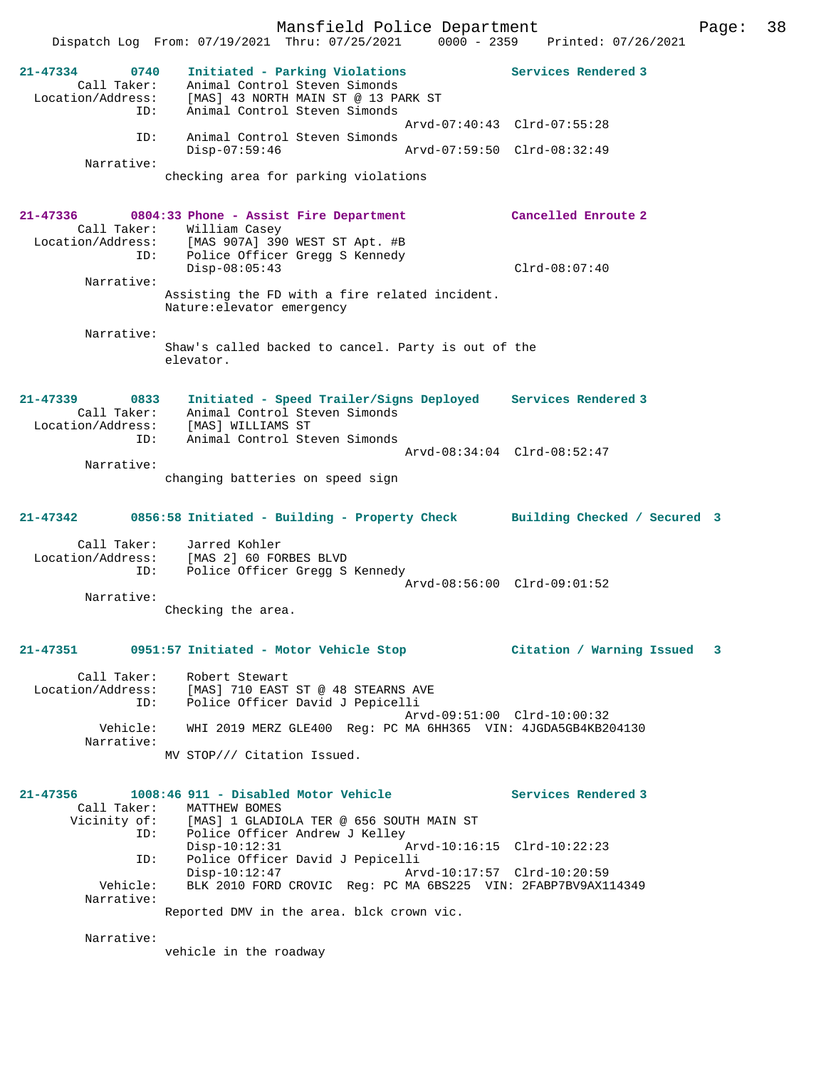Mansfield Police Department Page: 38 Dispatch Log From: 07/19/2021 Thru: 07/25/2021 0000 - 2359 Printed: 07/26/2021 **21-47334 0740 Initiated - Parking Violations Services Rendered 3**  Call Taker: Animal Control Steven Simonds Location/Address: [MAS] 43 NORTH MAIN ST @ 13 PARK ST ID: Animal Control Steven Simonds Arvd-07:40:43 Clrd-07:55:28 ID: Animal Control Steven Simonds<br>Disp-07:59:46 Disp-07:59:46 Arvd-07:59:50 Clrd-08:32:49 checking area for parking violations **21-47336 0804:33 Phone - Assist Fire Department Cancelled Enroute 2** 

Call Taker: William Casey<br>Location/Address: [MAS 907A] 390 Location/Address: [MAS 907A] 390 WEST ST Apt. #B ID: Police Officer Gregg S Kennedy Disp-08:05:43 Clrd-08:07:40 Narrative: Assisting the FD with a fire related incident. Nature:elevator emergency

 Narrative: Shaw's called backed to cancel. Party is out of the elevator.

**21-47339 0833 Initiated - Speed Trailer/Signs Deployed Services Rendered 3**  Call Taker: Animal Control Steven Simonds Location/Address: [MAS] WILLIAMS ST ID: Animal Control Steven Simonds Arvd-08:34:04 Clrd-08:52:47 Narrative:

changing batteries on speed sign

### **21-47342 0856:58 Initiated - Building - Property Check Building Checked / Secured 3**

 Call Taker: Jarred Kohler Location/Address: [MAS 2] 60 FORBES BLVD ID: Police Officer Gregg S Kennedy Arvd-08:56:00 Clrd-09:01:52 Narrative:

Checking the area.

## **21-47351 0951:57 Initiated - Motor Vehicle Stop Citation / Warning Issued 3**

 Call Taker: Robert Stewart Location/Address: [MAS] 710 EAST ST @ 48 STEARNS AVE ESS. THE CONSTRUCTED TO THE POLICE Officer David J Pepicelli Arvd-09:51:00 Clrd-10:00:32 Vehicle: WHI 2019 MERZ GLE400 Reg: PC MA 6HH365 VIN: 4JGDA5GB4KB204130 Narrative: MV STOP/// Citation Issued.

**21-47356 1008:46 911 - Disabled Motor Vehicle Services Rendered 3**  Call Taker: MATTHEW BOMES Vicinity of: [MAS] 1 GLADIOLA TER @ 656 SOUTH MAIN ST<br>ID: Police Officer Andrew J Kelley Police Officer Andrew J Kelley<br>Disp-10:12:31 A  $Arvd-10:16:15$   $Clrd-10:22:23$  ID: Police Officer David J Pepicelli Disp-10:12:47 Arvd-10:17:57 Clrd-10:20:59 Vehicle: BLK 2010 FORD CROVIC Reg: PC MA 6BS225 VIN: 2FABP7BV9AX114349 Narrative: Reported DMV in the area. blck crown vic.

Narrative:

Narrative:

vehicle in the roadway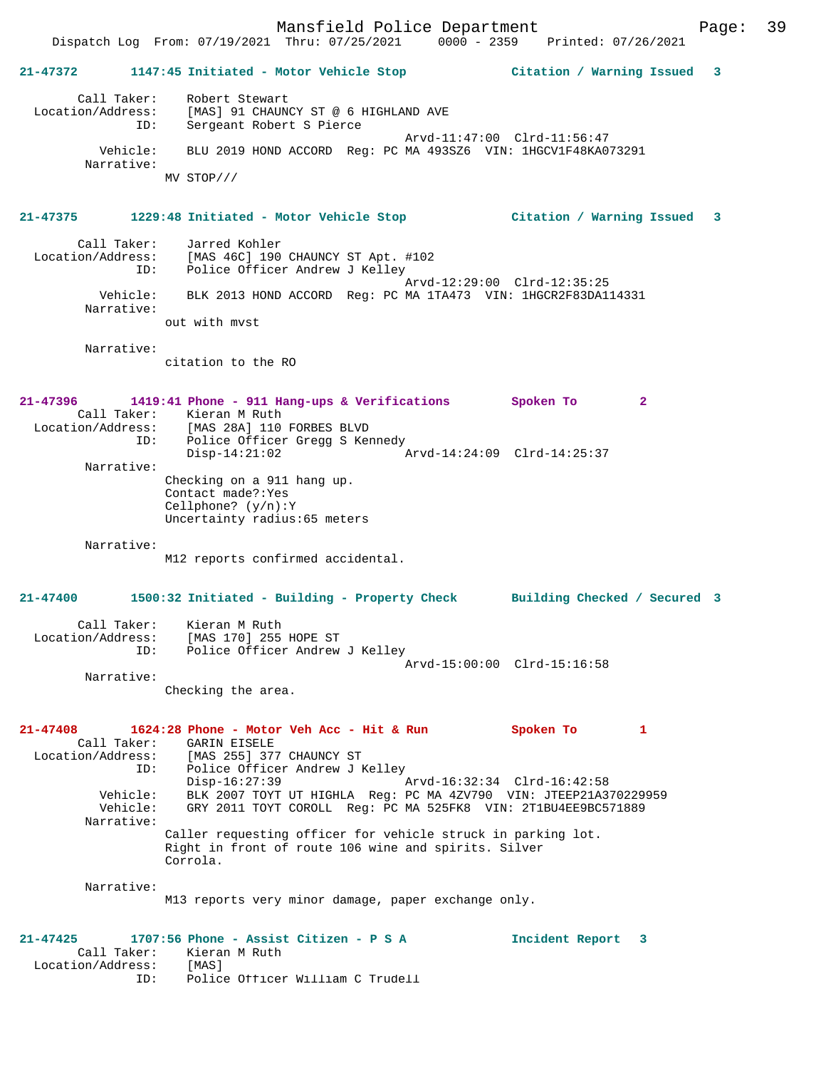Dispatch Log From: 07/19/2021 Thru: 07/25/2021 0000 - 2359 Printed: 07/26/2021 **21-47372 1147:45 Initiated - Motor Vehicle Stop Citation / Warning Issued 3** Call Taker: Robert Stewart Location/Address: [MAS] 91 CHAUNCY ST @ 6 HIGHLAND AVE ID: Sergeant Robert S Pierce Arvd-11:47:00 Clrd-11:56:47 Vehicle: BLU 2019 HOND ACCORD Reg: PC MA 493SZ6 VIN: 1HGCV1F48KA073291 Narrative: MV STOP/// **21-47375 1229:48 Initiated - Motor Vehicle Stop Citation / Warning Issued 3** Call Taker: Jarred Kohler Location/Address: [MAS 46C] 190 CHAUNCY ST Apt. #102 ID: Police Officer Andrew J Kelley Arvd-12:29:00 Clrd-12:35:25 Vehicle: BLK 2013 HOND ACCORD Reg: PC MA 1TA473 VIN: 1HGCR2F83DA114331 Narrative: out with mvst Narrative: citation to the RO **21-47396 1419:41 Phone - 911 Hang-ups & Verifications Spoken To 2**  Call Taker: Kieran M Ruth<br>Location/Address: [MAS 28A] 110 Location/Address: [MAS 28A] 110 FORBES BLVD ID: Police Officer Gregg S Kennedy Disp-14:21:02 Arvd-14:24:09 Clrd-14:25:37 Narrative: Checking on a 911 hang up. Contact made?:Yes Cellphone? (y/n):Y Uncertainty radius:65 meters Narrative: M12 reports confirmed accidental. **21-47400 1500:32 Initiated - Building - Property Check Building Checked / Secured 3** Call Taker: Kieran M Ruth Location/Address: [MAS 170] 255 HOPE ST ID: Police Officer Andrew J Kelley Arvd-15:00:00 Clrd-15:16:58 Narrative: Checking the area. **21-47408 1624:28 Phone - Motor Veh Acc - Hit & Run Spoken To 1**  Call Taker: GARIN EISELE Location/Address: [MAS 255] 377 CHAUNCY ST Police Officer Andrew J Kelley<br>Disp-16:27:39 Disp-16:27:39 Arvd-16:32:34 Clrd-16:42:58 Vehicle: BLK 2007 TOYT UT HIGHLA Reg: PC MA 4ZV790 VIN: JTEEP21A370229959 Vehicle: GRY 2011 TOYT COROLL Reg: PC MA 525FK8 VIN: 2T1BU4EE9BC571889 Narrative: Caller requesting officer for vehicle struck in parking lot. Right in front of route 106 wine and spirits. Silver Corrola. Narrative: M13 reports very minor damage, paper exchange only. **21-47425 1707:56 Phone - Assist Citizen - P S A Incident Report 3**  Call Taker: Kieran M Ruth Location/Address: [MAS] ID: Police Officer William C Trudell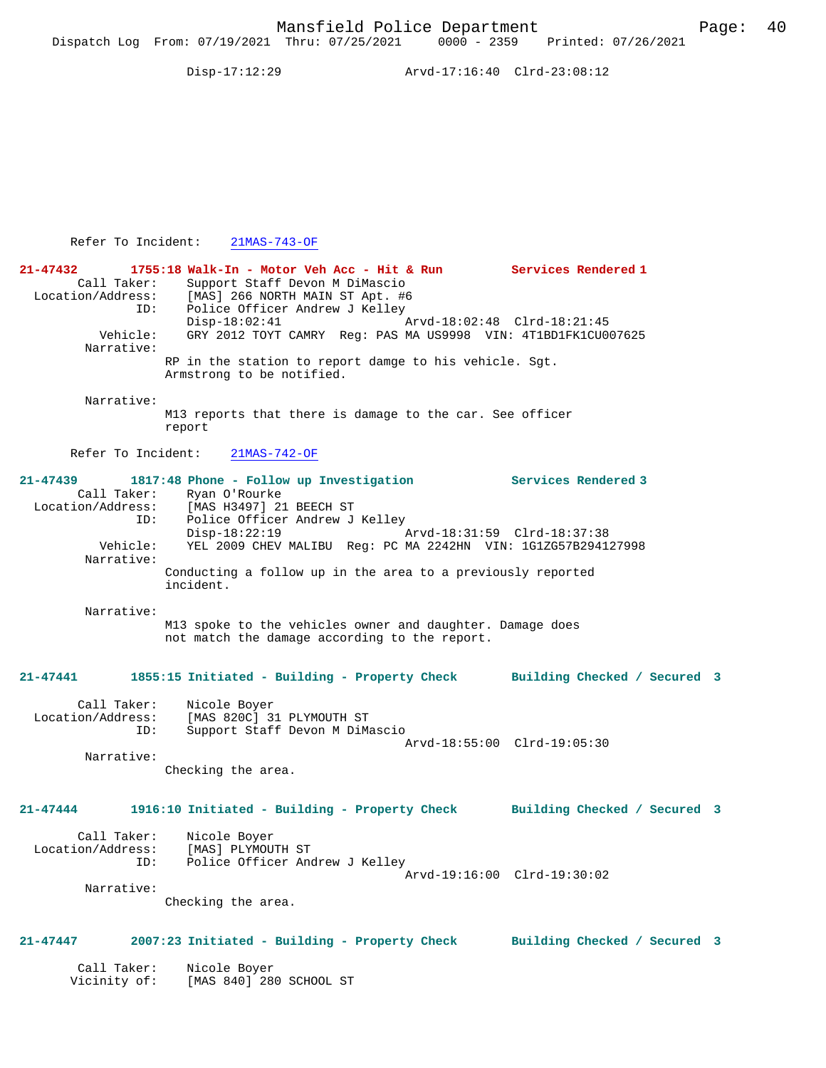Disp-17:12:29 Arvd-17:16:40 Clrd-23:08:12

Refer To Incident: 21MAS-743-OF

| 21-47432<br>Call Taker:<br>Location/Address:<br>ID:     | 1755:18 Walk-In - Motor Veh Acc - Hit & Run<br>Support Staff Devon M DiMascio<br>[MAS] 266 NORTH MAIN ST Apt. #6<br>Police Officer Andrew J Kelley | Services Rendered 1          |
|---------------------------------------------------------|----------------------------------------------------------------------------------------------------------------------------------------------------|------------------------------|
| Vehicle:<br>Narrative:                                  | $Disp-18:02:41$<br>GRY 2012 TOYT CAMRY Req: PAS MA US9998 VIN: 4T1BD1FK1CU007625                                                                   | Arvd-18:02:48 Clrd-18:21:45  |
|                                                         | RP in the station to report damge to his vehicle. Sgt.<br>Armstrong to be notified.                                                                |                              |
| Narrative:                                              | M13 reports that there is damage to the car. See officer<br>report                                                                                 |                              |
| Refer To Incident:                                      | $21MAS-742-OF$                                                                                                                                     |                              |
| $21 - 47439$<br>Call Taker:<br>Location/Address:<br>ID: | 1817:48 Phone - Follow up Investigation<br>Ryan O'Rourke<br>[MAS H3497] 21 BEECH ST<br>Police Officer Andrew J Kelley                              | <b>Services Rendered 3</b>   |
| Vehicle:<br>Narrative:                                  | $Disp-18:22:19$<br>YEL 2009 CHEV MALIBU Reg: PC MA 2242HN VIN: 1G1ZG57B294127998                                                                   | Arvd-18:31:59 Clrd-18:37:38  |
|                                                         | Conducting a follow up in the area to a previously reported<br>incident.                                                                           |                              |
| Narrative:                                              | M13 spoke to the vehicles owner and daughter. Damage does<br>not match the damage according to the report.                                         |                              |
| $21 - 47441$                                            | 1855:15 Initiated - Building - Property Check Building Checked / Secured 3                                                                         |                              |
| Call Taker:<br>Location/Address:<br>ID:                 | Nicole Boyer<br>[MAS 820C] 31 PLYMOUTH ST<br>Support Staff Devon M DiMascio                                                                        |                              |
| Narrative:                                              | Checking the area.                                                                                                                                 | Arvd-18:55:00 Clrd-19:05:30  |
| $21 - 47444$                                            | 1916:10 Initiated - Building - Property Check Building Checked / Secured 3                                                                         |                              |
| Call Taker:<br>Location/Address:<br>ID:                 | Nicole Boyer<br>[MAS] PLYMOUTH ST<br>Police Officer Andrew J Kelley                                                                                | Arvd-19:16:00 Clrd-19:30:02  |
| Narrative:                                              | Checking the area.                                                                                                                                 |                              |
| 21-47447                                                | 2007:23 Initiated - Building - Property Check                                                                                                      | Building Checked / Secured 3 |
| Call Taker:<br>Vicinity of:                             | Nicole Boyer<br>[MAS 840] 280 SCHOOL ST                                                                                                            |                              |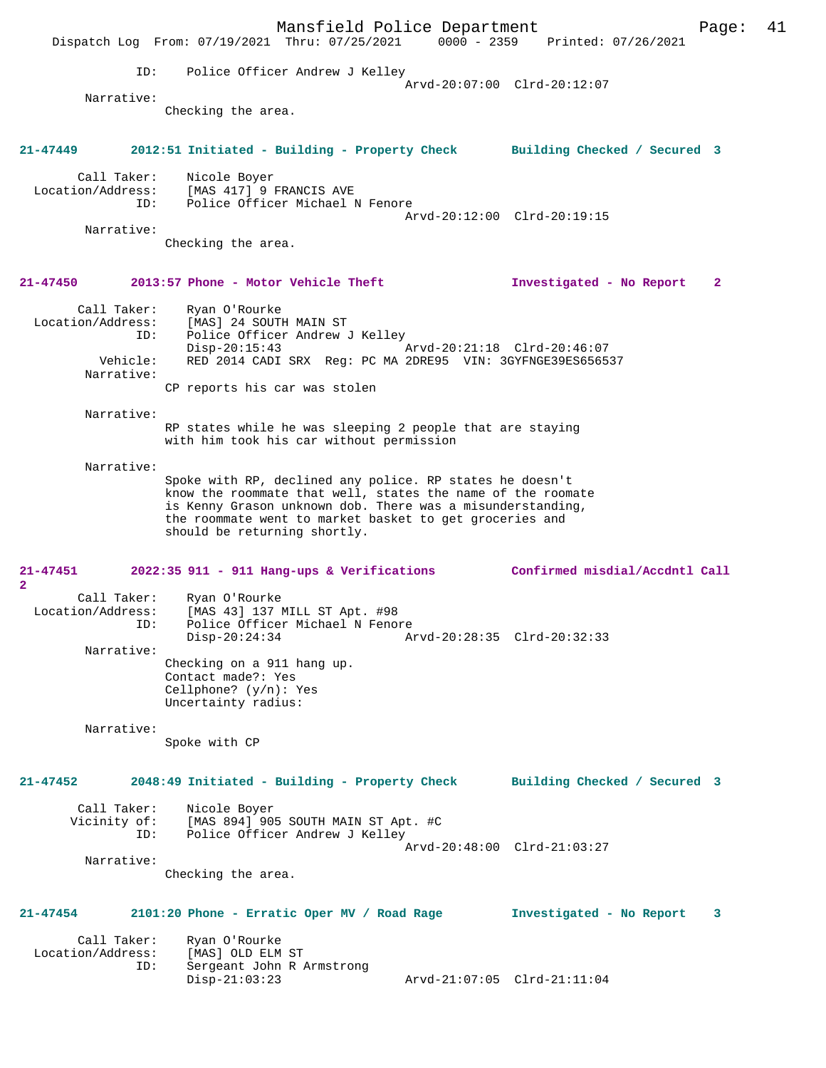Mansfield Police Department Form Page: 41 Dispatch Log From: 07/19/2021 Thru: 07/25/2021 0000 - 2359 Printed: 07/26/2021 ID: Police Officer Andrew J Kelley Arvd-20:07:00 Clrd-20:12:07 Narrative: Checking the area. **21-47449 2012:51 Initiated - Building - Property Check Building Checked / Secured 3** Call Taker: Nicole Boyer Location/Address: [MAS 417] 9 FRANCIS AVE ID: Police Officer Michael N Fenore Arvd-20:12:00 Clrd-20:19:15 Narrative: Checking the area. **21-47450 2013:57 Phone - Motor Vehicle Theft Investigated - No Report 2** Call Taker: Ryan O'Rourke Location/Address: [MAS] 24 SOUTH MAIN ST ID: Police Officer Andrew J Kelley Disp-20:15:43 Arvd-20:21:18 Clrd-20:46:07<br>Vehicle: RED 2014 CADI SRX Req: PC MA 2DRE95 VIN: 3GYFNGE39ES65655 RED 2014 CADI SRX Reg: PC MA 2DRE95 VIN: 3GYFNGE39ES656537 Narrative: CP reports his car was stolen Narrative: RP states while he was sleeping 2 people that are staying with him took his car without permission Narrative: Spoke with RP, declined any police. RP states he doesn't know the roommate that well, states the name of the roomate is Kenny Grason unknown dob. There was a misunderstanding, the roommate went to market basket to get groceries and should be returning shortly. **21-47451 2022:35 911 - 911 Hang-ups & Verifications Confirmed misdial/Accdntl Call 2**  Call Taker: Ryan O'Rourke Location/Address: [MAS 43] 137 MILL ST Apt. #98 ID: Police Officer Michael N Fenore<br>Disp-20:24:34 Al Disp-20:24:34 Arvd-20:28:35 Clrd-20:32:33 Narrative: Checking on a 911 hang up. Contact made?: Yes Cellphone? (y/n): Yes Uncertainty radius: Narrative: Spoke with CP **21-47452 2048:49 Initiated - Building - Property Check Building Checked / Secured 3** Call Taker: Nicole Boyer Vicinity of: [MAS 894] 905 SOUTH MAIN ST Apt. #C<br>TD: Police Officer Andrew J Kelley Police Officer Andrew J Kelley Arvd-20:48:00 Clrd-21:03:27 Narrative: Checking the area. **21-47454 2101:20 Phone - Erratic Oper MV / Road Rage Investigated - No Report 3** Call Taker: Ryan O'Rourke<br>ion/Address: [MAS] OLD ELM ST Location/Address: ID: Sergeant John R Armstrong Disp-21:03:23 Arvd-21:07:05 Clrd-21:11:04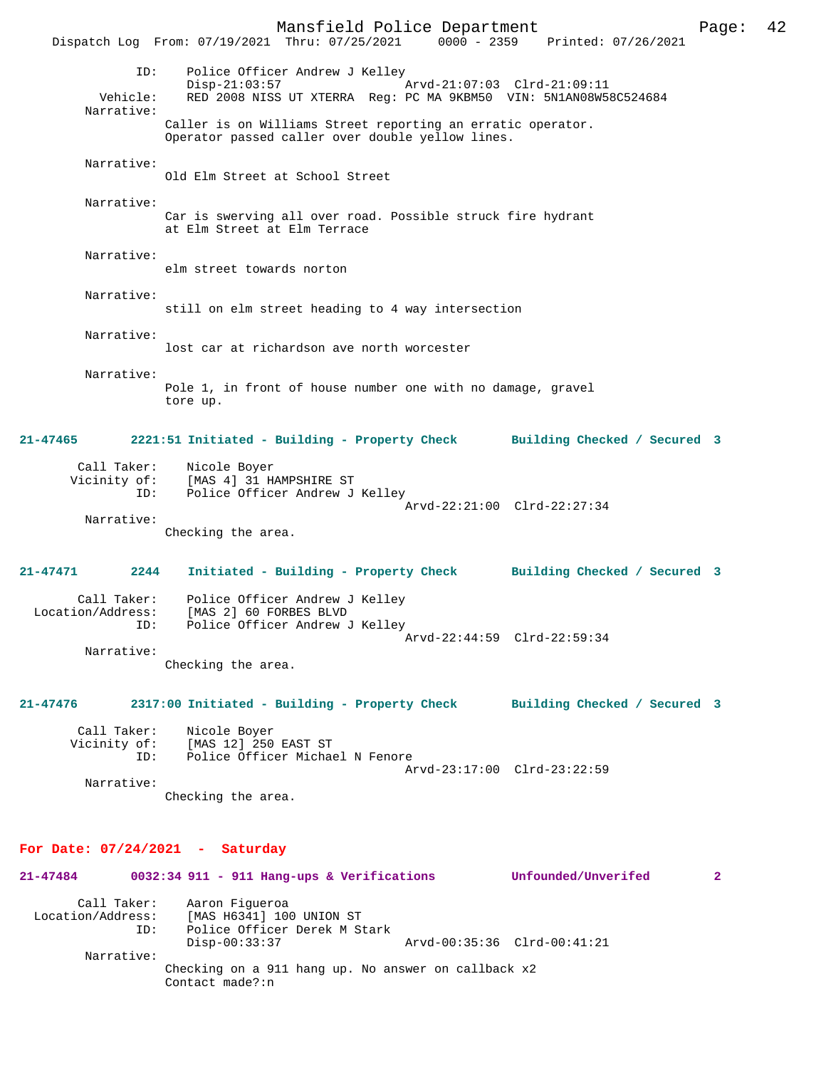Mansfield Police Department Page: 42 Dispatch Log From: 07/19/2021 Thru: 07/25/2021 ID: Police Officer Andrew J Kelley Disp-21:03:57 Arvd-21:07:03 Clrd-21:09:11 Vehicle: RED 2008 NISS UT XTERRA Reg: PC MA 9KBM50 VIN: 5N1AN08W58C524684 Narrative: Caller is on Williams Street reporting an erratic operator. Operator passed caller over double yellow lines. Narrative: Old Elm Street at School Street Narrative: Car is swerving all over road. Possible struck fire hydrant at Elm Street at Elm Terrace Narrative: elm street towards norton Narrative: still on elm street heading to 4 way intersection Narrative: lost car at richardson ave north worcester Narrative: Pole 1, in front of house number one with no damage, gravel tore up. **21-47465 2221:51 Initiated - Building - Property Check Building Checked / Secured 3** Call Taker: Nicole Boyer Vicinity of: [MAS 4] 31 HAMPSHIRE ST ID: Police Officer Andrew J Kelley Arvd-22:21:00 Clrd-22:27:34 Narrative: Checking the area. **21-47471 2244 Initiated - Building - Property Check Building Checked / Secured 3** Call Taker: Police Officer Andrew J Kelley<br>Location/Address: [MAS 2] 60 FORBES BLVD [MAS 2] 60 FORBES BLVD ID: Police Officer Andrew J Kelley Arvd-22:44:59 Clrd-22:59:34 Narrative: Checking the area. **21-47476 2317:00 Initiated - Building - Property Check Building Checked / Secured 3** Call Taker: Nicole Boyer Vicinity of: [MAS 12] 250 EAST ST<br>TD: Police Officer Michau Police Officer Michael N Fenore Arvd-23:17:00 Clrd-23:22:59 Narrative: Checking the area. **For Date: 07/24/2021 - Saturday 21-47484 0032:34 911 - 911 Hang-ups & Verifications Unfounded/Unverifed 2**

| Call Taker:<br>Location/Address:<br>ID: | Aaron Fiqueroa<br>[MAS H6341] 100 UNION ST<br>Police Officer Derek M Stark |                             |
|-----------------------------------------|----------------------------------------------------------------------------|-----------------------------|
|                                         | Disp-00:33:37                                                              | Arvd-00:35:36 Clrd-00:41:21 |
| Narrative:                              |                                                                            |                             |
|                                         | Checking on a 911 hang up. No answer on callback x2<br>Contact made?:n     |                             |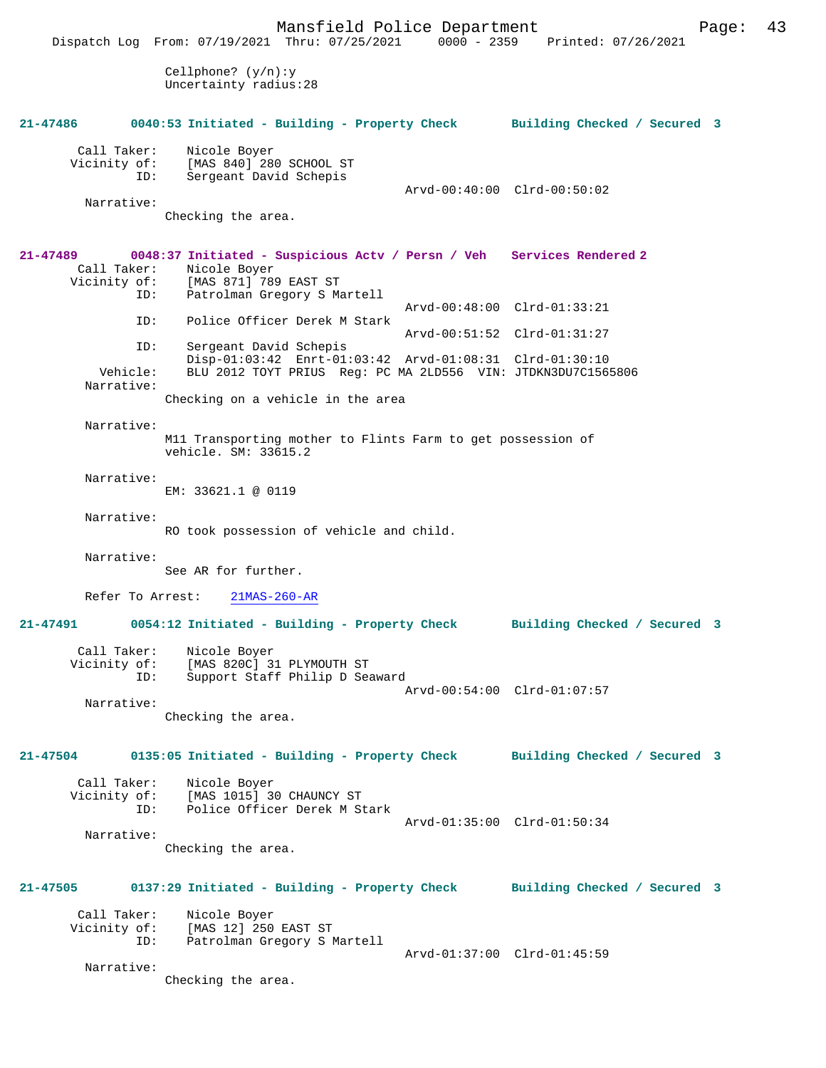Mansfield Police Department Page: 43 Dispatch Log From: 07/19/2021 Thru: 07/25/2021 Cellphone? (y/n):y Uncertainty radius:28 **21-47486 0040:53 Initiated - Building - Property Check Building Checked / Secured 3** Call Taker: Nicole Boyer<br>Vicinity of: [MAS 840] 28 Of: [MAS 840] 280 SCHOOL ST<br>ID: Sergeant David Schepis Sergeant David Schepis Arvd-00:40:00 Clrd-00:50:02 Narrative: Checking the area. **21-47489 0048:37 Initiated - Suspicious Actv / Persn / Veh Services Rendered 2**  Call Taker: Nicole Boyer<br>Vicinity of: [MAS 871] 789 [MAS 871] 789 EAST ST ID: Patrolman Gregory S Martell Arvd-00:48:00 Clrd-01:33:21<br>TD: Police Officer Derek M Stark Police Officer Derek M Stark Arvd-00:51:52 Clrd-01:31:27<br>ID: Sergeant David Schepis Sergeant David Schepis Disp-01:03:42 Enrt-01:03:42 Arvd-01:08:31 Clrd-01:30:10<br>Vehicle: BLU 2012 TOYT PRIUS Reg: PC MA 2LD556 VIN: JTDKN3DU7C156 BLU 2012 TOYT PRIUS Reg: PC MA 2LD556 VIN: JTDKN3DU7C1565806 Narrative: Checking on a vehicle in the area Narrative: M11 Transporting mother to Flints Farm to get possession of vehicle. SM: 33615.2 Narrative: EM: 33621.1 @ 0119 Narrative: RO took possession of vehicle and child. Narrative: See AR for further. Refer To Arrest: 21MAS-260-AR **21-47491 0054:12 Initiated - Building - Property Check Building Checked / Secured 3** Call Taker: Nicole Boyer Vicinity of: [MAS 820C] 31 PLYMOUTH ST<br>ID: Support Staff Philip D Sea Support Staff Philip D Seaward Arvd-00:54:00 Clrd-01:07:57 Narrative: Checking the area. **21-47504 0135:05 Initiated - Building - Property Check Building Checked / Secured 3** Call Taker: Nicole Boyer Vicinity of: [MAS 1015] 30 CHAUNCY ST<br>ID: Police Officer Derek M St Police Officer Derek M Stark Arvd-01:35:00 Clrd-01:50:34 Narrative: Checking the area. **21-47505 0137:29 Initiated - Building - Property Check Building Checked / Secured 3** Call Taker: Nicole Boyer Vicinity of: [MAS 12] 250 EAST ST<br>ID: Patrolman Gregory S I Patrolman Gregory S Martell Arvd-01:37:00 Clrd-01:45:59 Narrative: Checking the area.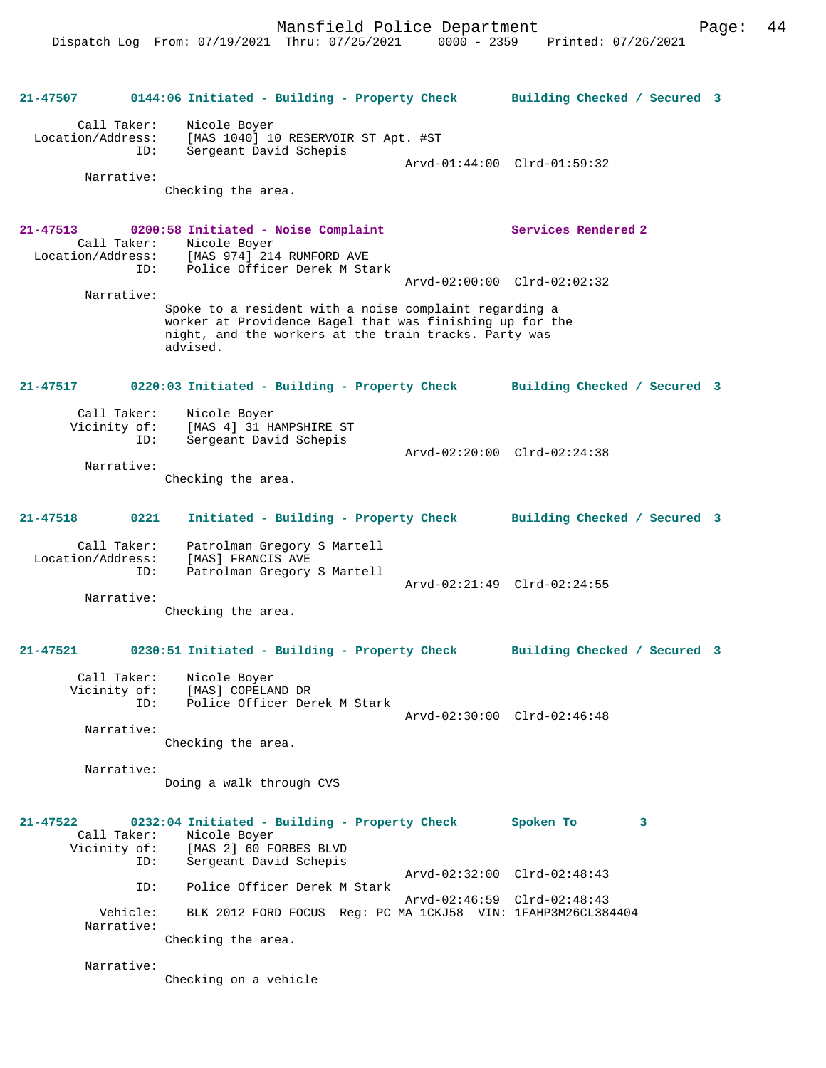```
21-47507 0144:06 Initiated - Building - Property Check Building Checked / Secured 3
        Call Taker: Nicole Boyer
  Location/Address: [MAS 1040] 10 RESERVOIR ST Apt. #ST
                    Sergeant David Schepis
                                                 Arvd-01:44:00 Clrd-01:59:32
         Narrative: 
                  Checking the area.
21-47513 0200:58 Initiated - Noise Complaint Services Rendered 2 
 Call Taker: Nicole Boyer<br>Location/Address: [MAS 974] 214
                     [MAS 974] 214 RUMFORD AVE
               ID: Police Officer Derek M Stark
                                                   Arvd-02:00:00 Clrd-02:02:32
         Narrative: 
                  Spoke to a resident with a noise complaint regarding a 
                  worker at Providence Bagel that was finishing up for the 
                  night, and the workers at the train tracks. Party was 
                  advised.
21-47517 0220:03 Initiated - Building - Property Check Building Checked / Secured 3
 Call Taker: Nicole Boyer
 Vicinity of: [MAS 4] 31 HAMPSHIRE ST
 ID: Sergeant David Schepis
                                                  Arvd-02:20:00 Clrd-02:24:38
         Narrative: 
                  Checking the area.
21-47518 0221 Initiated - Building - Property Check Building Checked / Secured 3
        Call Taker: Patrolman Gregory S Martell
  Location/Address: [MAS] FRANCIS AVE
               ID: Patrolman Gregory S Martell
                                                  Arvd-02:21:49 Clrd-02:24:55
         Narrative: 
                  Checking the area.
21-47521 0230:51 Initiated - Building - Property Check Building Checked / Secured 3
        Call Taker: Nicole Boyer
 Vicinity of: [MAS] COPELAND DR
 ID: Police Officer Derek M Stark
                                                  Arvd-02:30:00 Clrd-02:46:48
         Narrative: 
                  Checking the area.
         Narrative: 
                  Doing a walk through CVS
21-47522 0232:04 Initiated - Building - Property Check Spoken To 3 
      Call Taker: Nicole Boyer<br>Vicinity of: [MAS 2] 60 F
               of: [MAS 2] 60 FORBES BLVD<br>ID: Sergeant David Schepis
                     Sergeant David Schepis
                                                  Arvd-02:32:00 Clrd-02:48:43
                ID: Police Officer Derek M Stark
                                                   Arvd-02:46:59 Clrd-02:48:43
          Vehicle: BLK 2012 FORD FOCUS Reg: PC MA 1CKJ58 VIN: 1FAHP3M26CL384404
         Narrative: 
                  Checking the area.
         Narrative:
```
Checking on a vehicle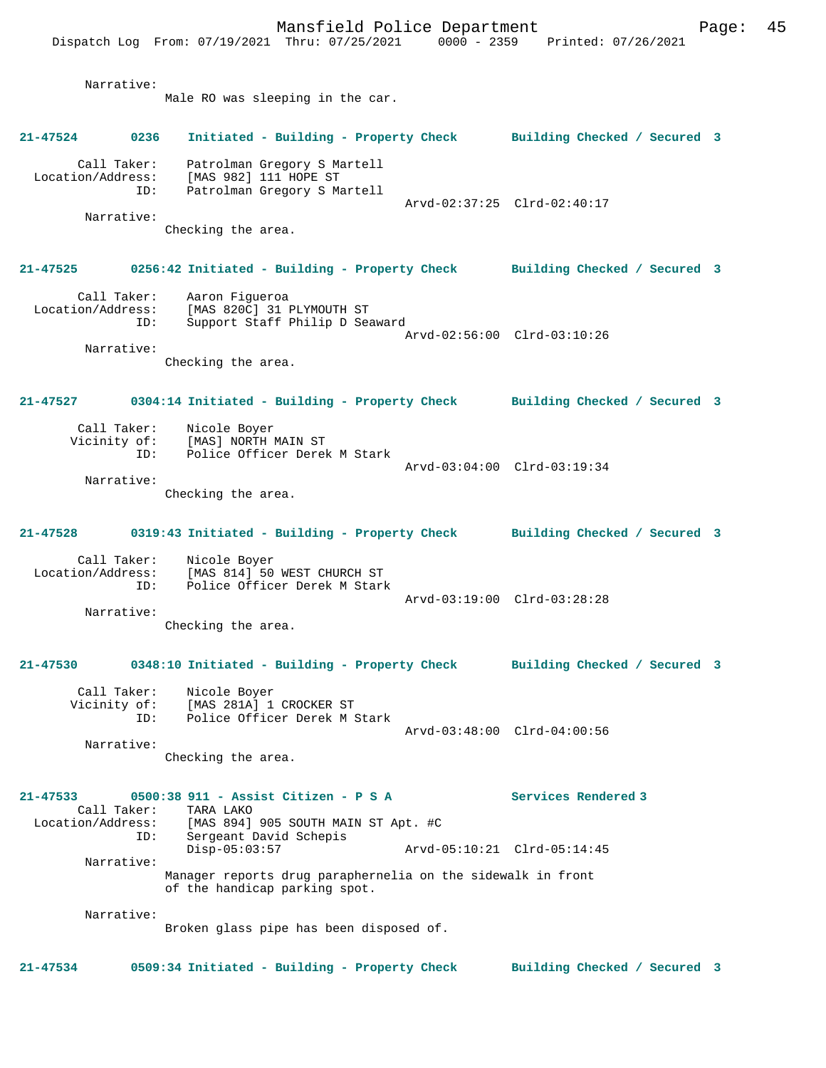Mansfield Police Department Fage: 45 Dispatch Log From: 07/19/2021 Thru: 07/25/2021 0000 - 2359 Printed: 07/26/2021 Narrative: Male RO was sleeping in the car. **21-47524 0236 Initiated - Building - Property Check Building Checked / Secured 3** Call Taker: Patrolman Gregory S Martell Location/Address: [MAS 982] 111 HOPE ST ID: Patrolman Gregory S Martell Arvd-02:37:25 Clrd-02:40:17 Narrative: Checking the area. **21-47525 0256:42 Initiated - Building - Property Check Building Checked / Secured 3** Call Taker: Aaron Figueroa Location/Address: [MAS 820C] 31 PLYMOUTH ST ID: Support Staff Philip D Seaward Arvd-02:56:00 Clrd-03:10:26 Narrative: Checking the area. **21-47527 0304:14 Initiated - Building - Property Check Building Checked / Secured 3** Call Taker: Nicole Boyer<br>Vicinity of: [MAS] NORTH N [MAS] NORTH MAIN ST ID: Police Officer Derek M Stark Arvd-03:04:00 Clrd-03:19:34 Narrative: Checking the area. **21-47528 0319:43 Initiated - Building - Property Check Building Checked / Secured 3** Call Taker: Nicole Boyer Location/Address: [MAS 814] 50 WEST CHURCH ST ID: Police Officer Derek M Stark Arvd-03:19:00 Clrd-03:28:28 Narrative: Checking the area. **21-47530 0348:10 Initiated - Building - Property Check Building Checked / Secured 3** Call Taker: Nicole Boyer<br>Vicinity of: [MAS 281A] 1 Vicinity of: [MAS 281A] 1 CROCKER ST ID: Police Officer Derek M Stark Arvd-03:48:00 Clrd-04:00:56 Narrative: Checking the area. **21-47533 0500:38 911 - Assist Citizen - P S A Services Rendered 3**  Call Taker:<br>Iocation/Address: ess: [MAS 894] 905 SOUTH MAIN ST Apt. #C<br>ID: Sergeant David Schepis Sergeant David Schepis Disp-05:03:57 Arvd-05:10:21 Clrd-05:14:45 Narrative: Manager reports drug paraphernelia on the sidewalk in front

of the handicap parking spot.

Narrative:

Broken glass pipe has been disposed of.

**21-47534 0509:34 Initiated - Building - Property Check Building Checked / Secured 3**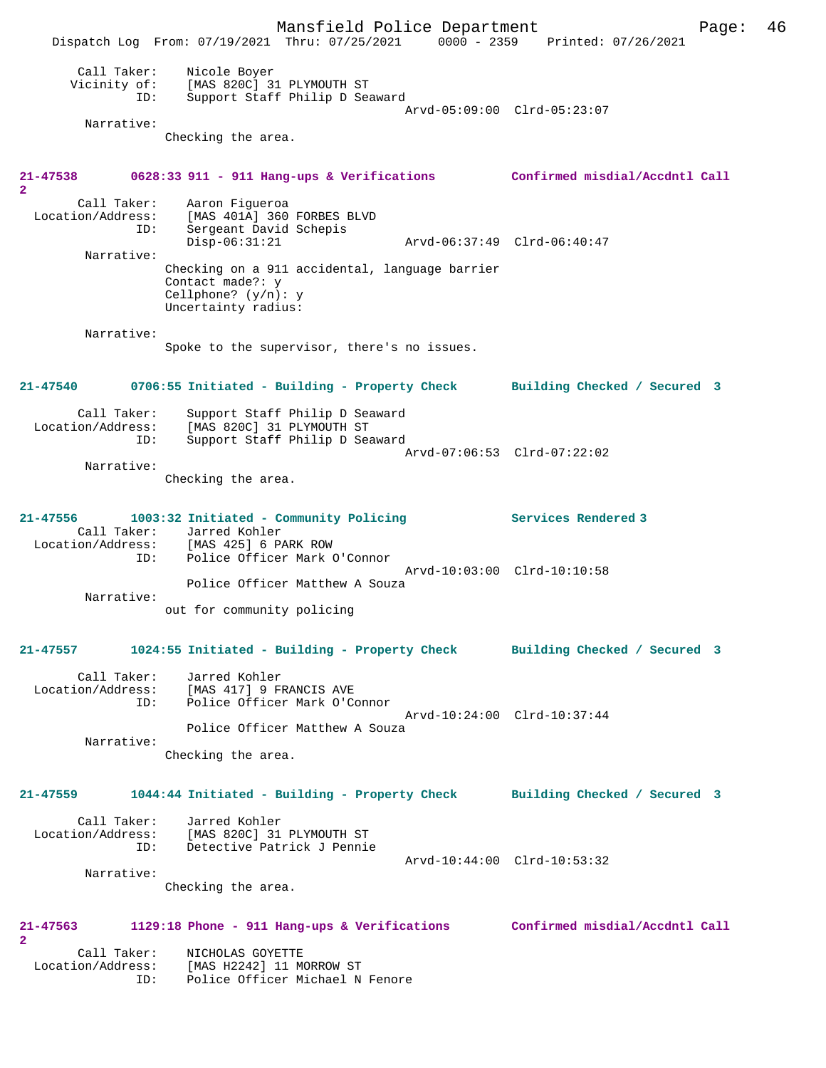Mansfield Police Department Form Page: 46 Dispatch Log From: 07/19/2021 Thru: 07/25/2021 0000 - 2359 Printed: 07/26/2021 Call Taker: Nicole Boyer Vicinity of: [MAS 820C] 31 PLYMOUTH ST ID: Support Staff Philip D Seaward Arvd-05:09:00 Clrd-05:23:07 Narrative: Checking the area. **21-47538 0628:33 911 - 911 Hang-ups & Verifications Confirmed misdial/Accdntl Call 2**  Call Taker: Aaron Figueroa<br>Location/Address: [MAS 401A] 360 [MAS 401A] 360 FORBES BLVD ID: Sergeant David Schepis Disp-06:31:21 Arvd-06:37:49 Clrd-06:40:47 Narrative: Checking on a 911 accidental, language barrier Contact made?: y Cellphone? (y/n): y Uncertainty radius: Narrative: Spoke to the supervisor, there's no issues. **21-47540 0706:55 Initiated - Building - Property Check Building Checked / Secured 3** Call Taker: Support Staff Philip D Seaward Location/Address: [MAS 820C] 31 PLYMOUTH ST ID: Support Staff Philip D Seaward Arvd-07:06:53 Clrd-07:22:02 Narrative: Checking the area. **21-47556 1003:32 Initiated - Community Policing Services Rendered 3**  Call Taker: Jarred Kohler Location/Address: [MAS 425] 6 PARK ROW ID: Police Officer Mark O'Connor Arvd-10:03:00 Clrd-10:10:58 Police Officer Matthew A Souza Narrative: out for community policing **21-47557 1024:55 Initiated - Building - Property Check Building Checked / Secured 3** Call Taker: Jarred Kohler Location/Address: [MAS 417] 9 FRANCIS AVE Location/Address: [MAS 417] 9 FRANCIS AVE<br>ID: Police Officer Mark O'Connor Arvd-10:24:00 Clrd-10:37:44 Police Officer Matthew A Souza Narrative: Checking the area. **21-47559 1044:44 Initiated - Building - Property Check Building Checked / Secured 3** Call Taker: Jarred Kohler Location/Address: [MAS 820C] 31 PLYMOUTH ST Detective Patrick J Pennie Arvd-10:44:00 Clrd-10:53:32 Narrative: Checking the area. **21-47563 1129:18 Phone - 911 Hang-ups & Verifications Confirmed misdial/Accdntl Call 2**  Call Taker: NICHOLAS GOYETTE<br>Location/Address: [MAS H2242] 11 M [MAS H2242] 11 MORROW ST ID: Police Officer Michael N Fenore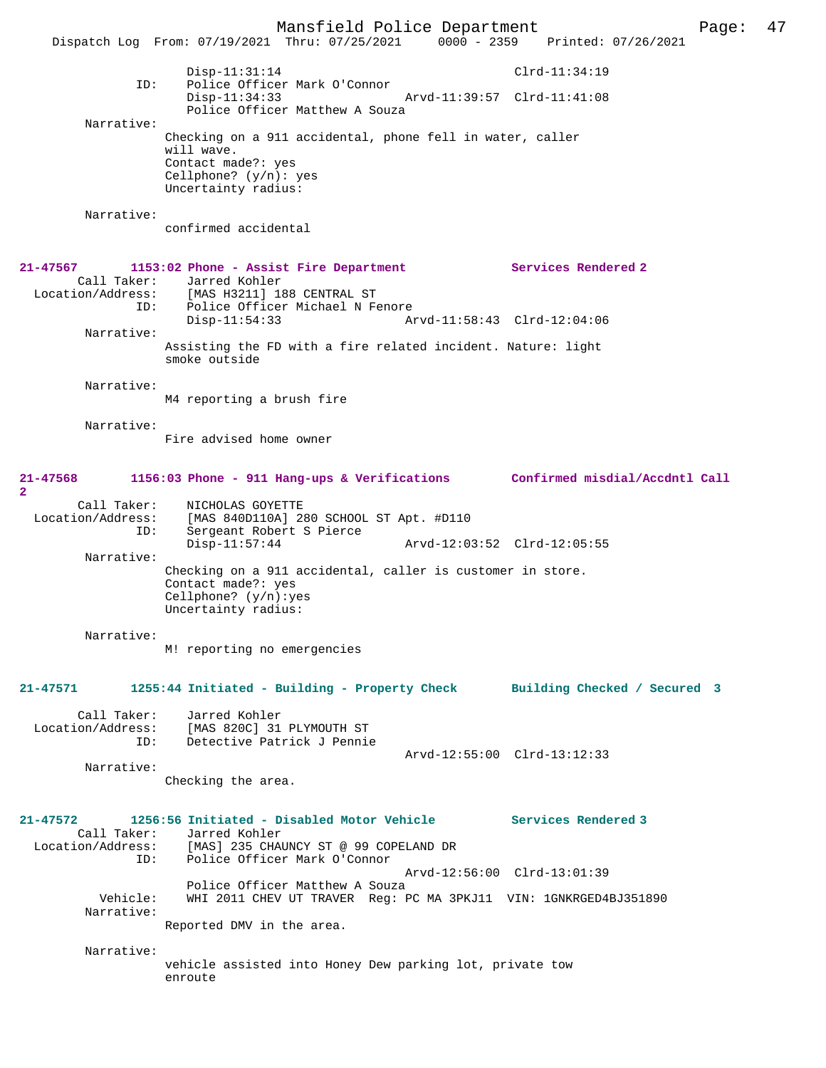Mansfield Police Department Page: 47 Dispatch Log From: 07/19/2021 Thru: 07/25/2021 0000 - 2359 Disp-11:31:14 Clrd-11:34:19 ID: Police Officer Mark O'Connor Disp-11:34:33 Arvd-11:39:57 Clrd-11:41:08 Police Officer Matthew A Souza Narrative: Checking on a 911 accidental, phone fell in water, caller will wave. Contact made?: yes Cellphone? (y/n): yes Uncertainty radius: Narrative: confirmed accidental **21-47567 1153:02 Phone - Assist Fire Department Services Rendered 2**  Call Taker: Jarred Kohler<br>Location/Address: [MAS H3211] 18 [MAS H3211] 188 CENTRAL ST ID: Police Officer Michael N Fenore Disp-11:54:33 Arvd-11:58:43 Clrd-12:04:06 Narrative: Assisting the FD with a fire related incident. Nature: light smoke outside Narrative: M4 reporting a brush fire Narrative: Fire advised home owner **21-47568 1156:03 Phone - 911 Hang-ups & Verifications Confirmed misdial/Accdntl Call 2**  Call Taker: NICHOLAS GOYETTE Location/Address: [MAS 840D110A] 280 SCHOOL ST Apt. #D110 ID: Sergeant Robert S Pierce Disp-11:57:44 Arvd-12:03:52 Clrd-12:05:55 Narrative: Checking on a 911 accidental, caller is customer in store. Contact made?: yes Cellphone? (y/n):yes Uncertainty radius: Narrative: M! reporting no emergencies **21-47571 1255:44 Initiated - Building - Property Check Building Checked / Secured 3** Call Taker: Jarred Kohler Location/Address: [MAS 820C] 31 PLYMOUTH ST Detective Patrick J Pennie Arvd-12:55:00 Clrd-13:12:33 Narrative: Checking the area. **21-47572 1256:56 Initiated - Disabled Motor Vehicle Services Rendered 3**  Call Taker: Jarred Kohler<br>Location/Address: [MAS] 235 CHA ess: [MAS] 235 CHAUNCY ST @ 99 COPELAND DR<br>ID: Police Officer Mark O'Connor Police Officer Mark O'Connor Arvd-12:56:00 Clrd-13:01:39 Police Officer Matthew A Souza<br>Vehicle: WHI 2011 CHEV UT TRAVER Req: I WHI 2011 CHEV UT TRAVER Reg: PC MA 3PKJ11 VIN: 1GNKRGED4BJ351890 Narrative: Reported DMV in the area. Narrative: vehicle assisted into Honey Dew parking lot, private tow enroute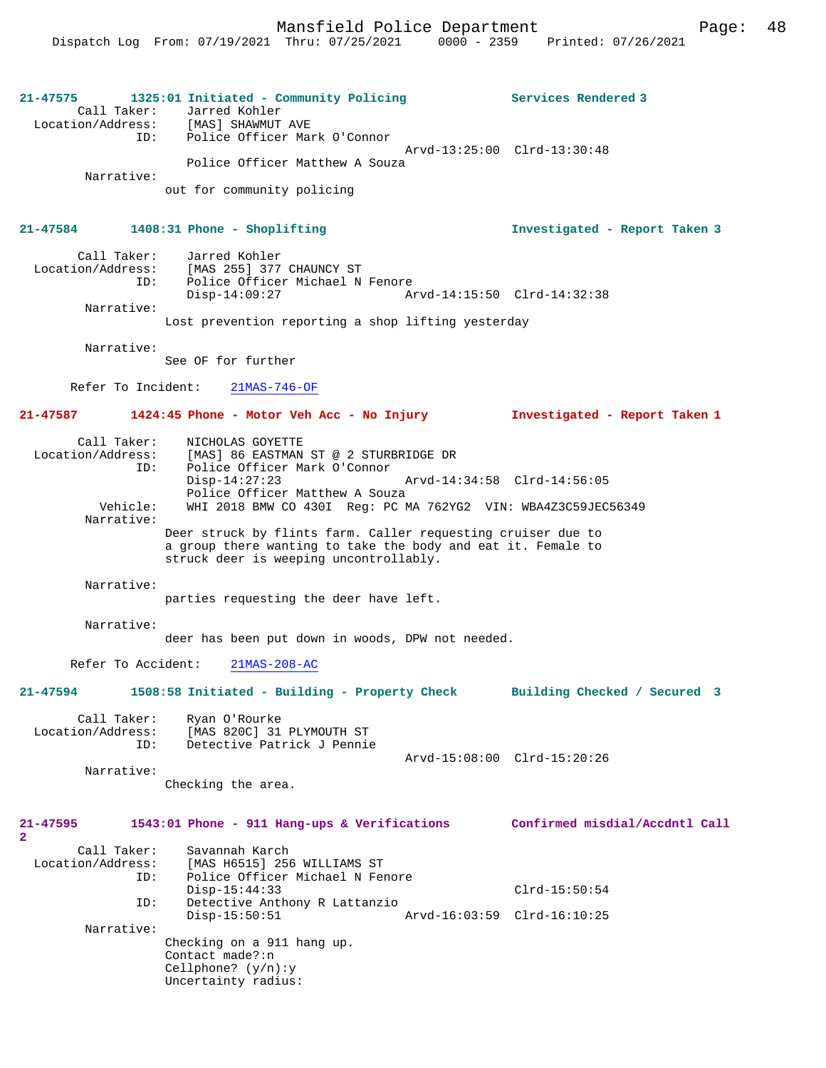| 21-47575<br>Call Taker:<br>ID:          | 1325:01 Initiated - Community Policing<br>Jarred Kohler<br>Location/Address: [MAS] SHAWMUT AVE<br>Police Officer Mark O'Connor                                         | Services Rendered 3           |
|-----------------------------------------|------------------------------------------------------------------------------------------------------------------------------------------------------------------------|-------------------------------|
|                                         | Police Officer Matthew A Souza                                                                                                                                         | Arvd-13:25:00 Clrd-13:30:48   |
| Narrative:                              | out for community policing                                                                                                                                             |                               |
| 21-47584                                | 1408:31 Phone - Shoplifting                                                                                                                                            | Investigated - Report Taken 3 |
| Call Taker:<br>ID:                      | Jarred Kohler<br>Location/Address: [MAS 255] 377 CHAUNCY ST<br>Police Officer Michael N Fenore<br>$Disp-14:09:27$                                                      | Arvd-14:15:50 Clrd-14:32:38   |
| Narrative:                              | Lost prevention reporting a shop lifting yesterday                                                                                                                     |                               |
| Narrative:                              | See OF for further                                                                                                                                                     |                               |
| Refer To Incident:                      | $21MAS-746-OF$                                                                                                                                                         |                               |
| $21 - 47587$                            | 1424:45 Phone - Motor Veh Acc - No Injury                                                                                                                              | Investigated - Report Taken 1 |
| Call Taker:<br>Location/Address:<br>ID: | NICHOLAS GOYETTE<br>[MAS] 86 EASTMAN ST @ 2 STURBRIDGE DR<br>Police Officer Mark O'Connor<br>$Disp-14:27:23$                                                           | Arvd-14:34:58 Clrd-14:56:05   |
| Vehicle:<br>Narrative:                  | Police Officer Matthew A Souza<br>WHI 2018 BMW CO 430I Reg: PC MA 762YG2 VIN: WBA4Z3C59JEC56349                                                                        |                               |
|                                         | Deer struck by flints farm. Caller requesting cruiser due to<br>a group there wanting to take the body and eat it. Female to<br>struck deer is weeping uncontrollably. |                               |
| Narrative:                              | parties requesting the deer have left.                                                                                                                                 |                               |
| Narrative:                              | deer has been put down in woods, DPW not needed.                                                                                                                       |                               |
| Refer To Accident:                      | $21MAS-208-AC$                                                                                                                                                         |                               |
| 21-47594                                | 1508:58 Initiated - Building - Property Check                                                                                                                          | Building Checked / Secured    |
| Call Taker:<br>ID:                      | Ryan O'Rourke<br>Location/Address: [MAS 820C] 31 PLYMOUTH ST<br>Detective Patrick J Pennie                                                                             |                               |
| Narrative:                              |                                                                                                                                                                        | Arvd-15:08:00 Clrd-15:20:26   |
|                                         | Checking the area.                                                                                                                                                     |                               |
| 21-47595<br>$\mathbf{2}^{\circ}$        | 1543:01 Phone - 911 Hang-ups & Verifications Confirmed misdial/Accdntl Call                                                                                            |                               |
| Call Taker:<br>Location/Address:<br>ID: | Savannah Karch<br>[MAS H6515] 256 WILLIAMS ST<br>Police Officer Michael N Fenore                                                                                       |                               |
| ID:                                     | $Disp-15:44:33$<br>Detective Anthony R Lattanzio                                                                                                                       | $Clrd-15:50:54$               |
| Narrative:                              | $Disp-15:50:51$                                                                                                                                                        | Arvd-16:03:59 Clrd-16:10:25   |
|                                         | Checking on a 911 hang up.<br>Contact made?:n<br>Cellphone? $(y/n):y$<br>Uncertainty radius:                                                                           |                               |
|                                         |                                                                                                                                                                        |                               |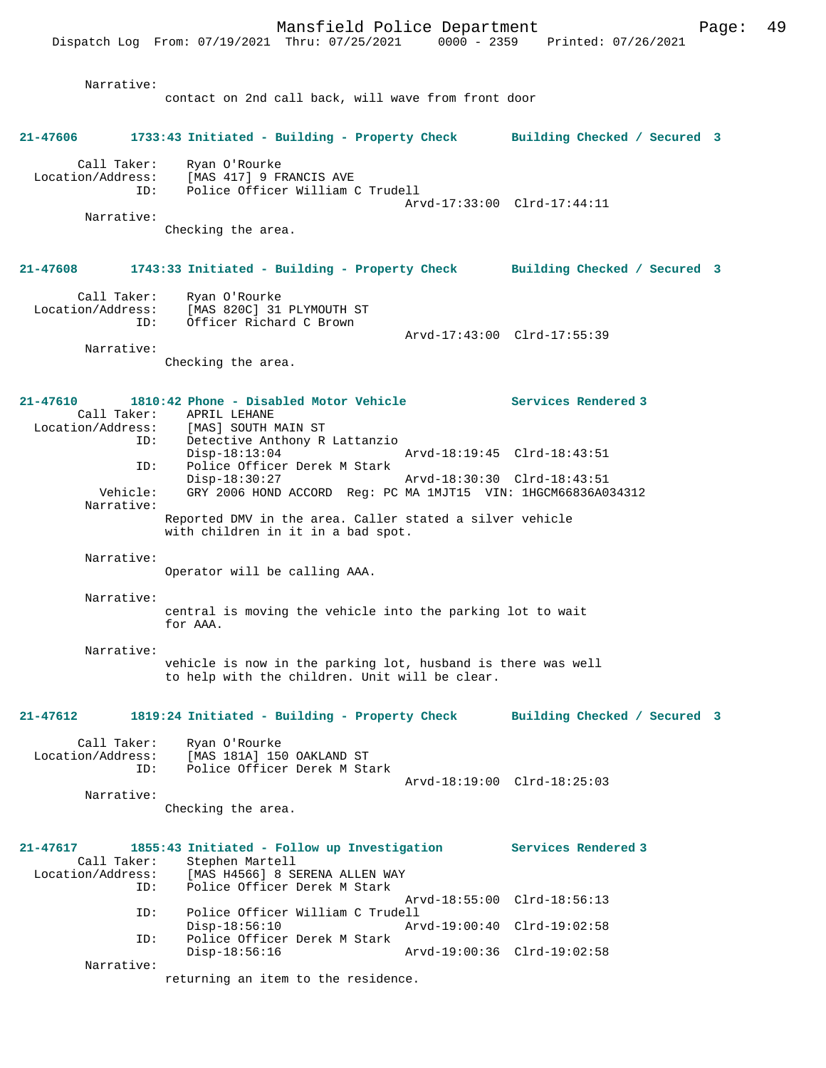|                                                     | Dispatch Log From: 07/19/2021 Thru: 07/25/2021 0000 - 2359 Printed: 07/26/2021                                                                                                                                                                                                             | Mansfield Police Department |                                                                                   | Page: | 49 |
|-----------------------------------------------------|--------------------------------------------------------------------------------------------------------------------------------------------------------------------------------------------------------------------------------------------------------------------------------------------|-----------------------------|-----------------------------------------------------------------------------------|-------|----|
| Narrative:                                          | contact on 2nd call back, will wave from front door                                                                                                                                                                                                                                        |                             |                                                                                   |       |    |
| 21-47606                                            | 1733:43 Initiated - Building - Property Check Building Checked / Secured 3                                                                                                                                                                                                                 |                             |                                                                                   |       |    |
| Call Taker:<br>Location/Address:<br>ID:             | Ryan O'Rourke<br>[MAS 417] 9 FRANCIS AVE<br>Police Officer William C Trudell                                                                                                                                                                                                               |                             | Arvd-17:33:00 Clrd-17:44:11                                                       |       |    |
| Narrative:                                          | Checking the area.                                                                                                                                                                                                                                                                         |                             |                                                                                   |       |    |
| 21-47608                                            | 1743:33 Initiated - Building - Property Check Building Checked / Secured 3                                                                                                                                                                                                                 |                             |                                                                                   |       |    |
| Call Taker:<br>ID:                                  | Ryan O'Rourke<br>Location/Address: [MAS 820C] 31 PLYMOUTH ST<br>Officer Richard C Brown                                                                                                                                                                                                    |                             | Arvd-17:43:00 Clrd-17:55:39                                                       |       |    |
| Narrative:                                          | Checking the area.                                                                                                                                                                                                                                                                         |                             |                                                                                   |       |    |
| 21-47610<br>ID:<br>Vehicle:                         | 1810:42 Phone - Disabled Motor Vehicle<br>Call Taker: APRIL LEHANE<br>Location/Address: [MAS] SOUTH MAIN ST<br>ID:<br>Detective Anthony R Lattanzio<br>$Disp-18:13:04$<br>Police Officer Derek M Stark<br>$Disp-18:30:27$<br>GRY 2006 HOND ACCORD Reg: PC MA 1MJT15 VIN: 1HGCM66836A034312 |                             | Services Rendered 3<br>Arvd-18:19:45 Clrd-18:43:51<br>Arvd-18:30:30 Clrd-18:43:51 |       |    |
| Narrative:                                          | Reported DMV in the area. Caller stated a silver vehicle<br>with children in it in a bad spot.                                                                                                                                                                                             |                             |                                                                                   |       |    |
| Narrative:                                          | Operator will be calling AAA.                                                                                                                                                                                                                                                              |                             |                                                                                   |       |    |
| Narrative:                                          | central is moving the vehicle into the parking lot to wait<br>for AAA.                                                                                                                                                                                                                     |                             |                                                                                   |       |    |
| Narrative:                                          | vehicle is now in the parking lot, husband is there was well<br>to help with the children. Unit will be clear.                                                                                                                                                                             |                             |                                                                                   |       |    |
| 21-47612                                            | 1819:24 Initiated - Building - Property Check                                                                                                                                                                                                                                              |                             | Building Checked / Secured 3                                                      |       |    |
| Call Taker:<br>Location/Address:<br>ID:             | Ryan O'Rourke<br>[MAS 181A] 150 OAKLAND ST<br>Police Officer Derek M Stark                                                                                                                                                                                                                 |                             | Arvd-18:19:00 Clrd-18:25:03                                                       |       |    |
| Narrative:                                          | Checking the area.                                                                                                                                                                                                                                                                         |                             |                                                                                   |       |    |
| 21-47617<br>Call Taker:<br>Location/Address:<br>ID: | 1855:43 Initiated - Follow up Investigation<br>Stephen Martell<br>[MAS H4566] 8 SERENA ALLEN WAY<br>Police Officer Derek M Stark                                                                                                                                                           |                             | Services Rendered 3                                                               |       |    |
| ID:                                                 | Police Officer William C Trudell                                                                                                                                                                                                                                                           |                             | Arvd-18:55:00 Clrd-18:56:13                                                       |       |    |
| ID:                                                 | Disp-18:56:10<br>Police Officer Derek M Stark<br>$Disp-18:56:16$                                                                                                                                                                                                                           |                             | Arvd-19:00:40 Clrd-19:02:58<br>Arvd-19:00:36 Clrd-19:02:58                        |       |    |
| Narrative:                                          | returning an item to the residence.                                                                                                                                                                                                                                                        |                             |                                                                                   |       |    |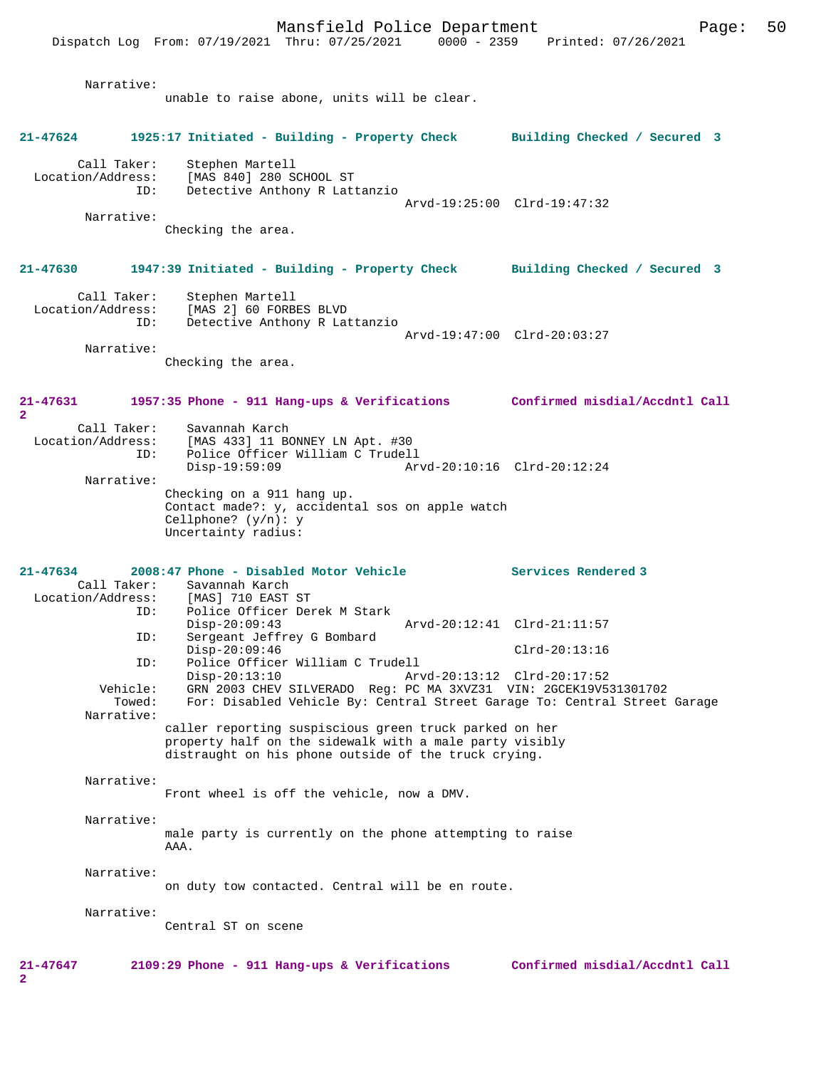Mansfield Police Department Page: 50 Dispatch Log From: 07/19/2021 Thru: 07/25/2021 Narrative: unable to raise abone, units will be clear. **21-47624 1925:17 Initiated - Building - Property Check Building Checked / Secured 3** Call Taker: Stephen Martell Location/Address: [MAS 840] 280 SCHOOL ST Detective Anthony R Lattanzio Arvd-19:25:00 Clrd-19:47:32 Narrative: Checking the area. **21-47630 1947:39 Initiated - Building - Property Check Building Checked / Secured 3** Call Taker: Stephen Martell Location/Address: [MAS 2] 60 FORBES BLVD ID: Detective Anthony R Lattanzio Arvd-19:47:00 Clrd-20:03:27 Narrative: Checking the area. **21-47631 1957:35 Phone - 911 Hang-ups & Verifications Confirmed misdial/Accdntl Call 2**  Call Taker: Savannah Karch<br>Location/Address: [MAS 433] 11 BO  $[MAS 433] 11 BONNET LN Apt. #30$  ID: Police Officer William C Trudell Disp-19:59:09 Arvd-20:10:16 Clrd-20:12:24 Narrative: Checking on a 911 hang up. Contact made?: y, accidental sos on apple watch Cellphone? (y/n): y Uncertainty radius: **21-47634 2008:47 Phone - Disabled Motor Vehicle Services Rendered 3**  Call Taker: Savannah Karch<br>ion/Address: [MAS] 710 EAST ST Location/Address: ID: Police Officer Derek M Stark Disp-20:09:43 Arvd-20:12:41 Clrd-21:11:57 Sergeant Jeffrey G Bombard Disp-20:09:46 Clrd-20:13:16 ID: Police Officer William C Trudell Disp-20:13:10 Arvd-20:13:12 Clrd-20:17:52 Vehicle: GRN 2003 CHEV SILVERADO Reg: PC MA 3XVZ31 VIN: 2GCEK19V531301702<br>Towed: For: Disabled Vehicle By: Central Street Garage To: Central Street For: Disabled Vehicle By: Central Street Garage To: Central Street Garage Narrative: caller reporting suspiscious green truck parked on her property half on the sidewalk with a male party visibly distraught on his phone outside of the truck crying. Narrative: Front wheel is off the vehicle, now a DMV. Narrative: male party is currently on the phone attempting to raise AAA. Narrative: on duty tow contacted. Central will be en route. Narrative: Central ST on scene **21-47647 2109:29 Phone - 911 Hang-ups & Verifications Confirmed misdial/Accdntl Call 2**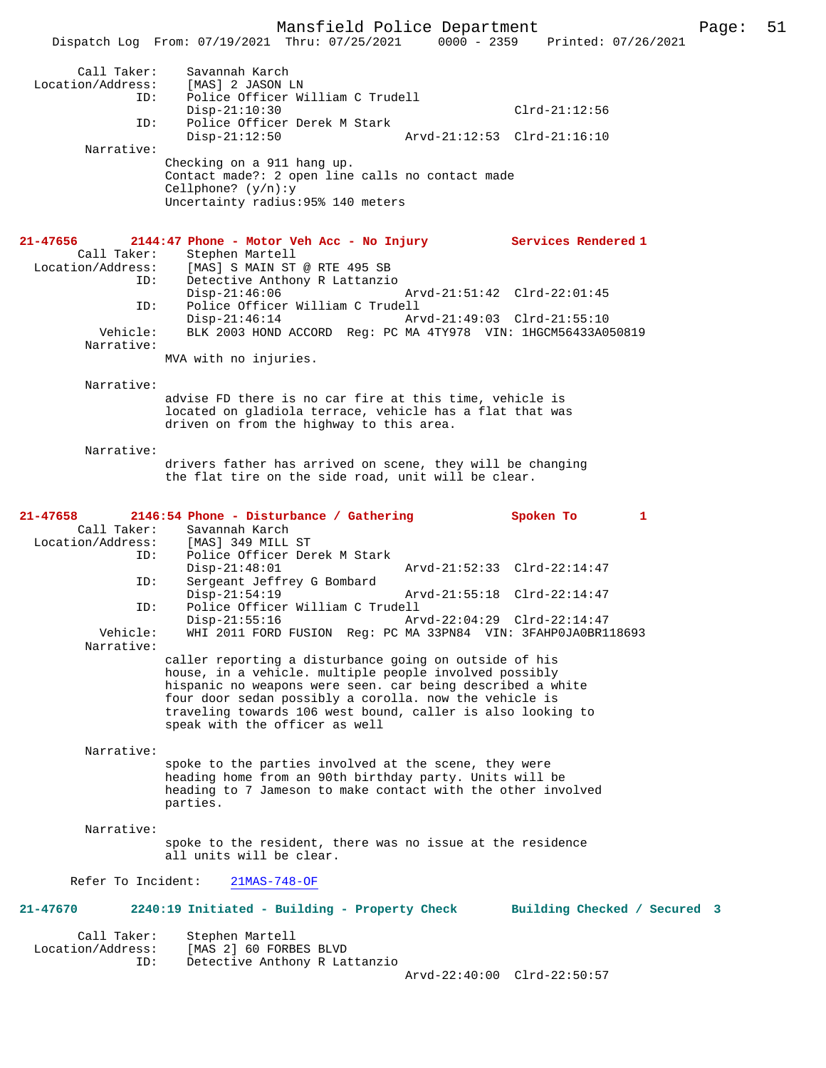|                                                                                                 | Dispatch Log From: 07/19/2021 Thru: 07/25/2021 0000 - 2359 Printed: 07/26/2021               |                                          |                                                                                                                                                                                                                                               |                                                                                              |              |
|-------------------------------------------------------------------------------------------------|----------------------------------------------------------------------------------------------|------------------------------------------|-----------------------------------------------------------------------------------------------------------------------------------------------------------------------------------------------------------------------------------------------|----------------------------------------------------------------------------------------------|--------------|
| Call Taker:<br>Location/Address: [MAS] 2 JASON LN<br>ID:                                        | Savannah Karch                                                                               | Police Officer William C Trudell         |                                                                                                                                                                                                                                               |                                                                                              |              |
|                                                                                                 | $Disp-21:10:30$                                                                              |                                          |                                                                                                                                                                                                                                               | $Clrd-21:12:56$                                                                              |              |
| ID:                                                                                             | $Disp-21:12:50$                                                                              | Police Officer Derek M Stark             | Arvd-21:12:53 Clrd-21:16:10                                                                                                                                                                                                                   |                                                                                              |              |
| Narrative:                                                                                      | Checking on a 911 hang up.<br>Cellphone? $(y/n):y$                                           |                                          | Contact made?: 2 open line calls no contact made                                                                                                                                                                                              |                                                                                              |              |
|                                                                                                 |                                                                                              | Uncertainty radius: 95% 140 meters       |                                                                                                                                                                                                                                               |                                                                                              |              |
| 21-47656<br>Location/Address: [MAS] S MAIN ST @ RTE 495 SB<br>ID: Detective Anthony R Lattanzio | 2144:47 Phone - Motor Veh Acc - No Injury Services Rendered 1<br>Call Taker: Stephen Martell | Detective Anthony R Lattanzio            |                                                                                                                                                                                                                                               |                                                                                              |              |
| ID:                                                                                             | $Disp-21:46:06$                                                                              | Police Officer William C Trudell         |                                                                                                                                                                                                                                               | Arvd-21:51:42 Clrd-22:01:45                                                                  |              |
| Vehicle:                                                                                        | Disp-21:46:14                                                                                |                                          | Arvd-21:49:03 Clrd-21:55:10                                                                                                                                                                                                                   | BLK 2003 HOND ACCORD Reg: PC MA 4TY978 VIN: 1HGCM56433A050819                                |              |
| Narrative:                                                                                      | MVA with no injuries.                                                                        |                                          |                                                                                                                                                                                                                                               |                                                                                              |              |
| Narrative:                                                                                      |                                                                                              |                                          |                                                                                                                                                                                                                                               |                                                                                              |              |
|                                                                                                 |                                                                                              | driven on from the highway to this area. | advise FD there is no car fire at this time, vehicle is<br>located on gladiola terrace, vehicle has a flat that was                                                                                                                           |                                                                                              |              |
| Narrative:                                                                                      |                                                                                              |                                          | drivers father has arrived on scene, they will be changing<br>the flat tire on the side road, unit will be clear.                                                                                                                             |                                                                                              |              |
| 21-47658                                                                                        | 2146:54 Phone - Disturbance / Gathering                                                      |                                          |                                                                                                                                                                                                                                               | Spoken To                                                                                    | $\mathbf{1}$ |
| Location/Address: [MAS] 349 MILL ST<br>TD: Police Officer De<br>ID:                             | Call Taker: Savannah Karch                                                                   | Police Officer Derek M Stark             |                                                                                                                                                                                                                                               |                                                                                              |              |
| ID:                                                                                             | $Disp-21:48:01$                                                                              | Sergeant Jeffrey G Bombard               |                                                                                                                                                                                                                                               | Arvd-21:52:33 Clrd-22:14:47                                                                  |              |
| ID:                                                                                             | $Disp-21:54:19$                                                                              | Police Officer William C Trudell         |                                                                                                                                                                                                                                               | Arvd-21:55:18 Clrd-22:14:47                                                                  |              |
| Vehicle:                                                                                        | $Disp-21:55:16$                                                                              |                                          |                                                                                                                                                                                                                                               | Arvd-22:04:29 Clrd-22:14:47<br>WHI 2011 FORD FUSION Reg: PC MA 33PN84 VIN: 3FAHP0JA0BR118693 |              |
| Narrative:                                                                                      |                                                                                              |                                          | caller reporting a disturbance going on outside of his                                                                                                                                                                                        |                                                                                              |              |
|                                                                                                 | speak with the officer as well                                                               |                                          | house, in a vehicle. multiple people involved possibly<br>hispanic no weapons were seen. car being described a white<br>four door sedan possibly a corolla. now the vehicle is<br>traveling towards 106 west bound, caller is also looking to |                                                                                              |              |
| Narrative:                                                                                      |                                                                                              |                                          | spoke to the parties involved at the scene, they were                                                                                                                                                                                         |                                                                                              |              |
|                                                                                                 | parties.                                                                                     |                                          | heading home from an 90th birthday party. Units will be<br>heading to 7 Jameson to make contact with the other involved                                                                                                                       |                                                                                              |              |
| Narrative:                                                                                      | all units will be clear.                                                                     |                                          | spoke to the resident, there was no issue at the residence                                                                                                                                                                                    |                                                                                              |              |
| Refer To Incident:                                                                              | $21MAS-748-OF$                                                                               |                                          |                                                                                                                                                                                                                                               |                                                                                              |              |
| 21-47670                                                                                        | 2240:19 Initiated - Building - Property Check                                                |                                          |                                                                                                                                                                                                                                               | Building Checked / Secured 3                                                                 |              |
| Call Taker:<br>Location/Address:<br>ID:                                                         | Stephen Martell<br>[MAS 2] 60 FORBES BLVD                                                    | Detective Anthony R Lattanzio            |                                                                                                                                                                                                                                               |                                                                                              |              |
|                                                                                                 |                                                                                              |                                          |                                                                                                                                                                                                                                               | Arvd-22:40:00 Clrd-22:50:57                                                                  |              |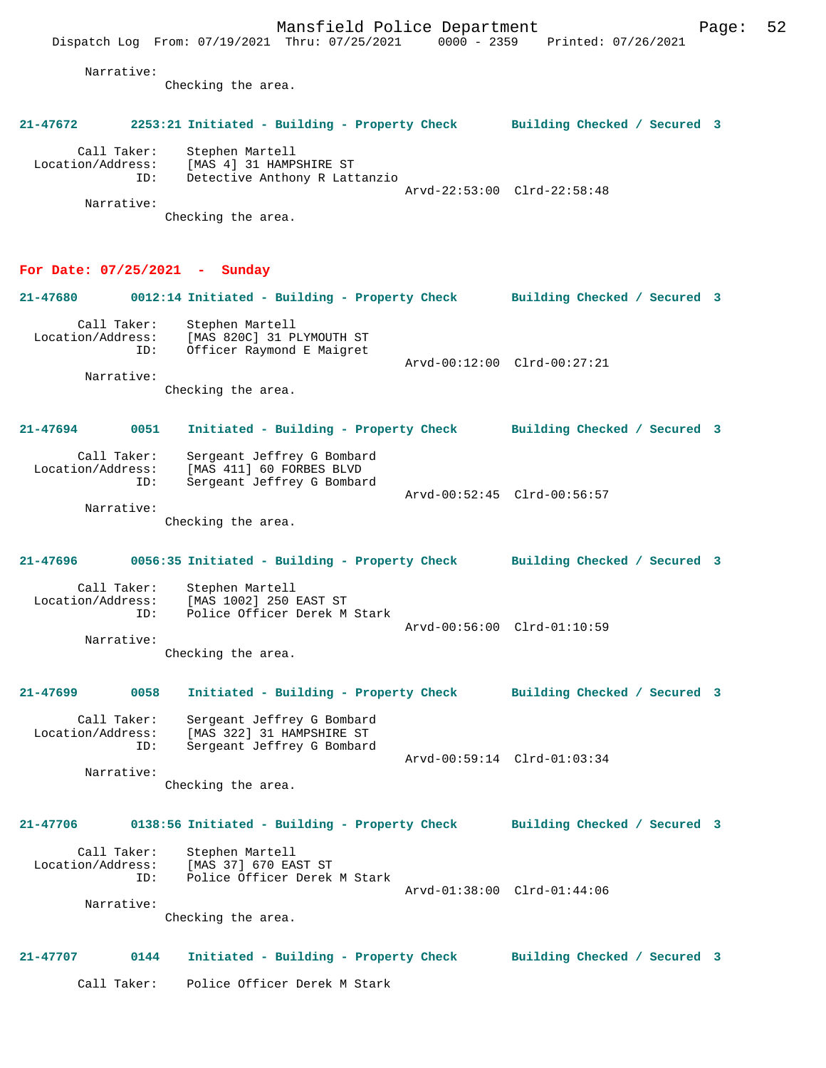Narrative:

Checking the area.

# Call Taker: Stephen Martell<br>Location/Address: [MAS 4] 31 HAMP, [MAS 4] 31 HAMPSHIRE ST ID: Detective Anthony R Lattanzio Arvd-22:53:00 Clrd-22:58:48 Narrative: Checking the area. **For Date: 07/25/2021 - Sunday 21-47680 0012:14 Initiated - Building - Property Check Building Checked / Secured 3** Call Taker: Stephen Martell Location/Address: [MAS 820C] 31 PLYMOUTH ST<br>ID: Officer Raymond E Maigret Officer Raymond E Maigret Arvd-00:12:00 Clrd-00:27:21

**21-47672 2253:21 Initiated - Building - Property Check Building Checked / Secured 3**

Narrative:

Narrative:

Narrative:

Checking the area.

**21-47694 0051 Initiated - Building - Property Check Building Checked / Secured 3** Call Taker: Sergeant Jeffrey G Bombard<br>Location/Address: [MAS 411] 60 FORBES BLVD [MAS 411] 60 FORBES BLVD ID: Sergeant Jeffrey G Bombard Arvd-00:52:45 Clrd-00:56:57 Narrative:

Checking the area.

**21-47696 0056:35 Initiated - Building - Property Check Building Checked / Secured 3** Call Taker: Stephen Martell<br>Location/Address: [MAS 1002] 250 ess: [MAS 1002] 250 EAST ST<br>ID: Police Officer Derek M Police Officer Derek M Stark Arvd-00:56:00 Clrd-01:10:59 Narrative:

Checking the area.

**21-47699 0058 Initiated - Building - Property Check Building Checked / Secured 3** Call Taker: Sergeant Jeffrey G Bombard<br>Location/Address: [MAS 322] 31 HAMPSHIRE ST [MAS 322] 31 HAMPSHIRE ST ID: Sergeant Jeffrey G Bombard Arvd-00:59:14 Clrd-01:03:34

Checking the area.

### **21-47706 0138:56 Initiated - Building - Property Check Building Checked / Secured 3**

Call Taker: Stephen Martell<br>Location/Address: [MAS 37] 670 EA: [MAS 37] 670 EAST ST ID: Police Officer Derek M Stark Arvd-01:38:00 Clrd-01:44:06

Checking the area.

#### **21-47707 0144 Initiated - Building - Property Check Building Checked / Secured 3**

Call Taker: Police Officer Derek M Stark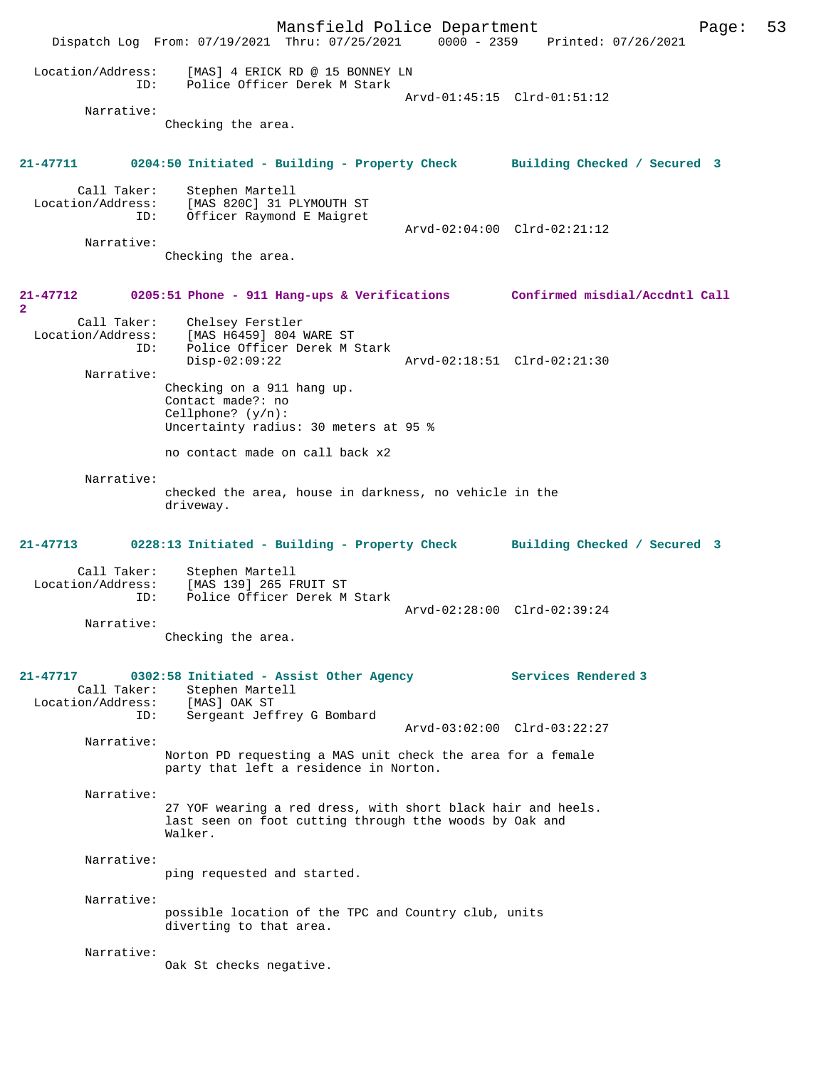Mansfield Police Department Page: 53 Dispatch Log From: 07/19/2021 Thru: 07/25/2021 0000 - 2359 Printed: 07/26/2021 Location/Address: [MAS] 4 ERICK RD @ 15 BONNEY LN ID: Police Officer Derek M Stark Arvd-01:45:15 Clrd-01:51:12 Narrative: Checking the area. **21-47711 0204:50 Initiated - Building - Property Check Building Checked / Secured 3** Call Taker: Stephen Martell Location/Address: [MAS 820C] 31 PLYMOUTH ST ID: Officer Raymond E Maigret Arvd-02:04:00 Clrd-02:21:12 Narrative: Checking the area. **21-47712 0205:51 Phone - 911 Hang-ups & Verifications Confirmed misdial/Accdntl Call 2**  Call Taker: Chelsey Ferstler<br>Location/Address: [MAS H6459] 804 1 ess: [MAS H6459] 804 WARE ST<br>TD: Police Officer Derek M.S Police Officer Derek M Stark<br>Disp-02:09:22 Disp-02:09:22 Arvd-02:18:51 Clrd-02:21:30 Narrative: Checking on a 911 hang up. Contact made?: no Cellphone? (y/n): Uncertainty radius: 30 meters at 95 % no contact made on call back x2 Narrative: checked the area, house in darkness, no vehicle in the driveway. **21-47713 0228:13 Initiated - Building - Property Check Building Checked / Secured 3** Call Taker: Stephen Martell<br>Location/Address: [MAS 139] 265 F ess: [MAS 139] 265 FRUIT ST<br>ID: Police Officer Derek M Police Officer Derek M Stark Arvd-02:28:00 Clrd-02:39:24 Narrative: Checking the area. **21-47717 0302:58 Initiated - Assist Other Agency Services Rendered 3**  Call Taker: Stephen Martell Location/Address: [MAS] OAK ST ID: Sergeant Jeffrey G Bombard Arvd-03:02:00 Clrd-03:22:27 Narrative: Norton PD requesting a MAS unit check the area for a female party that left a residence in Norton. Narrative: 27 YOF wearing a red dress, with short black hair and heels. last seen on foot cutting through tthe woods by Oak and Walker. Narrative: ping requested and started. Narrative: possible location of the TPC and Country club, units diverting to that area. Narrative: Oak St checks negative.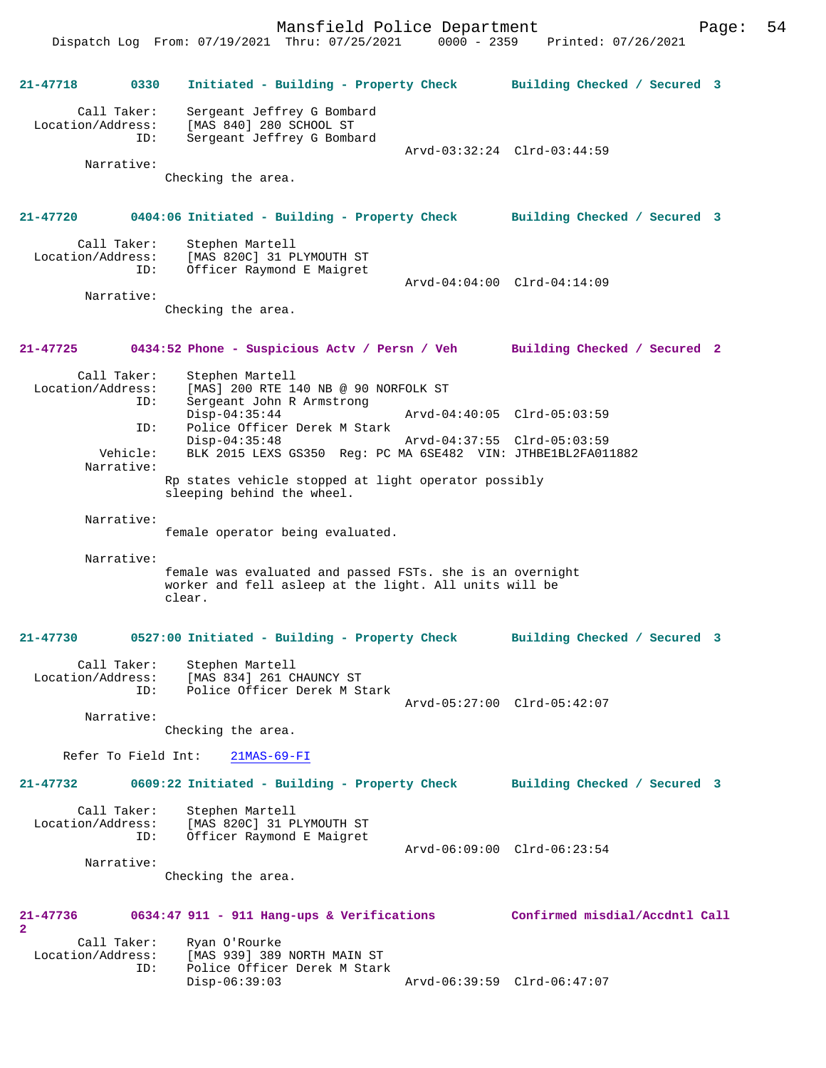Mansfield Police Department Page: 54 Dispatch Log From: 07/19/2021 Thru: 07/25/2021 **21-47718 0330 Initiated - Building - Property Check Building Checked / Secured 3** Call Taker: Sergeant Jeffrey G Bombard

 Location/Address: [MAS 840] 280 SCHOOL ST ID: Sergeant Jeffrey G Bombard

Arvd-03:32:24 Clrd-03:44:59

Checking the area.

#### **21-47720 0404:06 Initiated - Building - Property Check Building Checked / Secured 3**

| Call Taker:<br>Location/Address:<br>ID: | Stephen Martell<br>[MAS 820C] 31 PLYMOUTH ST<br>Officer Raymond E Maigret |                             |  |
|-----------------------------------------|---------------------------------------------------------------------------|-----------------------------|--|
|                                         |                                                                           | Arvd-04:04:00 Clrd-04:14:09 |  |
| Narrative:                              |                                                                           |                             |  |

Checking the area.

### **21-47725 0434:52 Phone - Suspicious Actv / Persn / Veh Building Checked / Secured 2**

Call Taker: Stephen Martell<br>Location/Address: [MAS] 200 RTE 1 ess: [MAS] 200 RTE 140 NB @ 90 NORFOLK ST<br>ID: Sergeant John R Armstrong Sergeant John R Armstrong<br>Disp-04:35:44 Disp-04:35:44 Arvd-04:40:05 Clrd-05:03:59<br>ID: Police Officer Derek M Stark Police Officer Derek M Stark Disp-04:35:48 Arvd-04:37:55 Clrd-05:03:59 Vehicle: BLK 2015 LEXS GS350 Reg: PC MA 6SE482 VIN: JTHBE1BL2FA011882 Narrative: Rp states vehicle stopped at light operator possibly

sleeping behind the wheel.

Narrative:

Narrative:

female operator being evaluated.

 Narrative: female was evaluated and passed FSTs. she is an overnight worker and fell asleep at the light. All units will be clear.

## **21-47730 0527:00 Initiated - Building - Property Check Building Checked / Secured 3**

| Call Taker:       | Stephen Martell              |                             |  |
|-------------------|------------------------------|-----------------------------|--|
| Location/Address: | [MAS 834] 261 CHAUNCY ST     |                             |  |
| TD:               | Police Officer Derek M Stark |                             |  |
|                   |                              | Arvd-05:27:00 Clrd-05:42:07 |  |

Narrative:

**2** 

Checking the area.

Refer To Field Int: 21MAS-69-FI

**21-47732 0609:22 Initiated - Building - Property Check Building Checked / Secured 3**

| Call Taker:<br>Location/Address:<br>ID: | Stephen Martell<br>[MAS 820C] 31 PLYMOUTH ST<br>Officer Raymond E Maigret |                             |  |
|-----------------------------------------|---------------------------------------------------------------------------|-----------------------------|--|
|                                         |                                                                           | Arvd-06:09:00 Clrd-06:23:54 |  |
| Narrative:                              |                                                                           |                             |  |

Checking the area.

#### **21-47736 0634:47 911 - 911 Hang-ups & Verifications Confirmed misdial/Accdntl Call**

| Call Taker:       | Ryan O'Rourke                |                             |  |
|-------------------|------------------------------|-----------------------------|--|
| Location/Address: | [MAS 939] 389 NORTH MAIN ST  |                             |  |
| TD:               | Police Officer Derek M Stark |                             |  |
|                   | Disp-06:39:03                | Arvd-06:39:59 Clrd-06:47:07 |  |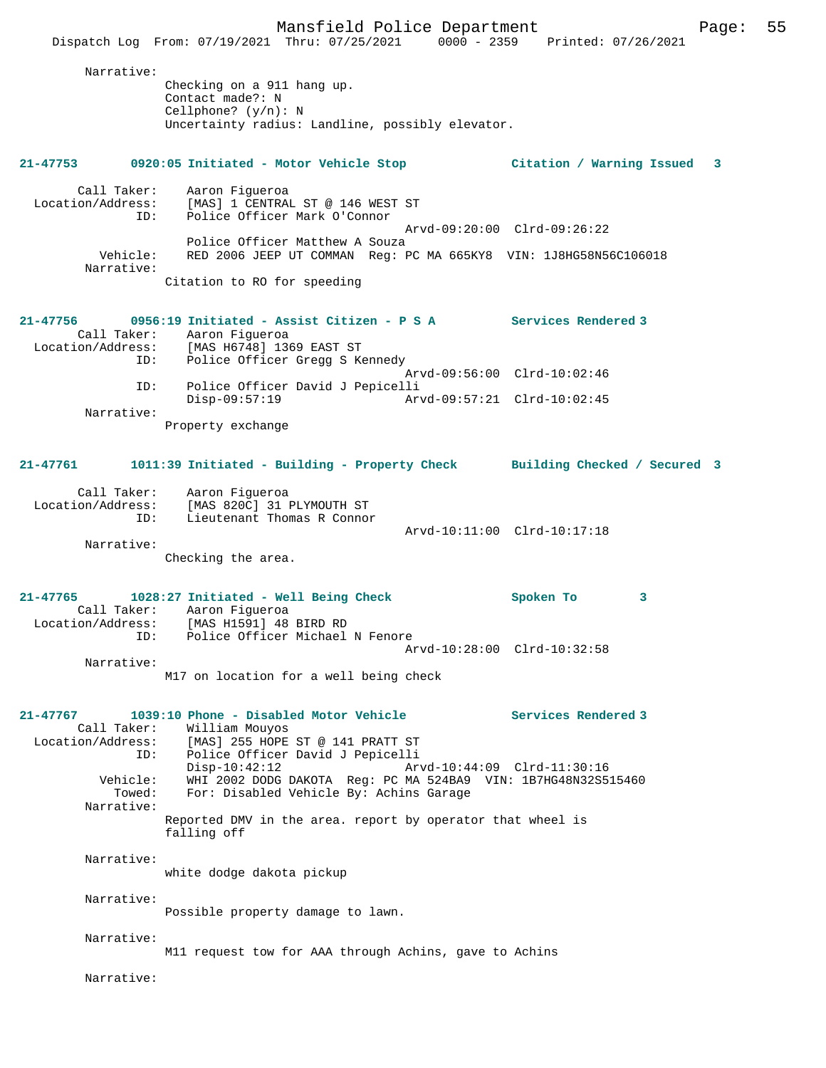Mansfield Police Department Form Page: 55 Dispatch Log From: 07/19/2021 Thru: 07/25/2021 0000 - 2359 Printed: 07/26/2021 Narrative: Checking on a 911 hang up. Contact made?: N Cellphone? (y/n): N Uncertainty radius: Landline, possibly elevator. **21-47753 0920:05 Initiated - Motor Vehicle Stop Citation / Warning Issued 3** Call Taker: Aaron Figueroa Location/Address: [MAS] 1 CENTRAL ST @ 146 WEST ST ID: Police Officer Mark O'Connor Arvd-09:20:00 Clrd-09:26:22 Police Officer Matthew A Souza Vehicle: RED 2006 JEEP UT COMMAN Reg: PC MA 665KY8 VIN: 1J8HG58N56C106018 Narrative: Citation to RO for speeding **21-47756 0956:19 Initiated - Assist Citizen - P S A Services Rendered 3**  Call Taker: Aaron Figueroa Location/Address: [MAS H6748] 1369 EAST ST<br>ID: Police Officer Gregg S K Police Officer Gregg S Kennedy Arvd-09:56:00 Clrd-10:02:46 ID: Police Officer David J Pepicelli Disp-09:57:19 Arvd-09:57:21 Clrd-10:02:45 Narrative: Property exchange **21-47761 1011:39 Initiated - Building - Property Check Building Checked / Secured 3** Call Taker: Aaron Figueroa Location/Address: [MAS 820C] 31 PLYMOUTH ST ID: Lieutenant Thomas R Connor Arvd-10:11:00 Clrd-10:17:18 Narrative: Checking the area. **21-47765 1028:27 Initiated - Well Being Check Spoken To 3**  Call Taker: Aaron Figueroa Location/Address: [MAS H1591] 48 BIRD RD ID: Police Officer Michael N Fenore Arvd-10:28:00 Clrd-10:32:58 Narrative: M17 on location for a well being check **21-47767 1039:10 Phone - Disabled Motor Vehicle Services Rendered 3**  Call Taker: William Mouyos<br>Location/Address: [MAS] 255 HOPE ess: [MAS] 255 HOPE ST @ 141 PRATT ST<br>ID: Police Officer David J Pepicelli Police Officer David J Pepicelli Disp-10:42:12 Arvd-10:44:09 Clrd-11:30:16 Vehicle: WHI 2002 DODG DAKOTA Reg: PC MA 524BA9 VIN: 1B7HG48N32S515460 Towed: For: Disabled Vehicle By: Achins Garage Narrative: Reported DMV in the area. report by operator that wheel is falling off Narrative: white dodge dakota pickup Narrative: Possible property damage to lawn. Narrative: M11 request tow for AAA through Achins, gave to Achins Narrative: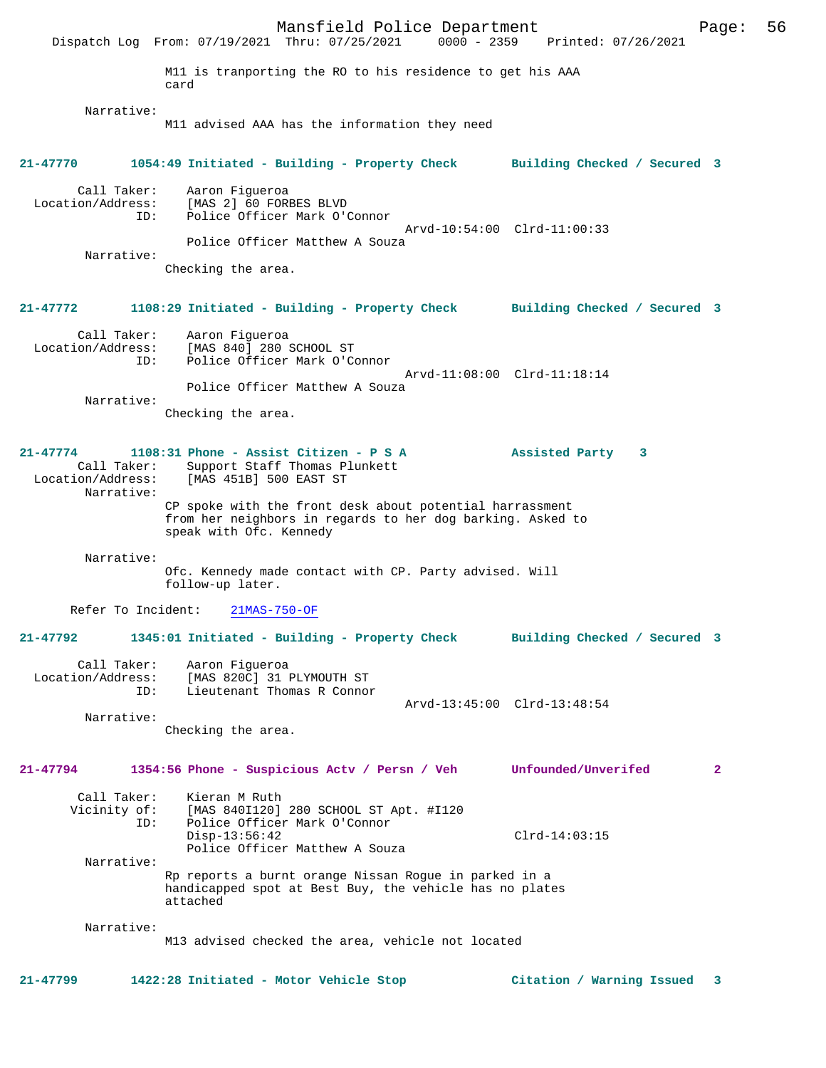Mansfield Police Department Page: 56 Dispatch Log From: 07/19/2021 Thru: 07/25/2021 M11 is tranporting the RO to his residence to get his AAA card Narrative: M11 advised AAA has the information they need **21-47770 1054:49 Initiated - Building - Property Check Building Checked / Secured 3** Call Taker: Aaron Figueroa<br>Location/Address: [MAS 2] 60 FOR ess: [MAS 2] 60 FORBES BLVD<br>ID: Police Officer Mark O'O Police Officer Mark O'Connor Arvd-10:54:00 Clrd-11:00:33 Police Officer Matthew A Souza Narrative: Checking the area. **21-47772 1108:29 Initiated - Building - Property Check Building Checked / Secured 3** Call Taker: Aaron Figueroa<br>Location/Address: [MAS 840] 280 9 ess: [MAS 840] 280 SCHOOL ST<br>ID: Police Officer Mark O'Co Police Officer Mark O'Connor Arvd-11:08:00 Clrd-11:18:14 Police Officer Matthew A Souza Narrative: Checking the area. **21-47774 1108:31 Phone - Assist Citizen - P S A Assisted Party 3**  Call Taker: Support Staff Thomas Plunkett<br>Location/Address: [MAS 451B] 500 EAST ST [MAS 451B] 500 EAST ST Narrative: CP spoke with the front desk about potential harrassment from her neighbors in regards to her dog barking. Asked to speak with Ofc. Kennedy Narrative: Ofc. Kennedy made contact with CP. Party advised. Will follow-up later. Refer To Incident: 21MAS-750-OF **21-47792 1345:01 Initiated - Building - Property Check Building Checked / Secured 3** Call Taker: Aaron Figueroa Location/Address: [MAS 820C] 31 PLYMOUTH ST<br>The Lieutepant Thomas R Connor Lieutenant Thomas R Connor Arvd-13:45:00 Clrd-13:48:54 Narrative: Checking the area. **21-47794 1354:56 Phone - Suspicious Actv / Persn / Veh Unfounded/Unverifed 2** Call Taker: Kieran M Ruth Vicinity of: [MAS 840I120] 280 SCHOOL ST Apt. #I120 ID: Police Officer Mark O'Connor Disp-13:56:42 Clrd-14:03:15 Police Officer Matthew A Souza Narrative: Rp reports a burnt orange Nissan Rogue in parked in a handicapped spot at Best Buy, the vehicle has no plates attached Narrative: M13 advised checked the area, vehicle not located **21-47799 1422:28 Initiated - Motor Vehicle Stop Citation / Warning Issued 3**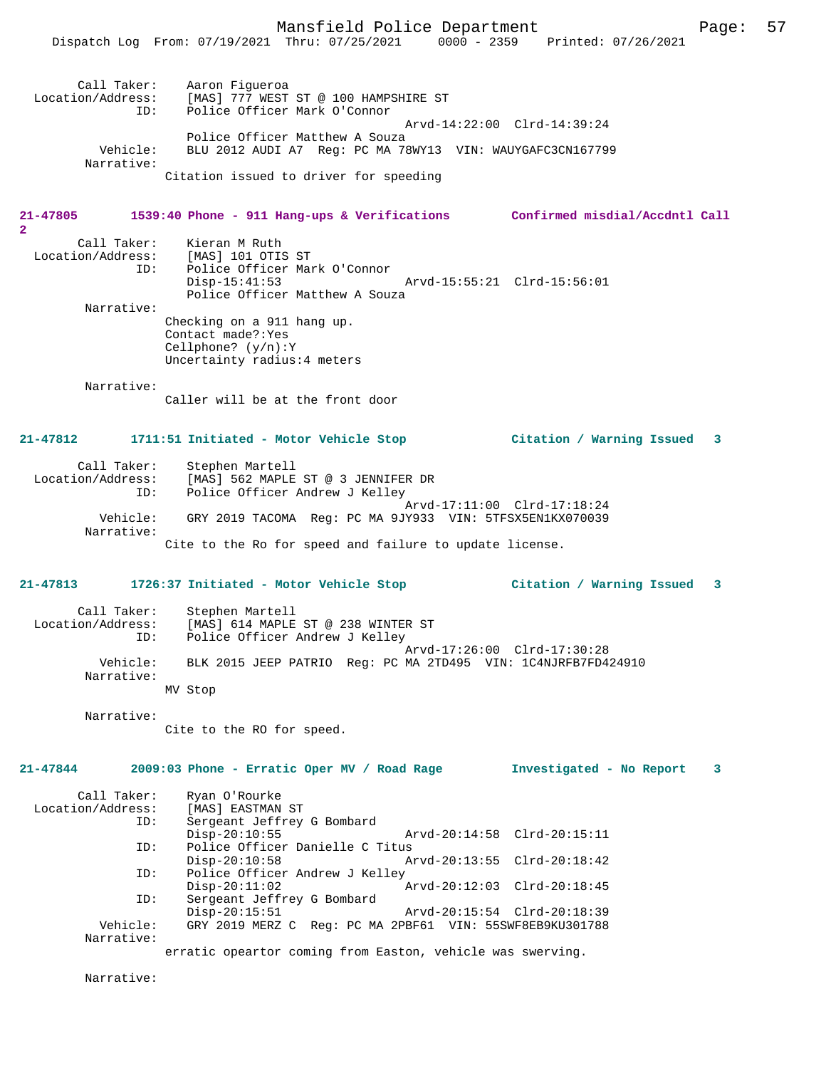Dispatch Log From: 07/19/2021 Thru: 07/25/2021 0000 - 2359 Printed: 07/26/2021

#### **21-47805 1539:40 Phone - 911 Hang-ups & Verifications Confirmed misdial/Accdntl Call**

| Call Taker:       | Kieran M Ruth                                    |                                |                             |  |
|-------------------|--------------------------------------------------|--------------------------------|-----------------------------|--|
| Location/Address: | [MAS] 101 OTIS ST                                |                                |                             |  |
| ID:               | Police Officer Mark O'Connor                     |                                |                             |  |
|                   | $Disp-15:41:53$                                  |                                | Arvd-15:55:21 Clrd-15:56:01 |  |
|                   |                                                  | Police Officer Matthew A Souza |                             |  |
| Narrative:        |                                                  |                                |                             |  |
|                   | Checking on a 911 hang up.<br>Contact made?: Yes |                                |                             |  |

Cellphone? (y/n):Y Uncertainty radius:4 meters

Narrative:

**2** 

Caller will be at the front door

### **21-47812 1711:51 Initiated - Motor Vehicle Stop Citation / Warning Issued 3**

| Call Taker:       | Stephen Martell                                          |
|-------------------|----------------------------------------------------------|
| Location/Address: | [MAS] 562 MAPLE ST @ 3 JENNIFER DR                       |
| ID:               | Police Officer Andrew J Kelley                           |
| Vehicle:          | Arvd-17:11:00 Clrd-17:18:24                              |
| Narrative:        | GRY 2019 TACOMA Req: PC MA 9JY933 VIN: 5TFSX5EN1KX070039 |
|                   | Cite to the Ro for speed and failure to update license.  |

#### **21-47813 1726:37 Initiated - Motor Vehicle Stop Citation / Warning Issued 3**

| Call Taker:            | Stephen Martell                                               |
|------------------------|---------------------------------------------------------------|
| Location/Address:      | [MAS] 614 MAPLE ST @ 238 WINTER ST                            |
| ID:                    | Police Officer Andrew J Kelley                                |
|                        | Arvd-17:26:00 Clrd-17:30:28                                   |
| Vehicle:<br>Narrative: | BLK 2015 JEEP PATRIO Req: PC MA 2TD495 VIN: 1C4NJRFB7FD424910 |
|                        | MV Stop                                                       |

Narrative:

Cite to the RO for speed.

# **21-47844 2009:03 Phone - Erratic Oper MV / Road Rage Investigated - No Report 3**

| Call Taker:       | Ryan O'Rourke                                              |                             |  |
|-------------------|------------------------------------------------------------|-----------------------------|--|
| Location/Address: | [MAS] EASTMAN ST                                           |                             |  |
| ID:               | Sergeant Jeffrey G Bombard                                 |                             |  |
|                   | $Disp-20:10:55$                                            | Arvd-20:14:58 Clrd-20:15:11 |  |
| ID:               | Police Officer Danielle C Titus                            |                             |  |
|                   | $Disp-20:10:58$                                            | Arvd-20:13:55 Clrd-20:18:42 |  |
| ID:               | Police Officer Andrew J Kelley                             |                             |  |
|                   | $Disp-20:11:02$                                            | Arvd-20:12:03 Clrd-20:18:45 |  |
| ID:               | Sergeant Jeffrey G Bombard                                 |                             |  |
|                   | $Disp-20:15:51$                                            | Arvd-20:15:54 Clrd-20:18:39 |  |
| Vehicle:          | GRY 2019 MERZ C Reg: PC MA 2PBF61 VIN: 55SWF8EB9KU301788   |                             |  |
| Narrative:        |                                                            |                             |  |
|                   | erratic opeartor coming from Easton, vehicle was swerving. |                             |  |
|                   |                                                            |                             |  |

Narrative: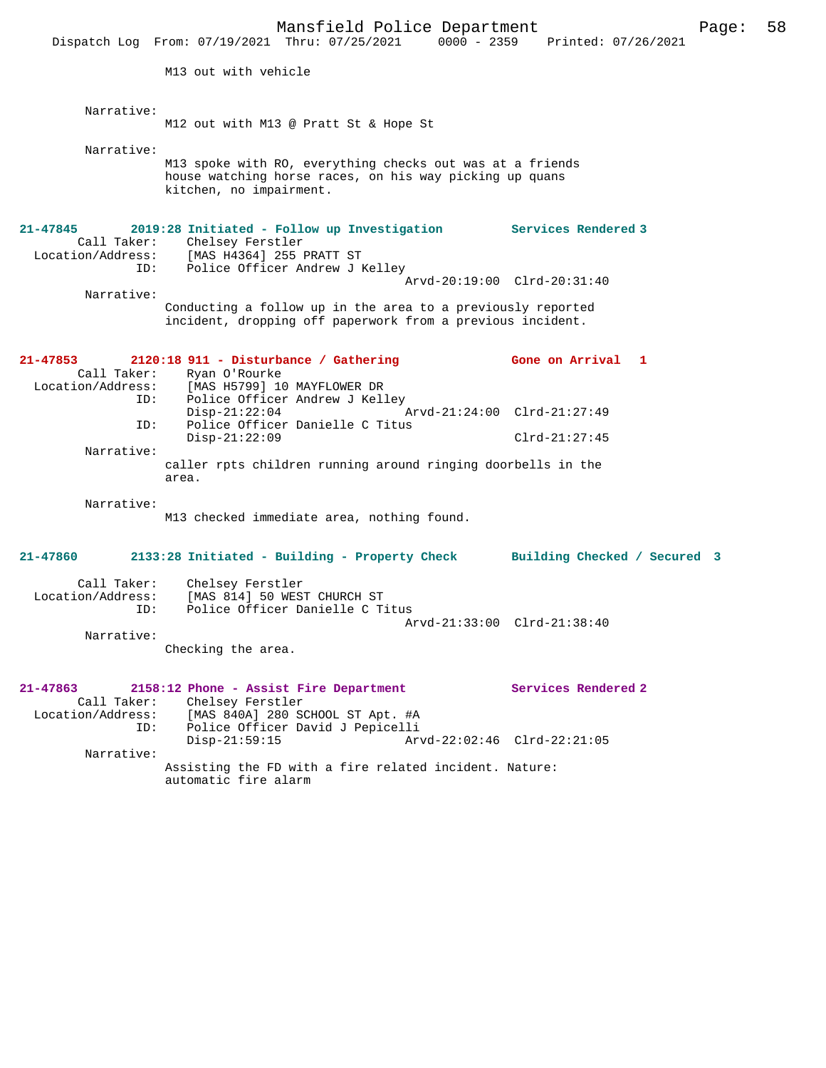Mansfield Police Department Form Page: 58 Dispatch Log From: 07/19/2021 Thru: 07/25/2021 0000 - 2359 Printed: 07/26/2021 M13 out with vehicle Narrative: M12 out with M13 @ Pratt St & Hope St Narrative: M13 spoke with RO, everything checks out was at a friends house watching horse races, on his way picking up quans kitchen, no impairment. **21-47845 2019:28 Initiated - Follow up Investigation Services Rendered 3**  Call Taker: Chelsey Ferstler Location/Address: [MAS H4364] 255 PRATT ST ID: Police Officer Andrew J Kelley Arvd-20:19:00 Clrd-20:31:40 Narrative: Conducting a follow up in the area to a previously reported incident, dropping off paperwork from a previous incident. **21-47853 2120:18 911 - Disturbance / Gathering Gone on Arrival 1**  Call Taker: Ryan O'Rourke<br>Location/Address: [MAS H5799] 1 [MAS H5799] 10 MAYFLOWER DR ID: Police Officer Andrew J Kelley Disp-21:22:04 Arvd-21:24:00 Clrd-21:27:49 ID: Police Officer Danielle C Titus Disp-21:22:09 Clrd-21:27:45 Narrative: caller rpts children running around ringing doorbells in the area. Narrative: M13 checked immediate area, nothing found. **21-47860 2133:28 Initiated - Building - Property Check Building Checked / Secured 3** Call Taker: Chelsey Ferstler Location/Address: [MAS 814] 50 WEST CHURCH ST ID: Police Officer Danielle C Titus Arvd-21:33:00 Clrd-21:38:40 Narrative: Checking the area. **21-47863 2158:12 Phone - Assist Fire Department Services Rendered 2**  Call Taker: Chelsey Ferstler<br>Location/Address: [MAS 840A] 280 S [MAS 840A] 280 SCHOOL ST Apt. #A ID: Police Officer David J Pepicelli Disp-21:59:15 Arvd-22:02:46 Clrd-22:21:05 Narrative: Assisting the FD with a fire related incident. Nature: automatic fire alarm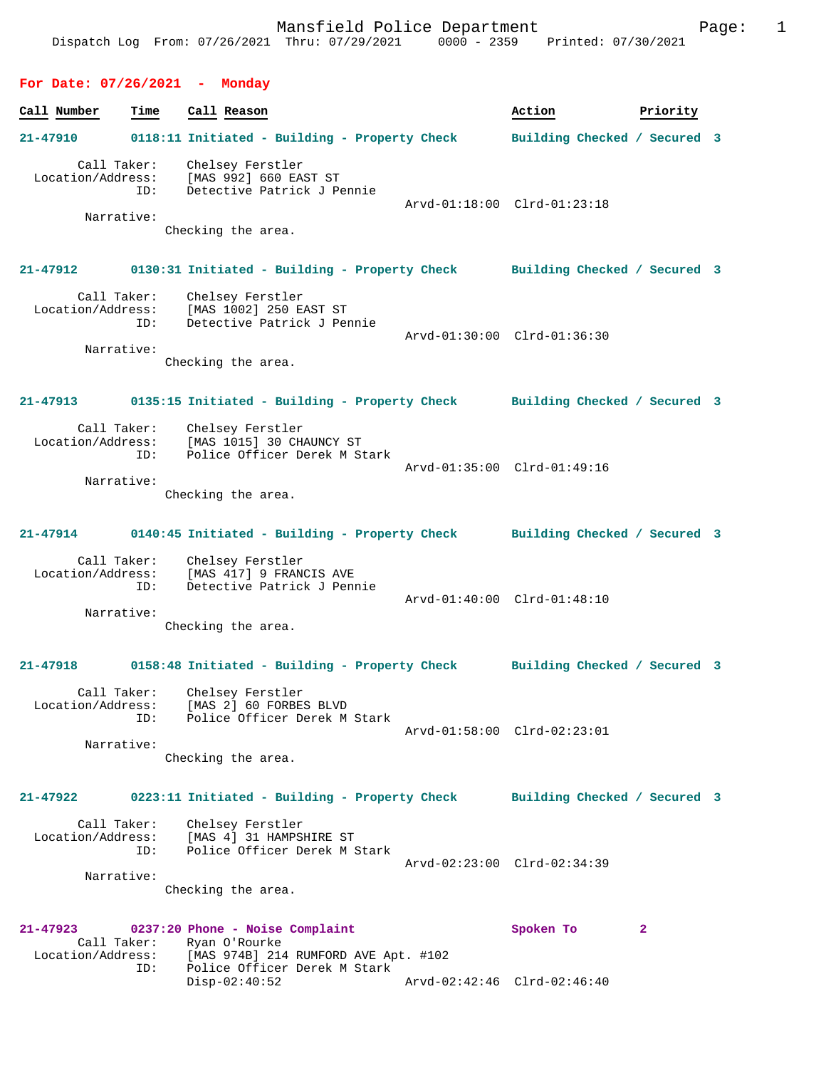# **For Date: 07/26/2021 - Monday**

| Call Number                   | Time                             | Call Reason                                                                                                              | Action                       | Priority     |
|-------------------------------|----------------------------------|--------------------------------------------------------------------------------------------------------------------------|------------------------------|--------------|
| 21-47910                      |                                  | 0118:11 Initiated - Building - Property Check Building Checked / Secured 3                                               |                              |              |
| Location/Address:             | Call Taker:<br>ID:               | Chelsey Ferstler<br>[MAS 992] 660 EAST ST<br>Detective Patrick J Pennie                                                  |                              |              |
|                               | Narrative:                       | Checking the area.                                                                                                       | Arvd-01:18:00 Clrd-01:23:18  |              |
| $21 - 47912$                  |                                  | 0130:31 Initiated - Building - Property Check Building Checked / Secured 3                                               |                              |              |
| Location/Address:             | Call Taker:<br>ID:               | Chelsey Ferstler<br>$[MAS 1002] 250 EAST STDetart:--$<br>Detective Patrick J Pennie                                      | Arvd-01:30:00 Clrd-01:36:30  |              |
|                               | Narrative:                       | Checking the area.                                                                                                       |                              |              |
| 21-47913                      |                                  | 0135:15 Initiated - Building - Property Check Building Checked / Secured 3                                               |                              |              |
| Location/Address:             | Call Taker:<br>ID:<br>Narrative: | Chelsey Ferstler<br>[MAS 1015] 30 CHAUNCY ST<br>Police Officer Derek M Stark                                             | Arvd-01:35:00 Clrd-01:49:16  |              |
|                               |                                  | Checking the area.                                                                                                       |                              |              |
| $21 - 47914$                  |                                  | 0140:45 Initiated - Building - Property Check Building Checked / Secured 3                                               |                              |              |
|                               | Call Taker:<br>ID:<br>Narrative: | Chelsey Ferstler<br>Location/Address: [MAS 417] 9 FRANCIS AVE<br>Detective Patrick J Pennie                              | Arvd-01:40:00 Clrd-01:48:10  |              |
|                               |                                  | Checking the area.                                                                                                       |                              |              |
| 21-47918                      |                                  | 0158:48 Initiated - Building - Property Check Building Checked / Secured 3                                               |                              |              |
| Location/Address:             | Call Taker:<br>ID:               | Chelsey Ferstler<br>[MAS 2] 60 FORBES BLVD<br>Police Officer Derek M Stark                                               | Arvd-01:58:00 Clrd-02:23:01  |              |
|                               | Narrative:                       | Checking the area.                                                                                                       |                              |              |
| $21 - 47922$                  |                                  | 0223:11 Initiated - Building - Property Check                                                                            | Building Checked / Secured 3 |              |
| Location/Address:             | Call Taker:<br>ID:               | Chelsey Ferstler<br>[MAS 4] 31 HAMPSHIRE ST<br>Police Officer Derek M Stark                                              |                              |              |
|                               | Narrative:                       | Checking the area.                                                                                                       | Arvd-02:23:00 Clrd-02:34:39  |              |
| 21-47923<br>Location/Address: | Call Taker:<br>ID:               | 0237:20 Phone - Noise Complaint<br>Ryan O'Rourke<br>[MAS 974B] 214 RUMFORD AVE Apt. #102<br>Police Officer Derek M Stark | Spoken To                    | $\mathbf{2}$ |

Disp-02:40:52 Arvd-02:42:46 Clrd-02:46:40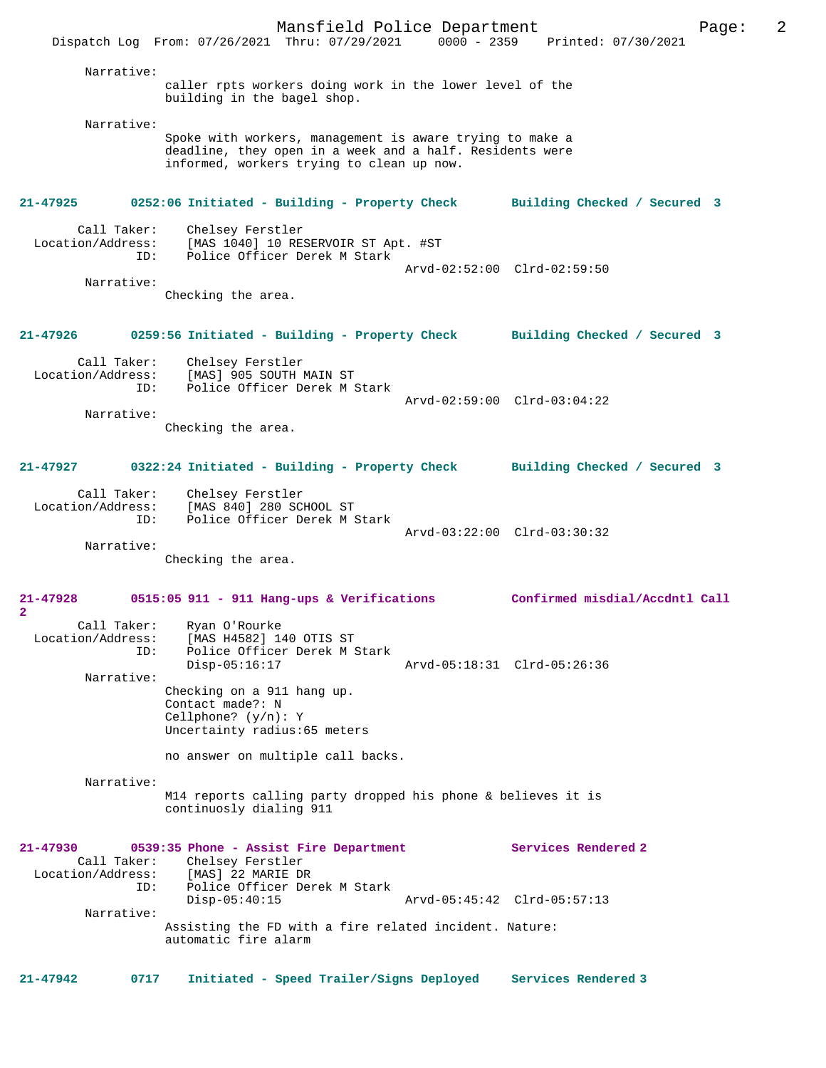Mansfield Police Department Page: 2 Dispatch Log From: 07/26/2021 Thru: 07/29/2021 Narrative: caller rpts workers doing work in the lower level of the building in the bagel shop. Narrative: Spoke with workers, management is aware trying to make a deadline, they open in a week and a half. Residents were informed, workers trying to clean up now. **21-47925 0252:06 Initiated - Building - Property Check Building Checked / Secured 3** Call Taker: Chelsey Ferstler<br>Location/Address: [MAS 1040] 10 RE ess: [MAS 1040] 10 RESERVOIR ST Apt. #ST<br>ID: Police Officer Derek M Stark Police Officer Derek M Stark Arvd-02:52:00 Clrd-02:59:50 Narrative: Checking the area. **21-47926 0259:56 Initiated - Building - Property Check Building Checked / Secured 3** Call Taker: Chelsey Ferstler Location/Address: [MAS] 905 SOUTH MAIN ST ID: Police Officer Derek M Stark Arvd-02:59:00 Clrd-03:04:22 Narrative: Checking the area. **21-47927 0322:24 Initiated - Building - Property Check Building Checked / Secured 3** Call Taker: Chelsey Ferstler Location/Address: [MAS 840] 280 SCHOOL ST<br>TD: Police Officer Derek M S Police Officer Derek M Stark Arvd-03:22:00 Clrd-03:30:32 Narrative: Checking the area. **21-47928 0515:05 911 - 911 Hang-ups & Verifications Confirmed misdial/Accdntl Call 2**  Call Taker: Ryan O'Rourke Location/Address: [MAS H4582] 140 OTIS ST ID: Police Officer Derek M Stark<br>Disp-05:16:17 Disp-05:16:17 Arvd-05:18:31 Clrd-05:26:36 Narrative: Checking on a 911 hang up. Contact made?: N Cellphone? (y/n): Y Uncertainty radius:65 meters no answer on multiple call backs. Narrative: M14 reports calling party dropped his phone & believes it is continuosly dialing 911 **21-47930 0539:35 Phone - Assist Fire Department Services Rendered 2**  Call Taker: Chelsey Ferstler Location/Address: [MAS] 22 MARIE DR ID: Police Officer Derek M Stark Arvd-05:45:42 Clrd-05:57:13 Narrative: Assisting the FD with a fire related incident. Nature: automatic fire alarm **21-47942 0717 Initiated - Speed Trailer/Signs Deployed Services Rendered 3**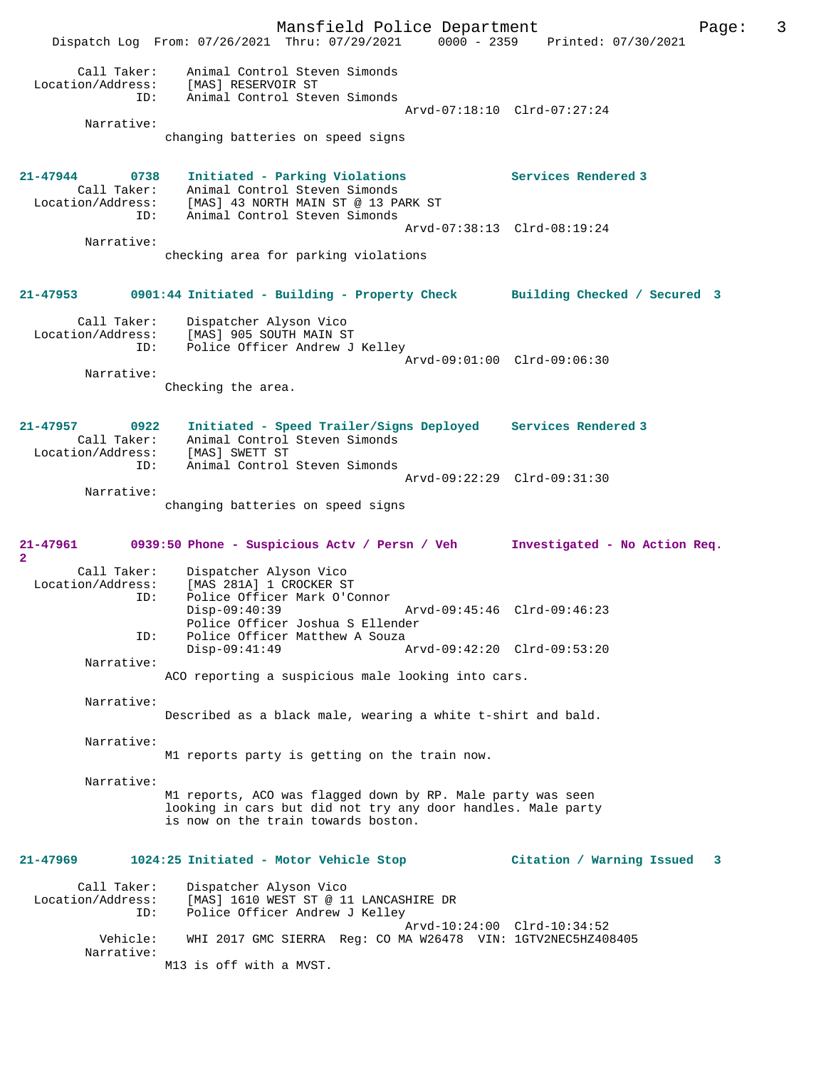Mansfield Police Department Page: 3 Dispatch Log From: 07/26/2021 Thru: 07/29/2021 0000 - 2359 Printed: 07/30/2021 Call Taker: Animal Control Steven Simonds<br>ion/Address: [MAS] RESERVOIR ST Location/Address: [MAS] RESERVOIR ST ID: Animal Control Steven Simonds Arvd-07:18:10 Clrd-07:27:24 Narrative: changing batteries on speed signs **21-47944 0738 Initiated - Parking Violations Services Rendered 3**  Call Taker: Animal Control Steven Simonds Location/Address: [MAS] 43 NORTH MAIN ST @ 13 PARK ST ID: Animal Control Steven Simonds Arvd-07:38:13 Clrd-08:19:24 Narrative: checking area for parking violations **21-47953 0901:44 Initiated - Building - Property Check Building Checked / Secured 3** Call Taker: Dispatcher Alyson Vico<br>Location/Address: [MAS] 905 SOUTH MAIN ST Location/Address: [MAS] 905 SOUTH MAIN ST ID: Police Officer Andrew J Kelley Arvd-09:01:00 Clrd-09:06:30 Narrative: Checking the area. **21-47957 0922 Initiated - Speed Trailer/Signs Deployed Services Rendered 3**  Animal Control Steven Simonds Call Taker. Animal Concrol<br>Location/Address: [MAS] SWETT ST ID: Animal Control Steven Simonds Arvd-09:22:29 Clrd-09:31:30 Narrative: changing batteries on speed signs **21-47961 0939:50 Phone - Suspicious Actv / Persn / Veh Investigated - No Action Req. 2**  Call Taker: Dispatcher Alyson Vico<br>Location/Address: [MAS 281A] 1 CROCKER ST ess: [MAS 281A] 1 CROCKER ST<br>ID: Police Officer Mark O'Co Police Officer Mark O'Connor Disp-09:40:39 Arvd-09:45:46 Clrd-09:46:23 Police Officer Joshua S Ellender<br>TD: Police Officer Matthew A Souza Police Officer Matthew A Souza<br>Disp-09:41:49 Disp-09:41:49 Arvd-09:42:20 Clrd-09:53:20 Narrative: ACO reporting a suspicious male looking into cars. Narrative: Described as a black male, wearing a white t-shirt and bald. Narrative: M1 reports party is getting on the train now. Narrative: M1 reports, ACO was flagged down by RP. Male party was seen looking in cars but did not try any door handles. Male party is now on the train towards boston. **21-47969 1024:25 Initiated - Motor Vehicle Stop Citation / Warning Issued 3** Call Taker: Dispatcher Alyson Vico Location/Address: [MAS] 1610 WEST ST @ 11 LANCASHIRE DR ID: Police Officer Andrew J Kelley Arvd-10:24:00 Clrd-10:34:52 Vehicle: WHI 2017 GMC SIERRA Reg: CO MA W26478 VIN: 1GTV2NEC5HZ408405 Narrative: M13 is off with a MVST.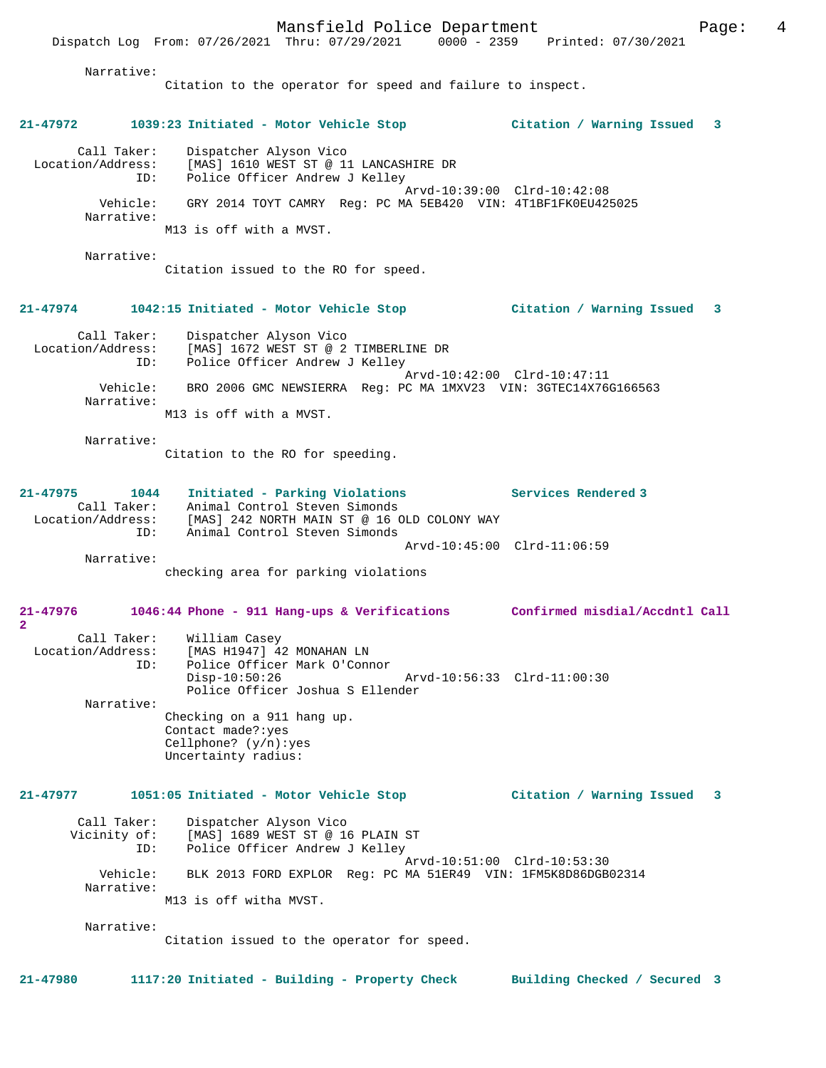Narrative:

Citation to the operator for speed and failure to inspect.

# **21-47972 1039:23 Initiated - Motor Vehicle Stop Citation / Warning Issued 3** Call Taker: Dispatcher Alyson Vico Location/Address: [MAS] 1610 WEST ST @ 11 LANCASHIRE DR ID: Police Officer Andrew J Kelley Arvd-10:39:00 Clrd-10:42:08 Vehicle: GRY 2014 TOYT CAMRY Reg: PC MA 5EB420 VIN: 4T1BF1FK0EU425025 Narrative: M13 is off with a MVST. Narrative: Citation issued to the RO for speed. **21-47974 1042:15 Initiated - Motor Vehicle Stop Citation / Warning Issued 3** Call Taker: Dispatcher Alyson Vico<br>Location/Address: [MAS] 1672 WEST ST @ 2 Location/Address: [MAS] 1672 WEST ST @ 2 TIMBERLINE DR ID: Police Officer Andrew J Kelley Arvd-10:42:00 Clrd-10:47:11 Vehicle: BRO 2006 GMC NEWSIERRA Reg: PC MA 1MXV23 VIN: 3GTEC14X76G166563 Narrative: M13 is off with a MVST. Narrative: Citation to the RO for speeding. **21-47975 1044 Initiated - Parking Violations Services Rendered 3**  Call Taker: Animal Control Steven Simonds<br>Location/Address: [MAS] 242 NORTH MAIN ST @ 16 O Location/Address: [MAS] 242 NORTH MAIN ST @ 16 OLD COLONY WAY ID: Animal Control Steven Simonds Arvd-10:45:00 Clrd-11:06:59 Narrative: checking area for parking violations **21-47976 1046:44 Phone - 911 Hang-ups & Verifications Confirmed misdial/Accdntl Call 2**  Call Taker: William Casey Location/Address: [MAS H1947] 42 MONAHAN LN<br>TD: Police Officer Mark O'Conn Police Officer Mark O'Connor<br>Disp-10:50:26 Disp-10:50:26 Arvd-10:56:33 Clrd-11:00:30 Police Officer Joshua S Ellender Narrative: Checking on a 911 hang up. Contact made?:yes Cellphone? (y/n):yes Uncertainty radius: **21-47977 1051:05 Initiated - Motor Vehicle Stop Citation / Warning Issued 3** Call Taker: Dispatcher Alyson Vico Vicinity of: [MAS] 1689 WEST ST @ 16 PLAIN ST<br>ID: Police Officer Andrew J Kellev Police Officer Andrew J Kelley Arvd-10:51:00 Clrd-10:53:30 Vehicle: BLK 2013 FORD EXPLOR Reg: PC MA 51ER49 VIN: 1FM5K8D86DGB02314 Narrative: M13 is off witha MVST. Narrative: Citation issued to the operator for speed. **21-47980 1117:20 Initiated - Building - Property Check Building Checked / Secured 3**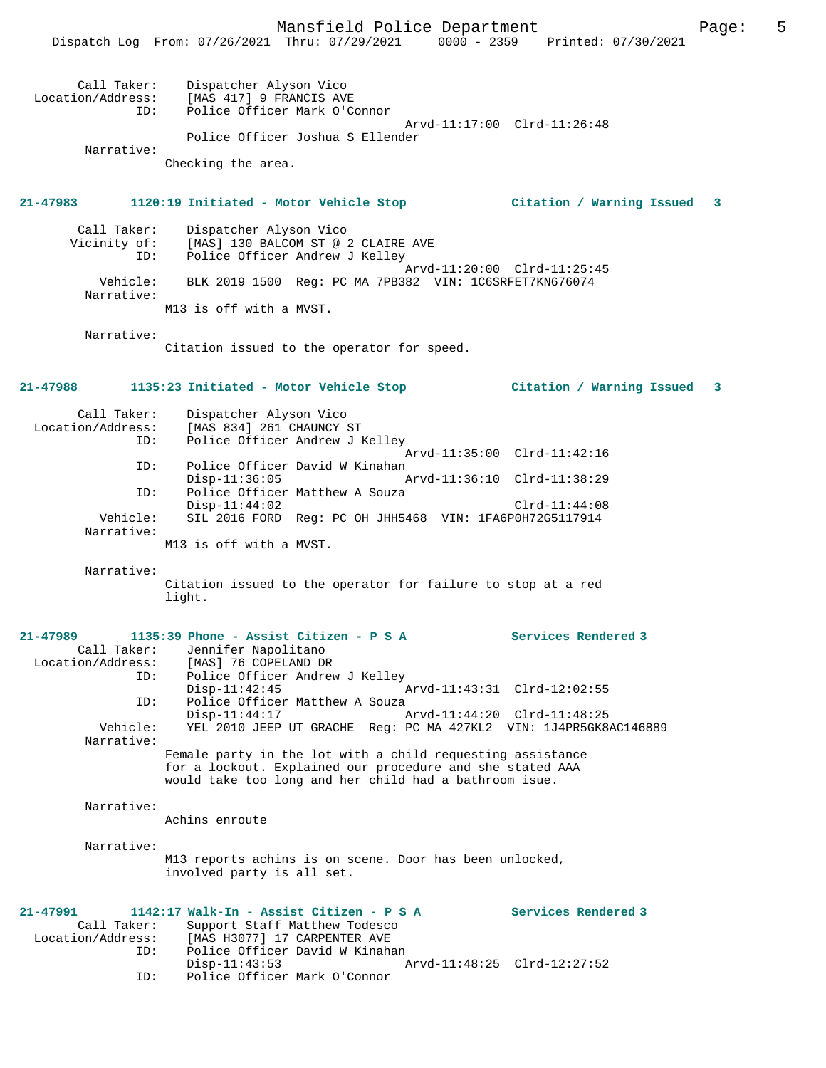| Call Taker:<br>Location/Address:<br>TD: | Dispatcher Alyson Vico<br>[MAS 417] 9 FRANCIS AVE<br>Police Officer Mark O'Connor |  |
|-----------------------------------------|-----------------------------------------------------------------------------------|--|
|                                         | Arvd-11:17:00 Clrd-11:26:48                                                       |  |
|                                         | Police Officer Joshua S Ellender                                                  |  |

Narrative:

Checking the area.

**21-47983 1120:19 Initiated - Motor Vehicle Stop Citation / Warning Issued 3**

| Call Taker:            | Dispatcher Alyson Vico                                 |  |  |  |  |  |  |  |
|------------------------|--------------------------------------------------------|--|--|--|--|--|--|--|
| Vicinity of:           | [MAS] 130 BALCOM ST @ 2 CLAIRE AVE                     |  |  |  |  |  |  |  |
| ID:                    | Police Officer Andrew J Kelley                         |  |  |  |  |  |  |  |
|                        | Arvd-11:20:00 Clrd-11:25:45                            |  |  |  |  |  |  |  |
| Vehicle:<br>Narrative: | BLK 2019 1500 Reg: PC MA 7PB382 VIN: 1C6SRFET7KN676074 |  |  |  |  |  |  |  |
|                        | M13 is off with a MVST.                                |  |  |  |  |  |  |  |

Narrative:

Citation issued to the operator for speed.

#### **21-47988 1135:23 Initiated - Motor Vehicle Stop Citation / Warning Issued 3**

| Call Taker:       | Dispatcher Alyson Vico                                  |
|-------------------|---------------------------------------------------------|
| Location/Address: | [MAS 834] 261 CHAUNCY ST                                |
| ID:               | Police Officer Andrew J Kelley                          |
|                   | Arvd-11:35:00 Clrd-11:42:16                             |
| ID:               | Police Officer David W Kinahan                          |
|                   | Arvd-11:36:10 Clrd-11:38:29<br>$Disp-11:36:05$          |
| ID:               | Police Officer Matthew A Souza                          |
|                   | $Disp-11:44:02$<br>$Clrd-11:44:08$                      |
| Vehicle:          | SIL 2016 FORD Req: PC OH JHH5468 VIN: 1FA6P0H72G5117914 |
| Narrative:        |                                                         |
|                   | M13 is off with a MVST.                                 |

#### Narrative:

Citation issued to the operator for failure to stop at a red light.

#### **21-47989 1135:39 Phone - Assist Citizen - P S A Services Rendered 3**  Call Taker: Jennifer Napolitano

| Location/Address: | [MAS] 76 COPELAND DR                                             |  |
|-------------------|------------------------------------------------------------------|--|
| ID:               | Police Officer Andrew J Kelley                                   |  |
|                   | Arvd-11:43:31 Clrd-12:02:55<br>$Disp-11:42:45$                   |  |
| ID:               | Police Officer Matthew A Souza                                   |  |
|                   | Arvd-11:44:20 Clrd-11:48:25<br>$Disp-11:44:17$                   |  |
| Vehicle:          | YEL 2010 JEEP UT GRACHE Reg: PC MA 427KL2 VIN: 1J4PR5GK8AC146889 |  |
| Narrative:        |                                                                  |  |
|                   | Female party in the lot with a child requesting assistance       |  |
|                   | for a lockout. Explained our procedure and she stated AAA        |  |

would take too long and her child had a bathroom isue.

Narrative:

Achins enroute

Narrative:

M13 reports achins is on scene. Door has been unlocked, involved party is all set.

| 21-47991          |             |                                |  | 1142:17 Walk-In - Assist Citizen - P S A |  | Services Rendered 3 |
|-------------------|-------------|--------------------------------|--|------------------------------------------|--|---------------------|
|                   | Call Taker: | Support Staff Matthew Todesco  |  |                                          |  |                     |
| Location/Address: |             | [MAS H3077] 17 CARPENTER AVE   |  |                                          |  |                     |
|                   | ID:         | Police Officer David W Kinahan |  |                                          |  |                     |
|                   |             | Disp-11:43:53                  |  |                                          |  |                     |
|                   | TD:         | Police Officer Mark O'Connor   |  |                                          |  |                     |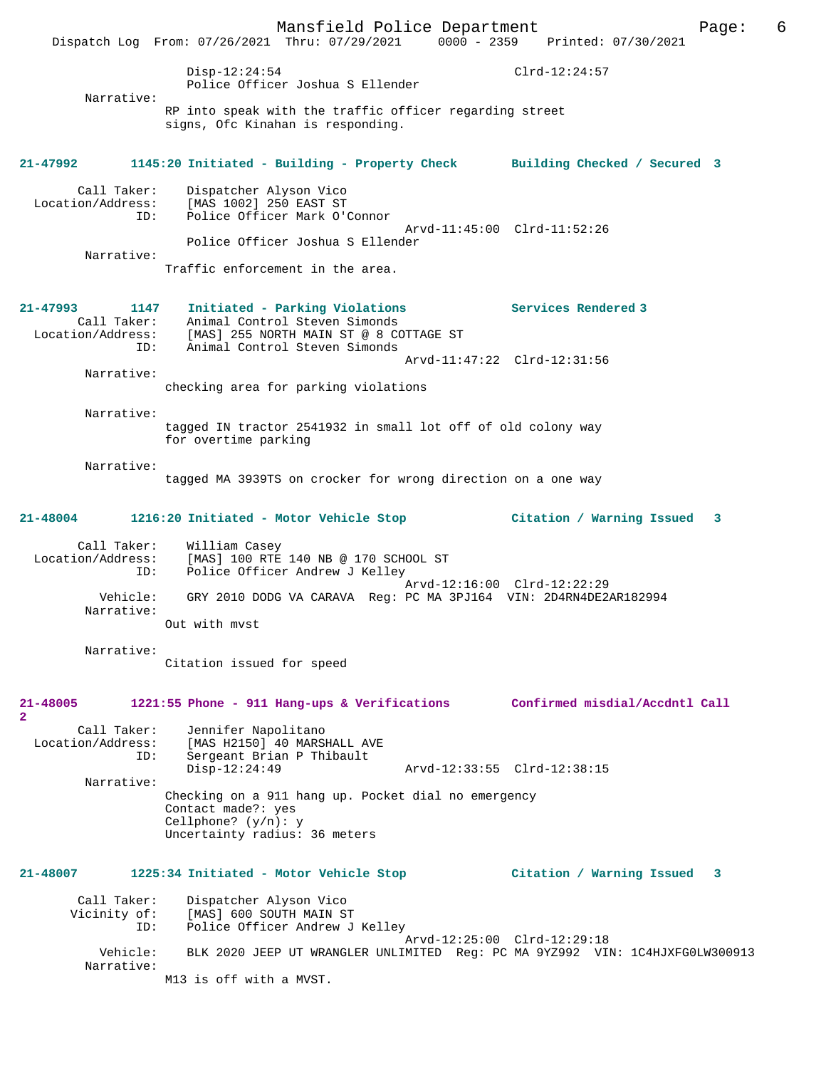Mansfield Police Department Page: 6 Dispatch Log From: 07/26/2021 Thru: 07/29/2021 0000 - 2359 Disp-12:24:54 Clrd-12:24:57 Police Officer Joshua S Ellender Narrative: RP into speak with the traffic officer regarding street signs, Ofc Kinahan is responding. **21-47992 1145:20 Initiated - Building - Property Check Building Checked / Secured 3** Call Taker: Dispatcher Alyson Vico<br>Location/Address: [MAS 1002] 250 EAST ST ess: [MAS 1002] 250 EAST ST<br>ID: Police Officer Mark O'O Police Officer Mark O'Connor Arvd-11:45:00 Clrd-11:52:26 Police Officer Joshua S Ellender Narrative: Traffic enforcement in the area. **21-47993 1147 Initiated - Parking Violations Services Rendered 3**  Call Taker: Animal Control Steven Simonds<br>Location/Address: [MAS] 255 NORTH MAIN ST @ 8 CO Location/Address: [MAS] 255 NORTH MAIN ST @ 8 COTTAGE ST ID: Animal Control Steven Simonds Arvd-11:47:22 Clrd-12:31:56 Narrative: checking area for parking violations Narrative: tagged IN tractor 2541932 in small lot off of old colony way for overtime parking Narrative: tagged MA 3939TS on crocker for wrong direction on a one way **21-48004 1216:20 Initiated - Motor Vehicle Stop Citation / Warning Issued 3** Call Taker: William Casey<br>Location/Address: [MAS] 100 RTE [MAS] 100 RTE 140 NB @ 170 SCHOOL ST ID: Police Officer Andrew J Kelley Arvd-12:16:00 Clrd-12:22:29<br>Vehicle: GRY 2010 DODG VA CARAVA Reg: PC MA 3PJ164 VIN: 2D4RN4DE2 GRY 2010 DODG VA CARAVA Reg: PC MA 3PJ164 VIN: 2D4RN4DE2AR182994 Narrative: Out with mvst Narrative: Citation issued for speed **21-48005 1221:55 Phone - 911 Hang-ups & Verifications Confirmed misdial/Accdntl Call 2**  Call Taker: Jennifer Napolitano<br>Location/Address: [MAS H2150] 40 MARSI [MAS H2150] 40 MARSHALL AVE ID: Sergeant Brian P Thibault Arvd-12:33:55 Clrd-12:38:15 Narrative: Checking on a 911 hang up. Pocket dial no emergency Contact made?: yes Cellphone? (y/n): y Uncertainty radius: 36 meters **21-48007 1225:34 Initiated - Motor Vehicle Stop Citation / Warning Issued 3** Call Taker: Dispatcher Alyson Vico<br>Vicinity of: [MAS] 600 SOUTH MAIN S of: [MAS] 600 SOUTH MAIN ST<br>TD: Police Officer Andrew J Police Officer Andrew J Kelley Arvd-12:25:00 Clrd-12:29:18 Vehicle: BLK 2020 JEEP UT WRANGLER UNLIMITED Reg: PC MA 9YZ992 VIN: 1C4HJXFG0LW300913 Narrative:

M13 is off with a MVST.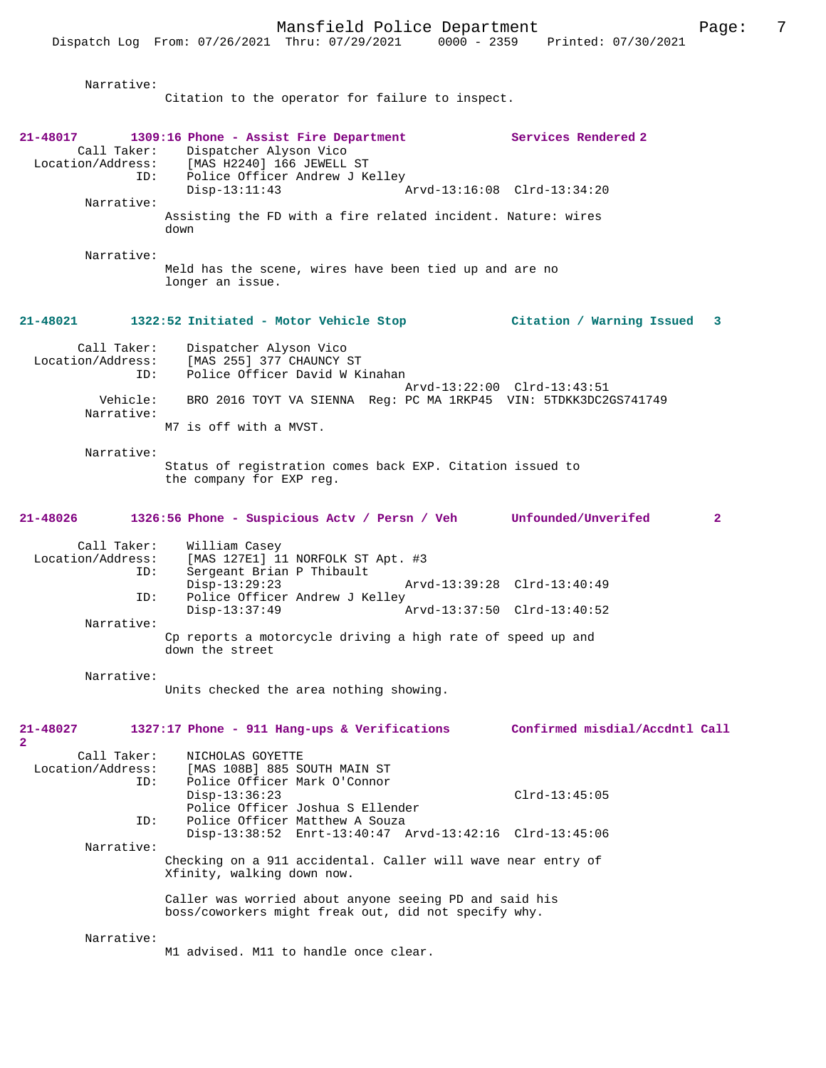Narrative:

Citation to the operator for failure to inspect.

| 21-48017<br>ID:<br>Narrative:           | 1309:16 Phone - Assist Fire Department<br>Call Taker: Dispatcher Alyson Vico<br>Location/Address: [MAS H2240] 166 JEWELL ST<br>Police Officer Andrew J Kelley<br>$Disp-13:11:43$<br>Assisting the FD with a fire related incident. Nature: wires<br>down | Services Rendered 2<br>Arvd-13:16:08 Clrd-13:34:20 |
|-----------------------------------------|----------------------------------------------------------------------------------------------------------------------------------------------------------------------------------------------------------------------------------------------------------|----------------------------------------------------|
| Narrative:                              | Meld has the scene, wires have been tied up and are no<br>longer an issue.                                                                                                                                                                               |                                                    |
| 21-48021                                | 1322:52 Initiated - Motor Vehicle Stop                                                                                                                                                                                                                   | Citation / Warning Issued 3                        |
| Call Taker:<br>Location/Address:<br>ID: | Dispatcher Alyson Vico<br>[MAS 255] 377 CHAUNCY ST<br>Police Officer David W Kinahan                                                                                                                                                                     | Arvd-13:22:00 Clrd-13:43:51                        |
| Vehicle:<br>Narrative:                  | BRO 2016 TOYT VA SIENNA Req: PC MA 1RKP45 VIN: 5TDKK3DC2GS741749<br>M7 is off with a MVST.                                                                                                                                                               |                                                    |
| Narrative:                              | Status of registration comes back EXP. Citation issued to<br>the company for EXP reg.                                                                                                                                                                    |                                                    |
| 21-48026                                | 1326:56 Phone - Suspicious Actv / Persn / Veh Unfounded/Unverifed                                                                                                                                                                                        | $\overline{2}$                                     |
| Call Taker:<br>Location/Address:<br>ID: | William Casey<br>[MAS 127E1] 11 NORFOLK ST Apt. #3<br>Sergeant Brian P Thibault<br>$Disp-13:29:23$                                                                                                                                                       | Arvd-13:39:28 Clrd-13:40:49                        |
| ID:                                     | Police Officer Andrew J Kelley<br>$Disp-13:37:49$                                                                                                                                                                                                        | Arvd-13:37:50 Clrd-13:40:52                        |
| Narrative:                              | Cp reports a motorcycle driving a high rate of speed up and<br>down the street                                                                                                                                                                           |                                                    |
| Narrative:                              | Units checked the area nothing showing.                                                                                                                                                                                                                  |                                                    |
| 21-48027<br>2                           | 1327:17 Phone - 911 Hang-ups & Verifications                                                                                                                                                                                                             | Confirmed misdial/Accdntl Call                     |
| Call Taker:<br>Location/Address:<br>ID: | NICHOLAS GOYETTE<br>[MAS 108B] 885 SOUTH MAIN ST<br>Police Officer Mark O'Connor<br>$Disp-13:36:23$                                                                                                                                                      | $Clrd-13:45:05$                                    |
| ID:                                     | Police Officer Joshua S Ellender<br>Police Officer Matthew A Souza                                                                                                                                                                                       |                                                    |
| Narrative:                              | Disp-13:38:52 Enrt-13:40:47 Arvd-13:42:16 Clrd-13:45:06<br>Checking on a 911 accidental. Caller will wave near entry of<br>Xfinity, walking down now.                                                                                                    |                                                    |
|                                         | Caller was worried about anyone seeing PD and said his<br>boss/coworkers might freak out, did not specify why.                                                                                                                                           |                                                    |
| Narrative:                              | M1 advised. M11 to handle once clear.                                                                                                                                                                                                                    |                                                    |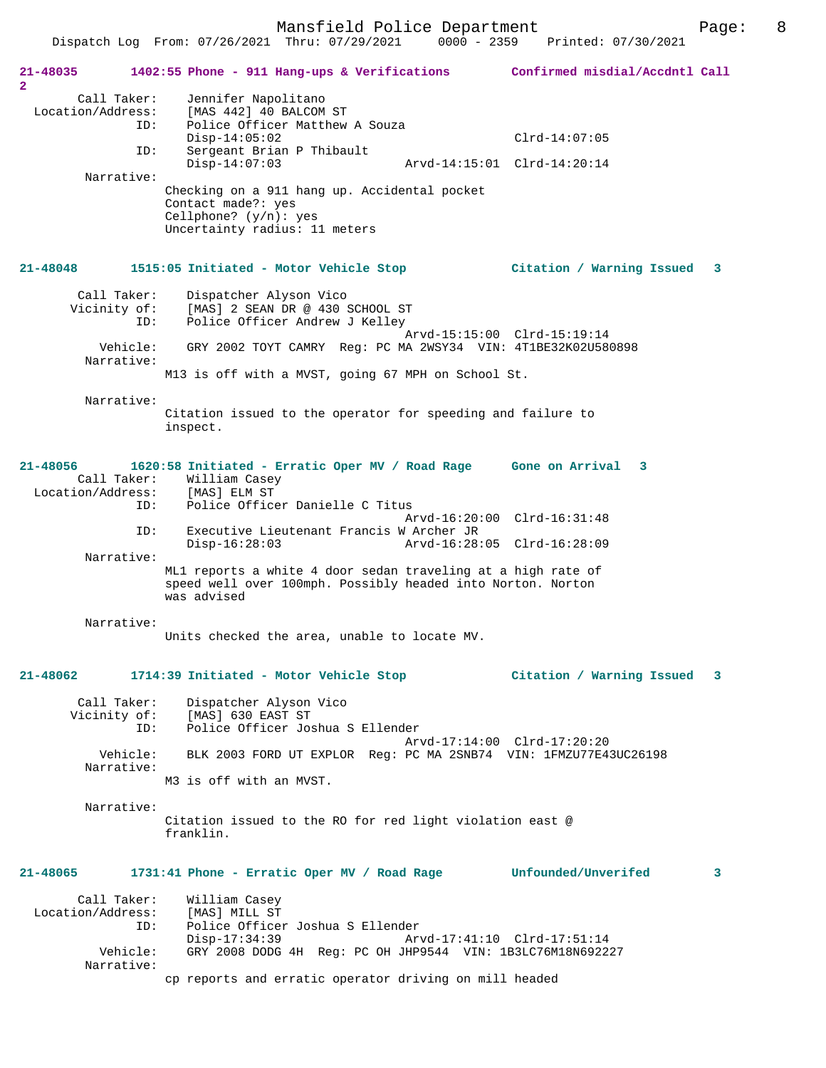Dispatch Log From: 07/26/2021 Thru: 07/29/2021 0000 - 2359 Printed: 07/30/2021

| 21-48035<br>$\mathbf{2}$         |                        | 1402:55 Phone - 911 Hang-ups & Verifications Confirmed misdial/Accdntl Call                                                                                 |                             |   |
|----------------------------------|------------------------|-------------------------------------------------------------------------------------------------------------------------------------------------------------|-----------------------------|---|
| Call Taker:<br>Location/Address: |                        | Jennifer Napolitano<br>[MAS 442] 40 BALCOM ST                                                                                                               |                             |   |
|                                  | ID:                    | Police Officer Matthew A Souza                                                                                                                              |                             |   |
|                                  | ID:                    | $Disp-14:05:02$<br>Sergeant Brian P Thibault                                                                                                                | $Clrd-14:07:05$             |   |
|                                  |                        | $Disp-14:07:03$                                                                                                                                             | Arvd-14:15:01 Clrd-14:20:14 |   |
|                                  | Narrative:             | Checking on a 911 hang up. Accidental pocket                                                                                                                |                             |   |
|                                  |                        | Contact made?: yes                                                                                                                                          |                             |   |
|                                  |                        | Cellphone? $(y/n)$ : yes<br>Uncertainty radius: 11 meters                                                                                                   |                             |   |
| 21-48048                         |                        | 1515:05 Initiated - Motor Vehicle Stop                                                                                                                      | Citation / Warning Issued 3 |   |
| Call Taker:<br>Vicinity of:      |                        | Dispatcher Alyson Vico<br>[MAS] 2 SEAN DR @ 430 SCHOOL ST                                                                                                   |                             |   |
|                                  | ID:                    | Police Officer Andrew J Kelley                                                                                                                              | Arvd-15:15:00 Clrd-15:19:14 |   |
|                                  | Vehicle:<br>Narrative: | GRY 2002 TOYT CAMRY Reg: PC MA 2WSY34 VIN: 4T1BE32K02U580898                                                                                                |                             |   |
|                                  |                        | M13 is off with a MVST, going 67 MPH on School St.                                                                                                          |                             |   |
|                                  | Narrative:             |                                                                                                                                                             |                             |   |
|                                  |                        | Citation issued to the operator for speeding and failure to<br>inspect.                                                                                     |                             |   |
| 21-48056<br>Call Taker:          |                        | 1620:58 Initiated - Erratic Oper MV / Road Rage Gone on Arrival 3<br>William Casey<br>Location/Address: [MAS] ELM ST<br>ID: Police Officer Danielle C Titus |                             |   |
|                                  |                        |                                                                                                                                                             | Arvd-16:20:00 Clrd-16:31:48 |   |
|                                  | ID:                    | Executive Lieutenant Francis W Archer JR<br>Arvd-16:28:05 Clrd-16:28:09<br>$Disp-16:28:03$                                                                  |                             |   |
|                                  | Narrative:             |                                                                                                                                                             |                             |   |
|                                  |                        | ML1 reports a white 4 door sedan traveling at a high rate of<br>speed well over 100mph. Possibly headed into Norton. Norton<br>was advised                  |                             |   |
|                                  | Narrative:             |                                                                                                                                                             |                             |   |
|                                  |                        | Units checked the area, unable to locate MV.                                                                                                                |                             |   |
| 21-48062                         |                        | 1714:39 Initiated - Motor Vehicle Stop                                                                                                                      | Citation / Warning Issued 3 |   |
| Call Taker:                      |                        | Dispatcher Alyson Vico<br>[MAS] 630 EAST ST                                                                                                                 |                             |   |
| Vicinity of:                     | ID:                    | Police Officer Joshua S Ellender                                                                                                                            |                             |   |
|                                  | Vehicle:               | BLK 2003 FORD UT EXPLOR Req: PC MA 2SNB74 VIN: 1FMZU77E43UC26198                                                                                            | Arvd-17:14:00 Clrd-17:20:20 |   |
|                                  | Narrative:             | M3 is off with an MVST.                                                                                                                                     |                             |   |
|                                  |                        |                                                                                                                                                             |                             |   |
|                                  | Narrative:             | Citation issued to the RO for red light violation east @<br>franklin.                                                                                       |                             |   |
| 21-48065                         |                        | 1731:41 Phone - Erratic Oper MV / Road Rage Unfounded/Unverifed                                                                                             |                             | 3 |
| Call Taker:                      |                        | William Casey                                                                                                                                               |                             |   |
| Location/Address:                | ID:                    | [MAS] MILL ST<br>Police Officer Joshua S Ellender                                                                                                           |                             |   |
|                                  |                        | $Disp-17:34:39$                                                                                                                                             | Arvd-17:41:10 Clrd-17:51:14 |   |
|                                  | Vehicle:<br>Narrative: | GRY 2008 DODG 4H Req: PC OH JHP9544 VIN: 1B3LC76M18N692227                                                                                                  |                             |   |
|                                  |                        | cp reports and erratic operator driving on mill headed                                                                                                      |                             |   |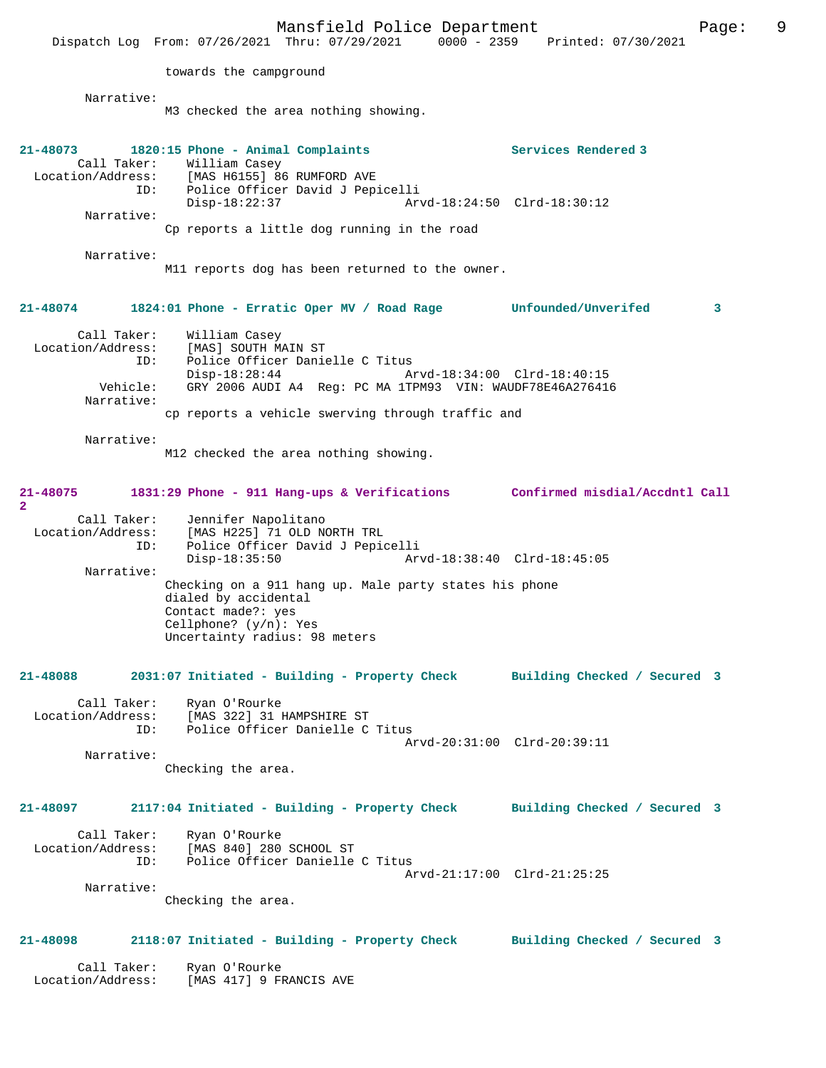Mansfield Police Department Page: 9 Dispatch Log From: 07/26/2021 Thru: 07/29/2021 towards the campground Narrative: M3 checked the area nothing showing. **21-48073 1820:15 Phone - Animal Complaints Services Rendered 3**  Call Taker: William Casey Location/Address: [MAS H6155] 86 RUMFORD AVE ID: Police Officer David J Pepicelli Disp-18:22:37 Arvd-18:24:50 Clrd-18:30:12 Narrative: Cp reports a little dog running in the road Narrative: M11 reports dog has been returned to the owner. **21-48074 1824:01 Phone - Erratic Oper MV / Road Rage Unfounded/Unverifed 3** Call Taker: William Casey<br>Location/Address: [MAS] SOUTH M ess: [MAS] SOUTH MAIN ST<br>ID: Police Officer Danie Police Officer Danielle C Titus<br>Disp-18:28:44 Disp-18:28:44 Arvd-18:34:00 Clrd-18:40:15 Vehicle: GRY 2006 AUDI A4 Reg: PC MA 1TPM93 VIN: WAUDF78E46A276416 Narrative: cp reports a vehicle swerving through traffic and Narrative: M12 checked the area nothing showing. **21-48075 1831:29 Phone - 911 Hang-ups & Verifications Confirmed misdial/Accdntl Call 2**  Call Taker: Jennifer Napolitano<br>Location/Address: [MAS H225] 71 OLD N ess: [MAS H225] 71 OLD NORTH TRL<br>ID: Police Officer David J Pepio ID: Police Officer David J Pepicelli Disp-18:35:50 Arvd-18:38:40 Clrd-18:45:05 Narrative: Checking on a 911 hang up. Male party states his phone dialed by accidental Contact made?: yes Cellphone? (y/n): Yes Uncertainty radius: 98 meters **21-48088 2031:07 Initiated - Building - Property Check Building Checked / Secured 3** Call Taker: Ryan O'Rourke<br>Location/Address: [MAS 322] 31] ess: [MAS 322] 31 HAMPSHIRE ST<br>ID: Police Officer Danielle C Police Officer Danielle C Titus Arvd-20:31:00 Clrd-20:39:11 Narrative: Checking the area. **21-48097 2117:04 Initiated - Building - Property Check Building Checked / Secured 3** Call Taker: Ryan O'Rourke Location/Address: [MAS 840] 280 SCHOOL ST ID: Police Officer Danielle C Titus Arvd-21:17:00 Clrd-21:25:25 Narrative: Checking the area. **21-48098 2118:07 Initiated - Building - Property Check Building Checked / Secured 3** Call Taker: Ryan O'Rourke Location/Address: [MAS 417] 9 FRANCIS AVE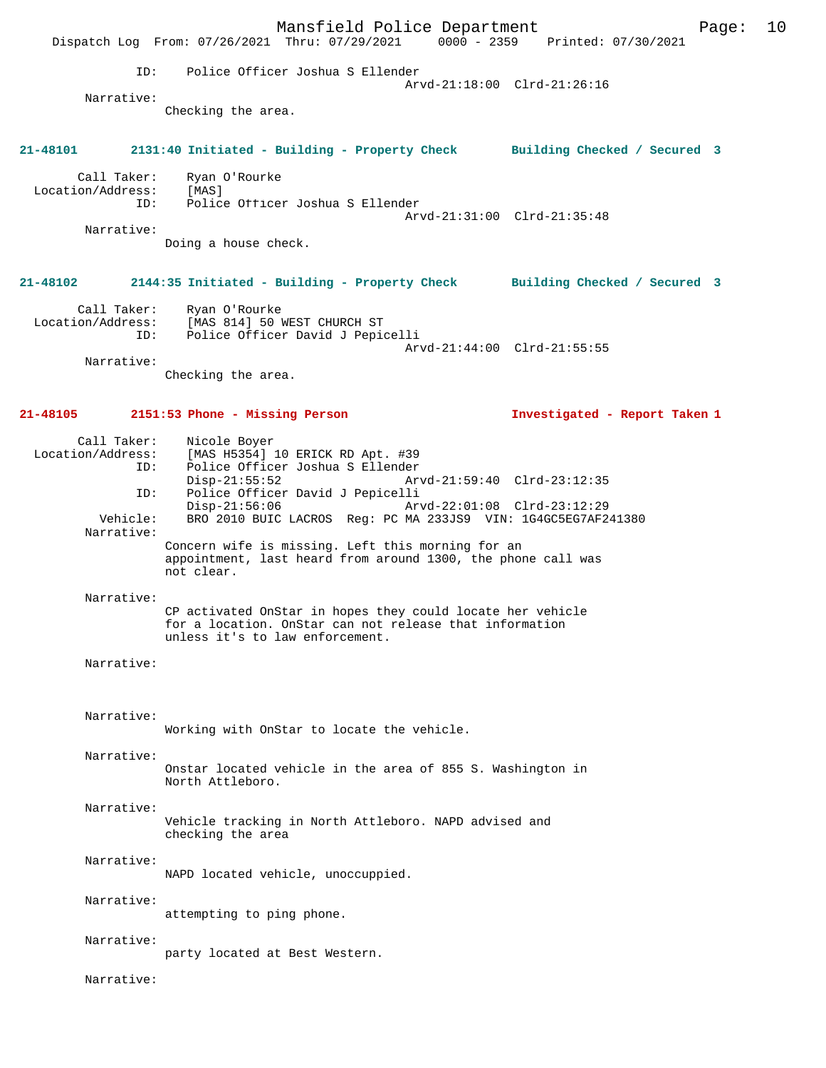Mansfield Police Department Page: 10 Dispatch Log From: 07/26/2021 Thru: 07/29/2021 ID: Police Officer Joshua S Ellender Arvd-21:18:00 Clrd-21:26:16 Narrative: Checking the area. **21-48101 2131:40 Initiated - Building - Property Check Building Checked / Secured 3** Call Taker: Ryan O'Rourke<br>on/Address: [MAS] Location/Address:<br>ID: Police Officer Joshua S Ellender Arvd-21:31:00 Clrd-21:35:48 Narrative: Doing a house check. **21-48102 2144:35 Initiated - Building - Property Check Building Checked / Secured 3** Call Taker: Ryan O'Rourke Location/Address: [MAS 814] 50 WEST CHURCH ST ID: Police Officer David J Pepicelli Arvd-21:44:00 Clrd-21:55:55 Narrative: Checking the area. **21-48105 2151:53 Phone - Missing Person Investigated - Report Taken 1** Call Taker: Nicole Boyer Location/Address: [MAS H5354] 10 ERICK RD Apt. #39 ID: Police Officer Joshua S Ellender Disp-21:55:52 Arvd-21:59:40 Clrd-23:12:35 ID: Police Officer David J Pepicelli Disp-21:56:06 Arvd-22:01:08 Clrd-23:12:29<br>Vehicle: BRO 2010 BUIC LACROS Req: PC MA 233JS9 VIN: 1G4GC5EG7AF2 BRO 2010 BUIC LACROS Reg: PC MA 233JS9 VIN: 1G4GC5EG7AF241380 Narrative: Concern wife is missing. Left this morning for an appointment, last heard from around 1300, the phone call was not clear. Narrative: CP activated OnStar in hopes they could locate her vehicle for a location. OnStar can not release that information unless it's to law enforcement. Narrative: Narrative: Working with OnStar to locate the vehicle. Narrative: Onstar located vehicle in the area of 855 S. Washington in North Attleboro. Narrative: Vehicle tracking in North Attleboro. NAPD advised and checking the area Narrative: NAPD located vehicle, unoccuppied. Narrative: attempting to ping phone. Narrative: party located at Best Western. Narrative: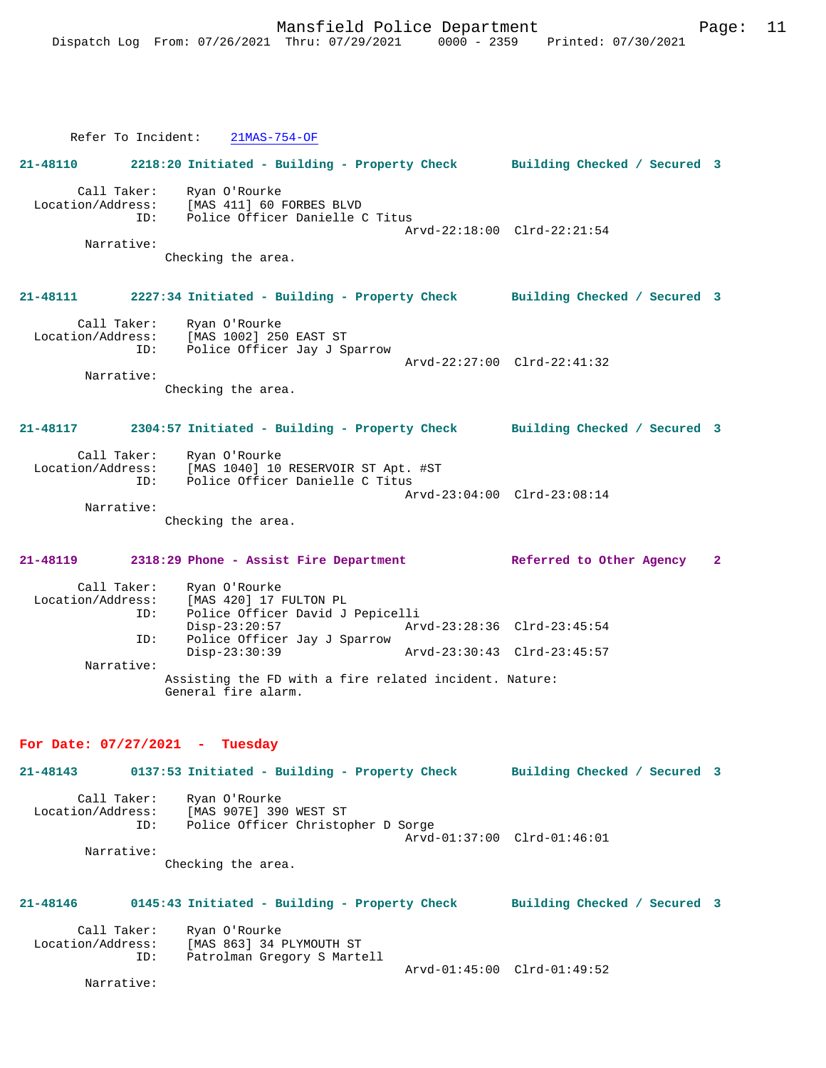Refer To Incident: 21MAS-754-OF **21-48110 2218:20 Initiated - Building - Property Check Building Checked / Secured 3** Call Taker: Ryan O'Rourke Location/Address: [MAS 411] 60 FORBES BLVD ID: Police Officer Danielle C Titus Arvd-22:18:00 Clrd-22:21:54 Narrative: Checking the area. **21-48111 2227:34 Initiated - Building - Property Check Building Checked / Secured 3** Call Taker: Ryan O'Rourke Location/Address: [MAS 1002] 250 EAST ST<br>ID: Police Officer Jay J St Police Officer Jay J Sparrow Arvd-22:27:00 Clrd-22:41:32 Narrative: Checking the area. **21-48117 2304:57 Initiated - Building - Property Check Building Checked / Secured 3** Call Taker: Ryan O'Rourke Location/Address: [MAS 1040] 10 RESERVOIR ST Apt. #ST ID: Police Officer Danielle C Titus Arvd-23:04:00 Clrd-23:08:14 Narrative: Checking the area. **21-48119 2318:29 Phone - Assist Fire Department Referred to Other Agency 2** Call Taker: Ryan O'Rourke Location/Address: [MAS 420] 17 FULTON PL<br>ID: Police Officer David J Police Officer David J Pepicelli<br>Disp-23:20:57 Art Disp-23:20:57 Arvd-23:28:36 Clrd-23:45:54<br>ID: Police Officer Jay J Sparrow Police Officer Jay J Sparrow<br>Disp-23:30:39 Arvd-23:30:43 Clrd-23:45:57 Narrative: Assisting the FD with a fire related incident. Nature: General fire alarm.

#### **For Date: 07/27/2021 - Tuesday**

**21-48143 0137:53 Initiated - Building - Property Check Building Checked / Secured 3** Call Taker: Ryan O'Rourke<br>Location/Address: [MAS 907E] 390 [MAS 907E] 390 WEST ST ID: Police Officer Christopher D Sorge Arvd-01:37:00 Clrd-01:46:01 Narrative: Checking the area. **21-48146 0145:43 Initiated - Building - Property Check Building Checked / Secured 3**

Call Taker: Ryan O'Rourke<br>Location/Address: [MAS 863] 34 1 ess: [MAS 863] 34 PLYMOUTH ST<br>ID: Patrolman Gregory S Marte Patrolman Gregory S Martell Arvd-01:45:00 Clrd-01:49:52

Narrative: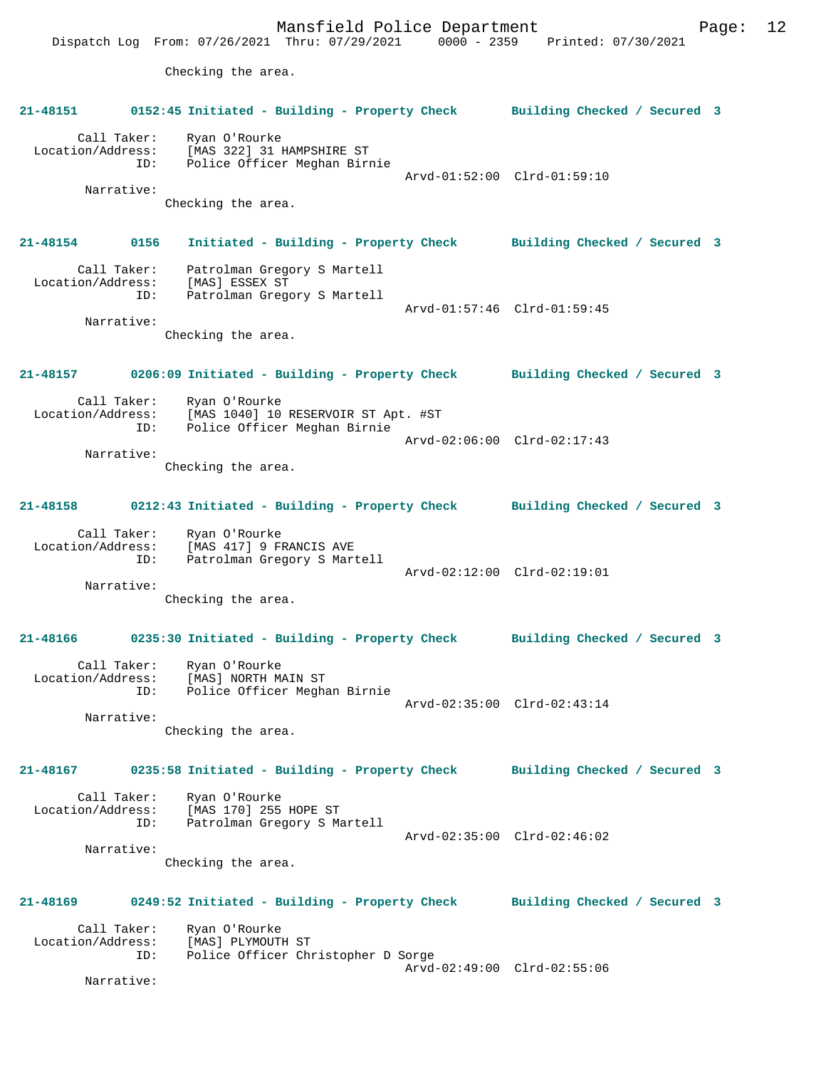Mansfield Police Department Form Page: 12 Dispatch Log From: 07/26/2021 Thru: 07/29/2021 0000 - 2359 Printed: 07/30/2021 Checking the area. **21-48151 0152:45 Initiated - Building - Property Check Building Checked / Secured 3** Call Taker: Ryan O'Rourke Location/Address: [MAS 322] 31 HAMPSHIRE ST ID: Police Officer Meghan Birnie Arvd-01:52:00 Clrd-01:59:10 Narrative: Checking the area. **21-48154 0156 Initiated - Building - Property Check Building Checked / Secured 3** Call Taker: Patrolman Gregory S Martell Location/Address: [MAS] ESSEX ST ID: Patrolman Gregory S Martell Arvd-01:57:46 Clrd-01:59:45 Narrative: Checking the area. **21-48157 0206:09 Initiated - Building - Property Check Building Checked / Secured 3** Call Taker: Ryan O'Rourke<br>Location/Address: [MAS 1040] 10 ess: [MAS 1040] 10 RESERVOIR ST Apt. #ST<br>ID: Police Officer Meghan Birnie Police Officer Meghan Birnie Arvd-02:06:00 Clrd-02:17:43 Narrative: Checking the area. **21-48158 0212:43 Initiated - Building - Property Check Building Checked / Secured 3** Call Taker: Ryan O'Rourke Location/Address: [MAS 417] 9 FRANCIS AVE ID: Patrolman Gregory S Martell Arvd-02:12:00 Clrd-02:19:01 Narrative: Checking the area. **21-48166 0235:30 Initiated - Building - Property Check Building Checked / Secured 3** Call Taker: Ryan O'Rourke Location/Address: [MAS] NORTH MAIN ST ID: Police Officer Meghan Birnie Arvd-02:35:00 Clrd-02:43:14 Narrative: Checking the area. **21-48167 0235:58 Initiated - Building - Property Check Building Checked / Secured 3** Call Taker: Ryan O'Rourke Location/Address: [MAS 170] 255 HOPE ST ID: Patrolman Gregory S Martell Arvd-02:35:00 Clrd-02:46:02 Narrative: Checking the area. **21-48169 0249:52 Initiated - Building - Property Check Building Checked / Secured 3** Call Taker: Ryan O'Rourke Location/Address: [MAS] PLYMOUTH ST<br>ID: Police Officer Chi Police Officer Christopher D Sorge Arvd-02:49:00 Clrd-02:55:06 Narrative: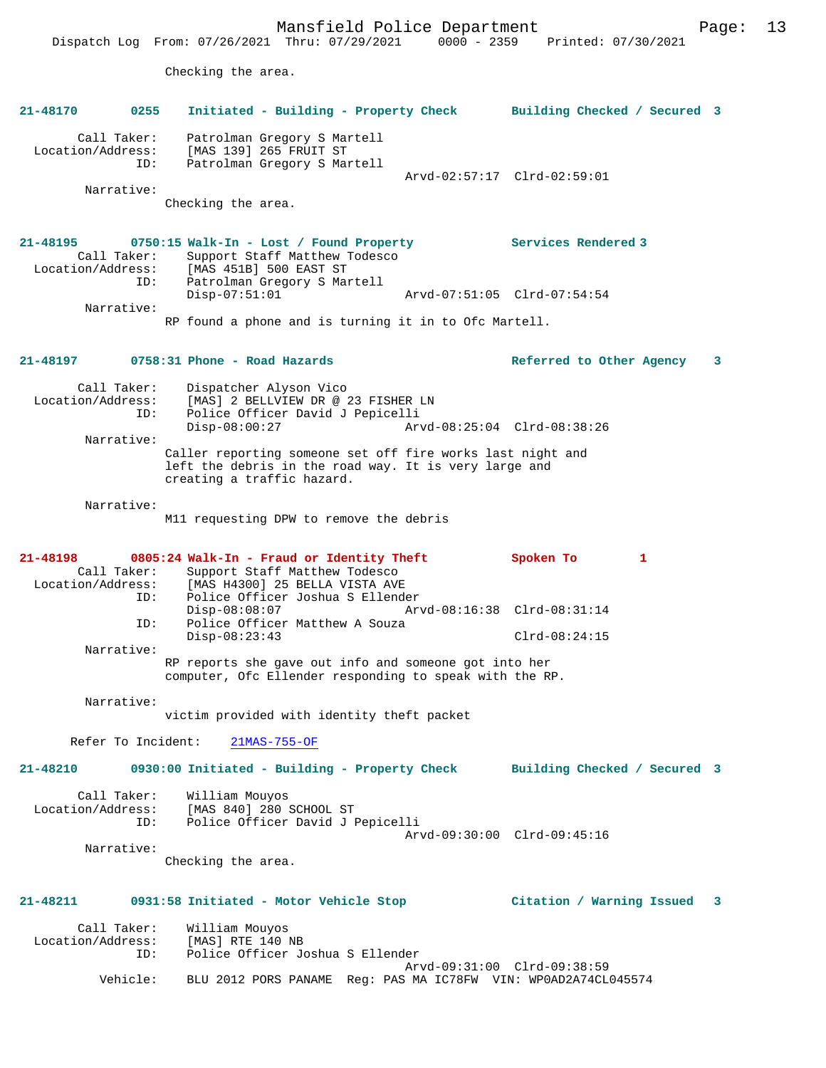Mansfield Police Department Page: 13 Dispatch Log From: 07/26/2021 Thru: 07/29/2021 0000 - 2359 Printed: 07/30/2021 Checking the area. **21-48170 0255 Initiated - Building - Property Check Building Checked / Secured 3** Call Taker: Patrolman Gregory S Martell Location/Address: [MAS 139] 265 FRUIT ST ID: Patrolman Gregory S Martell Arvd-02:57:17 Clrd-02:59:01 Narrative: Checking the area. **21-48195 0750:15 Walk-In - Lost / Found Property Services Rendered 3**  Call Taker: Support Staff Matthew Todesco Location/Address: [MAS 451B] 500 EAST ST ID: Patrolman Gregory S Martell Disp-07:51:01 Arvd-07:51:05 Clrd-07:54:54 Narrative: RP found a phone and is turning it in to Ofc Martell. **21-48197 0758:31 Phone - Road Hazards Referred to Other Agency 3** Call Taker: Dispatcher Alyson Vico Location/Address: [MAS] 2 BELLVIEW DR @ 23 FISHER LN<br>ID: Police Officer David J Pepicelli Police Officer David J Pepicelli<br>Disp-08:00:27 Arv Disp-08:00:27 Arvd-08:25:04 Clrd-08:38:26 Narrative: Caller reporting someone set off fire works last night and left the debris in the road way. It is very large and creating a traffic hazard. Narrative: M11 requesting DPW to remove the debris **21-48198 0805:24 Walk-In - Fraud or Identity Theft Spoken To 1**  Call Taker: Support Staff Matthew Todesco<br>Location/Address: [MAS H4300] 25 BELLA VISTA AVE ess: [MAS H4300] 25 BELLA VISTA AVE<br>ID: Police Officer Joshua S Ellende Police Officer Joshua S Ellender Disp-08:08:07 Arvd-08:16:38 Clrd-08:31:14 ID: Police Officer Matthew A Souza<br>Disp-08:23:43 Disp-08:23:43 Clrd-08:24:15 Narrative: RP reports she gave out info and someone got into her computer, Ofc Ellender responding to speak with the RP. Narrative: victim provided with identity theft packet Refer To Incident: 21MAS-755-OF **21-48210 0930:00 Initiated - Building - Property Check Building Checked / Secured 3** Call Taker: William Mouyos Location/Address: [MAS 840] 280 SCHOOL ST<br>TD: Police Officer David J I Police Officer David J Pepicelli Arvd-09:30:00 Clrd-09:45:16 Narrative: Checking the area. **21-48211 0931:58 Initiated - Motor Vehicle Stop Citation / Warning Issued 3** Call Taker: William Mouyos<br>.on/Address: [MAS] RTE 140 NB Location/Address:<br>ID: Police Officer Joshua S Ellender Arvd-09:31:00 Clrd-09:38:59<br>Vebicle: BLU 2012 PORS PANAME Reg: PAS MA IC78EW VIN: WPOAD2A74CL BLU 2012 PORS PANAME Reg: PAS MA IC78FW VIN: WP0AD2A74CL045574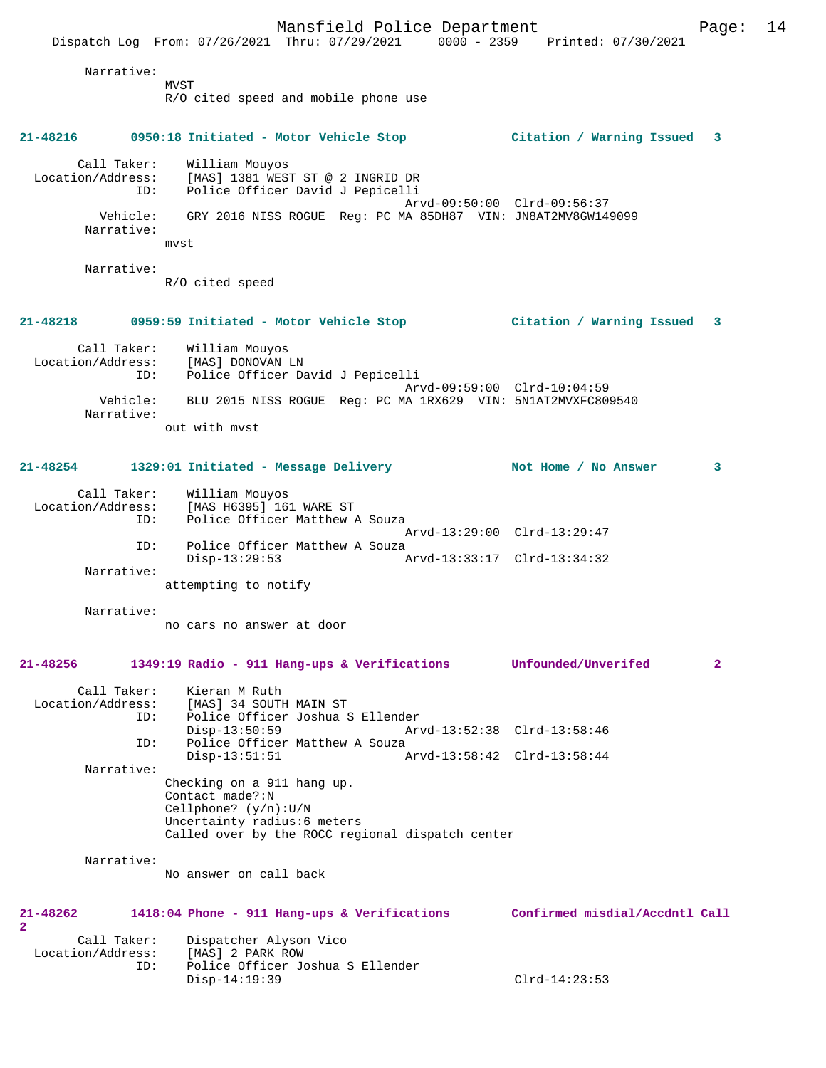Narrative: MVST R/O cited speed and mobile phone use **21-48216 0950:18 Initiated - Motor Vehicle Stop Citation / Warning Issued 3** Call Taker: William Mouyos Location/Address: [MAS] 1381 WEST ST @ 2 INGRID DR ID: Police Officer David J Pepicelli Arvd-09:50:00 Clrd-09:56:37 Vehicle: GRY 2016 NISS ROGUE Reg: PC MA 85DH87 VIN: JN8AT2MV8GW149099 Narrative: mvst Narrative: R/O cited speed **21-48218 0959:59 Initiated - Motor Vehicle Stop Citation / Warning Issued 3** Call Taker: William Mouyos Location/Address: [MAS] DONOVAN LN ID: Police Officer David J Pepicelli Arvd-09:59:00 Clrd-10:04:59 Vehicle: BLU 2015 NISS ROGUE Reg: PC MA 1RX629 VIN: 5N1AT2MVXFC809540 Narrative: out with mvst **21-48254 1329:01 Initiated - Message Delivery Not Home / No Answer 3** Call Taker: William Mouyos Location/Address: [MAS H6395] 161 WARE ST ID: Police Officer Matthew A Souza Arvd-13:29:00 Clrd-13:29:47 ID: Police Officer Matthew A Souza<br>Disp-13:29:53 Disp-13:29:53 Arvd-13:33:17 Clrd-13:34:32 Narrative: attempting to notify Narrative: no cars no answer at door **21-48256 1349:19 Radio - 911 Hang-ups & Verifications Unfounded/Unverifed 2** Call Taker: Kieran M Ruth<br>Location/Address: [MAS] 34 SOUTH [MAS] 34 SOUTH MAIN ST ID: Police Officer Joshua S Ellender Disp-13:50:59 Arvd-13:52:38 Clrd-13:58:46 ID: Police Officer Matthew A Souza Disp-13:51:51 Arvd-13:58:42 Clrd-13:58:44 Narrative: Checking on a 911 hang up. Contact made?:N Cellphone? (y/n):U/N Uncertainty radius:6 meters Called over by the ROCC regional dispatch center Narrative: No answer on call back **21-48262 1418:04 Phone - 911 Hang-ups & Verifications Confirmed misdial/Accdntl Call**

Dispatch Log From: 07/26/2021 Thru: 07/29/2021 0000 - 2359 Printed: 07/30/2021

Call Taker: Dispatcher Alyson Vico<br>ion/Address: [MAS] 2 PARK ROW Location/Address:<br>ID: Police Officer Joshua S Ellender<br>Disp-14:19:39 Disp-14:19:39 Clrd-14:23:53

**2** 

Mansfield Police Department Page: 14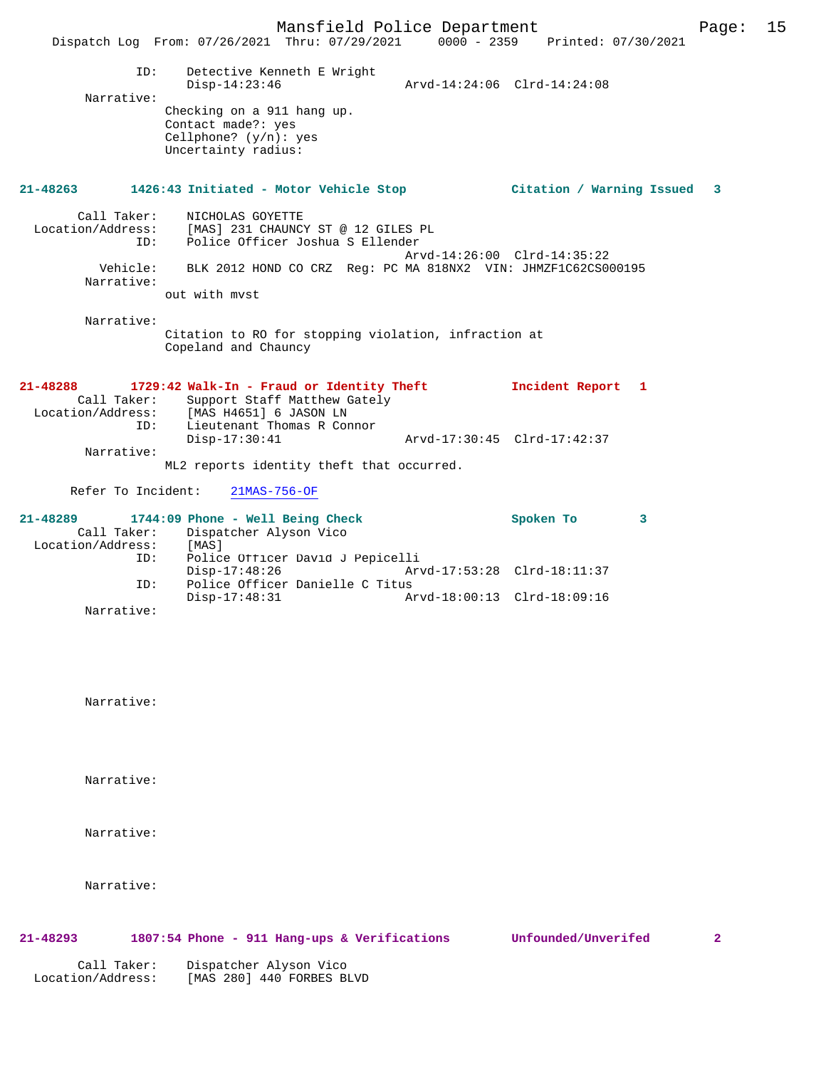|                                         | Mansfield Police Department<br>Dispatch Log From: 07/26/2021 Thru: 07/29/2021 0000 - 2359 Printed: 07/30/2021                                                                                                                   |                             | Page: | 15 |
|-----------------------------------------|---------------------------------------------------------------------------------------------------------------------------------------------------------------------------------------------------------------------------------|-----------------------------|-------|----|
| ID:<br>Narrative:                       | Detective Kenneth E Wright<br>$Disp-14:23:46$<br>Checking on a 911 hang up.<br>Contact made?: yes<br>Cellphone? $(y/n)$ : yes<br>Uncertainty radius:                                                                            |                             |       |    |
|                                         | 21-48263 1426:43 Initiated - Motor Vehicle Stop               Citation / Warning Issued                                                                                                                                         |                             | 3     |    |
| Call Taker:<br>ID:<br>Narrative:        | NICHOLAS GOYETTE<br>Location/Address: [MAS] 231 CHAUNCY ST @ 12 GILES PL<br>Police Officer Joshua S Ellender<br>Vehicle: BLK 2012 HOND CO CRZ Reg: PC MA 818NX2 VIN: JHMZF1C62CS000195<br>out with myst                         | Arvd-14:26:00 Clrd-14:35:22 |       |    |
| Narrative:                              | Citation to RO for stopping violation, infraction at<br>Copeland and Chauncy                                                                                                                                                    |                             |       |    |
| 21-48288<br>ID:<br>Narrative:           | 1729:42 Walk-In - Fraud or Identity Theft<br>Call Taker: Support Staff Matthew Gately<br>Location/Address: [MAS H4651] 6 JASON LN<br>Lieutenant Thomas R Connor<br>$Disp-17:30:41$<br>ML2 reports identity theft that occurred. | Incident Report 1           |       |    |
| Refer To Incident:                      | $21MAS-756-OF$                                                                                                                                                                                                                  |                             |       |    |
| Call Taker:<br>Location/Address:<br>ID: | 21-48289 1744:09 Phone - Well Being Check<br>Dispatcher Alyson Vico<br>[MAS]<br>Police Officer David J Pepicelli                                                                                                                | Spoken To                   | 3     |    |
| ID:                                     | $Disp-17:48:26$<br>Police Officer Danielle C Titus                                                                                                                                                                              | Arvd-17:53:28 Clrd-18:11:37 |       |    |
| Narrative:                              | $Disp-17:48:31$                                                                                                                                                                                                                 | Arvd-18:00:13 Clrd-18:09:16 |       |    |
| Narrative:                              |                                                                                                                                                                                                                                 |                             |       |    |

Narrative:

Narrative:

Narrative:

# **21-48293 1807:54 Phone - 911 Hang-ups & Verifications Unfounded/Unverifed 2**

 Call Taker: Dispatcher Alyson Vico Location/Address: [MAS 280] 440 FORBES BLVD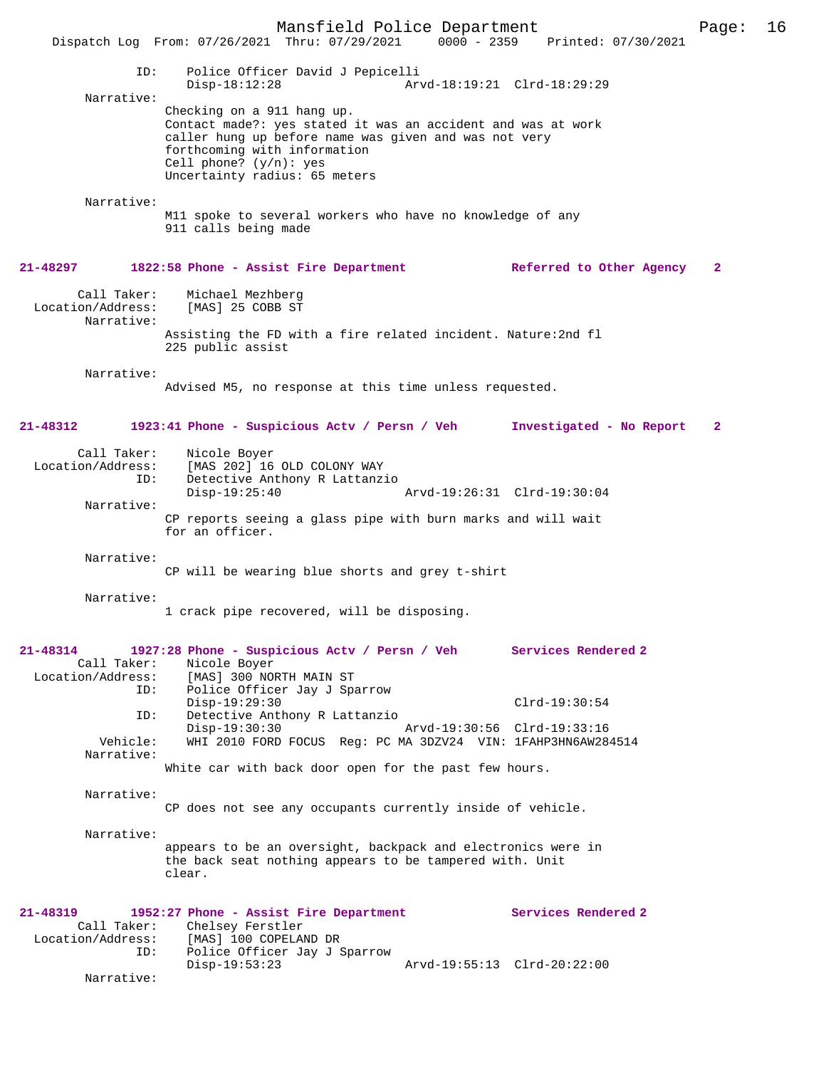Mansfield Police Department Page: 16 Dispatch Log From: 07/26/2021 Thru: 07/29/2021 ID: Police Officer David J Pepicelli Disp-18:12:28 Arvd-18:19:21 Clrd-18:29:29 Narrative: Checking on a 911 hang up. Contact made?: yes stated it was an accident and was at work caller hung up before name was given and was not very forthcoming with information Cell phone? (y/n): yes Uncertainty radius: 65 meters Narrative: M11 spoke to several workers who have no knowledge of any 911 calls being made **21-48297 1822:58 Phone - Assist Fire Department Referred to Other Agency 2** Call Taker: Michael Mezhberg<br>Location/Address: [MAS] 25 COBB ST [MAS] 25 COBB ST Narrative: Assisting the FD with a fire related incident. Nature:2nd fl 225 public assist Narrative: Advised M5, no response at this time unless requested. **21-48312 1923:41 Phone - Suspicious Actv / Persn / Veh Investigated - No Report 2** Call Taker: Nicole Boyer<br>Location/Address: [MAS 202] 16 ess: [MAS 202] 16 OLD COLONY WAY<br>TD: Detective Anthony R Lattanz Detective Anthony R Lattanzio<br>Disp-19:25:40 Disp-19:25:40 Arvd-19:26:31 Clrd-19:30:04 Narrative: CP reports seeing a glass pipe with burn marks and will wait for an officer. Narrative: CP will be wearing blue shorts and grey t-shirt Narrative: 1 crack pipe recovered, will be disposing. **21-48314 1927:28 Phone - Suspicious Actv / Persn / Veh Services Rendered 2**  Call Taker: Nicole Boyer<br>Location/Address: [MAS] 300 NO Location/Address: [MAS] 300 NORTH MAIN ST ID: Police Officer Jay J Sparrow Disp-19:29:30 Clrd-19:30:54 ID: Detective Anthony R Lattanzio Disp-19:30:30 Arvd-19:30:56 Clrd-19:33:16<br>Vehicle: WHI 2010 FORD FOCUS Reg: PC MA 3DZV24 VIN: 1FAHP3HN6AW28 WHI 2010 FORD FOCUS Reg: PC MA 3DZV24 VIN: 1FAHP3HN6AW284514 Narrative: White car with back door open for the past few hours. Narrative: CP does not see any occupants currently inside of vehicle. Narrative: appears to be an oversight, backpack and electronics were in the back seat nothing appears to be tampered with. Unit clear. **21-48319 1952:27 Phone - Assist Fire Department Services Rendered 2**  Call Taker: Chelsey Ferstler Location/Address: [MAS] 100 COPELAND DR<br>! ID: Police Officer Jav J Police Officer Jay J Sparrow<br>Disp-19:53:23 Disp-19:53:23 Arvd-19:55:13 Clrd-20:22:00 Narrative: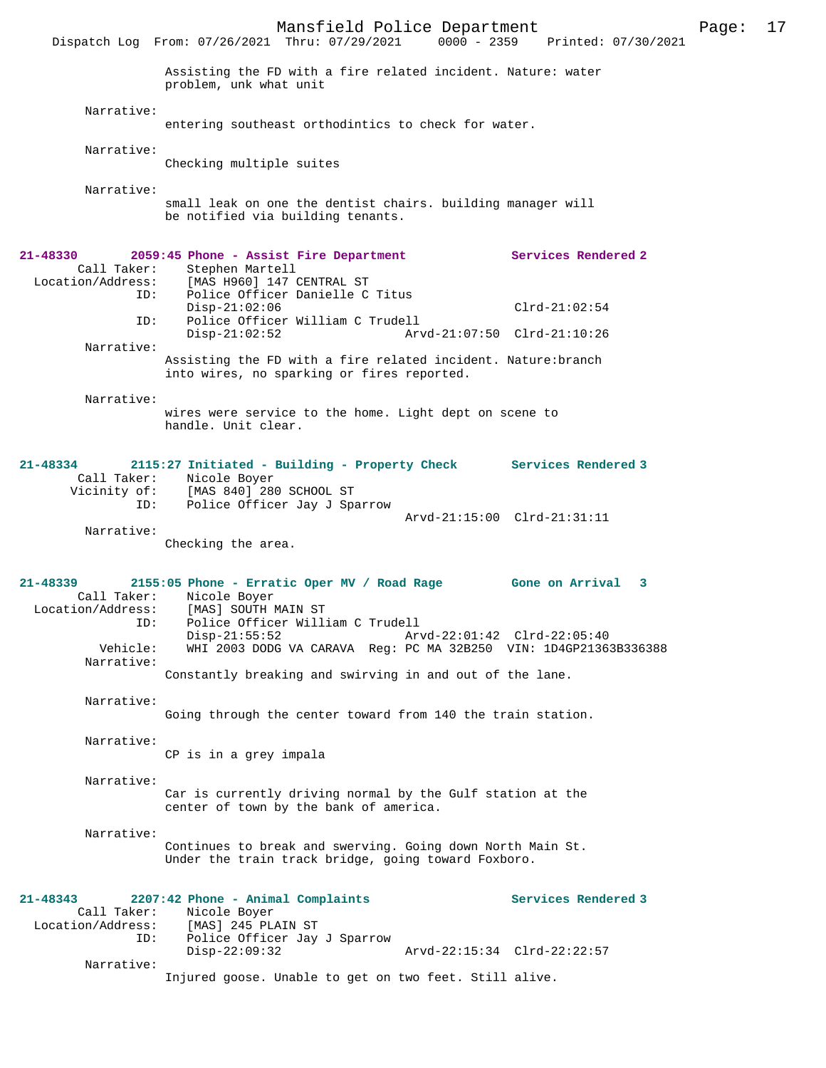Mansfield Police Department Page: 17 Dispatch Log From: 07/26/2021 Thru: 07/29/2021 Assisting the FD with a fire related incident. Nature: water problem, unk what unit Narrative: entering southeast orthodintics to check for water. Narrative: Checking multiple suites Narrative: small leak on one the dentist chairs. building manager will be notified via building tenants. **21-48330 2059:45 Phone - Assist Fire Department Services Rendered 2**  Call Taker: Stephen Martell<br>Location/Address: [MAS H960] 147 [MAS H960] 147 CENTRAL ST ID: Police Officer Danielle C Titus Disp-21:02:06 Clrd-21:02:54<br>TD: Police Officer William C Trudell Police Officer William C Trudell<br>Disp-21:02:52 Ary Disp-21:02:52 Arvd-21:07:50 Clrd-21:10:26 Narrative: Assisting the FD with a fire related incident. Nature:branch into wires, no sparking or fires reported. Narrative: wires were service to the home. Light dept on scene to handle. Unit clear. **21-48334 2115:27 Initiated - Building - Property Check Services Rendered 3**  Call Taker: Nicole Boyer<br>Vicinity of: [MAS 840] 280 Vicinity of: [MAS 840] 280 SCHOOL ST ID: Police Officer Jay J Sparrow Arvd-21:15:00 Clrd-21:31:11 Narrative: Checking the area. **21-48339 2155:05 Phone - Erratic Oper MV / Road Rage Gone on Arrival 3**  Call Taker: Nicole Boyer<br>Location/Address: [MAS] SOUTH N [MAS] SOUTH MAIN ST ID: Police Officer William C Trudell Disp-21:55:52 <br>
Vehicle: WHI 2003 DODG VA CARAVA Reg: PC MA 32B250 VIN: 1D4GP2136 WHI 2003 DODG VA CARAVA Reg: PC MA 32B250 VIN: 1D4GP21363B336388 Narrative: Constantly breaking and swirving in and out of the lane. Narrative: Going through the center toward from 140 the train station. Narrative: CP is in a grey impala Narrative: Car is currently driving normal by the Gulf station at the center of town by the bank of america. Narrative:

Continues to break and swerving. Going down North Main St. Under the train track bridge, going toward Foxboro.

| $21 - 48343$      |                          | 2207:42 Phone - Animal Complaints                      |  |  |  |                             | Services Rendered 3 |
|-------------------|--------------------------|--------------------------------------------------------|--|--|--|-----------------------------|---------------------|
|                   | Call Taker: Nicole Boyer |                                                        |  |  |  |                             |                     |
| Location/Address: |                          | [MAS] 245 PLAIN ST                                     |  |  |  |                             |                     |
|                   | ID:                      | Police Officer Jay J Sparrow                           |  |  |  |                             |                     |
|                   |                          | $Disp-22:09:32$                                        |  |  |  | Arvd-22:15:34 Clrd-22:22:57 |                     |
|                   | Narrative:               |                                                        |  |  |  |                             |                     |
|                   |                          | Injured goose. Unable to get on two feet. Still alive. |  |  |  |                             |                     |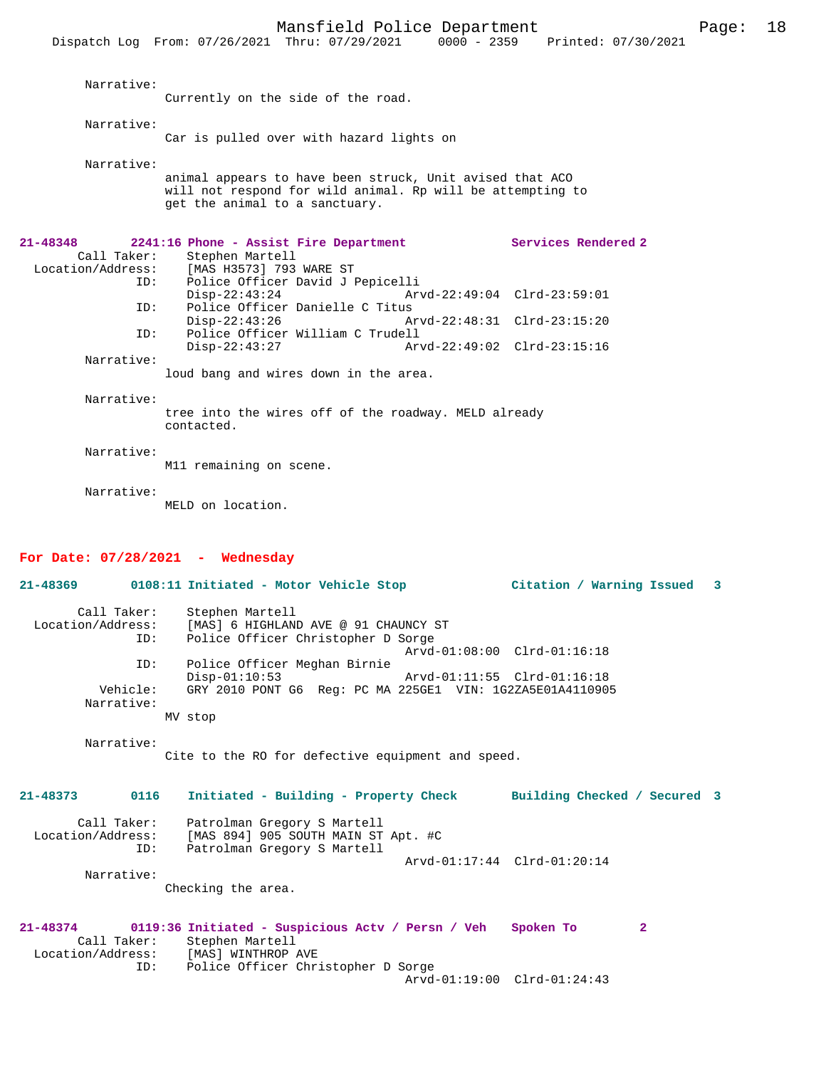|                         | Dispatch Log From: 07/26/2021 Thru: 07/29/2021                                                                                                           |                                                            | 0000 - 2359 Printed: 07/30/2021 |  |
|-------------------------|----------------------------------------------------------------------------------------------------------------------------------------------------------|------------------------------------------------------------|---------------------------------|--|
| Narrative:              | Currently on the side of the road.                                                                                                                       |                                                            |                                 |  |
| Narrative:              | Car is pulled over with hazard lights on                                                                                                                 |                                                            |                                 |  |
| Narrative:              | animal appears to have been struck, Unit avised that ACO<br>will not respond for wild animal. Rp will be attempting to<br>get the animal to a sanctuary. |                                                            |                                 |  |
| 21-48348<br>Call Taker: | 2241:16 Phone - Assist Fire Department<br>Stephen Martell<br>Location/Address: [MAS H3573] 793 WARE ST<br>Police Officer David J Pepicelli<br>ID:        |                                                            | Services Rendered 2             |  |
| ID:                     | Disp-22:43:24<br>Police Officer Danielle C Titus<br>$Disp-22:43:26$                                                                                      | Arvd-22:49:04 Clrd-23:59:01<br>Arvd-22:48:31 Clrd-23:15:20 |                                 |  |
| ID:                     | Police Officer William C Trudell<br>$Disp-22:43:27$                                                                                                      | Arvd-22:49:02 Clrd-23:15:16                                |                                 |  |
| Narrative:              | loud bang and wires down in the area.                                                                                                                    |                                                            |                                 |  |
| Narrative:              | tree into the wires off of the roadway. MELD already<br>contacted.                                                                                       |                                                            |                                 |  |
| Narrative:              | M11 remaining on scene.                                                                                                                                  |                                                            |                                 |  |
| Narrative:              | MELD on location.                                                                                                                                        |                                                            |                                 |  |

## **For Date: 07/28/2021 - Wednesday**

Narrative:

**21-48369 0108:11 Initiated - Motor Vehicle Stop Citation / Warning Issued 3** Call Taker: Stephen Martell Location/Address: [MAS] 6 HIGHLAND AVE @ 91 CHAUNCY ST ID: Police Officer Christopher D Sorge Arvd-01:08:00 Clrd-01:16:18 ID: Police Officer Meghan Birnie Disp-01:10:53 Arvd-01:11:55 Clrd-01:16:18<br>Vehicle: GRY 2010 PONT G6 Req: PC MA 225GE1 VIN: 1G2ZA5E01A411090 GRY 2010 PONT G6 Reg: PC MA 225GE1 VIN: 1G2ZA5E01A4110905 Narrative: MV stop

Cite to the RO for defective equipment and speed.

**21-48373 0116 Initiated - Building - Property Check Building Checked / Secured 3** Call Taker: Patrolman Gregory S Martell Location/Address: [MAS 894] 905 SOUTH MAIN ST Apt. #C Patrolman Gregory S Martell Arvd-01:17:44 Clrd-01:20:14 Narrative: Checking the area. **21-48374 0119:36 Initiated - Suspicious Actv / Persn / Veh Spoken To 2** 

Call Taker: Stephen Martell<br>Location/Address: [MAS] WINTHROP 1 ess: [MAS] WINTHROP AVE<br>ID: Police Officer Chr .<br>Police Officer Christopher D Sorge Arvd-01:19:00 Clrd-01:24:43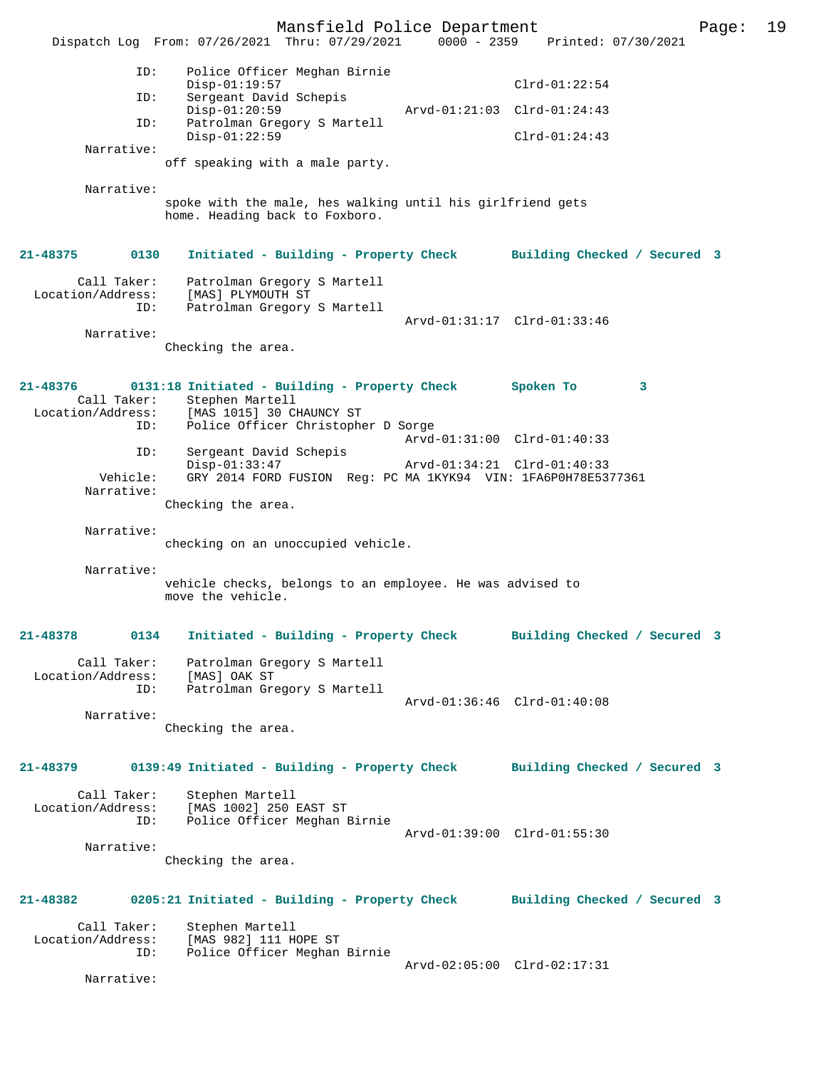Mansfield Police Department Page: 19 Dispatch Log From: 07/26/2021 Thru: 07/29/2021 ID: Police Officer Meghan Birnie Disp-01:19:57 Clrd-01:22:54<br>TD: Sergeant David Schepis Sergeant David Schepis<br>Disp-01:20:59 Disp-01:20:59 Arvd-01:21:03 Clrd-01:24:43<br>TD: Patrolman Gregory S Martell Patrolman Gregory S Martell Disp-01:22:59 Clrd-01:24:43 Narrative: off speaking with a male party. Narrative: spoke with the male, hes walking until his girlfriend gets home. Heading back to Foxboro. **21-48375 0130 Initiated - Building - Property Check Building Checked / Secured 3** Call Taker: Patrolman Gregory S Martell Location/Address: [MAS] PLYMOUTH ST ID: Patrolman Gregory S Martell Arvd-01:31:17 Clrd-01:33:46 Narrative: Checking the area. **21-48376 0131:18 Initiated - Building - Property Check Spoken To 3**  Call Taker: Stephen Martell<br>Location/Address: [MAS 1015] 30 C [MAS 1015] 30 CHAUNCY ST ID: Police Officer Christopher D Sorge Arvd-01:31:00 Clrd-01:40:33<br>ID: Sergeant David Schepis Sergeant David Schepis Disp-01:33:47 Arvd-01:34:21 Clrd-01:40:33<br>Vehicle: GRY 2014 FORD FUSION Reg: PC MA 1KYK94 VIN: 1FA6P0H78E53 GRY 2014 FORD FUSION Reg: PC MA 1KYK94 VIN: 1FA6P0H78E5377361 Narrative: Checking the area. Narrative: checking on an unoccupied vehicle. Narrative: vehicle checks, belongs to an employee. He was advised to move the vehicle. **21-48378 0134 Initiated - Building - Property Check Building Checked / Secured 3** Call Taker: Patrolman Gregory S Martell<br>.on/Address: [MAS] OAK ST Location/Address:<br>ID: Patrolman Gregory S Martell Arvd-01:36:46 Clrd-01:40:08 Narrative: Checking the area. **21-48379 0139:49 Initiated - Building - Property Check Building Checked / Secured 3** Call Taker: Stephen Martell<br>Location/Address: [MAS 1002] 250 [MAS 1002] 250 EAST ST ID: Police Officer Meghan Birnie Arvd-01:39:00 Clrd-01:55:30 Narrative: Checking the area. **21-48382 0205:21 Initiated - Building - Property Check Building Checked / Secured 3** Call Taker: Stephen Martell<br>Location/Address: [MAS 982] 111 H [MAS 982] 111 HOPE ST ID: Police Officer Meghan Birnie Arvd-02:05:00 Clrd-02:17:31 Narrative: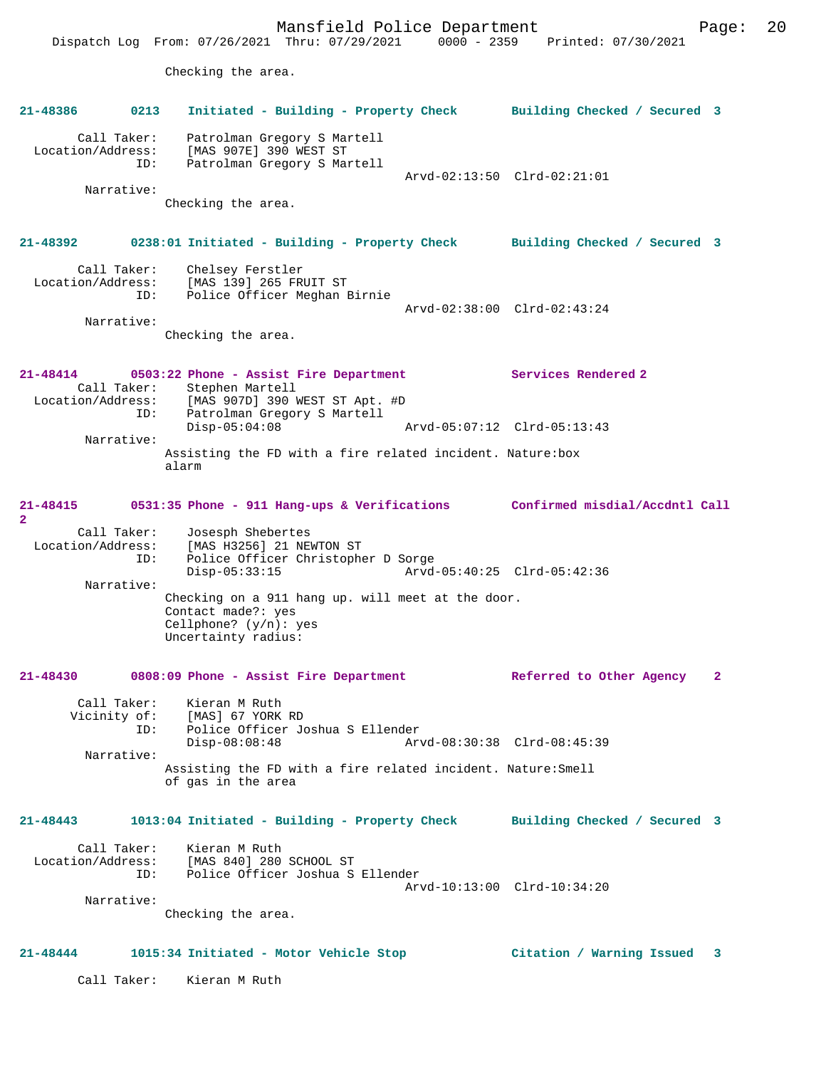Mansfield Police Department Page: 20 Dispatch Log From: 07/26/2021 Thru: 07/29/2021 0000 - 2359 Printed: 07/30/2021 Checking the area. **21-48386 0213 Initiated - Building - Property Check Building Checked / Secured 3** Call Taker: Patrolman Gregory S Martell Location/Address: [MAS 907E] 390 WEST ST ID: Patrolman Gregory S Martell Arvd-02:13:50 Clrd-02:21:01 Narrative: Checking the area. **21-48392 0238:01 Initiated - Building - Property Check Building Checked / Secured 3** Call Taker: Chelsey Ferstler Location/Address: [MAS 139] 265 FRUIT ST ID: Police Officer Meghan Birnie Arvd-02:38:00 Clrd-02:43:24 Narrative: Checking the area. **21-48414 0503:22 Phone - Assist Fire Department Services Rendered 2**  Call Taker: Stephen Martell Location/Address: [MAS 907D] 390 WEST ST Apt. #D Patrolman Gregory S Martell<br>Disp-05:04:08 Disp-05:04:08 Arvd-05:07:12 Clrd-05:13:43 Narrative: Assisting the FD with a fire related incident. Nature:box alarm **21-48415 0531:35 Phone - 911 Hang-ups & Verifications Confirmed misdial/Accdntl Call 2**  Call Taker: Josesph Shebertes Location/Address: [MAS H3256] 21 NEWTON ST ID: Police Officer Christopher D Sorge Disp-05:33:15 Arvd-05:40:25 Clrd-05:42:36 Narrative: Checking on a 911 hang up. will meet at the door. Contact made?: yes Cellphone? (y/n): yes Uncertainty radius: **21-48430 0808:09 Phone - Assist Fire Department Referred to Other Agency 2** Call Taker: Kieran M Ruth Vicinity of: [MAS] 67 YORK RD<br>ID: Police Officer Jo ID: Police Officer Joshua S Ellender Disp-08:08:48 Arvd-08:30:38 Clrd-08:45:39 Narrative: Assisting the FD with a fire related incident. Nature:Smell of gas in the area **21-48443 1013:04 Initiated - Building - Property Check Building Checked / Secured 3** Call Taker: Kieran M Ruth Location/Address: [MAS 840] 280 SCHOOL ST ID: Police Officer Joshua S Ellender ID: Police Officer Joshua S Ellender<br>Arvd-10:13:00 Clrd-10:34:20 Narrative: Checking the area. **21-48444 1015:34 Initiated - Motor Vehicle Stop Citation / Warning Issued 3** Call Taker: Kieran M Ruth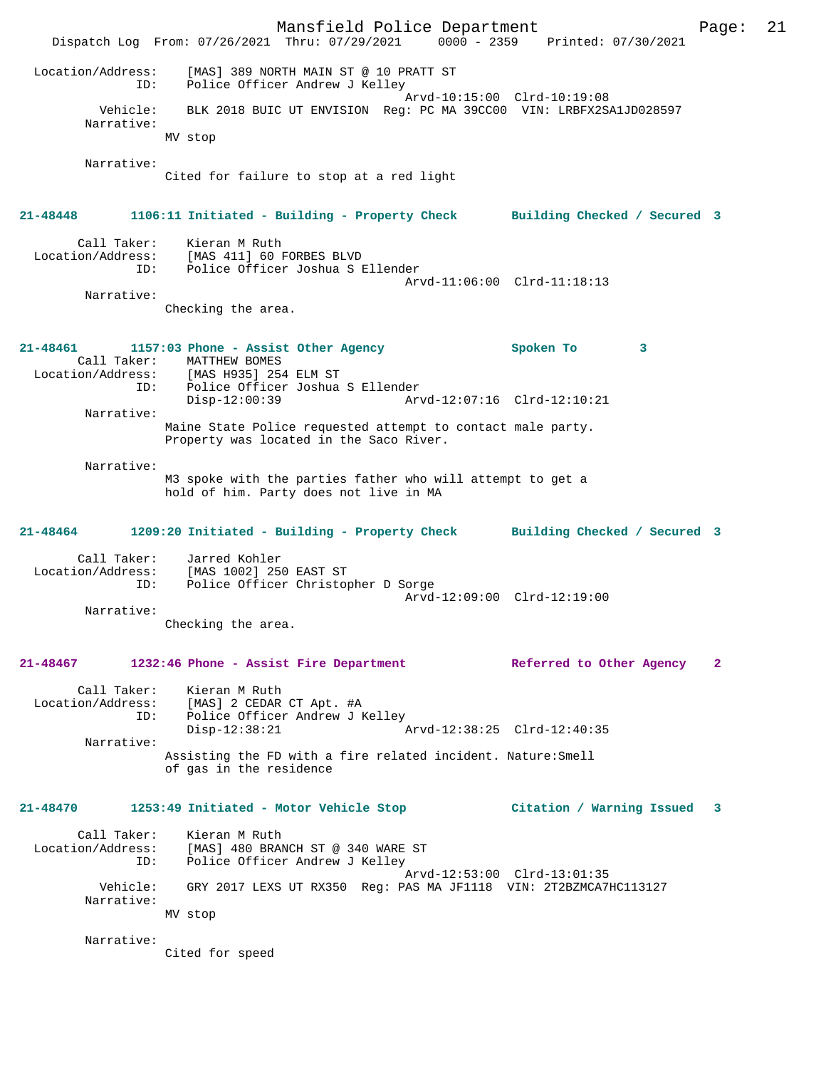Mansfield Police Department Page: 21 Dispatch Log From: 07/26/2021 Thru: 07/29/2021 0000 - 2359 Printed: 07/30/2021 Location/Address: [MAS] 389 NORTH MAIN ST @ 10 PRATT ST ID: Police Officer Andrew J Kelley Arvd-10:15:00 Clrd-10:19:08 Vehicle: BLK 2018 BUIC UT ENVISION Reg: PC MA 39CC00 VIN: LRBFX2SA1JD028597 Narrative: MV stop Narrative: Cited for failure to stop at a red light **21-48448 1106:11 Initiated - Building - Property Check Building Checked / Secured 3** Call Taker: Kieran M Ruth Location/Address: [MAS 411] 60 FORBES BLVD ID: Police Officer Joshua S Ellender Arvd-11:06:00 Clrd-11:18:13 Narrative: Checking the area. **21-48461 1157:03 Phone - Assist Other Agency Spoken To 3**  Call Taker: MATTHEW BOMES Location/Address: [MAS H935] 254 ELM ST ID: Police Officer Joshua S Ellender Disp-12:00:39 Arvd-12:07:16 Clrd-12:10:21 Narrative: Maine State Police requested attempt to contact male party. Property was located in the Saco River. Narrative: M3 spoke with the parties father who will attempt to get a hold of him. Party does not live in MA **21-48464 1209:20 Initiated - Building - Property Check Building Checked / Secured 3** Call Taker: Jarred Kohler Location/Address: [MAS 1002] 250 EAST ST Police Officer Christopher D Sorge Arvd-12:09:00 Clrd-12:19:00 Narrative: Checking the area. **21-48467 1232:46 Phone - Assist Fire Department Referred to Other Agency 2** Call Taker: Kieran M Ruth<br>Location/Address: [MAS] 2 CEDAR Location/Address: [MAS] 2 CEDAR CT Apt. #A ID: Police Officer Andrew J Kelley Disp-12:38:21 Arvd-12:38:25 Clrd-12:40:35 Narrative: Assisting the FD with a fire related incident. Nature:Smell of gas in the residence **21-48470 1253:49 Initiated - Motor Vehicle Stop Citation / Warning Issued 3** Call Taker: Kieran M Ruth Location/Address: [MAS] 480 BRANCH ST @ 340 WARE ST ID: Police Officer Andrew J Kelley Arvd-12:53:00 Clrd-13:01:35 Vehicle: GRY 2017 LEXS UT RX350 Reg: PAS MA JF1118 VIN: 2T2BZMCA7HC113127 Narrative: MV stop Narrative: Cited for speed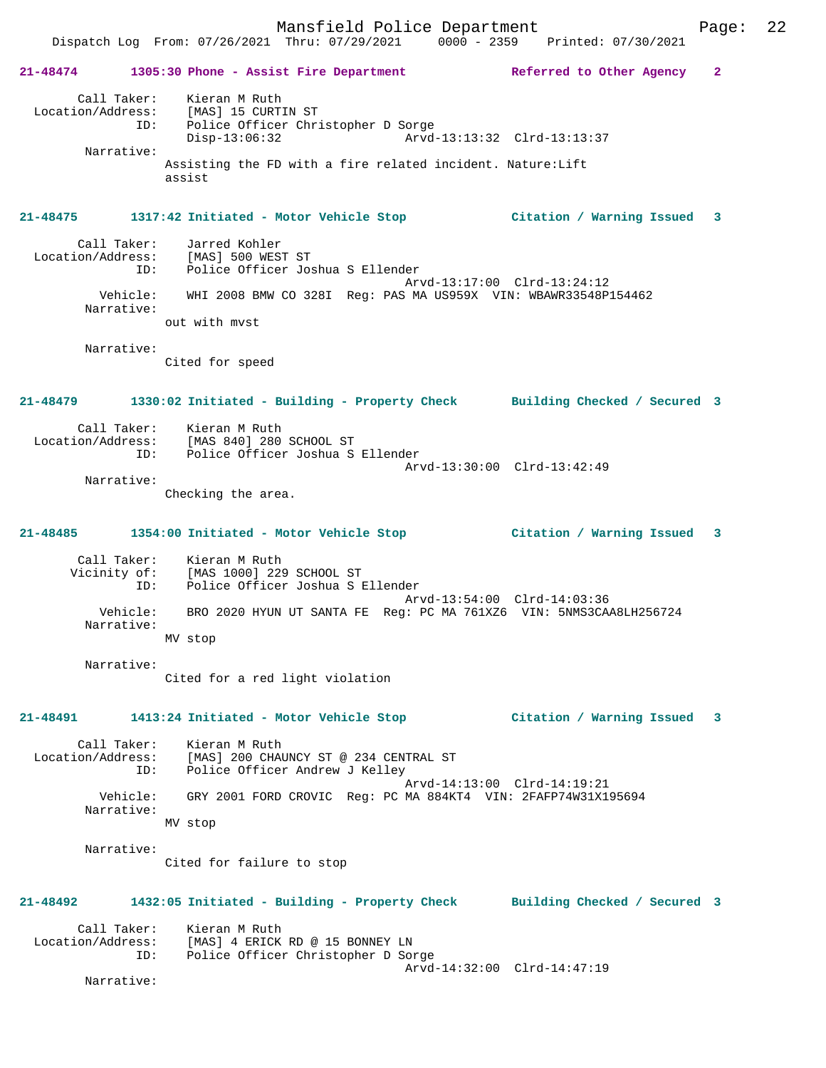**21-48474 1305:30 Phone - Assist Fire Department Referred to Other Agency 2** Call Taker: Kieran M Ruth Location/Address: [MAS] 15 CURTIN ST ID: Police Officer Christopher D Sorge Disp-13:06:32 Arvd-13:13:32 Clrd-13:13:37 Narrative: Assisting the FD with a fire related incident. Nature:Lift assist **21-48475 1317:42 Initiated - Motor Vehicle Stop Citation / Warning Issued 3** Call Taker: Jarred Kohler Location/Address: [MAS] 500 WEST ST<br>ID: Police Officer Jos Police Officer Joshua S Ellender Arvd-13:17:00 Clrd-13:24:12 Vehicle: WHI 2008 BMW CO 328I Reg: PAS MA US959X VIN: WBAWR33548P154462 Narrative: out with mvst Narrative: Cited for speed **21-48479 1330:02 Initiated - Building - Property Check Building Checked / Secured 3** Call Taker: Kieran M Ruth<br>Location/Address: [MAS 840] 280 [MAS 840] 280 SCHOOL ST ID: Police Officer Joshua S Ellender Arvd-13:30:00 Clrd-13:42:49 Narrative: Checking the area. **21-48485 1354:00 Initiated - Motor Vehicle Stop Citation / Warning Issued 3** Call Taker: Kieran M Ruth Vicinity of: [MAS 1000] 229 SCHOOL ST ID: Police Officer Joshua S Ellender Arvd-13:54:00 Clrd-14:03:36<br>Vehicle: BRO 2020 HYUN UT SANTA FE Req: PC MA 761XZ6 VIN: 5NMS3CA BRO 2020 HYUN UT SANTA FE Reg: PC MA 761XZ6 VIN: 5NMS3CAA8LH256724 Narrative: MV stop Narrative: Cited for a red light violation **21-48491 1413:24 Initiated - Motor Vehicle Stop Citation / Warning Issued 3** Call Taker: Kieran M Ruth Location/Address: [MAS] 200 CHAUNCY ST @ 234 CENTRAL ST ID: Police Officer Andrew J Kelley Arvd-14:13:00 Clrd-14:19:21<br>Vehicle: GRY 2001 FORD CROVIC Reg: PC MA 884KT4 VIN: 2FAFP74W31X19 GRY 2001 FORD CROVIC Reg: PC MA 884KT4 VIN: 2FAFP74W31X195694 Narrative: MV stop Narrative: Cited for failure to stop **21-48492 1432:05 Initiated - Building - Property Check Building Checked / Secured 3** Call Taker: Kieran M Ruth Location/Address: [MAS] 4 ERICK RD @ 15 BONNEY LN ID: Police Officer Christopher D Sorge Arvd-14:32:00 Clrd-14:47:19 Narrative: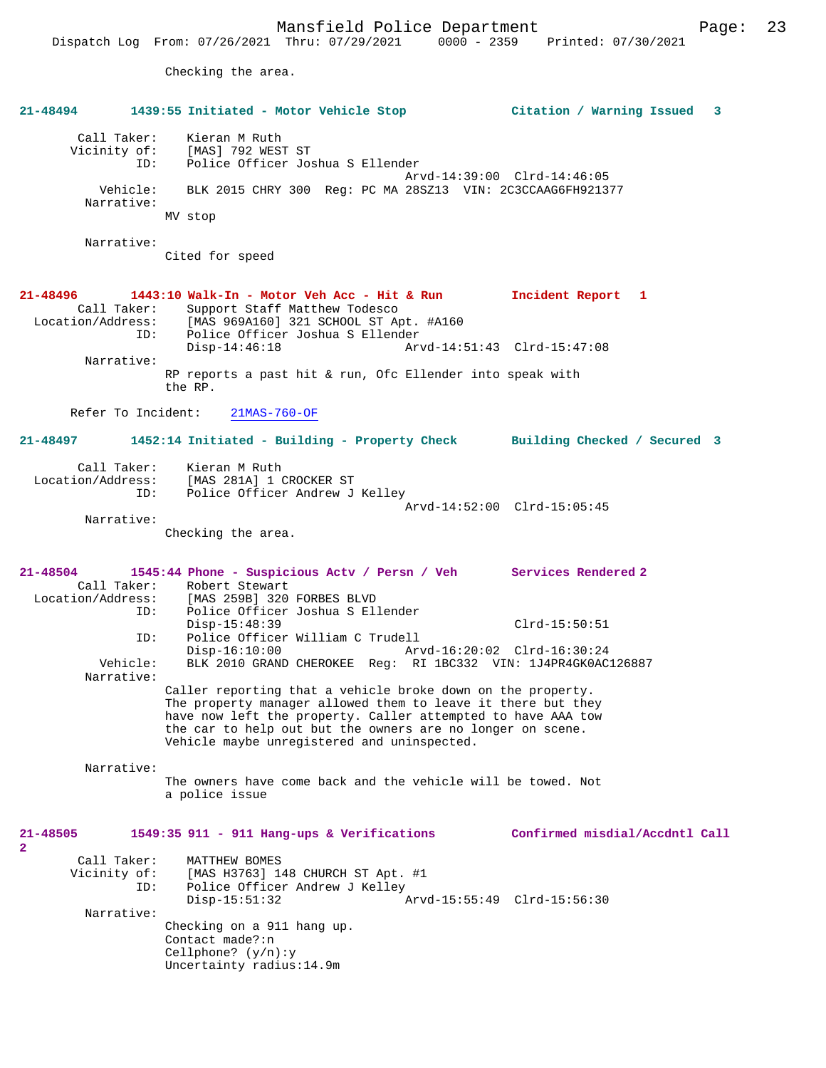Checking the area.

| 21-48494                                     | 1439:55 Initiated - Motor Vehicle Stop                                                                                                                                                                                                                                                                   | Citation / Warning Issued 3    |
|----------------------------------------------|----------------------------------------------------------------------------------------------------------------------------------------------------------------------------------------------------------------------------------------------------------------------------------------------------------|--------------------------------|
| Call Taker:<br>Vicinity of:<br>Vehicle:      | Kieran M Ruth<br>[MAS] 792 WEST ST<br>Police Officer Joshua S Ellender<br>ID:<br>BLK 2015 CHRY 300 Req: PC MA 28SZ13 VIN: 2C3CCAAG6FH921377                                                                                                                                                              | Arvd-14:39:00 Clrd-14:46:05    |
| Narrative:                                   | MV stop                                                                                                                                                                                                                                                                                                  |                                |
| Narrative:                                   |                                                                                                                                                                                                                                                                                                          |                                |
|                                              | Cited for speed                                                                                                                                                                                                                                                                                          |                                |
| 21-48496<br>Call Taker:<br>Location/Address: | 1443:10 Walk-In - Motor Veh Acc - Hit & Run<br>Support Staff Matthew Todesco<br>[MAS 969A160] 321 SCHOOL ST Apt. #A160<br>Police Officer Joshua S Ellender<br>ID:                                                                                                                                        | Incident Report 1              |
| Narrative:                                   | $Disp-14:46:18$                                                                                                                                                                                                                                                                                          | Arvd-14:51:43 Clrd-15:47:08    |
|                                              | RP reports a past hit & run, Ofc Ellender into speak with<br>the RP.                                                                                                                                                                                                                                     |                                |
| Refer To Incident:                           | $21MAS-760-OF$                                                                                                                                                                                                                                                                                           |                                |
| 21-48497                                     | 1452:14 Initiated - Building - Property Check Building Checked / Secured 3                                                                                                                                                                                                                               |                                |
| Call Taker:<br>Location/Address:             | Kieran M Ruth<br>[MAS 281A] 1 CROCKER ST<br>Police Officer Andrew J Kelley<br>ID:                                                                                                                                                                                                                        | Arvd-14:52:00 Clrd-15:05:45    |
| Narrative:                                   |                                                                                                                                                                                                                                                                                                          |                                |
|                                              | Checking the area.                                                                                                                                                                                                                                                                                       |                                |
|                                              |                                                                                                                                                                                                                                                                                                          |                                |
| 21-48504<br>Call Taker:                      | 1545:44 Phone - Suspicious Actv / Persn / Veh Services Rendered 2<br>Robert Stewart                                                                                                                                                                                                                      |                                |
| Location/Address:                            | [MAS 259B] 320 FORBES BLVD<br>Police Officer Joshua S Ellender<br>ID:                                                                                                                                                                                                                                    |                                |
|                                              | $Disp-15:48:39$                                                                                                                                                                                                                                                                                          | $Clrd-15:50:51$                |
|                                              | Police Officer William C Trudell<br>ID:<br>$Disp-16:10:00$                                                                                                                                                                                                                                               |                                |
| Vehicle:<br>Narrative:                       | BLK 2010 GRAND CHEROKEE Reg: RI 1BC332 VIN: 1J4PR4GK0AC126887                                                                                                                                                                                                                                            |                                |
|                                              | Caller reporting that a vehicle broke down on the property.<br>The property manager allowed them to leave it there but they<br>have now left the property. Caller attempted to have AAA tow<br>the car to help out but the owners are no longer on scene.<br>Vehicle maybe unregistered and uninspected. |                                |
| Narrative:                                   |                                                                                                                                                                                                                                                                                                          |                                |
|                                              | The owners have come back and the vehicle will be towed. Not<br>a police issue                                                                                                                                                                                                                           |                                |
| 21-48505<br>$\mathbf{2}^{\circ}$             | 1549:35 911 - 911 Hang-ups & Verifications                                                                                                                                                                                                                                                               | Confirmed misdial/Accdntl Call |
| Call Taker:                                  | MATTHEW BOMES                                                                                                                                                                                                                                                                                            |                                |
| Vicinity of:                                 | [MAS H3763] 148 CHURCH ST Apt. #1<br>Police Officer Andrew J Kelley<br>ID:<br>$Disp-15:51:32$                                                                                                                                                                                                            | Arvd-15:55:49 Clrd-15:56:30    |
| Narrative:                                   | Checking on a 911 hang up.                                                                                                                                                                                                                                                                               |                                |
|                                              | Contact made?:n<br>Cellphone? $(y/n):y$<br>Uncertainty radius: 14.9m                                                                                                                                                                                                                                     |                                |
|                                              |                                                                                                                                                                                                                                                                                                          |                                |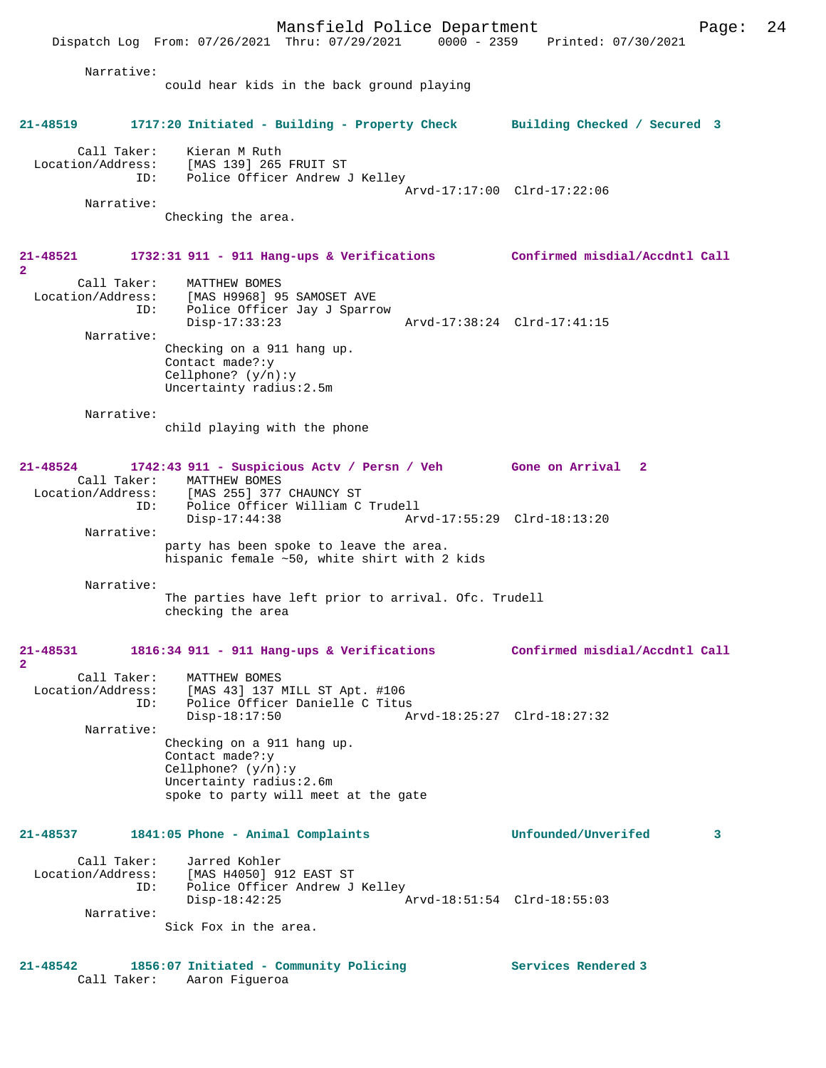Mansfield Police Department Page: 24 Dispatch Log From: 07/26/2021 Thru: 07/29/2021 0000 - 2359 Printed: 07/30/2021 Narrative: could hear kids in the back ground playing **21-48519 1717:20 Initiated - Building - Property Check Building Checked / Secured 3** Call Taker: Kieran M Ruth Location/Address: [MAS 139] 265 FRUIT ST ID: Police Officer Andrew J Kelley Arvd-17:17:00 Clrd-17:22:06 Narrative: Checking the area. **21-48521 1732:31 911 - 911 Hang-ups & Verifications Confirmed misdial/Accdntl Call 2**  Call Taker: MATTHEW BOMES Location/Address: [MAS H9968] 95 SAMOSET AVE ID: Police Officer Jay J Sparrow Disp-17:33:23 Arvd-17:38:24 Clrd-17:41:15 Narrative: Checking on a 911 hang up. Contact made?:y Cellphone? (y/n):y Uncertainty radius:2.5m Narrative: child playing with the phone **21-48524 1742:43 911 - Suspicious Actv / Persn / Veh Gone on Arrival 2**  Call Taker: MATTHEW BOMES<br>Location/Address: [MAS 255] 377 لمستحدة المستحدة .<br>ESS: [MAS 255] 377 CHAUNCY ST<br>TD: Police Officer William C Police Officer William C Trudell<br>Disp-17:44:38 Arv Disp-17:44:38 Arvd-17:55:29 Clrd-18:13:20 Narrative: party has been spoke to leave the area. hispanic female ~50, white shirt with 2 kids Narrative: The parties have left prior to arrival. Ofc. Trudell checking the area **21-48531 1816:34 911 - 911 Hang-ups & Verifications Confirmed misdial/Accdntl Call 2**  Call Taker: MATTHEW BOMES Location/Address: [MAS 43] 137 MILL ST Apt. #106 ID: Police Officer Danielle C Titus Disp-18:17:50 Arvd-18:25:27 Clrd-18:27:32 Narrative: Checking on a 911 hang up. Contact made?:y Cellphone? (y/n):y Uncertainty radius:2.6m spoke to party will meet at the gate **21-48537 1841:05 Phone - Animal Complaints Unfounded/Unverifed 3** Call Taker: Jarred Kohler<br>Location/Address: [MAS H4050] 9 ...<br>ess: [MAS H4050] 912 EAST ST<br> ID: Police Officer Andrew J Police Officer Andrew J Kelley<br>Disp-18:42:25 Disp-18:42:25 Arvd-18:51:54 Clrd-18:55:03 Narrative: Sick Fox in the area.

**21-48542 1856:07 Initiated - Community Policing Services Rendered 3**  Call Taker: Aaron Figueroa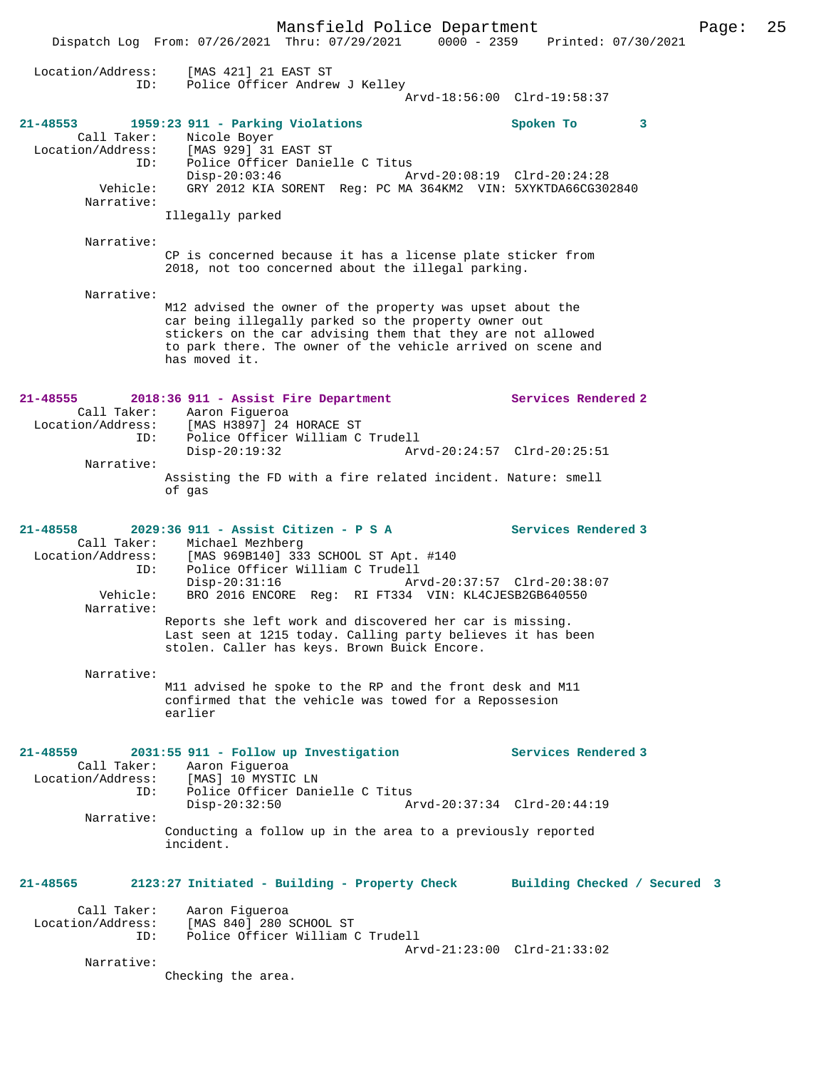Mansfield Police Department Page: 25 Dispatch Log From: 07/26/2021 Thru: 07/29/2021 0000 - 2359 Printed: 07/30/2021 Location/Address: [MAS 421] 21 EAST ST ID: Police Officer Andrew J Kelley Arvd-18:56:00 Clrd-19:58:37 **21-48553 1959:23 911 - Parking Violations Spoken To 3**  Call Taker: Nicole Boyer<br>Location/Address: [MAS 929] 31 Location/Address: [MAS 929] 31 EAST ST ID: Police Officer Danielle C Titus ID: Police Officer Danielle C Titus<br>Disp-20:03:46 Arvd-20:08:19 Clrd-20:24:28 Vehicle: GRY 2012 KIA SORENT Reg: PC MA 364KM2 VIN: 5XYKTDA66CG302840 Narrative: Illegally parked Narrative: CP is concerned because it has a license plate sticker from 2018, not too concerned about the illegal parking. Narrative: M12 advised the owner of the property was upset about the car being illegally parked so the property owner out stickers on the car advising them that they are not allowed to park there. The owner of the vehicle arrived on scene and has moved it. **21-48555 2018:36 911 - Assist Fire Department Services Rendered 2**  Call Taker: Aaron Figueroa Location/Address: [MAS H3897] 24 HORACE ST ID: Police Officer William C Trudell Disp-20:19:32 Arvd-20:24:57 Clrd-20:25:51 Narrative: Assisting the FD with a fire related incident. Nature: smell of gas **21-48558 2029:36 911 - Assist Citizen - P S A Services Rendered 3**  Call Taker: Michael Mezhberg<br>Location/Address: [MAS 969B140] 333 Location (Address: [MAS 969B140] 333 SCHOOL ST Apt. #140<br>ID: Police Officer William C Trudell Police Officer William C Trudell<br>Disp-20:31:16 Arv Disp-20:31:16 Arvd-20:37:57 Clrd-20:38:07 Vehicle: BRO 2016 ENCORE Reg: RI FT334 VIN: KL4CJESB2GB640550 Narrative: Reports she left work and discovered her car is missing. Last seen at 1215 today. Calling party believes it has been stolen. Caller has keys. Brown Buick Encore. Narrative: M11 advised he spoke to the RP and the front desk and M11 confirmed that the vehicle was towed for a Repossesion earlier **21-48559 2031:55 911 - Follow up Investigation Services Rendered 3**  Call Taker: Aaron Figueroa<br>Location/Address: [MAS] 10 MYSTIC [MAS] 10 MYSTIC LN ID: Police Officer Danielle C Titus Disp-20:32:50 Arvd-20:37:34 Clrd-20:44:19 Narrative: Conducting a follow up in the area to a previously reported incident. **21-48565 2123:27 Initiated - Building - Property Check Building Checked / Secured 3** Call Taker: Aaron Figueroa Location/Address: [MAS 840] 280 SCHOOL ST ID: Police Officer William C Trudell Arvd-21:23:00 Clrd-21:33:02 Narrative: Checking the area.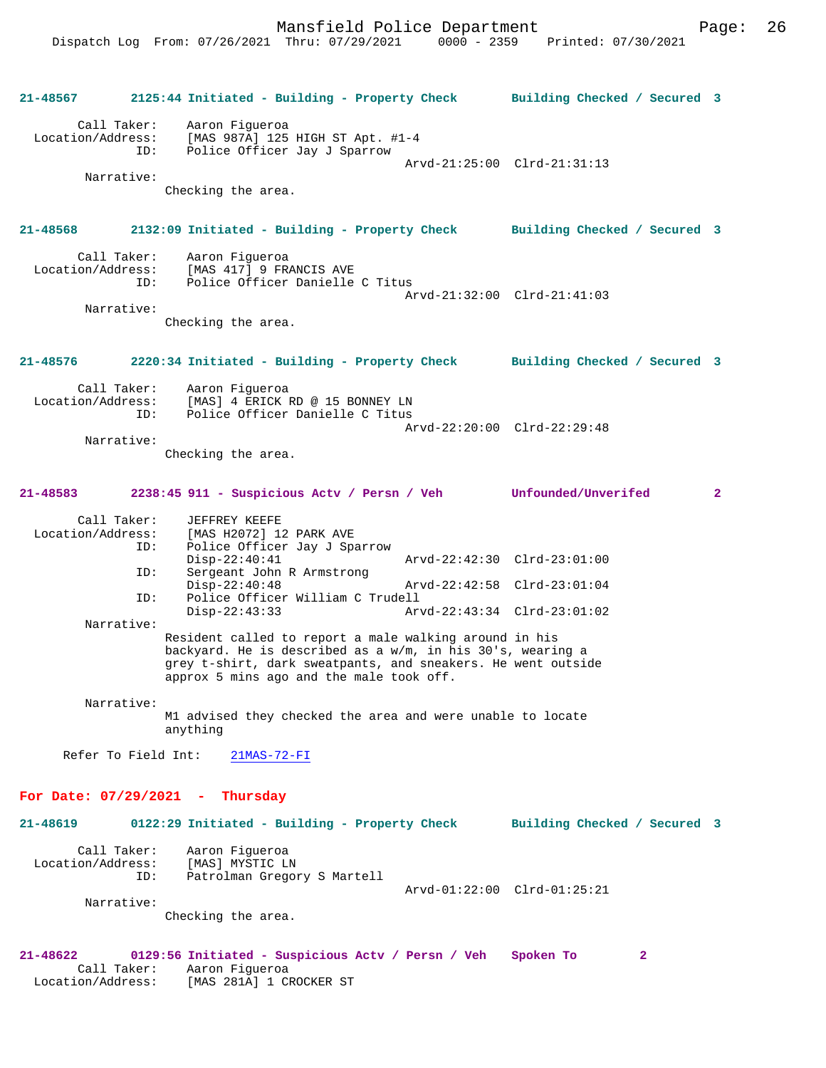| 21-48567                                     | 2125:44 Initiated - Building - Property Check                                                                                                                                                                                    |                             | Building Checked / Secured 3 |              |
|----------------------------------------------|----------------------------------------------------------------------------------------------------------------------------------------------------------------------------------------------------------------------------------|-----------------------------|------------------------------|--------------|
| Call Taker:<br>Location/Address:<br>ID:      | Aaron Figueroa<br>[MAS 987A] 125 HIGH ST Apt. #1-4<br>Police Officer Jay J Sparrow                                                                                                                                               |                             | Arvd-21:25:00 Clrd-21:31:13  |              |
| Narrative:                                   | Checking the area.                                                                                                                                                                                                               |                             |                              |              |
| 21-48568                                     | 2132:09 Initiated - Building - Property Check Building Checked / Secured 3                                                                                                                                                       |                             |                              |              |
| Call Taker:<br>ID:                           | Aaron Fiqueroa<br>Location/Address: [MAS 417] 9 FRANCIS AVE<br>Police Officer Danielle C Titus                                                                                                                                   |                             | Arvd-21:32:00 Clrd-21:41:03  |              |
| Narrative:                                   |                                                                                                                                                                                                                                  |                             |                              |              |
|                                              | Checking the area.                                                                                                                                                                                                               |                             |                              |              |
| 21-48576                                     | 2220:34 Initiated - Building - Property Check Building Checked / Secured 3                                                                                                                                                       |                             |                              |              |
| Call Taker:<br>ID:                           | Aaron Fiqueroa<br>Location/Address: [MAS] 4 ERICK RD @ 15 BONNEY LN<br>Police Officer Danielle C Titus                                                                                                                           |                             |                              |              |
| Narrative:                                   |                                                                                                                                                                                                                                  |                             | Arvd-22:20:00 Clrd-22:29:48  |              |
|                                              | Checking the area.                                                                                                                                                                                                               |                             |                              |              |
| 21-48583                                     | 2238:45 911 - Suspicious Actv / Persn / Veh Unfounded/Unverifed                                                                                                                                                                  |                             |                              | $\mathbf{2}$ |
| Call Taker:<br>Location/Address:<br>ID:      | JEFFREY KEEFE<br>[MAS H2072] 12 PARK AVE<br>Police Officer Jay J Sparrow                                                                                                                                                         |                             |                              |              |
| ID:                                          | $Disp-22:40:41$<br>Sergeant John R Armstrong                                                                                                                                                                                     | Arvd-22:42:30 Clrd-23:01:00 |                              |              |
| ID:                                          | $Disp-22:40:48$<br>Police Officer William C Trudell                                                                                                                                                                              |                             | Arvd-22:42:58 Clrd-23:01:04  |              |
| Narrative:                                   | $Disp-22:43:33$                                                                                                                                                                                                                  |                             | Arvd-22:43:34 Clrd-23:01:02  |              |
|                                              | Resident called to report a male walking around in his<br>backyard. He is described as a w/m, in his 30's, wearing a<br>grey t-shirt, dark sweatpants, and sneakers. He went outside<br>approx 5 mins ago and the male took off. |                             |                              |              |
| Narrative:                                   |                                                                                                                                                                                                                                  |                             |                              |              |
|                                              | M1 advised they checked the area and were unable to locate<br>anything                                                                                                                                                           |                             |                              |              |
| Refer To Field Int:                          | $21MAS - 72 - FI$                                                                                                                                                                                                                |                             |                              |              |
| For Date: $07/29/2021$ - Thursday            |                                                                                                                                                                                                                                  |                             |                              |              |
| 21-48619                                     | 0122:29 Initiated - Building - Property Check                                                                                                                                                                                    |                             | Building Checked / Secured 3 |              |
| Call Taker:<br>Location/Address:<br>ID:      | Aaron Figueroa<br>[MAS] MYSTIC LN<br>Patrolman Gregory S Martell                                                                                                                                                                 |                             |                              |              |
| Narrative:                                   |                                                                                                                                                                                                                                  |                             | Arvd-01:22:00 Clrd-01:25:21  |              |
|                                              | Checking the area.                                                                                                                                                                                                               |                             |                              |              |
| 21-48622<br>Call Taker:<br>Location/Address: | 0129:56 Initiated - Suspicious Actv / Persn / Veh<br>Aaron Fiqueroa<br>[MAS 281A] 1 CROCKER ST                                                                                                                                   |                             | Spoken To<br>2               |              |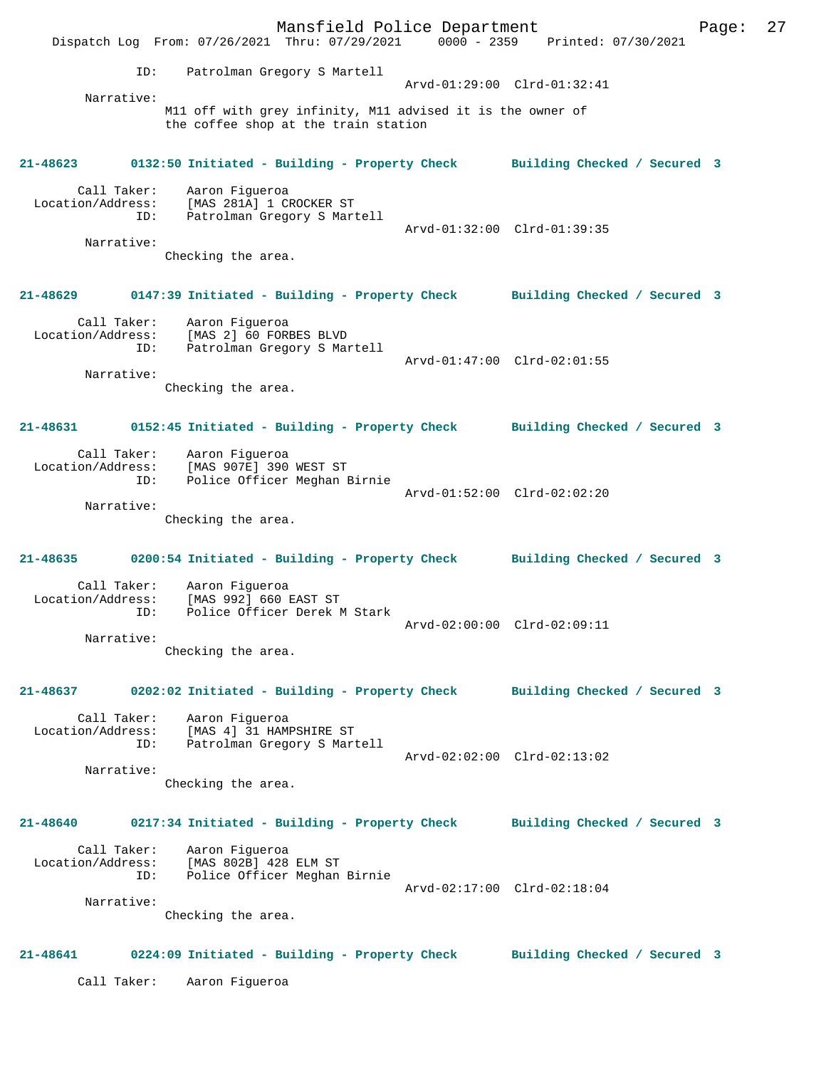Mansfield Police Department Fage: 27 Dispatch Log From: 07/26/2021 Thru: 07/29/2021 0000 - 2359 Printed: 07/30/2021 ID: Patrolman Gregory S Martell Arvd-01:29:00 Clrd-01:32:41 Narrative: M11 off with grey infinity, M11 advised it is the owner of the coffee shop at the train station **21-48623 0132:50 Initiated - Building - Property Check Building Checked / Secured 3** Call Taker: Aaron Figueroa Location/Address: [MAS 281A] 1 CROCKER ST ID: Patrolman Gregory S Martell Arvd-01:32:00 Clrd-01:39:35 Narrative: Checking the area. **21-48629 0147:39 Initiated - Building - Property Check Building Checked / Secured 3** Call Taker: Aaron Figueroa Location/Address: [MAS 2] 60 FORBES BLVD ID: Patrolman Gregory S Martell Arvd-01:47:00 Clrd-02:01:55 Narrative: Checking the area. **21-48631 0152:45 Initiated - Building - Property Check Building Checked / Secured 3** Call Taker: Aaron Figueroa Location/Address: [MAS 907E] 390 WEST ST ID: Police Officer Meghan Birnie Arvd-01:52:00 Clrd-02:02:20 Narrative: Checking the area. **21-48635 0200:54 Initiated - Building - Property Check Building Checked / Secured 3** Call Taker: Aaron Figueroa Location/Address: [MAS 992] 660 EAST ST<br>ID: Police Officer Derek N Police Officer Derek M Stark Arvd-02:00:00 Clrd-02:09:11 Narrative: Checking the area. **21-48637 0202:02 Initiated - Building - Property Check Building Checked / Secured 3** Call Taker: Aaron Figueroa Location/Address: [MAS 4] 31 HAMPSHIRE ST ID: Patrolman Gregory S Martell Arvd-02:02:00 Clrd-02:13:02 Narrative: Checking the area. **21-48640 0217:34 Initiated - Building - Property Check Building Checked / Secured 3** Call Taker: Aaron Figueroa Location/Address: [MAS 802B] 428 ELM ST ID: Police Officer Meghan Birnie Arvd-02:17:00 Clrd-02:18:04 Narrative: Checking the area. **21-48641 0224:09 Initiated - Building - Property Check Building Checked / Secured 3** Call Taker: Aaron Figueroa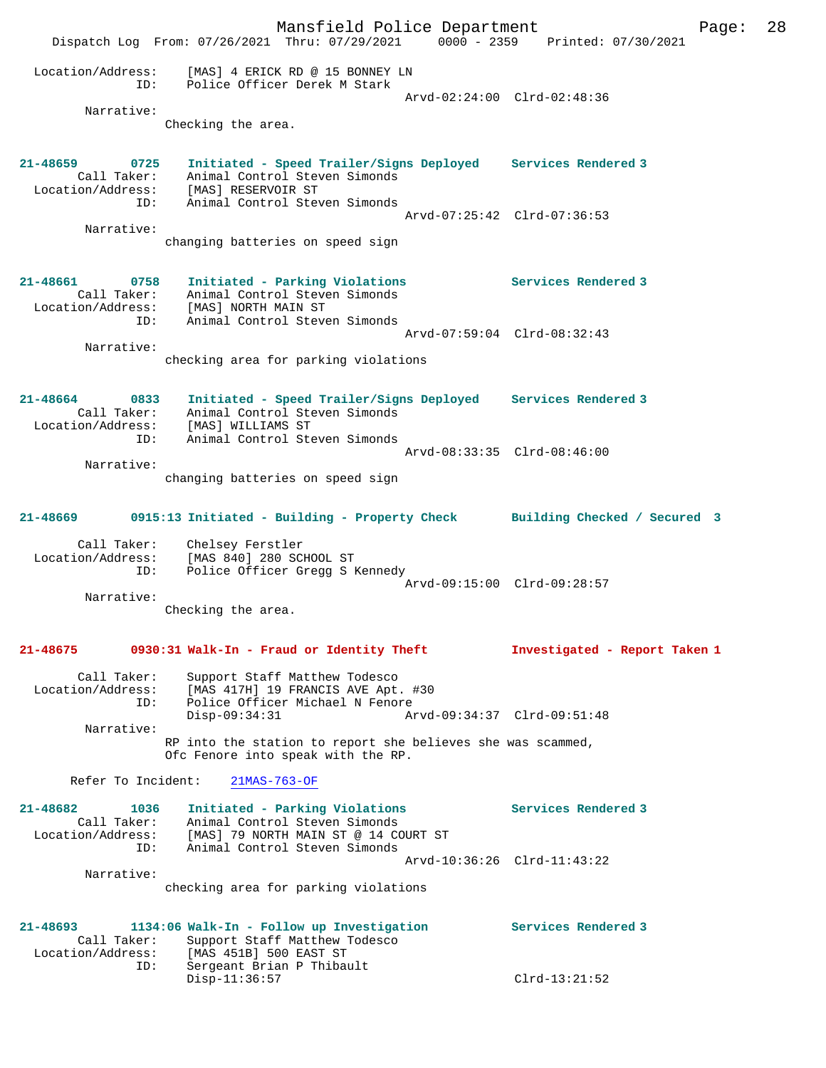Mansfield Police Department Page: 28 Dispatch Log From: 07/26/2021 Thru: 07/29/2021 0000 - 2359 Printed: 07/30/2021 Location/Address: [MAS] 4 ERICK RD @ 15 BONNEY LN ID: Police Officer Derek M Stark Arvd-02:24:00 Clrd-02:48:36 Narrative: Checking the area. **21-48659 0725 Initiated - Speed Trailer/Signs Deployed Services Rendered 3**  Call Taker: Animal Control Steven Simonds Location/Address: [MAS] RESERVOIR ST ID: Animal Control Steven Simonds Arvd-07:25:42 Clrd-07:36:53 Narrative: changing batteries on speed sign **21-48661 0758 Initiated - Parking Violations Services Rendered 3**  Call Taker: Animal Control Steven Simonds Location/Address: [MAS] NORTH MAIN ST ID: Animal Control Steven Simonds Arvd-07:59:04 Clrd-08:32:43 Narrative: checking area for parking violations **21-48664 0833 Initiated - Speed Trailer/Signs Deployed Services Rendered 3**  Call Taker: Animal Control Steven Simonds Location/Address: [MAS] WILLIAMS ST ID: Animal Control Steven Simonds Arvd-08:33:35 Clrd-08:46:00 Narrative: changing batteries on speed sign **21-48669 0915:13 Initiated - Building - Property Check Building Checked / Secured 3** Call Taker: Chelsey Ferstler Location/Address: [MAS 840] 280 SCHOOL ST ID: Police Officer Gregg S Kennedy Arvd-09:15:00 Clrd-09:28:57 Narrative: Checking the area. **21-48675 0930:31 Walk-In - Fraud or Identity Theft Investigated - Report Taken 1** Call Taker: Support Staff Matthew Todesco Location/Address: [MAS 417H] 19 FRANCIS AVE Apt. #30 ID: Police Officer Michael N Fenore Disp-09:34:31 Arvd-09:34:37 Clrd-09:51:48 Narrative: RP into the station to report she believes she was scammed, Ofc Fenore into speak with the RP. Refer To Incident: 21MAS-763-OF **21-48682 1036 Initiated - Parking Violations Services Rendered 3**  Call Taker: Animal Control Steven Simonds Location/Address: [MAS] 79 NORTH MAIN ST @ 14 COURT ST ID: Animal Control Steven Simonds Arvd-10:36:26 Clrd-11:43:22 Narrative: checking area for parking violations **21-48693 1134:06 Walk-In - Follow up Investigation Services Rendered 3**  Call Taker: Support Staff Matthew Todesco Location/Address: [MAS 451B] 500 EAST ST ID: Sergeant Brian P Thibault<br>Disp-11:36:57 Disp-11:36:57 Clrd-13:21:52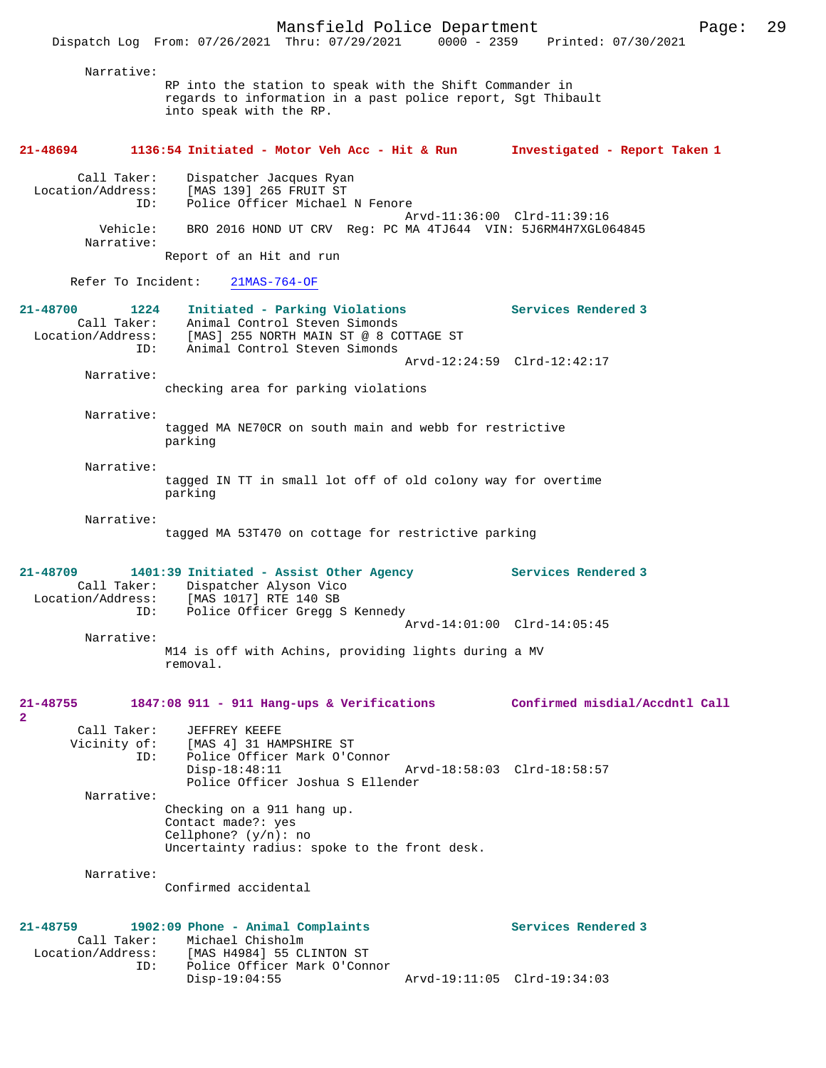Narrative: RP into the station to speak with the Shift Commander in regards to information in a past police report, Sgt Thibault into speak with the RP. **21-48694 1136:54 Initiated - Motor Veh Acc - Hit & Run Investigated - Report Taken 1** Call Taker: Dispatcher Jacques Ryan Location/Address: [MAS 139] 265 FRUIT ST ID: Police Officer Michael N Fenore Arvd-11:36:00 Clrd-11:39:16<br>Vehicle: BRO 2016 HOND UT CRV Reg: PC MA 4TJ644 VIN: 5J6RM4H7XGL0 BRO 2016 HOND UT CRV Reg: PC MA 4TJ644 VIN: 5J6RM4H7XGL064845 Narrative: Report of an Hit and run Refer To Incident: 21MAS-764-OF **21-48700 1224 Initiated - Parking Violations Services Rendered 3**  Call Taker: Animal Control Steven Simonds Location/Address: [MAS] 255 NORTH MAIN ST @ 8 COTTAGE ST ID: Animal Control Steven Simonds Arvd-12:24:59 Clrd-12:42:17 Narrative: checking area for parking violations Narrative: tagged MA NE70CR on south main and webb for restrictive parking Narrative: tagged IN TT in small lot off of old colony way for overtime parking Narrative: tagged MA 53T470 on cottage for restrictive parking **21-48709 1401:39 Initiated - Assist Other Agency Services Rendered 3**  Call Taker: Dispatcher Alyson Vico<br>Location/Address: [MAS 1017] RTE 140 SB ess: [MAS 1017] RTE 140 SB<br>ID: Police Officer Gregg S Police Officer Gregg S Kennedy Arvd-14:01:00 Clrd-14:05:45 Narrative: M14 is off with Achins, providing lights during a MV removal. **21-48755 1847:08 911 - 911 Hang-ups & Verifications Confirmed misdial/Accdntl Call 2**  Call Taker: JEFFREY KEEFE<br>Vicinity of: [MAS 4] 31 HAI of: [MAS 4] 31 HAMPSHIRE ST<br>ID: Police Officer Mark O'C Police Officer Mark O'Connor<br>Disp-18:48:11 Arvd-18:58:03 Clrd-18:58:57 Police Officer Joshua S Ellender Narrative: Checking on a 911 hang up. Contact made?: yes Cellphone? (y/n): no Uncertainty radius: spoke to the front desk. Narrative: Confirmed accidental **21-48759 1902:09 Phone - Animal Complaints Services Rendered 3**  Call Taker: Michael Chisholm Location/Address: [MAS H4984] 55 CLINTON ST Police Officer Mark O'Connor<br>Disp-19:04:55 Disp-19:04:55 Arvd-19:11:05 Clrd-19:34:03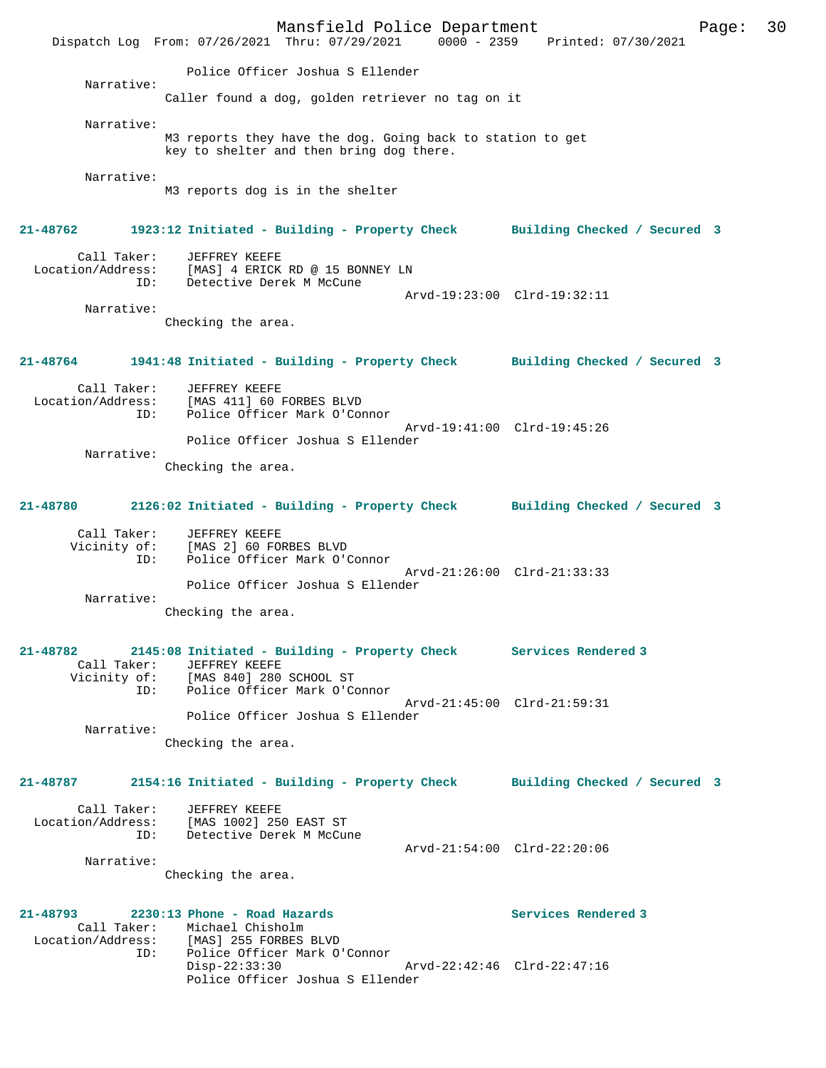Mansfield Police Department Page: 30 Dispatch Log From: 07/26/2021 Thru: 07/29/2021 0000 - 2359 Police Officer Joshua S Ellender Narrative: Caller found a dog, golden retriever no tag on it Narrative: M3 reports they have the dog. Going back to station to get key to shelter and then bring dog there. Narrative: M3 reports dog is in the shelter **21-48762 1923:12 Initiated - Building - Property Check Building Checked / Secured 3** Call Taker: JEFFREY KEEFE<br>Location/Address: [MAS] 4 ERICK [MAS] 4 ERICK RD @ 15 BONNEY LN ID: Detective Derek M McCune Arvd-19:23:00 Clrd-19:32:11 Narrative: Checking the area. **21-48764 1941:48 Initiated - Building - Property Check Building Checked / Secured 3** Call Taker: JEFFREY KEEFE Location/Address: [MAS 411] 60 FORBES BLVD Police Officer Mark O'Connor Arvd-19:41:00 Clrd-19:45:26 Police Officer Joshua S Ellender Narrative: Checking the area. **21-48780 2126:02 Initiated - Building - Property Check Building Checked / Secured 3** Call Taker: JEFFREY KEEFE Vicinity of: [MAS 2] 60 FORBES BLVD ID: Police Officer Mark O'Connor Arvd-21:26:00 Clrd-21:33:33 Police Officer Joshua S Ellender Narrative: Checking the area. **21-48782 2145:08 Initiated - Building - Property Check Services Rendered 3**  Call Taker: JEFFREY KEEFE [MAS 840] 280 SCHOOL ST Police Officer Mark O'Connor Arvd-21:45:00 Clrd-21:59:31 Police Officer Joshua S Ellender Narrative: Checking the area. **21-48787 2154:16 Initiated - Building - Property Check Building Checked / Secured 3** Call Taker: JEFFREY KEEFE Location/Address: [MAS 1002] 250 EAST ST Detective Derek M McCune Arvd-21:54:00 Clrd-22:20:06 Narrative: Checking the area. **21-48793 2230:13 Phone - Road Hazards Services Rendered 3**  Call Taker: Michael Chisholm<br>Location/Address: [MAS] 255 FORBES ess: [MAS] 255 FORBES BLVD<br>ID: Police Officer Mark O' Police Officer Mark O'Connor Disp-22:33:30 Arvd-22:42:46 Clrd-22:47:16 Police Officer Joshua S Ellender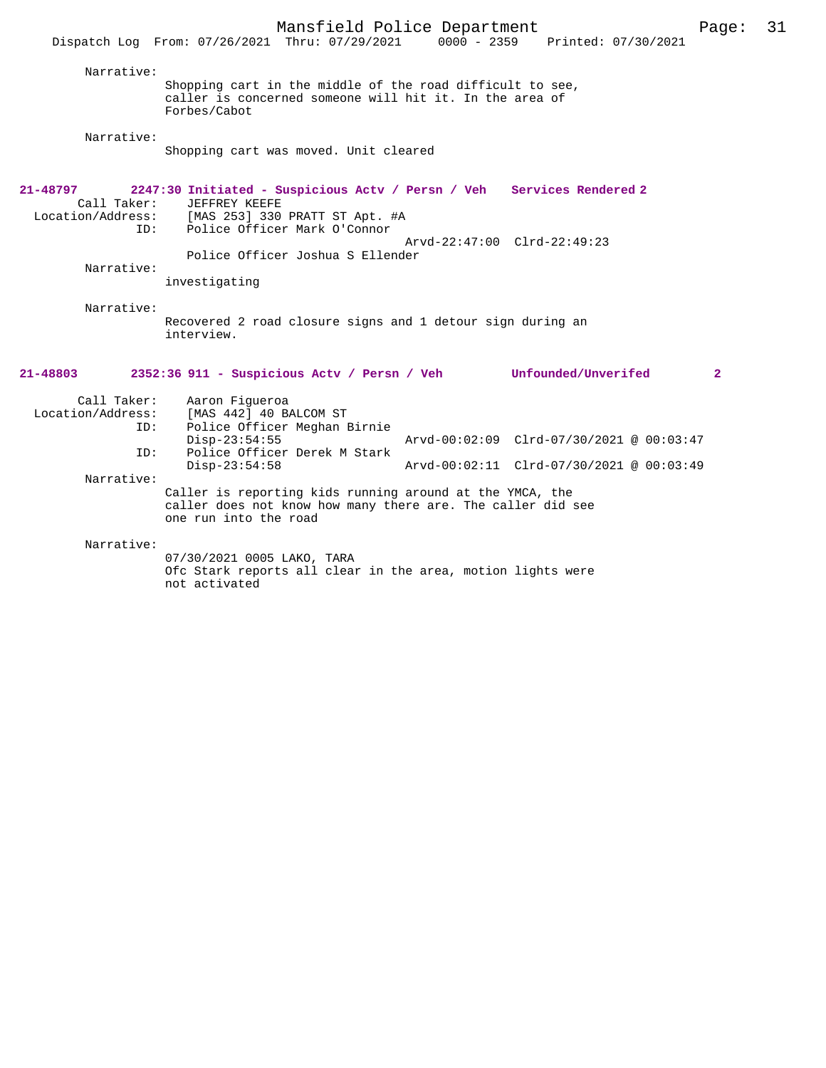|                                                              | Dispatch Log From: 07/26/2021 Thru: 07/29/2021                                                                                                                                                                 | $0000 - 2359$ | Printed: 07/30/2021                                                                  |                      |
|--------------------------------------------------------------|----------------------------------------------------------------------------------------------------------------------------------------------------------------------------------------------------------------|---------------|--------------------------------------------------------------------------------------|----------------------|
| Narrative:                                                   | Shopping cart in the middle of the road difficult to see,<br>caller is concerned someone will hit it. In the area of<br>Forbes/Cabot                                                                           |               |                                                                                      |                      |
| Narrative:                                                   | Shopping cart was moved. Unit cleared                                                                                                                                                                          |               |                                                                                      |                      |
| 21-48797<br>Call Taker:<br>ID:                               | 2247:30 Initiated - Suspicious Actv / Persn / Veh Services Rendered 2<br>JEFFREY KEEFE<br>Location/Address: [MAS 253] 330 PRATT ST Apt. #A<br>Police Officer Mark O'Connor<br>Police Officer Joshua S Ellender |               | Arvd-22:47:00 Clrd-22:49:23                                                          |                      |
| Narrative:                                                   | investigating                                                                                                                                                                                                  |               |                                                                                      |                      |
| Narrative:                                                   | Recovered 2 road closure signs and 1 detour sign during an<br>interview.                                                                                                                                       |               |                                                                                      |                      |
| 21-48803                                                     | 2352:36 911 - Suspicious Actv / Persn / Veh Unfounded/Unverifed                                                                                                                                                |               |                                                                                      | $\mathbf{2}^{\circ}$ |
| Call Taker:<br>Location/Address:<br>ID:<br>ID:<br>Narrative: | Aaron Fiqueroa<br>[MAS 442] 40 BALCOM ST<br>Police Officer Meghan Birnie<br>$Disp-23:54:55$<br>Police Officer Derek M Stark<br>$Disp-23:54:58$                                                                 |               | Arvd-00:02:09 Clrd-07/30/2021 @ 00:03:47<br>Arvd-00:02:11 Clrd-07/30/2021 @ 00:03:49 |                      |
|                                                              | Caller is reporting kids running around at the YMCA, the<br>caller does not know how many there are. The caller did see<br>one run into the road                                                               |               |                                                                                      |                      |
| Narrative:                                                   | 07/30/2021 0005 LAKO, TARA<br>Ofc Stark reports all clear in the area, motion lights were<br>not activated                                                                                                     |               |                                                                                      |                      |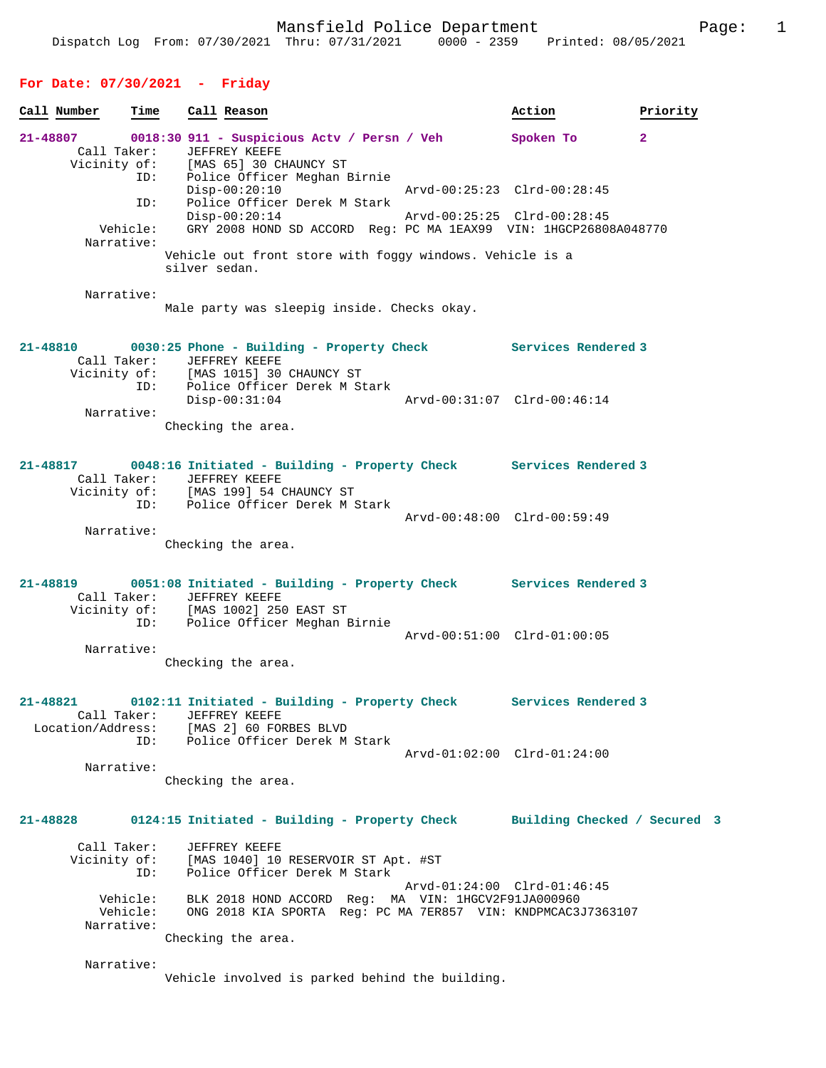## **For Date: 07/30/2021 - Friday**

| Call Number                                  | Time                 |               | Call Reason                                                                                                                                                            | Action                      | Priority     |
|----------------------------------------------|----------------------|---------------|------------------------------------------------------------------------------------------------------------------------------------------------------------------------|-----------------------------|--------------|
| 21-48807<br>Call Taker:                      |                      |               | 0018:30 911 - Suspicious Actv / Persn / Veh<br>JEFFREY KEEFE                                                                                                           | Spoken To                   | $\mathbf{2}$ |
|                                              | ID:                  |               | Vicinity of: [MAS 65] 30 CHAUNCY ST<br>Police Officer Meghan Birnie<br>$Disp-00:20:10$                                                                                 | Arvd-00:25:23 Clrd-00:28:45 |              |
|                                              | ID:                  |               | Police Officer Derek M Stark<br>$Disp-00:20:14$                                                                                                                        | Arvd-00:25:25 Clrd-00:28:45 |              |
| Narrative:                                   | Vehicle:             |               | GRY 2008 HOND SD ACCORD Reg: PC MA 1EAX99 VIN: 1HGCP26808A048770<br>Vehicle out front store with foggy windows. Vehicle is a                                           |                             |              |
|                                              |                      | silver sedan. |                                                                                                                                                                        |                             |              |
| Narrative:                                   |                      |               | Male party was sleepig inside. Checks okay.                                                                                                                            |                             |              |
| 21-48810<br>Call Taker:                      |                      |               | 0030:25 Phone - Building - Property Check Services Rendered 3<br>JEFFREY KEEFE                                                                                         |                             |              |
|                                              | ID:                  |               | Vicinity of: [MAS 1015] 30 CHAUNCY ST<br>Police Officer Derek M Stark<br>$Disp-00:31:04$                                                                               | Arvd-00:31:07 Clrd-00:46:14 |              |
| Narrative:                                   |                      |               | Checking the area.                                                                                                                                                     |                             |              |
| 21-48817<br>Call Taker:                      | ID:                  |               | 0048:16 Initiated - Building - Property Check Services Rendered 3<br>JEFFREY KEEFE<br>Vicinity of: [MAS 199] 54 CHAUNCY ST<br>Police Officer Derek M Stark             |                             |              |
| Narrative:                                   |                      |               |                                                                                                                                                                        | Arvd-00:48:00 Clrd-00:59:49 |              |
|                                              |                      |               | Checking the area.                                                                                                                                                     |                             |              |
| Call Taker:                                  |                      |               | 21-48819 0051:08 Initiated - Building - Property Check Services Rendered 3<br>JEFFREY KEEFE<br>Vicinity of: [MAS 1002] 250 EAST ST<br>ID: Police Officer Meghan Birnie |                             |              |
| Narrative:                                   |                      |               |                                                                                                                                                                        | Arvd-00:51:00 Clrd-01:00:05 |              |
|                                              |                      |               | Checking the area.                                                                                                                                                     |                             |              |
| 21-48821<br>Call Taker:<br>Location/Address: |                      |               | 0102:11 Initiated - Building - Property Check Services Rendered 3<br>JEFFREY KEEFE<br>[MAS 2] 60 FORBES BLVD                                                           |                             |              |
| Narrative:                                   | ID:                  |               | Police Officer Derek M Stark                                                                                                                                           | Arvd-01:02:00 Clrd-01:24:00 |              |
|                                              |                      |               | Checking the area.                                                                                                                                                     |                             |              |
| 21-48828                                     |                      |               | 0124:15 Initiated - Building - Property Check Building Checked / Secured 3                                                                                             |                             |              |
| Call Taker:<br>Vicinity of:                  | ID:                  |               | JEFFREY KEEFE<br>[MAS 1040] 10 RESERVOIR ST Apt. #ST<br>Police Officer Derek M Stark                                                                                   |                             |              |
| Narrative:                                   | Vehicle:<br>Vehicle: |               | BLK 2018 HOND ACCORD Req: MA VIN: 1HGCV2F91JA000960<br>ONG 2018 KIA SPORTA Reg: PC MA 7ER857 VIN: KNDPMCAC3J7363107                                                    | Arvd-01:24:00 Clrd-01:46:45 |              |
|                                              |                      |               | Checking the area.                                                                                                                                                     |                             |              |
| Narrative:                                   |                      |               | Vehicle involved is parked behind the building.                                                                                                                        |                             |              |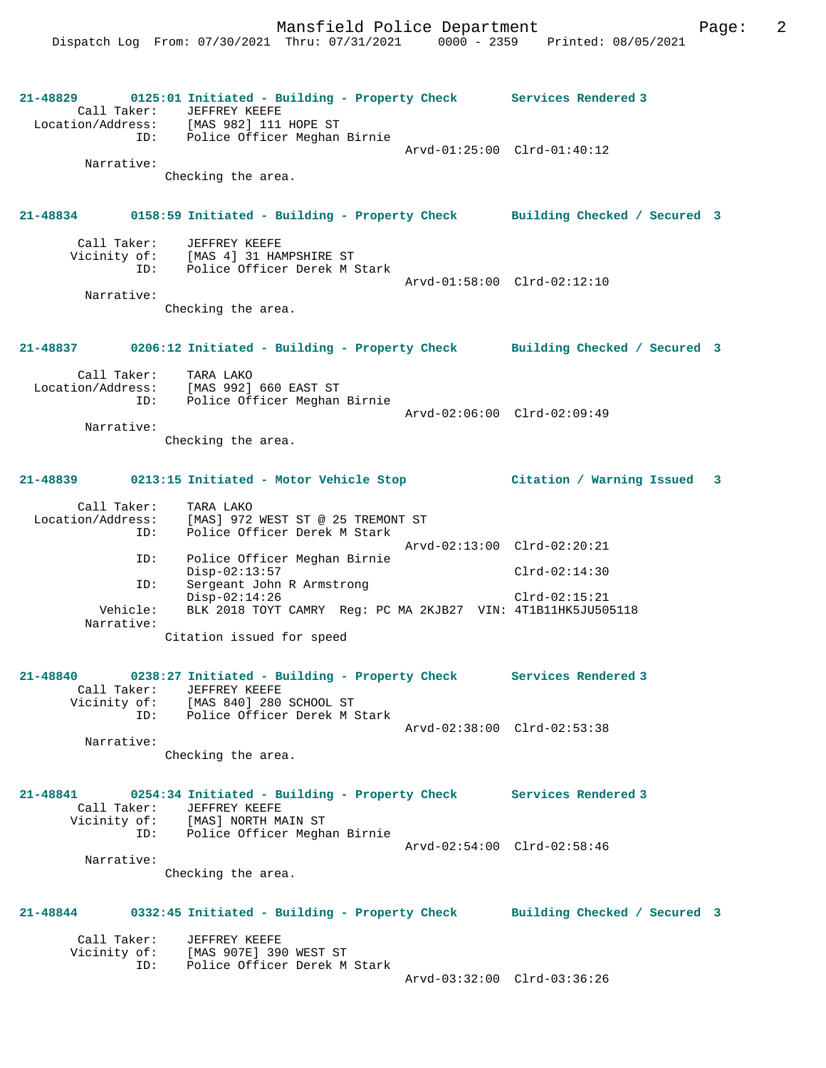**21-48829 0125:01 Initiated - Building - Property Check Services Rendered 3**  Call Taker: JEFFREY KEEFE Location/Address: [MAS 982] 111 HOPE ST ID: Police Officer Meghan Birnie Arvd-01:25:00 Clrd-01:40:12 Narrative: Checking the area. **21-48834 0158:59 Initiated - Building - Property Check Building Checked / Secured 3** Call Taker: JEFFREY KEEFE Vicinity of: [MAS 4] 31 HAMPSHIRE ST ID: Police Officer Derek M Stark Arvd-01:58:00 Clrd-02:12:10 Narrative: Checking the area. **21-48837 0206:12 Initiated - Building - Property Check Building Checked / Secured 3** Call Taker: TARA LAKO Location/Address: [MAS 992] 660 EAST ST ID: Police Officer Meghan Birnie Arvd-02:06:00 Clrd-02:09:49 Narrative: Checking the area. **21-48839 0213:15 Initiated - Motor Vehicle Stop Citation / Warning Issued 3** Call Taker: TARA LAKO<br>Location/Address: [MAS] 972 Location/Address: [MAS] 972 WEST ST @ 25 TREMONT ST ID: Police Officer Derek M Stark Arvd-02:13:00 Clrd-02:20:21 ID: Police Officer Meghan Birnie Disp-02:13:57 Clrd-02:14:30 ID: Sergeant John R Armstrong Disp-02:14:26 Clrd-02:15:21 Vehicle: BLK 2018 TOYT CAMRY Reg: PC MA 2KJB27 VIN: 4T1B11HK5JU505118 Narrative: Citation issued for speed **21-48840 0238:27 Initiated - Building - Property Check Services Rendered 3**  Call Taker: JEFFREY KEEFE Vicinity of: [MAS 840] 280 SCHOOL ST ID: Police Officer Derek M Stark Arvd-02:38:00 Clrd-02:53:38 Narrative: Checking the area. **21-48841 0254:34 Initiated - Building - Property Check Services Rendered 3**  Call Taker: JEFFREY KEEFE Vicinity of: [MAS] NORTH MAIN ST ID: Police Officer Meghan Birnie Arvd-02:54:00 Clrd-02:58:46 Narrative: Checking the area. **21-48844 0332:45 Initiated - Building - Property Check Building Checked / Secured 3** Call Taker: JEFFREY KEEFE Vicinity of: [MAS 907E] 390 WEST ST ID: Police Officer Derek M Stark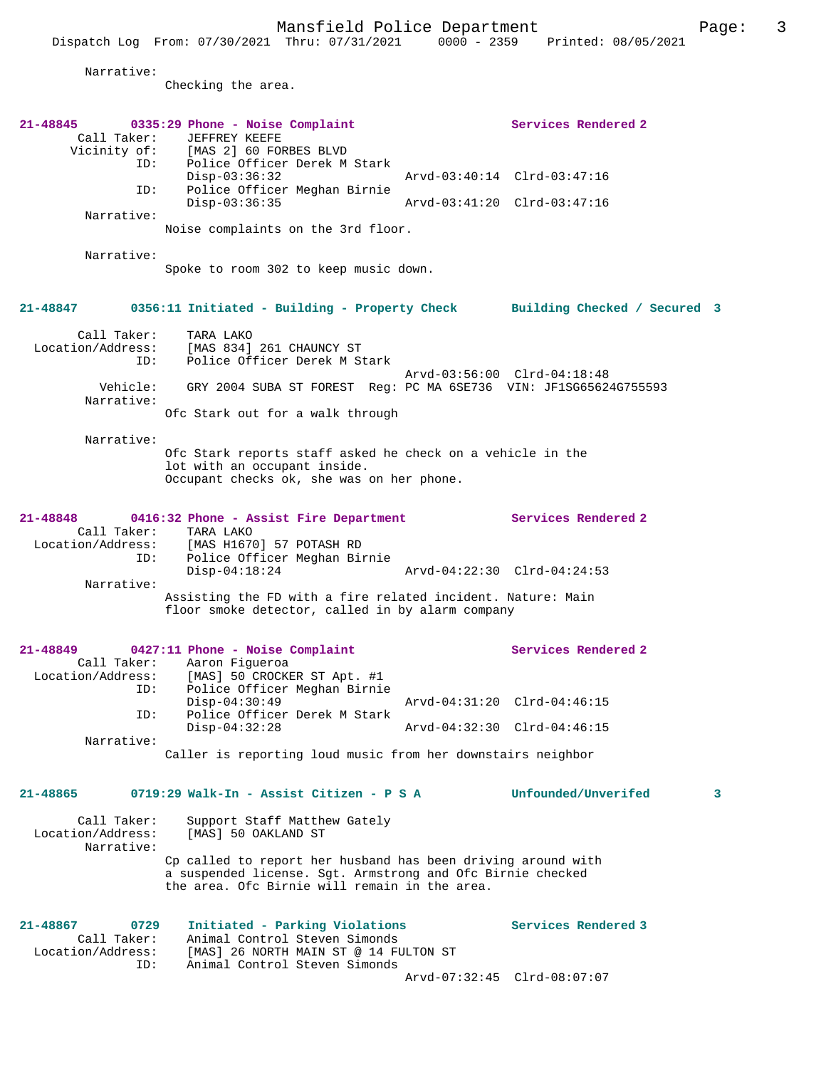|                                                             | rand-rera rorrec beparement<br>Dispatch Log From: 07/30/2021 Thru: 07/31/2021 0000 - 2359 Printed: 08/05/2021                             | r ugci                      |  |
|-------------------------------------------------------------|-------------------------------------------------------------------------------------------------------------------------------------------|-----------------------------|--|
| Narrative:                                                  | Checking the area.                                                                                                                        |                             |  |
| 21-48845<br>Call Taker:                                     | 0335:29 Phone - Noise Complaint<br><b>JEFFREY KEEFE</b><br>Vicinity of: [MAS 2] 60 FORBES BLVD<br>ID: Police Officer Derek M Stark        | Services Rendered 2         |  |
| ID:                                                         | $Disp-03:36:32$<br>Police Officer Meghan Birnie                                                                                           | Arvd-03:40:14 Clrd-03:47:16 |  |
|                                                             | $Disp-03:36:35$                                                                                                                           | Arvd-03:41:20 Clrd-03:47:16 |  |
| Narrative:                                                  | Noise complaints on the 3rd floor.                                                                                                        |                             |  |
| Narrative:                                                  | Spoke to room 302 to keep music down.                                                                                                     |                             |  |
| 21-48847                                                    | 0356:11 Initiated - Building - Property Check Building Checked / Secured 3                                                                |                             |  |
| Call Taker:<br>ID:                                          | TARA LAKO<br>Location/Address: [MAS 834] 261 CHAUNCY ST<br>Police Officer Derek M Stark                                                   |                             |  |
| Narrative:                                                  | Vehicle: GRY 2004 SUBA ST FOREST Reg: PC MA 6SE736 VIN: JF1SG65624G755593                                                                 | Arvd-03:56:00 Clrd-04:18:48 |  |
|                                                             | Ofc Stark out for a walk through                                                                                                          |                             |  |
| Narrative:                                                  | Ofc Stark reports staff asked he check on a vehicle in the<br>lot with an occupant inside.<br>Occupant checks ok, she was on her phone.   |                             |  |
| 21-48848                                                    | 0416:32 Phone - Assist Fire Department Services Rendered 2<br>Call Taker: TARA LAKO<br>Location/Address: [MAS H1670] 57 POTASH RD         |                             |  |
| ID:<br>Narrative:                                           | Police Officer Meghan Birnie<br>$Disp-04:18:24$                                                                                           | Arvd-04:22:30 Clrd-04:24:53 |  |
|                                                             | Assisting the FD with a fire related incident. Nature: Main<br>floor smoke detector, called in by alarm company                           |                             |  |
| 21-48849<br>Call Taker:<br>Location/Address:<br>ID:         | 0427:11 Phone - Noise Complaint<br>Aaron Fiqueroa<br>[MAS] 50 CROCKER ST Apt. #1<br>Police Officer Meghan Birnie                          | Services Rendered 2         |  |
| ID:                                                         | $Disp-04:30:49$<br>Police Officer Derek M Stark                                                                                           | Arvd-04:31:20 Clrd-04:46:15 |  |
| Narrative:                                                  | $Disp-04:32:28$                                                                                                                           | Arvd-04:32:30 Clrd-04:46:15 |  |
|                                                             | Caller is reporting loud music from her downstairs neighbor                                                                               |                             |  |
| $21 - 48865$                                                | 0719:29 Walk-In - Assist Citizen - P S A                                                                                                  | Unfounded/Unverifed<br>3    |  |
| Call Taker:<br>Location/Address:<br>Narrative:              | Support Staff Matthew Gately<br>[MAS] 50 OAKLAND ST<br>Cp called to report her husband has been driving around with                       |                             |  |
|                                                             | a suspended license. Sgt. Armstrong and Ofc Birnie checked<br>the area. Ofc Birnie will remain in the area.                               |                             |  |
| 21-48867<br>0729<br>Call Taker:<br>Location/Address:<br>ID: | Initiated - Parking Violations<br>Animal Control Steven Simonds<br>[MAS] 26 NORTH MAIN ST @ 14 FULTON ST<br>Animal Control Steven Simonds | Services Rendered 3         |  |

Arvd-07:32:45 Clrd-08:07:07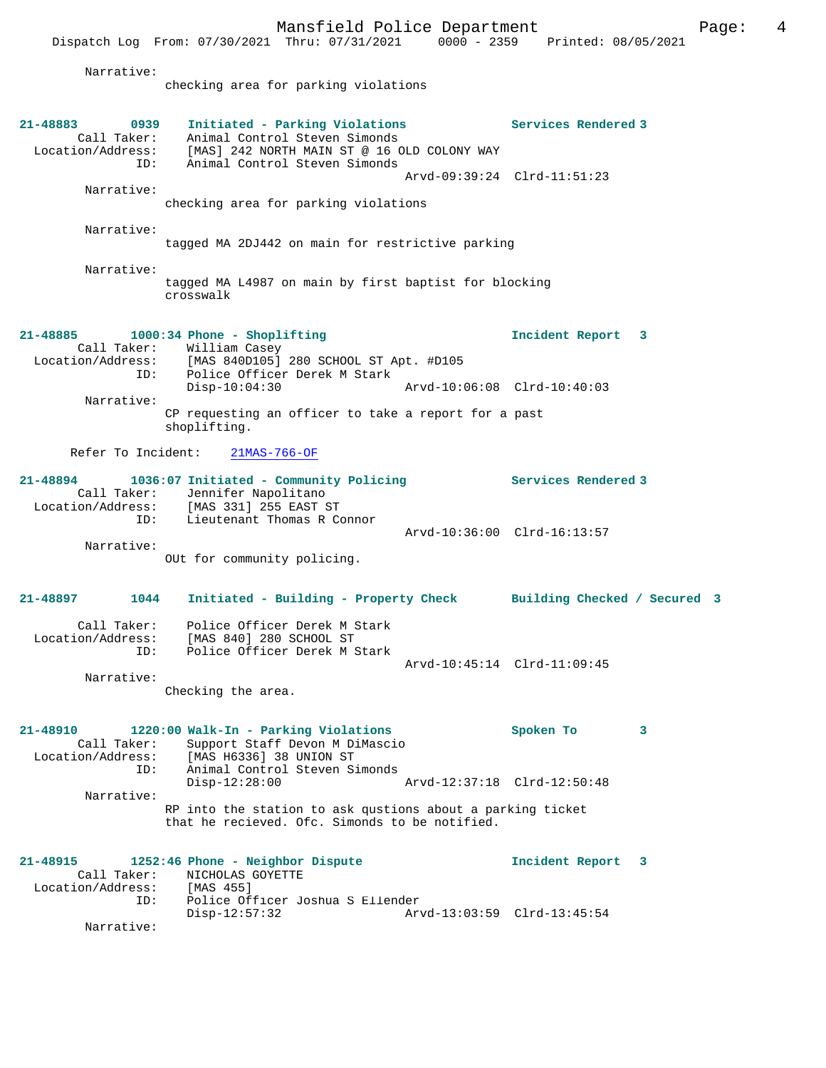Dispatch Log From: 07/30/2021 Thru: 07/31/2021 0000 - 2359 Printed: 08/05/2021

Narrative:

checking area for parking violations

| 21-48883<br>0939<br>Call Taker:<br>ID:              | Initiated - Parking Violations<br>Animal Control Steven Simonds<br>Location/Address: [MAS] 242 NORTH MAIN ST @ 16 OLD COLONY WAY<br>Animal Control Steven Simonds |                             | Services Rendered 3        |   |
|-----------------------------------------------------|-------------------------------------------------------------------------------------------------------------------------------------------------------------------|-----------------------------|----------------------------|---|
|                                                     |                                                                                                                                                                   | Arvd-09:39:24 Clrd-11:51:23 |                            |   |
| Narrative:                                          | checking area for parking violations                                                                                                                              |                             |                            |   |
| Narrative:                                          | tagged MA 2DJ442 on main for restrictive parking                                                                                                                  |                             |                            |   |
| Narrative:                                          |                                                                                                                                                                   |                             |                            |   |
|                                                     | tagged MA L4987 on main by first baptist for blocking<br>crosswalk                                                                                                |                             |                            |   |
| 21-48885<br>ID:                                     | $1000:34$ Phone - Shoplifting<br>Call Taker: William Casey<br>Location/Address: [MAS 840D105] 280 SCHOOL ST Apt. #D105<br>Police Officer Derek M Stark            |                             | Incident Report 3          |   |
|                                                     | $Disp-10:04:30$                                                                                                                                                   | Arvd-10:06:08 Clrd-10:40:03 |                            |   |
| Narrative:                                          | CP requesting an officer to take a report for a past<br>shoplifting.                                                                                              |                             |                            |   |
| Refer To Incident:                                  | $21MAS - 766 - OF$                                                                                                                                                |                             |                            |   |
| 21-48894                                            | 1036:07 Initiated - Community Policing<br>Call Taker: Jennifer Napolitano<br>Location/Address: [MAS 331] 255 EAST ST                                              |                             | <b>Services Rendered 3</b> |   |
| ID:                                                 | Lieutenant Thomas R Connor                                                                                                                                        | Arvd-10:36:00 Clrd-16:13:57 |                            |   |
| Narrative:                                          | OUt for community policing.                                                                                                                                       |                             |                            |   |
| 21-48897<br>1044                                    | Initiated - Building - Property Check Building Checked / Secured 3                                                                                                |                             |                            |   |
| Call Taker:<br>ID:                                  | Police Officer Derek M Stark<br>Location/Address: [MAS 840] 280 SCHOOL ST<br>Police Officer Derek M Stark                                                         | Arvd-10:45:14 Clrd-11:09:45 |                            |   |
| Narrative:                                          |                                                                                                                                                                   |                             |                            |   |
|                                                     | Checking the area.                                                                                                                                                |                             |                            |   |
| 21-48910<br>Call Taker:<br>Location/Address:<br>ID: | 1220:00 Walk-In - Parking Violations<br>Support Staff Devon M DiMascio<br>[MAS H6336] 38 UNION ST<br>Animal Control Steven Simonds                                |                             | Spoken To                  | 3 |
|                                                     | $Disp-12:28:00$                                                                                                                                                   | Arvd-12:37:18 Clrd-12:50:48 |                            |   |
| Narrative:                                          | RP into the station to ask qustions about a parking ticket<br>that he recieved. Ofc. Simonds to be notified.                                                      |                             |                            |   |
| 21-48915<br>Call Taker:                             | 1252:46 Phone - Neighbor Dispute<br>NICHOLAS GOYETTE                                                                                                              |                             | Incident Report            | 3 |
| Location/Address:<br>ID:                            | [MAS 455]<br>Police Officer Joshua S Ellender<br>$Disp-12:57:32$                                                                                                  | Arvd-13:03:59 Clrd-13:45:54 |                            |   |
| Narrative:                                          |                                                                                                                                                                   |                             |                            |   |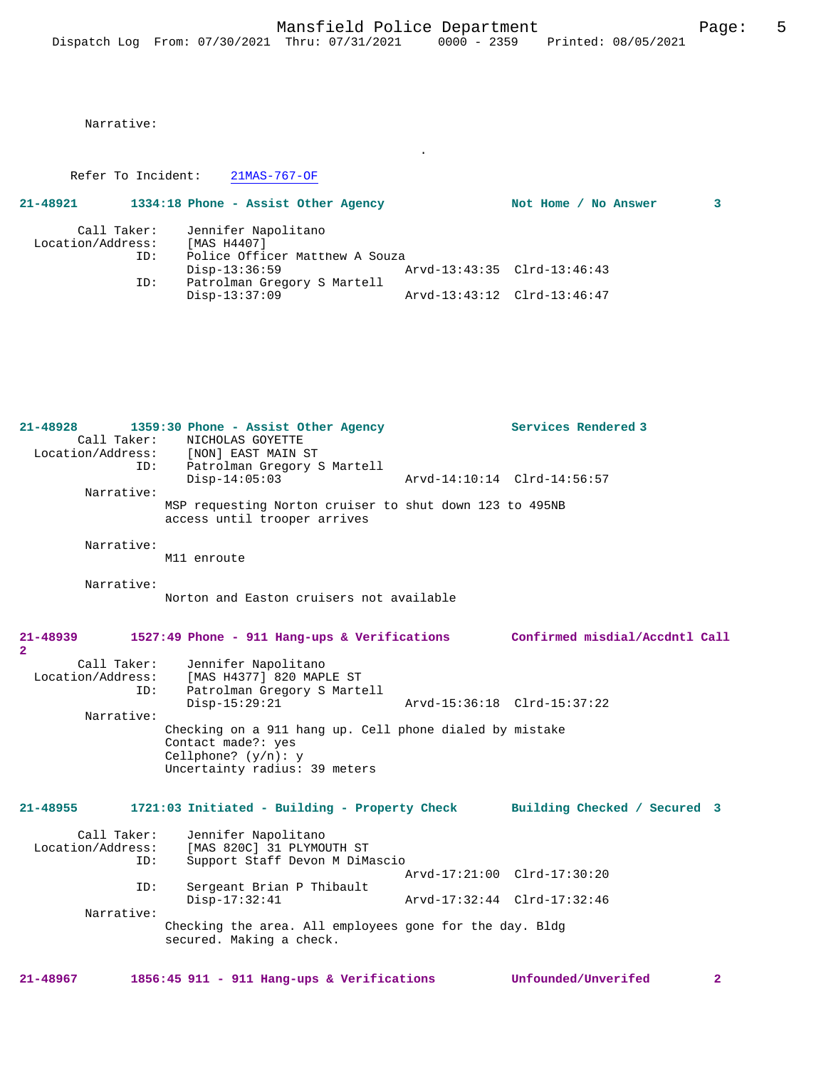.

Narrative:

Refer To Incident: 21MAS-767-OF

| 21-48921          | 1334:18 Phone - Assist Other Agency |                             | Not Home / No Answer | 3 |
|-------------------|-------------------------------------|-----------------------------|----------------------|---|
| Call Taker:       | Jennifer Napolitano                 |                             |                      |   |
| Location/Address: | [MAS H4407]                         |                             |                      |   |
| ID:               | Police Officer Matthew A Souza      |                             |                      |   |
|                   | Disp-13:36:59                       | Arvd-13:43:35 Clrd-13:46:43 |                      |   |
| ID:               | Patrolman Gregory S Martell         |                             |                      |   |
|                   | $Disp-13:37:09$                     | Arvd-13:43:12 Clrd-13:46:47 |                      |   |

| $21 - 48928$<br>Call Taker:<br>TD:      | 1359:30 Phone - Assist Other Agency<br>NICHOLAS GOYETTE<br>Location/Address: [NON] EAST MAIN ST<br>Patrolman Gregory S Martell          | Services Rendered 3            |
|-----------------------------------------|-----------------------------------------------------------------------------------------------------------------------------------------|--------------------------------|
| Narrative:                              | $Disp-14:05:03$                                                                                                                         | Arvd-14:10:14 Clrd-14:56:57    |
|                                         | MSP requesting Norton cruiser to shut down 123 to 495NB<br>access until trooper arrives                                                 |                                |
| Narrative:                              | M11 enroute                                                                                                                             |                                |
| Narrative:                              | Norton and Easton cruisers not available                                                                                                |                                |
| 21-48939<br>$\mathbf{2}$                | 1527:49 Phone - 911 Hang-ups & Verifications                                                                                            | Confirmed misdial/Accdntl Call |
| Call Taker:<br>Location/Address:<br>ID: | Jennifer Napolitano<br>[MAS H4377] 820 MAPLE ST<br>Patrolman Gregory S Martell<br>$Disp-15:29:21$                                       | Arvd-15:36:18 Clrd-15:37:22    |
| Narrative:                              | Checking on a 911 hang up. Cell phone dialed by mistake<br>Contact made?: yes<br>Cellphone? $(y/n): y$<br>Uncertainty radius: 39 meters |                                |
| $21 - 48955$                            | 1721:03 Initiated - Building - Property Check                                                                                           | Building Checked / Secured 3   |
| Call Taker:<br>Location/Address:<br>ID: | Jennifer Napolitano<br>[MAS 820C] 31 PLYMOUTH ST<br>Support Staff Devon M DiMascio                                                      |                                |
|                                         |                                                                                                                                         | Arvd-17:21:00 Clrd-17:30:20    |
| ID:                                     | Sergeant Brian P Thibault<br>$Disp-17:32:41$                                                                                            | Arvd-17:32:44 Clrd-17:32:46    |
| Narrative:                              | Checking the area. All employees gone for the day. Bldg<br>secured. Making a check.                                                     |                                |
|                                         |                                                                                                                                         |                                |

**21-48967 1856:45 911 - 911 Hang-ups & Verifications Unfounded/Unverifed 2**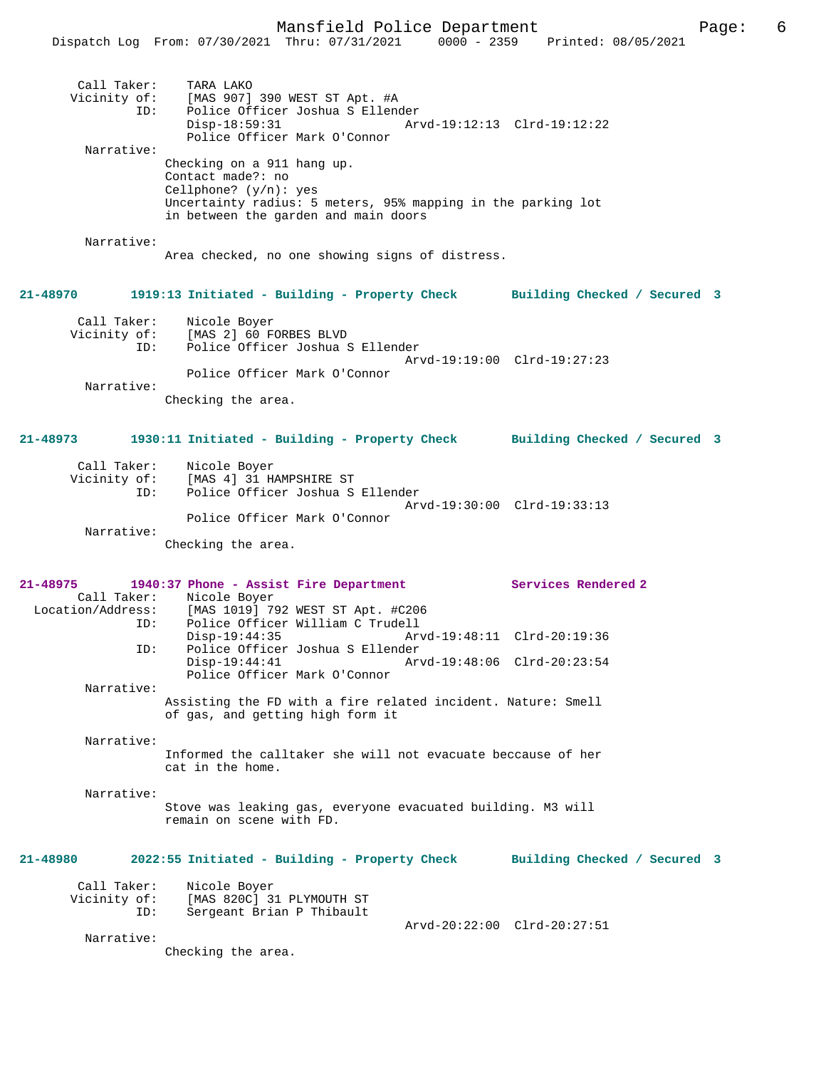|                                    | Dispatch Log From: 07/30/2021 Thru: 07/31/2021                                                                                                                                      | $0000 - 2359$ | Printed: 08/05/2021          |  |
|------------------------------------|-------------------------------------------------------------------------------------------------------------------------------------------------------------------------------------|---------------|------------------------------|--|
| Call Taker:<br>ID:                 | TARA LAKO<br>Vicinity of: [MAS 907] 390 WEST ST Apt. #A<br>Police Officer Joshua S Ellender<br>$Disp-18:59:31$<br>Police Officer Mark O'Connor                                      |               | Arvd-19:12:13 Clrd-19:12:22  |  |
| Narrative:                         |                                                                                                                                                                                     |               |                              |  |
|                                    | Checking on a 911 hang up.<br>Contact made?: no<br>Cellphone? $(y/n)$ : yes<br>Uncertainty radius: 5 meters, 95% mapping in the parking lot<br>in between the garden and main doors |               |                              |  |
| Narrative:                         | Area checked, no one showing signs of distress.                                                                                                                                     |               |                              |  |
| 21-48970                           | 1919:13 Initiated - Building - Property Check Building Checked / Secured 3                                                                                                          |               |                              |  |
| Call Taker:<br>ID:                 | Nicole Boyer<br>Vicinity of: [MAS 2] 60 FORBES BLVD<br>Police Officer Joshua S Ellender                                                                                             |               | Arvd-19:19:00 Clrd-19:27:23  |  |
| Narrative:                         | Police Officer Mark O'Connor                                                                                                                                                        |               |                              |  |
|                                    | Checking the area.                                                                                                                                                                  |               |                              |  |
| 21-48973                           | 1930:11 Initiated - Building - Property Check Building Checked / Secured 3                                                                                                          |               |                              |  |
| Call Taker:<br>ID:                 | Nicole Boyer<br>Vicinity of: [MAS 4] 31 HAMPSHIRE ST<br>Police Officer Joshua S Ellender                                                                                            |               | Arvd-19:30:00 Clrd-19:33:13  |  |
| Narrative:                         | Police Officer Mark O'Connor<br>Checking the area.                                                                                                                                  |               |                              |  |
| 21-48975                           | 1940:37 Phone - Assist Fire Department                                                                                                                                              |               | Services Rendered 2          |  |
|                                    | Call Taker: Nicole Boyer                                                                                                                                                            |               |                              |  |
| Location/Address:<br>ID:           | [MAS 1019] 792 WEST ST Apt. #C206<br>Police Officer William C Trudell                                                                                                               |               |                              |  |
| ID:                                | $Disp-19:44:35$<br>Police Officer Joshua S Ellender                                                                                                                                 |               | Arvd-19:48:11 Clrd-20:19:36  |  |
|                                    | $Disp-19:44:41$<br>Police Officer Mark O'Connor                                                                                                                                     |               | Arvd-19:48:06 Clrd-20:23:54  |  |
| Narrative:                         | Assisting the FD with a fire related incident. Nature: Smell<br>of gas, and getting high form it                                                                                    |               |                              |  |
|                                    |                                                                                                                                                                                     |               |                              |  |
| Narrative:                         | Informed the calltaker she will not evacuate beccause of her<br>cat in the home.                                                                                                    |               |                              |  |
| Narrative:                         |                                                                                                                                                                                     |               |                              |  |
|                                    | Stove was leaking gas, everyone evacuated building. M3 will<br>remain on scene with FD.                                                                                             |               |                              |  |
| 21-48980                           | 2022:55 Initiated - Building - Property Check                                                                                                                                       |               | Building Checked / Secured 3 |  |
| Call Taker:<br>Vicinity of:<br>ID: | Nicole Boyer<br>[MAS 820C] 31 PLYMOUTH ST<br>Sergeant Brian P Thibault                                                                                                              |               |                              |  |
|                                    |                                                                                                                                                                                     |               | Arvd-20:22:00 Clrd-20:27:51  |  |
| Narrative:                         | Checking the area.                                                                                                                                                                  |               |                              |  |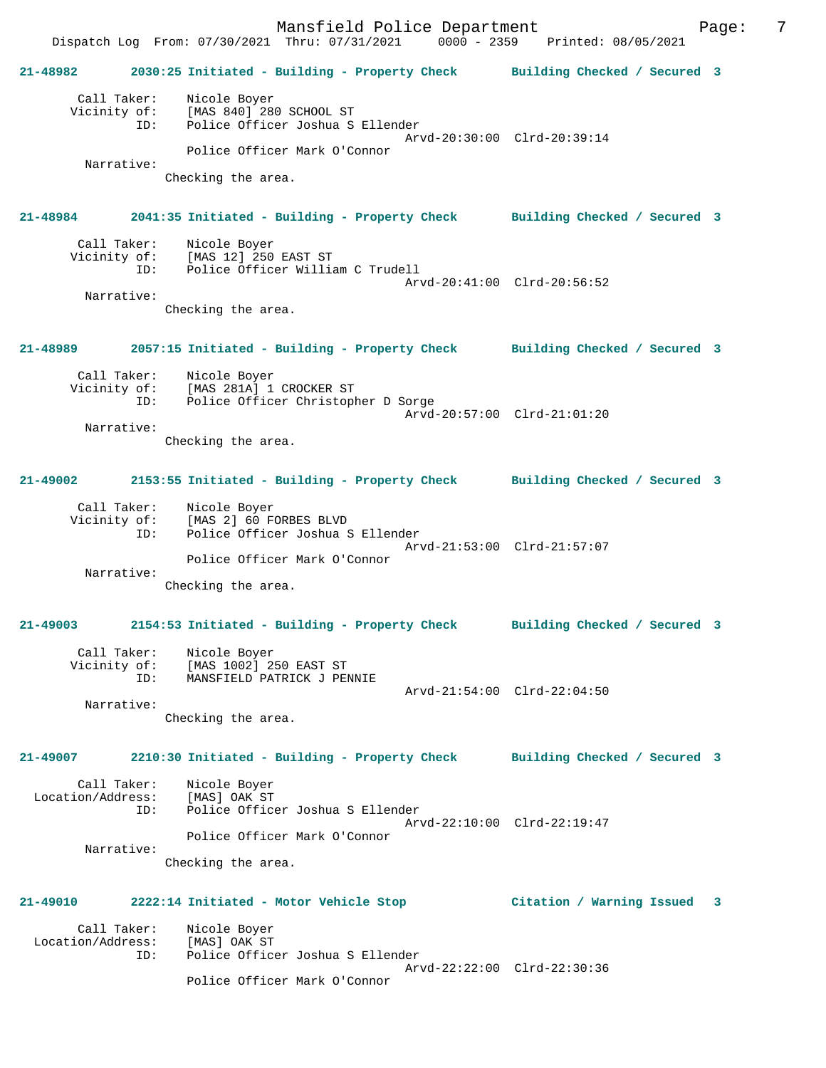Mansfield Police Department Fage: 7 Dispatch Log From: 07/30/2021 Thru: 07/31/2021 0000 - 2359 Printed: 08/05/2021 **21-48982 2030:25 Initiated - Building - Property Check Building Checked / Secured 3** Call Taker: Nicole Boyer Vicinity of: [MAS 840] 280 SCHOOL ST ID: Police Officer Joshua S Ellender Arvd-20:30:00 Clrd-20:39:14 Police Officer Mark O'Connor Narrative: Checking the area. **21-48984 2041:35 Initiated - Building - Property Check Building Checked / Secured 3** Call Taker: Nicole Boyer<br>Vicinity of: [MAS 12] 250 of: [MAS 12] 250 EAST ST<br>ID: Police Officer Willia Police Officer William C Trudell Arvd-20:41:00 Clrd-20:56:52 Narrative: Checking the area. **21-48989 2057:15 Initiated - Building - Property Check Building Checked / Secured 3** Call Taker: Nicole Boyer Vicinity of: [MAS 281A] 1 CROCKER ST ID: Police Officer Christopher D Sorge Arvd-20:57:00 Clrd-21:01:20 Narrative: Checking the area. **21-49002 2153:55 Initiated - Building - Property Check Building Checked / Secured 3** Call Taker: Nicole Boyer Vicinity of: [MAS 2] 60 FORBES BLVD ID: Police Officer Joshua S Ellender Arvd-21:53:00 Clrd-21:57:07 Police Officer Mark O'Connor Narrative: Checking the area. **21-49003 2154:53 Initiated - Building - Property Check Building Checked / Secured 3** Call Taker: Nicole Boyer Vicinity of: [MAS 1002] 250 EAST ST ID: MANSFIELD PATRICK J PENNIE Arvd-21:54:00 Clrd-22:04:50 Narrative: Checking the area. **21-49007 2210:30 Initiated - Building - Property Check Building Checked / Secured 3** Call Taker: Nicole Boyer<br>.on/Address: [MAS] OAK ST Location/Address:<br>n: ID: Police Officer Joshua S Ellender Arvd-22:10:00 Clrd-22:19:47 Police Officer Mark O'Connor Narrative: Checking the area. **21-49010 2222:14 Initiated - Motor Vehicle Stop Citation / Warning Issued 3** Call Taker: Nicole Boyer Location/Address: [MAS] OAK ST ID: Police Officer Joshua S Ellender Arvd-22:22:00 Clrd-22:30:36 Police Officer Mark O'Connor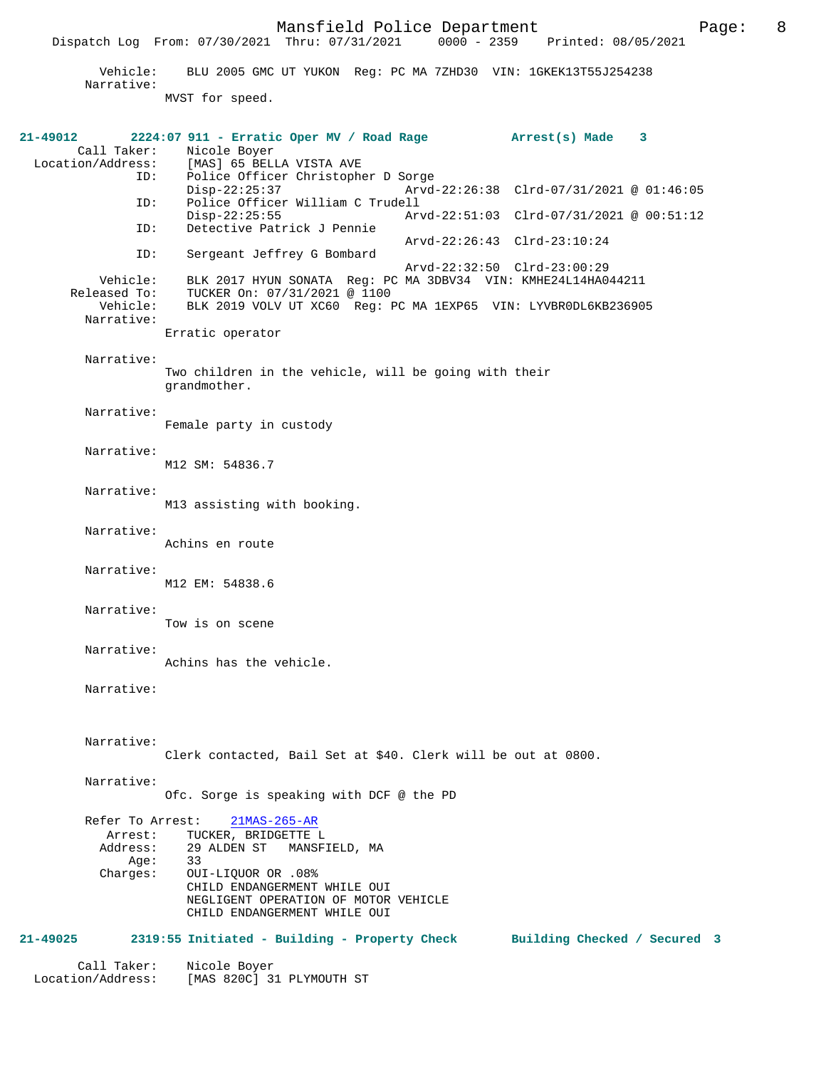MVST for speed.

**21-49012 2224:07 911 - Erratic Oper MV / Road Rage Arrest(s) Made 3**  Call Taker: Nicole Boyer<br>Location/Address: [MAS] 65 BEL Location/Address: [MAS] 65 BELLA VISTA AVE ID: Police Officer Christopher D Sorge Disp-22:25:37 Arvd-22:26:38 Clrd-07/31/2021 @ 01:46:05<br>ID: Police Officer William C Trudell Police Officer William C Trudell<br>Disp-22:25:55 Arv Disp-22:25:55 Arvd-22:51:03 Clrd-07/31/2021 @ 00:51:12<br>ID: Detective Patrick J Pennie Detective Patrick J Pennie Arvd-22:26:43 Clrd-23:10:24 ID: Sergeant Jeffrey G Bombard Arvd-22:32:50 Clrd-23:00:29 Vehicle: BLK 2017 HYUN SONATA Reg: PC MA 3DBV34 VIN: KMHE24L14HA044211 Pased To: TUCKER On: 07/31/2021 @ 1100<br>Vehicle: BLK 2019 VOLV UT XC60 Reg: E BLK 2019 VOLV UT XC60 Reg: PC MA 1EXP65 VIN: LYVBR0DL6KB236905 Narrative: Erratic operator Narrative: Two children in the vehicle, will be going with their grandmother. Narrative: Female party in custody Narrative: M12 SM: 54836.7 Narrative: M13 assisting with booking. Narrative: Achins en route Narrative: M12 EM: 54838.6 Narrative: Tow is on scene Narrative: Achins has the vehicle. Narrative: Narrative: Clerk contacted, Bail Set at \$40. Clerk will be out at 0800. Narrative: Ofc. Sorge is speaking with DCF @ the PD Refer To Arrest: 21MAS-265-AR Arrest: TUCKER, BRIDGETTE L Address: 29 ALDEN ST MANSFIELD, MA Age:<br>:Charges OUI-LIQUOR OR .08% CHILD ENDANGERMENT WHILE OUI NEGLIGENT OPERATION OF MOTOR VEHICLE CHILD ENDANGERMENT WHILE OUI **21-49025 2319:55 Initiated - Building - Property Check Building Checked / Secured 3** Call Taker: Nicole Boyer Location/Address: [MAS 820C] 31 PLYMOUTH ST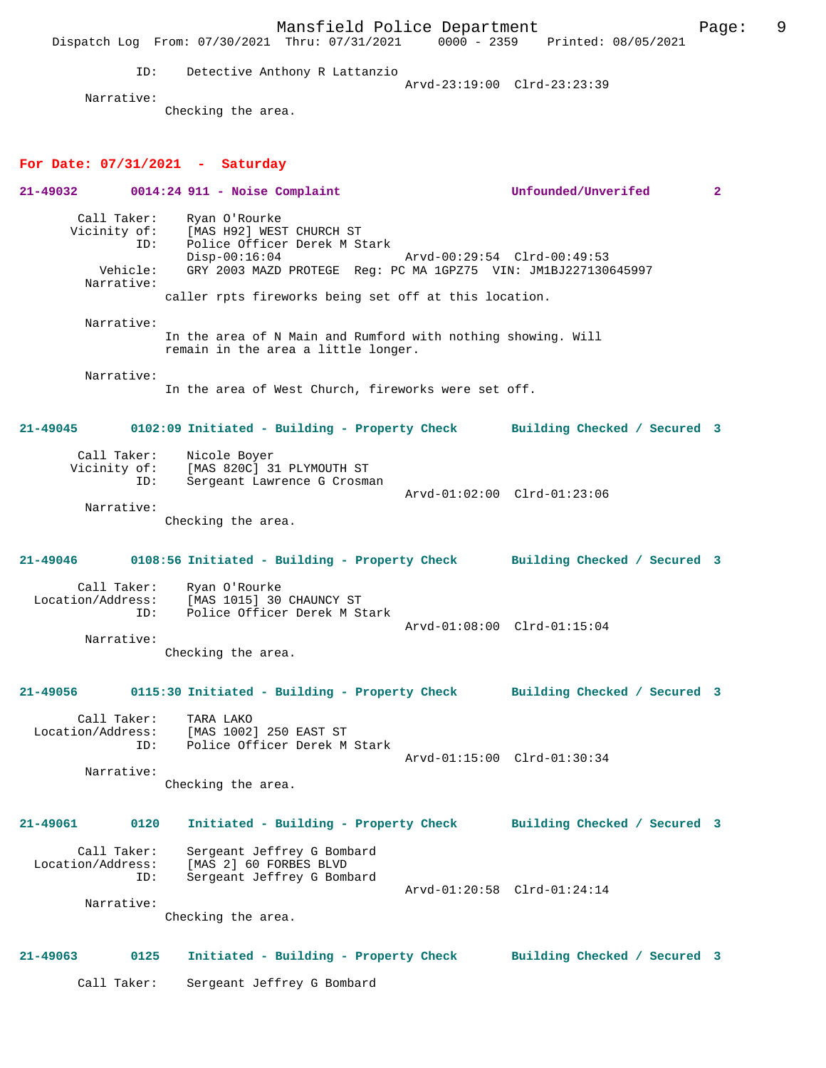Mansfield Police Department Fage: 9 Dispatch Log From: 07/30/2021 Thru: 07/31/2021 0000 - 2359 Printed: 08/05/2021 ID: Detective Anthony R Lattanzio Arvd-23:19:00 Clrd-23:23:39 Narrative: Checking the area. **For Date: 07/31/2021 - Saturday 21-49032 0014:24 911 - Noise Complaint Unfounded/Unverifed 2** Call Taker: Ryan O'Rourke Vicinity of: [MAS H92] WEST CHURCH ST ID: Police Officer Derek M Stark Disp-00:16:04 Arvd-00:29:54 Clrd-00:49:53<br>Vehicle: GRY 2003 MAZD PROTEGE Req: PC MA 1GPZ75 VIN: JM1BJ227130 GRY 2003 MAZD PROTEGE Reg: PC MA 1GPZ75 VIN: JM1BJ227130645997 Narrative: caller rpts fireworks being set off at this location. Narrative: In the area of N Main and Rumford with nothing showing. Will remain in the area a little longer. Narrative: In the area of West Church, fireworks were set off. **21-49045 0102:09 Initiated - Building - Property Check Building Checked / Secured 3** Call Taker: Nicole Boyer<br>Vicinity of: [MAS 820C] 3 [MAS 820C] 31 PLYMOUTH ST ID: Sergeant Lawrence G Crosman Arvd-01:02:00 Clrd-01:23:06 Narrative: Checking the area. **21-49046 0108:56 Initiated - Building - Property Check Building Checked / Secured 3** Call Taker: Ryan O'Rourke Location/Address: [MAS 1015] 30 CHAUNCY ST Police Officer Derek M Stark Arvd-01:08:00 Clrd-01:15:04 Narrative: Checking the area. **21-49056 0115:30 Initiated - Building - Property Check Building Checked / Secured 3** Call Taker: TARA LAKO<br>Location/Address: [MAS 1002 [MAS 1002] 250 EAST ST ID: Police Officer Derek M Stark Arvd-01:15:00 Clrd-01:30:34 Narrative: Checking the area. **21-49061 0120 Initiated - Building - Property Check Building Checked / Secured 3** Call Taker: Sergeant Jeffrey G Bombard Location/Address: [MAS 2] 60 FORBES BLVD Sergeant Jeffrey G Bombard Arvd-01:20:58 Clrd-01:24:14 Narrative: Checking the area. **21-49063 0125 Initiated - Building - Property Check Building Checked / Secured 3** Call Taker: Sergeant Jeffrey G Bombard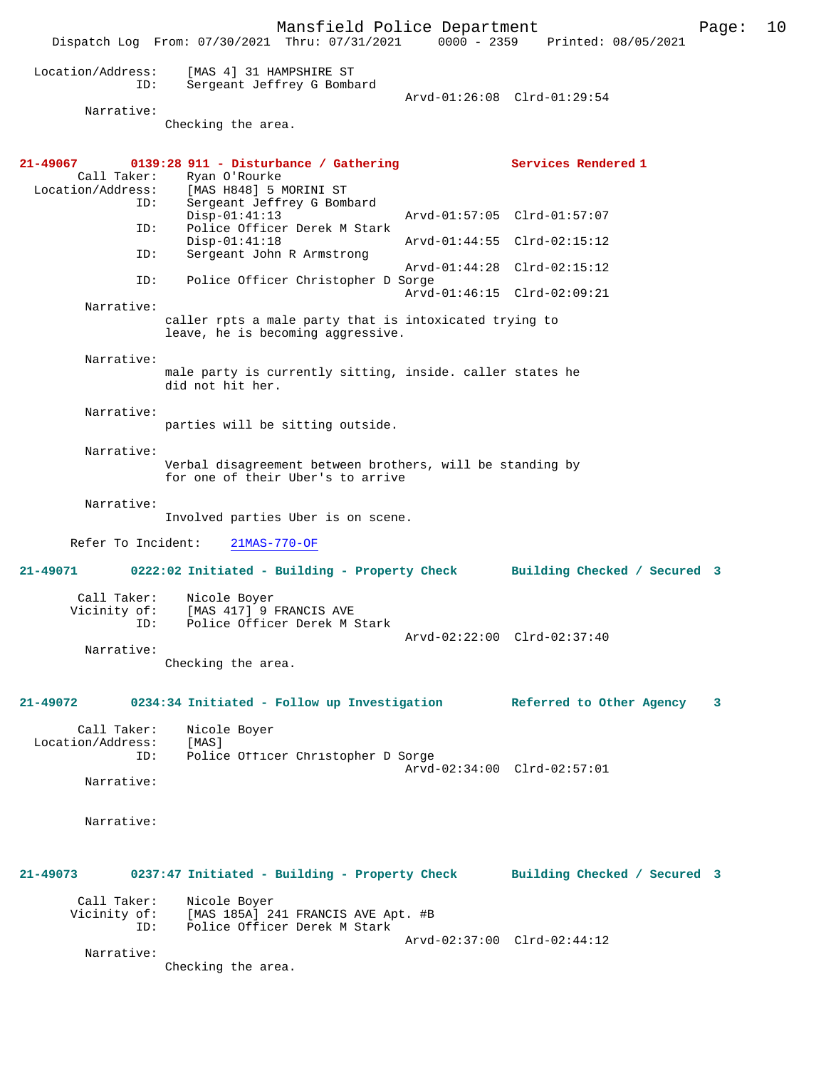Mansfield Police Department Page: 10 Dispatch Log From: 07/30/2021 Thru: 07/31/2021 Location/Address: [MAS 4] 31 HAMPSHIRE ST ID: Sergeant Jeffrey G Bombard Arvd-01:26:08 Clrd-01:29:54 Narrative: Checking the area. **21-49067 0139:28 911 - Disturbance / Gathering Services Rendered 1** Call Taker: Ryan O'Rourke Ryan O'Rourke Location/Address: [MAS H848] 5 MORINI ST ID: Sergeant Jeffrey G Bombard Disp-01:41:13 Arvd-01:57:05 Clrd-01:57:07<br>ID: Police Officer Derek M Stark Police Officer Derek M Stark<br>Disp-01:41:18 Arvd-01:44:55 Clrd-02:15:12 ID: Sergeant John R Armstrong Arvd-01:44:28 Clrd-02:15:12<br>TD: Police Officer Christopher D Sorge Police Officer Christopher D Sorge Arvd-01:46:15 Clrd-02:09:21 Narrative: caller rpts a male party that is intoxicated trying to leave, he is becoming aggressive. Narrative: male party is currently sitting, inside. caller states he did not hit her. Narrative: parties will be sitting outside. Narrative: Verbal disagreement between brothers, will be standing by for one of their Uber's to arrive Narrative: Involved parties Uber is on scene. Refer To Incident: 21MAS-770-OF **21-49071 0222:02 Initiated - Building - Property Check Building Checked / Secured 3** Call Taker: Nicole Boyer Vicinity of: [MAS 417] 9 FRANCIS AVE<br>TD: Police Officer Derek M : Police Officer Derek M Stark Arvd-02:22:00 Clrd-02:37:40 Narrative: Checking the area. **21-49072 0234:34 Initiated - Follow up Investigation Referred to Other Agency 3** Call Taker: Nicole Boyer Location/Address: [MAS]<br>ID: Polic Police Officer Christopher D Sorge Arvd-02:34:00 Clrd-02:57:01 Narrative: Narrative: **21-49073 0237:47 Initiated - Building - Property Check Building Checked / Secured 3** Call Taker: Nicole Boyer<br>Vicinity of: [MAS 185A] 2 of: [MAS 185A] 241 FRANCIS AVE Apt. #B<br>ID: Police Officer Derek M Stark Police Officer Derek M Stark Arvd-02:37:00 Clrd-02:44:12 Narrative: Checking the area.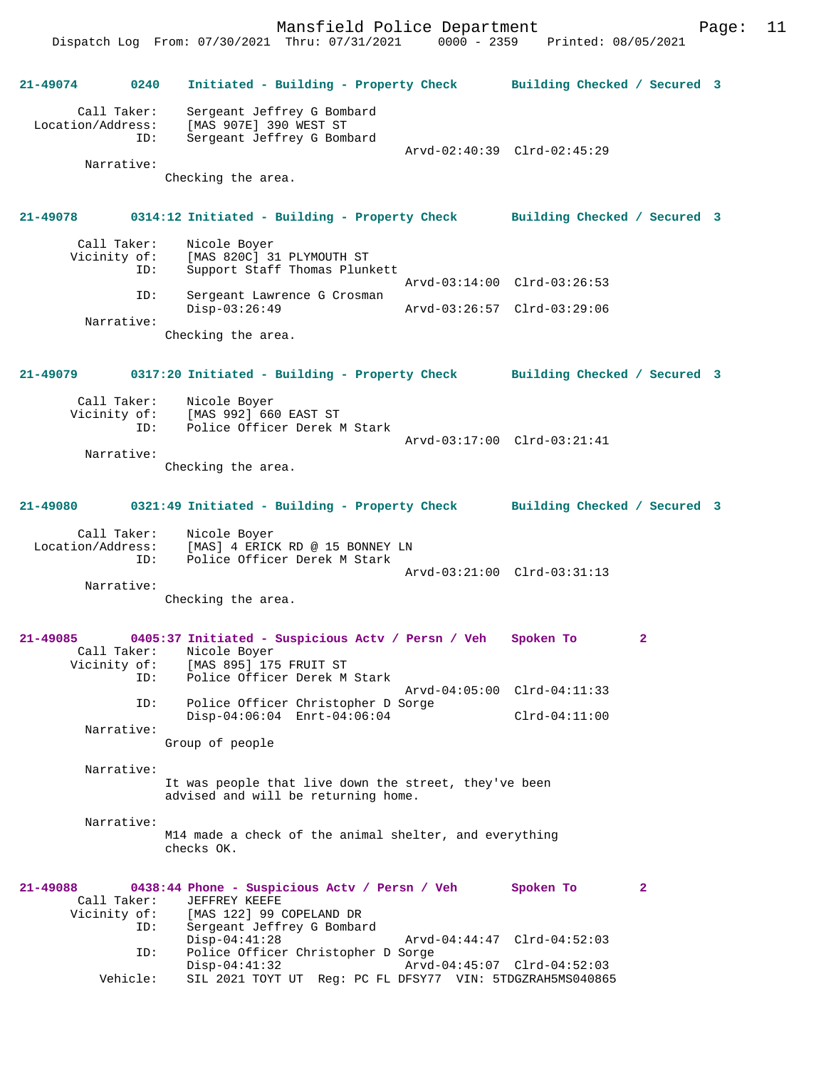Mansfield Police Department Page: 11

Dispatch Log From: 07/30/2021 Thru: 07/31/2021 **21-49074 0240 Initiated - Building - Property Check Building Checked / Secured 3** Call Taker: Sergeant Jeffrey G Bombard Location/Address: [MAS 907E] 390 WEST ST ID: Sergeant Jeffrey G Bombard Arvd-02:40:39 Clrd-02:45:29 Narrative: Checking the area. **21-49078 0314:12 Initiated - Building - Property Check Building Checked / Secured 3** Call Taker: Nicole Boyer<br>Vicinity of: [MAS 820C] 31 of: [MAS 820C] 31 PLYMOUTH ST<br>ID: Support Staff Thomas Plunl Support Staff Thomas Plunkett Arvd-03:14:00 Clrd-03:26:53<br>TD: Sergeant Lawrence G Crosman Sergeant Lawrence G Crosman<br>Disp-03:26:49 Disp-03:26:49 Arvd-03:26:57 Clrd-03:29:06 Narrative: Checking the area. **21-49079 0317:20 Initiated - Building - Property Check Building Checked / Secured 3** Call Taker: Nicole Boyer<br>Vicinity of: [MAS 992] 66 of: [MAS 992] 660 EAST ST<br>ID: Police Officer Derek N Police Officer Derek M Stark Arvd-03:17:00 Clrd-03:21:41 Narrative: Checking the area. **21-49080 0321:49 Initiated - Building - Property Check Building Checked / Secured 3** Call Taker: Nicole Boyer Location/Address: [MAS] 4 ERICK RD @ 15 BONNEY LN ID: Police Officer Derek M Stark Arvd-03:21:00 Clrd-03:31:13 Narrative: Checking the area. **21-49085 0405:37 Initiated - Suspicious Actv / Persn / Veh Spoken To 2**  Call Taker: Nicole Boyer<br>Vicinity of: [MAS 895] 179 of: [MAS 895] 175 FRUIT ST<br>ID: Police Officer Derek M Police Officer Derek M Stark Arvd-04:05:00 Clrd-04:11:33 ID: Police Officer Christopher D Sorge Disp-04:06:04 Enrt-04:06:04 Clrd-04:11:00 Narrative: Group of people Narrative: It was people that live down the street, they've been advised and will be returning home. Narrative: M14 made a check of the animal shelter, and everything checks OK. **21-49088 0438:44 Phone - Suspicious Actv / Persn / Veh Spoken To 2**  Call Taker: JEFFREY KEEFE Vicinity of: [MAS 122] 99 COPELAND DR<br>TD: Sergeant Jeffrey G Romba Sergeant Jeffrey G Bombard<br>Disp-04:41:28 Disp-04:41:28 Arvd-04:44:47 Clrd-04:52:03 ID: Police Officer Christopher D Sorge Disp-04:41:32 Arvd-04:45:07 Clrd-04:52:03 Vehicle: SIL 2021 TOYT UT Reg: PC FL DFSY77 VIN: 5TDGZRAH5MS040865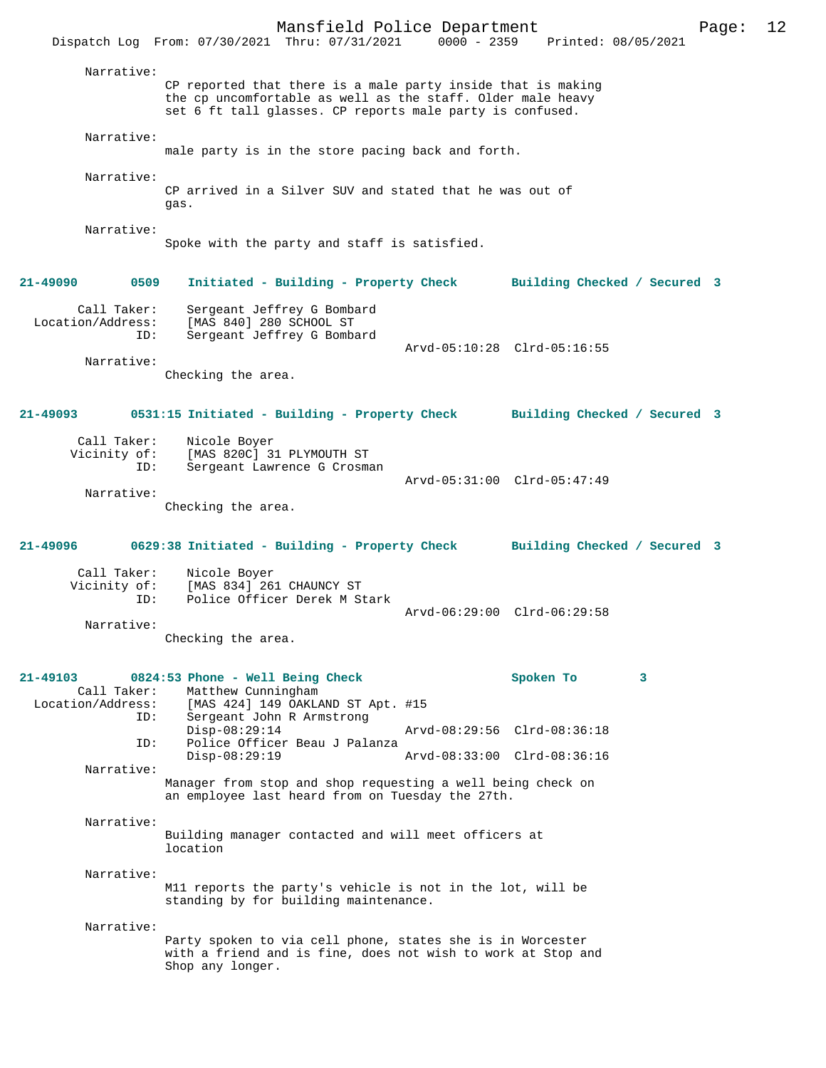Mansfield Police Department Page: 12 Dispatch Log From: 07/30/2021 Thru: 07/31/2021 Narrative: CP reported that there is a male party inside that is making the cp uncomfortable as well as the staff. Older male heavy set 6 ft tall glasses. CP reports male party is confused. Narrative: male party is in the store pacing back and forth. Narrative: CP arrived in a Silver SUV and stated that he was out of gas. Narrative: Spoke with the party and staff is satisfied. **21-49090 0509 Initiated - Building - Property Check Building Checked / Secured 3** Call Taker: Sergeant Jeffrey G Bombard Location/Address: [MAS 840] 280 SCHOOL ST ID: Sergeant Jeffrey G Bombard Arvd-05:10:28 Clrd-05:16:55 Narrative: Checking the area. **21-49093 0531:15 Initiated - Building - Property Check Building Checked / Secured 3** Call Taker: Nicole Boyer Vicinity of: [MAS 820C] 31 PLYMOUTH ST<br>ID: Sergeant Lawrence G Crosma Sergeant Lawrence G Crosman Arvd-05:31:00 Clrd-05:47:49 Narrative: Checking the area. **21-49096 0629:38 Initiated - Building - Property Check Building Checked / Secured 3** Call Taker: Nicole Boyer Vicinity of: [MAS 834] 261 CHAUNCY ST<br>ID: Police Officer Derek M St Police Officer Derek M Stark Arvd-06:29:00 Clrd-06:29:58 Narrative: Checking the area. **21-49103 0824:53 Phone - Well Being Check Spoken To 3**  Call Taker: Matthew Cunningham<br>Location/Address: [MAS 424] 149 OAKL Ess: [MAS 424] 149 OAKLAND ST Apt. #15<br>ID: Sergeant John B Armstrong Sergeant John R Armstrong<br>Disp-08:29:14 Disp-08:29:14 Arvd-08:29:56 Clrd-08:36:18<br>ID: Police Officer Beau J Palanza Police Officer Beau J Palanza Disp-08:29:19 Arvd-08:33:00 Clrd-08:36:16 Narrative: Manager from stop and shop requesting a well being check on an employee last heard from on Tuesday the 27th. Narrative: Building manager contacted and will meet officers at location Narrative: M11 reports the party's vehicle is not in the lot, will be standing by for building maintenance. Narrative: Party spoken to via cell phone, states she is in Worcester with a friend and is fine, does not wish to work at Stop and Shop any longer.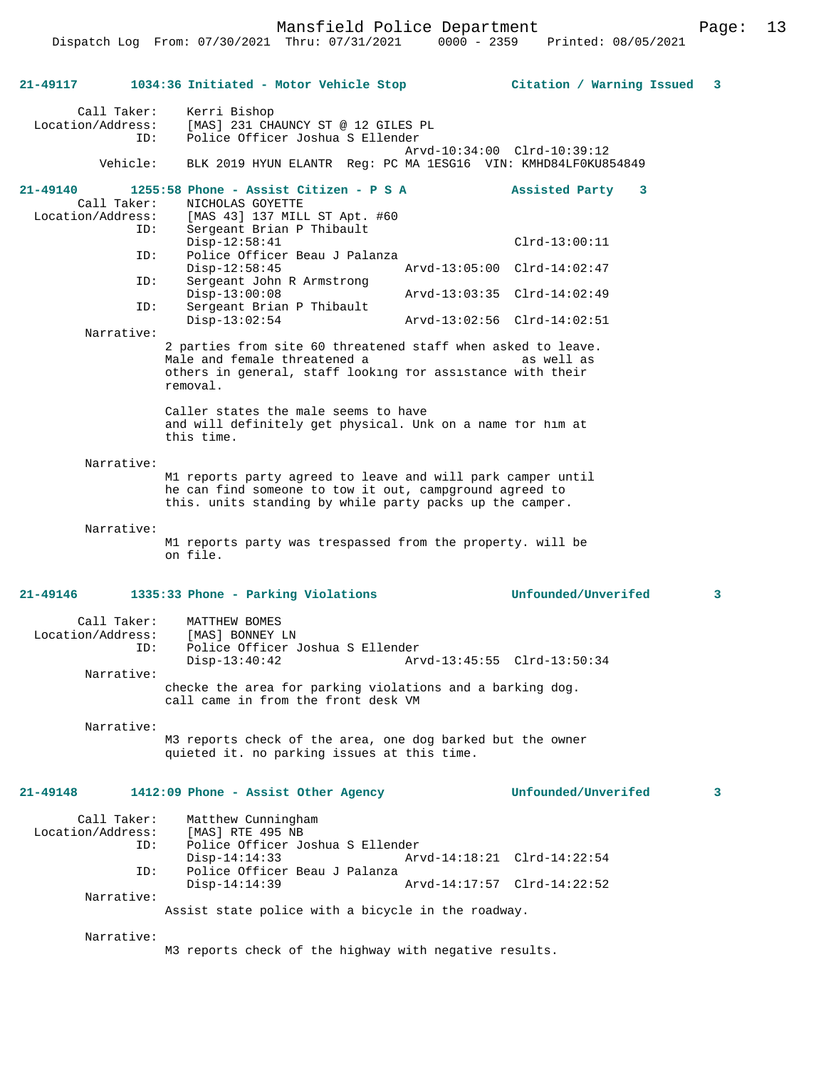Mansfield Police Department Page: 13

| 21-49117                                            | 1034:36 Initiated - Motor Vehicle Stop                                                                                                                                             | Citation / Warning Issued                                    | 3 |
|-----------------------------------------------------|------------------------------------------------------------------------------------------------------------------------------------------------------------------------------------|--------------------------------------------------------------|---|
| Call Taker:<br>Location/Address:<br>ID:<br>Vehicle: | Kerri Bishop<br>[MAS] 231 CHAUNCY ST @ 12 GILES PL<br>Police Officer Joshua S Ellender                                                                                             | Arvd-10:34:00 Clrd-10:39:12                                  |   |
|                                                     | BLK 2019 HYUN ELANTR Req: PC MA 1ESG16 VIN: KMHD84LF0KU854849                                                                                                                      |                                                              |   |
| 21-49140<br>Call Taker:<br>Location/Address:<br>ID: | 1255:58 Phone - Assist Citizen - P S A<br>NICHOLAS GOYETTE<br>[MAS 43] 137 MILL ST Apt. #60<br>Sergeant Brian P Thibault<br>$Disp-12:58:41$                                        | Assisted Party<br>$\overline{\mathbf{3}}$<br>$Clrd-13:00:11$ |   |
| ID:                                                 | Police Officer Beau J Palanza<br>$Disp-12:58:45$                                                                                                                                   | Arvd-13:05:00 Clrd-14:02:47                                  |   |
| ID:                                                 | Sergeant John R Armstrong<br>$Disp-13:00:08$                                                                                                                                       | Arvd-13:03:35 Clrd-14:02:49                                  |   |
| ID:                                                 | Sergeant Brian P Thibault<br>$Disp-13:02:54$                                                                                                                                       | Arvd-13:02:56 Clrd-14:02:51                                  |   |
| Narrative:                                          |                                                                                                                                                                                    |                                                              |   |
|                                                     | 2 parties from site 60 threatened staff when asked to leave.<br>Male and female threatened a<br>others in general, staff looking for assistance with their<br>removal.             | as well as                                                   |   |
|                                                     | Caller states the male seems to have<br>and will definitely get physical. Unk on a name for him at<br>this time.                                                                   |                                                              |   |
| Narrative:                                          |                                                                                                                                                                                    |                                                              |   |
|                                                     | M1 reports party agreed to leave and will park camper until<br>he can find someone to tow it out, campground agreed to<br>this. units standing by while party packs up the camper. |                                                              |   |
| Narrative:                                          | M1 reports party was trespassed from the property. will be<br>on file.                                                                                                             |                                                              |   |
| 21-49146                                            | 1335:33 Phone - Parking Violations                                                                                                                                                 | Unfounded/Unverifed                                          | 3 |
| Call Taker:<br>Location/Address:<br>ID:             | MATTHEW BOMES<br>[MAS] BONNEY LN<br>Police Officer Joshua S Ellender                                                                                                               |                                                              |   |
| Narrative:                                          | $Disp-13:40:42$                                                                                                                                                                    | Arvd-13:45:55 Clrd-13:50:34                                  |   |
|                                                     | checke the area for parking violations and a barking dog.<br>call came in from the front desk VM                                                                                   |                                                              |   |
| Narrative:                                          | M3 reports check of the area, one dog barked but the owner<br>quieted it. no parking issues at this time.                                                                          |                                                              |   |
| $21 - 49148$                                        | 1412:09 Phone - Assist Other Agency                                                                                                                                                | Unfounded/Unverifed                                          | 3 |
| Call Taker:<br>Location/Address:<br>ID:             | Matthew Cunningham<br>[MAS] RTE 495 NB<br>Police Officer Joshua S Ellender<br>$Disp-14:14:33$                                                                                      | Arvd-14:18:21 Clrd-14:22:54                                  |   |
| ID:                                                 | Police Officer Beau J Palanza<br>$Disp-14:14:39$                                                                                                                                   | Arvd-14:17:57 Clrd-14:22:52                                  |   |
| Narrative:                                          | Assist state police with a bicycle in the roadway.                                                                                                                                 |                                                              |   |
| Narrative:                                          | M3 reports check of the highway with negative results.                                                                                                                             |                                                              |   |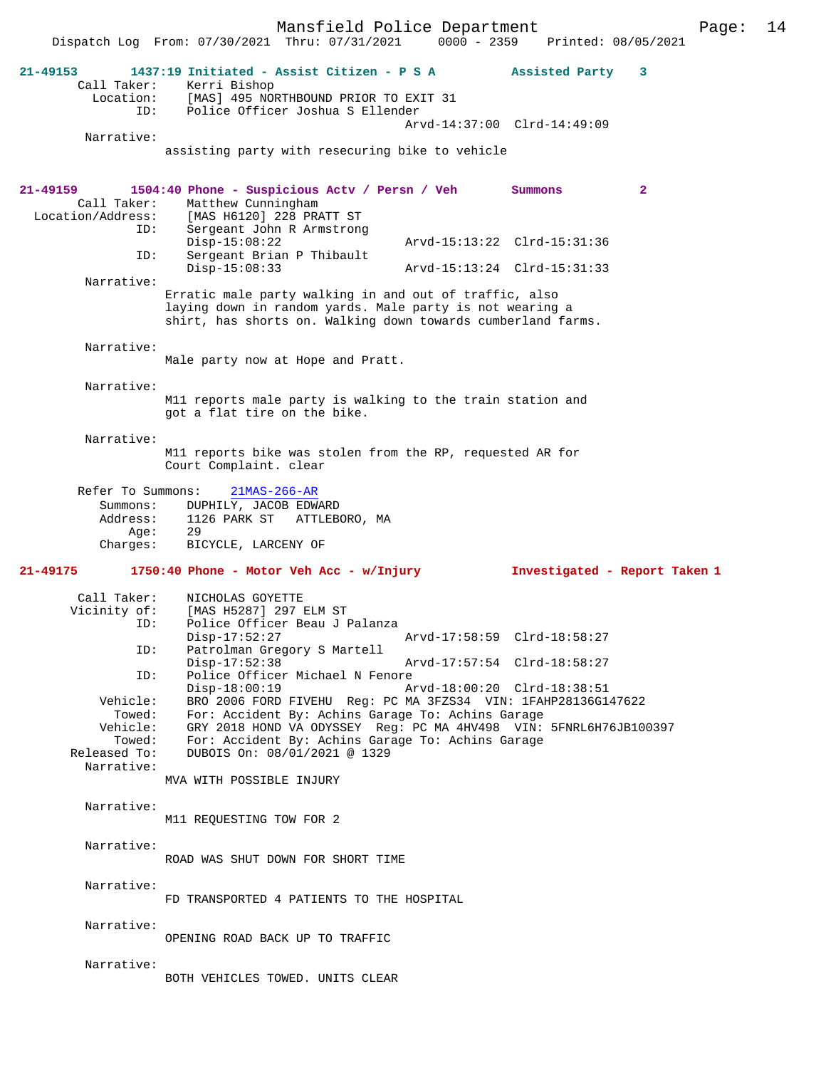Mansfield Police Department Page: 14 Dispatch Log From: 07/30/2021 Thru: 07/31/2021 0000 - 2359 **21-49153 1437:19 Initiated - Assist Citizen - P S A Assisted Party 3**  Call Taker: Kerri Bishop Location: [MAS] 495 NORTHBOUND PRIOR TO EXIT 31 ID: Police Officer Joshua S Ellender Arvd-14:37:00 Clrd-14:49:09 Narrative: assisting party with resecuring bike to vehicle **21-49159 1504:40 Phone - Suspicious Actv / Persn / Veh Summons 2**  Call Taker: Matthew Cunningham<br>Location/Address: [MAS H6120] 228 PR. ess: [MAS H6120] 228 PRATT ST<br>ID: Sergeant John R Armstrong Sergeant John R Armstrong<br>Disp-15:08:22 Disp-15:08:22 Arvd-15:13:22 Clrd-15:31:36<br>ID: Sergeant Brian P Thibault Sergeant Brian P Thibault<br>Disp-15:08:33 Disp-15:08:33 Arvd-15:13:24 Clrd-15:31:33 Narrative: Erratic male party walking in and out of traffic, also laying down in random yards. Male party is not wearing a shirt, has shorts on. Walking down towards cumberland farms. Narrative: Male party now at Hope and Pratt. Narrative: M11 reports male party is walking to the train station and got a flat tire on the bike. Narrative: M11 reports bike was stolen from the RP, requested AR for Court Complaint. clear Refer To Summons: 21MAS-266-AR Summons: DUPHILY, JACOB EDWARD<br>Address: 1126 PARK ST ATTLEB 1126 PARK ST ATTLEBORO, MA<br>29  $A$ qe: Charges: BICYCLE, LARCENY OF **21-49175 1750:40 Phone - Motor Veh Acc - w/Injury Investigated - Report Taken 1** Call Taker: NICHOLAS GOYETTE Vicinity of: [MAS H5287] 297 ELM ST<br>TD: Police Officer Beau J J Police Officer Beau J Palanza<br>Disp-17:52:27 Disp-17:52:27 **Arvd-17:58:59** Clrd-18:58:27<br>TD: Patrolman Gregory S Martell Patrolman Gregory S Martell<br>Disp-17:52:38 Disp-17:52:38 Arvd-17:57:54 Clrd-18:58:27<br>ID: Police Officer Michael N Fenore Police Officer Michael N Fenore<br>Disp-18:00:19 A Disp-18:00:19 Arvd-18:00:20 Clrd-18:38:51 Vehicle: BRO 2006 FORD FIVEHU Reg: PC MA 3FZS34 VIN: 1FAHP28136G147622 Towed: For: Accident By: Achins Garage To: Achins Garage Vehicle: GRY 2018 HOND VA ODYSSEY Reg: PC MA 4HV498 VIN: 5FNRL6H76JB100397<br>Towed: For: Accident By: Achins Garage To: Achins Garage Towed: For: Accident By: Achins Garage To: Achins Garage Released To: DUBOIS On:  $08/01/2021 \text{ } \textcircled$  1329 DUBOIS On: 08/01/2021 @ 1329 Narrative: MVA WITH POSSIBLE INJURY Narrative: M11 REQUESTING TOW FOR 2 Narrative: ROAD WAS SHUT DOWN FOR SHORT TIME Narrative: FD TRANSPORTED 4 PATIENTS TO THE HOSPITAL Narrative: OPENING ROAD BACK UP TO TRAFFIC Narrative: BOTH VEHICLES TOWED. UNITS CLEAR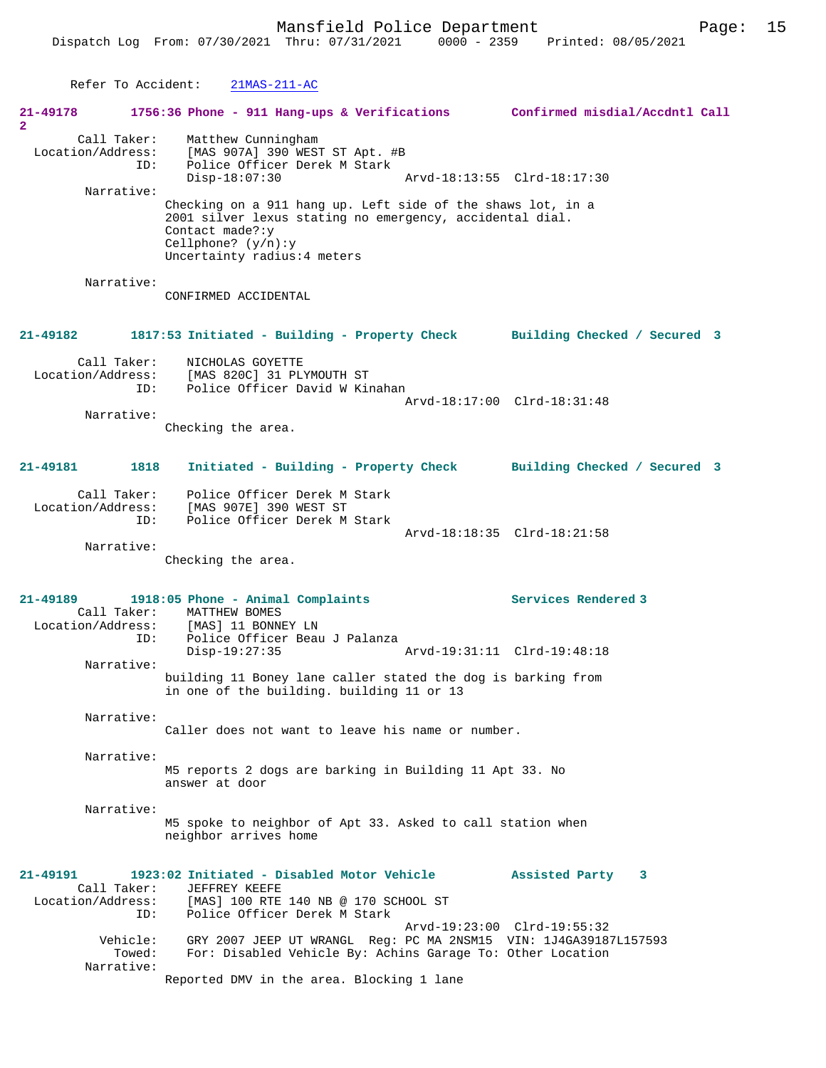Refer To Accident: 21MAS-211-AC

| 21-49178<br>2                           | 1756:36 Phone - 911 Hang-ups & Verifications Confirmed misdial/Accdntl Call                                                                                                                         |                             |                                                                    |
|-----------------------------------------|-----------------------------------------------------------------------------------------------------------------------------------------------------------------------------------------------------|-----------------------------|--------------------------------------------------------------------|
| Call Taker:<br>Location/Address:<br>ID: | Matthew Cunningham<br>[MAS 907A] 390 WEST ST Apt. #B<br>Police Officer Derek M Stark                                                                                                                |                             |                                                                    |
|                                         | $Disp-18:07:30$                                                                                                                                                                                     |                             |                                                                    |
| Narrative:                              | Checking on a 911 hang up. Left side of the shaws lot, in a<br>2001 silver lexus stating no emergency, accidental dial.<br>Contact made?: y<br>Cellphone? $(y/n):y$<br>Uncertainty radius: 4 meters |                             |                                                                    |
| Narrative:                              | CONFIRMED ACCIDENTAL                                                                                                                                                                                |                             |                                                                    |
| 21-49182                                | 1817:53 Initiated - Building - Property Check Building Checked / Secured 3                                                                                                                          |                             |                                                                    |
| Call Taker:                             | NICHOLAS GOYETTE<br>Location/Address: [MAS 820C] 31 PLYMOUTH ST<br>Police Officer David W Kinahan<br>ID:                                                                                            |                             |                                                                    |
|                                         |                                                                                                                                                                                                     |                             | Arvd-18:17:00 Clrd-18:31:48                                        |
| Narrative:                              | Checking the area.                                                                                                                                                                                  |                             |                                                                    |
| 21-49181<br>1818                        |                                                                                                                                                                                                     |                             | Initiated - Building - Property Check Building Checked / Secured 3 |
| Call Taker:<br>Location/Address:        | Police Officer Derek M Stark<br>[MAS 907E] 390 WEST ST                                                                                                                                              |                             |                                                                    |
| ID:                                     | Police Officer Derek M Stark                                                                                                                                                                        |                             |                                                                    |
| Narrative:                              |                                                                                                                                                                                                     |                             | Arvd-18:18:35 Clrd-18:21:58                                        |
|                                         | Checking the area.                                                                                                                                                                                  |                             |                                                                    |
| 21-49189                                | 1918:05 Phone - Animal Complaints<br>Call Taker: MATTHEW BOMES                                                                                                                                      |                             | Services Rendered 3                                                |
| ID:                                     | Location/Address: [MAS] 11 BONNEY LN<br>Police Officer Beau J Palanza<br>$Disp-19:27:35$                                                                                                            | Arvd-19:31:11 Clrd-19:48:18 |                                                                    |
| Narrative:                              |                                                                                                                                                                                                     |                             |                                                                    |
|                                         | building 11 Boney lane caller stated the dog is barking from<br>in one of the building. building 11 or 13                                                                                           |                             |                                                                    |
| Narrative:                              | Caller does not want to leave his name or number.                                                                                                                                                   |                             |                                                                    |
| Narrative:                              | M5 reports 2 dogs are barking in Building 11 Apt 33. No<br>answer at door                                                                                                                           |                             |                                                                    |
| Narrative:                              | M5 spoke to neighbor of Apt 33. Asked to call station when<br>neighbor arrives home                                                                                                                 |                             |                                                                    |
| 21-49191<br>Call Taker:                 | 1923:02 Initiated - Disabled Motor Vehicle<br>JEFFREY KEEFE<br>Location/Address: [MAS] 100 RTE 140 NB @ 170 SCHOOL ST                                                                               |                             | Assisted Party 3                                                   |
| Vehicle:<br>Towed:<br>Narrative:        | Police Officer Derek M Stark<br>ID:<br>GRY 2007 JEEP UT WRANGL Req: PC MA 2NSM15 VIN: 1J4GA39187L157593<br>For: Disabled Vehicle By: Achins Garage To: Other Location                               |                             | Arvd-19:23:00 Clrd-19:55:32                                        |
|                                         | Reported DMV in the area. Blocking 1 lane                                                                                                                                                           |                             |                                                                    |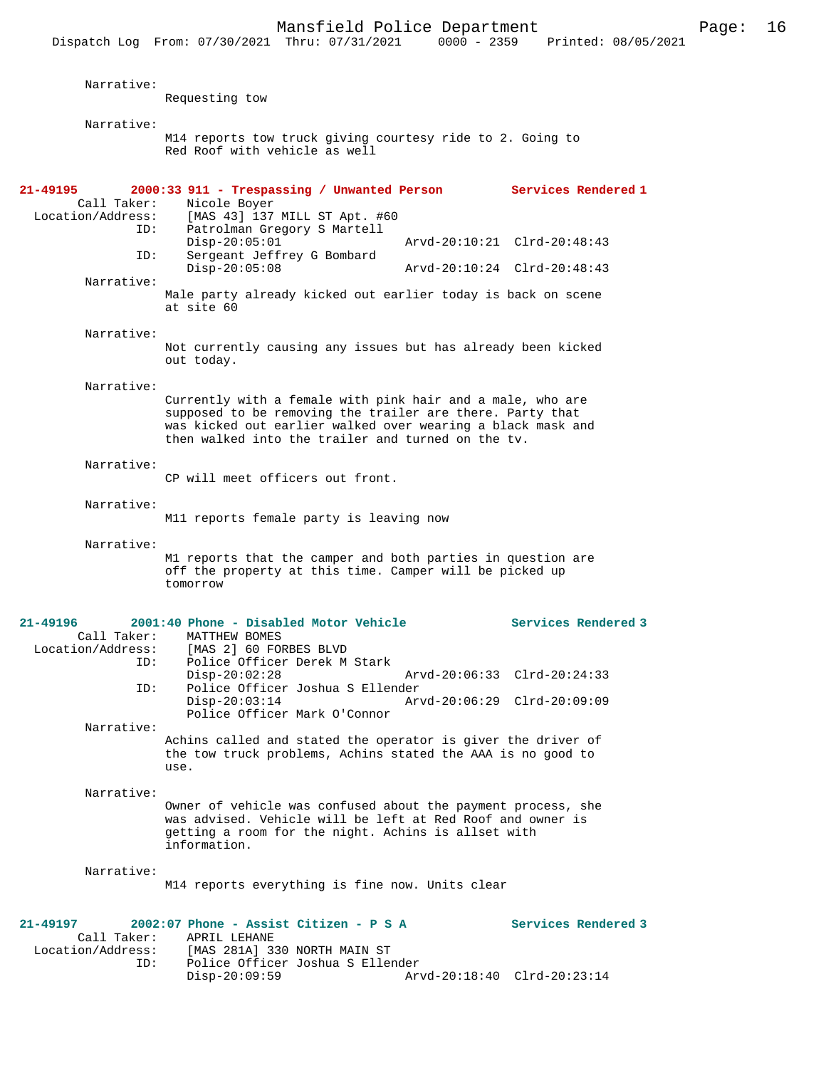Dispatch Log From: 07/30/2021 Thru: 07/31/2021 0000 - 2359 Printed: 08/05/2021

| Narrative:                       | Requesting tow                                                                                                                                                                                                                               |               |                             |  |  |
|----------------------------------|----------------------------------------------------------------------------------------------------------------------------------------------------------------------------------------------------------------------------------------------|---------------|-----------------------------|--|--|
| Narrative:                       |                                                                                                                                                                                                                                              |               |                             |  |  |
|                                  | M14 reports tow truck giving courtesy ride to 2. Going to<br>Red Roof with vehicle as well                                                                                                                                                   |               |                             |  |  |
| 21-49195                         | 2000:33 911 - Trespassing / Unwanted Person Services Rendered 1                                                                                                                                                                              |               |                             |  |  |
| Call Taker:<br>Location/Address: | Nicole Boyer<br>[MAS 43] 137 MILL ST Apt. #60                                                                                                                                                                                                |               |                             |  |  |
| ID:                              | Patrolman Gregory S Martell<br>$Disp-20:05:01$                                                                                                                                                                                               |               | Arvd-20:10:21 Clrd-20:48:43 |  |  |
| ID:                              | Sergeant Jeffrey G Bombard                                                                                                                                                                                                                   |               |                             |  |  |
| Narrative:                       | $Disp-20:05:08$                                                                                                                                                                                                                              |               | Arvd-20:10:24 Clrd-20:48:43 |  |  |
|                                  | Male party already kicked out earlier today is back on scene<br>at site 60                                                                                                                                                                   |               |                             |  |  |
| Narrative:                       |                                                                                                                                                                                                                                              |               |                             |  |  |
|                                  | Not currently causing any issues but has already been kicked<br>out today.                                                                                                                                                                   |               |                             |  |  |
| Narrative:                       |                                                                                                                                                                                                                                              |               |                             |  |  |
|                                  | Currently with a female with pink hair and a male, who are<br>supposed to be removing the trailer are there. Party that<br>was kicked out earlier walked over wearing a black mask and<br>then walked into the trailer and turned on the ty. |               |                             |  |  |
| Narrative:                       |                                                                                                                                                                                                                                              |               |                             |  |  |
|                                  | CP will meet officers out front.                                                                                                                                                                                                             |               |                             |  |  |
| Narrative:                       |                                                                                                                                                                                                                                              |               |                             |  |  |
|                                  | M11 reports female party is leaving now                                                                                                                                                                                                      |               |                             |  |  |
| Narrative:                       | M1 reports that the camper and both parties in question are<br>off the property at this time. Camper will be picked up<br>tomorrow                                                                                                           |               |                             |  |  |
| 21-49196                         | 2001:40 Phone - Disabled Motor Vehicle                                                                                                                                                                                                       |               | Services Rendered 3         |  |  |
| Call Taker:<br>Location/Address: | MATTHEW BOMES<br>[MAS 2] 60 FORBES BLVD                                                                                                                                                                                                      |               |                             |  |  |
| ID:                              | Police Officer Derek M Stark                                                                                                                                                                                                                 |               |                             |  |  |
| ID:                              | $Disp-20:02:28$<br>Police Officer Joshua S Ellender                                                                                                                                                                                          | Arvd-20:06:33 | $Clrd-20:24:33$             |  |  |
|                                  | $Disp-20:03:14$<br>Police Officer Mark O'Connor                                                                                                                                                                                              |               | Arvd-20:06:29 Clrd-20:09:09 |  |  |
| Narrative:                       |                                                                                                                                                                                                                                              |               |                             |  |  |
|                                  | Achins called and stated the operator is giver the driver of<br>the tow truck problems, Achins stated the AAA is no good to<br>use.                                                                                                          |               |                             |  |  |
| Narrative:                       |                                                                                                                                                                                                                                              |               |                             |  |  |
|                                  | Owner of vehicle was confused about the payment process, she<br>was advised. Vehicle will be left at Red Roof and owner is<br>getting a room for the night. Achins is allset with<br>information.                                            |               |                             |  |  |
| Narrative:                       |                                                                                                                                                                                                                                              |               |                             |  |  |
|                                  | M14 reports everything is fine now. Units clear                                                                                                                                                                                              |               |                             |  |  |
| 21-49197<br>Call Taker:          | 2002:07 Phone - Assist Citizen - P S A<br>APRIL LEHANE                                                                                                                                                                                       |               | Services Rendered 3         |  |  |
| Location/Address:                | [MAS 281A] 330 NORTH MAIN ST                                                                                                                                                                                                                 |               |                             |  |  |
| ID:                              | Police Officer Joshua S Ellender<br>$Disp-20:09:59$                                                                                                                                                                                          |               | Arvd-20:18:40 Clrd-20:23:14 |  |  |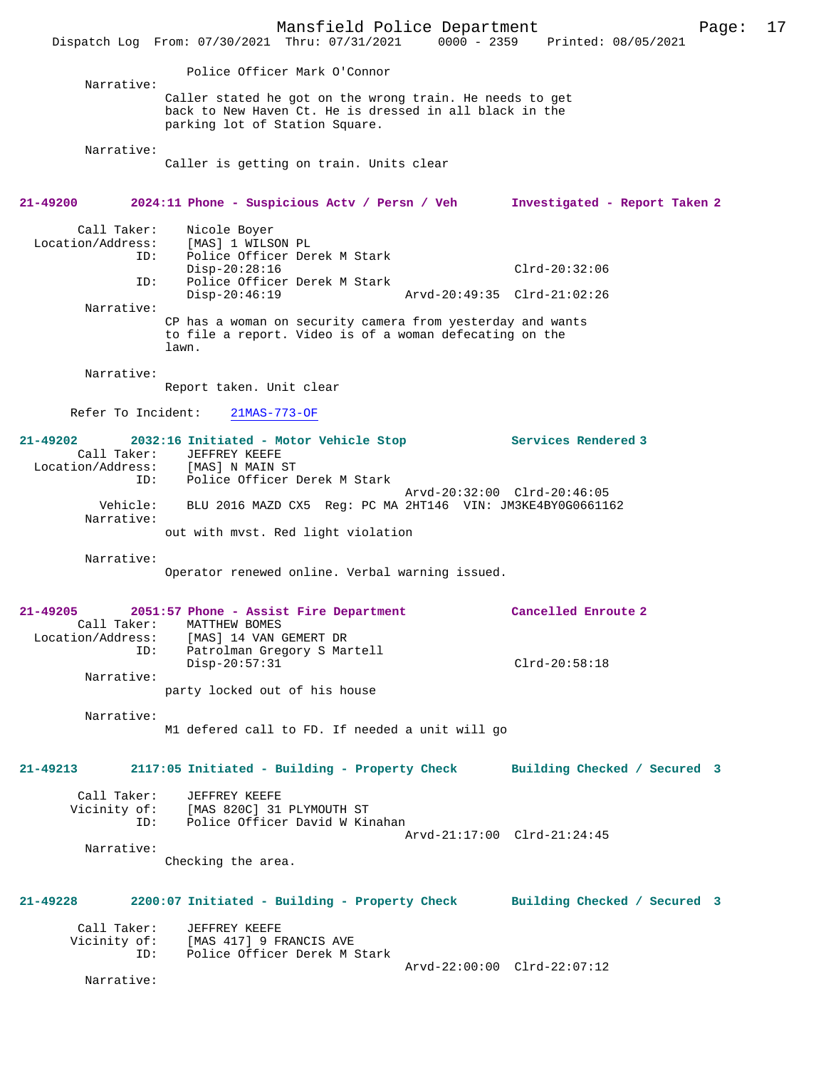Mansfield Police Department Page: 17 Dispatch Log From: 07/30/2021 Thru: 07/31/2021 0000 - 2359 Printed: 08/05/2021 Police Officer Mark O'Connor Narrative: Caller stated he got on the wrong train. He needs to get back to New Haven Ct. He is dressed in all black in the parking lot of Station Square. Narrative: Caller is getting on train. Units clear **21-49200 2024:11 Phone - Suspicious Actv / Persn / Veh Investigated - Report Taken 2** Call Taker: Nicole Boyer<br>Location/Address: [MAS] 1 WILS ess: [MAS] 1 WILSON PL<br>ID: Police Officer Der Police Officer Derek M Stark Disp-20:28:16 Clrd-20:32:06<br>ID: Police Officer Derek M Stark Police Officer Derek M Stark<br>Disp-20:46:19 Disp-20:46:19 Arvd-20:49:35 Clrd-21:02:26 Narrative: CP has a woman on security camera from yesterday and wants to file a report. Video is of a woman defecating on the lawn. Narrative: Report taken. Unit clear Refer To Incident: 21MAS-773-OF **21-49202 2032:16 Initiated - Motor Vehicle Stop Services Rendered 3**  Call Taker: JEFFREY KEEFE<br>ion/Address: [MAS] N MAIN ST Location/Address: ID: Police Officer Derek M Stark Arvd-20:32:00 Clrd-20:46:05 Vehicle: BLU 2016 MAZD CX5 Reg: PC MA 2HT146 VIN: JM3KE4BY0G0661162 Narrative: out with mvst. Red light violation Narrative: Operator renewed online. Verbal warning issued. **21-49205 2051:57 Phone - Assist Fire Department Cancelled Enroute 2**  Call Taker: MATTHEW BOMES<br>Location/Address: [MAS] 14 VAN ( [MAS] 14 VAN GEMERT DR ID: Patrolman Gregory S Martell Disp-20:57:31 Clrd-20:58:18 Narrative: party locked out of his house Narrative: M1 defered call to FD. If needed a unit will go **21-49213 2117:05 Initiated - Building - Property Check Building Checked / Secured 3** Call Taker: JEFFREY KEEFE Vicinity of: [MAS 820C] 31 PLYMOUTH ST<br>TD: Police Officer David W Kin Police Officer David W Kinahan Arvd-21:17:00 Clrd-21:24:45 Narrative: Checking the area. **21-49228 2200:07 Initiated - Building - Property Check Building Checked / Secured 3** Call Taker: JEFFREY KEEFE<br>Vicinity of: [MAS 417] 9 FI of: [MAS 417] 9 FRANCIS AVE<br>ID: Police Officer Derek M ; Police Officer Derek M Stark Arvd-22:00:00 Clrd-22:07:12 Narrative: